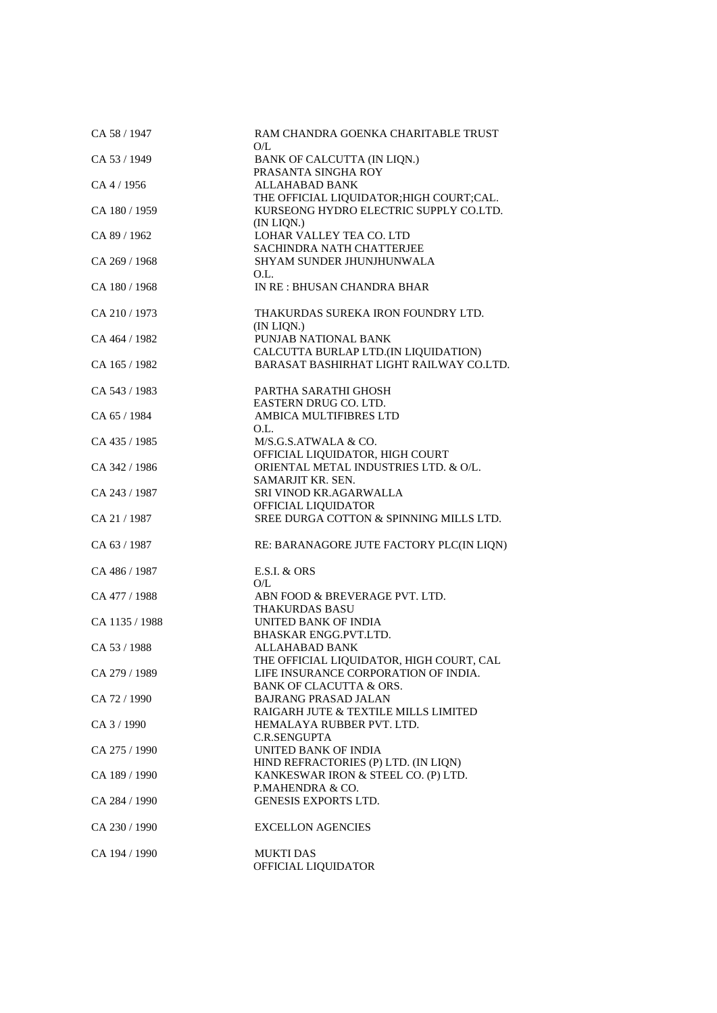| CA 58 / 1947   | RAM CHANDRA GOENKA CHARITABLE TRUST<br>O/L                                                        |
|----------------|---------------------------------------------------------------------------------------------------|
| CA 53 / 1949   | BANK OF CALCUTTA (IN LIQN.)                                                                       |
| $CA\,4/1956$   | PRASANTA SINGHA ROY<br><b>ALLAHABAD BANK</b>                                                      |
| CA 180 / 1959  | THE OFFICIAL LIQUIDATOR; HIGH COURT; CAL.<br>KURSEONG HYDRO ELECTRIC SUPPLY CO.LTD.<br>(IN LIQN.) |
| CA 89 / 1962   | LOHAR VALLEY TEA CO. LTD                                                                          |
| CA 269 / 1968  | <b>SACHINDRA NATH CHATTERJEE</b><br>SHYAM SUNDER JHUNJHUNWALA<br>O.L.                             |
| CA 180 / 1968  | IN RE: BHUSAN CHANDRA BHAR                                                                        |
| CA 210/1973    | THAKURDAS SUREKA IRON FOUNDRY LTD.<br>(IN LIQN.)                                                  |
| CA 464 / 1982  | PUNJAB NATIONAL BANK                                                                              |
| CA 165 / 1982  | CALCUTTA BURLAP LTD.(IN LIQUIDATION)<br>BARASAT BASHIRHAT LIGHT RAILWAY CO.LTD.                   |
| CA 543 / 1983  | PARTHA SARATHI GHOSH                                                                              |
| CA 65 / 1984   | EASTERN DRUG CO. LTD.<br>AMBICA MULTIFIBRES LTD                                                   |
| CA 435 / 1985  | O.L.<br>M/S.G.S.ATWALA & CO.                                                                      |
| CA 342 / 1986  | OFFICIAL LIQUIDATOR, HIGH COURT<br>ORIENTAL METAL INDUSTRIES LTD. & O/L.                          |
| CA 243 / 1987  | SAMARJIT KR. SEN.<br>SRI VINOD KR.AGARWALLA                                                       |
| CA 21 / 1987   | OFFICIAL LIQUIDATOR<br>SREE DURGA COTTON & SPINNING MILLS LTD.                                    |
| CA 63 / 1987   | RE: BARANAGORE JUTE FACTORY PLC(IN LIQN)                                                          |
| CA 486 / 1987  | $E.S.I. \& ORS$                                                                                   |
| CA 477 / 1988  | O/L<br>ABN FOOD & BREVERAGE PVT. LTD.                                                             |
| CA 1135 / 1988 | THAKURDAS BASU<br>UNITED BANK OF INDIA                                                            |
| CA 53 / 1988   | BHASKAR ENGG.PVT.LTD.<br>ALLAHABAD BANK                                                           |
| CA 279 / 1989  | THE OFFICIAL LIQUIDATOR, HIGH COURT, CAL<br>LIFE INSURANCE CORPORATION OF INDIA.                  |
|                | <b>BANK OF CLACUTTA &amp; ORS.</b>                                                                |
| CA 72 / 1990   | <b>BAJRANG PRASAD JALAN</b><br>RAIGARH JUTE & TEXTILE MILLS LIMITED                               |
| CA 3 / 1990    | HEMALAYA RUBBER PVT. LTD.<br>C.R.SENGUPTA                                                         |
| CA 275 / 1990  | UNITED BANK OF INDIA<br>HIND REFRACTORIES (P) LTD. (IN LIQN)                                      |
| CA 189 / 1990  | KANKESWAR IRON & STEEL CO. (P) LTD.                                                               |
| CA 284 / 1990  | P.MAHENDRA & CO.<br><b>GENESIS EXPORTS LTD.</b>                                                   |
| CA 230 / 1990  | <b>EXCELLON AGENCIES</b>                                                                          |
| CA 194 / 1990  | <b>MUKTI DAS</b><br>OFFICIAL LIQUIDATOR                                                           |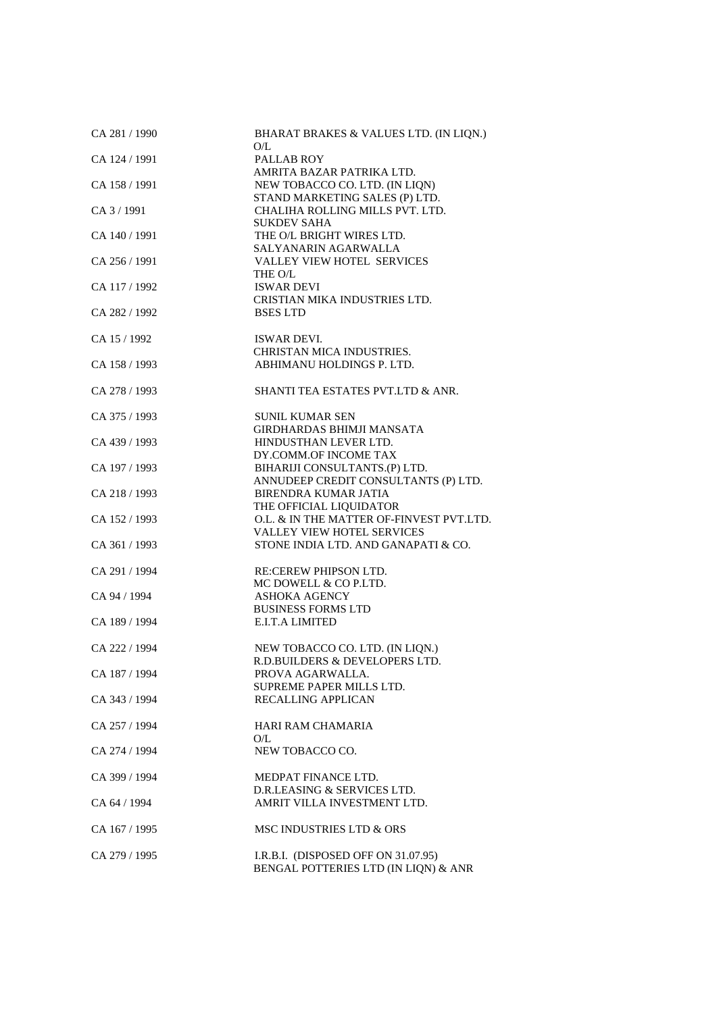| CA 281 / 1990   | BHARAT BRAKES & VALUES LTD. (IN LIQN.)<br>O/L                                                 |
|-----------------|-----------------------------------------------------------------------------------------------|
| CA 124 / 1991   | PALLAB ROY                                                                                    |
| CA 158 / 1991   | AMRITA BAZAR PATRIKA LTD.<br>NEW TOBACCO CO. LTD. (IN LIQN)<br>STAND MARKETING SALES (P) LTD. |
| $CA$ 3 $/$ 1991 | CHALIHA ROLLING MILLS PVT. LTD.<br><b>SUKDEV SAHA</b>                                         |
| CA 140 / 1991   | THE O/L BRIGHT WIRES LTD.<br>SALYANARIN AGARWALLA                                             |
| CA 256 / 1991   | <b>VALLEY VIEW HOTEL SERVICES</b><br>THE O/L                                                  |
| CA 117 / 1992   | <b>ISWAR DEVI</b><br>CRISTIAN MIKA INDUSTRIES LTD.                                            |
| CA 282 / 1992   | <b>BSES LTD</b>                                                                               |
| CA 15 / 1992    | ISWAR DEVI.<br>CHRISTAN MICA INDUSTRIES.                                                      |
| CA 158 / 1993   | ABHIMANU HOLDINGS P. LTD.                                                                     |
| CA 278 / 1993   | SHANTI TEA ESTATES PVT.LTD & ANR.                                                             |
| CA 375 / 1993   | <b>SUNIL KUMAR SEN</b>                                                                        |
| CA 439 / 1993   | <b>GIRDHARDAS BHIMJI MANSATA</b><br>HINDUSTHAN LEVER LTD.                                     |
| CA 197 / 1993   | DY.COMM.OF INCOME TAX<br>BIHARIJI CONSULTANTS.(P) LTD.                                        |
| CA 218 / 1993   | ANNUDEEP CREDIT CONSULTANTS (P) LTD.<br><b>BIRENDRA KUMAR JATIA</b>                           |
| CA 152 / 1993   | THE OFFICIAL LIQUIDATOR<br>O.L. & IN THE MATTER OF-FINVEST PVT.LTD.                           |
| CA 361 / 1993   | VALLEY VIEW HOTEL SERVICES<br>STONE INDIA LTD. AND GANAPATI & CO.                             |
| CA 291 / 1994   | <b>RE:CEREW PHIPSON LTD.</b>                                                                  |
| CA 94 / 1994    | MC DOWELL & CO P.LTD.<br>ASHOKA AGENCY                                                        |
| CA 189 / 1994   | <b>BUSINESS FORMS LTD</b><br>E.I.T.A LIMITED                                                  |
| CA 222 / 1994   | NEW TOBACCO CO. LTD. (IN LIQN.)                                                               |
| CA 187 / 1994   | R.D.BUILDERS & DEVELOPERS LTD.<br>PROVA AGARWALLA.                                            |
| CA 343 / 1994   | SUPREME PAPER MILLS LTD.<br>RECALLING APPLICAN                                                |
| CA 257 / 1994   | <b>HARI RAM CHAMARIA</b>                                                                      |
| CA 274 / 1994   | O/L<br>NEW TOBACCO CO.                                                                        |
| CA 399 / 1994   | MEDPAT FINANCE LTD.                                                                           |
| CA 64 / 1994    | D.R.LEASING & SERVICES LTD.<br>AMRIT VILLA INVESTMENT LTD.                                    |
| CA 167 / 1995   | MSC INDUSTRIES LTD & ORS                                                                      |
| CA 279 / 1995   | I.R.B.I. (DISPOSED OFF ON 31.07.95)<br>BENGAL POTTERIES LTD (IN LIQN) & ANR                   |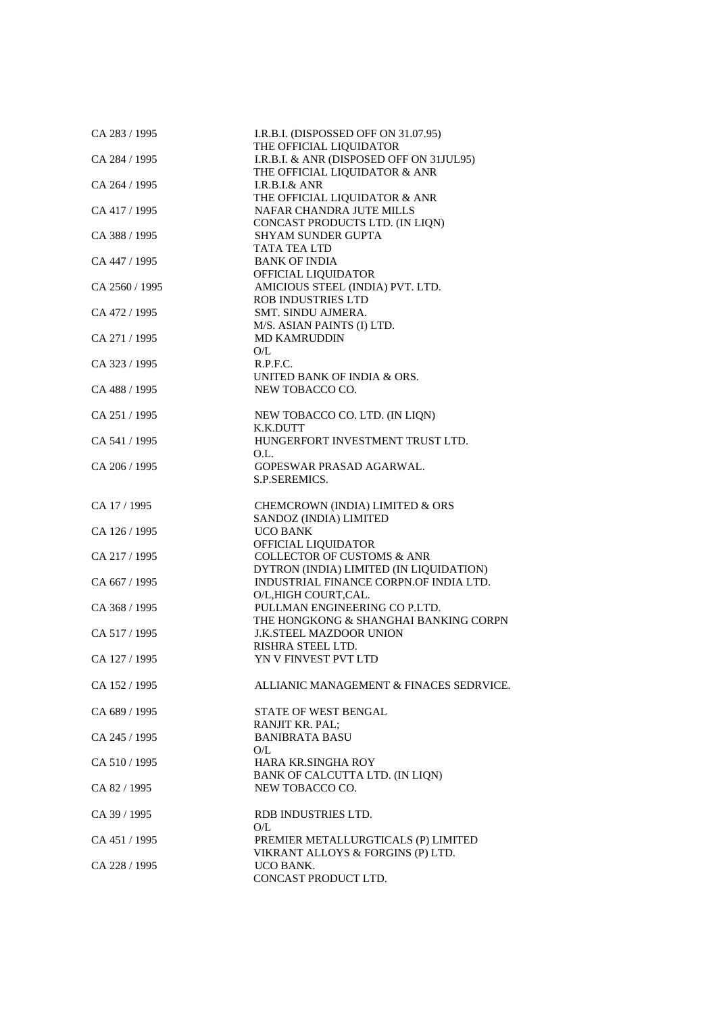| CA 283 / 1995  | I.R.B.I. (DISPOSSED OFF ON 31.07.95)                                |
|----------------|---------------------------------------------------------------------|
| CA 284 / 1995  | THE OFFICIAL LIQUIDATOR<br>I.R.B.I. & ANR (DISPOSED OFF ON 31JUL95) |
|                | THE OFFICIAL LIQUIDATOR & ANR                                       |
| CA 264 / 1995  | $I.R.B.I.\&$ ANR<br>THE OFFICIAL LIQUIDATOR & ANR                   |
| CA 417 / 1995  | NAFAR CHANDRA JUTE MILLS                                            |
| CA 388 / 1995  | CONCAST PRODUCTS LTD. (IN LIQN)<br><b>SHYAM SUNDER GUPTA</b>        |
|                | TATA TEA LTD                                                        |
| CA 447 / 1995  | <b>BANK OF INDIA</b>                                                |
| CA 2560 / 1995 | OFFICIAL LIQUIDATOR<br>AMICIOUS STEEL (INDIA) PVT. LTD.             |
|                | <b>ROB INDUSTRIES LTD</b>                                           |
| CA 472 / 1995  | SMT. SINDU AJMERA.<br>M/S. ASIAN PAINTS (I) LTD.                    |
| CA 271 / 1995  | <b>MD KAMRUDDIN</b>                                                 |
|                | O/L                                                                 |
| CA 323 / 1995  | R.P.F.C.<br>UNITED BANK OF INDIA & ORS.                             |
| CA 488 / 1995  | NEW TOBACCO CO.                                                     |
| CA 251 / 1995  | NEW TOBACCO CO. LTD. (IN LIQN)                                      |
|                | K.K.DUTT                                                            |
| CA 541 / 1995  | HUNGERFORT INVESTMENT TRUST LTD.                                    |
| CA 206 / 1995  | O.L.<br>GOPESWAR PRASAD AGARWAL.                                    |
|                | S.P.SEREMICS.                                                       |
| CA 17 / 1995   | CHEMCROWN (INDIA) LIMITED & ORS                                     |
|                | SANDOZ (INDIA) LIMITED                                              |
| CA 126 / 1995  | <b>UCO BANK</b><br>OFFICIAL LIQUIDATOR                              |
| CA 217 / 1995  | <b>COLLECTOR OF CUSTOMS &amp; ANR</b>                               |
|                | DYTRON (INDIA) LIMITED (IN LIQUIDATION)                             |
| CA 667 / 1995  | INDUSTRIAL FINANCE CORPN.OF INDIA LTD.<br>O/L,HIGH COURT,CAL.       |
| CA 368 / 1995  | PULLMAN ENGINEERING CO P.LTD.                                       |
|                | THE HONGKONG & SHANGHAI BANKING CORPN                               |
| CA 517 / 1995  | <b>J.K.STEEL MAZDOOR UNION</b><br>RISHRA STEEL LTD.                 |
| CA 127 / 1995  | YN V FINVEST PVT LTD                                                |
| CA 152 / 1995  | ALLIANIC MANAGEMENT & FINACES SEDRVICE.                             |
| CA 689 / 1995  | STATE OF WEST BENGAL                                                |
|                | RANJIT KR. PAL;                                                     |
| CA 245 / 1995  | <b>BANIBRATA BASU</b><br>O/L                                        |
| CA 510 / 1995  | <b>HARA KR.SINGHA ROY</b>                                           |
|                | BANK OF CALCUTTA LTD. (IN LIQN)                                     |
| CA 82 / 1995   | NEW TOBACCO CO.                                                     |
| CA 39 / 1995   | RDB INDUSTRIES LTD.                                                 |
| CA 451 / 1995  | O/L<br>PREMIER METALLURGTICALS (P) LIMITED                          |
|                | VIKRANT ALLOYS & FORGINS (P) LTD.                                   |
| CA 228 / 1995  | UCO BANK.                                                           |
|                | CONCAST PRODUCT LTD.                                                |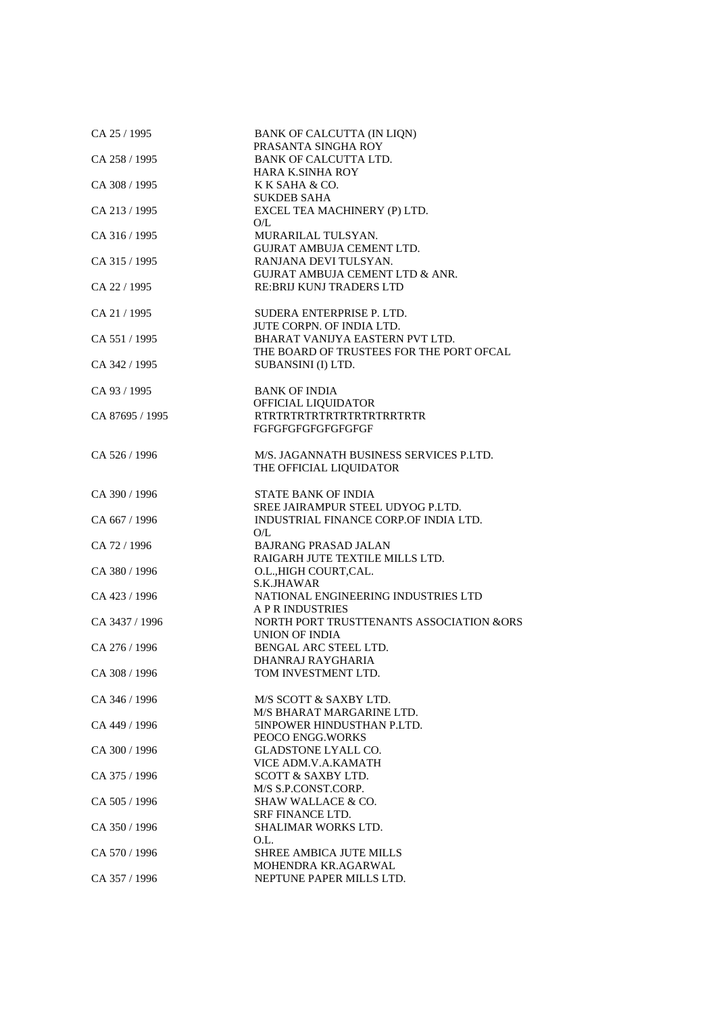| CA 25 / 1995    | BANK OF CALCUTTA (IN LIQN)<br>PRASANTA SINGHA ROY                              |
|-----------------|--------------------------------------------------------------------------------|
| CA 258 / 1995   | <b>BANK OF CALCUTTA LTD.</b><br><b>HARA K.SINHA ROY</b>                        |
| CA 308 / 1995   | K K SAHA & CO.                                                                 |
| CA 213 / 1995   | <b>SUKDEB SAHA</b><br>EXCEL TEA MACHINERY (P) LTD.<br>O/L                      |
| CA 316 / 1995   | MURARILAL TULSYAN.<br>GUJRAT AMBUJA CEMENT LTD.                                |
| CA 315 / 1995   | RANJANA DEVI TULSYAN.<br><b>GUJRAT AMBUJA CEMENT LTD &amp; ANR.</b>            |
| CA 22 / 1995    | <b>RE:BRIJ KUNJ TRADERS LTD</b>                                                |
| CA 21 / 1995    | SUDERA ENTERPRISE P. LTD.                                                      |
| CA 551 / 1995   | JUTE CORPN. OF INDIA LTD.<br>BHARAT VANIJYA EASTERN PVT LTD.                   |
| CA 342 / 1995   | THE BOARD OF TRUSTEES FOR THE PORT OFCAL<br>SUBANSINI (I) LTD.                 |
| CA 93 / 1995    | <b>BANK OF INDIA</b>                                                           |
| CA 87695 / 1995 | OFFICIAL LIQUIDATOR<br>RTRTRTRTRTRTRTRTRTRRTRTR                                |
|                 | FGFGFGFGFGFGFGFGF                                                              |
| CA 526 / 1996   | M/S. JAGANNATH BUSINESS SERVICES P.LTD.<br>THE OFFICIAL LIQUIDATOR             |
| CA 390 / 1996   | <b>STATE BANK OF INDIA</b><br>SREE JAIRAMPUR STEEL UDYOG P.LTD.                |
| CA 667 / 1996   | INDUSTRIAL FINANCE CORP.OF INDIA LTD.<br>O/L                                   |
| CA 72 / 1996    | <b>BAJRANG PRASAD JALAN</b>                                                    |
| CA 380 / 1996   | RAIGARH JUTE TEXTILE MILLS LTD.<br>O.L., HIGH COURT, CAL.                      |
| CA 423 / 1996   | S.K.JHAWAR<br>NATIONAL ENGINEERING INDUSTRIES LTD                              |
| CA 3437 / 1996  | A P R INDUSTRIES<br>NORTH PORT TRUSTTENANTS ASSOCIATION &ORS<br>UNION OF INDIA |
| CA 276 / 1996   | BENGAL ARC STEEL LTD.                                                          |
| CA 308 / 1996   | DHANRAJ RAYGHARIA<br>TOM INVESTMENT LTD.                                       |
| CA 346 / 1996   | M/S SCOTT & SAXBY LTD.<br>M/S BHARAT MARGARINE LTD.                            |
| CA 449 / 1996   | 5INPOWER HINDUSTHAN P.LTD.<br>PEOCO ENGG. WORKS                                |
| CA 300 / 1996   | GLADSTONE LYALL CO.<br>VICE ADM.V.A.KAMATH                                     |
| CA 375 / 1996   | <b>SCOTT &amp; SAXBY LTD.</b><br>M/S S.P.CONST.CORP.                           |
| CA 505 / 1996   | <b>SHAW WALLACE &amp; CO.</b><br><b>SRF FINANCE LTD.</b>                       |
| CA 350 / 1996   | SHALIMAR WORKS LTD.<br>O.L.                                                    |
| CA 570 / 1996   | SHREE AMBICA JUTE MILLS<br>MOHENDRA KR.AGARWAL                                 |
| CA 357 / 1996   | NEPTUNE PAPER MILLS LTD.                                                       |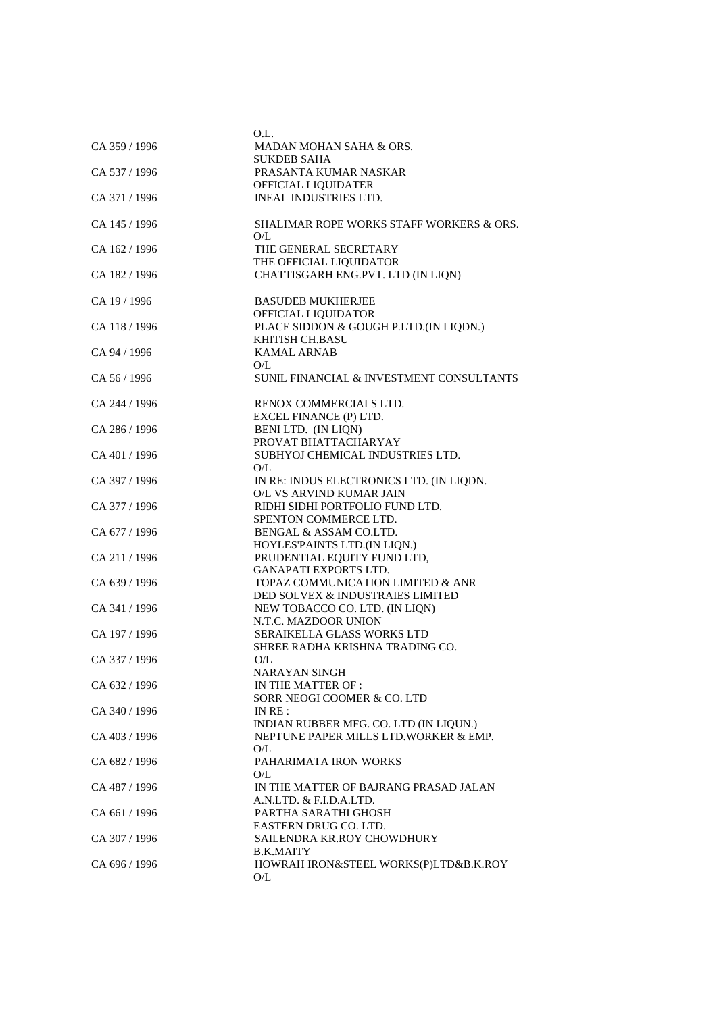| CA 359 / 1996 | O.L.<br>MADAN MOHAN SAHA & ORS.                                                  |
|---------------|----------------------------------------------------------------------------------|
| CA 537 / 1996 | <b>SUKDEB SAHA</b><br>PRASANTA KUMAR NASKAR                                      |
|               | OFFICIAL LIQUIDATER                                                              |
| CA 371 / 1996 | <b>INEAL INDUSTRIES LTD.</b>                                                     |
| CA 145 / 1996 | SHALIMAR ROPE WORKS STAFF WORKERS & ORS.<br>O/L                                  |
| CA 162 / 1996 | THE GENERAL SECRETARY<br>THE OFFICIAL LIQUIDATOR                                 |
| CA 182 / 1996 | CHATTISGARH ENG.PVT. LTD (IN LIQN)                                               |
| CA 19 / 1996  | <b>BASUDEB MUKHERJEE</b><br>OFFICIAL LIQUIDATOR                                  |
| CA 118 / 1996 | PLACE SIDDON & GOUGH P.LTD.(IN LIQDN.)<br>KHITISH CH.BASU                        |
| CA 94 / 1996  | <b>KAMAL ARNAB</b><br>O/L                                                        |
| CA 56 / 1996  | SUNIL FINANCIAL & INVESTMENT CONSULTANTS                                         |
| CA 244 / 1996 | RENOX COMMERCIALS LTD.<br>EXCEL FINANCE (P) LTD.                                 |
| CA 286 / 1996 | BENI LTD. (IN LIQN)                                                              |
|               | PROVAT BHATTACHARYAY                                                             |
| CA 401 / 1996 | SUBHYOJ CHEMICAL INDUSTRIES LTD.<br>O/L                                          |
| CA 397 / 1996 | IN RE: INDUS ELECTRONICS LTD. (IN LIQDN.                                         |
| CA 377 / 1996 | O/L VS ARVIND KUMAR JAIN<br>RIDHI SIDHI PORTFOLIO FUND LTD.                      |
|               | SPENTON COMMERCE LTD.                                                            |
| CA 677 / 1996 | BENGAL & ASSAM CO.LTD.                                                           |
|               | HOYLES'PAINTS LTD.(IN LIQN.)                                                     |
| CA 211 / 1996 | PRUDENTIAL EQUITY FUND LTD,<br><b>GANAPATI EXPORTS LTD.</b>                      |
| CA 639 / 1996 | TOPAZ COMMUNICATION LIMITED & ANR                                                |
|               | DED SOLVEX & INDUSTRAIES LIMITED                                                 |
| CA 341 / 1996 | NEW TOBACCO CO. LTD. (IN LIQN)                                                   |
|               | N.T.C. MAZDOOR UNION                                                             |
| CA 197 / 1996 | SERAIKELLA GLASS WORKS LTD                                                       |
| CA 337 / 1996 | SHREE RADHA KRISHNA TRADING CO.<br>O/L                                           |
|               | NARAYAN SINGH                                                                    |
| CA 632 / 1996 | IN THE MATTER OF :                                                               |
|               | SORR NEOGI COOMER & CO. LTD                                                      |
| CA 340 / 1996 | INRE:                                                                            |
| CA 403 / 1996 | INDIAN RUBBER MFG. CO. LTD (IN LIQUN.)<br>NEPTUNE PAPER MILLS LTD. WORKER & EMP. |
|               | O/L                                                                              |
| CA 682 / 1996 | PAHARIMATA IRON WORKS                                                            |
| CA 487 / 1996 | O/L<br>IN THE MATTER OF BAJRANG PRASAD JALAN                                     |
|               | A.N.LTD. & F.I.D.A.LTD.                                                          |
| CA 661 / 1996 | PARTHA SARATHI GHOSH                                                             |
|               | EASTERN DRUG CO. LTD.                                                            |
| CA 307 / 1996 | SAILENDRA KR.ROY CHOWDHURY                                                       |
| CA 696 / 1996 | <b>B.K.MAITY</b><br>HOWRAH IRON&STEEL WORKS(P)LTD&B.K.ROY                        |
|               | O/L                                                                              |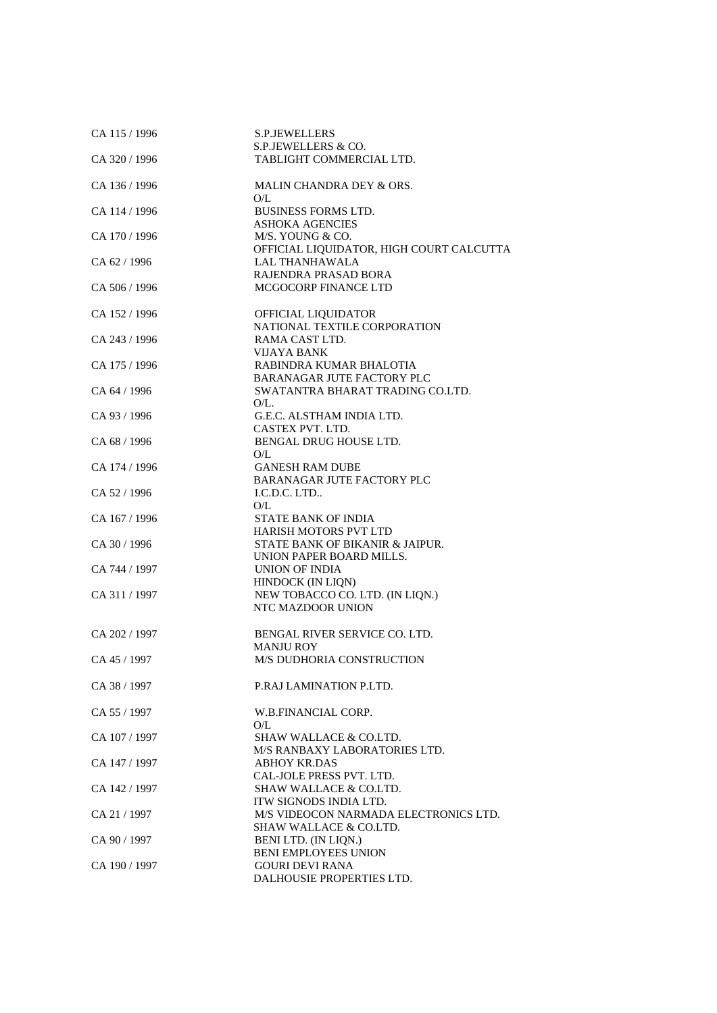| CA 115 / 1996 | S.P.JEWELLERS                            |
|---------------|------------------------------------------|
|               | S.P.JEWELLERS & CO.                      |
| CA 320 / 1996 | TABLIGHT COMMERCIAL LTD.                 |
| CA 136 / 1996 | MALIN CHANDRA DEY & ORS.                 |
|               | O/L                                      |
| CA 114 / 1996 | <b>BUSINESS FORMS LTD.</b>               |
|               | <b>ASHOKA AGENCIES</b>                   |
| CA 170 / 1996 | M/S. YOUNG & CO.                         |
|               | OFFICIAL LIQUIDATOR, HIGH COURT CALCUTTA |
| CA 62 / 1996  | <b>LAL THANHAWALA</b>                    |
|               | RAJENDRA PRASAD BORA                     |
|               | MCGOCORP FINANCE LTD                     |
| CA 506 / 1996 |                                          |
| CA 152 / 1996 | OFFICIAL LIQUIDATOR                      |
|               | NATIONAL TEXTILE CORPORATION             |
| CA 243 / 1996 | RAMA CAST LTD.                           |
|               |                                          |
|               | VIJAYA BANK                              |
| CA 175 / 1996 | RABINDRA KUMAR BHALOTIA                  |
|               | BARANAGAR JUTE FACTORY PLC               |
| CA 64 / 1996  | SWATANTRA BHARAT TRADING CO.LTD.         |
|               | $O/L$ .                                  |
| CA 93/1996    | G.E.C. ALSTHAM INDIA LTD.                |
|               | CASTEX PVT. LTD.                         |
| CA 68 / 1996  | BENGAL DRUG HOUSE LTD.                   |
|               |                                          |
|               | O/L                                      |
| CA 174 / 1996 | <b>GANESH RAM DUBE</b>                   |
|               | <b>BARANAGAR JUTE FACTORY PLC</b>        |
| CA 52 / 1996  | I.C.D.C. LTD                             |
|               | O/L                                      |
| CA 167 / 1996 | <b>STATE BANK OF INDIA</b>               |
|               | <b>HARISH MOTORS PVT LTD</b>             |
| CA 30 / 1996  | STATE BANK OF BIKANIR & JAIPUR.          |
|               | UNION PAPER BOARD MILLS.                 |
|               |                                          |
| CA 744 / 1997 | <b>UNION OF INDIA</b>                    |
|               | HINDOCK (IN LIQN)                        |
| CA 311 / 1997 | NEW TOBACCO CO. LTD. (IN LIQN.)          |
|               | NTC MAZDOOR UNION                        |
|               |                                          |
| CA 202 / 1997 | BENGAL RIVER SERVICE CO. LTD.            |
|               | <b>MANJU ROY</b>                         |
| CA 45 / 1997  | <b>M/S DUDHORIA CONSTRUCTION</b>         |
|               |                                          |
| CA 38 / 1997  | P.RAJ LAMINATION P.LTD.                  |
|               |                                          |
| CA 55 / 1997  | W.B.FINANCIAL CORP.                      |
|               | O/L                                      |
| CA 107 / 1997 | <b>SHAW WALLACE &amp; CO.LTD.</b>        |
|               | M/S RANBAXY LABORATORIES LTD.            |
| CA 147 / 1997 | <b>ABHOY KR.DAS</b>                      |
|               | CAL-JOLE PRESS PVT. LTD.                 |
| CA 142 / 1997 | <b>SHAW WALLACE &amp; CO.LTD.</b>        |
|               | ITW SIGNODS INDIA LTD.                   |
|               |                                          |
| CA 21 / 1997  | M/S VIDEOCON NARMADA ELECTRONICS LTD.    |
|               | <b>SHAW WALLACE &amp; CO.LTD.</b>        |
| CA 90 / 1997  | BENI LTD. (IN LIQN.)                     |
|               | <b>BENI EMPLOYEES UNION</b>              |
| CA 190 / 1997 | <b>GOURI DEVI RANA</b>                   |
|               | DALHOUSIE PROPERTIES LTD.                |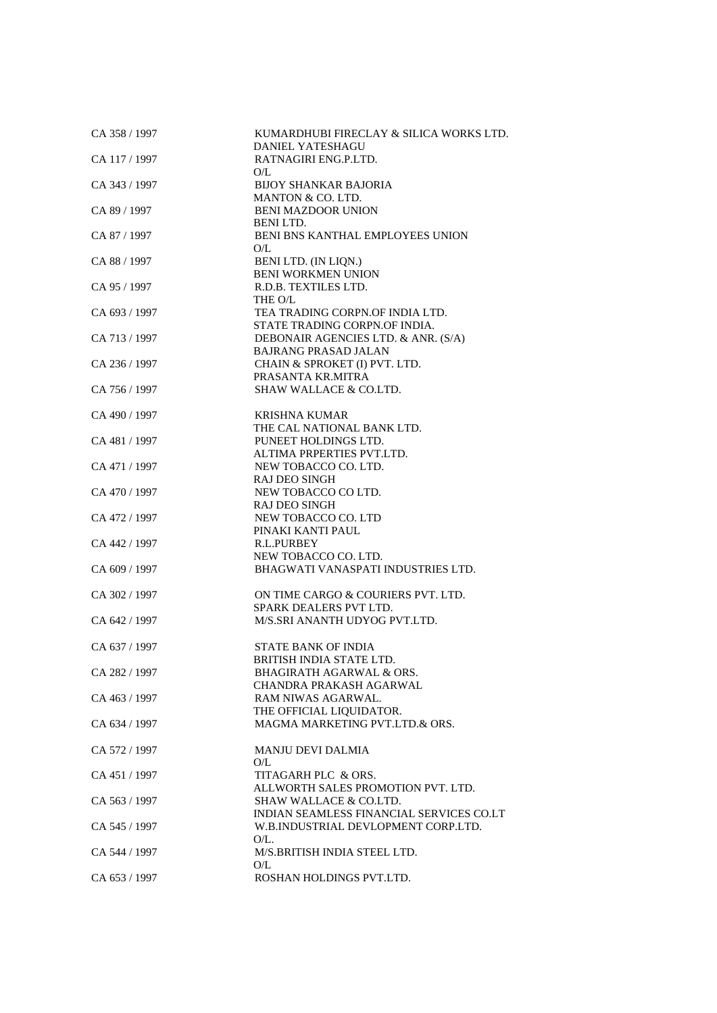| CA 358 / 1997 | KUMARDHUBI FIRECLAY & SILICA WORKS LTD.<br><b>DANIEL YATESHAGU</b>            |
|---------------|-------------------------------------------------------------------------------|
| CA 117 / 1997 | RATNAGIRI ENG.P.LTD.                                                          |
| CA 343 / 1997 | O/L<br><b>BIJOY SHANKAR BAJORIA</b><br>MANTON & CO. LTD.                      |
| CA 89 / 1997  | <b>BENI MAZDOOR UNION</b><br><b>BENILTD.</b>                                  |
| CA 87 / 1997  | BENI BNS KANTHAL EMPLOYEES UNION<br>O/L                                       |
| CA 88 / 1997  | BENI LTD. (IN LIQN.)<br><b>BENI WORKMEN UNION</b>                             |
| CA 95 / 1997  | R.D.B. TEXTILES LTD.<br>THE O/L                                               |
| CA 693 / 1997 | TEA TRADING CORPN.OF INDIA LTD.<br>STATE TRADING CORPN.OF INDIA.              |
| CA 713 / 1997 | DEBONAIR AGENCIES LTD. & ANR. (S/A)<br>BAJRANG PRASAD JALAN                   |
| CA 236 / 1997 | CHAIN & SPROKET (I) PVT. LTD.<br>PRASANTA KR.MITRA                            |
| CA 756 / 1997 | <b>SHAW WALLACE &amp; CO.LTD.</b>                                             |
| CA 490 / 1997 | <b>KRISHNA KUMAR</b><br>THE CAL NATIONAL BANK LTD.                            |
| CA 481 / 1997 | PUNEET HOLDINGS LTD.                                                          |
| CA 471 / 1997 | ALTIMA PRPERTIES PVT.LTD.<br>NEW TOBACCO CO. LTD.                             |
| CA 470 / 1997 | <b>RAJ DEO SINGH</b><br>NEW TOBACCO CO LTD.                                   |
| CA 472 / 1997 | <b>RAJ DEO SINGH</b><br>NEW TOBACCO CO. LTD                                   |
| CA 442 / 1997 | PINAKI KANTI PAUL<br>R.L.PURBEY                                               |
| CA 609 / 1997 | NEW TOBACCO CO. LTD.<br>BHAGWATI VANASPATI INDUSTRIES LTD.                    |
| CA 302 / 1997 | ON TIME CARGO & COURIERS PVT. LTD.<br>SPARK DEALERS PVT LTD.                  |
| CA 642 / 1997 | M/S.SRI ANANTH UDYOG PVT.LTD.                                                 |
| CA 637 / 1997 | <b>STATE BANK OF INDIA</b>                                                    |
| CA 282 / 1997 | BRITISH INDIA STATE LTD.<br><b>BHAGIRATH AGARWAL &amp; ORS.</b>               |
| CA 463 / 1997 | CHANDRA PRAKASH AGARWAL<br>RAM NIWAS AGARWAL.<br>THE OFFICIAL LIQUIDATOR.     |
| CA 634 / 1997 | MAGMA MARKETING PVT.LTD.& ORS.                                                |
| CA 572 / 1997 | <b>MANJU DEVI DALMIA</b><br>O/L                                               |
| CA 451 / 1997 | TITAGARH PLC & ORS.<br>ALLWORTH SALES PROMOTION PVT. LTD.                     |
| CA 563 / 1997 | <b>SHAW WALLACE &amp; CO.LTD.</b><br>INDIAN SEAMLESS FINANCIAL SERVICES CO.LT |
| CA 545 / 1997 | W.B.INDUSTRIAL DEVLOPMENT CORP.LTD.<br>$O/L$ .                                |
| CA 544 / 1997 | M/S.BRITISH INDIA STEEL LTD.<br>O/L                                           |
| CA 653 / 1997 | ROSHAN HOLDINGS PVT.LTD.                                                      |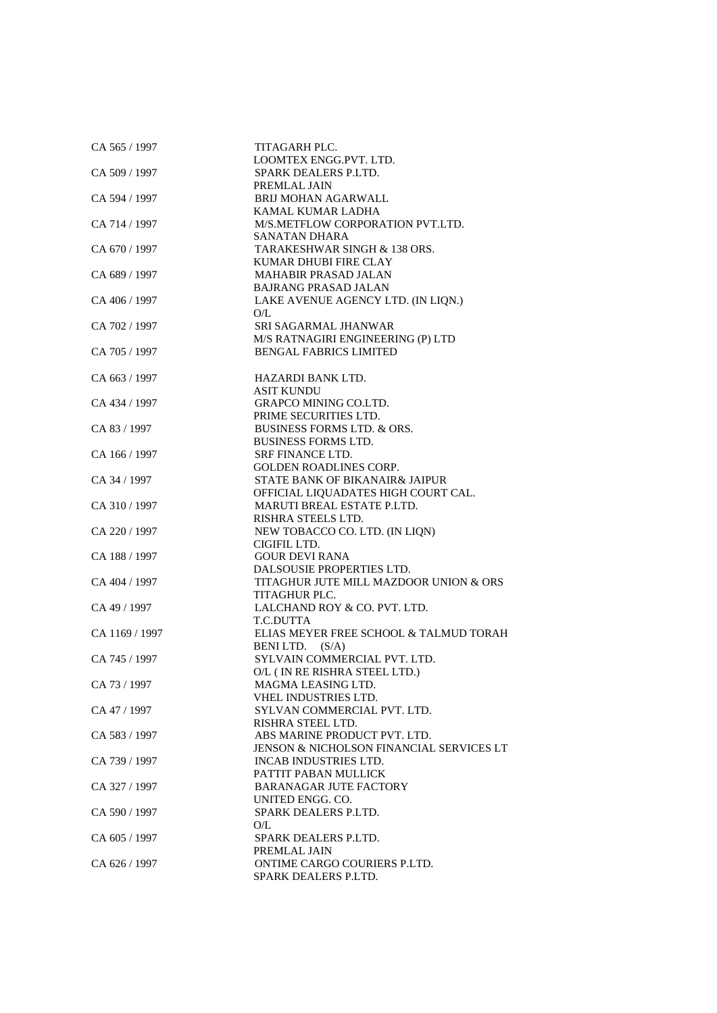| CA 565 / 1997  | TITAGARH PLC.                            |
|----------------|------------------------------------------|
|                | LOOMTEX ENGG.PVT. LTD.                   |
| CA 509 / 1997  | SPARK DEALERS P.LTD.                     |
|                | PREMLAL JAIN                             |
| CA 594 / 1997  | <b>BRIJ MOHAN AGARWALL</b>               |
|                | KAMAL KUMAR LADHA                        |
| CA 714 / 1997  | M/S.METFLOW CORPORATION PVT.LTD.         |
|                | SANATAN DHARA                            |
| CA 670 / 1997  | TARAKESHWAR SINGH & 138 ORS.             |
|                | KUMAR DHUBI FIRE CLAY                    |
| CA 689 / 1997  | <b>MAHABIR PRASAD JALAN</b>              |
|                | <b>BAJRANG PRASAD JALAN</b>              |
| CA 406 / 1997  | LAKE AVENUE AGENCY LTD. (IN LIQN.)       |
|                | O/L                                      |
| CA 702 / 1997  | SRI SAGARMAL JHANWAR                     |
|                | M/S RATNAGIRI ENGINEERING (P) LTD        |
| CA 705 / 1997  | <b>BENGAL FABRICS LIMITED</b>            |
|                |                                          |
| CA 663 / 1997  | HAZARDI BANK LTD.                        |
|                | <b>ASIT KUNDU</b>                        |
| CA 434 / 1997  | <b>GRAPCO MINING CO.LTD.</b>             |
|                | PRIME SECURITIES LTD.                    |
| CA 83 / 1997   | <b>BUSINESS FORMS LTD. &amp; ORS.</b>    |
|                | <b>BUSINESS FORMS LTD.</b>               |
| CA 166 / 1997  | <b>SRF FINANCE LTD.</b>                  |
|                | <b>GOLDEN ROADLINES CORP.</b>            |
| CA 34 / 1997   | STATE BANK OF BIKANAIR& JAIPUR           |
|                | OFFICIAL LIQUADATES HIGH COURT CAL.      |
| CA 310 / 1997  | <b>MARUTI BREAL ESTATE P.LTD.</b>        |
|                | RISHRA STEELS LTD.                       |
| CA 220 / 1997  | NEW TOBACCO CO. LTD. (IN LIQN)           |
|                | CIGIFIL LTD.                             |
| CA 188 / 1997  | <b>GOUR DEVI RANA</b>                    |
|                | DALSOUSIE PROPERTIES LTD.                |
| CA 404 / 1997  | TITAGHUR JUTE MILL MAZDOOR UNION & ORS   |
|                | TITAGHUR PLC.                            |
| CA 49 / 1997   | LALCHAND ROY & CO. PVT. LTD.             |
|                | T.C.DUTTA                                |
| CA 1169 / 1997 | ELIAS MEYER FREE SCHOOL & TALMUD TORAH   |
|                | BENILTD. (S/A)                           |
| CA 745 / 1997  | SYLVAIN COMMERCIAL PVT. LTD.             |
|                | O/L (IN RE RISHRA STEEL LTD.)            |
| CA 73 / 1997   | MAGMA LEASING LTD.                       |
|                | VHEL INDUSTRIES LTD.                     |
| CA 47 / 1997   | SYLVAN COMMERCIAL PVT. LTD.              |
|                | RISHRA STEEL LTD.                        |
| CA 583 / 1997  | ABS MARINE PRODUCT PVT. LTD.             |
|                | JENSON & NICHOLSON FINANCIAL SERVICES LT |
| CA 739 / 1997  | <b>INCAB INDUSTRIES LTD.</b>             |
|                | PATTIT PABAN MULLICK                     |
| CA 327 / 1997  | <b>BARANAGAR JUTE FACTORY</b>            |
|                | UNITED ENGG. CO.                         |
| CA 590 / 1997  | SPARK DEALERS P.LTD.                     |
|                | O/L                                      |
| CA 605 / 1997  | SPARK DEALERS P.LTD.                     |
|                | PREMLAL JAIN                             |
| CA 626 / 1997  | ONTIME CARGO COURIERS P.LTD.             |
|                | SPARK DEALERS P.LTD.                     |
|                |                                          |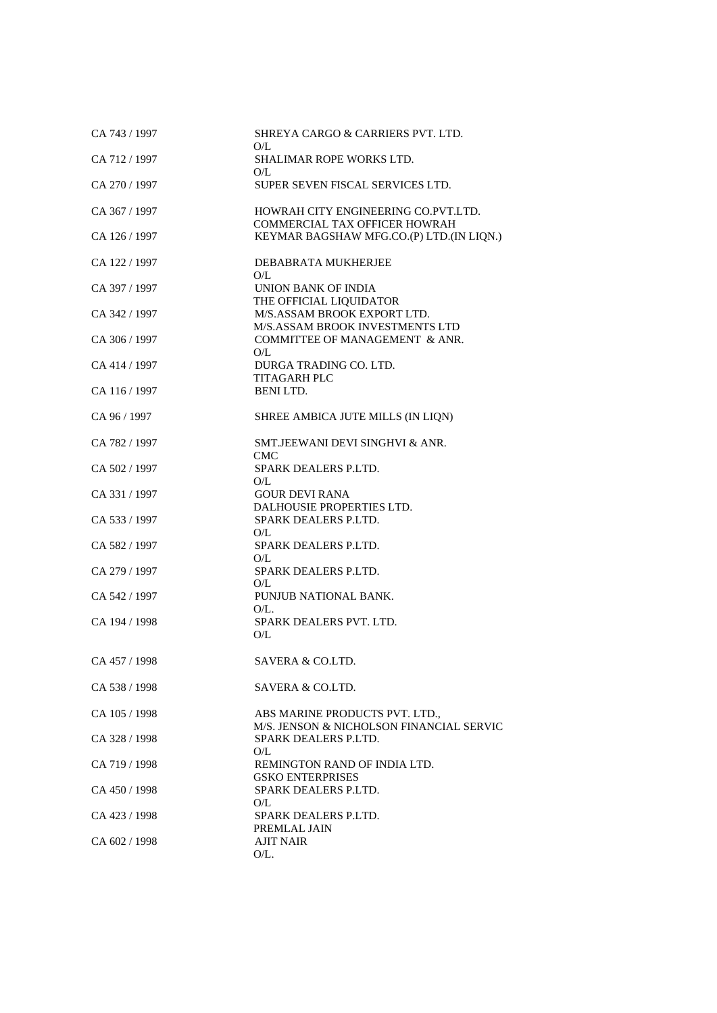| CA 743 / 1997 | SHREYA CARGO & CARRIERS PVT. LTD.<br>O/L                                 |
|---------------|--------------------------------------------------------------------------|
| CA 712 / 1997 | <b>SHALIMAR ROPE WORKS LTD.</b>                                          |
| CA 270 / 1997 | O/L<br>SUPER SEVEN FISCAL SERVICES LTD.                                  |
| CA 367 / 1997 | HOWRAH CITY ENGINEERING CO.PVT.LTD.<br>COMMERCIAL TAX OFFICER HOWRAH     |
| CA 126 / 1997 | KEYMAR BAGSHAW MFG.CO.(P) LTD.(IN LIQN.)                                 |
| CA 122 / 1997 | DEBABRATA MUKHERJEE<br>O/L                                               |
| CA 397 / 1997 | <b>UNION BANK OF INDIA</b>                                               |
| CA 342 / 1997 | THE OFFICIAL LIQUIDATOR<br>M/S.ASSAM BROOK EXPORT LTD.                   |
| CA 306 / 1997 | M/S.ASSAM BROOK INVESTMENTS LTD<br>COMMITTEE OF MANAGEMENT & ANR.<br>O/L |
| CA 414 / 1997 | DURGA TRADING CO. LTD.<br>TITAGARH PLC                                   |
| CA 116 / 1997 | BENILTD.                                                                 |
| CA 96 / 1997  | SHREE AMBICA JUTE MILLS (IN LIQN)                                        |
| CA 782 / 1997 | SMT.JEEWANI DEVI SINGHVI & ANR.<br>CMC.                                  |
| CA 502 / 1997 | SPARK DEALERS P.LTD.                                                     |
| CA 331 / 1997 | O/L<br><b>GOUR DEVI RANA</b>                                             |
| CA 533 / 1997 | DALHOUSIE PROPERTIES LTD.<br>SPARK DEALERS P.LTD.<br>O/L                 |
| CA 582 / 1997 | SPARK DEALERS P.LTD.                                                     |
| CA 279 / 1997 | O/L<br>SPARK DEALERS P.LTD.                                              |
| CA 542 / 1997 | O/L<br>PUNJUB NATIONAL BANK.                                             |
| CA 194 / 1998 | $O/L$ .<br>SPARK DEALERS PVT. LTD.<br>O/L                                |
| CA 457 / 1998 | SAVERA & CO.LTD.                                                         |
| CA 538 / 1998 | SAVERA & CO.LTD.                                                         |
| CA 105 / 1998 | ABS MARINE PRODUCTS PVT. LTD.,                                           |
| CA 328 / 1998 | M/S. JENSON & NICHOLSON FINANCIAL SERVIC<br>SPARK DEALERS P.LTD.         |
| CA 719 / 1998 | O/L<br>REMINGTON RAND OF INDIA LTD.<br><b>GSKO ENTERPRISES</b>           |
| CA 450 / 1998 | SPARK DEALERS P.LTD.                                                     |
| CA 423 / 1998 | O/L<br>SPARK DEALERS P.LTD.                                              |
| CA 602 / 1998 | PREMLAL JAIN<br><b>AJIT NAIR</b><br>$O/L$ .                              |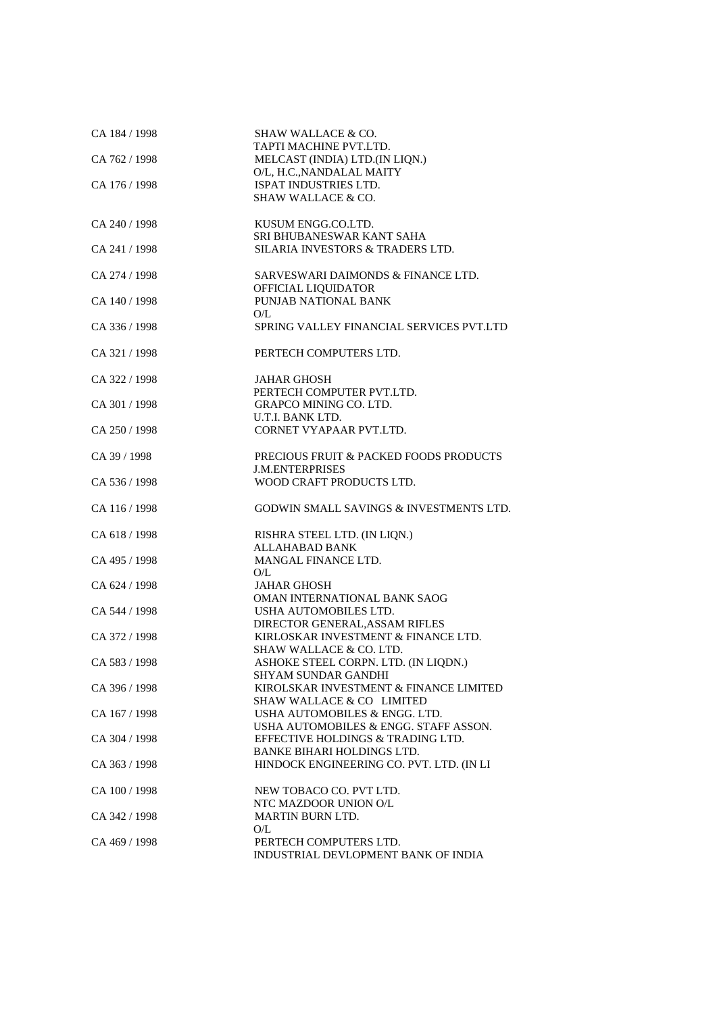| CA 184 / 1998 | SHAW WALLACE & CO.<br>TAPTI MACHINE PVT.LTD.                               |
|---------------|----------------------------------------------------------------------------|
| CA 762 / 1998 | MELCAST (INDIA) LTD.(IN LIQN.)                                             |
|               | O/L, H.C., NANDALAL MAITY                                                  |
| CA 176 / 1998 | ISPAT INDUSTRIES LTD.                                                      |
|               | <b>SHAW WALLACE &amp; CO.</b>                                              |
| CA 240 / 1998 | KUSUM ENGG.CO.LTD.                                                         |
|               | SRI BHUBANESWAR KANT SAHA                                                  |
| CA 241 / 1998 | SILARIA INVESTORS & TRADERS LTD.                                           |
|               |                                                                            |
| CA 274 / 1998 | SARVESWARI DAIMONDS & FINANCE LTD.<br>OFFICIAL LIQUIDATOR                  |
| CA 140/1998   | PUNJAB NATIONAL BANK                                                       |
|               | O/L                                                                        |
| CA 336 / 1998 | SPRING VALLEY FINANCIAL SERVICES PVT.LTD                                   |
| CA 321 / 1998 | PERTECH COMPUTERS LTD.                                                     |
| CA 322 / 1998 | JAHAR GHOSH                                                                |
|               | PERTECH COMPUTER PVT.LTD.                                                  |
| CA 301 / 1998 | <b>GRAPCO MINING CO. LTD.</b>                                              |
|               | U.T.I. BANK LTD.                                                           |
| CA 250 / 1998 | CORNET VYAPAAR PVT.LTD.                                                    |
| CA 39 / 1998  | PRECIOUS FRUIT & PACKED FOODS PRODUCTS                                     |
|               | <b>J.M.ENTERPRISES</b>                                                     |
| CA 536 / 1998 | WOOD CRAFT PRODUCTS LTD.                                                   |
| CA 116 / 1998 | GODWIN SMALL SAVINGS & INVESTMENTS LTD.                                    |
| CA 618 / 1998 | RISHRA STEEL LTD. (IN LIQN.)                                               |
|               | <b>ALLAHABAD BANK</b>                                                      |
| CA 495 / 1998 | MANGAL FINANCE LTD.                                                        |
|               | O/L                                                                        |
| CA 624 / 1998 | JAHAR GHOSH                                                                |
|               | OMAN INTERNATIONAL BANK SAOG                                               |
| CA 544 / 1998 | USHA AUTOMOBILES LTD.<br>DIRECTOR GENERAL, ASSAM RIFLES                    |
| CA 372 / 1998 | KIRLOSKAR INVESTMENT & FINANCE LTD.                                        |
|               | <b>SHAW WALLACE &amp; CO. LTD.</b>                                         |
| CA 583 / 1998 | ASHOKE STEEL CORPN. LTD. (IN LIODN.)                                       |
|               | <b>SHYAM SUNDAR GANDHI</b>                                                 |
| CA 396 / 1998 | KIROLSKAR INVESTMENT & FINANCE LIMITED                                     |
|               | SHAW WALLACE & CO LIMITED                                                  |
| CA 167 / 1998 | USHA AUTOMOBILES & ENGG. LTD.                                              |
| CA 304 / 1998 | USHA AUTOMOBILES & ENGG. STAFF ASSON.<br>EFFECTIVE HOLDINGS & TRADING LTD. |
|               | BANKE BIHARI HOLDINGS LTD.                                                 |
| CA 363 / 1998 | HINDOCK ENGINEERING CO. PVT. LTD. (IN LI                                   |
| CA 100 / 1998 | NEW TOBACO CO. PVT LTD.                                                    |
|               | NTC MAZDOOR UNION O/L                                                      |
| CA 342 / 1998 | <b>MARTIN BURN LTD.</b>                                                    |
|               | O/L                                                                        |
| CA 469 / 1998 | PERTECH COMPUTERS LTD.                                                     |
|               | INDUSTRIAL DEVLOPMENT BANK OF INDIA                                        |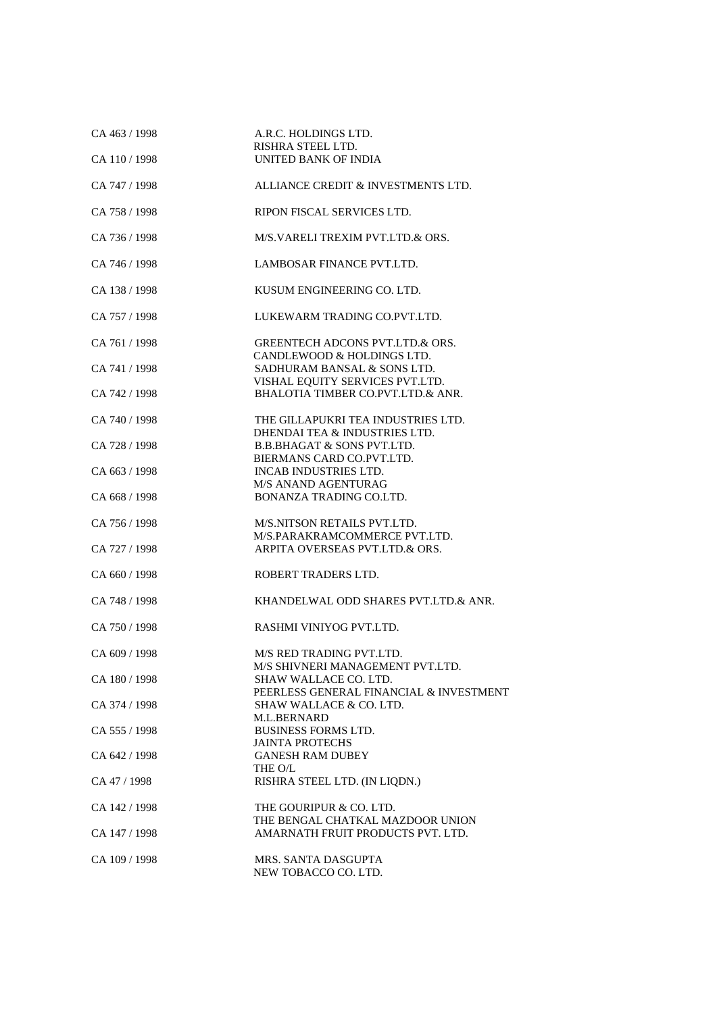| CA 463 / 1998<br>CA 110 / 1998 | A.R.C. HOLDINGS LTD.<br>RISHRA STEEL LTD.<br>UNITED BANK OF INDIA             |
|--------------------------------|-------------------------------------------------------------------------------|
|                                |                                                                               |
| CA 747 / 1998                  | ALLIANCE CREDIT & INVESTMENTS LTD.                                            |
| CA 758 / 1998                  | RIPON FISCAL SERVICES LTD.                                                    |
| CA 736 / 1998                  | M/S.VARELI TREXIM PVT.LTD.& ORS.                                              |
| CA 746 / 1998                  | LAMBOSAR FINANCE PVT.LTD.                                                     |
| CA 138 / 1998                  | KUSUM ENGINEERING CO. LTD.                                                    |
| CA 757 / 1998                  | LUKEWARM TRADING CO.PVT.LTD.                                                  |
| CA 761 / 1998                  | GREENTECH ADCONS PVT.LTD.& ORS.<br>CANDLEWOOD & HOLDINGS LTD.                 |
| CA 741 / 1998                  | SADHURAM BANSAL & SONS LTD.                                                   |
| CA 742 / 1998                  | VISHAL EQUITY SERVICES PVT.LTD.<br>BHALOTIA TIMBER CO.PVT.LTD.& ANR.          |
| CA 740 / 1998                  | THE GILLAPUKRI TEA INDUSTRIES LTD.                                            |
| CA 728 / 1998                  | DHENDAI TEA & INDUSTRIES LTD.<br><b>B.B.BHAGAT &amp; SONS PVT.LTD.</b>        |
|                                | BIERMANS CARD CO.PVT.LTD.                                                     |
| CA 663 / 1998                  | <b>INCAB INDUSTRIES LTD.</b>                                                  |
|                                | <b>M/S ANAND AGENTURAG</b>                                                    |
| CA 668 / 1998                  | BONANZA TRADING CO.LTD.                                                       |
| CA 756 / 1998                  | M/S.NITSON RETAILS PVT.LTD.                                                   |
| CA 727 / 1998                  | M/S.PARAKRAMCOMMERCE PVT.LTD.<br>ARPITA OVERSEAS PVT.LTD.& ORS.               |
| CA 660 / 1998                  | ROBERT TRADERS LTD.                                                           |
|                                |                                                                               |
| CA 748 / 1998                  | KHANDELWAL ODD SHARES PVT.LTD.& ANR.                                          |
| CA 750 / 1998                  | RASHMI VINIYOG PVT.LTD.                                                       |
| CA 609 / 1998                  | M/S RED TRADING PVT.LTD.<br>M/S SHIVNERI MANAGEMENT PVT.LTD.                  |
| CA 180 / 1998                  | <b>SHAW WALLACE CO. LTD.</b>                                                  |
| CA 374 / 1998                  | PEERLESS GENERAL FINANCIAL & INVESTMENT<br><b>SHAW WALLACE &amp; CO. LTD.</b> |
|                                | M.L.BERNARD                                                                   |
| CA 555 / 1998                  | <b>BUSINESS FORMS LTD.</b><br><b>JAINTA PROTECHS</b>                          |
| CA 642 / 1998                  | <b>GANESH RAM DUBEY</b>                                                       |
| CA 47 / 1998                   | THE O/L<br>RISHRA STEEL LTD. (IN LIQDN.)                                      |
| CA 142 / 1998                  | THE GOURIPUR & CO. LTD.                                                       |
| CA 147 / 1998                  | THE BENGAL CHATKAL MAZDOOR UNION<br>AMARNATH FRUIT PRODUCTS PVT. LTD.         |
|                                |                                                                               |
| CA 109 / 1998                  | MRS. SANTA DASGUPTA<br>NEW TOBACCO CO. LTD.                                   |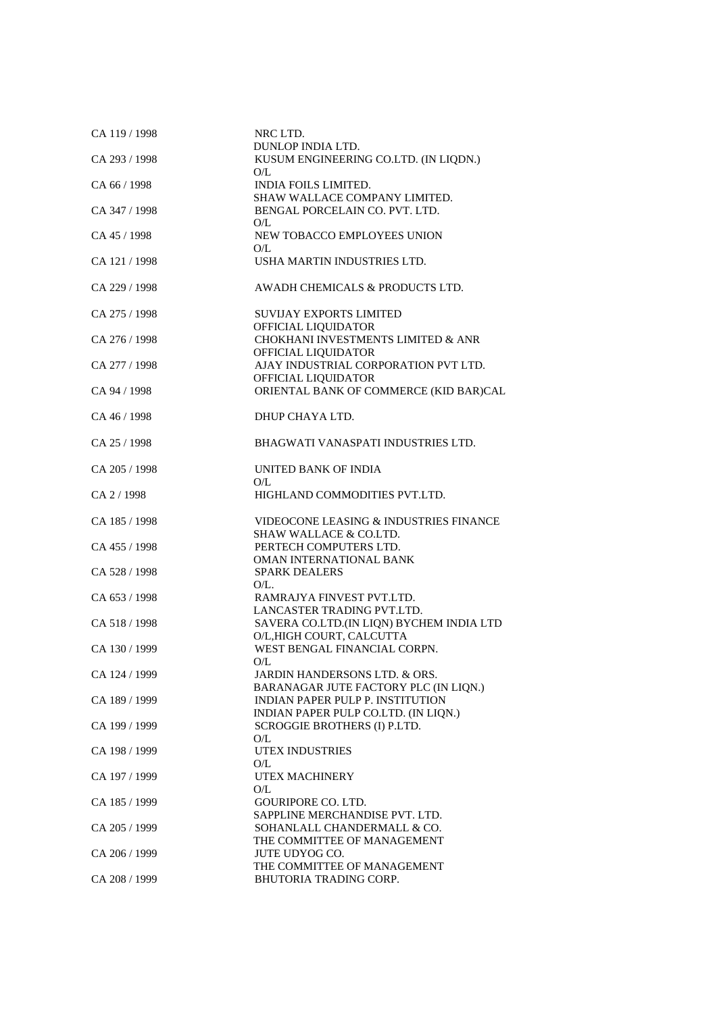| CA 119 / 1998 | NRC LTD.                                                                         |
|---------------|----------------------------------------------------------------------------------|
| CA 293 / 1998 | <b>DUNLOP INDIA LTD.</b><br>KUSUM ENGINEERING CO.LTD. (IN LIQDN.)<br>O/L         |
| CA 66 / 1998  | INDIA FOILS LIMITED.<br>SHAW WALLACE COMPANY LIMITED.                            |
| CA 347 / 1998 | BENGAL PORCELAIN CO. PVT. LTD.<br>O/L                                            |
| CA 45 / 1998  | NEW TOBACCO EMPLOYEES UNION<br>O/L                                               |
| CA 121 / 1998 | USHA MARTIN INDUSTRIES LTD.                                                      |
| CA 229 / 1998 | AWADH CHEMICALS & PRODUCTS LTD.                                                  |
| CA 275 / 1998 | <b>SUVIJAY EXPORTS LIMITED</b><br>OFFICIAL LIQUIDATOR                            |
| CA 276 / 1998 | CHOKHANI INVESTMENTS LIMITED & ANR<br>OFFICIAL LIQUIDATOR                        |
| CA 277 / 1998 | AJAY INDUSTRIAL CORPORATION PVT LTD.<br>OFFICIAL LIQUIDATOR                      |
| CA 94 / 1998  | ORIENTAL BANK OF COMMERCE (KID BAR)CAL                                           |
| CA 46 / 1998  | DHUP CHAYA LTD.                                                                  |
| CA 25 / 1998  | BHAGWATI VANASPATI INDUSTRIES LTD.                                               |
| CA 205 / 1998 | UNITED BANK OF INDIA<br>O/L                                                      |
| CA 2 / 1998   | HIGHLAND COMMODITIES PVT.LTD.                                                    |
| CA 185 / 1998 | VIDEOCONE LEASING & INDUSTRIES FINANCE<br><b>SHAW WALLACE &amp; CO.LTD.</b>      |
| CA 455 / 1998 | PERTECH COMPUTERS LTD.<br>OMAN INTERNATIONAL BANK                                |
| CA 528 / 1998 | <b>SPARK DEALERS</b><br>O/L.                                                     |
| CA 653 / 1998 | RAMRAJYA FINVEST PVT.LTD.                                                        |
| CA 518 / 1998 | LANCASTER TRADING PVT.LTD.<br>SAVERA CO.LTD.(IN LIQN) BYCHEM INDIA LTD           |
| CA 130 / 1999 | O/L, HIGH COURT, CALCUTTA<br>WEST BENGAL FINANCIAL CORPN.                        |
| CA 124 / 1999 | O/L<br>JARDIN HANDERSONS LTD. & ORS.                                             |
| CA 189 / 1999 | BARANAGAR JUTE FACTORY PLC (IN LIQN.)<br><b>INDIAN PAPER PULP P. INSTITUTION</b> |
| CA 199 / 1999 | INDIAN PAPER PULP CO.LTD. (IN LIQN.)<br>SCROGGIE BROTHERS (I) P.LTD.             |
| CA 198 / 1999 | O/L<br><b>UTEX INDUSTRIES</b>                                                    |
| CA 197 / 1999 | O/L<br>UTEX MACHINERY                                                            |
| CA 185 / 1999 | O/L<br><b>GOURIPORE CO. LTD.</b>                                                 |
| CA 205 / 1999 | SAPPLINE MERCHANDISE PVT. LTD.<br>SOHANLALL CHANDERMALL & CO.                    |
| CA 206 / 1999 | THE COMMITTEE OF MANAGEMENT<br><b>JUTE UDYOG CO.</b>                             |
|               | THE COMMITTEE OF MANAGEMENT                                                      |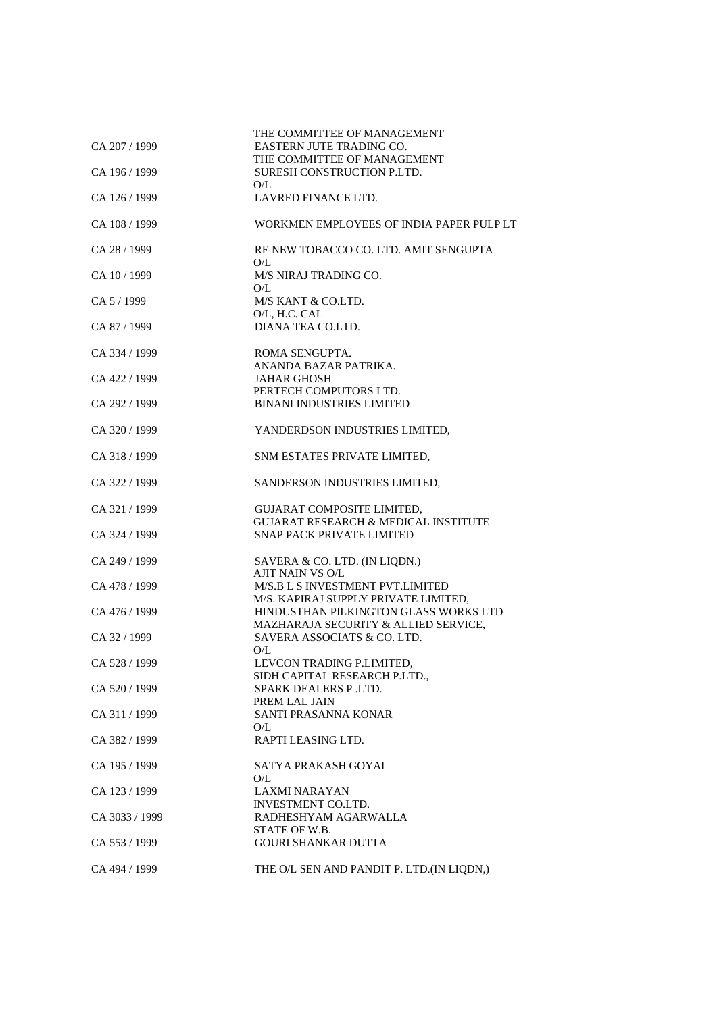| CA 207 / 1999  | THE COMMITTEE OF MANAGEMENT<br>EASTERN JUTE TRADING CO.                       |
|----------------|-------------------------------------------------------------------------------|
|                | THE COMMITTEE OF MANAGEMENT                                                   |
| CA 196 / 1999  | SURESH CONSTRUCTION P.LTD.<br>O/L                                             |
| CA 126 / 1999  | LAVRED FINANCE LTD.                                                           |
| CA 108 / 1999  | WORKMEN EMPLOYEES OF INDIA PAPER PULP LT                                      |
| CA 28 / 1999   | RE NEW TOBACCO CO. LTD. AMIT SENGUPTA<br>O/L                                  |
| CA 10/1999     | M/S NIRAJ TRADING CO.<br>O/L                                                  |
| CA 5/1999      | M/S KANT & CO.LTD.<br>O/L, H.C. CAL                                           |
| CA 87 / 1999   | DIANA TEA CO.LTD.                                                             |
| CA 334 / 1999  | ROMA SENGUPTA.<br>ANANDA BAZAR PATRIKA.                                       |
| CA 422 / 1999  | <b>JAHAR GHOSH</b>                                                            |
|                | PERTECH COMPUTORS LTD.                                                        |
| CA 292 / 1999  | <b>BINANI INDUSTRIES LIMITED</b>                                              |
| CA 320 / 1999  | YANDERDSON INDUSTRIES LIMITED,                                                |
| CA 318 / 1999  | SNM ESTATES PRIVATE LIMITED,                                                  |
| CA 322 / 1999  | SANDERSON INDUSTRIES LIMITED,                                                 |
| CA 321 / 1999  | <b>GUJARAT COMPOSITE LIMITED,</b><br>GUJARAT RESEARCH & MEDICAL INSTITUTE     |
| CA 324 / 1999  | <b>SNAP PACK PRIVATE LIMITED</b>                                              |
| CA 249 / 1999  | SAVERA & CO. LTD. (IN LIQDN.)<br>AJIT NAIN VS O/L                             |
| CA 478 / 1999  | M/S.B L S INVESTMENT PVT.LIMITED<br>M/S. KAPIRAJ SUPPLY PRIVATE LIMITED,      |
| CA 476 / 1999  | HINDUSTHAN PILKINGTON GLASS WORKS LTD<br>MAZHARAJA SECURITY & ALLIED SERVICE, |
| CA 32 / 1999   | SAVERA ASSOCIATS & CO. LTD.<br>O/L                                            |
| CA 528 / 1999  | LEVCON TRADING P.LIMITED,<br>SIDH CAPITAL RESEARCH P.LTD.,                    |
| CA 520 / 1999  | SPARK DEALERS P.LTD.<br>PREM LAL JAIN                                         |
| CA 311 / 1999  | SANTI PRASANNA KONAR<br>O/L                                                   |
| CA 382 / 1999  | RAPTI LEASING LTD.                                                            |
| CA 195 / 1999  | SATYA PRAKASH GOYAL<br>O/L                                                    |
| CA 123 / 1999  | <b>LAXMI NARAYAN</b><br>INVESTMENT CO.LTD.                                    |
| CA 3033 / 1999 | RADHESHYAM AGARWALLA<br>STATE OF W.B.                                         |
| CA 553 / 1999  | <b>GOURI SHANKAR DUTTA</b>                                                    |
| CA 494 / 1999  | THE O/L SEN AND PANDIT P. LTD.(IN LIQDN,)                                     |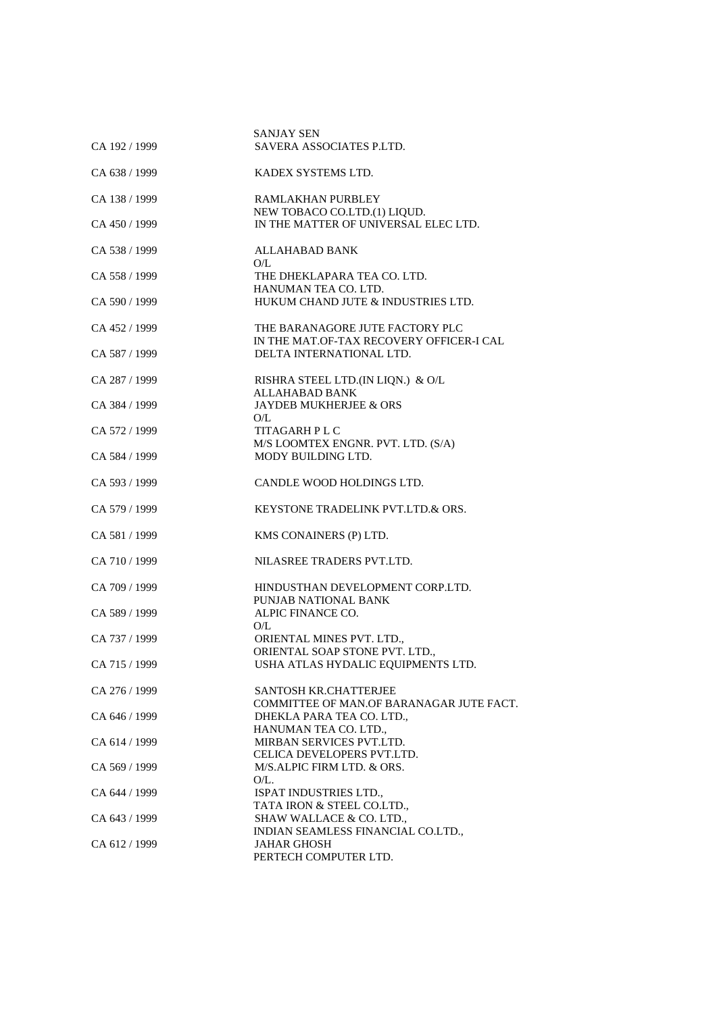| CA 192 / 1999 | <b>SANJAY SEN</b><br>SAVERA ASSOCIATES P.LTD.                         |
|---------------|-----------------------------------------------------------------------|
|               |                                                                       |
| CA 638 / 1999 | KADEX SYSTEMS LTD.                                                    |
| CA 138 / 1999 | RAMLAKHAN PURBLEY                                                     |
| CA 450 / 1999 | NEW TOBACO CO.LTD.(1) LIQUD.<br>IN THE MATTER OF UNIVERSAL ELEC LTD.  |
| CA 538 / 1999 | <b>ALLAHABAD BANK</b>                                                 |
|               | O/L                                                                   |
| CA 558 / 1999 | THE DHEKLAPARA TEA CO. LTD.<br>HANUMAN TEA CO. LTD.                   |
| CA 590 / 1999 | HUKUM CHAND JUTE & INDUSTRIES LTD.                                    |
| CA 452 / 1999 | THE BARANAGORE JUTE FACTORY PLC                                       |
| CA 587 / 1999 | IN THE MAT.OF-TAX RECOVERY OFFICER-I CAL<br>DELTA INTERNATIONAL LTD.  |
|               |                                                                       |
| CA 287 / 1999 | RISHRA STEEL LTD.(IN LIQN.) & O/L<br>ALLAHABAD BANK                   |
| CA 384 / 1999 | <b>JAYDEB MUKHERJEE &amp; ORS</b>                                     |
| CA 572 / 1999 | O/L<br>TITAGARH P L C                                                 |
| CA 584 / 1999 | M/S LOOMTEX ENGNR. PVT. LTD. (S/A)<br>MODY BUILDING LTD.              |
|               |                                                                       |
| CA 593 / 1999 | CANDLE WOOD HOLDINGS LTD.                                             |
| CA 579 / 1999 | KEYSTONE TRADELINK PVT.LTD.& ORS.                                     |
| CA 581 / 1999 | KMS CONAINERS (P) LTD.                                                |
| CA 710 / 1999 | NILASREE TRADERS PVT.LTD.                                             |
| CA 709 / 1999 | HINDUSTHAN DEVELOPMENT CORP.LTD.                                      |
| CA 589 / 1999 | PUNJAB NATIONAL BANK<br>ALPIC FINANCE CO.                             |
|               | O/L                                                                   |
| CA 737 / 1999 | ORIENTAL MINES PVT. LTD.,<br>ORIENTAL SOAP STONE PVT. LTD.,           |
| CA 715 / 1999 | USHA ATLAS HYDALIC EQUIPMENTS LTD.                                    |
| CA 276 / 1999 | <b>SANTOSH KR.CHATTERJEE</b>                                          |
| CA 646 / 1999 | COMMITTEE OF MAN.OF BARANAGAR JUTE FACT.<br>DHEKLA PARA TEA CO. LTD., |
|               | HANUMAN TEA CO. LTD.,                                                 |
| CA 614 / 1999 | MIRBAN SERVICES PVT.LTD.<br>CELICA DEVELOPERS PVT.LTD.                |
| CA 569 / 1999 | M/S.ALPIC FIRM LTD. & ORS.                                            |
| CA 644 / 1999 | O/L.<br>ISPAT INDUSTRIES LTD.,                                        |
|               | TATA IRON & STEEL CO.LTD.,                                            |
| CA 643 / 1999 | SHAW WALLACE & CO. LTD.,<br>INDIAN SEAMLESS FINANCIAL CO.LTD.,        |
| CA 612 / 1999 | <b>JAHAR GHOSH</b><br>PERTECH COMPUTER LTD.                           |
|               |                                                                       |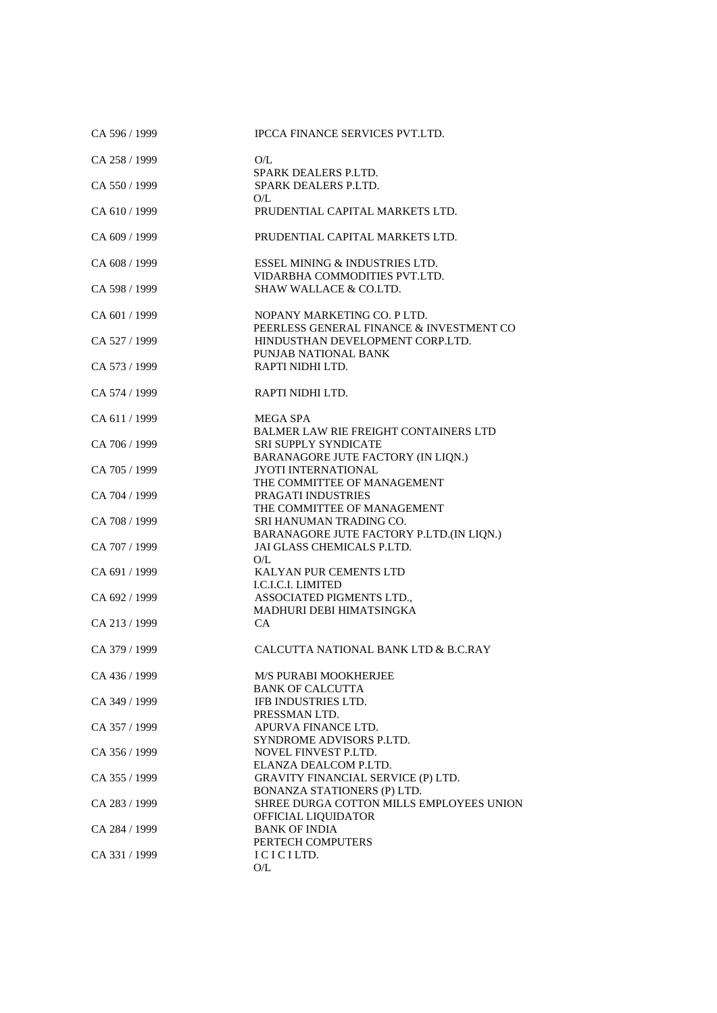| CA 596 / 1999 | IPCCA FINANCE SERVICES PVT.LTD.                                              |
|---------------|------------------------------------------------------------------------------|
| CA 258 / 1999 | O/L                                                                          |
| CA 550 / 1999 | SPARK DEALERS P.LTD.<br>SPARK DEALERS P.LTD.                                 |
| CA 610 / 1999 | O/L<br>PRUDENTIAL CAPITAL MARKETS LTD.                                       |
|               |                                                                              |
| CA 609 / 1999 | PRUDENTIAL CAPITAL MARKETS LTD.                                              |
| CA 608 / 1999 | ESSEL MINING & INDUSTRIES LTD.<br>VIDARBHA COMMODITIES PVT.LTD.              |
| CA 598 / 1999 | <b>SHAW WALLACE &amp; CO.LTD.</b>                                            |
| CA 601 / 1999 | NOPANY MARKETING CO. P LTD.                                                  |
| CA 527 / 1999 | PEERLESS GENERAL FINANCE & INVESTMENT CO<br>HINDUSTHAN DEVELOPMENT CORP.LTD. |
| CA 573 / 1999 | PUNJAB NATIONAL BANK<br>RAPTI NIDHI LTD.                                     |
| CA 574 / 1999 | RAPTI NIDHI LTD.                                                             |
| CA 611/1999   | <b>MEGA SPA</b>                                                              |
| CA 706 / 1999 | <b>BALMER LAW RIE FREIGHT CONTAINERS LTD</b><br><b>SRI SUPPLY SYNDICATE</b>  |
|               | BARANAGORE JUTE FACTORY (IN LIQN.)                                           |
| CA 705 / 1999 | <b>JYOTI INTERNATIONAL</b><br>THE COMMITTEE OF MANAGEMENT                    |
| CA 704 / 1999 | PRAGATI INDUSTRIES<br>THE COMMITTEE OF MANAGEMENT                            |
| CA 708 / 1999 | SRI HANUMAN TRADING CO.                                                      |
| CA 707 / 1999 | BARANAGORE JUTE FACTORY P.LTD. (IN LIQN.)<br>JAI GLASS CHEMICALS P.LTD.      |
| CA 691 / 1999 | O/L<br>KALYAN PUR CEMENTS LTD                                                |
| CA 692 / 1999 | I.C.I.C.I. LIMITED<br>ASSOCIATED PIGMENTS LTD.,                              |
|               | MADHURI DEBI HIMATSINGKA                                                     |
| CA 213 / 1999 | CA.                                                                          |
| CA 379 / 1999 | CALCUTTA NATIONAL BANK LTD & B.C.RAY                                         |
| CA 436 / 1999 | M/S PURABI MOOKHERJEE                                                        |
| CA 349 / 1999 | <b>BANK OF CALCUTTA</b><br>IFB INDUSTRIES LTD.                               |
|               | PRESSMAN LTD.                                                                |
| CA 357 / 1999 | APURVA FINANCE LTD.<br>SYNDROME ADVISORS P.LTD.                              |
| CA 356 / 1999 | NOVEL FINVEST P.LTD.                                                         |
| CA 355 / 1999 | ELANZA DEALCOM P.LTD.<br><b>GRAVITY FINANCIAL SERVICE (P) LTD.</b>           |
| CA 283 / 1999 | BONANZA STATIONERS (P) LTD.<br>SHREE DURGA COTTON MILLS EMPLOYEES UNION      |
| CA 284 / 1999 | OFFICIAL LIQUIDATOR                                                          |
|               | <b>BANK OF INDIA</b><br>PERTECH COMPUTERS                                    |
| CA 331 / 1999 | ICICILTD.<br>O/L                                                             |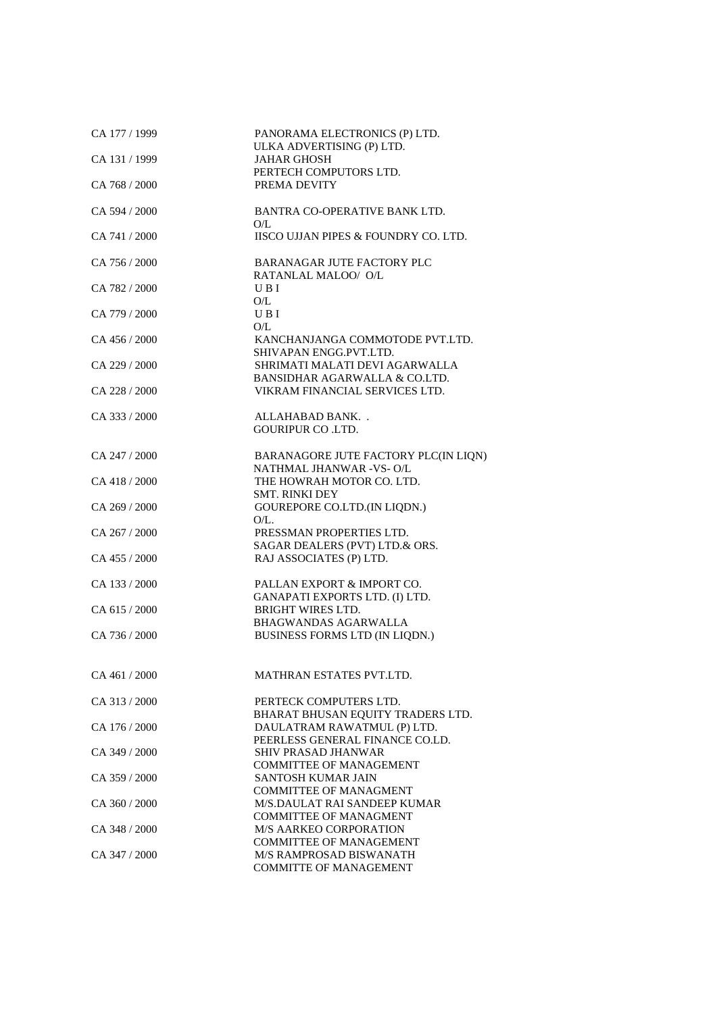| CA 177 / 1999 | PANORAMA ELECTRONICS (P) LTD.                              |
|---------------|------------------------------------------------------------|
|               | ULKA ADVERTISING (P) LTD.                                  |
| CA 131 / 1999 | JAHAR GHOSH<br>PERTECH COMPUTORS LTD.                      |
| CA 768 / 2000 | PREMA DEVITY                                               |
|               |                                                            |
| CA 594 / 2000 | BANTRA CO-OPERATIVE BANK LTD.                              |
|               | O/L                                                        |
| CA 741 / 2000 | IISCO UJJAN PIPES & FOUNDRY CO. LTD.                       |
|               |                                                            |
| CA 756 / 2000 | BARANAGAR JUTE FACTORY PLC                                 |
|               | RATANLAL MALOO/ O/L                                        |
| CA 782 / 2000 | U B I                                                      |
|               | O/L                                                        |
| CA 779 / 2000 | UBI                                                        |
|               | O/L                                                        |
| CA 456 / 2000 | KANCHANJANGA COMMOTODE PVT.LTD.                            |
|               | SHIVAPAN ENGG.PVT.LTD.                                     |
| CA 229 / 2000 | SHRIMATI MALATI DEVI AGARWALLA                             |
|               | BANSIDHAR AGARWALLA & CO.LTD.                              |
| CA 228 / 2000 | VIKRAM FINANCIAL SERVICES LTD.                             |
| CA 333 / 2000 | ALLAHABAD BANK                                             |
|               | <b>GOURIPUR CO.LTD.</b>                                    |
|               |                                                            |
| CA $247/2000$ | BARANAGORE JUTE FACTORY PLC(IN LIQN)                       |
|               | NATHMAL JHANWAR -VS-O/L                                    |
| CA 418 / 2000 | THE HOWRAH MOTOR CO. LTD.                                  |
|               | <b>SMT. RINKI DEY</b>                                      |
| CA 269 / 2000 | GOUREPORE CO.LTD.(IN LIQDN.)                               |
|               | $O/L$ .                                                    |
| CA 267 / 2000 | PRESSMAN PROPERTIES LTD.                                   |
|               | SAGAR DEALERS (PVT) LTD.& ORS.                             |
| CA 455 / 2000 | RAJ ASSOCIATES (P) LTD.                                    |
|               |                                                            |
| CA 133 / 2000 | PALLAN EXPORT & IMPORT CO.                                 |
|               | GANAPATI EXPORTS LTD. (I) LTD.<br><b>BRIGHT WIRES LTD.</b> |
| CA 615 / 2000 | <b>BHAGWANDAS AGARWALLA</b>                                |
| CA 736 / 2000 | BUSINESS FORMS LTD (IN LIQDN.)                             |
|               |                                                            |
|               |                                                            |
| CA 461 / 2000 | MATHRAN ESTATES PVT.LTD.                                   |
|               |                                                            |
| CA 313 / 2000 | PERTECK COMPUTERS LTD.                                     |
|               | BHARAT BHUSAN EQUITY TRADERS LTD.                          |
| CA 176 / 2000 | DAULATRAM RAWATMUL (P) LTD.                                |
|               | PEERLESS GENERAL FINANCE CO.LD.                            |
| CA 349 / 2000 | <b>SHIV PRASAD JHANWAR</b>                                 |
|               | <b>COMMITTEE OF MANAGEMENT</b>                             |
| CA 359 / 2000 | <b>SANTOSH KUMAR JAIN</b>                                  |
|               | <b>COMMITTEE OF MANAGMENT</b>                              |
| CA 360 / 2000 | M/S.DAULAT RAI SANDEEP KUMAR                               |
|               | <b>COMMITTEE OF MANAGMENT</b>                              |
| CA 348 / 2000 | <b>M/S AARKEO CORPORATION</b>                              |
| CA 347 / 2000 | <b>COMMITTEE OF MANAGEMENT</b><br>M/S RAMPROSAD BISWANATH  |
|               | <b>COMMITTE OF MANAGEMENT</b>                              |
|               |                                                            |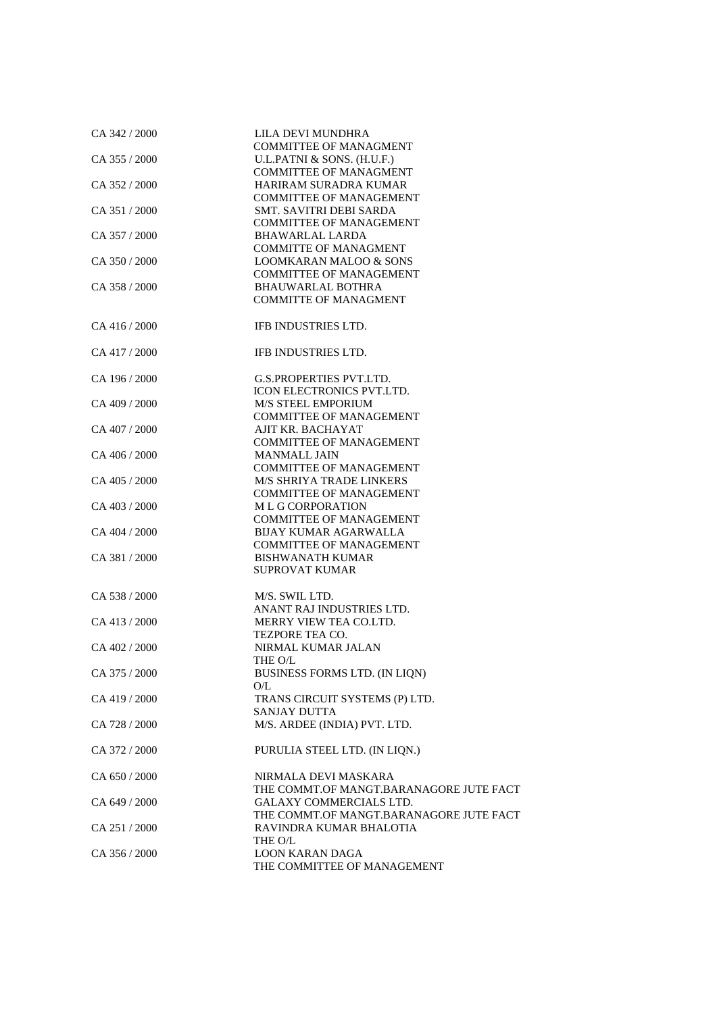| CA 342 / 2000 | LILA DEVI MUNDHRA                                                         |
|---------------|---------------------------------------------------------------------------|
| CA 355 / 2000 | <b>COMMITTEE OF MANAGMENT</b><br>U.L.PATNI & SONS. (H.U.F.)               |
|               | <b>COMMITTEE OF MANAGMENT</b>                                             |
| CA 352 / 2000 | HARIRAM SURADRA KUMAR<br>COMMITTEE OF MANAGEMENT                          |
| CA 351 / 2000 | SMT. SAVITRI DEBI SARDA                                                   |
| CA 357 / 2000 | <b>COMMITTEE OF MANAGEMENT</b><br><b>BHAWARLAL LARDA</b>                  |
|               | <b>COMMITTE OF MANAGMENT</b>                                              |
| CA 350 / 2000 | <b>LOOMKARAN MALOO &amp; SONS</b>                                         |
| CA 358 / 2000 | <b>COMMITTEE OF MANAGEMENT</b><br><b>BHAUWARLAL BOTHRA</b>                |
|               | <b>COMMITTE OF MANAGMENT</b>                                              |
| CA 416 / 2000 | IFB INDUSTRIES LTD.                                                       |
| CA 417 / 2000 | IFB INDUSTRIES LTD.                                                       |
| CA 196 / 2000 | <b>G.S.PROPERTIES PVT.LTD.</b>                                            |
|               | <b>ICON ELECTRONICS PVT.LTD.</b>                                          |
| CA 409 / 2000 | <b>M/S STEEL EMPORIUM</b><br><b>COMMITTEE OF MANAGEMENT</b>               |
| CA 407 / 2000 | AJIT KR. BACHAYAT                                                         |
|               | <b>COMMITTEE OF MANAGEMENT</b>                                            |
| CA 406 / 2000 | <b>MANMALL JAIN</b>                                                       |
| CA 405 / 2000 | <b>COMMITTEE OF MANAGEMENT</b><br><b>M/S SHRIYA TRADE LINKERS</b>         |
|               | <b>COMMITTEE OF MANAGEMENT</b>                                            |
| CA 403 / 2000 | <b>MLGCORPORATION</b>                                                     |
|               | <b>COMMITTEE OF MANAGEMENT</b>                                            |
| CA 404 / 2000 | <b>BIJAY KUMAR AGARWALLA</b><br><b>COMMITTEE OF MANAGEMENT</b>            |
| CA 381 / 2000 | <b>BISHWANATH KUMAR</b>                                                   |
|               | <b>SUPROVAT KUMAR</b>                                                     |
| CA 538 / 2000 | M/S. SWIL LTD.                                                            |
|               | ANANT RAJ INDUSTRIES LTD.                                                 |
| CA 413 / 2000 | MERRY VIEW TEA CO.LTD.                                                    |
| CA 402 / 2000 | <b>TEZPORE TEA CO.</b><br>NIRMAL KUMAR JALAN                              |
|               | THE O/L                                                                   |
| CA 375 / 2000 | BUSINESS FORMS LTD. (IN LIQN)                                             |
|               | O/L                                                                       |
| CA 419 / 2000 | TRANS CIRCUIT SYSTEMS (P) LTD.<br><b>SANJAY DUTTA</b>                     |
| CA 728 / 2000 | M/S. ARDEE (INDIA) PVT. LTD.                                              |
| CA 372 / 2000 | PURULIA STEEL LTD. (IN LIQN.)                                             |
| CA 650 / 2000 | NIRMALA DEVI MASKARA                                                      |
|               | THE COMMT.OF MANGT.BARANAGORE JUTE FACT                                   |
| CA 649 / 2000 | <b>GALAXY COMMERCIALS LTD.</b><br>THE COMMT.OF MANGT.BARANAGORE JUTE FACT |
| CA 251 / 2000 | RAVINDRA KUMAR BHALOTIA                                                   |
|               | THE O/L                                                                   |
| CA 356 / 2000 | <b>LOON KARAN DAGA</b><br>THE COMMITTEE OF MANAGEMENT                     |
|               |                                                                           |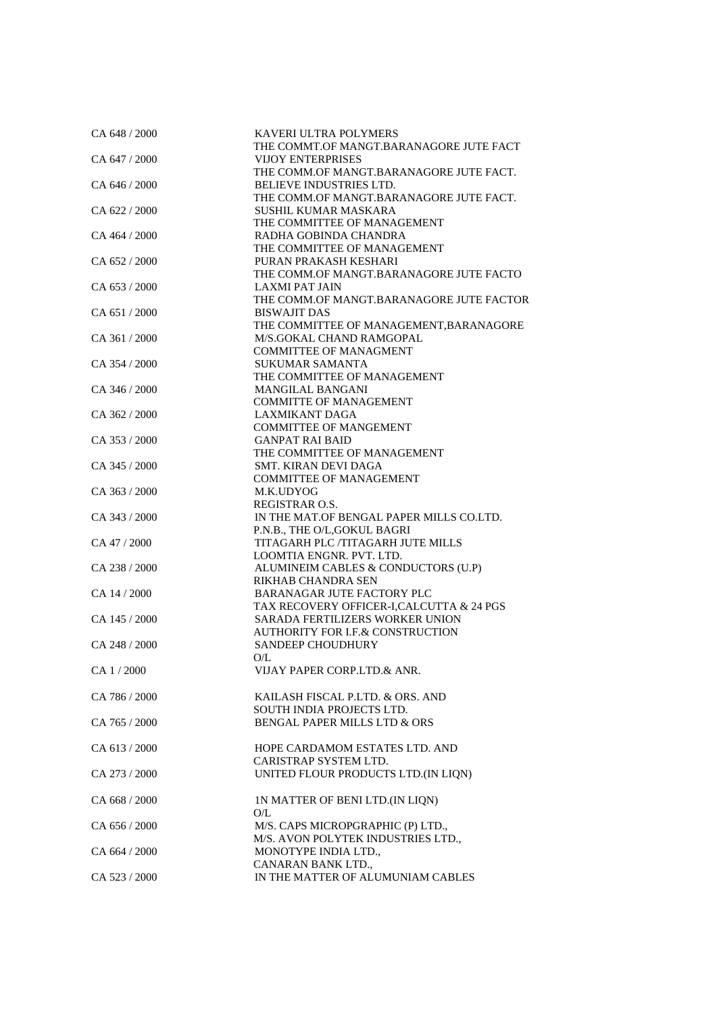| CA 648 / 2000 | KAVERI ULTRA POLYMERS                                              |
|---------------|--------------------------------------------------------------------|
|               | THE COMMT.OF MANGT.BARANAGORE JUTE FACT                            |
| CA 647 / 2000 | <b>VIJOY ENTERPRISES</b>                                           |
|               | THE COMM.OF MANGT.BARANAGORE JUTE FACT.                            |
| CA 646 / 2000 | BELIEVE INDUSTRIES LTD.<br>THE COMM.OF MANGT.BARANAGORE JUTE FACT. |
| CA 622 / 2000 | SUSHIL KUMAR MASKARA                                               |
|               | THE COMMITTEE OF MANAGEMENT                                        |
| CA 464 / 2000 | RADHA GOBINDA CHANDRA                                              |
|               | THE COMMITTEE OF MANAGEMENT                                        |
| CA 652/2000   | PURAN PRAKASH KESHARI                                              |
|               | THE COMM.OF MANGT.BARANAGORE JUTE FACTO                            |
| CA 653 / 2000 | <b>LAXMI PAT JAIN</b>                                              |
|               | THE COMM.OF MANGT.BARANAGORE JUTE FACTOR                           |
| CA 651/2000   | <b>BISWAJIT DAS</b>                                                |
|               | THE COMMITTEE OF MANAGEMENT, BARANAGORE                            |
| CA 361 / 2000 | M/S.GOKAL CHAND RAMGOPAL                                           |
|               | <b>COMMITTEE OF MANAGMENT</b>                                      |
| CA 354 / 2000 | <b>SUKUMAR SAMANTA</b>                                             |
| CA 346 / 2000 | THE COMMITTEE OF MANAGEMENT<br><b>MANGILAL BANGANI</b>             |
|               | <b>COMMITTE OF MANAGEMENT</b>                                      |
| CA 362 / 2000 | <b>LAXMIKANT DAGA</b>                                              |
|               | <b>COMMITTEE OF MANGEMENT</b>                                      |
| CA 353 / 2000 | <b>GANPAT RAI BAID</b>                                             |
|               | THE COMMITTEE OF MANAGEMENT                                        |
| CA 345 / 2000 | SMT. KIRAN DEVI DAGA                                               |
|               | <b>COMMITTEE OF MANAGEMENT</b>                                     |
| CA 363 / 2000 | M.K.UDYOG                                                          |
|               | <b>REGISTRAR O.S.</b>                                              |
| CA 343 / 2000 | IN THE MAT.OF BENGAL PAPER MILLS CO.LTD.                           |
|               | P.N.B., THE O/L, GOKUL BAGRI                                       |
| CA 47 / 2000  | TITAGARH PLC /TITAGARH JUTE MILLS                                  |
|               | LOOMTIA ENGNR. PVT. LTD.                                           |
| CA 238 / 2000 | ALUMINEIM CABLES & CONDUCTORS (U.P)                                |
| CA 14 / 2000  | RIKHAB CHANDRA SEN<br><b>BARANAGAR JUTE FACTORY PLC</b>            |
|               | TAX RECOVERY OFFICER-I, CALCUTTA & 24 PGS                          |
| CA 145 / 2000 | <b>SARADA FERTILIZERS WORKER UNION</b>                             |
|               | AUTHORITY FOR I.F.& CONSTRUCTION                                   |
| CA 248 / 2000 | <b>SANDEEP CHOUDHURY</b>                                           |
|               | O/L                                                                |
| CA 1/2000     | VIJAY PAPER CORP.LTD.& ANR.                                        |
|               |                                                                    |
| CA 786 / 2000 | KAILASH FISCAL P.LTD. & ORS. AND                                   |
|               | <b>SOUTH INDIA PROJECTS LTD.</b>                                   |
| CA 765 / 2000 | <b>BENGAL PAPER MILLS LTD &amp; ORS</b>                            |
|               |                                                                    |
| CA 613 / 2000 | HOPE CARDAMOM ESTATES LTD. AND                                     |
|               | CARISTRAP SYSTEM LTD.                                              |
| CA 273 / 2000 | UNITED FLOUR PRODUCTS LTD. (IN LIQN)                               |
|               |                                                                    |
| CA 668 / 2000 | IN MATTER OF BENI LTD.(IN LIQN)<br>O/L                             |
| CA 656 / 2000 | M/S. CAPS MICROPGRAPHIC (P) LTD.,                                  |
|               | M/S. AVON POLYTEK INDUSTRIES LTD.,                                 |
| CA 664 / 2000 | MONOTYPE INDIA LTD.,                                               |
|               | CANARAN BANK LTD.,                                                 |
| CA 523 / 2000 | IN THE MATTER OF ALUMUNIAM CABLES                                  |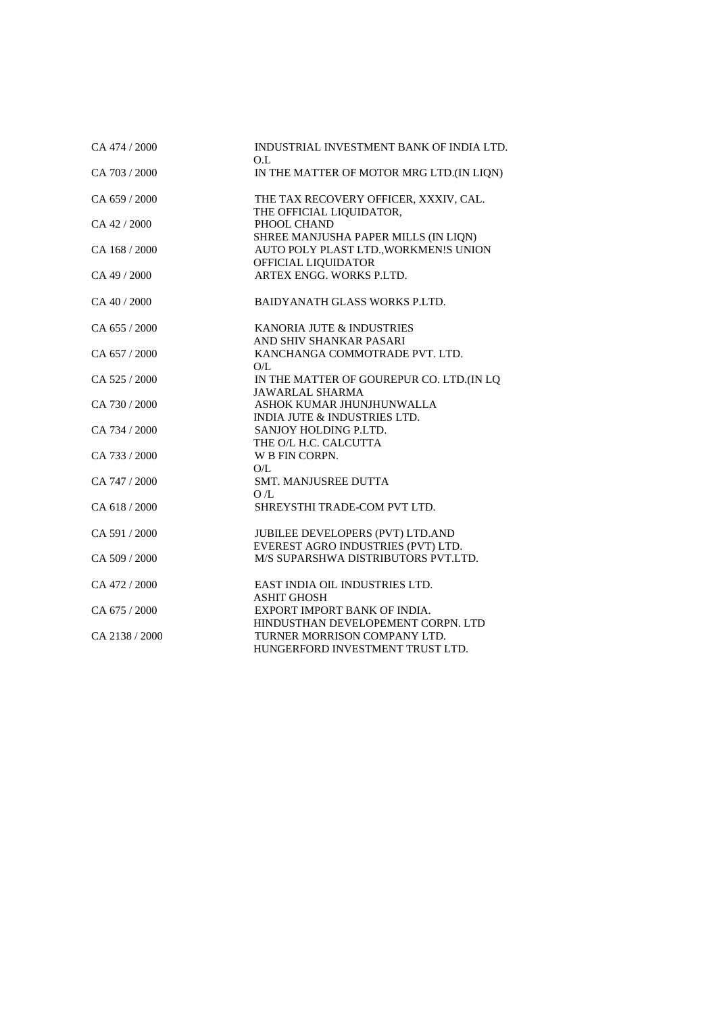| CA 474 / 2000     | INDUSTRIAL INVESTMENT BANK OF INDIA LTD.<br>O.L                               |
|-------------------|-------------------------------------------------------------------------------|
| CA 703 / 2000     | IN THE MATTER OF MOTOR MRG LTD. (IN LIQN)                                     |
| CA $659/2000$     | THE TAX RECOVERY OFFICER, XXXIV, CAL.<br>THE OFFICIAL LIQUIDATOR,             |
| $CA$ 42 / 2000    | PHOOL CHAND<br>SHREE MANJUSHA PAPER MILLS (IN LIQN)                           |
| $CA$ 168 $/$ 2000 | AUTO POLY PLAST LTD., WORKMEN!S UNION<br>OFFICIAL LIQUIDATOR                  |
| CA 49 / 2000      | ARTEX ENGG. WORKS P.LTD.                                                      |
| CA 40 / 2000      | <b>BAIDYANATH GLASS WORKS P.LTD.</b>                                          |
| CA 655 / 2000     | KANORIA JUTE & INDUSTRIES<br>AND SHIV SHANKAR PASARI                          |
| CA 657 / 2000     | KANCHANGA COMMOTRADE PVT. LTD.<br>O/L                                         |
| CA 525 / 2000     | IN THE MATTER OF GOUREPUR CO. LTD.(IN LQ<br><b>JAWARLAL SHARMA</b>            |
| CA 730 / 2000     | ASHOK KUMAR JHUNJHUNWALLA<br><b>INDIA JUTE &amp; INDUSTRIES LTD.</b>          |
| CA 734 / 2000     | SANJOY HOLDING P.LTD.<br>THE O/L H.C. CALCUTTA                                |
| CA 733 / 2000     | W B FIN CORPN.<br>O/L                                                         |
| CA 747 / 2000     | <b>SMT. MANJUSREE DUTTA</b><br>OÆ.                                            |
| CA 618 / 2000     | SHREYSTHI TRADE-COM PVT LTD.                                                  |
| CA 591 / 2000     | <b>JUBILEE DEVELOPERS (PVT) LTD.AND</b><br>EVEREST AGRO INDUSTRIES (PVT) LTD. |
| CA 509 / 2000     | M/S SUPARSHWA DISTRIBUTORS PVT.LTD.                                           |
| CA 472 / 2000     | EAST INDIA OIL INDUSTRIES LTD.<br><b>ASHIT GHOSH</b>                          |
| CA 675 / 2000     | EXPORT IMPORT BANK OF INDIA.<br>HINDUSTHAN DEVELOPEMENT CORPN. LTD            |
| CA 2138 / 2000    | TURNER MORRISON COMPANY LTD.<br>HUNGERFORD INVESTMENT TRUST LTD.              |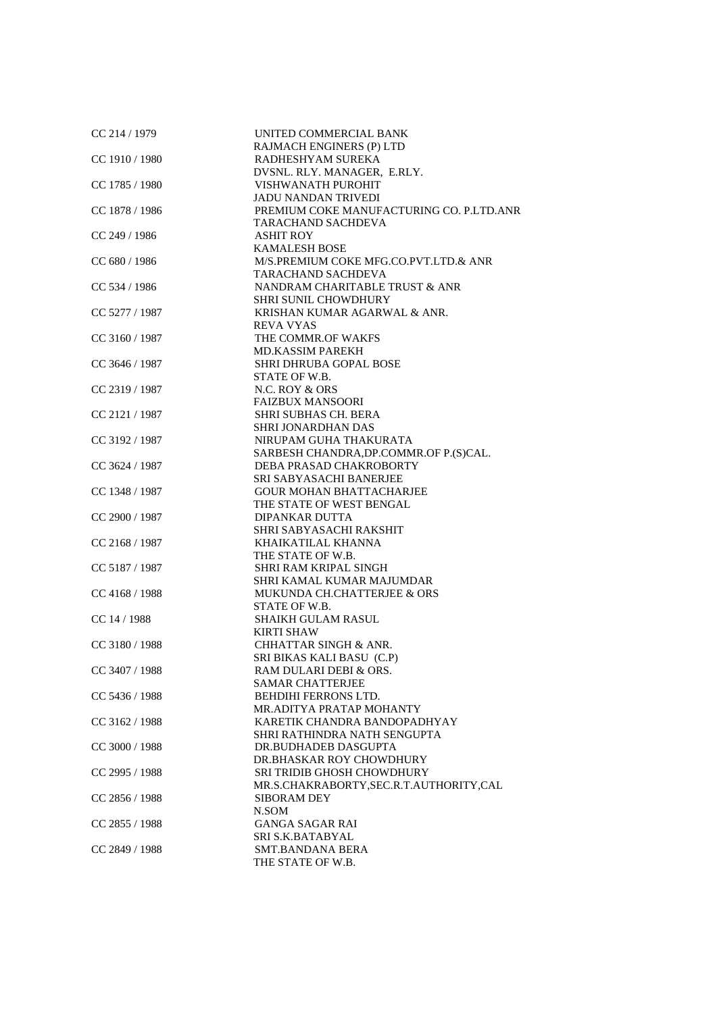| CC 214 / 1979    | UNITED COMMERCIAL BANK                    |
|------------------|-------------------------------------------|
|                  | RAJMACH ENGINERS (P) LTD                  |
| CC 1910 / 1980   | RADHESHYAM SUREKA                         |
|                  | DVSNL. RLY. MANAGER, E.RLY.               |
| CC $1785/1980$   | VISHWANATH PUROHIT                        |
|                  | <b>JADU NANDAN TRIVEDI</b>                |
| CC 1878 / 1986   | PREMIUM COKE MANUFACTURING CO. P.LTD.ANR  |
|                  | TARACHAND SACHDEVA                        |
| CC 249 / 1986    | <b>ASHIT ROY</b>                          |
|                  | <b>KAMALESH BOSE</b>                      |
| CC 680 / 1986    | M/S.PREMIUM COKE MFG.CO.PVT.LTD.& ANR     |
|                  | TARACHAND SACHDEVA                        |
| CC 534 / 1986    | NANDRAM CHARITABLE TRUST & ANR            |
|                  | <b>SHRI SUNIL CHOWDHURY</b>               |
| CC 5277 / 1987   | KRISHAN KUMAR AGARWAL & ANR.              |
|                  | REVA VYAS                                 |
| $CC$ 3160 / 1987 | THE COMMR.OF WAKFS                        |
|                  | <b>MD.KASSIM PAREKH</b>                   |
| CC 3646 / 1987   | <b>SHRI DHRUBA GOPAL BOSE</b>             |
|                  | STATE OF W.B.                             |
| CC 2319 / 1987   | N.C. ROY & ORS                            |
|                  |                                           |
|                  | <b>FAIZBUX MANSOORI</b>                   |
| CC 2121 / 1987   | <b>SHRI SUBHAS CH. BERA</b>               |
|                  | SHRI JONARDHAN DAS                        |
| $CC$ 3192 / 1987 | NIRUPAM GUHA THAKURATA                    |
|                  | SARBESH CHANDRA, DP. COMMR. OF P. (S)CAL. |
| CC 3624 / 1987   | DEBA PRASAD CHAKROBORTY                   |
|                  | SRI SABYASACHI BANERJEE                   |
| CC 1348 / 1987   | <b>GOUR MOHAN BHATTACHARJEE</b>           |
|                  | THE STATE OF WEST BENGAL                  |
| CC 2900 / 1987   | <b>DIPANKAR DUTTA</b>                     |
|                  | SHRI SABYASACHI RAKSHIT                   |
| CC 2168 / 1987   | KHAIKATILAL KHANNA                        |
|                  | THE STATE OF W.B.                         |
| CC 5187 / 1987   | SHRI RAM KRIPAL SINGH                     |
|                  | SHRI KAMAL KUMAR MAJUMDAR                 |
| CC 4168 / 1988   | MUKUNDA CH.CHATTERJEE & ORS               |
|                  | STATE OF W.B.                             |
| CC 14 / 1988     | <b>SHAIKH GULAM RASUL</b>                 |
|                  | <b>KIRTI SHAW</b>                         |
| $CC$ 3180 / 1988 | <b>CHHATTAR SINGH &amp; ANR.</b>          |
|                  | SRI BIKAS KALI BASU (C.P)                 |
| CC 3407 / 1988   | RAM DULARI DEBI & ORS.                    |
|                  | <b>SAMAR CHATTERJEE</b>                   |
| CC 5436 / 1988   | <b>BEHDIHI FERRONS LTD.</b>               |
|                  | MR.ADITYA PRATAP MOHANTY                  |
| CC 3162 / 1988   | KARETIK CHANDRA BANDOPADHYAY              |
|                  | SHRI RATHINDRA NATH SENGUPTA              |
| CC 3000 / 1988   | DR.BUDHADEB DASGUPTA                      |
|                  | DR.BHASKAR ROY CHOWDHURY                  |
| CC 2995 / 1988   | <b>SRI TRIDIB GHOSH CHOWDHURY</b>         |
|                  | MR.S.CHAKRABORTY, SEC.R.T.AUTHORITY, CAL  |
| $CC$ 2856 / 1988 | <b>SIBORAM DEY</b>                        |
|                  | N.SOM                                     |
| $CC$ 2855 / 1988 | <b>GANGA SAGAR RAI</b>                    |
|                  | SRI S.K.BATABYAL                          |
| $CC$ 2849 / 1988 | <b>SMT.BANDANA BERA</b>                   |
|                  | THE STATE OF W.B.                         |
|                  |                                           |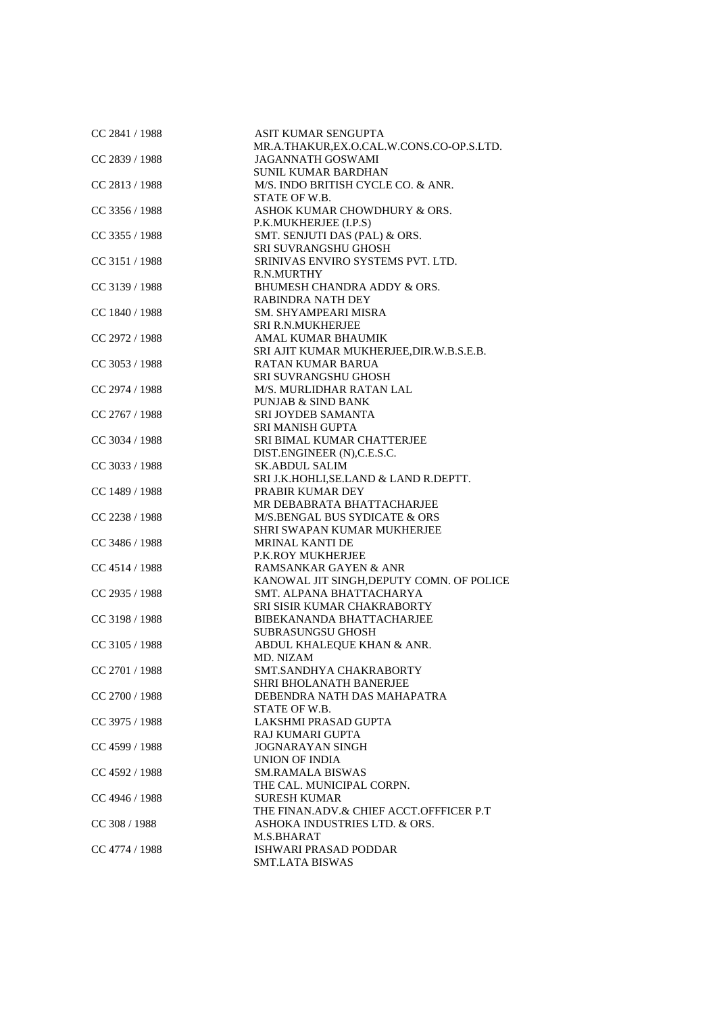| CC 2841 / 1988   | ASIT KUMAR SENGUPTA                       |
|------------------|-------------------------------------------|
|                  | MR.A.THAKUR, EX.O.CAL.W.CONS.CO-OP.S.LTD. |
| CC 2839 / 1988   | <b>JAGANNATH GOSWAMI</b>                  |
|                  | <b>SUNIL KUMAR BARDHAN</b>                |
| $CC$ 2813 / 1988 | M/S. INDO BRITISH CYCLE CO. & ANR.        |
|                  | STATE OF W.B.                             |
| CC 3356 / 1988   | ASHOK KUMAR CHOWDHURY & ORS.              |
|                  | P.K.MUKHERJEE (I.P.S)                     |
| $CC$ 3355 / 1988 | SMT. SENJUTI DAS (PAL) & ORS.             |
|                  | SRI SUVRANGSHU GHOSH                      |
| CC 3151 / 1988   | SRINIVAS ENVIRO SYSTEMS PVT. LTD.         |
|                  | R.N.MURTHY                                |
| CC 3139 / 1988   | BHUMESH CHANDRA ADDY & ORS.               |
|                  | <b>RABINDRA NATH DEY</b>                  |
| CC 1840 / 1988   | SM. SHYAMPEARI MISRA                      |
|                  | <b>SRI R.N.MUKHERJEE</b>                  |
| CC 2972 / 1988   | AMAL KUMAR BHAUMIK                        |
|                  | SRI AJIT KUMAR MUKHERJEE,DIR.W.B.S.E.B.   |
| CC 3053 / 1988   | <b>RATAN KUMAR BARUA</b>                  |
|                  | <b>SRI SUVRANGSHU GHOSH</b>               |
|                  |                                           |
| CC 2974 / 1988   | M/S. MURLIDHAR RATAN LAL                  |
|                  | <b>PUNJAB &amp; SIND BANK</b>             |
| CC 2767 / 1988   | <b>SRI JOYDEB SAMANTA</b>                 |
|                  | <b>SRI MANISH GUPTA</b>                   |
| $CC$ 3034 / 1988 | SRI BIMAL KUMAR CHATTERJEE                |
|                  | DIST.ENGINEER (N), C.E.S.C.               |
| $CC$ 3033 / 1988 | <b>SK.ABDUL SALIM</b>                     |
|                  | SRI J.K.HOHLI, SE.LAND & LAND R.DEPTT.    |
| CC 1489 / 1988   | PRABIR KUMAR DEY                          |
|                  | MR DEBABRATA BHATTACHARJEE                |
| CC 2238 / 1988   | M/S.BENGAL BUS SYDICATE & ORS             |
|                  | SHRI SWAPAN KUMAR MUKHERJEE               |
| CC 3486 / 1988   | <b>MRINAL KANTI DE</b>                    |
|                  | <b>P.K.ROY MUKHERJEE</b>                  |
| $CC$ 4514 / 1988 | RAMSANKAR GAYEN & ANR                     |
|                  | KANOWAL JIT SINGH, DEPUTY COMN. OF POLICE |
| $CC$ 2935 / 1988 | SMT. ALPANA BHATTACHARYA                  |
|                  | SRI SISIR KUMAR CHAKRABORTY               |
| CC 3198 / 1988   | BIBEKANANDA BHATTACHARJEE                 |
|                  | <b>SUBRASUNGSU GHOSH</b>                  |
| CC 3105 / 1988   | ABDUL KHALEQUE KHAN & ANR.                |
|                  | MD. NIZAM                                 |
| CC 2701 / 1988   | SMT.SANDHYA CHAKRABORTY                   |
|                  | <b>SHRI BHOLANATH BANERJEE</b>            |
| CC 2700 / 1988   | DEBENDRA NATH DAS MAHAPATRA               |
|                  | STATE OF W.B.                             |
| CC 3975 / 1988   | LAKSHMI PRASAD GUPTA                      |
|                  | RAJ KUMARI GUPTA                          |
| $CC$ 4599 / 1988 | <b>JOGNARAYAN SINGH</b>                   |
|                  | <b>UNION OF INDIA</b>                     |
| $CC$ 4592 / 1988 | <b>SM.RAMALA BISWAS</b>                   |
|                  | THE CAL. MUNICIPAL CORPN.                 |
| $CC$ 4946 / 1988 | <b>SURESH KUMAR</b>                       |
|                  | THE FINAN.ADV.& CHIEF ACCT.OFFFICER P.T   |
| CC 308 / 1988    | ASHOKA INDUSTRIES LTD. & ORS.             |
|                  | M.S.BHARAT                                |
| CC 4774 / 1988   | ISHWARI PRASAD PODDAR                     |
|                  | <b>SMT.LATA BISWAS</b>                    |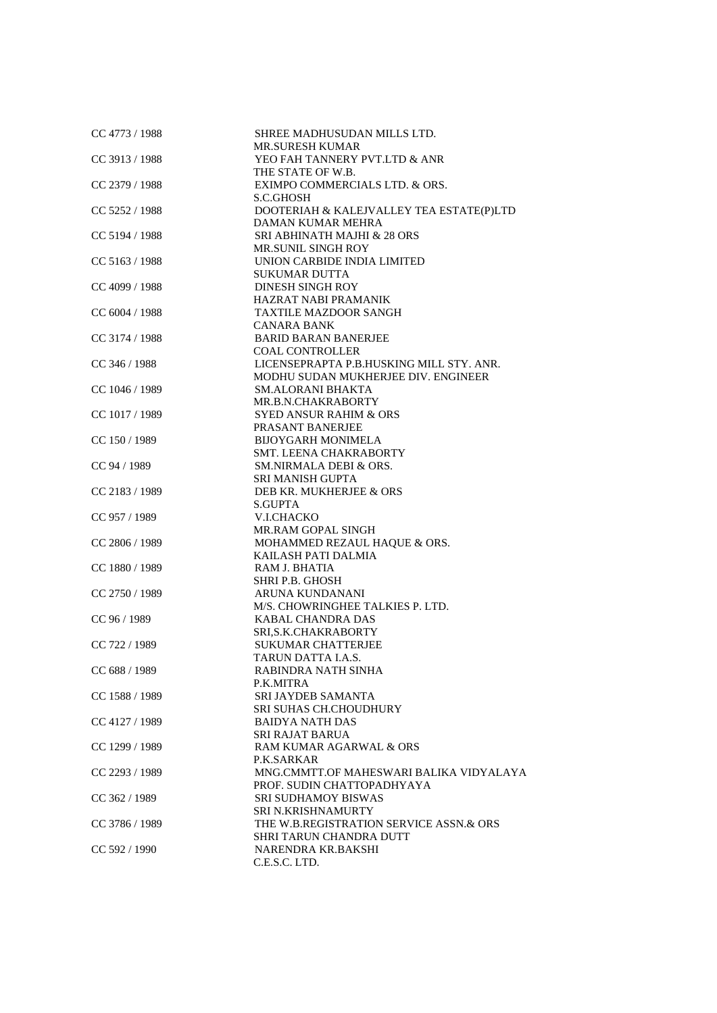| $CC$ 4773 / 1988 | SHREE MADHUSUDAN MILLS LTD.<br><b>MR.SURESH KUMAR</b>         |
|------------------|---------------------------------------------------------------|
| CC 3913 / 1988   | YEO FAH TANNERY PVT.LTD & ANR                                 |
|                  | THE STATE OF W.B.                                             |
| CC 2379 / 1988   | EXIMPO COMMERCIALS LTD. & ORS.<br>S.C.GHOSH                   |
|                  |                                                               |
| CC 5252 / 1988   | DOOTERIAH & KALEJVALLEY TEA ESTATE(P)LTD<br>DAMAN KUMAR MEHRA |
| CC 5194 / 1988   | SRI ABHINATH MAJHI & 28 ORS                                   |
|                  | MR.SUNIL SINGH ROY                                            |
| CC 5163 / 1988   | UNION CARBIDE INDIA LIMITED<br><b>SUKUMAR DUTTA</b>           |
| CC 4099 / 1988   | DINESH SINGH ROY                                              |
|                  | HAZRAT NABI PRAMANIK                                          |
| CC 6004 / 1988   | <b>TAXTILE MAZDOOR SANGH</b>                                  |
|                  | <b>CANARA BANK</b>                                            |
| CC 3174 / 1988   | <b>BARID BARAN BANERJEE</b>                                   |
|                  | <b>COAL CONTROLLER</b>                                        |
|                  |                                                               |
| $CC$ 346 / 1988  | LICENSEPRAPTA P.B.HUSKING MILL STY. ANR.                      |
|                  | MODHU SUDAN MUKHERJEE DIV. ENGINEER                           |
| CC 1046 / 1989   | <b>SM.ALORANI BHAKTA</b>                                      |
|                  | MR.B.N.CHAKRABORTY                                            |
| CC 1017 / 1989   | <b>SYED ANSUR RAHIM &amp; ORS</b>                             |
|                  | PRASANT BANERJEE                                              |
| CC 150 / 1989    | <b>BIJOYGARH MONIMELA</b>                                     |
|                  | SMT. LEENA CHAKRABORTY                                        |
| CC 94 / 1989     | <b>SM.NIRMALA DEBI &amp; ORS.</b>                             |
|                  | <b>SRI MANISH GUPTA</b>                                       |
| CC 2183 / 1989   | DEB KR. MUKHERJEE & ORS                                       |
|                  |                                                               |
|                  | <b>S.GUPTA</b>                                                |
| CC 957 / 1989    | V.I.CHACKO                                                    |
|                  | MR.RAM GOPAL SINGH                                            |
| CC 2806 / 1989   | MOHAMMED REZAUL HAQUE & ORS.                                  |
|                  | KAILASH PATI DALMIA                                           |
| $CC$ 1880 / 1989 | RAM J. BHATIA                                                 |
|                  | SHRI P.B. GHOSH                                               |
| $CC$ 2750 / 1989 | ARUNA KUNDANANI                                               |
|                  | M/S. CHOWRINGHEE TALKIES P. LTD.                              |
| CC 96 / 1989     | <b>KABAL CHANDRA DAS</b>                                      |
|                  | SRI, S.K. CHAKRABORTY                                         |
| CC 722 / 1989    |                                                               |
|                  | <b>SUKUMAR CHATTERJEE</b>                                     |
|                  | <b>TARUN DATTA I.A.S.</b>                                     |
| CC 688 / 1989    | RABINDRA NATH SINHA                                           |
|                  | P.K.MITRA                                                     |
| CC 1588 / 1989   | SRI JAYDEB SAMANTA                                            |
|                  | <b>SRI SUHAS CH.CHOUDHURY</b>                                 |
| $CC$ 4127 / 1989 | <b>BAIDYA NATH DAS</b>                                        |
|                  | SRI RAJAT BARUA                                               |
| CC 1299 / 1989   | RAM KUMAR AGARWAL & ORS                                       |
|                  | P.K.SARKAR                                                    |
| CC 2293 / 1989   | MNG.CMMTT.OF MAHESWARI BALIKA VIDYALAYA                       |
|                  | PROF. SUDIN CHATTOPADHYAYA                                    |
| CC 362 / 1989    | <b>SRI SUDHAMOY BISWAS</b>                                    |
|                  |                                                               |
|                  | SRI N.KRISHNAMURTY                                            |
| CC 3786 / 1989   | THE W.B.REGISTRATION SERVICE ASSN.& ORS                       |
|                  | SHRI TARUN CHANDRA DUTT                                       |
| CC 592 / 1990    | NARENDRA KR.BAKSHI                                            |
|                  | C.E.S.C. LTD.                                                 |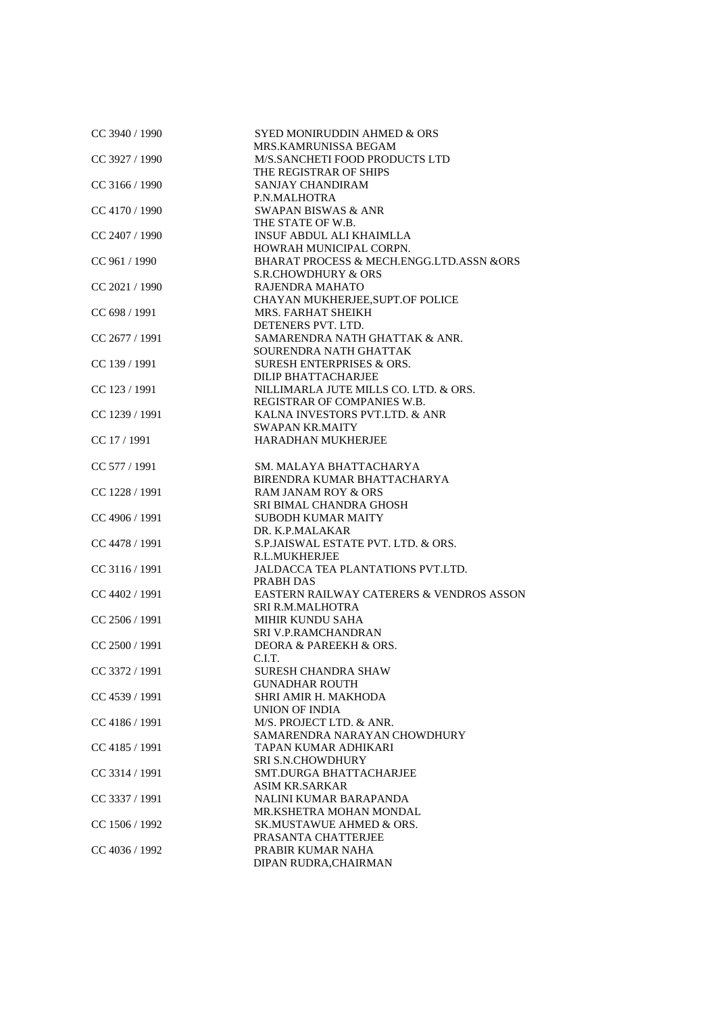| CC 3940 / 1990   | SYED MONIRUDDIN AHMED & ORS<br>MRS.KAMRUNISSA BEGAM              |
|------------------|------------------------------------------------------------------|
| CC 3927 / 1990   | M/S.SANCHETI FOOD PRODUCTS LTD                                   |
|                  | THE REGISTRAR OF SHIPS                                           |
| $CC$ 3166 / 1990 | <b>SANJAY CHANDIRAM</b>                                          |
|                  | P.N.MALHOTRA                                                     |
| $CC$ 4170 / 1990 | <b>SWAPAN BISWAS &amp; ANR</b>                                   |
|                  | THE STATE OF W.B.                                                |
| CC 2407 / 1990   | <b>INSUF ABDUL ALI KHAIMLLA</b>                                  |
|                  | HOWRAH MUNICIPAL CORPN.                                          |
| CC 961 / 1990    | BHARAT PROCESS & MECH.ENGG.LTD.ASSN &ORS                         |
| $CC$ 2021 / 1990 | <b>S.R.CHOWDHURY &amp; ORS</b><br><b>RAJENDRA MAHATO</b>         |
|                  | CHAYAN MUKHERJEE, SUPT.OF POLICE                                 |
| CC 698 / 1991    | MRS. FARHAT SHEIKH                                               |
|                  | DETENERS PVT. LTD.                                               |
| $CC$ 2677 / 1991 | SAMARENDRA NATH GHATTAK & ANR.                                   |
|                  | SOURENDRA NATH GHATTAK                                           |
| CC 139 / 1991    | <b>SURESH ENTERPRISES &amp; ORS.</b>                             |
|                  | DILIP BHATTACHARJEE                                              |
| CC 123 / 1991    | NILLIMARLA JUTE MILLS CO. LTD. & ORS.                            |
|                  | REGISTRAR OF COMPANIES W.B.                                      |
| CC 1239 / 1991   | KALNA INVESTORS PVT.LTD. & ANR                                   |
|                  | <b>SWAPAN KR.MAITY</b>                                           |
| CC 17 / 1991     | HARADHAN MUKHERJEE                                               |
| CC 577 / 1991    | SM. MALAYA BHATTACHARYA                                          |
|                  | BIRENDRA KUMAR BHATTACHARYA                                      |
| CC 1228 / 1991   | <b>RAM JANAM ROY &amp; ORS</b>                                   |
|                  | SRI BIMAL CHANDRA GHOSH                                          |
| CC 4906 / 1991   | <b>SUBODH KUMAR MAITY</b>                                        |
|                  | DR. K.P.MALAKAR                                                  |
| CC 4478 / 1991   | S.P.JAISWAL ESTATE PVT. LTD. & ORS.                              |
|                  | R.L.MUKHERJEE                                                    |
| $CC$ 3116 / 1991 | JALDACCA TEA PLANTATIONS PVT.LTD.                                |
|                  | PRABH DAS<br><b>EASTERN RAILWAY CATERERS &amp; VENDROS ASSON</b> |
| CC 4402 / 1991   | <b>SRI R.M.MALHOTRA</b>                                          |
| $CC$ 2506 / 1991 | MIHIR KUNDU SAHA                                                 |
|                  | SRI V.P.RAMCHANDRAN                                              |
| $CC$ 2500 / 1991 | DEORA & PAREEKH & ORS.                                           |
|                  | C.I.T.                                                           |
| CC 3372 / 1991   | SURESH CHANDRA SHAW                                              |
|                  | <b>GUNADHAR ROUTH</b>                                            |
| CC 4539 / 1991   | SHRI AMIR H. MAKHODA                                             |
|                  | <b>UNION OF INDIA</b>                                            |
| $CC$ 4186 / 1991 | M/S. PROJECT LTD. & ANR.                                         |
|                  | SAMARENDRA NARAYAN CHOWDHURY                                     |
| CC 4185 / 1991   | TAPAN KUMAR ADHIKARI                                             |
|                  | <b>SRI S.N.CHOWDHURY</b>                                         |
| CC 3314 / 1991   | SMT.DURGA BHATTACHARJEE<br><b>ASIM KR.SARKAR</b>                 |
| CC 3337 / 1991   | NALINI KUMAR BARAPANDA                                           |
|                  | MR.KSHETRA MOHAN MONDAL                                          |
| CC $1506 / 1992$ | SK.MUSTAWUE AHMED & ORS.                                         |
|                  | PRASANTA CHATTERJEE                                              |
| $CC$ 4036 / 1992 | PRABIR KUMAR NAHA                                                |
|                  | DIPAN RUDRA, CHAIRMAN                                            |
|                  |                                                                  |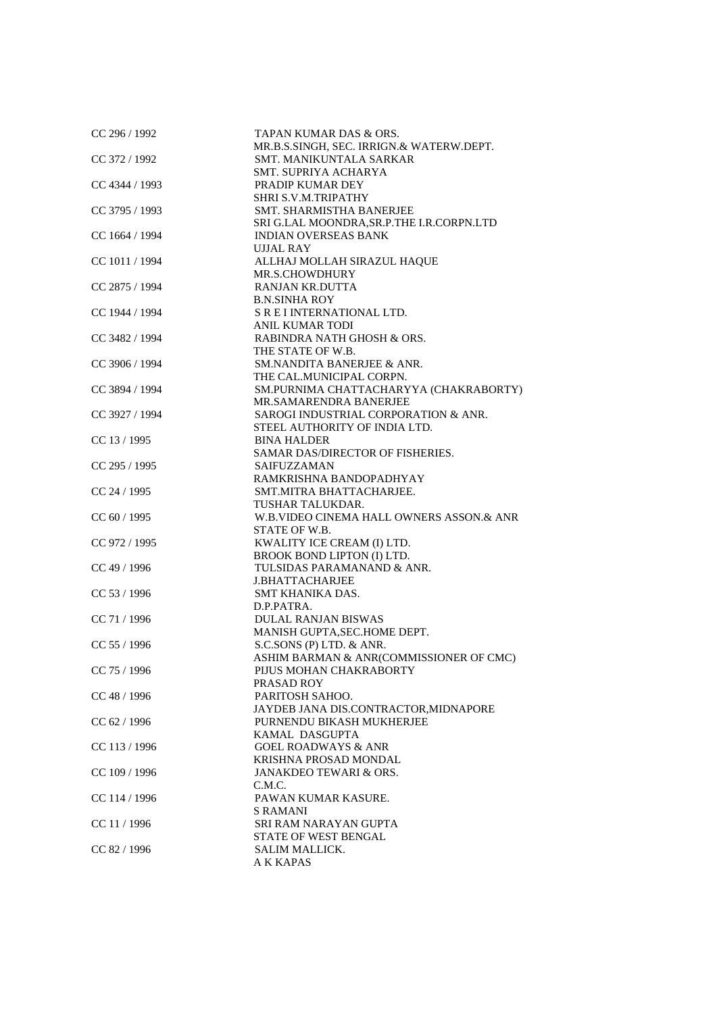| CC 296 / 1992  | TAPAN KUMAR DAS & ORS.                    |
|----------------|-------------------------------------------|
|                | MR.B.S.SINGH, SEC. IRRIGN.& WATERW.DEPT.  |
| CC 372 / 1992  | SMT. MANIKUNTALA SARKAR                   |
|                | <b>SMT. SUPRIYA ACHARYA</b>               |
| CC 4344 / 1993 | PRADIP KUMAR DEY                          |
|                | SHRI S.V.M.TRIPATHY                       |
| CC 3795 / 1993 | SMT. SHARMISTHA BANERJEE                  |
|                | SRI G.LAL MOONDRA, SR.P.THE I.R.CORPN.LTD |
| CC 1664 / 1994 | <b>INDIAN OVERSEAS BANK</b>               |
|                | <b>UJJAL RAY</b>                          |
|                |                                           |
| CC 1011 / 1994 | ALLHAJ MOLLAH SIRAZUL HAQUE               |
|                | MR.S.CHOWDHURY                            |
| CC 2875 / 1994 | <b>RANJAN KR.DUTTA</b>                    |
|                | <b>B.N.SINHA ROY</b>                      |
| CC 1944 / 1994 | S R E I INTERNATIONAL LTD.                |
|                | <b>ANIL KUMAR TODI</b>                    |
| CC 3482 / 1994 | RABINDRA NATH GHOSH & ORS.                |
|                | THE STATE OF W.B.                         |
| CC 3906 / 1994 | SM.NANDITA BANERJEE & ANR.                |
|                | THE CAL.MUNICIPAL CORPN.                  |
| CC 3894 / 1994 | SM.PURNIMA CHATTACHARYYA (CHAKRABORTY)    |
|                |                                           |
|                | MR.SAMARENDRA BANERJEE                    |
| CC 3927 / 1994 | SAROGI INDUSTRIAL CORPORATION & ANR.      |
|                | STEEL AUTHORITY OF INDIA LTD.             |
| CC 13 / 1995   | <b>BINA HALDER</b>                        |
|                | SAMAR DAS/DIRECTOR OF FISHERIES.          |
| CC 295 / 1995  | <b>SAIFUZZAMAN</b>                        |
|                | RAMKRISHNA BANDOPADHYAY                   |
| CC 24 / 1995   | SMT.MITRA BHATTACHARJEE.                  |
|                | TUSHAR TALUKDAR.                          |
| CC 60 / 1995   | W.B.VIDEO CINEMA HALL OWNERS ASSON.& ANR  |
|                | STATE OF W.B.                             |
| CC 972 / 1995  | KWALITY ICE CREAM (I) LTD.                |
|                | BROOK BOND LIPTON (I) LTD.                |
| CC 49 / 1996   | TULSIDAS PARAMANAND & ANR.                |
|                | <b>J.BHATTACHARJEE</b>                    |
|                |                                           |
| CC 53 / 1996   | SMT KHANIKA DAS.                          |
|                | D.P.PATRA.                                |
| CC 71 / 1996   | <b>DULAL RANJAN BISWAS</b>                |
|                | MANISH GUPTA, SEC. HOME DEPT.             |
| CC 55 / 1996   | S.C.SONS (P) LTD. & ANR.                  |
|                | ASHIM BARMAN & ANR(COMMISSIONER OF CMC)   |
| CC 75 / 1996   | PIJUS MOHAN CHAKRABORTY                   |
|                | PRASAD ROY                                |
| CC 48 / 1996   | PARITOSH SAHOO.                           |
|                | JAYDEB JANA DIS.CONTRACTOR, MIDNAPORE     |
| CC 62 / 1996   | PURNENDU BIKASH MUKHERJEE                 |
|                | KAMAL DASGUPTA                            |
|                | <b>GOEL ROADWAYS &amp; ANR</b>            |
| CC 113 / 1996  |                                           |
|                | KRISHNA PROSAD MONDAL                     |
| CC 109 / 1996  | <b>JANAKDEO TEWARI &amp; ORS.</b>         |
|                | C.M.C.                                    |
| CC 114 / 1996  | PAWAN KUMAR KASURE.                       |
|                | <b>S RAMANI</b>                           |
| CC 11 / 1996   | SRI RAM NARAYAN GUPTA                     |
|                | STATE OF WEST BENGAL                      |
| CC 82 / 1996   | <b>SALIM MALLICK.</b>                     |
|                | A K KAPAS                                 |
|                |                                           |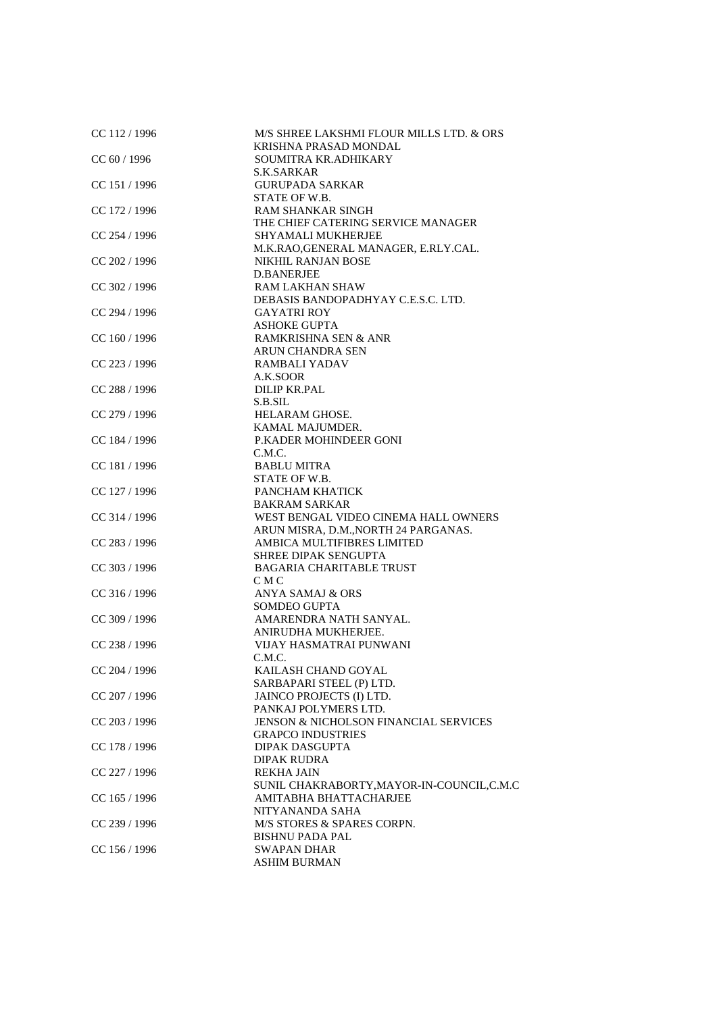| CC 112 / 1996   | M/S SHREE LAKSHMI FLOUR MILLS LTD. & ORS<br>KRISHNA PRASAD MONDAL |
|-----------------|-------------------------------------------------------------------|
| CC 60 / 1996    | SOUMITRA KR.ADHIKARY                                              |
|                 | S.K.SARKAR                                                        |
| CC 151 / 1996   | <b>GURUPADA SARKAR</b>                                            |
|                 | STATE OF W.B.                                                     |
| CC 172 / 1996   | <b>RAM SHANKAR SINGH</b>                                          |
|                 | THE CHIEF CATERING SERVICE MANAGER                                |
| $CC$ 254 / 1996 | SHYAMALI MUKHERJEE                                                |
|                 | M.K.RAO, GENERAL MANAGER, E.RLY.CAL.                              |
| CC 202 / 1996   | <b>NIKHIL RANJAN BOSE</b>                                         |
|                 | <b>D.BANERJEE</b>                                                 |
| CC 302 / 1996   | <b>RAM LAKHAN SHAW</b>                                            |
|                 | DEBASIS BANDOPADHYAY C.E.S.C. LTD.                                |
| CC 294 / 1996   | <b>GAYATRI ROY</b>                                                |
|                 | <b>ASHOKE GUPTA</b>                                               |
| $CC$ 160 / 1996 | RAMKRISHNA SEN & ANR                                              |
|                 | ARUN CHANDRA SEN                                                  |
|                 | RAMBALI YADAV                                                     |
| CC 223 / 1996   | A.K.SOOR                                                          |
| CC 288 / 1996   | <b>DILIP KR.PAL</b>                                               |
|                 |                                                                   |
| CC 279 / 1996   | S.B.SIL<br>HELARAM GHOSE.                                         |
|                 |                                                                   |
| CC 184 / 1996   | KAMAL MAJUMDER.<br>P.KADER MOHINDEER GONI                         |
|                 |                                                                   |
| CC 181 / 1996   | C.M.C.<br><b>BABLU MITRA</b>                                      |
|                 | STATE OF W.B.                                                     |
|                 | PANCHAM KHATICK                                                   |
| CC 127 / 1996   |                                                                   |
|                 | <b>BAKRAM SARKAR</b>                                              |
| CC 314 / 1996   | WEST BENGAL VIDEO CINEMA HALL OWNERS                              |
|                 | ARUN MISRA, D.M., NORTH 24 PARGANAS.                              |
| CC 283 / 1996   | AMBICA MULTIFIBRES LIMITED<br>SHREE DIPAK SENGUPTA                |
| CC 303 / 1996   | <b>BAGARIA CHARITABLE TRUST</b>                                   |
|                 | C M C                                                             |
| $CC$ 316 / 1996 | <b>ANYA SAMAJ &amp; ORS</b>                                       |
|                 | SOMDEO GUPTA                                                      |
| CC 309 / 1996   | AMARENDRA NATH SANYAL.                                            |
|                 | ANIRUDHA MUKHERJEE.                                               |
| CC 238 / 1996   | VIJAY HASMATRAI PUNWANI                                           |
|                 | C.M.C.                                                            |
| CC 204 / 1996   | KAILASH CHAND GOYAL                                               |
|                 | SARBAPARI STEEL (P) LTD.                                          |
| CC 207 / 1996   | JAINCO PROJECTS (I) LTD.                                          |
|                 | PANKAJ POLYMERS LTD.                                              |
| CC 203 / 1996   | JENSON & NICHOLSON FINANCIAL SERVICES                             |
|                 | <b>GRAPCO INDUSTRIES</b>                                          |
| CC 178 / 1996   | <b>DIPAK DASGUPTA</b>                                             |
|                 | <b>DIPAK RUDRA</b>                                                |
| CC 227 / 1996   | <b>REKHA JAIN</b>                                                 |
|                 | SUNIL CHAKRABORTY, MAYOR-IN-COUNCIL, C.M.C                        |
| CC 165 / 1996   | AMITABHA BHATTACHARJEE                                            |
|                 | NITYANANDA SAHA                                                   |
| CC 239 / 1996   | M/S STORES & SPARES CORPN.                                        |
|                 | <b>BISHNU PADA PAL</b>                                            |
| CC 156 / 1996   | <b>SWAPAN DHAR</b>                                                |
|                 | <b>ASHIM BURMAN</b>                                               |
|                 |                                                                   |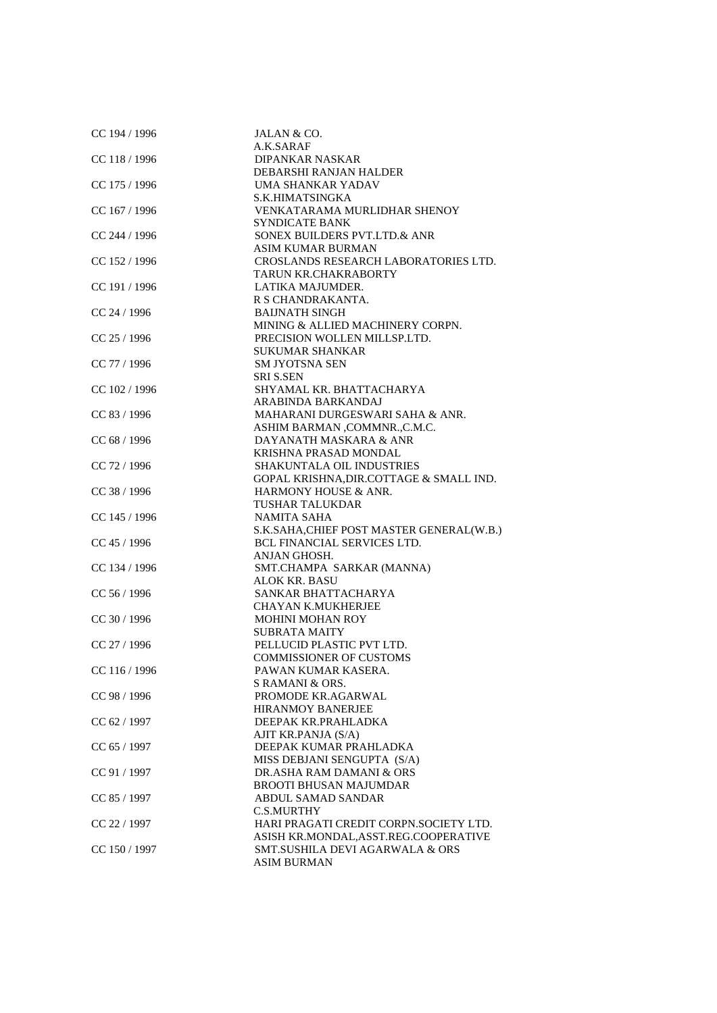| CC 194 / 1996   | JALAN & CO.                                |
|-----------------|--------------------------------------------|
|                 | A.K.SARAF                                  |
| CC 118 / 1996   | DIPANKAR NASKAR                            |
|                 | DEBARSHI RANJAN HALDER                     |
| CC 175 / 1996   | UMA SHANKAR YADAV                          |
|                 | S.K.HIMATSINGKA                            |
| CC 167 / 1996   | VENKATARAMA MURLIDHAR SHENOY               |
|                 | <b>SYNDICATE BANK</b>                      |
| CC 244 / 1996   | SONEX BUILDERS PVT.LTD.& ANR               |
|                 | <b>ASIM KUMAR BURMAN</b>                   |
| CC 152 / 1996   | CROSLANDS RESEARCH LABORATORIES LTD.       |
|                 | TARUN KR.CHAKRABORTY                       |
| CC 191 / 1996   | LATIKA MAJUMDER.                           |
|                 | R S CHANDRAKANTA.                          |
| $CC$ 24 / 1996  | <b>BAIJNATH SINGH</b>                      |
|                 | MINING & ALLIED MACHINERY CORPN.           |
| CC 25 / 1996    | PRECISION WOLLEN MILLSP.LTD.               |
|                 | <b>SUKUMAR SHANKAR</b>                     |
| CC 77 / 1996    | <b>SM JYOTSNA SEN</b>                      |
|                 | <b>SRI S.SEN</b>                           |
| CC 102 / 1996   | SHYAMAL KR. BHATTACHARYA                   |
|                 | ARABINDA BARKANDAJ                         |
| CC 83 / 1996    | MAHARANI DURGESWARI SAHA & ANR.            |
|                 | ASHIM BARMAN , COMMNR., C.M.C.             |
| CC 68 / 1996    | DAYANATH MASKARA & ANR                     |
|                 | KRISHNA PRASAD MONDAL                      |
| CC 72 / 1996    | SHAKUNTALA OIL INDUSTRIES                  |
|                 | GOPAL KRISHNA, DIR. COTTAGE & SMALL IND.   |
| CC 38 / 1996    | HARMONY HOUSE & ANR.                       |
|                 | <b>TUSHAR TALUKDAR</b>                     |
| $CC$ 145 / 1996 | <b>NAMITA SAHA</b>                         |
|                 | S.K.SAHA, CHIEF POST MASTER GENERAL(W.B.)  |
| CC 45 / 1996    | <b>BCL FINANCIAL SERVICES LTD.</b>         |
|                 | ANJAN GHOSH.                               |
| CC 134 / 1996   | SMT.CHAMPA SARKAR (MANNA)                  |
|                 | <b>ALOK KR. BASU</b>                       |
| CC 56 / 1996    | SANKAR BHATTACHARYA                        |
|                 | CHAYAN K.MUKHERJEE                         |
| CC 30 / 1996    | <b>MOHINI MOHAN ROY</b>                    |
|                 | <b>SUBRATA MAITY</b>                       |
| CC 27 / 1996    | PELLUCID PLASTIC PVT LTD.                  |
|                 | <b>COMMISSIONER OF CUSTOMS</b>             |
| CC 116 / 1996   | PAWAN KUMAR KASERA.                        |
|                 | S RAMANI & ORS.                            |
| CC 98 / 1996    | PROMODE KR.AGARWAL                         |
|                 | <b>HIRANMOY BANERJEE</b>                   |
| CC 62 / 1997    | DEEPAK KR.PRAHLADKA                        |
|                 | AJIT KR.PANJA (S/A)                        |
| CC 65 / 1997    | DEEPAK KUMAR PRAHLADKA                     |
|                 | MISS DEBJANI SENGUPTA (S/A)                |
| CC 91 / 1997    | DR.ASHA RAM DAMANI & ORS                   |
|                 | <b>BROOTI BHUSAN MAJUMDAR</b>              |
| CC 85 / 1997    | ABDUL SAMAD SANDAR                         |
|                 | <b>C.S.MURTHY</b>                          |
| CC 22 / 1997    | HARI PRAGATI CREDIT CORPN.SOCIETY LTD.     |
|                 | ASISH KR.MONDAL, ASST.REG.COOPERATIVE      |
| CC 150 / 1997   | <b>SMT.SUSHILA DEVI AGARWALA &amp; ORS</b> |
|                 | <b>ASIM BURMAN</b>                         |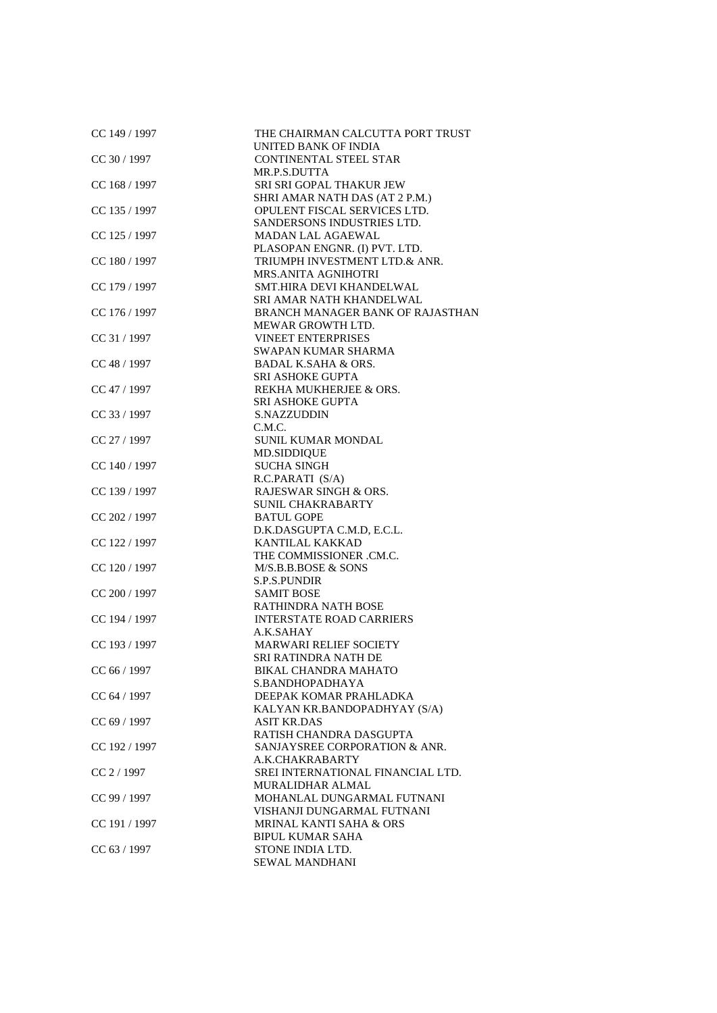| CC 149 / 1997 | THE CHAIRMAN CALCUTTA PORT TRUST<br>UNITED BANK OF INDIA   |
|---------------|------------------------------------------------------------|
| CC 30 / 1997  | <b>CONTINENTAL STEEL STAR</b>                              |
|               | MR.P.S.DUTTA                                               |
| CC 168 / 1997 | SRI SRI GOPAL THAKUR JEW                                   |
|               | SHRI AMAR NATH DAS (AT 2 P.M.)                             |
| CC 135 / 1997 | OPULENT FISCAL SERVICES LTD.                               |
|               | SANDERSONS INDUSTRIES LTD.                                 |
| CC 125 / 1997 | MADAN LAL AGAEWAL                                          |
|               | PLASOPAN ENGNR. (I) PVT. LTD.                              |
| CC 180 / 1997 | TRIUMPH INVESTMENT LTD.& ANR.                              |
|               | MRS.ANITA AGNIHOTRI                                        |
| CC 179 / 1997 | SMT.HIRA DEVI KHANDELWAL                                   |
|               | SRI AMAR NATH KHANDELWAL                                   |
| CC 176 / 1997 | BRANCH MANAGER BANK OF RAJASTHAN                           |
|               | MEWAR GROWTH LTD.                                          |
| CC 31 / 1997  | <b>VINEET ENTERPRISES</b>                                  |
|               | SWAPAN KUMAR SHARMA                                        |
| CC 48 / 1997  | <b>BADAL K.SAHA &amp; ORS.</b>                             |
|               | <b>SRI ASHOKE GUPTA</b>                                    |
| CC 47 / 1997  | REKHA MUKHERJEE & ORS.                                     |
|               | <b>SRI ASHOKE GUPTA</b>                                    |
| CC 33 / 1997  | S.NAZZUDDIN                                                |
|               | C.M.C.                                                     |
| CC 27 / 1997  | SUNIL KUMAR MONDAL                                         |
|               | <b>MD.SIDDIQUE</b>                                         |
| CC 140 / 1997 | <b>SUCHA SINGH</b>                                         |
|               | R.C.PARATI (S/A)                                           |
| CC 139 / 1997 | RAJESWAR SINGH & ORS.                                      |
|               | <b>SUNIL CHAKRABARTY</b>                                   |
| CC 202 / 1997 | <b>BATUL GOPE</b>                                          |
|               | D.K.DASGUPTA C.M.D, E.C.L.                                 |
| CC 122 / 1997 | <b>KANTILAL KAKKAD</b>                                     |
|               | THE COMMISSIONER .CM.C.                                    |
| CC 120 / 1997 | M/S.B.B.BOSE & SONS                                        |
|               | <b>S.P.S.PUNDIR</b>                                        |
| CC 200 / 1997 | <b>SAMIT BOSE</b>                                          |
|               | <b>RATHINDRA NATH BOSE</b>                                 |
| CC 194 / 1997 | <b>INTERSTATE ROAD CARRIERS</b>                            |
|               | A.K.SAHAY                                                  |
| CC 193 / 1997 | <b>MARWARI RELIEF SOCIETY</b>                              |
| CC 66 / 1997  | <b>SRI RATINDRA NATH DE</b><br><b>BIKAL CHANDRA MAHATO</b> |
|               | S.BANDHOPADHAYA                                            |
|               | DEEPAK KOMAR PRAHLADKA                                     |
| CC 64 / 1997  | KALYAN KR.BANDOPADHYAY (S/A)                               |
| CC 69 / 1997  | <b>ASIT KR.DAS</b>                                         |
|               | RATISH CHANDRA DASGUPTA                                    |
| CC 192 / 1997 | SANJAYSREE CORPORATION & ANR.                              |
|               | A.K.CHAKRABARTY                                            |
| CC 2 / 1997   | SREI INTERNATIONAL FINANCIAL LTD.                          |
|               | MURALIDHAR ALMAL                                           |
| CC 99 / 1997  | MOHANLAL DUNGARMAL FUTNANI                                 |
|               | VISHANJI DUNGARMAL FUTNANI                                 |
| CC 191 / 1997 | <b>MRINAL KANTI SAHA &amp; ORS</b>                         |
|               | <b>BIPUL KUMAR SAHA</b>                                    |
| CC 63 / 1997  | STONE INDIA LTD.                                           |
|               | SEWAL MANDHANI                                             |
|               |                                                            |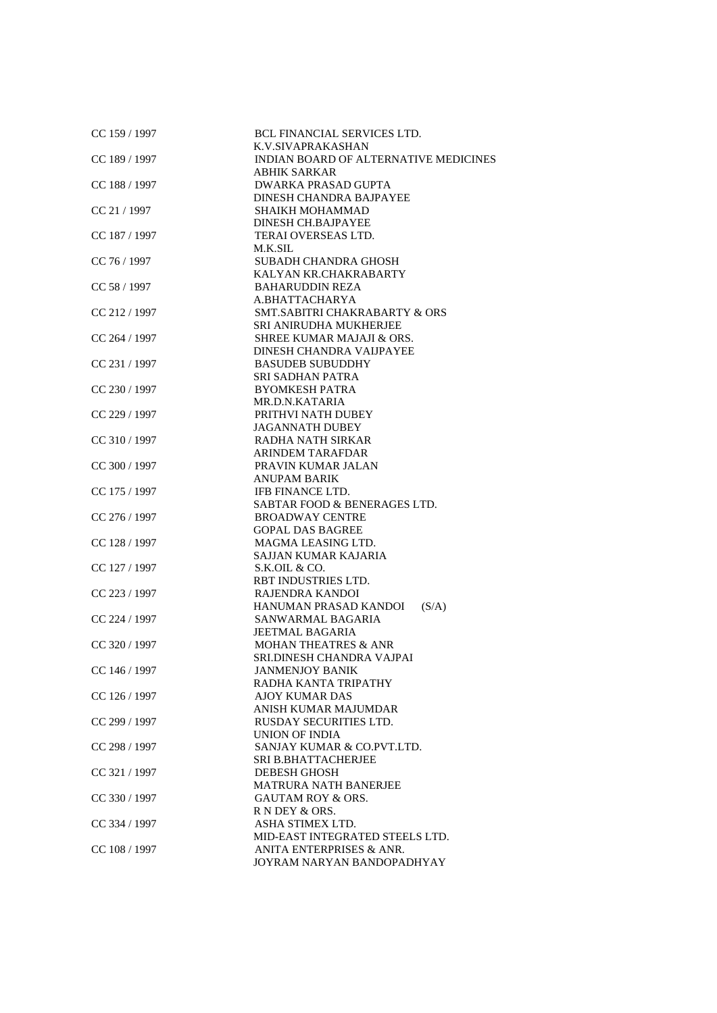| CC 159 / 1997   | BCL FINANCIAL SERVICES LTD.<br>K.V.SIVAPRAKASHAN |
|-----------------|--------------------------------------------------|
| CC 189 / 1997   | INDIAN BOARD OF ALTERNATIVE MEDICINES            |
|                 | <b>ABHIK SARKAR</b>                              |
|                 |                                                  |
| CC 188 / 1997   | DWARKA PRASAD GUPTA                              |
|                 | DINESH CHANDRA BAJPAYEE                          |
| CC 21 / 1997    | <b>SHAIKH MOHAMMAD</b>                           |
|                 | <b>DINESH CH.BAJPAYEE</b>                        |
| CC 187 / 1997   | TERAI OVERSEAS LTD.                              |
|                 | M.K.SIL                                          |
| CC 76 / 1997    | <b>SUBADH CHANDRA GHOSH</b>                      |
|                 | KALYAN KR.CHAKRABARTY                            |
| CC 58 / 1997    | <b>BAHARUDDIN REZA</b>                           |
|                 | A.BHATTACHARYA                                   |
| CC 212 / 1997   | SMT.SABITRI CHAKRABARTY & ORS                    |
|                 | SRI ANIRUDHA MUKHERJEE                           |
| CC 264 / 1997   | SHREE KUMAR MAJAJI & ORS.                        |
|                 | DINESH CHANDRA VAIJPAYEE                         |
| CC 231 / 1997   | <b>BASUDEB SUBUDDHY</b>                          |
|                 | <b>SRI SADHAN PATRA</b>                          |
| CC 230 / 1997   | <b>BYOMKESH PATRA</b>                            |
|                 | MR.D.N.KATARIA                                   |
| CC 229 / 1997   | PRITHVI NATH DUBEY                               |
|                 | <b>JAGANNATH DUBEY</b>                           |
| CC 310 / 1997   | RADHA NATH SIRKAR                                |
|                 | <b>ARINDEM TARAFDAR</b>                          |
| CC 300 / 1997   | PRAVIN KUMAR JALAN                               |
|                 | <b>ANUPAM BARIK</b>                              |
| CC 175 / 1997   | <b>IFB FINANCE LTD.</b>                          |
|                 | SABTAR FOOD & BENERAGES LTD.                     |
| CC 276 / 1997   | <b>BROADWAY CENTRE</b>                           |
|                 | <b>GOPAL DAS BAGREE</b>                          |
| CC 128 / 1997   | MAGMA LEASING LTD.                               |
|                 | SAJJAN KUMAR KAJARIA                             |
| CC 127 / 1997   | S.K.OIL & CO.                                    |
|                 | RBT INDUSTRIES LTD.                              |
| CC 223 / 1997   | RAJENDRA KANDOI                                  |
|                 | HANUMAN PRASAD KANDOI<br>(S/A)                   |
| CC 224 / 1997   | SANWARMAL BAGARIA                                |
|                 | <b>JEETMAL BAGARIA</b>                           |
| $CC$ 320 / 1997 | <b>MOHAN THEATRES &amp; ANR</b>                  |
|                 | SRI.DINESH CHANDRA VAJPAI                        |
|                 |                                                  |
| CC 146 / 1997   | <b>JANMENJOY BANIK</b>                           |
|                 | RADHA KANTA TRIPATHY                             |
| CC 126 / 1997   | AJOY KUMAR DAS                                   |
|                 | ANISH KUMAR MAJUMDAR                             |
| CC 299 / 1997   | RUSDAY SECURITIES LTD.                           |
|                 | <b>UNION OF INDIA</b>                            |
| CC 298 / 1997   | SANJAY KUMAR & CO.PVT.LTD.                       |
|                 | <b>SRI B.BHATTACHERJEE</b>                       |
| CC 321 / 1997   | DEBESH GHOSH                                     |
|                 | <b>MATRURA NATH BANERJEE</b>                     |
| CC 330 / 1997   | <b>GAUTAM ROY &amp; ORS.</b>                     |
|                 | R N DEY & ORS.                                   |
| CC 334 / 1997   | ASHA STIMEX LTD.                                 |
|                 | MID-EAST INTEGRATED STEELS LTD.                  |
| CC 108 / 1997   | ANITA ENTERPRISES & ANR.                         |
|                 | JOYRAM NARYAN BANDOPADHYAY                       |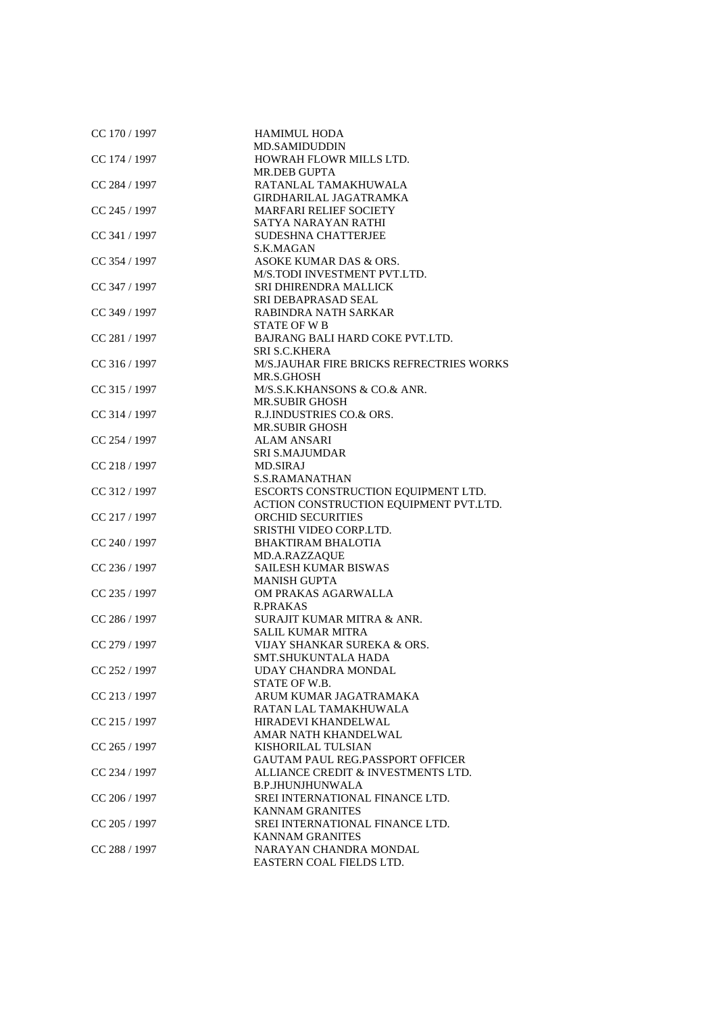| CC 170 / 1997   | <b>HAMIMUL HODA</b>                     |
|-----------------|-----------------------------------------|
|                 | <b>MD.SAMIDUDDIN</b>                    |
| CC 174 / 1997   | HOWRAH FLOWR MILLS LTD.                 |
|                 | <b>MR.DEB GUPTA</b>                     |
| CC 284 / 1997   | RATANLAL TAMAKHUWALA                    |
|                 | GIRDHARILAL JAGATRAMKA                  |
| CC 245 / 1997   | <b>MARFARI RELIEF SOCIETY</b>           |
|                 | SATYA NARAYAN RATHI                     |
| CC 341 / 1997   | <b>SUDESHNA CHATTERJEE</b>              |
|                 | S.K.MAGAN                               |
| CC 354 / 1997   | ASOKE KUMAR DAS & ORS.                  |
|                 | M/S.TODI INVESTMENT PVT.LTD.            |
| CC 347 / 1997   | SRI DHIRENDRA MALLICK                   |
|                 | SRI DEBAPRASAD SEAL                     |
| CC 349 / 1997   | RABINDRA NATH SARKAR                    |
|                 | STATE OF W <sub>B</sub>                 |
|                 |                                         |
| CC 281 / 1997   | BAJRANG BALI HARD COKE PVT.LTD.         |
|                 | <b>SRI S.C.KHERA</b>                    |
| CC 316 / 1997   | M/SJAUHAR FIRE BRICKS REFRECTRIES WORKS |
|                 | MR.S.GHOSH                              |
| CC 315 / 1997   | M/S.S.K.KHANSONS & CO.& ANR.            |
|                 | <b>MR.SUBIR GHOSH</b>                   |
| CC 314 / 1997   | R.J.INDUSTRIES CO.& ORS.                |
|                 | <b>MR.SUBIR GHOSH</b>                   |
| CC 254 / 1997   | <b>ALAM ANSARI</b>                      |
|                 | <b>SRI S.MAJUMDAR</b>                   |
| CC 218 / 1997   | <b>MD.SIRAJ</b>                         |
|                 | <b>S.S.RAMANATHAN</b>                   |
| CC 312 / 1997   | ESCORTS CONSTRUCTION EQUIPMENT LTD.     |
|                 | ACTION CONSTRUCTION EQUIPMENT PVT.LTD.  |
| CC 217 / 1997   | ORCHID SECURITIES                       |
|                 | SRISTHI VIDEO CORP.LTD.                 |
| CC 240 / 1997   | <b>BHAKTIRAM BHALOTIA</b>               |
|                 | MD.A.RAZZAQUE                           |
| CC 236 / 1997   | <b>SAILESH KUMAR BISWAS</b>             |
|                 | <b>MANISH GUPTA</b>                     |
| CC 235 / 1997   | OM PRAKAS AGARWALLA                     |
|                 | <b>R.PRAKAS</b>                         |
| CC 286 / 1997   | SURAJIT KUMAR MITRA & ANR.              |
|                 | <b>SALIL KUMAR MITRA</b>                |
| CC 279 / 1997   | VIJAY SHANKAR SUREKA & ORS.             |
|                 | SMT.SHUKUNTALA HADA                     |
| CC 252 / 1997   | UDAY CHANDRA MONDAL                     |
|                 | STATE OF W.B.                           |
| $CC$ 213 / 1997 | ARUM KUMAR JAGATRAMAKA                  |
|                 | RATAN LAL TAMAKHUWALA                   |
| CC 215 / 1997   | HIRADEVI KHANDELWAL                     |
|                 | AMAR NATH KHANDELWAL                    |
| CC 265 / 1997   | KISHORILAL TULSIAN                      |
|                 | <b>GAUTAM PAUL REG.PASSPORT OFFICER</b> |
| CC 234 / 1997   | ALLIANCE CREDIT & INVESTMENTS LTD.      |
|                 | <b>B.P.JHUNJHUNWALA</b>                 |
| CC 206 / 1997   | SREI INTERNATIONAL FINANCE LTD.         |
|                 | <b>KANNAM GRANITES</b>                  |
| CC 205 / 1997   | SREI INTERNATIONAL FINANCE LTD.         |
|                 | <b>KANNAM GRANITES</b>                  |
| CC 288 / 1997   | NARAYAN CHANDRA MONDAL                  |
|                 |                                         |
|                 | EASTERN COAL FIELDS LTD.                |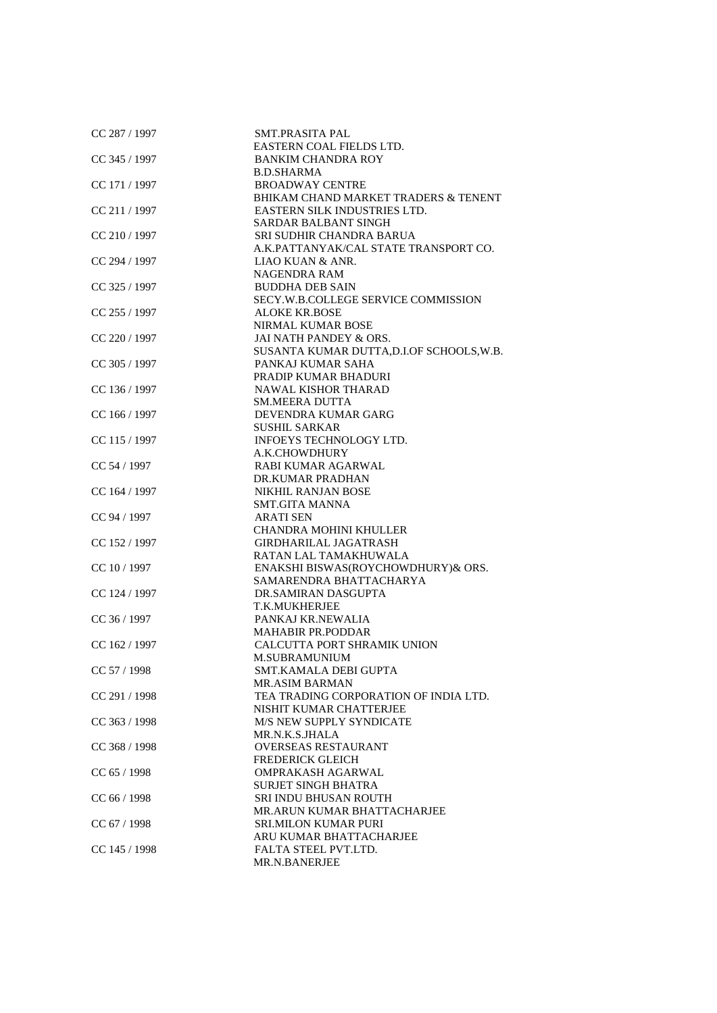| CC 287 / 1997   | SMT.PRASITA PAL                           |
|-----------------|-------------------------------------------|
|                 | EASTERN COAL FIELDS LTD.                  |
| CC 345 / 1997   | <b>BANKIM CHANDRA ROY</b>                 |
|                 | <b>B.D.SHARMA</b>                         |
| CC 171 / 1997   | <b>BROADWAY CENTRE</b>                    |
|                 | BHIKAM CHAND MARKET TRADERS & TENENT      |
| CC 211/1997     | EASTERN SILK INDUSTRIES LTD.              |
|                 | SARDAR BALBANT SINGH                      |
| CC 210 / 1997   | SRI SUDHIR CHANDRA BARUA                  |
|                 | A.K.PATTANYAK/CAL STATE TRANSPORT CO.     |
| CC 294 / 1997   | LIAO KUAN & ANR.                          |
|                 | <b>NAGENDRA RAM</b>                       |
| CC 325 / 1997   | <b>BUDDHA DEB SAIN</b>                    |
|                 | SECY.W.B.COLLEGE SERVICE COMMISSION       |
| CC 255 / 1997   | ALOKE KR.BOSE                             |
|                 | NIRMAL KUMAR BOSE                         |
| $CC$ 220 / 1997 | JAI NATH PANDEY & ORS.                    |
|                 | SUSANTA KUMAR DUTTA, D.I.OF SCHOOLS, W.B. |
| CC 305 / 1997   | PANKAJ KUMAR SAHA                         |
|                 | PRADIP KUMAR BHADURI                      |
| CC 136 / 1997   | <b>NAWAL KISHOR THARAD</b>                |
|                 |                                           |
|                 | <b>SM.MEERA DUTTA</b>                     |
| CC 166 / 1997   | DEVENDRA KUMAR GARG                       |
|                 | <b>SUSHIL SARKAR</b>                      |
| CC 115 / 1997   | INFOEYS TECHNOLOGY LTD.                   |
|                 | A.K.CHOWDHURY                             |
| CC 54 / 1997    | RABI KUMAR AGARWAL                        |
|                 | DR.KUMAR PRADHAN                          |
| CC 164 / 1997   | <b>NIKHIL RANJAN BOSE</b>                 |
|                 | <b>SMT.GITA MANNA</b>                     |
| CC 94 / 1997    | <b>ARATI SEN</b>                          |
|                 | <b>CHANDRA MOHINI KHULLER</b>             |
| CC 152 / 1997   | <b>GIRDHARILAL JAGATRASH</b>              |
|                 | RATAN LAL TAMAKHUWALA                     |
| CC 10 / 1997    | ENAKSHI BISWAS(ROYCHOWDHURY)& ORS.        |
|                 | SAMARENDRA BHATTACHARYA                   |
| CC 124 / 1997   | DR.SAMIRAN DASGUPTA                       |
|                 | T.K.MUKHERJEE                             |
| $CC$ 36 / 1997  | PANKAJ KR.NEWALIA                         |
|                 | <b>MAHABIR PR.PODDAR</b>                  |
| CC 162 / 1997   | CALCUTTA PORT SHRAMIK UNION               |
|                 | <b>M.SUBRAMUNIUM</b>                      |
| CC 57 / 1998    | SMT.KAMALA DEBI GUPTA                     |
|                 | <b>MR.ASIM BARMAN</b>                     |
| CC 291 / 1998   | TEA TRADING CORPORATION OF INDIA LTD.     |
|                 | NISHIT KUMAR CHATTERJEE                   |
| CC 363 / 1998   | M/S NEW SUPPLY SYNDICATE                  |
|                 | MR.N.K.S.JHALA                            |
| CC 368 / 1998   | <b>OVERSEAS RESTAURANT</b>                |
|                 | <b>FREDERICK GLEICH</b>                   |
| CC 65 / 1998    | OMPRAKASH AGARWAL                         |
|                 | <b>SURJET SINGH BHATRA</b>                |
| CC 66 / 1998    | <b>SRI INDU BHUSAN ROUTH</b>              |
|                 | MR.ARUN KUMAR BHATTACHARJEE               |
| CC 67 / 1998    | <b>SRI.MILON KUMAR PURI</b>               |
|                 | ARU KUMAR BHATTACHARJEE                   |
| $CC$ 145 / 1998 | FALTA STEEL PVT.LTD.                      |
|                 | MR.N.BANERJEE                             |
|                 |                                           |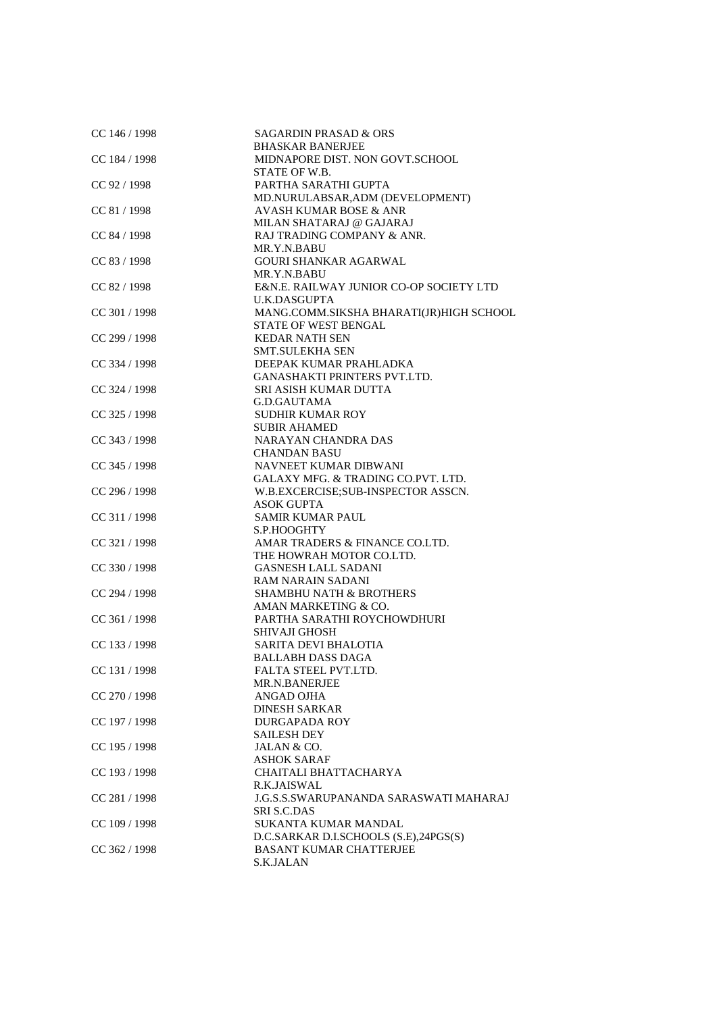| CC 146 / 1998   | <b>SAGARDIN PRASAD &amp; ORS</b>              |
|-----------------|-----------------------------------------------|
|                 | <b>BHASKAR BANERJEE</b>                       |
| CC 184 / 1998   | MIDNAPORE DIST. NON GOVT.SCHOOL               |
|                 | STATE OF W.B.                                 |
| CC 92 / 1998    | PARTHA SARATHI GUPTA                          |
|                 | MD.NURULABSAR, ADM (DEVELOPMENT)              |
| CC 81 / 1998    | <b>AVASH KUMAR BOSE &amp; ANR</b>             |
|                 | MILAN SHATARAJ @ GAJARAJ                      |
| CC 84 / 1998    | RAJ TRADING COMPANY & ANR.                    |
|                 | MR.Y.N.BABU                                   |
| CC 83 / 1998    | <b>GOURI SHANKAR AGARWAL</b>                  |
|                 | MR.Y.N.BABU                                   |
| CC 82 / 1998    | E&N.E. RAILWAY JUNIOR CO-OP SOCIETY LTD       |
|                 | <b>U.K.DASGUPTA</b>                           |
| CC 301 / 1998   | MANG.COMM.SIKSHA BHARATI(JR)HIGH SCHOOL       |
|                 | STATE OF WEST BENGAL                          |
| CC 299 / 1998   | <b>KEDAR NATH SEN</b>                         |
|                 |                                               |
|                 | <b>SMT.SULEKHA SEN</b>                        |
| CC 334 / 1998   | DEEPAK KUMAR PRAHLADKA                        |
|                 | <b>GANASHAKTI PRINTERS PVT.LTD.</b>           |
| CC 324 / 1998   | SRI ASISH KUMAR DUTTA                         |
|                 | G.D.GAUTAMA                                   |
| $CC$ 325 / 1998 | <b>SUDHIR KUMAR ROY</b>                       |
|                 | <b>SUBIR AHAMED</b>                           |
| $CC$ 343 / 1998 | <b>NARAYAN CHANDRA DAS</b>                    |
|                 | <b>CHANDAN BASU</b>                           |
| CC 345 / 1998   | NAVNEET KUMAR DIBWANI                         |
|                 | GALAXY MFG. & TRADING CO.PVT. LTD.            |
| CC 296 / 1998   | W.B.EXCERCISE;SUB-INSPECTOR ASSCN.            |
|                 | <b>ASOK GUPTA</b>                             |
| CC 311 / 1998   | <b>SAMIR KUMAR PAUL</b>                       |
|                 | S.P.HOOGHTY                                   |
| CC 321 / 1998   | AMAR TRADERS & FINANCE CO.LTD.                |
|                 | THE HOWRAH MOTOR CO.LTD.                      |
| $CC$ 330 / 1998 | <b>GASNESH LALL SADANI</b>                    |
|                 |                                               |
|                 | <b>RAM NARAIN SADANI</b>                      |
| CC 294 / 1998   | <b>SHAMBHU NATH &amp; BROTHERS</b>            |
|                 | AMAN MARKETING & CO.                          |
| CC 361 / 1998   | PARTHA SARATHI ROYCHOWDHURI                   |
|                 | <b>SHIVAJI GHOSH</b>                          |
| CC 133 / 1998   | SARITA DEVI BHALOTIA                          |
|                 | <b>BALLABH DASS DAGA</b>                      |
| CC 131 / 1998   | FALTA STEEL PVT.LTD.                          |
|                 | MR.N.BANERJEE                                 |
| CC 270 / 1998   | ANGAD OJHA                                    |
|                 | <b>DINESH SARKAR</b>                          |
| CC 197 / 1998   | <b>DURGAPADA ROY</b>                          |
|                 | <b>SAILESH DEY</b>                            |
| CC 195 / 1998   | JALAN & CO.                                   |
|                 | <b>ASHOK SARAF</b>                            |
| CC 193 / 1998   | CHAITALI BHATTACHARYA                         |
|                 | R.K.JAISWAL                                   |
| CC 281 / 1998   | <b>J.G.S.S.SWARUPANANDA SARASWATI MAHARAJ</b> |
|                 | <b>SRI S.C.DAS</b>                            |
| CC 109 / 1998   | SUKANTA KUMAR MANDAL                          |
|                 |                                               |
|                 | D.C.SARKAR D.I.SCHOOLS (S.E),24PGS(S)         |
| $CC$ 362 / 1998 | <b>BASANT KUMAR CHATTERJEE</b>                |
|                 | S.K.JALAN                                     |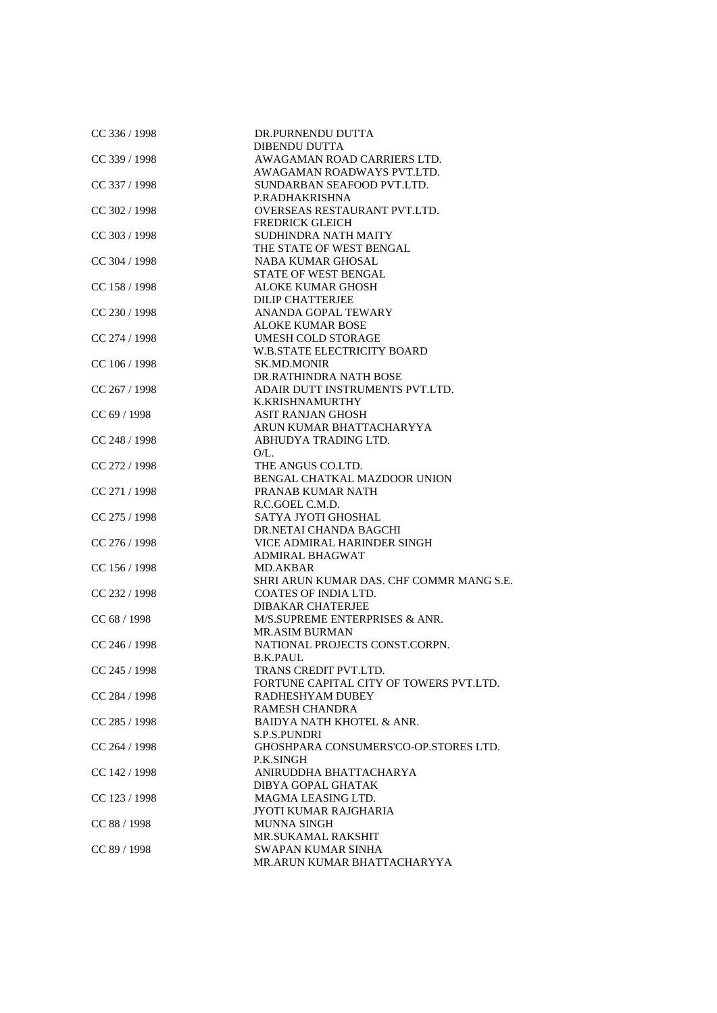| CC 336 / 1998   | DR.PURNENDU DUTTA                        |
|-----------------|------------------------------------------|
|                 | <b>DIBENDU DUTTA</b>                     |
| CC 339 / 1998   | AWAGAMAN ROAD CARRIERS LTD.              |
|                 | AWAGAMAN ROADWAYS PVT.LTD.               |
| CC 337 / 1998   | SUNDARBAN SEAFOOD PVT.LTD.               |
|                 | P.RADHAKRISHNA                           |
| CC 302 / 1998   | OVERSEAS RESTAURANT PVT.LTD.             |
|                 | <b>FREDRICK GLEICH</b>                   |
| CC 303 / 1998   | <b>SUDHINDRA NATH MAITY</b>              |
|                 | THE STATE OF WEST BENGAL                 |
| CC 304 / 1998   | <b>NABA KUMAR GHOSAL</b>                 |
|                 | <b>STATE OF WEST BENGAL</b>              |
| CC 158 / 1998   | <b>ALOKE KUMAR GHOSH</b>                 |
|                 | <b>DILIP CHATTERJEE</b>                  |
| CC 230 / 1998   | ANANDA GOPAL TEWARY                      |
|                 | <b>ALOKE KUMAR BOSE</b>                  |
| CC 274 / 1998   | <b>UMESH COLD STORAGE</b>                |
|                 |                                          |
|                 | <b>W.B.STATE ELECTRICITY BOARD</b>       |
| CC 106 / 1998   | <b>SK.MD.MONIR</b>                       |
|                 | DR.RATHINDRA NATH BOSE                   |
| CC 267 / 1998   | ADAIR DUTT INSTRUMENTS PVT.LTD.          |
|                 | K.KRISHNAMURTHY                          |
| CC 69 / 1998    | <b>ASIT RANJAN GHOSH</b>                 |
|                 | ARUN KUMAR BHATTACHARYYA                 |
| $CC$ 248 / 1998 | ABHUDYA TRADING LTD.                     |
|                 | O/L.                                     |
| CC 272 / 1998   | THE ANGUS CO.LTD.                        |
|                 | BENGAL CHATKAL MAZDOOR UNION             |
| CC 271 / 1998   | PRANAB KUMAR NATH                        |
|                 | R.C.GOEL C.M.D.                          |
| CC 275 / 1998   | SATYA JYOTI GHOSHAL                      |
|                 | DR.NETAI CHANDA BAGCHI                   |
| $CC$ 276 / 1998 | VICE ADMIRAL HARINDER SINGH              |
|                 | <b>ADMIRAL BHAGWAT</b>                   |
| $CC$ 156 / 1998 | MD.AKBAR                                 |
|                 | SHRI ARUN KUMAR DAS. CHF COMMR MANG S.E. |
| CC 232 / 1998   | COATES OF INDIA LTD.                     |
|                 | <b>DIBAKAR CHATERJEE</b>                 |
| CC 68 / 1998    | M/S.SUPREME ENTERPRISES & ANR.           |
|                 | <b>MR.ASIM BURMAN</b>                    |
| CC 246 / 1998   | NATIONAL PROJECTS CONST.CORPN.           |
|                 | <b>B.K.PAUL</b>                          |
| CC 245 / 1998   | TRANS CREDIT PVT.LTD.                    |
|                 | FORTUNE CAPITAL CITY OF TOWERS PVT.LTD.  |
| CC 284 / 1998   | RADHESHYAM DUBEY                         |
|                 | <b>RAMESH CHANDRA</b>                    |
| CC 285 / 1998   | <b>BAIDYA NATH KHOTEL &amp; ANR.</b>     |
|                 | <b>S.P.S.PUNDRI</b>                      |
| CC 264 / 1998   | GHOSHPARA CONSUMERS'CO-OP.STORES LTD.    |
|                 | P.K.SINGH                                |
| CC 142 / 1998   | ANIRUDDHA BHATTACHARYA                   |
|                 | DIBYA GOPAL GHATAK                       |
| CC 123 / 1998   | MAGMA LEASING LTD.                       |
|                 |                                          |
|                 | JYOTI KUMAR RAJGHARIA                    |
| CC 88 / 1998    | <b>MUNNA SINGH</b>                       |
|                 | MR.SUKAMAL RAKSHIT                       |
| CC 89 / 1998    | SWAPAN KUMAR SINHA                       |
|                 | MR.ARUN KUMAR BHATTACHARYYA              |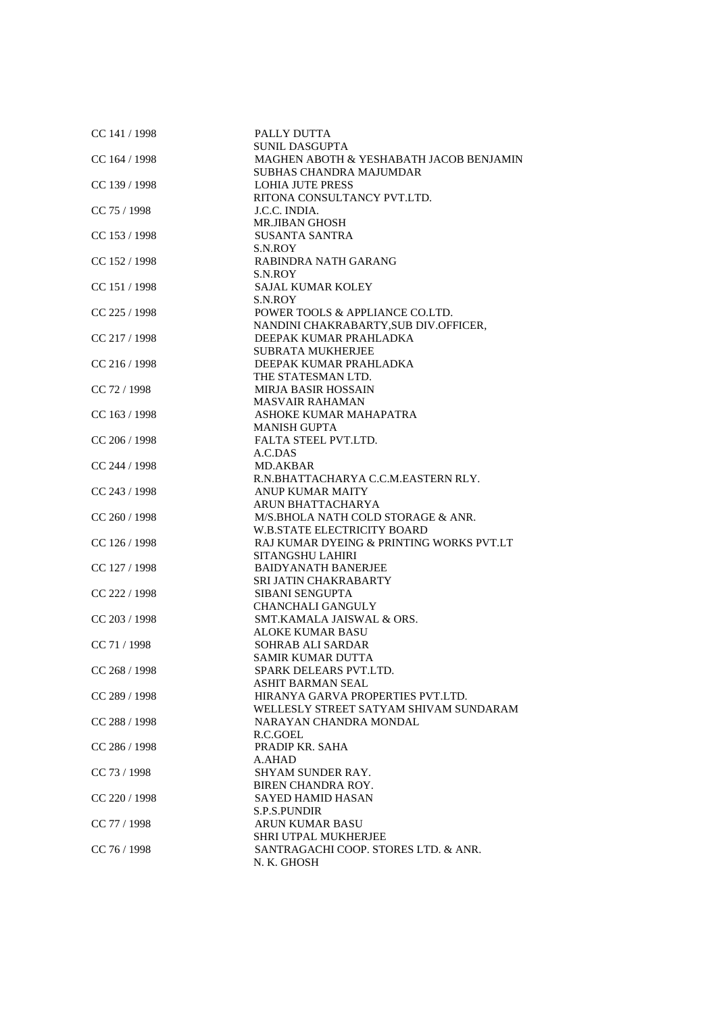| CC 141 / 1998   | PALLY DUTTA                              |
|-----------------|------------------------------------------|
|                 | <b>SUNIL DASGUPTA</b>                    |
| CC 164 / 1998   | MAGHEN ABOTH & YESHABATH JACOB BENJAMIN  |
|                 | <b>SUBHAS CHANDRA MAJUMDAR</b>           |
| CC 139 / 1998   | <b>LOHIA JUTE PRESS</b>                  |
|                 | RITONA CONSULTANCY PVT.LTD.              |
| CC 75 / 1998    | J.C.C. INDIA.                            |
|                 | <b>MR.JIBAN GHOSH</b>                    |
| CC 153 / 1998   | <b>SUSANTA SANTRA</b>                    |
|                 | S.N.ROY                                  |
| CC 152 / 1998   | <b>RABINDRA NATH GARANG</b>              |
|                 | S.N.ROY                                  |
| CC 151 / 1998   | <b>SAJAL KUMAR KOLEY</b>                 |
|                 | S.N.ROY                                  |
| CC 225 / 1998   | POWER TOOLS & APPLIANCE CO.LTD.          |
|                 |                                          |
|                 | NANDINI CHAKRABARTY, SUB DIV.OFFICER,    |
| $CC$ 217 / 1998 | DEEPAK KUMAR PRAHLADKA                   |
|                 | <b>SUBRATA MUKHERJEE</b>                 |
| CC 216 / 1998   | DEEPAK KUMAR PRAHLADKA                   |
|                 | THE STATESMAN LTD.                       |
| CC 72 / 1998    | <b>MIRJA BASIR HOSSAIN</b>               |
|                 | <b>MASVAIR RAHAMAN</b>                   |
| CC 163 / 1998   | ASHOKE KUMAR MAHAPATRA                   |
|                 | <b>MANISH GUPTA</b>                      |
| CC 206 / 1998   | FALTA STEEL PVT.LTD.                     |
|                 | A.C.DAS                                  |
| CC 244 / 1998   | MD.AKBAR                                 |
|                 | R.N.BHATTACHARYA C.C.M.EASTERN RLY.      |
| CC 243 / 1998   | <b>ANUP KUMAR MAITY</b>                  |
|                 | ARUN BHATTACHARYA                        |
| CC 260 / 1998   | M/S.BHOLA NATH COLD STORAGE & ANR.       |
|                 | <b>W.B.STATE ELECTRICITY BOARD</b>       |
| CC 126 / 1998   | RAJ KUMAR DYEING & PRINTING WORKS PVT.LT |
|                 | SITANGSHU LAHIRI                         |
| CC 127 / 1998   | <b>BAIDYANATH BANERJEE</b>               |
|                 | SRI JATIN CHAKRABARTY                    |
| CC 222 / 1998   | <b>SIBANI SENGUPTA</b>                   |
|                 | <b>CHANCHALI GANGULY</b>                 |
| CC 203 / 1998   | SMT.KAMALA JAISWAL & ORS.                |
|                 | <b>ALOKE KUMAR BASU</b>                  |
| CC 71 / 1998    | <b>SOHRAB ALI SARDAR</b>                 |
|                 | <b>SAMIR KUMAR DUTTA</b>                 |
| CC 268 / 1998   | SPARK DELEARS PVT.LTD.                   |
|                 | ASHIT BARMAN SEAL                        |
| CC 289 / 1998   | HIRANYA GARVA PROPERTIES PVT.LTD.        |
|                 | WELLESLY STREET SATYAM SHIVAM SUNDARAM   |
| CC 288 / 1998   | NARAYAN CHANDRA MONDAL                   |
|                 | R.C.GOEL                                 |
| CC 286 / 1998   | PRADIP KR. SAHA                          |
|                 | A.AHAD                                   |
| CC 73 / 1998    | <b>SHYAM SUNDER RAY.</b>                 |
|                 | BIREN CHANDRA ROY.                       |
| $CC$ 220 / 1998 | SAYED HAMID HASAN                        |
|                 | <b>S.P.S.PUNDIR</b>                      |
| CC 77 / 1998    | <b>ARUN KUMAR BASU</b>                   |
|                 | SHRI UTPAL MUKHERJEE                     |
| CC 76 / 1998    | SANTRAGACHI COOP. STORES LTD. & ANR.     |
|                 | N. K. GHOSH                              |
|                 |                                          |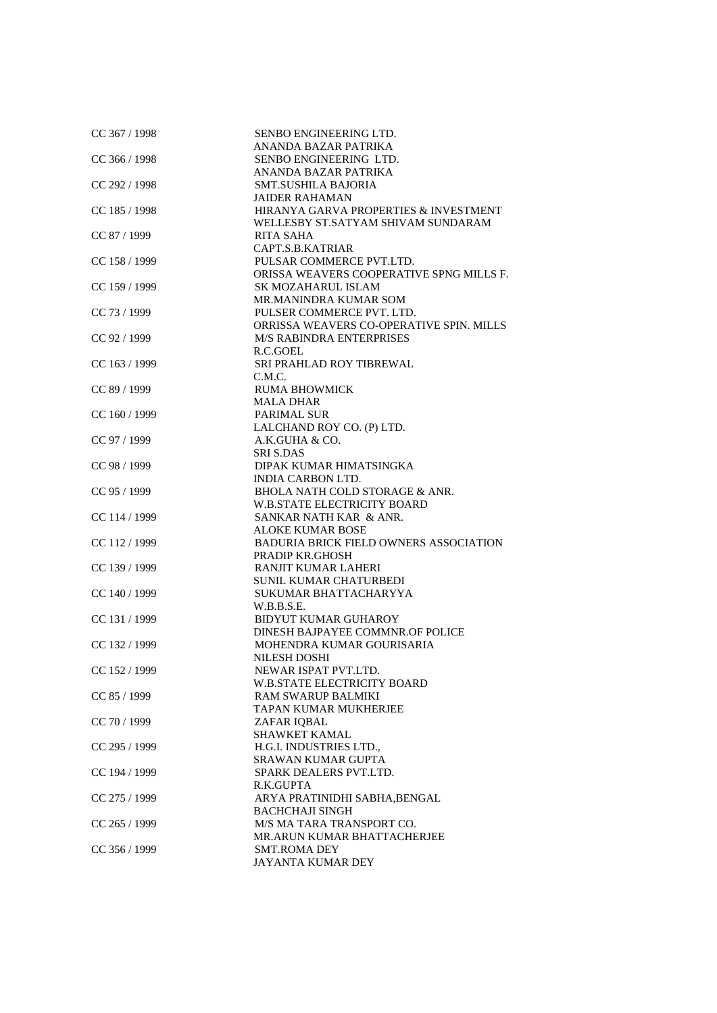| CC 367 / 1998 | SENBO ENGINEERING LTD.                        |
|---------------|-----------------------------------------------|
|               | ANANDA BAZAR PATRIKA                          |
| CC 366 / 1998 | SENBO ENGINEERING LTD.                        |
|               | ANANDA BAZAR PATRIKA                          |
| CC 292 / 1998 | <b>SMT.SUSHILA BAJORIA</b>                    |
|               | JAIDER RAHAMAN                                |
| CC 185 / 1998 | HIRANYA GARVA PROPERTIES & INVESTMENT         |
|               | WELLESBY ST.SATYAM SHIVAM SUNDARAM            |
| CC 87 / 1999  | RITA SAHA                                     |
|               | CAPT.S.B.KATRIAR                              |
| CC 158 / 1999 | PULSAR COMMERCE PVT.LTD.                      |
|               | ORISSA WEAVERS COOPERATIVE SPNG MILLS F.      |
| CC 159 / 1999 | SK MOZAHARUL ISLAM                            |
|               | MR.MANINDRA KUMAR SOM                         |
| CC 73 / 1999  | PULSER COMMERCE PVT. LTD.                     |
|               | ORRISSA WEAVERS CO-OPERATIVE SPIN. MILLS      |
| CC 92 / 1999  | <b>M/S RABINDRA ENTERPRISES</b>               |
|               | R.C.GOEL                                      |
| CC 163 / 1999 | SRI PRAHLAD ROY TIBREWAL                      |
|               | C.M.C.                                        |
| CC 89 / 1999  | <b>RUMA BHOWMICK</b>                          |
|               | <b>MALA DHAR</b>                              |
| CC 160 / 1999 | <b>PARIMAL SUR</b>                            |
|               |                                               |
|               | LALCHAND ROY CO. (P) LTD.                     |
| CC 97 / 1999  | A.K.GUHA & CO.                                |
|               | <b>SRI S.DAS</b>                              |
| CC 98 / 1999  | DIPAK KUMAR HIMATSINGKA                       |
|               | <b>INDIA CARBON LTD.</b>                      |
| CC 95 / 1999  | BHOLA NATH COLD STORAGE & ANR.                |
|               | W.B.STATE ELECTRICITY BOARD                   |
| CC 114 / 1999 | SANKAR NATH KAR & ANR.                        |
|               | <b>ALOKE KUMAR BOSE</b>                       |
| CC 112 / 1999 | <b>BADURIA BRICK FIELD OWNERS ASSOCIATION</b> |
|               | PRADIP KR.GHOSH                               |
| CC 139 / 1999 | RANJIT KUMAR LAHERI                           |
|               | SUNIL KUMAR CHATURBEDI                        |
| CC 140 / 1999 | SUKUMAR BHATTACHARYYA                         |
|               | W.B.B.S.E.                                    |
| CC 131 / 1999 | <b>BIDYUT KUMAR GUHAROY</b>                   |
|               | DINESH BAJPAYEE COMMNR.OF POLICE              |
| CC 132 / 1999 | MOHENDRA KUMAR GOURISARIA                     |
|               | NILESH DOSHI                                  |
| CC 152 / 1999 | NEWAR ISPAT PVT.LTD.                          |
|               | <b>W.B.STATE ELECTRICITY BOARD</b>            |
| CC 85 / 1999  | <b>RAM SWARUP BALMIKI</b>                     |
|               | <b>TAPAN KUMAR MUKHERJEE</b>                  |
| CC 70 / 1999  | ZAFAR IQBAL                                   |
|               | SHAWKET KAMAL                                 |
| CC 295 / 1999 | H.G.I. INDUSTRIES LTD.,                       |
|               | <b>SRAWAN KUMAR GUPTA</b>                     |
| CC 194 / 1999 | SPARK DEALERS PVT.LTD.                        |
|               | R.K.GUPTA                                     |
| CC 275 / 1999 | ARYA PRATINIDHI SABHA, BENGAL                 |
|               | <b>BACHCHAJI SINGH</b>                        |
| CC 265 / 1999 | M/S MA TARA TRANSPORT CO.                     |
|               | MR.ARUN KUMAR BHATTACHERJEE                   |
| CC 356 / 1999 | <b>SMT.ROMA DEY</b>                           |
|               | JAYANTA KUMAR DEY                             |
|               |                                               |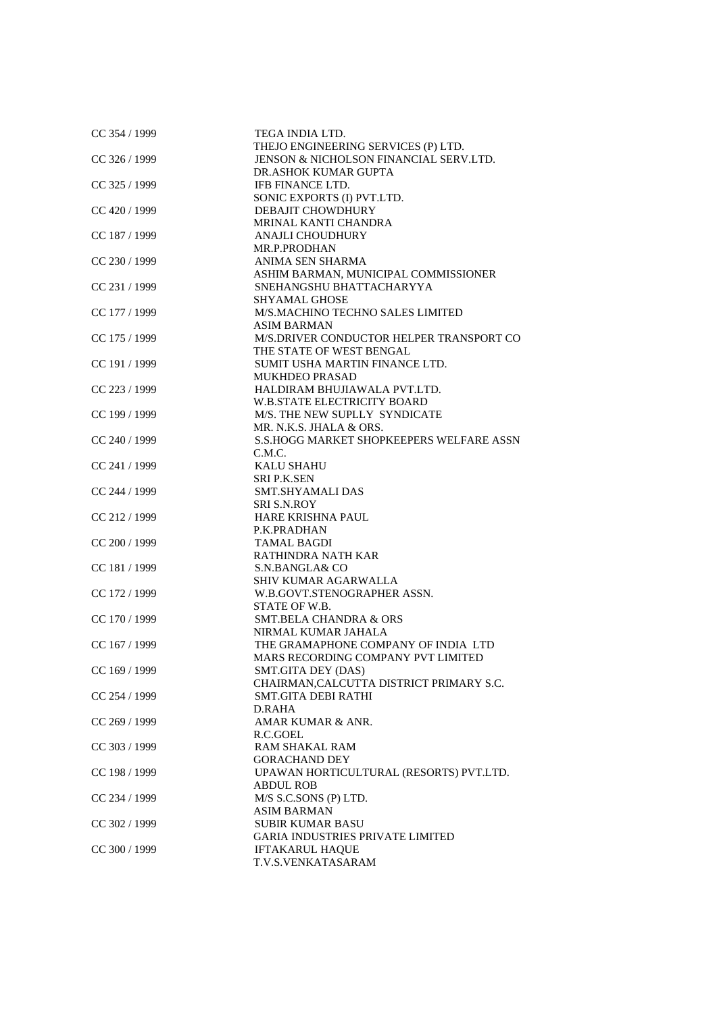| CC 354 / 1999   | TEGA INDIA LTD.                           |
|-----------------|-------------------------------------------|
|                 | THEJO ENGINEERING SERVICES (P) LTD.       |
| CC 326 / 1999   | JENSON & NICHOLSON FINANCIAL SERV.LTD.    |
|                 | DR.ASHOK KUMAR GUPTA                      |
| CC 325 / 1999   | IFB FINANCE LTD.                          |
|                 | SONIC EXPORTS (I) PVT.LTD.                |
| CC 420 / 1999   | <b>DEBAJIT CHOWDHURY</b>                  |
|                 | MRINAL KANTI CHANDRA                      |
| CC 187 / 1999   | ANAJLI CHOUDHURY                          |
|                 | MR.P.PRODHAN                              |
| CC 230 / 1999   | ANIMA SEN SHARMA                          |
|                 | ASHIM BARMAN, MUNICIPAL COMMISSIONER      |
| CC 231 / 1999   | SNEHANGSHU BHATTACHARYYA                  |
|                 | <b>SHYAMAL GHOSE</b>                      |
| CC 177 / 1999   | M/S.MACHINO TECHNO SALES LIMITED          |
|                 | <b>ASIM BARMAN</b>                        |
|                 | M/S.DRIVER CONDUCTOR HELPER TRANSPORT CO  |
| CC 175 / 1999   | THE STATE OF WEST BENGAL                  |
|                 |                                           |
| CC 191 / 1999   | SUMIT USHA MARTIN FINANCE LTD.            |
|                 | <b>MUKHDEO PRASAD</b>                     |
| CC 223 / 1999   | HALDIRAM BHUJIAWALA PVT.LTD.              |
|                 | <b>W.B.STATE ELECTRICITY BOARD</b>        |
| CC 199 / 1999   | M/S. THE NEW SUPLLY SYNDICATE             |
|                 | MR. N.K.S. JHALA & ORS.                   |
| CC 240 / 1999   | S.S.HOGG MARKET SHOPKEEPERS WELFARE ASSN  |
|                 | C.M.C.                                    |
| CC 241 / 1999   | <b>KALU SHAHU</b>                         |
|                 | <b>SRI P.K.SEN</b>                        |
| CC 244 / 1999   | <b>SMT.SHYAMALI DAS</b>                   |
|                 | <b>SRI S.N.ROY</b>                        |
| CC 212 / 1999   | <b>HARE KRISHNA PAUL</b>                  |
|                 | P.K.PRADHAN                               |
| CC 200 / 1999   | <b>TAMAL BAGDI</b>                        |
|                 | RATHINDRA NATH KAR                        |
| CC 181 / 1999   | S.N.BANGLA& CO                            |
|                 | <b>SHIV KUMAR AGARWALLA</b>               |
| CC 172 / 1999   | W.B.GOVT.STENOGRAPHER ASSN.               |
|                 | STATE OF W.B.                             |
| CC 170 / 1999   | <b>SMT.BELA CHANDRA &amp; ORS</b>         |
|                 | NIRMAL KUMAR JAHALA                       |
| CC 167 / 1999   | THE GRAMAPHONE COMPANY OF INDIA LTD       |
|                 | <b>MARS RECORDING COMPANY PVT LIMITED</b> |
| CC 169 / 1999   | SMT.GITA DEY (DAS)                        |
|                 | CHAIRMAN, CALCUTTA DISTRICT PRIMARY S.C.  |
| CC 254 / 1999   | <b>SMT.GITA DEBI RATHI</b>                |
|                 | D.RAHA                                    |
| CC 269 / 1999   | AMAR KUMAR & ANR.                         |
|                 | R.C.GOEL                                  |
| CC 303 / 1999   | <b>RAM SHAKAL RAM</b>                     |
|                 | <b>GORACHAND DEY</b>                      |
| CC 198 / 1999   | UPAWAN HORTICULTURAL (RESORTS) PVT.LTD.   |
|                 | <b>ABDUL ROB</b>                          |
| CC 234 / 1999   | M/S S.C.SONS (P) LTD.                     |
|                 | <b>ASIM BARMAN</b>                        |
| CC 302 / 1999   | <b>SUBIR KUMAR BASU</b>                   |
|                 | <b>GARIA INDUSTRIES PRIVATE LIMITED</b>   |
| $CC$ 300 / 1999 | <b>IFTAKARUL HAQUE</b>                    |
|                 | T.V.S.VENKATASARAM                        |
|                 |                                           |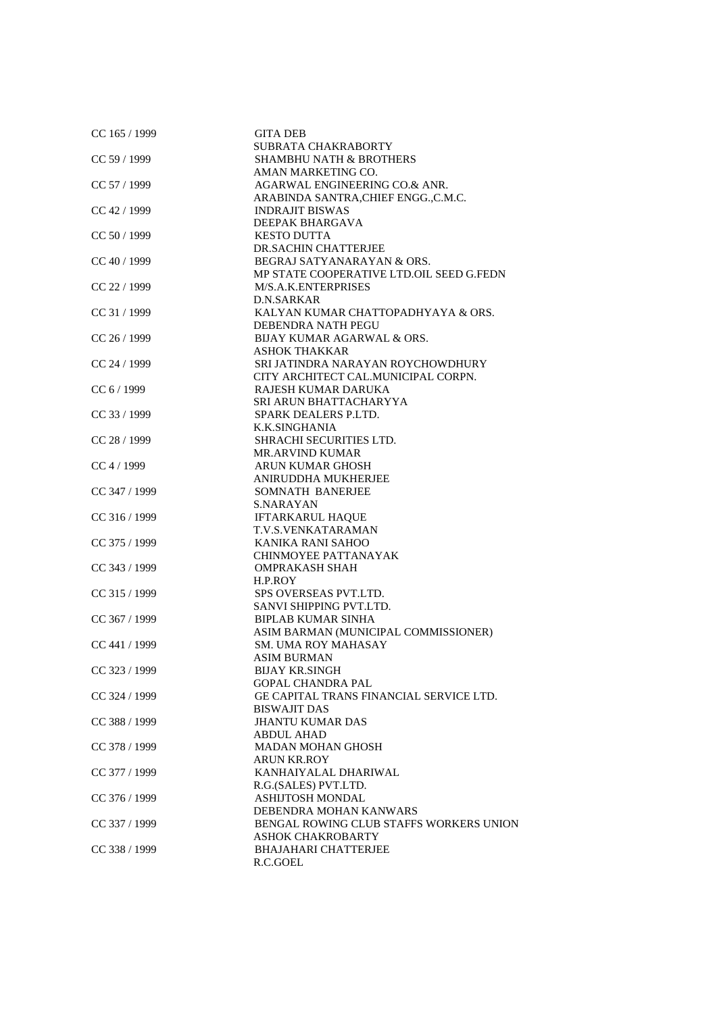| CC 165 / 1999   | <b>GITA DEB</b>                                |
|-----------------|------------------------------------------------|
|                 | SUBRATA CHAKRABORTY                            |
| CC 59 / 1999    | <b>SHAMBHU NATH &amp; BROTHERS</b>             |
|                 | AMAN MARKETING CO.                             |
| CC 57 / 1999    | AGARWAL ENGINEERING CO.& ANR.                  |
|                 | ARABINDA SANTRA, CHIEF ENGG., C.M.C.           |
| CC 42 / 1999    | <b>INDRAJIT BISWAS</b>                         |
|                 | DEEPAK BHARGAVA                                |
| CC 50 / 1999    | <b>KESTO DUTTA</b>                             |
|                 | DR.SACHIN CHATTERJEE                           |
|                 |                                                |
| CC 40 / 1999    | BEGRAJ SATYANARAYAN & ORS.                     |
|                 | MP STATE COOPERATIVE LTD.OIL SEED G.FEDN       |
| CC 22 / 1999    | M/S.A.K.ENTERPRISES                            |
|                 | D.N.SARKAR                                     |
| CC 31 / 1999    | KALYAN KUMAR CHATTOPADHYAYA & ORS.             |
|                 | DEBENDRA NATH PEGU                             |
| $CC$ 26 / 1999  | BIJAY KUMAR AGARWAL & ORS.                     |
|                 | ASHOK THAKKAR                                  |
| CC 24 / 1999    | SRI JATINDRA NARAYAN ROYCHOWDHURY              |
|                 | CITY ARCHITECT CAL.MUNICIPAL CORPN.            |
| CC 6 / 1999     | RAJESH KUMAR DARUKA                            |
|                 | SRI ARUN BHATTACHARYYA                         |
| $CC$ 33 / 1999  | SPARK DEALERS P.LTD.                           |
|                 |                                                |
|                 | K.K.SINGHANIA                                  |
| CC 28 / 1999    | SHRACHI SECURITIES LTD.                        |
|                 | <b>MR.ARVIND KUMAR</b>                         |
| CC 4 / 1999     | <b>ARUN KUMAR GHOSH</b>                        |
|                 | ANIRUDDHA MUKHERJEE                            |
| CC 347 / 1999   | SOMNATH BANERJEE                               |
|                 | <b>S.NARAYAN</b>                               |
| CC 316 / 1999   | <b>IFTARKARUL HAQUE</b>                        |
|                 | T.V.S.VENKATARAMAN                             |
| CC 375 / 1999   | KANIKA RANI SAHOO                              |
|                 | CHINMOYEE PATTANAYAK                           |
| $CC$ 343 / 1999 | <b>OMPRAKASH SHAH</b>                          |
|                 | H.P.ROY                                        |
|                 |                                                |
| CC 315 / 1999   | SPS OVERSEAS PVT.LTD.                          |
|                 | SANVI SHIPPING PVT.LTD.                        |
| CC 367 / 1999   | <b>BIPLAB KUMAR SINHA</b>                      |
|                 | ASIM BARMAN (MUNICIPAL COMMISSIONER)           |
| CC 441 / 1999   | SM. UMA ROY MAHASAY                            |
|                 | <b>ASIM BURMAN</b>                             |
| CC 323 / 1999   | BIJAY KR.SINGH                                 |
|                 | GOPAL CHANDRA PAL                              |
| CC 324 / 1999   | <b>GE CAPITAL TRANS FINANCIAL SERVICE LTD.</b> |
|                 | <b>BISWAJIT DAS</b>                            |
| CC 388 / 1999   | <b>JHANTU KUMAR DAS</b>                        |
|                 | ABDUL AHAD                                     |
| CC 378 / 1999   | <b>MADAN MOHAN GHOSH</b>                       |
|                 |                                                |
|                 | ARUN KR.ROY                                    |
| CC 377 / 1999   | KANHAIYALAL DHARIWAL                           |
|                 | R.G.(SALES) PVT.LTD.                           |
| CC 376 / 1999   | <b>ASHIJTOSH MONDAL</b>                        |
|                 | DEBENDRA MOHAN KANWARS                         |
| CC 337 / 1999   | BENGAL ROWING CLUB STAFFS WORKERS UNION        |
|                 | ASHOK CHAKROBARTY                              |
| $CC$ 338 / 1999 | <b>BHAJAHARI CHATTERJEE</b>                    |
|                 | R.C.GOEL                                       |
|                 |                                                |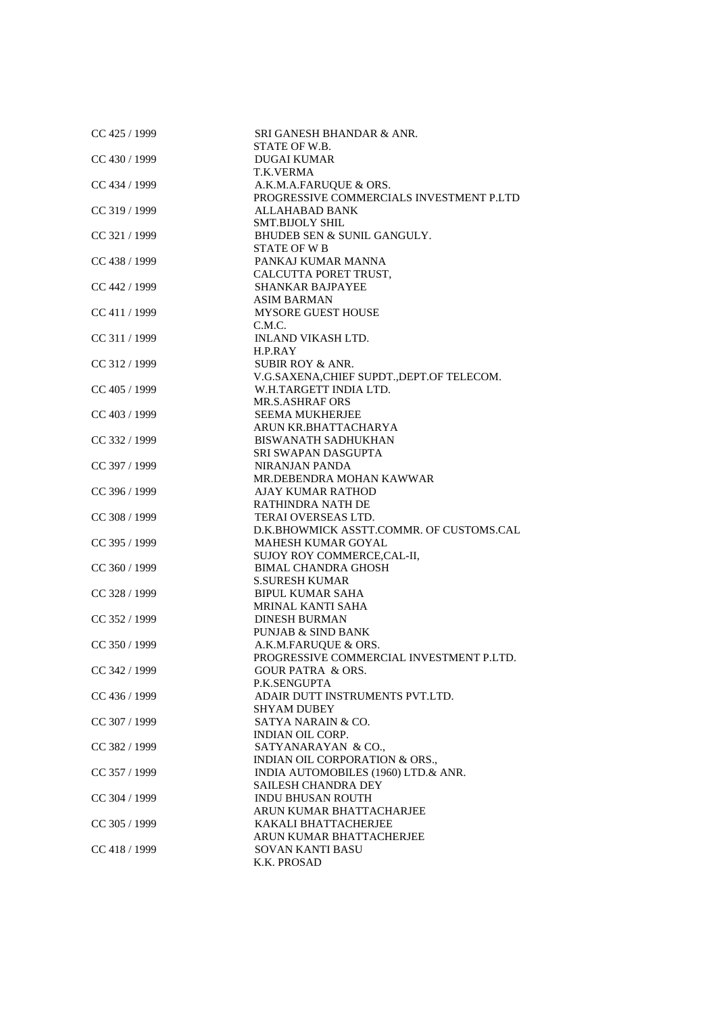| CC 425 / 1999   | SRI GANESH BHANDAR & ANR.                   |
|-----------------|---------------------------------------------|
|                 | STATE OF W.B.                               |
| CC 430 / 1999   | <b>DUGAI KUMAR</b>                          |
|                 | T.K.VERMA                                   |
| CC 434 / 1999   | A.K.M.A.FARUQUE & ORS.                      |
|                 | PROGRESSIVE COMMERCIALS INVESTMENT P.LTD    |
| CC 319 / 1999   | ALLAHABAD BANK                              |
|                 | <b>SMT.BIJOLY SHIL</b>                      |
| CC 321 / 1999   | BHUDEB SEN & SUNIL GANGULY.                 |
|                 | <b>STATE OF W B</b>                         |
| CC 438 / 1999   | PANKAJ KUMAR MANNA                          |
|                 | CALCUTTA PORET TRUST,                       |
| CC 442 / 1999   | <b>SHANKAR BAJPAYEE</b>                     |
|                 | <b>ASIM BARMAN</b>                          |
|                 | <b>MYSORE GUEST HOUSE</b>                   |
| CC 411 / 1999   |                                             |
|                 | C.M.C.                                      |
| CC 311 / 1999   | INLAND VIKASH LTD.                          |
|                 | H.P.RAY                                     |
| CC 312 / 1999   | <b>SUBIR ROY &amp; ANR.</b>                 |
|                 | V.G.SAXENA, CHIEF SUPDT., DEPT. OF TELECOM. |
| CC 405 / 1999   | W.H.TARGETT INDIA LTD.                      |
|                 | <b>MR.S.ASHRAF ORS</b>                      |
| CC 403 / 1999   | <b>SEEMA MUKHERJEE</b>                      |
|                 | ARUN KR.BHATTACHARYA                        |
| CC 332 / 1999   | <b>BISWANATH SADHUKHAN</b>                  |
|                 | SRI SWAPAN DASGUPTA                         |
| CC 397 / 1999   | <b>NIRANJAN PANDA</b>                       |
|                 | MR.DEBENDRA MOHAN KAWWAR                    |
| CC 396 / 1999   | <b>AJAY KUMAR RATHOD</b>                    |
|                 | RATHINDRA NATH DE                           |
| CC 308 / 1999   | TERAI OVERSEAS LTD.                         |
|                 | D.K.BHOWMICK ASSTT.COMMR. OF CUSTOMS.CAL    |
| CC 395 / 1999   | MAHESH KUMAR GOYAL                          |
|                 | SUJOY ROY COMMERCE, CAL-II,                 |
| CC 360 / 1999   | <b>BIMAL CHANDRA GHOSH</b>                  |
|                 | <b>S.SURESH KUMAR</b>                       |
|                 |                                             |
| CC 328 / 1999   | <b>BIPUL KUMAR SAHA</b>                     |
|                 | <b>MRINAL KANTI SAHA</b>                    |
| $CC$ 352 / 1999 | <b>DINESH BURMAN</b>                        |
|                 | <b>PUNJAB &amp; SIND BANK</b>               |
| CC 350 / 1999   | A.K.M.FARUQUE & ORS.                        |
|                 | PROGRESSIVE COMMERCIAL INVESTMENT P.LTD.    |
| CC 342 / 1999   | <b>GOUR PATRA &amp; ORS.</b>                |
|                 | P.K.SENGUPTA                                |
| CC 436 / 1999   | ADAIR DUTT INSTRUMENTS PVT.LTD.             |
|                 | <b>SHYAM DUBEY</b>                          |
| CC 307 / 1999   | SATYA NARAIN & CO.                          |
|                 | <b>INDIAN OIL CORP.</b>                     |
| CC 382 / 1999   | SATYANARAYAN & CO.,                         |
|                 | INDIAN OIL CORPORATION & ORS.,              |
| CC 357 / 1999   | INDIA AUTOMOBILES (1960) LTD.& ANR.         |
|                 | <b>SAILESH CHANDRA DEY</b>                  |
| CC 304 / 1999   | INDU BHUSAN ROUTH                           |
|                 | ARUN KUMAR BHATTACHARJEE                    |
| CC 305 / 1999   | KAKALI BHATTACHERJEE                        |
|                 | ARUN KUMAR BHATTACHERJEE                    |
| $CC$ 418 / 1999 | <b>SOVAN KANTI BASU</b>                     |
|                 | K.K. PROSAD                                 |
|                 |                                             |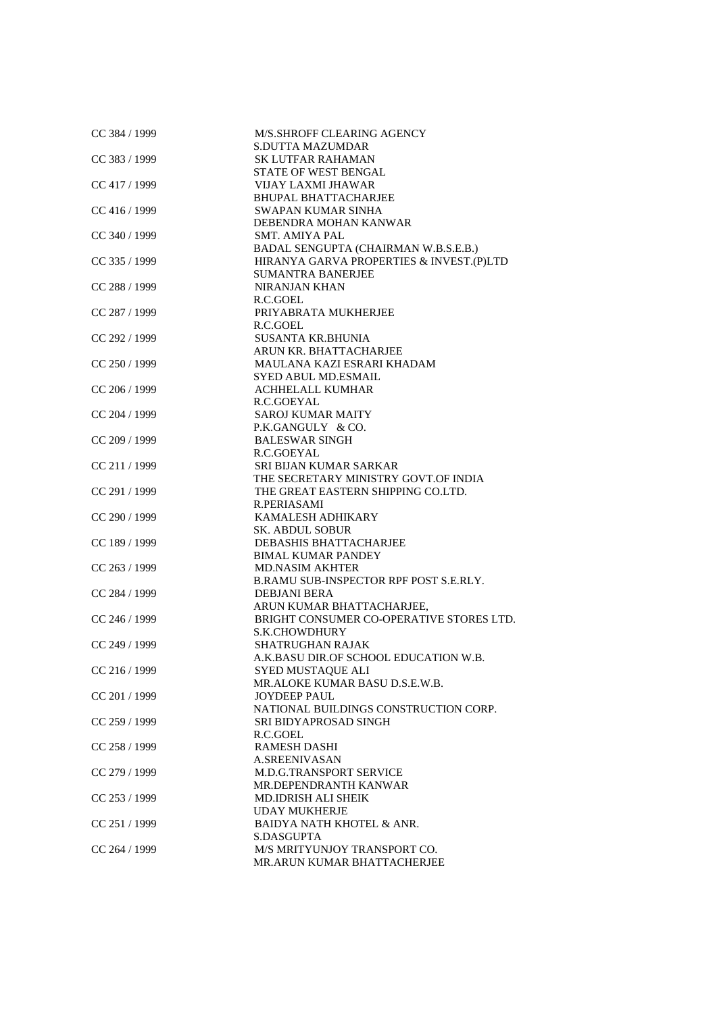| CC 384 / 1999   | M/S.SHROFF CLEARING AGENCY               |
|-----------------|------------------------------------------|
|                 | <b>S.DUTTA MAZUMDAR</b>                  |
| CC 383 / 1999   | <b>SK LUTFAR RAHAMAN</b>                 |
|                 | <b>STATE OF WEST BENGAL</b>              |
| CC 417 / 1999   | <b>VIJAY LAXMI JHAWAR</b>                |
|                 | <b>BHUPAL BHATTACHARJEE</b>              |
| $CC$ 416 / 1999 | SWAPAN KUMAR SINHA                       |
|                 | DEBENDRA MOHAN KANWAR                    |
| CC 340 / 1999   | <b>SMT. AMIYA PAL</b>                    |
|                 | BADAL SENGUPTA (CHAIRMAN W.B.S.E.B.)     |
| CC 335 / 1999   | HIRANYA GARVA PROPERTIES & INVEST.(P)LTD |
|                 | <b>SUMANTRA BANERJEE</b>                 |
| CC 288 / 1999   | <b>NIRANJAN KHAN</b>                     |
|                 | R.C.GOEL                                 |
| CC 287 / 1999   | PRIYABRATA MUKHERJEE                     |
|                 |                                          |
|                 | R.C.GOEL                                 |
| CC 292 / 1999   | <b>SUSANTA KR.BHUNIA</b>                 |
|                 | ARUN KR. BHATTACHARJEE                   |
| CC 250 / 1999   | MAULANA KAZI ESRARI KHADAM               |
|                 | SYED ABUL MD.ESMAIL                      |
| CC 206 / 1999   | <b>ACHHELALL KUMHAR</b>                  |
|                 | R.C.GOEYAL                               |
| CC 204 / 1999   | <b>SAROJ KUMAR MAITY</b>                 |
|                 | P.K.GANGULY & CO.                        |
| CC 209 / 1999   | <b>BALESWAR SINGH</b>                    |
|                 | R.C.GOEYAL                               |
| CC 211 / 1999   | SRI BIJAN KUMAR SARKAR                   |
|                 | THE SECRETARY MINISTRY GOVT.OF INDIA     |
|                 |                                          |
| CC 291 / 1999   | THE GREAT EASTERN SHIPPING CO.LTD.       |
|                 | R.PERIASAMI                              |
| CC 290 / 1999   | <b>KAMALESH ADHIKARY</b>                 |
|                 | <b>SK. ABDUL SOBUR</b>                   |
| CC 189 / 1999   | DEBASHIS BHATTACHARJEE                   |
|                 | <b>BIMAL KUMAR PANDEY</b>                |
| $CC$ 263 / 1999 | <b>MD.NASIM AKHTER</b>                   |
|                 | B.RAMU SUB-INSPECTOR RPF POST S.E.RLY.   |
| CC 284 / 1999   | <b>DEBJANI BERA</b>                      |
|                 | ARUN KUMAR BHATTACHARJEE,                |
| CC 246 / 1999   | BRIGHT CONSUMER CO-OPERATIVE STORES LTD. |
|                 | S.K.CHOWDHURY                            |
| CC 249 / 1999   | <b>SHATRUGHAN RAJAK</b>                  |
|                 | A.K.BASU DIR.OF SCHOOL EDUCATION W.B.    |
| CC 216 / 1999   | SYED MUSTAQUE ALI                        |
|                 | MR.ALOKE KUMAR BASU D.S.E.W.B.           |
|                 |                                          |
| CC 201 / 1999   | <b>JOYDEEP PAUL</b>                      |
|                 | NATIONAL BUILDINGS CONSTRUCTION CORP.    |
| CC 259 / 1999   | SRI BIDYAPROSAD SINGH                    |
|                 | R.C.GOEL                                 |
| CC 258 / 1999   | <b>RAMESH DASHI</b>                      |
|                 | <b>A.SREENIVASAN</b>                     |
| CC 279 / 1999   | <b>M.D.G.TRANSPORT SERVICE</b>           |
|                 | MR.DEPENDRANTH KANWAR                    |
| CC 253 / 1999   | <b>MD.IDRISH ALI SHEIK</b>               |
|                 | <b>UDAY MUKHERJE</b>                     |
| CC 251 / 1999   | <b>BAIDYA NATH KHOTEL &amp; ANR.</b>     |
|                 | S.DASGUPTA                               |
| CC 264 / 1999   | M/S MRITYUNJOY TRANSPORT CO.             |
|                 | MR.ARUN KUMAR BHATTACHERJEE              |
|                 |                                          |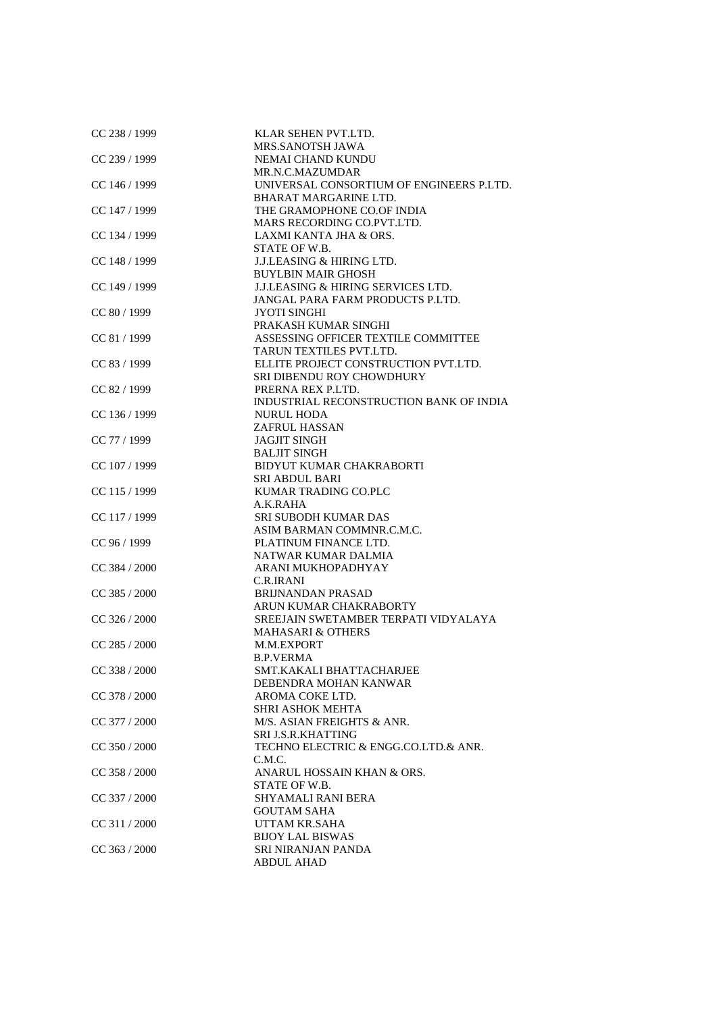| CC 238 / 1999   | KLAR SEHEN PVT.LTD.                           |
|-----------------|-----------------------------------------------|
|                 | MRS.SANOTSH JAWA                              |
| CC 239 / 1999   | NEMAI CHAND KUNDU                             |
|                 | MR.N.C.MAZUMDAR                               |
| $CC$ 146 / 1999 | UNIVERSAL CONSORTIUM OF ENGINEERS P.LTD.      |
|                 | BHARAT MARGARINE LTD.                         |
| CC 147 / 1999   | THE GRAMOPHONE CO.OF INDIA                    |
|                 | MARS RECORDING CO.PVT.LTD.                    |
| CC 134 / 1999   | LAXMI KANTA JHA & ORS.                        |
|                 | STATE OF W.B.                                 |
| CC 148 / 1999   | <b>J.J.LEASING &amp; HIRING LTD.</b>          |
|                 | <b>BUYLBIN MAIR GHOSH</b>                     |
| CC 149 / 1999   | <b>J.J.LEASING &amp; HIRING SERVICES LTD.</b> |
|                 | JANGAL PARA FARM PRODUCTS P.LTD.              |
| CC 80 / 1999    | JYOTI SINGHI                                  |
|                 | PRAKASH KUMAR SINGHI                          |
|                 | ASSESSING OFFICER TEXTILE COMMITTEE           |
| CC 81 / 1999    |                                               |
|                 | TARUN TEXTILES PVT.LTD.                       |
| CC 83 / 1999    | ELLITE PROJECT CONSTRUCTION PVT.LTD.          |
|                 | SRI DIBENDU ROY CHOWDHURY                     |
| CC 82 / 1999    | PRERNA REX P.LTD.                             |
|                 | INDUSTRIAL RECONSTRUCTION BANK OF INDIA       |
| CC 136 / 1999   | <b>NURUL HODA</b>                             |
|                 | <b>ZAFRUL HASSAN</b>                          |
| CC 77 / 1999    | <b>JAGJIT SINGH</b>                           |
|                 | <b>BALJIT SINGH</b>                           |
| CC 107 / 1999   | <b>BIDYUT KUMAR CHAKRABORTI</b>               |
|                 | <b>SRI ABDUL BARI</b>                         |
| CC 115 / 1999   | KUMAR TRADING CO.PLC                          |
|                 | A.K.RAHA                                      |
| CC 117 / 1999   | <b>SRI SUBODH KUMAR DAS</b>                   |
|                 | ASIM BARMAN COMMNR.C.M.C.                     |
| CC 96 / 1999    | PLATINUM FINANCE LTD.                         |
|                 | NATWAR KUMAR DALMIA                           |
| CC 384 / 2000   | ARANI MUKHOPADHYAY                            |
|                 | <b>C.R.IRANI</b>                              |
| CC 385 / 2000   | <b>BRIJNANDAN PRASAD</b>                      |
|                 | ARUN KUMAR CHAKRABORTY                        |
| $CC$ 326 / 2000 | SREEJAIN SWETAMBER TERPATI VIDYALAYA          |
|                 | <b>MAHASARI &amp; OTHERS</b>                  |
| $CC$ 285 / 2000 | M.M.EXPORT                                    |
|                 | <b>B.P.VERMA</b>                              |
| CC 338 / 2000   | SMT.KAKALI BHATTACHARJEE                      |
|                 | DEBENDRA MOHAN KANWAR                         |
| CC 378 / 2000   | AROMA COKE LTD.                               |
|                 | <b>SHRI ASHOK MEHTA</b>                       |
| CC 377 / 2000   | M/S. ASIAN FREIGHTS & ANR.                    |
|                 | SRI J.S.R.KHATTING                            |
| CC 350 / 2000   | TECHNO ELECTRIC & ENGG.CO.LTD.& ANR.          |
|                 | C.M.C.                                        |
| $CC$ 358 / 2000 | ANARUL HOSSAIN KHAN & ORS.                    |
|                 | STATE OF W.B.                                 |
| $CC$ 337 / 2000 | <b>SHYAMALI RANI BERA</b>                     |
|                 | <b>GOUTAM SAHA</b>                            |
| CC 311 / 2000   | UTTAM KR.SAHA                                 |
|                 | <b>BIJOY LAL BISWAS</b>                       |
| $CC$ 363 / 2000 | SRI NIRANJAN PANDA                            |
|                 | <b>ABDUL AHAD</b>                             |
|                 |                                               |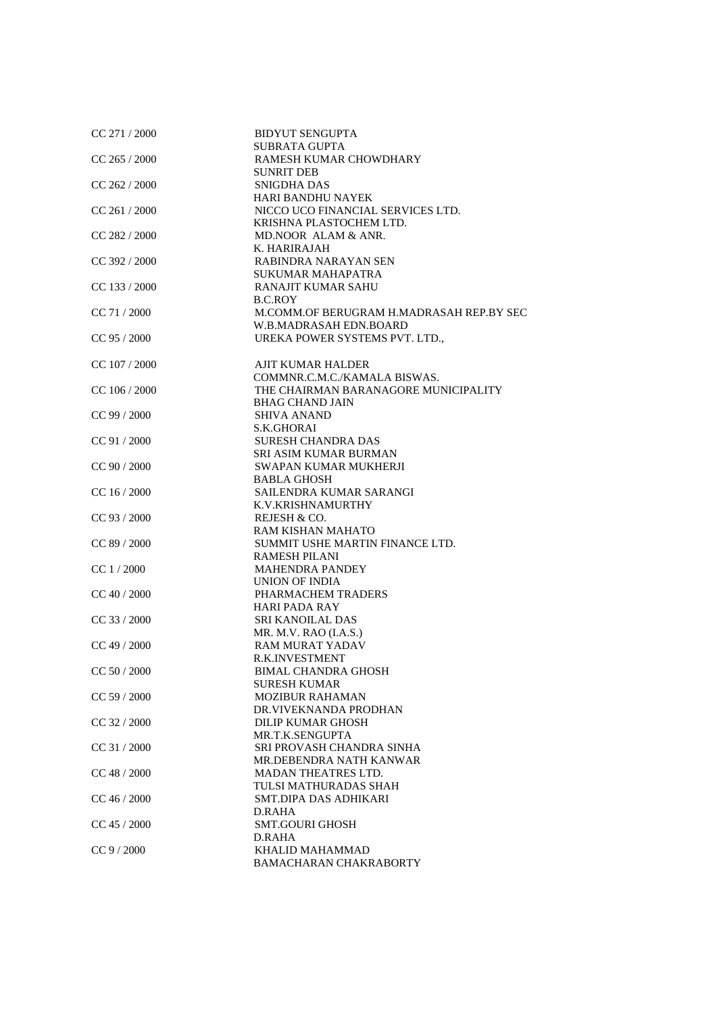| CC 271 / 2000   | <b>BIDYUT SENGUPTA</b>                   |
|-----------------|------------------------------------------|
|                 | <b>SUBRATA GUPTA</b>                     |
| $CC$ 265 / 2000 | RAMESH KUMAR CHOWDHARY                   |
|                 | <b>SUNRIT DEB</b>                        |
| $CC$ 262 / 2000 | SNIGDHA DAS                              |
|                 | <b>HARI BANDHU NAYEK</b>                 |
| CC 261/2000     | NICCO UCO FINANCIAL SERVICES LTD.        |
|                 | KRISHNA PLASTOCHEM LTD.                  |
| CC 282 / 2000   | MD.NOOR ALAM & ANR.                      |
|                 | K. HARIRAJAH                             |
| CC 392 / 2000   | RABINDRA NARAYAN SEN                     |
|                 | <b>SUKUMAR MAHAPATRA</b>                 |
| $CC$ 133 / 2000 | <b>RANAJIT KUMAR SAHU</b>                |
|                 | B.C.ROY                                  |
| CC 71 / 2000    | M.COMM.OF BERUGRAM H.MADRASAH REP.BY SEC |
|                 | W.B.MADRASAH EDN.BOARD                   |
| CC 95 / 2000    | UREKA POWER SYSTEMS PVT. LTD.,           |
|                 |                                          |
| $CC$ 107 / 2000 | <b>AJIT KUMAR HALDER</b>                 |
|                 | COMMNR.C.M.C./KAMALA BISWAS.             |
| CC 106 / 2000   | THE CHAIRMAN BARANAGORE MUNICIPALITY     |
|                 | <b>BHAG CHAND JAIN</b>                   |
| CC 99 / 2000    | <b>SHIVA ANAND</b>                       |
|                 | S.K.GHORAI                               |
| CC 91 / 2000    | <b>SURESH CHANDRA DAS</b>                |
|                 | <b>SRI ASIM KUMAR BURMAN</b>             |
| CC 90 / 2000    | SWAPAN KUMAR MUKHERJI                    |
|                 | <b>BABLA GHOSH</b>                       |
| CC 16 / 2000    | SAILENDRA KUMAR SARANGI                  |
|                 | K.V.KRISHNAMURTHY                        |
| CC 93 / 2000    | REJESH & CO.                             |
|                 | RAM KISHAN MAHATO                        |
| CC 89 / 2000    | SUMMIT USHE MARTIN FINANCE LTD.          |
|                 | <b>RAMESH PILANI</b>                     |
| CC 1 / 2000     | <b>MAHENDRA PANDEY</b>                   |
|                 | UNION OF INDIA                           |
| CC 40 / 2000    | PHARMACHEM TRADERS                       |
|                 | <b>HARI PADA RAY</b>                     |
| CC 33 / 2000    | <b>SRI KANOILAL DAS</b>                  |
|                 | MR. M.V. RAO (I.A.S.)                    |
| $CC$ 49 / 2000  | <b>RAM MURAT YADAV</b>                   |
|                 | <b>R.K.INVESTMENT</b>                    |
| CC 50 / 2000    | <b>BIMAL CHANDRA GHOSH</b>               |
|                 | <b>SURESH KUMAR</b>                      |
| CC 59 / 2000    | <b>MOZIBUR RAHAMAN</b>                   |
|                 | DR.VIVEKNANDA PRODHAN                    |
| CC 32 / 2000    | DILIP KUMAR GHOSH                        |
|                 | MR.T.K.SENGUPTA                          |
| CC 31 / 2000    | SRI PROVASH CHANDRA SINHA                |
|                 | MR.DEBENDRA NATH KANWAR                  |
| CC 48 / 2000    | <b>MADAN THEATRES LTD.</b>               |
|                 | TULSI MATHURADAS SHAH                    |
| $CC$ 46 / 2000  | SMT.DIPA DAS ADHIKARI                    |
|                 | D.RAHA                                   |
| $CC$ 45 / 2000  | <b>SMT.GOURI GHOSH</b>                   |
|                 | D.RAHA                                   |
| $CC$ 9 / 2000   | KHALID MAHAMMAD                          |
|                 | BAMACHARAN CHAKRABORTY                   |
|                 |                                          |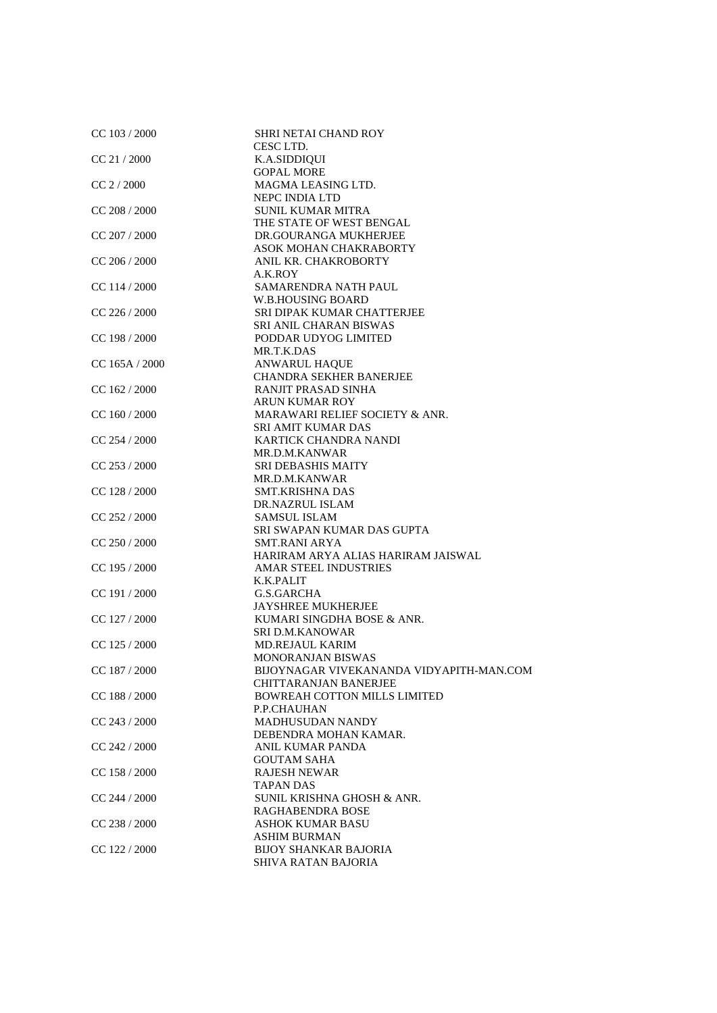| CC 103 / 2000    | <b>SHRI NETAI CHAND ROY</b><br>CESC LTD.             |
|------------------|------------------------------------------------------|
| CC 21 / 2000     | K.A.SIDDIQUI                                         |
|                  | <b>GOPAL MORE</b>                                    |
| $CC$ 2 $/$ 2000  | MAGMA LEASING LTD.                                   |
|                  | NEPC INDIA LTD                                       |
| $CC$ 208 / 2000  | <b>SUNIL KUMAR MITRA</b><br>THE STATE OF WEST BENGAL |
|                  | DR.GOURANGA MUKHERJEE                                |
| $CC$ 207 / 2000  | ASOK MOHAN CHAKRABORTY                               |
| $CC$ 206 / 2000  | ANIL KR. CHAKROBORTY                                 |
|                  | A.K.ROY                                              |
| CC 114 / 2000    | SAMARENDRA NATH PAUL                                 |
|                  | <b>W.B.HOUSING BOARD</b>                             |
| CC 226 / 2000    | SRI DIPAK KUMAR CHATTERJEE                           |
|                  | SRI ANIL CHARAN BISWAS                               |
| CC 198 / 2000    | PODDAR UDYOG LIMITED                                 |
|                  | MR.T.K.DAS                                           |
| $CC$ 165A / 2000 | ANWARUL HAQUE                                        |
|                  | <b>CHANDRA SEKHER BANERJEE</b>                       |
| $CC$ 162 / 2000  | RANJIT PRASAD SINHA                                  |
|                  | <b>ARUN KUMAR ROY</b>                                |
| CC 160 / 2000    | MARAWARI RELIEF SOCIETY & ANR.                       |
|                  | <b>SRI AMIT KUMAR DAS</b>                            |
| CC 254 / 2000    | KARTICK CHANDRA NANDI                                |
|                  | MR.D.M.KANWAR                                        |
| $CC$ 253 / 2000  | <b>SRI DEBASHIS MAITY</b>                            |
|                  | MR.D.M.KANWAR                                        |
| CC 128 / 2000    | <b>SMT.KRISHNA DAS</b>                               |
|                  | DR.NAZRUL ISLAM                                      |
| $CC$ 252 / 2000  | <b>SAMSUL ISLAM</b>                                  |
|                  | SRI SWAPAN KUMAR DAS GUPTA                           |
| CC 250 / 2000    | <b>SMT.RANI ARYA</b>                                 |
|                  | HARIRAM ARYA ALIAS HARIRAM JAISWAL                   |
| $CC$ 195 / 2000  | <b>AMAR STEEL INDUSTRIES</b>                         |
| CC 191/2000      | K.K.PALIT<br>G.S.GARCHA                              |
|                  | <b>JAYSHREE MUKHERJEE</b>                            |
| CC 127 / 2000    | KUMARI SINGDHA BOSE & ANR.                           |
|                  | <b>SRI D.M.KANOWAR</b>                               |
| $CC$ 125 / 2000  | <b>MD.REJAUL KARIM</b>                               |
|                  | <b>MONORANJAN BISWAS</b>                             |
| CC 187 / 2000    | BIJOYNAGAR VIVEKANANDA VIDYAPITH-MAN.COM             |
|                  | CHITTARANJAN BANERJEE                                |
| $CC$ 188 / 2000  | <b>BOWREAH COTTON MILLS LIMITED</b>                  |
|                  | P.P.CHAUHAN                                          |
| $CC$ 243 / 2000  | <b>MADHUSUDAN NANDY</b>                              |
|                  | DEBENDRA MOHAN KAMAR.                                |
| CC 242 / 2000    | <b>ANIL KUMAR PANDA</b>                              |
|                  | <b>GOUTAM SAHA</b>                                   |
| CC 158 / 2000    | <b>RAJESH NEWAR</b>                                  |
|                  | <b>TAPAN DAS</b>                                     |
| CC 244 / 2000    | SUNIL KRISHNA GHOSH & ANR.                           |
|                  | <b>RAGHABENDRA BOSE</b>                              |
| $CC$ 238 / 2000  | <b>ASHOK KUMAR BASU</b>                              |
|                  | <b>ASHIM BURMAN</b>                                  |
| CC 122 / 2000    | <b>BIJOY SHANKAR BAJORIA</b>                         |
|                  | SHIVA RATAN BAJORIA                                  |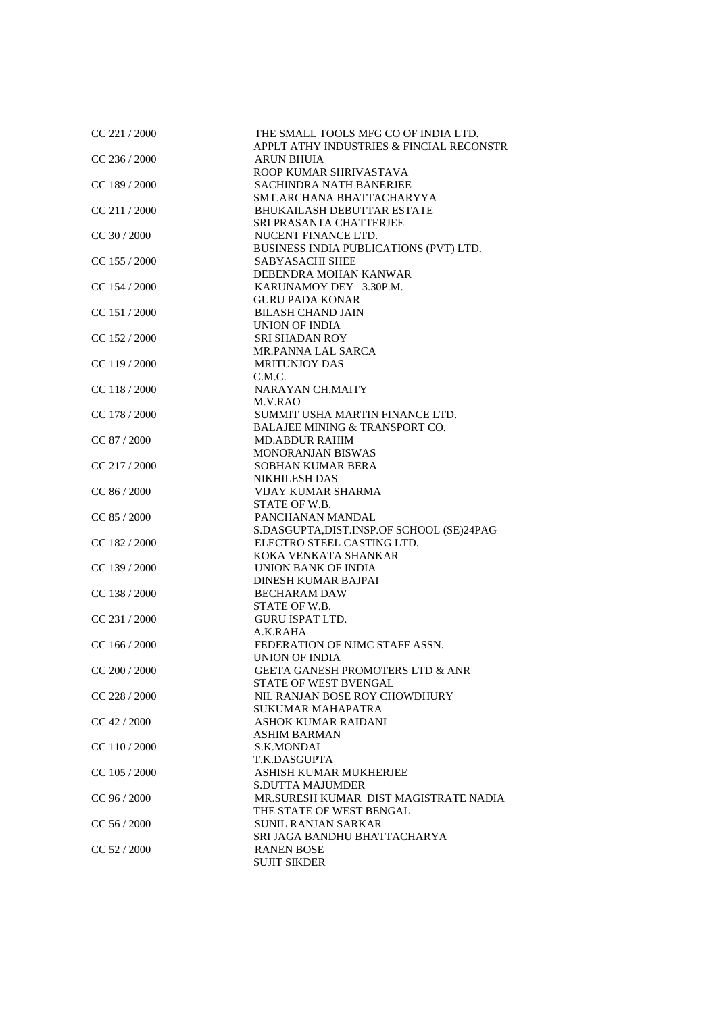| CC 221 / 2000   | THE SMALL TOOLS MFG CO OF INDIA LTD.<br>APPLT ATHY INDUSTRIES & FINCIAL RECONSTR |
|-----------------|----------------------------------------------------------------------------------|
| CC 236 / 2000   | <b>ARUN BHUIA</b>                                                                |
| CC 189 / 2000   | ROOP KUMAR SHRIVASTAVA<br><b>SACHINDRA NATH BANERJEE</b>                         |
|                 | SMT.ARCHANA BHATTACHARYYA                                                        |
| CC 211/2000     | <b>BHUKAILASH DEBUTTAR ESTATE</b>                                                |
|                 | <b>SRI PRASANTA CHATTERJEE</b>                                                   |
| $CC$ 30 / 2000  | NUCENT FINANCE LTD.                                                              |
|                 | BUSINESS INDIA PUBLICATIONS (PVT) LTD.                                           |
| $CC$ 155 / 2000 | <b>SABYASACHI SHEE</b>                                                           |
|                 | DEBENDRA MOHAN KANWAR                                                            |
| CC 154 / 2000   | KARUNAMOY DEY 3.30P.M.                                                           |
|                 | <b>GURU PADA KONAR</b>                                                           |
| CC 151 / 2000   | <b>BILASH CHAND JAIN</b>                                                         |
|                 | UNION OF INDIA                                                                   |
| CC 152 / 2000   | <b>SRI SHADAN ROY</b>                                                            |
|                 | MR.PANNA LAL SARCA                                                               |
| CC 119 / 2000   | <b>MRITUNJOY DAS</b>                                                             |
|                 | C.M.C.                                                                           |
| CC 118 / 2000   | <b>NARAYAN CH.MAITY</b>                                                          |
|                 | M.V.RAO                                                                          |
| CC 178 / 2000   | SUMMIT USHA MARTIN FINANCE LTD.                                                  |
| CC 87 / 2000    | BALAJEE MINING & TRANSPORT CO.<br><b>MD.ABDUR RAHIM</b>                          |
|                 | <b>MONORANJAN BISWAS</b>                                                         |
| $CC$ 217 / 2000 | <b>SOBHAN KUMAR BERA</b>                                                         |
|                 | <b>NIKHILESH DAS</b>                                                             |
| CC 86 / 2000    | VIJAY KUMAR SHARMA                                                               |
|                 | STATE OF W.B.                                                                    |
| CC 85 / 2000    | PANCHANAN MANDAL                                                                 |
|                 | S.DASGUPTA, DIST.INSP.OF SCHOOL (SE)24PAG                                        |
| CC 182 / 2000   | ELECTRO STEEL CASTING LTD.                                                       |
|                 | KOKA VENKATA SHANKAR                                                             |
| $CC$ 139 / 2000 | UNION BANK OF INDIA                                                              |
|                 | <b>DINESH KUMAR BAJPAI</b>                                                       |
| CC 138 / 2000   | <b>BECHARAM DAW</b>                                                              |
|                 | STATE OF W.B.                                                                    |
| CC 231 / 2000   | <b>GURU ISPAT LTD.</b>                                                           |
|                 | A.K.RAHA                                                                         |
| CC 166 / 2000   | FEDERATION OF NJMC STAFF ASSN.                                                   |
|                 | <b>UNION OF INDIA</b>                                                            |
| CC 200 / 2000   | <b>GEETA GANESH PROMOTERS LTD &amp; ANR</b>                                      |
|                 | STATE OF WEST BVENGAL                                                            |
| CC 228 / 2000   | NIL RANJAN BOSE ROY CHOWDHURY                                                    |
| CC 42 / 2000    | <b>SUKUMAR MAHAPATRA</b><br><b>ASHOK KUMAR RAIDANI</b>                           |
|                 | <b>ASHIM BARMAN</b>                                                              |
| CC 110/2000     | S.K.MONDAL                                                                       |
|                 | T.K.DASGUPTA                                                                     |
| CC 105 / 2000   | ASHISH KUMAR MUKHERJEE                                                           |
|                 | <b>S.DUTTA MAJUMDER</b>                                                          |
| CC 96 / 2000    | MR.SURESH KUMAR DIST MAGISTRATE NADIA                                            |
|                 | THE STATE OF WEST BENGAL                                                         |
| CC 56 / 2000    | <b>SUNIL RANJAN SARKAR</b>                                                       |
|                 | SRI JAGA BANDHU BHATTACHARYA                                                     |
| CC 52 / 2000    | <b>RANEN BOSE</b>                                                                |
|                 | <b>SUJIT SIKDER</b>                                                              |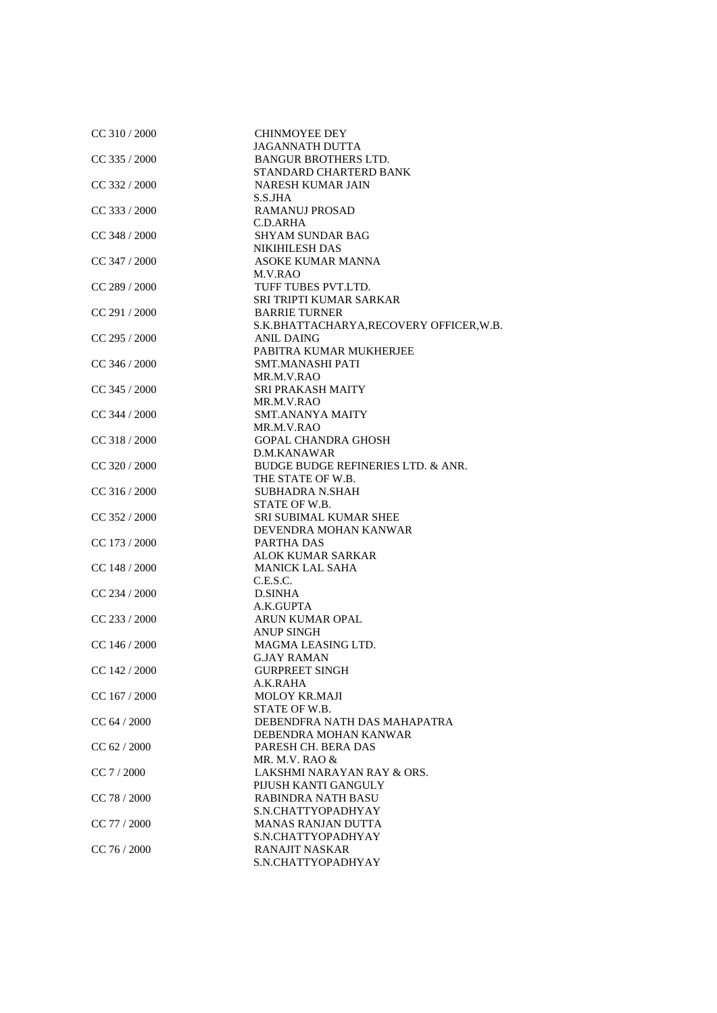| CC 310 / 2000   | <b>CHINMOYEE DEY</b>                     |
|-----------------|------------------------------------------|
|                 | <b>JAGANNATH DUTTA</b>                   |
| CC 335 / 2000   | <b>BANGUR BROTHERS LTD.</b>              |
|                 | STANDARD CHARTERD BANK                   |
| $CC$ 332 / 2000 | <b>NARESH KUMAR JAIN</b>                 |
|                 | S.S.JHA                                  |
| $CC$ 333 / 2000 | <b>RAMANUJ PROSAD</b>                    |
|                 | C.D.ARHA                                 |
| $CC$ 348 / 2000 | <b>SHYAM SUNDAR BAG</b>                  |
|                 | <b>NIKIHILESH DAS</b>                    |
| CC 347 / 2000   | <b>ASOKE KUMAR MANNA</b>                 |
|                 | M.V.RAO                                  |
| $CC$ 289 / 2000 | TUFF TUBES PVT.LTD.                      |
|                 | SRI TRIPTI KUMAR SARKAR                  |
| $CC$ 291 / 2000 | <b>BARRIE TURNER</b>                     |
|                 |                                          |
|                 | S.K.BHATTACHARYA, RECOVERY OFFICER, W.B. |
| $CC$ 295 / 2000 | <b>ANIL DAING</b>                        |
|                 | PABITRA KUMAR MUKHERJEE                  |
| CC 346 / 2000   | <b>SMT.MANASHI PATI</b>                  |
|                 | MR.M.V.RAO                               |
| $CC$ 345 / 2000 | <b>SRI PRAKASH MAITY</b>                 |
|                 | MR.M.V.RAO                               |
| $CC$ 344 / 2000 | <b>SMT.ANANYA MAITY</b>                  |
|                 | MR.M.V.RAO                               |
| $CC$ 318 / 2000 | <b>GOPAL CHANDRA GHOSH</b>               |
|                 | D.M.KANAWAR                              |
| CC 320 / 2000   | BUDGE BUDGE REFINERIES LTD. & ANR.       |
|                 | THE STATE OF W.B.                        |
| CC 316 / 2000   | <b>SUBHADRA N.SHAH</b>                   |
|                 | STATE OF W.B.                            |
| $CC$ 352 / 2000 | <b>SRI SUBIMAL KUMAR SHEE</b>            |
|                 | DEVENDRA MOHAN KANWAR                    |
| $CC$ 173 / 2000 | PARTHA DAS                               |
|                 | <b>ALOK KUMAR SARKAR</b>                 |
| $CC$ 148 / 2000 | <b>MANICK LAL SAHA</b>                   |
|                 | C.E.S.C.                                 |
| $CC$ 234 / 2000 | <b>D.SINHA</b>                           |
|                 | A.K.GUPTA                                |
| CC 233 / 2000   | ARUN KUMAR OPAL                          |
|                 | <b>ANUP SINGH</b>                        |
| $CC$ 146 / 2000 | MAGMA LEASING LTD.                       |
|                 | <b>G.JAY RAMAN</b>                       |
| CC 142 / 2000   | <b>GURPREET SINGH</b>                    |
|                 | A.K.RAHA                                 |
| CC 167 / 2000   | <b>MOLOY KR.MAJI</b>                     |
|                 | STATE OF W.B.                            |
| CC 64 / 2000    | DEBENDFRA NATH DAS MAHAPATRA             |
|                 | DEBENDRA MOHAN KANWAR                    |
| CC 62 / 2000    | PARESH CH. BERA DAS                      |
|                 | MR. M.V. RAO &                           |
| CC 7 / 2000     | LAKSHMI NARAYAN RAY & ORS.               |
|                 | PIJUSH KANTI GANGULY                     |
| CC 78 / 2000    | <b>RABINDRA NATH BASU</b>                |
|                 | S.N.CHATTYOPADHYAY                       |
| CC 77 / 2000    | <b>MANAS RANJAN DUTTA</b>                |
|                 | S.N.CHATTYOPADHYAY                       |
| CC 76 / 2000    | RANAJIT NASKAR                           |
|                 | S.N.CHATTYOPADHYAY                       |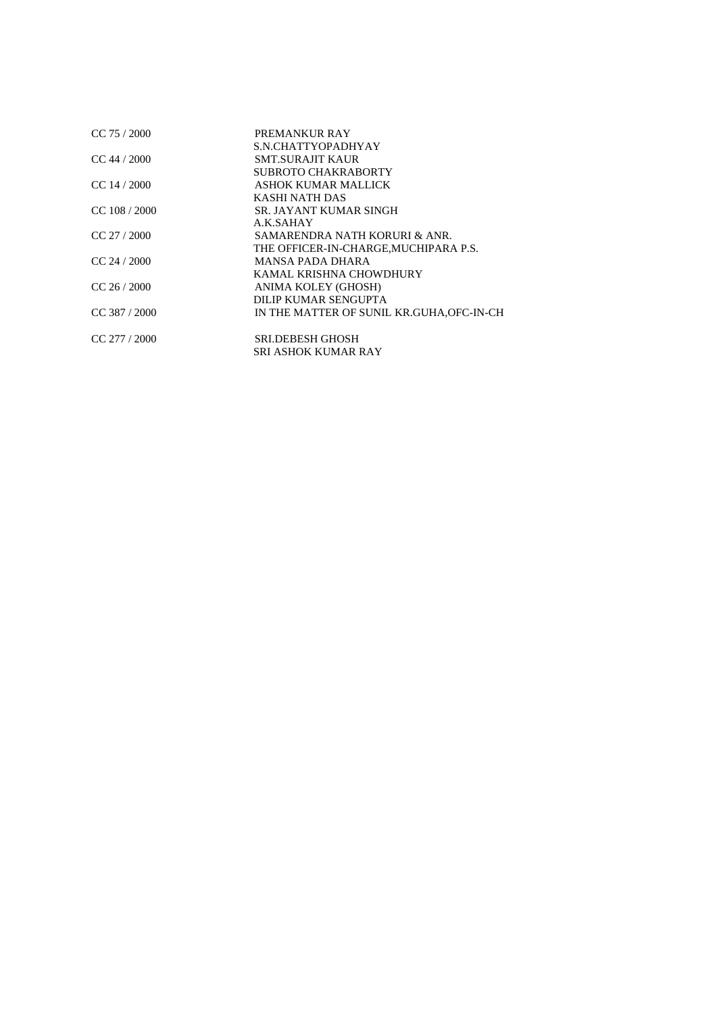| $CC$ 75 / 2000   | PREMANKUR RAY                             |
|------------------|-------------------------------------------|
| $CC$ 44 / 2000   | S.N.CHATTYOPADHYAY<br>SMT.SURAJIT KAUR    |
|                  | SUBROTO CHAKRABORTY                       |
| $CC$ 14 $/$ 2000 | ASHOK KUMAR MALLICK                       |
|                  | KASHI NATH DAS                            |
| $CC$ 108 / 2000  | SR. JAYANT KUMAR SINGH                    |
|                  | A.K.SAHAY                                 |
| $CC$ 27 / 2000   | SAMARENDRA NATH KORURI & ANR.             |
|                  | THE OFFICER-IN-CHARGE, MUCHIPARA P.S.     |
| $CC$ 24 / 2000   | <b>MANSA PADA DHARA</b>                   |
|                  | KAMAL KRISHNA CHOWDHURY                   |
| $CC$ 26 / 2000   | ANIMA KOLEY (GHOSH)                       |
|                  | DILIP KUMAR SENGUPTA                      |
| $CC$ 387 / 2000  | IN THE MATTER OF SUNIL KR.GUHA, OFC-IN-CH |
|                  |                                           |
| $CC$ 277 / 2000  | <b>SRLDEBESH GHOSH</b>                    |
|                  | SRI ASHOK KUMAR RAY                       |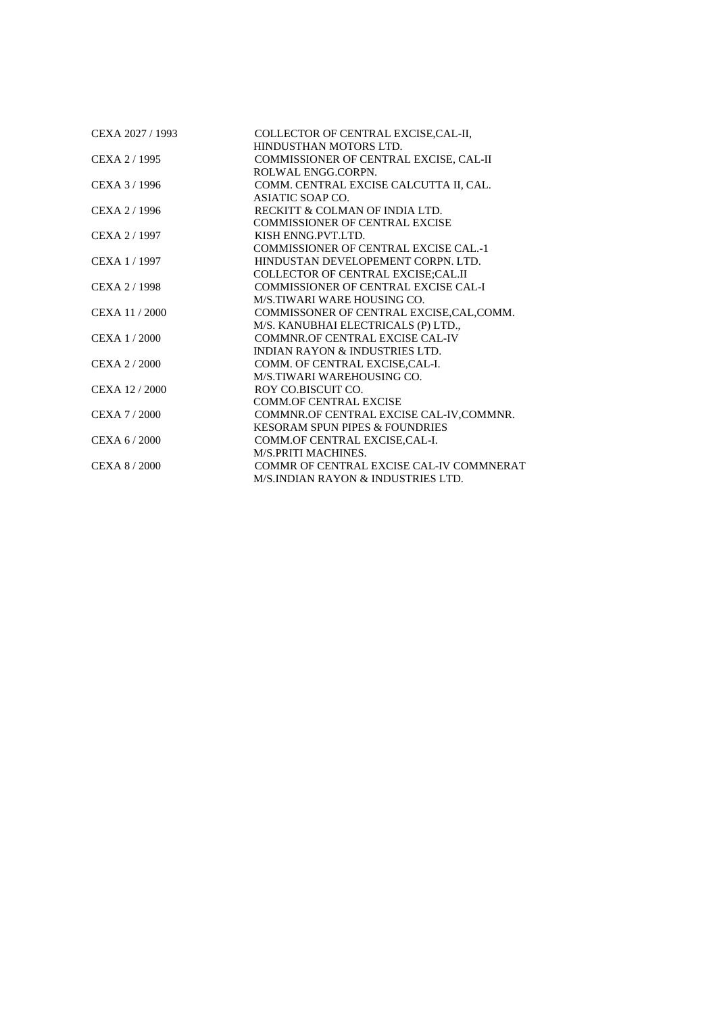| CEXA 2027 / 1993 | COLLECTOR OF CENTRAL EXCISE, CAL-II,          |
|------------------|-----------------------------------------------|
|                  | HINDUSTHAN MOTORS LTD.                        |
| CEXA 2/1995      | COMMISSIONER OF CENTRAL EXCISE, CAL-II        |
|                  | ROLWAL ENGG.CORPN.                            |
| CEXA 3/1996      | COMM. CENTRAL EXCISE CALCUTTA II, CAL.        |
|                  | ASIATIC SOAP CO.                              |
| CEXA 2/1996      | RECKITT & COLMAN OF INDIA LTD.                |
|                  | <b>COMMISSIONER OF CENTRAL EXCISE</b>         |
| CEXA 2 / 1997    | KISH ENNG.PVT.LTD.                            |
|                  | <b>COMMISSIONER OF CENTRAL EXCISE CAL.-1</b>  |
| CEXA 1/1997      | HINDUSTAN DEVELOPEMENT CORPN. LTD.            |
|                  | <b>COLLECTOR OF CENTRAL EXCISE;CAL.II</b>     |
| CEXA 2/1998      | COMMISSIONER OF CENTRAL EXCISE CAL-I          |
|                  | M/S.TIWARI WARE HOUSING CO.                   |
| CEXA 11 / 2000   | COMMISSONER OF CENTRAL EXCISE, CAL, COMM.     |
|                  | M/S. KANUBHAI ELECTRICALS (P) LTD.,           |
| CEXA 1/2000      | COMMNR.OF CENTRAL EXCISE CAL-IV               |
|                  | <b>INDIAN RAYON &amp; INDUSTRIES LTD.</b>     |
| CEXA 2/2000      | COMM. OF CENTRAL EXCISE, CAL-I.               |
|                  | M/S.TIWARI WAREHOUSING CO.                    |
| CEXA 12/2000     | ROY CO.BISCUIT CO.                            |
|                  | <b>COMM.OF CENTRAL EXCISE</b>                 |
| CEXA 7/2000      | COMMNR.OF CENTRAL EXCISE CAL-IV, COMMNR.      |
|                  | <b>KESORAM SPUN PIPES &amp; FOUNDRIES</b>     |
| CEXA 6/2000      | COMM.OF CENTRAL EXCISE, CAL-I.                |
|                  | <b>M/S.PRITI MACHINES.</b>                    |
| CEXA 8/2000      | COMMR OF CENTRAL EXCISE CAL-IV COMMNERAT      |
|                  | <b>M/S.INDIAN RAYON &amp; INDUSTRIES LTD.</b> |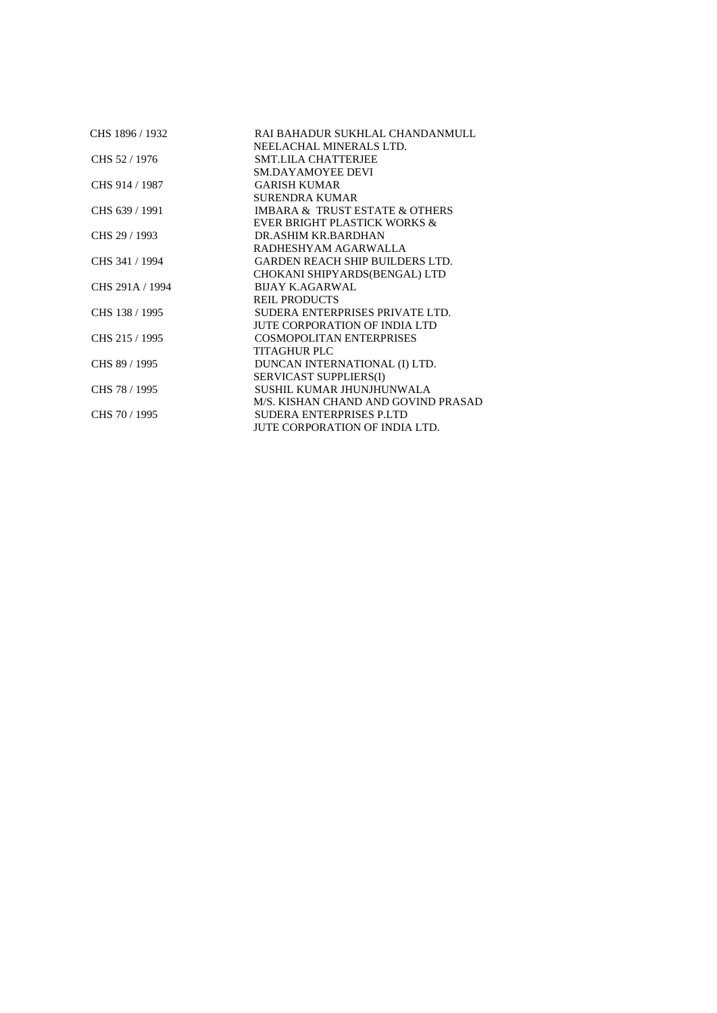| CHS 1896 / 1932 | RAI BAHADUR SUKHLAL CHANDANMULL               |
|-----------------|-----------------------------------------------|
|                 | NEELACHAL MINERALS LTD.                       |
| CHS 52 / 1976   | <b>SMT.LILA CHATTERJEE</b>                    |
|                 | <b>SM.DAYAMOYEE DEVI</b>                      |
| CHS 914 / 1987  | <b>GARISH KUMAR</b>                           |
|                 | SURENDRA KUMAR                                |
| CHS 639 / 1991  | <b>IMBARA &amp; TRUST ESTATE &amp; OTHERS</b> |
|                 | <b>EVER BRIGHT PLASTICK WORKS &amp;</b>       |
| CHS 29 / 1993   | DR.ASHIM KR.BARDHAN                           |
|                 | RADHESHYAM AGARWALLA                          |
| CHS 341 / 1994  | <b>GARDEN REACH SHIP BUILDERS LTD.</b>        |
|                 | CHOKANI SHIPYARDS(BENGAL) LTD                 |
| CHS 291A / 1994 | <b>BIJAY K.AGARWAL</b>                        |
|                 | <b>REIL PRODUCTS</b>                          |
| CHS 138 / 1995  | SUDERA ENTERPRISES PRIVATE LTD.               |
|                 | JUTE CORPORATION OF INDIA LTD                 |
| CHS 215 / 1995  | <b>COSMOPOLITAN ENTERPRISES</b>               |
|                 | <b>TITAGHUR PLC</b>                           |
| CHS 89 / 1995   | DUNCAN INTERNATIONAL (I) LTD.                 |
|                 | <b>SERVICAST SUPPLIERS(I)</b>                 |
| CHS 78 / 1995   | SUSHIL KUMAR JHUNJHUNWALA                     |
|                 | M/S. KISHAN CHAND AND GOVIND PRASAD           |
| CHS 70 / 1995   | SUDERA ENTERPRISES P.LTD                      |
|                 | JUTE CORPORATION OF INDIA LTD.                |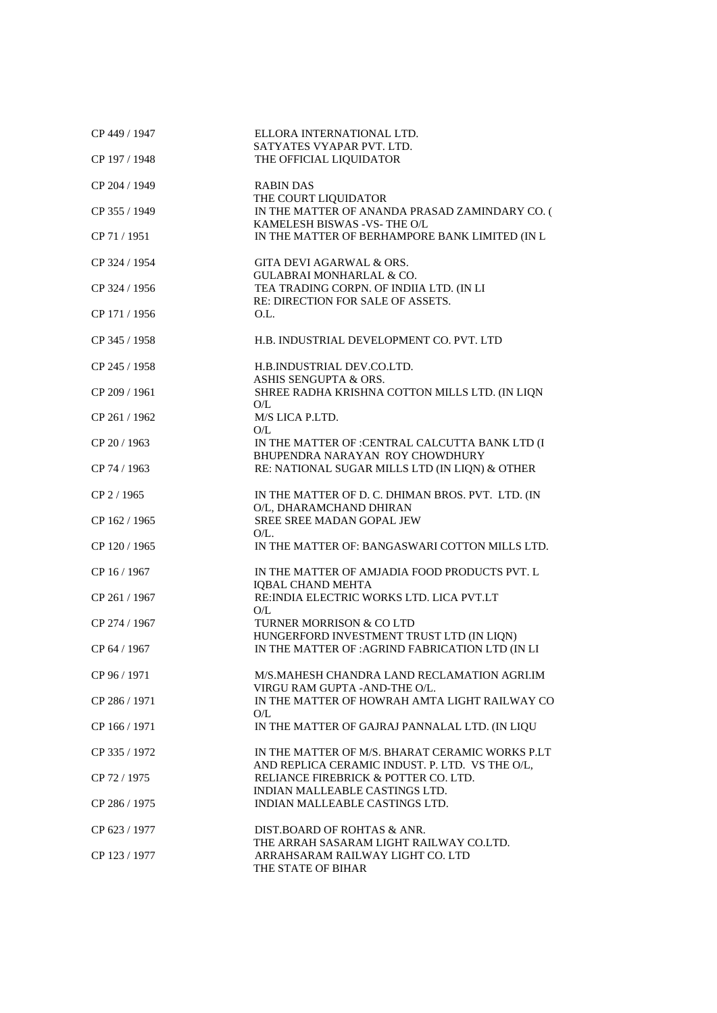| CP 449 / 1947 | ELLORA INTERNATIONAL LTD.<br>SATYATES VYAPAR PVT. LTD.                                             |
|---------------|----------------------------------------------------------------------------------------------------|
| CP 197 / 1948 | THE OFFICIAL LIQUIDATOR                                                                            |
| CP 204 / 1949 | <b>RABIN DAS</b><br>THE COURT LIQUIDATOR                                                           |
| CP 355 / 1949 | IN THE MATTER OF ANANDA PRASAD ZAMINDARY CO. (<br>KAMELESH BISWAS - VS- THE O/L                    |
| CP 71 / 1951  | IN THE MATTER OF BERHAMPORE BANK LIMITED (IN L                                                     |
| CP 324 / 1954 | <b>GITA DEVI AGARWAL &amp; ORS.</b><br><b>GULABRAI MONHARLAL &amp; CO.</b>                         |
| CP 324 / 1956 | TEA TRADING CORPN. OF INDIIA LTD. (IN LI<br>RE: DIRECTION FOR SALE OF ASSETS.                      |
| CP 171 / 1956 | O.L.                                                                                               |
| CP 345 / 1958 | H.B. INDUSTRIAL DEVELOPMENT CO. PVT. LTD                                                           |
| CP 245 / 1958 | H.B.INDUSTRIAL DEV.CO.LTD.<br>ASHIS SENGUPTA & ORS.                                                |
| CP 209 / 1961 | SHREE RADHA KRISHNA COTTON MILLS LTD. (IN LIQN<br>O/L                                              |
| CP 261 / 1962 | M/S LICA P.LTD.<br>O/L                                                                             |
| CP 20 / 1963  | IN THE MATTER OF : CENTRAL CALCUTTA BANK LTD (I<br>BHUPENDRA NARAYAN ROY CHOWDHURY                 |
| CP 74 / 1963  | RE: NATIONAL SUGAR MILLS LTD (IN LIQN) & OTHER                                                     |
| CP 2 / 1965   | IN THE MATTER OF D. C. DHIMAN BROS. PVT. LTD. (IN<br>O/L, DHARAMCHAND DHIRAN                       |
| CP 162 / 1965 | SREE SREE MADAN GOPAL JEW<br>$O/L$ .                                                               |
| CP 120 / 1965 | IN THE MATTER OF: BANGASWARI COTTON MILLS LTD.                                                     |
| CP 16 / 1967  | IN THE MATTER OF AMJADIA FOOD PRODUCTS PVT. L<br><b>IQBAL CHAND MEHTA</b>                          |
| CP 261 / 1967 | RE: INDIA ELECTRIC WORKS LTD. LICA PVT.LT<br>O/L                                                   |
| CP 274 / 1967 | TURNER MORRISON & CO LTD<br>HUNGERFORD INVESTMENT TRUST LTD (IN LIQN)                              |
| CP 64 / 1967  | IN THE MATTER OF : AGRIND FABRICATION LTD (IN LI                                                   |
| CP 96 / 1971  | M/S.MAHESH CHANDRA LAND RECLAMATION AGRI.IM<br>VIRGU RAM GUPTA - AND-THE O/L.                      |
| CP 286 / 1971 | IN THE MATTER OF HOWRAH AMTA LIGHT RAILWAY CO<br>O/L                                               |
| CP 166 / 1971 | IN THE MATTER OF GAJRAJ PANNALAL LTD. (IN LIQU                                                     |
| CP 335 / 1972 | IN THE MATTER OF M/S. BHARAT CERAMIC WORKS P.LT<br>AND REPLICA CERAMIC INDUST. P. LTD. VS THE O/L, |
| CP 72 / 1975  | RELIANCE FIREBRICK & POTTER CO. LTD.<br>INDIAN MALLEABLE CASTINGS LTD.                             |
| CP 286 / 1975 | INDIAN MALLEABLE CASTINGS LTD.                                                                     |
| CP 623 / 1977 | DIST.BOARD OF ROHTAS & ANR.<br>THE ARRAH SASARAM LIGHT RAILWAY CO.LTD.                             |
| CP 123 / 1977 | ARRAHSARAM RAILWAY LIGHT CO. LTD<br>THE STATE OF BIHAR                                             |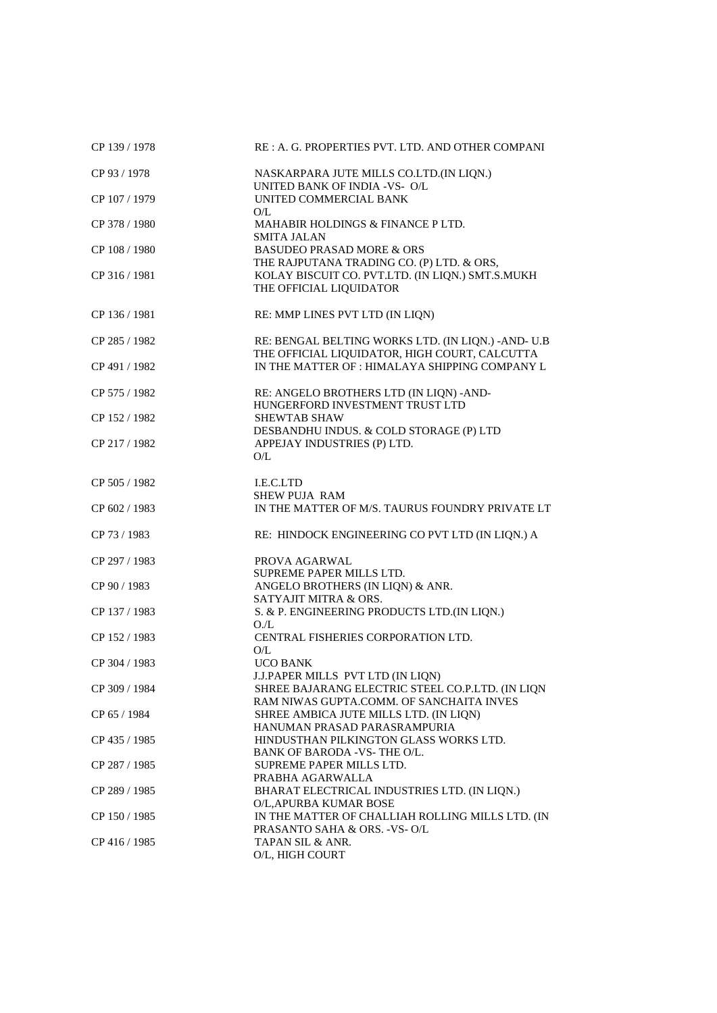| CP 139 / 1978 | RE : A. G. PROPERTIES PVT. LTD. AND OTHER COMPANI                                                    |
|---------------|------------------------------------------------------------------------------------------------------|
| CP 93 / 1978  | NASKARPARA JUTE MILLS CO.LTD.(IN LIQN.)<br>UNITED BANK OF INDIA -VS- O/L                             |
| CP 107 / 1979 | UNITED COMMERCIAL BANK<br>O/L                                                                        |
| CP 378 / 1980 | MAHABIR HOLDINGS & FINANCE P LTD.<br><b>SMITA JALAN</b>                                              |
| CP 108 / 1980 | <b>BASUDEO PRASAD MORE &amp; ORS</b><br>THE RAJPUTANA TRADING CO. (P) LTD. & ORS,                    |
| CP 316 / 1981 | KOLAY BISCUIT CO. PVT.LTD. (IN LIQN.) SMT.S.MUKH<br>THE OFFICIAL LIQUIDATOR                          |
| CP 136 / 1981 | RE: MMP LINES PVT LTD (IN LIQN)                                                                      |
| CP 285 / 1982 | RE: BENGAL BELTING WORKS LTD. (IN LIQN.) - AND- U.B<br>THE OFFICIAL LIQUIDATOR, HIGH COURT, CALCUTTA |
| CP 491 / 1982 | IN THE MATTER OF : HIMALAYA SHIPPING COMPANY L                                                       |
| CP 575 / 1982 | RE: ANGELO BROTHERS LTD (IN LIQN) - AND-<br>HUNGERFORD INVESTMENT TRUST LTD                          |
| CP 152 / 1982 | <b>SHEWTAB SHAW</b><br>DESBANDHU INDUS. & COLD STORAGE (P) LTD                                       |
| CP 217/1982   | APPEJAY INDUSTRIES (P) LTD.<br>O/L                                                                   |
| CP 505 / 1982 | I.E.C.LTD<br><b>SHEW PUJA RAM</b>                                                                    |
| CP 602 / 1983 | IN THE MATTER OF M/S. TAURUS FOUNDRY PRIVATE LT                                                      |
| CP 73 / 1983  | RE: HINDOCK ENGINEERING CO PVT LTD (IN LIQN.) A                                                      |
| CP 297 / 1983 | PROVA AGARWAL<br>SUPREME PAPER MILLS LTD.                                                            |
| CP 90 / 1983  | ANGELO BROTHERS (IN LIQN) & ANR.<br>SATYAJIT MITRA & ORS.                                            |
| CP 137 / 1983 | S. & P. ENGINEERING PRODUCTS LTD.(IN LIQN.)<br>O./L                                                  |
| CP 152 / 1983 | CENTRAL FISHERIES CORPORATION LTD.<br>O/L                                                            |
| CP 304 / 1983 | <b>UCO BANK</b><br>J.J.PAPER MILLS PVT LTD (IN LIQN)                                                 |
| CP 309 / 1984 | SHREE BAJARANG ELECTRIC STEEL CO.P.LTD. (IN LIQN<br>RAM NIWAS GUPTA.COMM. OF SANCHAITA INVES         |
| CP 65 / 1984  | SHREE AMBICA JUTE MILLS LTD. (IN LIQN)<br>HANUMAN PRASAD PARASRAMPURIA                               |
| CP 435 / 1985 | HINDUSTHAN PILKINGTON GLASS WORKS LTD.<br>BANK OF BARODA -VS- THE O/L.                               |
| CP 287 / 1985 | SUPREME PAPER MILLS LTD.<br>PRABHA AGARWALLA                                                         |
| CP 289 / 1985 | BHARAT ELECTRICAL INDUSTRIES LTD. (IN LIQN.)<br>O/L, APURBA KUMAR BOSE                               |
| CP 150 / 1985 | IN THE MATTER OF CHALLIAH ROLLING MILLS LTD. (IN<br>PRASANTO SAHA & ORS. - VS- O/L                   |
| CP 416 / 1985 | TAPAN SIL & ANR.<br>O/L, HIGH COURT                                                                  |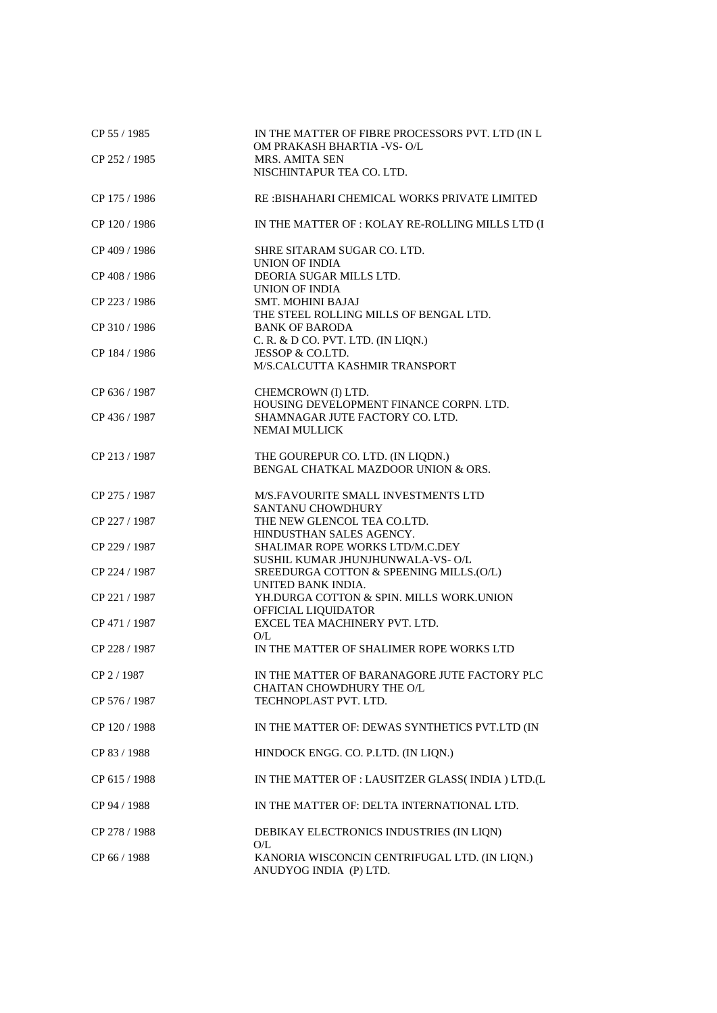| CP 55 / 1985  | IN THE MATTER OF FIBRE PROCESSORS PVT. LTD (IN L<br>OM PRAKASH BHARTIA -VS-O/L        |
|---------------|---------------------------------------------------------------------------------------|
| CP 252 / 1985 | MRS. AMITA SEN<br>NISCHINTAPUR TEA CO. LTD.                                           |
| CP 175 / 1986 | RE: BISHAHARI CHEMICAL WORKS PRIVATE LIMITED                                          |
| CP 120 / 1986 | IN THE MATTER OF : KOLAY RE-ROLLING MILLS LTD (I                                      |
| CP 409 / 1986 | SHRE SITARAM SUGAR CO. LTD.<br><b>UNION OF INDIA</b>                                  |
| CP 408 / 1986 | DEORIA SUGAR MILLS LTD.<br>UNION OF INDIA                                             |
| CP 223 / 1986 | <b>SMT. MOHINI BAJAJ</b><br>THE STEEL ROLLING MILLS OF BENGAL LTD.                    |
| CP 310 / 1986 | <b>BANK OF BARODA</b><br>C. R. & D CO. PVT. LTD. (IN LIQN.)                           |
| CP 184 / 1986 | JESSOP & CO.LTD.<br>M/S.CALCUTTA KASHMIR TRANSPORT                                    |
| CP 636 / 1987 | CHEMCROWN (I) LTD.<br>HOUSING DEVELOPMENT FINANCE CORPN. LTD.                         |
| CP 436 / 1987 | SHAMNAGAR JUTE FACTORY CO. LTD.<br>NEMAI MULLICK                                      |
| CP 213 / 1987 | THE GOUREPUR CO. LTD. (IN LIQDN.)<br>BENGAL CHATKAL MAZDOOR UNION & ORS.              |
| CP 275 / 1987 | M/S.FAVOURITE SMALL INVESTMENTS LTD<br>SANTANU CHOWDHURY                              |
| CP 227 / 1987 | THE NEW GLENCOL TEA CO.LTD.<br>HINDUSTHAN SALES AGENCY.                               |
| CP 229 / 1987 | SHALIMAR ROPE WORKS LTD/M.C.DEY                                                       |
| CP 224 / 1987 | SUSHIL KUMAR JHUNJHUNWALA-VS-O/L<br>SREEDURGA COTTON & SPEENING MILLS.(O/L)           |
| CP 221 / 1987 | UNITED BANK INDIA.<br>YH.DURGA COTTON & SPIN. MILLS WORK.UNION<br>OFFICIAL LIQUIDATOR |
| CP 471 / 1987 | EXCEL TEA MACHINERY PVT. LTD.<br>O/L                                                  |
| CP 228 / 1987 | IN THE MATTER OF SHALIMER ROPE WORKS LTD                                              |
| CP 2 / 1987   | IN THE MATTER OF BARANAGORE JUTE FACTORY PLC<br>CHAITAN CHOWDHURY THE O/L             |
| CP 576 / 1987 | TECHNOPLAST PVT. LTD.                                                                 |
| CP 120 / 1988 | IN THE MATTER OF: DEWAS SYNTHETICS PVT.LTD (IN                                        |
| CP 83 / 1988  | HINDOCK ENGG. CO. P.LTD. (IN LIQN.)                                                   |
| CP 615 / 1988 | IN THE MATTER OF : LAUSITZER GLASS(INDIA) LTD.(L                                      |
| CP 94 / 1988  | IN THE MATTER OF: DELTA INTERNATIONAL LTD.                                            |
| CP 278 / 1988 | DEBIKAY ELECTRONICS INDUSTRIES (IN LIQN)<br>O/L                                       |
| CP 66 / 1988  | KANORIA WISCONCIN CENTRIFUGAL LTD. (IN LIQN.)<br>ANUDYOG INDIA (P) LTD.               |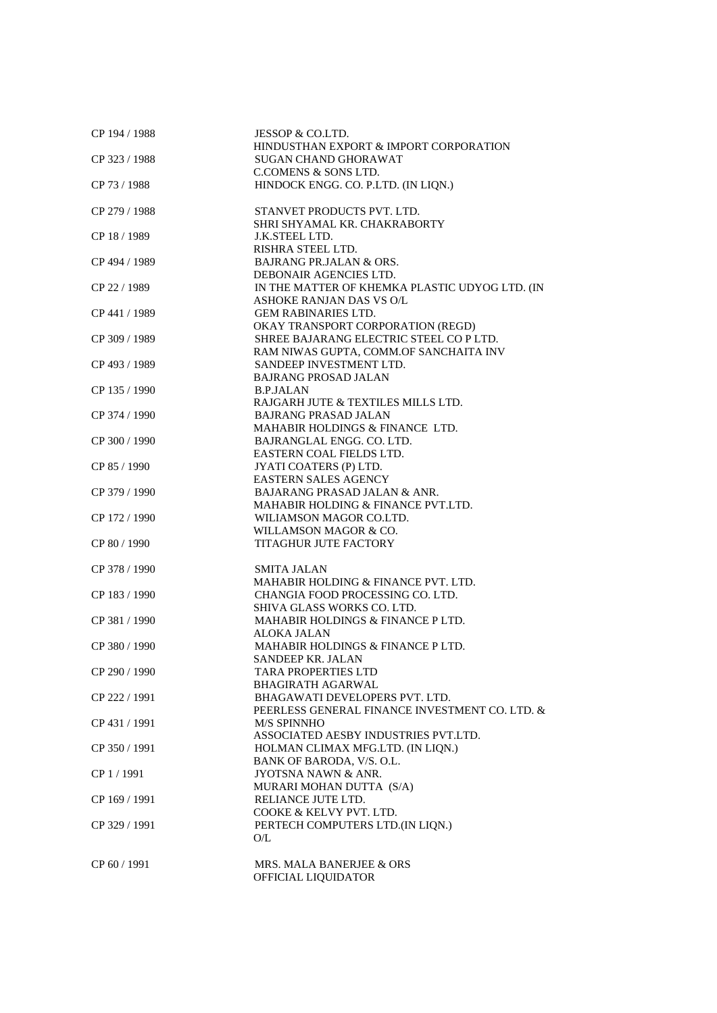| CP 194 / 1988 | JESSOP & CO.LTD.<br>HINDUSTHAN EXPORT & IMPORT CORPORATION     |
|---------------|----------------------------------------------------------------|
| CP 323 / 1988 | <b>SUGAN CHAND GHORAWAT</b>                                    |
|               |                                                                |
|               | <b>C.COMENS &amp; SONS LTD.</b>                                |
| CP 73 / 1988  | HINDOCK ENGG. CO. P.LTD. (IN LIQN.)                            |
| CP 279 / 1988 | STANVET PRODUCTS PVT. LTD.                                     |
|               | SHRI SHYAMAL KR. CHAKRABORTY                                   |
| CP 18 / 1989  | J.K.STEEL LTD.                                                 |
|               | RISHRA STEEL LTD.                                              |
| CP 494 / 1989 | <b>BAJRANG PR.JALAN &amp; ORS.</b>                             |
|               | DEBONAIR AGENCIES LTD.                                         |
| CP 22 / 1989  | IN THE MATTER OF KHEMKA PLASTIC UDYOG LTD. (IN                 |
|               | ASHOKE RANJAN DAS VS O/L                                       |
| CP 441 / 1989 | <b>GEM RABINARIES LTD.</b>                                     |
|               | OKAY TRANSPORT CORPORATION (REGD)                              |
| CP 309 / 1989 | SHREE BAJARANG ELECTRIC STEEL COPLTD.                          |
|               | RAM NIWAS GUPTA, COMM.OF SANCHAITA INV                         |
| CP 493 / 1989 | SANDEEP INVESTMENT LTD.                                        |
|               | <b>BAJRANG PROSAD JALAN</b>                                    |
| CP 135 / 1990 | <b>B.P.JALAN</b>                                               |
|               | RAJGARH JUTE & TEXTILES MILLS LTD.                             |
| CP 374 / 1990 | <b>BAJRANG PRASAD JALAN</b>                                    |
|               | MAHABIR HOLDINGS & FINANCE LTD.                                |
| CP 300 / 1990 | BAJRANGLAL ENGG. CO. LTD.                                      |
|               | EASTERN COAL FIELDS LTD.                                       |
| CP 85 / 1990  | JYATI COATERS (P) LTD.                                         |
|               | <b>EASTERN SALES AGENCY</b>                                    |
| CP 379 / 1990 | <b>BAJARANG PRASAD JALAN &amp; ANR.</b>                        |
|               | MAHABIR HOLDING & FINANCE PVT.LTD.                             |
| CP 172 / 1990 | WILIAMSON MAGOR CO.LTD.                                        |
|               | WILLAMSON MAGOR & CO.                                          |
| CP 80 / 1990  | <b>TITAGHUR JUTE FACTORY</b>                                   |
| CP 378 / 1990 | <b>SMITA JALAN</b>                                             |
|               |                                                                |
|               | MAHABIR HOLDING & FINANCE PVT. LTD.                            |
| CP 183 / 1990 | CHANGIA FOOD PROCESSING CO. LTD.<br>SHIVA GLASS WORKS CO. LTD. |
|               | MAHABIR HOLDINGS & FINANCE P LTD.                              |
| CP 381 / 1990 | ALOKA JALAN                                                    |
| CP 380 / 1990 | MAHABIR HOLDINGS & FINANCE P LTD.                              |
|               | <b>SANDEEP KR. JALAN</b>                                       |
| CP 290 / 1990 | <b>TARA PROPERTIES LTD</b>                                     |
|               | <b>BHAGIRATH AGARWAL</b>                                       |
| CP 222 / 1991 | BHAGAWATI DEVELOPERS PVT. LTD.                                 |
|               | PEERLESS GENERAL FINANCE INVESTMENT CO. LTD. &                 |
| CP 431 / 1991 | M/S SPINNHO                                                    |
|               | ASSOCIATED AESBY INDUSTRIES PVT.LTD.                           |
| CP 350 / 1991 | HOLMAN CLIMAX MFG.LTD. (IN LIQN.)                              |
|               | BANK OF BARODA, V/S. O.L.                                      |
| CP 1 / 1991   | JYOTSNA NAWN & ANR.                                            |
|               | MURARI MOHAN DUTTA (S/A)                                       |
| CP 169 / 1991 | RELIANCE JUTE LTD.                                             |
|               | COOKE & KELVY PVT. LTD.                                        |
| CP 329 / 1991 | PERTECH COMPUTERS LTD.(IN LIQN.)                               |
|               | O/L                                                            |
|               |                                                                |
| CP 60 / 1991  | MRS. MALA BANERJEE & ORS                                       |
|               | OFFICIAL LIQUIDATOR                                            |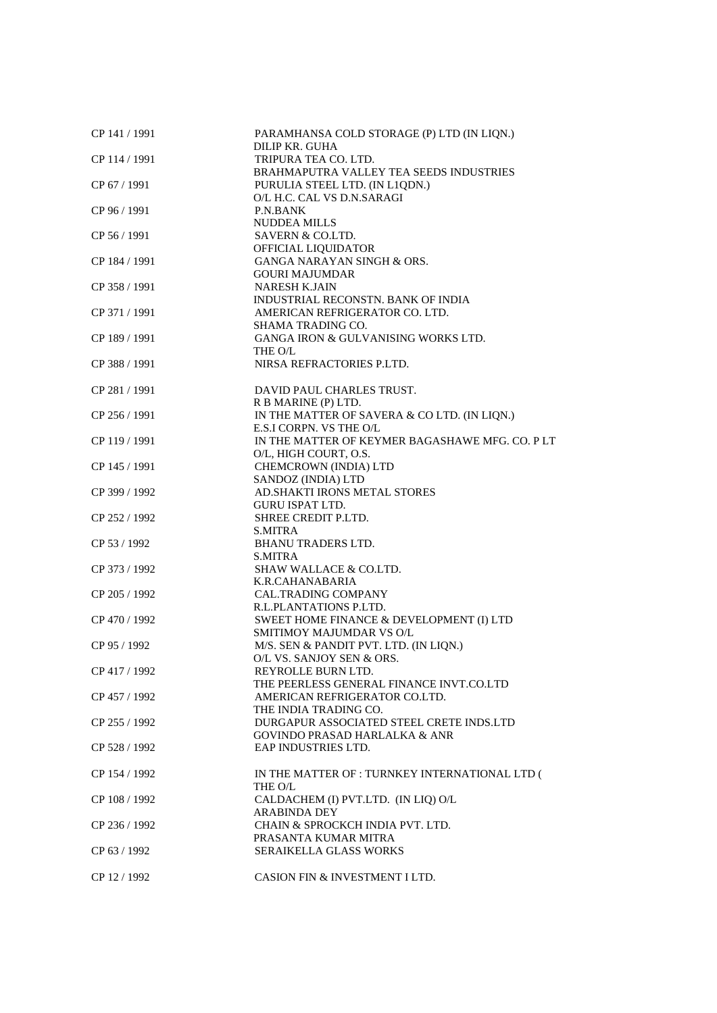| CP 141 / 1991 | PARAMHANSA COLD STORAGE (P) LTD (IN LIQN.)             |
|---------------|--------------------------------------------------------|
| CP 114 / 1991 | DILIP KR. GUHA<br>TRIPURA TEA CO. LTD.                 |
|               | BRAHMAPUTRA VALLEY TEA SEEDS INDUSTRIES                |
| CP 67 / 1991  | PURULIA STEEL LTD. (IN L1QDN.)                         |
|               | O/L H.C. CAL VS D.N.SARAGI                             |
| CP 96 / 1991  | <b>P.N.BANK</b>                                        |
|               | <b>NUDDEA MILLS</b>                                    |
| CP 56 / 1991  | SAVERN & CO.LTD.                                       |
|               | OFFICIAL LIQUIDATOR                                    |
| CP 184 / 1991 | GANGA NARAYAN SINGH & ORS.                             |
|               | <b>GOURI MAJUMDAR</b>                                  |
| CP 358 / 1991 | <b>NARESH K.JAIN</b>                                   |
|               | INDUSTRIAL RECONSTN. BANK OF INDIA                     |
| CP 371 / 1991 | AMERICAN REFRIGERATOR CO. LTD.                         |
|               | SHAMA TRADING CO.                                      |
| CP 189 / 1991 | GANGA IRON & GULVANISING WORKS LTD.                    |
|               | THE O/L                                                |
| CP 388 / 1991 | NIRSA REFRACTORIES P.LTD.                              |
|               |                                                        |
| CP 281 / 1991 | DAVID PAUL CHARLES TRUST.                              |
|               | R B MARINE (P) LTD.                                    |
| CP 256 / 1991 | IN THE MATTER OF SAVERA & CO LTD. (IN LIQN.)           |
|               | E.S.I CORPN. VS THE O/L                                |
| CP 119 / 1991 | IN THE MATTER OF KEYMER BAGASHAWE MFG. CO. PLT         |
|               | O/L, HIGH COURT, O.S.                                  |
| CP 145 / 1991 | CHEMCROWN (INDIA) LTD<br>SANDOZ (INDIA) LTD            |
|               |                                                        |
| CP 399 / 1992 | AD.SHAKTI IRONS METAL STORES<br><b>GURU ISPAT LTD.</b> |
| CP 252 / 1992 | SHREE CREDIT P.LTD.                                    |
|               | <b>S.MITRA</b>                                         |
| CP 53 / 1992  | <b>BHANU TRADERS LTD.</b>                              |
|               | S.MITRA                                                |
| CP 373 / 1992 | SHAW WALLACE & CO.LTD.                                 |
|               | K.R.CAHANABARIA                                        |
| CP 205 / 1992 | <b>CAL.TRADING COMPANY</b>                             |
|               | R.L.PLANTATIONS P.LTD.                                 |
| CP 470 / 1992 | SWEET HOME FINANCE & DEVELOPMENT (I) LTD               |
|               | SMITIMOY MAJUMDAR VS O/L                               |
| CP 95 / 1992  | M/S. SEN & PANDIT PVT. LTD. (IN LIQN.)                 |
|               | O/L VS. SANJOY SEN & ORS.                              |
| CP 417 / 1992 | REYROLLE BURN LTD.                                     |
|               | THE PEERLESS GENERAL FINANCE INVT.CO.LTD               |
| CP 457 / 1992 | AMERICAN REFRIGERATOR CO.LTD.                          |
|               | THE INDIA TRADING CO.                                  |
| CP 255 / 1992 | DURGAPUR ASSOCIATED STEEL CRETE INDS.LTD               |
|               | <b>GOVINDO PRASAD HARLALKA &amp; ANR</b>               |
| CP 528 / 1992 | EAP INDUSTRIES LTD.                                    |
|               |                                                        |
| CP 154 / 1992 | IN THE MATTER OF : TURNKEY INTERNATIONAL LTD (         |
|               | THE O/L                                                |
| CP 108 / 1992 | CALDACHEM (I) PVT.LTD. (IN LIQ) O/L                    |
|               | <b>ARABINDA DEY</b>                                    |
| CP 236 / 1992 | CHAIN & SPROCKCH INDIA PVT. LTD.                       |
|               | PRASANTA KUMAR MITRA                                   |
| CP 63 / 1992  | SERAIKELLA GLASS WORKS                                 |
|               |                                                        |
| CP 12 / 1992  | CASION FIN & INVESTMENT I LTD.                         |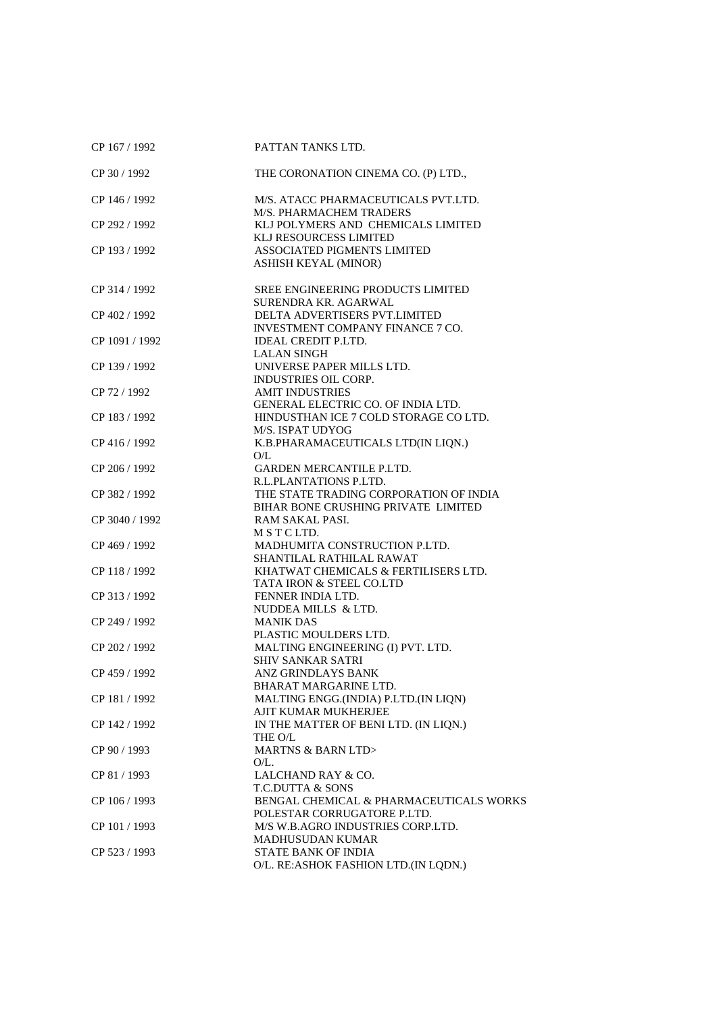| CP 167 / 1992  | PATTAN TANKS LTD.                                                             |
|----------------|-------------------------------------------------------------------------------|
| CP 30 / 1992   | THE CORONATION CINEMA CO. (P) LTD.,                                           |
| CP 146 / 1992  | M/S. ATACC PHARMACEUTICALS PVT.LTD.<br>M/S. PHARMACHEM TRADERS                |
| CP 292 / 1992  | KLJ POLYMERS AND CHEMICALS LIMITED<br>KLJ RESOURCESS LIMITED                  |
| CP 193 / 1992  | <b>ASSOCIATED PIGMENTS LIMITED</b><br>ASHISH KEYAL (MINOR)                    |
| CP 314 / 1992  | <b>SREE ENGINEERING PRODUCTS LIMITED</b><br>SURENDRA KR. AGARWAL              |
| CP 402 / 1992  | DELTA ADVERTISERS PVT.LIMITED<br>INVESTMENT COMPANY FINANCE 7 CO.             |
| CP 1091 / 1992 | <b>IDEAL CREDIT P.LTD.</b><br><b>LALAN SINGH</b>                              |
| CP 139 / 1992  | UNIVERSE PAPER MILLS LTD.<br><b>INDUSTRIES OIL CORP.</b>                      |
| CP 72 / 1992   | <b>AMIT INDUSTRIES</b><br>GENERAL ELECTRIC CO. OF INDIA LTD.                  |
| CP 183 / 1992  | HINDUSTHAN ICE 7 COLD STORAGE CO LTD.<br>M/S. ISPAT UDYOG                     |
| CP 416 / 1992  | K.B.PHARAMACEUTICALS LTD(IN LIQN.)<br>O/L                                     |
| CP 206 / 1992  | GARDEN MERCANTILE P.LTD.<br>R.L.PLANTATIONS P.LTD.                            |
| CP 382 / 1992  | THE STATE TRADING CORPORATION OF INDIA<br>BIHAR BONE CRUSHING PRIVATE LIMITED |
| CP 3040 / 1992 | RAM SAKAL PASI.<br>M S T C LTD.                                               |
| CP 469 / 1992  | MADHUMITA CONSTRUCTION P.LTD.<br>SHANTILAL RATHILAL RAWAT                     |
| CP 118 / 1992  | KHATWAT CHEMICALS & FERTILISERS LTD.<br>TATA IRON & STEEL CO.LTD              |
| CP 313 / 1992  | FENNER INDIA LTD.<br>NUDDEA MILLS & LTD.                                      |
| CP 249 / 1992  | <b>MANIK DAS</b><br>PLASTIC MOULDERS LTD.                                     |
| CP 202 / 1992  | MALTING ENGINEERING (I) PVT. LTD.<br><b>SHIV SANKAR SATRI</b>                 |
| CP 459 / 1992  | ANZ GRINDLAYS BANK<br>BHARAT MARGARINE LTD.                                   |
| CP 181 / 1992  | MALTING ENGG.(INDIA) P.LTD.(IN LIQN)<br>AJIT KUMAR MUKHERJEE                  |
| CP 142 / 1992  | IN THE MATTER OF BENI LTD. (IN LIQN.)<br>THE O/L                              |
| CP 90 / 1993   | <b>MARTNS &amp; BARN LTD&gt;</b><br>$O/L$ .                                   |
| CP 81 / 1993   | LALCHAND RAY & CO.<br><b>T.C.DUTTA &amp; SONS</b>                             |
| CP 106 / 1993  | BENGAL CHEMICAL & PHARMACEUTICALS WORKS<br>POLESTAR CORRUGATORE P.LTD.        |
| CP 101 / 1993  | M/S W.B.AGRO INDUSTRIES CORP.LTD.<br><b>MADHUSUDAN KUMAR</b>                  |
| CP 523 / 1993  | STATE BANK OF INDIA<br>O/L. RE:ASHOK FASHION LTD.(IN LQDN.)                   |
|                |                                                                               |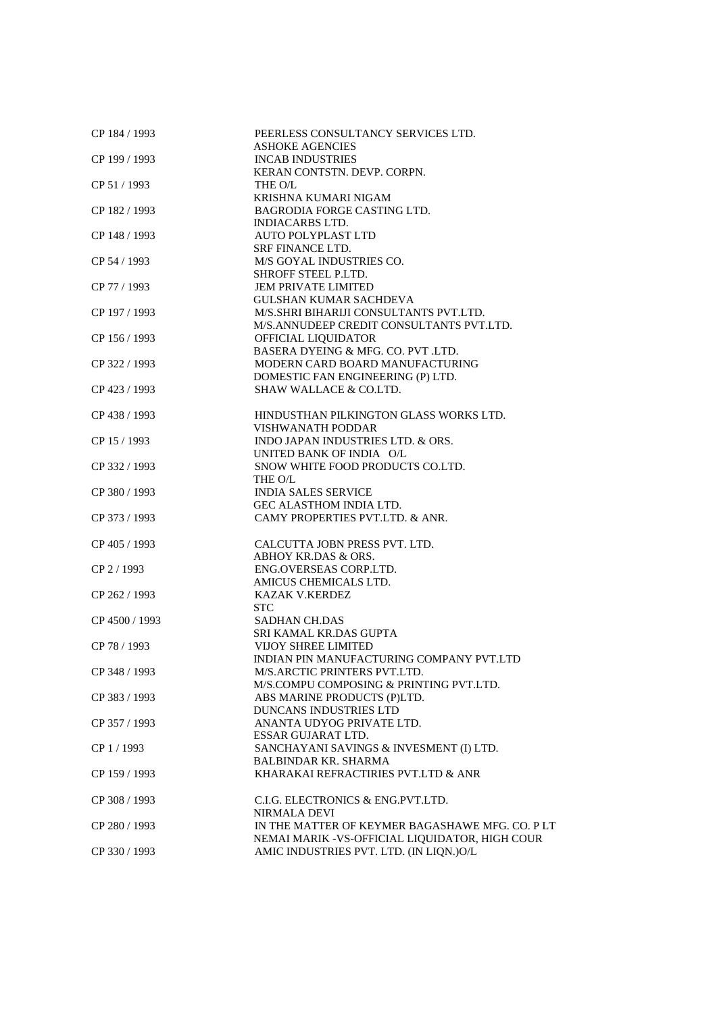| CP 184 / 1993  | PEERLESS CONSULTANCY SERVICES LTD.                |
|----------------|---------------------------------------------------|
| CP 199 / 1993  | <b>ASHOKE AGENCIES</b><br><b>INCAB INDUSTRIES</b> |
|                | KERAN CONTSTN. DEVP. CORPN.                       |
| CP 51/1993     | THE O/L                                           |
|                | KRISHNA KUMARI NIGAM                              |
| CP 182 / 1993  | <b>BAGRODIA FORGE CASTING LTD.</b>                |
|                | <b>INDIACARBS LTD.</b>                            |
| CP 148 / 1993  | <b>AUTO POLYPLAST LTD</b>                         |
|                | <b>SRF FINANCE LTD.</b>                           |
| CP 54 / 1993   | M/S GOYAL INDUSTRIES CO.                          |
|                | <b>SHROFF STEEL P.LTD.</b>                        |
| CP 77 / 1993   | <b>JEM PRIVATE LIMITED</b>                        |
|                | <b>GULSHAN KUMAR SACHDEVA</b>                     |
| CP 197 / 1993  | M/S.SHRI BIHARIJI CONSULTANTS PVT.LTD.            |
|                | M/S.ANNUDEEP CREDIT CONSULTANTS PVT.LTD.          |
| CP 156 / 1993  | OFFICIAL LIQUIDATOR                               |
|                | BASERA DYEING & MFG. CO. PVT .LTD.                |
| CP 322 / 1993  | MODERN CARD BOARD MANUFACTURING                   |
|                | DOMESTIC FAN ENGINEERING (P) LTD.                 |
| CP 423 / 1993  | SHAW WALLACE & CO.LTD.                            |
| CP 438 / 1993  | HINDUSTHAN PILKINGTON GLASS WORKS LTD.            |
|                | VISHWANATH PODDAR                                 |
| CP 15 / 1993   | INDO JAPAN INDUSTRIES LTD. & ORS.                 |
|                | UNITED BANK OF INDIA O/L                          |
| CP 332 / 1993  | SNOW WHITE FOOD PRODUCTS CO.LTD.                  |
|                | THE O/L                                           |
| CP 380 / 1993  | <b>INDIA SALES SERVICE</b>                        |
|                | GEC ALASTHOM INDIA LTD.                           |
| CP 373 / 1993  | CAMY PROPERTIES PVT.LTD. & ANR.                   |
| CP 405 / 1993  | CALCUTTA JOBN PRESS PVT. LTD.                     |
|                | ABHOY KR.DAS & ORS.                               |
| CP 2 / 1993    | ENG.OVERSEAS CORP.LTD.                            |
|                | AMICUS CHEMICALS LTD.                             |
| CP 262 / 1993  | <b>KAZAK V.KERDEZ</b>                             |
|                | <b>STC</b>                                        |
| CP 4500 / 1993 | <b>SADHAN CH.DAS</b>                              |
|                | SRI KAMAL KR.DAS GUPTA                            |
| CP 78 / 1993   | <b>VIJOY SHREE LIMITED</b>                        |
|                | INDIAN PIN MANUFACTURING COMPANY PVT.LTD          |
| CP 348 / 1993  | M/S.ARCTIC PRINTERS PVT.LTD.                      |
|                | M/S.COMPU COMPOSING & PRINTING PVT.LTD.           |
| CP 383 / 1993  | ABS MARINE PRODUCTS (P)LTD.                       |
|                | DUNCANS INDUSTRIES LTD                            |
| CP 357 / 1993  | ANANTA UDYOG PRIVATE LTD.                         |
|                | ESSAR GUJARAT LTD.                                |
| CP 1 / 1993    | SANCHAYANI SAVINGS & INVESMENT (I) LTD.           |
|                | <b>BALBINDAR KR. SHARMA</b>                       |
| CP 159 / 1993  | KHARAKAI REFRACTIRIES PVT.LTD & ANR               |
| CP 308 / 1993  | C.I.G. ELECTRONICS & ENG.PVT.LTD.                 |
|                | NIRMALA DEVI                                      |
| CP 280 / 1993  | IN THE MATTER OF KEYMER BAGASHAWE MFG. CO. PLT    |
|                | NEMAI MARIK - VS-OFFICIAL LIQUIDATOR, HIGH COUR   |
| CP 330 / 1993  | AMIC INDUSTRIES PVT. LTD. (IN LIQN.)O/L           |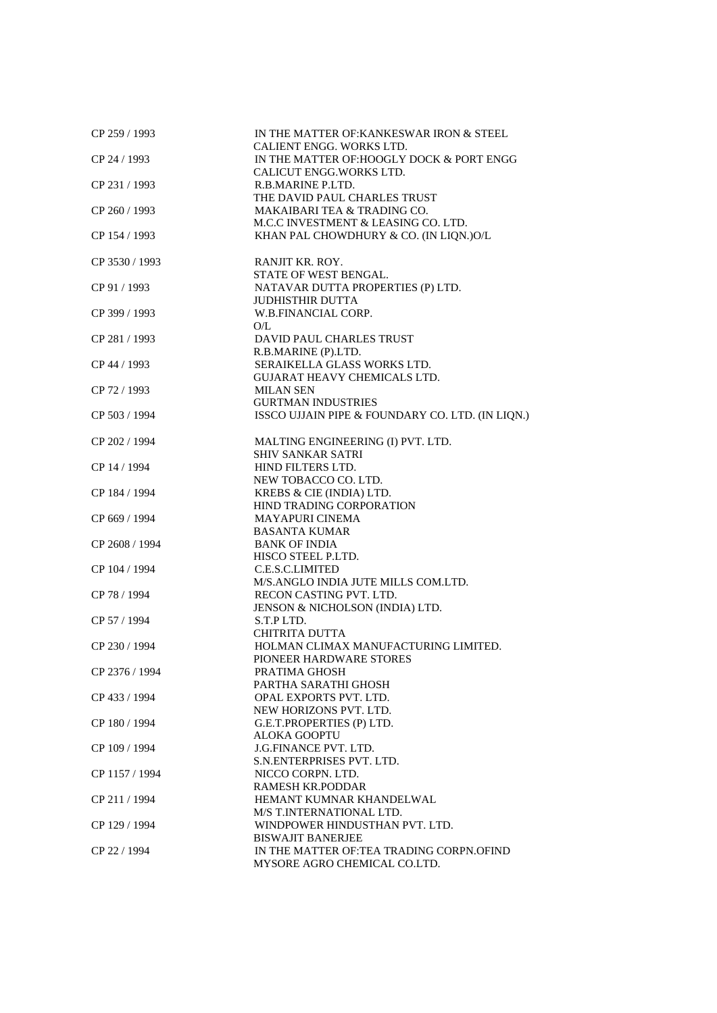| CP 259 / 1993                 | IN THE MATTER OF KANKESWAR IRON & STEEL<br>CALIENT ENGG. WORKS LTD.                        |
|-------------------------------|--------------------------------------------------------------------------------------------|
| CP 24 / 1993<br>CP 231 / 1993 | IN THE MATTER OF: HOOGLY DOCK & PORT ENGG<br>CALICUT ENGG. WORKS LTD.<br>R.B.MARINE P.LTD. |
|                               | THE DAVID PAUL CHARLES TRUST                                                               |
| CP 260 / 1993                 | MAKAIBARI TEA & TRADING CO.                                                                |
|                               | M.C.C INVESTMENT & LEASING CO. LTD.                                                        |
| CP 154 / 1993                 | KHAN PAL CHOWDHURY & CO. (IN LIQN.)O/L                                                     |
| CP 3530 / 1993                | RANJIT KR. ROY.<br>STATE OF WEST BENGAL.                                                   |
| CP 91 / 1993                  | NATAVAR DUTTA PROPERTIES (P) LTD.                                                          |
| CP 399 / 1993                 | <b>JUDHISTHIR DUTTA</b><br>W.B.FINANCIAL CORP.                                             |
| CP 281 / 1993                 | O/L<br>DAVID PAUL CHARLES TRUST                                                            |
|                               | R.B.MARINE (P).LTD.                                                                        |
| CP 44 / 1993                  | SERAIKELLA GLASS WORKS LTD.                                                                |
|                               | <b>GUJARAT HEAVY CHEMICALS LTD.</b>                                                        |
| CP 72 / 1993                  | <b>MILAN SEN</b>                                                                           |
|                               | <b>GURTMAN INDUSTRIES</b>                                                                  |
| CP 503 / 1994                 | ISSCO UJJAIN PIPE & FOUNDARY CO. LTD. (IN LIQN.)                                           |
| CP 202 / 1994                 | MALTING ENGINEERING (I) PVT. LTD.                                                          |
|                               | <b>SHIV SANKAR SATRI</b>                                                                   |
| CP 14 / 1994                  | HIND FILTERS LTD.                                                                          |
| CP 184 / 1994                 | NEW TOBACCO CO. LTD.<br>KREBS & CIE (INDIA) LTD.                                           |
|                               | HIND TRADING CORPORATION                                                                   |
| CP 669 / 1994                 | <b>MAYAPURI CINEMA</b>                                                                     |
|                               | <b>BASANTA KUMAR</b>                                                                       |
| CP 2608 / 1994                | <b>BANK OF INDIA</b>                                                                       |
|                               | HISCO STEEL P.LTD.                                                                         |
| CP 104 / 1994                 | C.E.S.C.LIMITED                                                                            |
|                               | M/S.ANGLO INDIA JUTE MILLS COM.LTD.                                                        |
| CP 78 / 1994                  | RECON CASTING PVT. LTD.                                                                    |
|                               | JENSON & NICHOLSON (INDIA) LTD.                                                            |
| CP 57 / 1994                  | S.T.P LTD.                                                                                 |
|                               | <b>CHITRITA DUTTA</b>                                                                      |
| CP 230 / 1994                 | HOLMAN CLIMAX MANUFACTURING LIMITED.                                                       |
| CP 2376 / 1994                | PIONEER HARDWARE STORES                                                                    |
|                               | PRATIMA GHOSH<br>PARTHA SARATHI GHOSH                                                      |
| CP 433 / 1994                 | OPAL EXPORTS PVT. LTD.                                                                     |
|                               | NEW HORIZONS PVT. LTD.                                                                     |
| CP 180 / 1994                 | G.E.T.PROPERTIES (P) LTD.                                                                  |
|                               | <b>ALOKA GOOPTU</b>                                                                        |
| CP 109 / 1994                 | J.G.FINANCE PVT. LTD.                                                                      |
|                               | S.N.ENTERPRISES PVT. LTD.                                                                  |
| CP 1157 / 1994                | NICCO CORPN. LTD.                                                                          |
|                               | <b>RAMESH KR.PODDAR</b>                                                                    |
| CP 211 / 1994                 | HEMANT KUMNAR KHANDELWAL                                                                   |
|                               | M/S T.INTERNATIONAL LTD.                                                                   |
| CP 129 / 1994                 | WINDPOWER HINDUSTHAN PVT. LTD.                                                             |
|                               | <b>BISWAJIT BANERJEE</b>                                                                   |
| CP 22 / 1994                  | IN THE MATTER OF:TEA TRADING CORPN.OFIND                                                   |
|                               | MYSORE AGRO CHEMICAL CO.LTD.                                                               |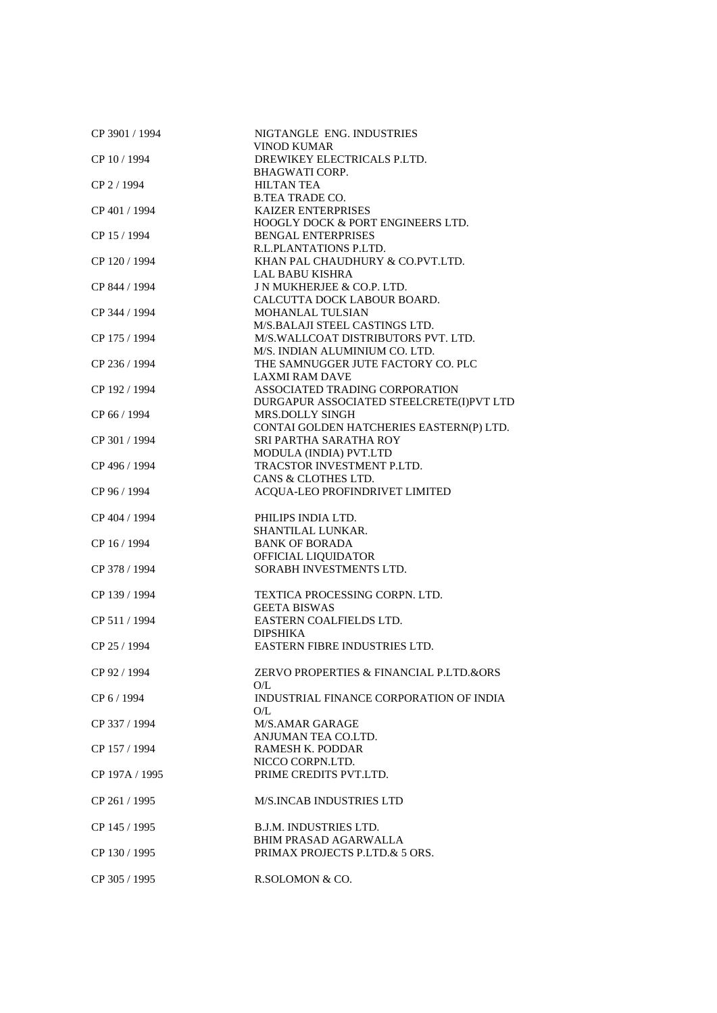| CP 3901 / 1994 | NIGTANGLE ENG. INDUSTRIES                            |
|----------------|------------------------------------------------------|
|                | <b>VINOD KUMAR</b>                                   |
| CP 10 / 1994   | DREWIKEY ELECTRICALS P.LTD.                          |
| CP 2 / 1994    | <b>BHAGWATI CORP.</b><br><b>HILTAN TEA</b>           |
|                | <b>B.TEA TRADE CO.</b>                               |
| CP 401 / 1994  | <b>KAIZER ENTERPRISES</b>                            |
|                | <b>HOOGLY DOCK &amp; PORT ENGINEERS LTD.</b>         |
| CP 15 / 1994   | <b>BENGAL ENTERPRISES</b>                            |
|                | R.L.PLANTATIONS P.LTD.                               |
| CP 120 / 1994  | KHAN PAL CHAUDHURY & CO.PVT.LTD.                     |
|                | <b>LAL BABU KISHRA</b>                               |
| CP 844 / 1994  | J N MUKHERJEE & CO.P. LTD.                           |
|                | CALCUTTA DOCK LABOUR BOARD.                          |
| CP 344 / 1994  | MOHANLAL TULSIAN                                     |
|                | M/S.BALAJI STEEL CASTINGS LTD.                       |
| CP 175 / 1994  | M/S.WALLCOAT DISTRIBUTORS PVT. LTD.                  |
|                | M/S. INDIAN ALUMINIUM CO. LTD.                       |
| CP 236 / 1994  | THE SAMNUGGER JUTE FACTORY CO. PLC                   |
|                | <b>LAXMI RAM DAVE</b>                                |
| CP 192 / 1994  | ASSOCIATED TRADING CORPORATION                       |
|                | DURGAPUR ASSOCIATED STEELCRETE(I)PVT LTD             |
| CP 66 / 1994   | <b>MRS.DOLLY SINGH</b>                               |
|                | CONTAI GOLDEN HATCHERIES EASTERN(P) LTD.             |
| CP 301 / 1994  | SRI PARTHA SARATHA ROY                               |
| CP 496 / 1994  | MODULA (INDIA) PVT.LTD<br>TRACSTOR INVESTMENT P.LTD. |
|                | CANS & CLOTHES LTD.                                  |
| CP 96 / 1994   | ACQUA-LEO PROFINDRIVET LIMITED                       |
|                |                                                      |
| CP 404 / 1994  | PHILIPS INDIA LTD.                                   |
|                |                                                      |
|                | SHANTILAL LUNKAR.                                    |
| CP 16 / 1994   | <b>BANK OF BORADA</b>                                |
|                | OFFICIAL LIQUIDATOR                                  |
| CP 378 / 1994  | SORABH INVESTMENTS LTD.                              |
|                |                                                      |
| CP 139 / 1994  | TEXTICA PROCESSING CORPN. LTD.                       |
|                | <b>GEETA BISWAS</b>                                  |
| CP 511 / 1994  | EASTERN COALFIELDS LTD.                              |
|                | <b>DIPSHIKA</b>                                      |
| CP 25 / 1994   | EASTERN FIBRE INDUSTRIES LTD.                        |
|                |                                                      |
| CP 92 / 1994   | ZERVO PROPERTIES & FINANCIAL P.LTD.&ORS              |
|                | O/L                                                  |
| CP 6 / 1994    | INDUSTRIAL FINANCE CORPORATION OF INDIA              |
|                | O/L                                                  |
| CP 337 / 1994  | M/S.AMAR GARAGE                                      |
|                | ANJUMAN TEA CO.LTD.                                  |
| CP 157 / 1994  | RAMESH K. PODDAR<br>NICCO CORPN.LTD.                 |
| CP 197A / 1995 | PRIME CREDITS PVT.LTD.                               |
|                |                                                      |
| CP 261 / 1995  | <b>M/S.INCAB INDUSTRIES LTD</b>                      |
|                |                                                      |
| CP 145 / 1995  | <b>B.J.M. INDUSTRIES LTD.</b>                        |
|                | BHIM PRASAD AGARWALLA                                |
| CP 130 / 1995  | PRIMAX PROJECTS P.LTD.& 5 ORS.                       |
| CP 305 / 1995  | R.SOLOMON & CO.                                      |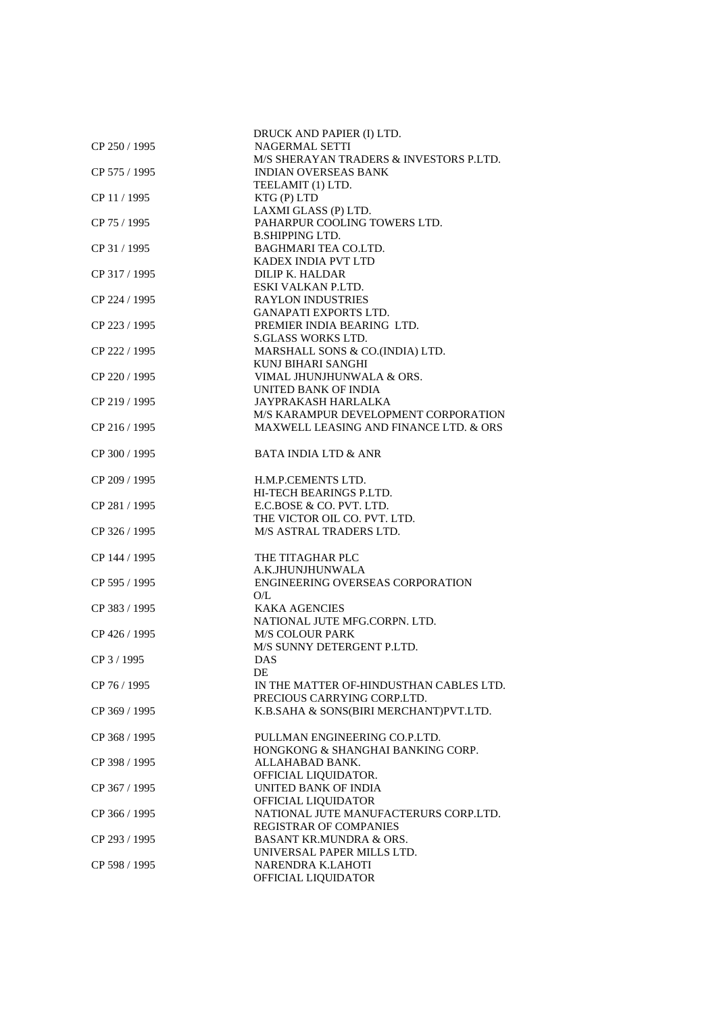| CP 250 / 1995 | DRUCK AND PAPIER (I) LTD.<br><b>NAGERMAL SETTI</b>          |
|---------------|-------------------------------------------------------------|
|               | M/S SHERAYAN TRADERS & INVESTORS P.LTD.                     |
| CP 575 / 1995 | <b>INDIAN OVERSEAS BANK</b>                                 |
|               | TEELAMIT (1) LTD.                                           |
| CP 11 / 1995  | KTG(P) LTD                                                  |
|               | LAXMI GLASS (P) LTD.                                        |
| CP 75 / 1995  | PAHARPUR COOLING TOWERS LTD.                                |
|               | <b>B.SHIPPING LTD.</b>                                      |
| CP 31 / 1995  | <b>BAGHMARI TEA CO.LTD.</b>                                 |
|               | KADEX INDIA PVT LTD                                         |
| CP 317 / 1995 | DILIP K. HALDAR                                             |
|               | ESKI VALKAN P.LTD.                                          |
| CP 224 / 1995 | <b>RAYLON INDUSTRIES</b>                                    |
|               | <b>GANAPATI EXPORTS LTD.</b>                                |
| CP 223 / 1995 | PREMIER INDIA BEARING LTD.                                  |
|               | <b>S.GLASS WORKS LTD.</b>                                   |
| CP 222 / 1995 | MARSHALL SONS & CO.(INDIA) LTD.                             |
|               | KUNJ BIHARI SANGHI                                          |
| CP 220 / 1995 | VIMAL JHUNJHUNWALA & ORS.                                   |
|               | UNITED BANK OF INDIA                                        |
| CP 219 / 1995 | JAYPRAKASH HARLALKA<br>M/S KARAMPUR DEVELOPMENT CORPORATION |
| CP 216 / 1995 | MAXWELL LEASING AND FINANCE LTD. & ORS                      |
|               |                                                             |
| CP 300 / 1995 | <b>BATA INDIA LTD &amp; ANR</b>                             |
|               |                                                             |
| CP 209 / 1995 | H.M.P.CEMENTS LTD.                                          |
|               | HI-TECH BEARINGS P.LTD.                                     |
| CP 281 / 1995 | E.C.BOSE & CO. PVT. LTD.                                    |
|               | THE VICTOR OIL CO. PVT. LTD.                                |
| CP 326 / 1995 | M/S ASTRAL TRADERS LTD.                                     |
|               |                                                             |
| CP 144 / 1995 | THE TITAGHAR PLC                                            |
|               | A.K.JHUNJHUNWALA                                            |
| CP 595 / 1995 | ENGINEERING OVERSEAS CORPORATION                            |
|               | O/L                                                         |
| CP 383 / 1995 | <b>KAKA AGENCIES</b>                                        |
|               | NATIONAL JUTE MFG.CORPN. LTD.                               |
| CP 426 / 1995 | <b>M/S COLOUR PARK</b><br>M/S SUNNY DETERGENT P.LTD.        |
| CP 3 / 1995   | DAS                                                         |
|               | DE                                                          |
| CP 76 / 1995  | IN THE MATTER OF-HINDUSTHAN CABLES LTD.                     |
|               | PRECIOUS CARRYING CORP.LTD.                                 |
| CP 369 / 1995 | K.B.SAHA & SONS(BIRI MERCHANT)PVT.LTD.                      |
|               |                                                             |
| CP 368 / 1995 | PULLMAN ENGINEERING CO.P.LTD.                               |
|               | HONGKONG & SHANGHAI BANKING CORP.                           |
| CP 398 / 1995 | ALLAHABAD BANK.                                             |
|               | OFFICIAL LIQUIDATOR.                                        |
| CP 367 / 1995 | UNITED BANK OF INDIA                                        |
|               | OFFICIAL LIQUIDATOR                                         |
| CP 366 / 1995 | NATIONAL JUTE MANUFACTERURS CORP.LTD.                       |
|               | REGISTRAR OF COMPANIES                                      |
| CP 293 / 1995 | <b>BASANT KR.MUNDRA &amp; ORS.</b>                          |
|               | UNIVERSAL PAPER MILLS LTD.                                  |
| CP 598 / 1995 | NARENDRA K.LAHOTI                                           |
|               | OFFICIAL LIQUIDATOR                                         |
|               |                                                             |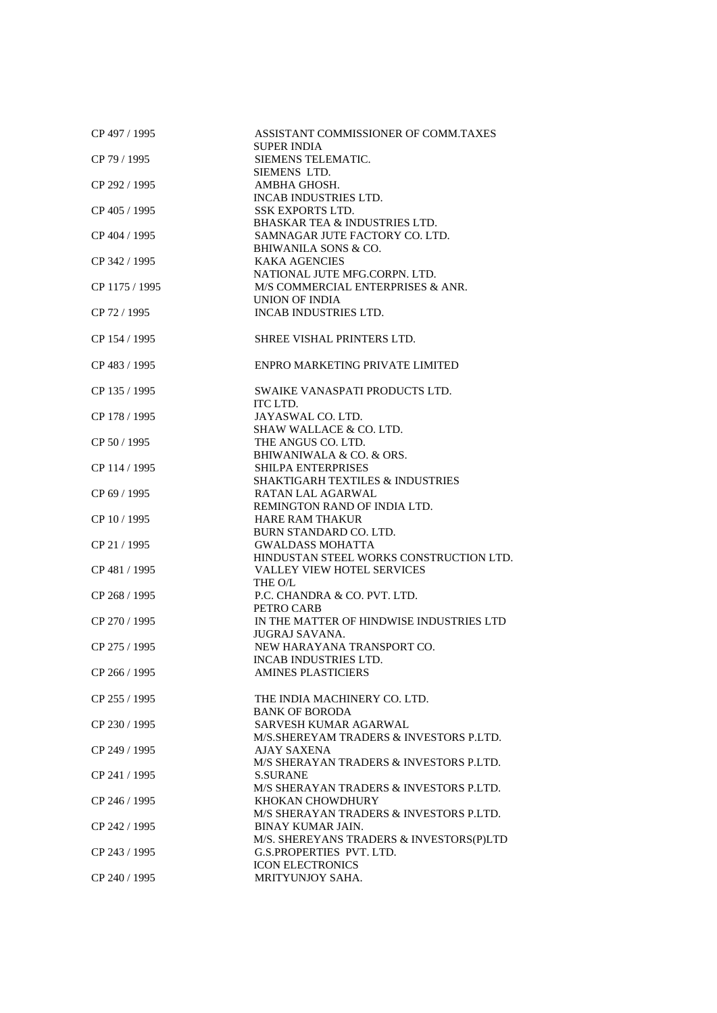| CP 497 / 1995  | ASSISTANT COMMISSIONER OF COMM.TAXES<br><b>SUPER INDIA</b> |
|----------------|------------------------------------------------------------|
| CP 79 / 1995   | SIEMENS TELEMATIC.                                         |
|                | SIEMENS LTD.                                               |
| CP 292 / 1995  | AMBHA GHOSH.                                               |
| CP 405 / 1995  | <b>INCAB INDUSTRIES LTD.</b><br><b>SSK EXPORTS LTD.</b>    |
|                | <b>BHASKAR TEA &amp; INDUSTRIES LTD.</b>                   |
| CP 404 / 1995  | SAMNAGAR JUTE FACTORY CO. LTD.                             |
|                | BHIWANILA SONS & CO.                                       |
| CP 342 / 1995  | <b>KAKA AGENCIES</b>                                       |
|                | NATIONAL JUTE MFG.CORPN. LTD.                              |
| CP 1175 / 1995 | M/S COMMERCIAL ENTERPRISES & ANR.                          |
|                | UNION OF INDIA                                             |
| CP 72 / 1995   | <b>INCAB INDUSTRIES LTD.</b>                               |
|                |                                                            |
| CP 154 / 1995  | SHREE VISHAL PRINTERS LTD.                                 |
| CP 483 / 1995  | ENPRO MARKETING PRIVATE LIMITED                            |
|                |                                                            |
| CP 135 / 1995  | SWAIKE VANASPATI PRODUCTS LTD.                             |
|                | ITC LTD.                                                   |
| CP 178 / 1995  | JAYASWAL CO. LTD.                                          |
|                | SHAW WALLACE & CO. LTD.                                    |
| CP 50 / 1995   | THE ANGUS CO. LTD.                                         |
|                | BHIWANIWALA & CO. & ORS.                                   |
| CP 114 / 1995  | SHILPA ENTERPRISES                                         |
|                | <b>SHAKTIGARH TEXTILES &amp; INDUSTRIES</b>                |
| CP 69 / 1995   | RATAN LAL AGARWAL                                          |
|                | REMINGTON RAND OF INDIA LTD.                               |
| CP 10 / 1995   | <b>HARE RAM THAKUR</b>                                     |
|                | BURN STANDARD CO. LTD.                                     |
| CP 21 / 1995   | <b>GWALDASS MOHATTA</b>                                    |
|                | HINDUSTAN STEEL WORKS CONSTRUCTION LTD.                    |
| CP 481 / 1995  | VALLEY VIEW HOTEL SERVICES                                 |
|                | THE O/L                                                    |
| CP 268 / 1995  | P.C. CHANDRA & CO. PVT. LTD.                               |
|                | PETRO CARB                                                 |
| CP 270 / 1995  | IN THE MATTER OF HINDWISE INDUSTRIES LTD                   |
|                | JUGRAJ SAVANA.                                             |
| CP 275 / 1995  | NEW HARAYANA TRANSPORT CO.<br>INCAB INDUSTRIES LTD.        |
| CP 266 / 1995  | <b>AMINES PLASTICIERS</b>                                  |
|                |                                                            |
| CP 255 / 1995  | THE INDIA MACHINERY CO. LTD.                               |
|                | <b>BANK OF BORODA</b>                                      |
| CP 230 / 1995  | SARVESH KUMAR AGARWAL                                      |
|                | M/S. SHEREYAM TRADERS & INVESTORS P.LTD.                   |
| CP 249 / 1995  | AJAY SAXENA                                                |
|                | M/S SHERAYAN TRADERS & INVESTORS P.LTD.                    |
| CP 241 / 1995  | <b>S.SURANE</b>                                            |
|                | M/S SHERAYAN TRADERS & INVESTORS P.LTD.                    |
| CP 246 / 1995  | KHOKAN CHOWDHURY                                           |
|                | M/S SHERAYAN TRADERS & INVESTORS P.LTD.                    |
| CP 242 / 1995  | <b>BINAY KUMAR JAIN.</b>                                   |
|                | M/S. SHEREYANS TRADERS & INVESTORS(P)LTD                   |
| CP 243 / 1995  | G.S.PROPERTIES PVT. LTD.                                   |
|                | <b>ICON ELECTRONICS</b>                                    |
| CP 240 / 1995  | MRITYUNJOY SAHA.                                           |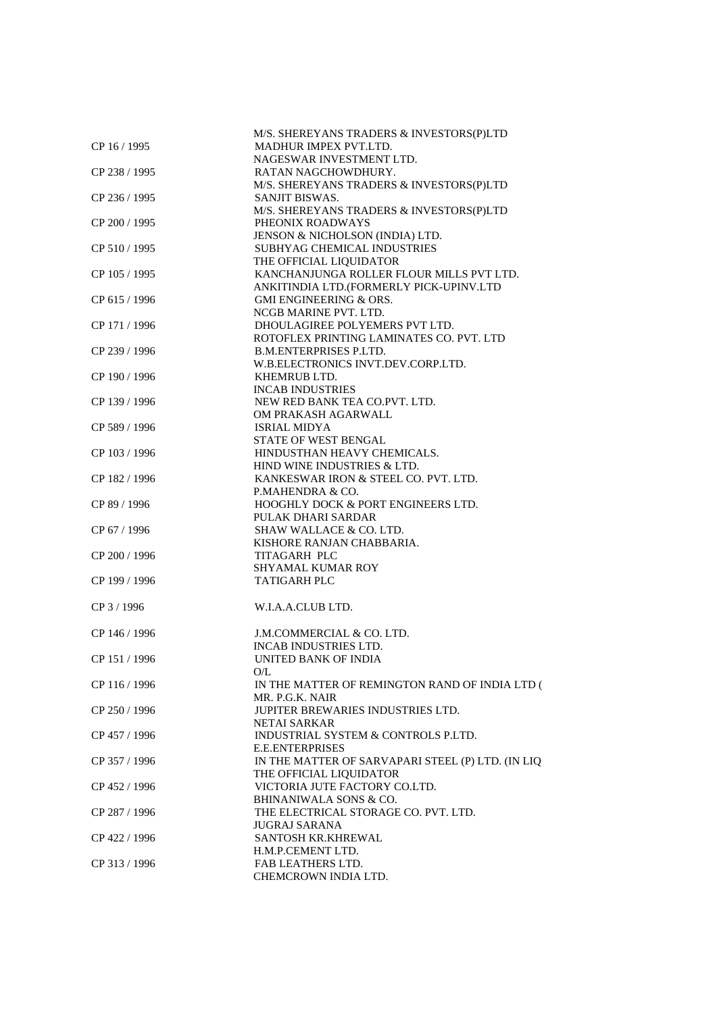|               | M/S. SHEREYANS TRADERS & INVESTORS(P)LTD          |
|---------------|---------------------------------------------------|
| CP 16 / 1995  | MADHUR IMPEX PVT.LTD.                             |
|               | NAGESWAR INVESTMENT LTD.                          |
| CP 238 / 1995 | RATAN NAGCHOWDHURY.                               |
|               | M/S. SHEREYANS TRADERS & INVESTORS(P)LTD          |
|               |                                                   |
| CP 236 / 1995 | SANJIT BISWAS.                                    |
|               | M/S. SHEREYANS TRADERS & INVESTORS(P)LTD          |
| CP 200 / 1995 | PHEONIX ROADWAYS                                  |
|               | JENSON & NICHOLSON (INDIA) LTD.                   |
| CP 510 / 1995 | SUBHYAG CHEMICAL INDUSTRIES                       |
|               | THE OFFICIAL LIQUIDATOR                           |
| CP 105 / 1995 | KANCHANJUNGA ROLLER FLOUR MILLS PVT LTD.          |
|               | ANKITINDIA LTD.(FORMERLY PICK-UPINV.LTD           |
|               | <b>GMI ENGINEERING &amp; ORS.</b>                 |
| CP 615 / 1996 |                                                   |
|               | NCGB MARINE PVT. LTD.                             |
| CP 171 / 1996 | DHOULAGIREE POLYEMERS PVT LTD.                    |
|               | ROTOFLEX PRINTING LAMINATES CO. PVT. LTD          |
| CP 239 / 1996 | <b>B.M.ENTERPRISES P.LTD.</b>                     |
|               | W.B.ELECTRONICS INVT.DEV.CORP.LTD.                |
| CP 190 / 1996 | KHEMRUB LTD.                                      |
|               | <b>INCAB INDUSTRIES</b>                           |
| CP 139 / 1996 | NEW RED BANK TEA CO.PVT. LTD.                     |
|               | OM PRAKASH AGARWALL                               |
|               |                                                   |
| CP 589 / 1996 | <b>ISRIAL MIDYA</b>                               |
|               | STATE OF WEST BENGAL                              |
| CP 103 / 1996 | HINDUSTHAN HEAVY CHEMICALS.                       |
|               | HIND WINE INDUSTRIES & LTD.                       |
| CP 182 / 1996 | KANKESWAR IRON & STEEL CO. PVT. LTD.              |
|               | P.MAHENDRA & CO.                                  |
| CP 89 / 1996  | HOOGHLY DOCK & PORT ENGINEERS LTD.                |
|               | PULAK DHARI SARDAR                                |
| CP 67 / 1996  | SHAW WALLACE & CO. LTD.                           |
|               | KISHORE RANJAN CHABBARIA.                         |
|               |                                                   |
| CP 200 / 1996 | <b>TITAGARH PLC</b>                               |
|               | SHYAMAL KUMAR ROY                                 |
| CP 199 / 1996 | <b>TATIGARH PLC</b>                               |
|               |                                                   |
| CP 3 / 1996   | W.I.A.A.CLUB LTD.                                 |
|               |                                                   |
| CP 146 / 1996 | J.M.COMMERCIAL & CO. LTD.                         |
|               | INCAB INDUSTRIES LTD.                             |
| CP 151 / 1996 | UNITED BANK OF INDIA                              |
|               |                                                   |
|               | O/L                                               |
| CP 116 / 1996 | IN THE MATTER OF REMINGTON RAND OF INDIA LTD (    |
|               | MR. P.G.K. NAIR                                   |
| CP 250 / 1996 | <b>JUPITER BREWARIES INDUSTRIES LTD.</b>          |
|               | NETAI SARKAR                                      |
| CP 457 / 1996 | INDUSTRIAL SYSTEM & CONTROLS P.LTD.               |
|               | <b>E.E.ENTERPRISES</b>                            |
| CP 357 / 1996 | IN THE MATTER OF SARVAPARI STEEL (P) LTD. (IN LIQ |
|               | THE OFFICIAL LIQUIDATOR                           |
| CP 452 / 1996 | VICTORIA JUTE FACTORY CO.LTD.                     |
|               | <b>BHINANIWALA SONS &amp; CO.</b>                 |
|               | THE ELECTRICAL STORAGE CO. PVT. LTD.              |
| CP 287 / 1996 |                                                   |
|               | <b>JUGRAJ SARANA</b>                              |
| CP 422 / 1996 | SANTOSH KR.KHREWAL                                |
|               | H.M.P.CEMENT LTD.                                 |
| CP 313 / 1996 | <b>FAB LEATHERS LTD.</b>                          |
|               | CHEMCROWN INDIA LTD.                              |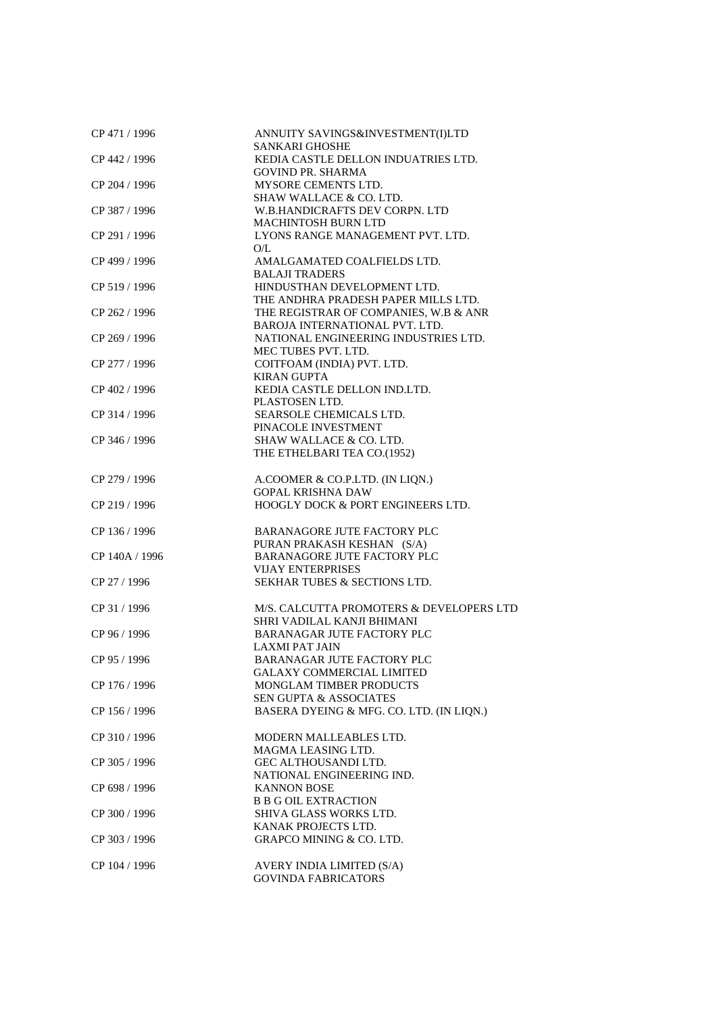| CP 471 / 1996  | ANNUITY SAVINGS&INVESTMENT(I)LTD         |
|----------------|------------------------------------------|
|                | SANKARI GHOSHE                           |
| CP 442 / 1996  | KEDIA CASTLE DELLON INDUATRIES LTD.      |
|                | <b>GOVIND PR. SHARMA</b>                 |
| CP 204 / 1996  | MYSORE CEMENTS LTD.                      |
|                | SHAW WALLACE & CO. LTD.                  |
| CP 387 / 1996  | W.B.HANDICRAFTS DEV CORPN. LTD           |
|                | MACHINTOSH BURN LTD                      |
| CP 291 / 1996  | LYONS RANGE MANAGEMENT PVT. LTD.         |
|                | O/L                                      |
| CP 499 / 1996  | AMALGAMATED COALFIELDS LTD.              |
|                | <b>BALAJI TRADERS</b>                    |
| CP 519 / 1996  | HINDUSTHAN DEVELOPMENT LTD.              |
|                | THE ANDHRA PRADESH PAPER MILLS LTD.      |
| CP 262 / 1996  | THE REGISTRAR OF COMPANIES, W.B & ANR    |
|                | BAROJA INTERNATIONAL PVT. LTD.           |
| CP 269 / 1996  | NATIONAL ENGINEERING INDUSTRIES LTD.     |
|                | MEC TUBES PVT. LTD.                      |
| CP 277 / 1996  | COITFOAM (INDIA) PVT. LTD.               |
|                | <b>KIRAN GUPTA</b>                       |
| CP 402 / 1996  | KEDIA CASTLE DELLON IND.LTD.             |
|                | PLASTOSEN LTD.                           |
| CP 314 / 1996  | SEARSOLE CHEMICALS LTD.                  |
|                | PINACOLE INVESTMENT                      |
| CP 346 / 1996  | SHAW WALLACE & CO. LTD.                  |
|                | THE ETHELBARI TEA CO.(1952)              |
|                |                                          |
| CP 279 / 1996  | A.COOMER & CO.P.LTD. (IN LIQN.)          |
|                | <b>GOPAL KRISHNA DAW</b>                 |
| CP 219 / 1996  | HOOGLY DOCK & PORT ENGINEERS LTD.        |
|                |                                          |
| CP 136 / 1996  | <b>BARANAGORE JUTE FACTORY PLC</b>       |
|                | PURAN PRAKASH KESHAN (S/A)               |
| CP 140A / 1996 | BARANAGORE JUTE FACTORY PLC              |
|                | <b>VIJAY ENTERPRISES</b>                 |
| CP 27 / 1996   | <b>SEKHAR TUBES &amp; SECTIONS LTD.</b>  |
|                |                                          |
| CP 31 / 1996   | M/S. CALCUTTA PROMOTERS & DEVELOPERS LTD |
|                | SHRI VADILAL KANJI BHIMANI               |
| CP 96 / 1996   | <b>BARANAGAR JUTE FACTORY PLC</b>        |
|                |                                          |
|                | <b>LAXMI PAT JAIN</b>                    |
| CP 95 / 1996   | BARANAGAR JUTE FACTORY PLC               |
|                | <b>GALAXY COMMERCIAL LIMITED</b>         |
| CP 176 / 1996  | MONGLAM TIMBER PRODUCTS                  |
|                | <b>SEN GUPTA &amp; ASSOCIATES</b>        |
| CP 156 / 1996  | BASERA DYEING & MFG. CO. LTD. (IN LIQN.) |
|                |                                          |
| CP 310 / 1996  | MODERN MALLEABLES LTD.                   |
|                | MAGMA LEASING LTD.                       |
| CP 305 / 1996  | GEC ALTHOUSANDI LTD.                     |
|                | NATIONAL ENGINEERING IND.                |
| CP 698 / 1996  | <b>KANNON BOSE</b>                       |
|                | <b>B B G OIL EXTRACTION</b>              |
| CP 300 / 1996  | SHIVA GLASS WORKS LTD.                   |
|                | KANAK PROJECTS LTD.                      |
| CP 303 / 1996  | <b>GRAPCO MINING &amp; CO. LTD.</b>      |
|                |                                          |
| CP 104 / 1996  | AVERY INDIA LIMITED (S/A)                |
|                | <b>GOVINDA FABRICATORS</b>               |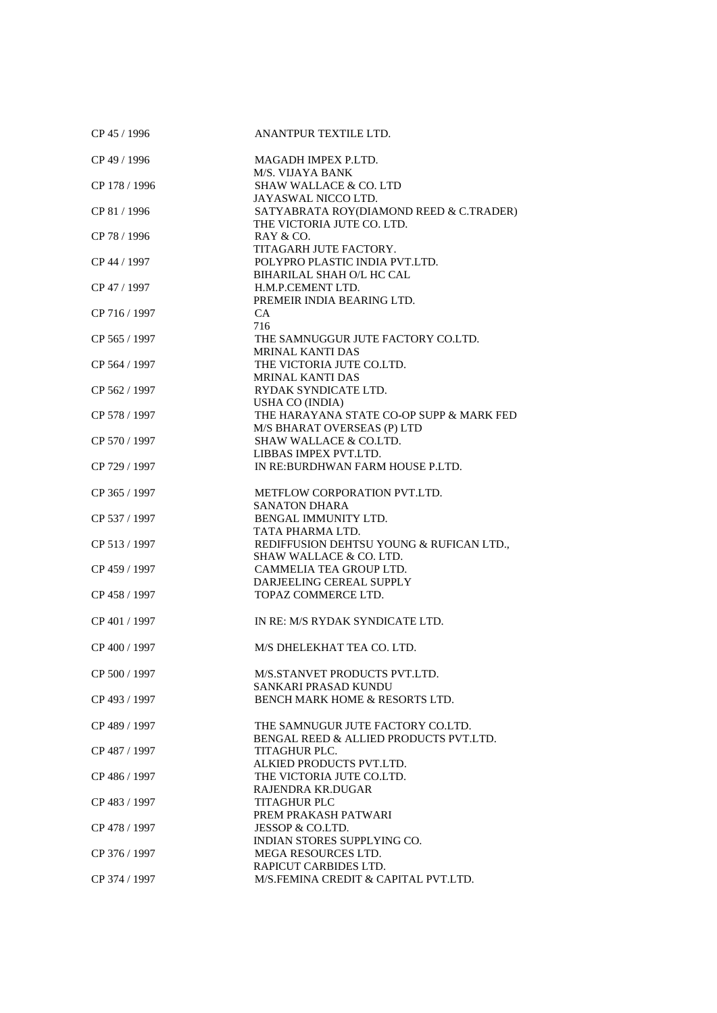| CP 45 / 1996  | ANANTPUR TEXTILE LTD.                    |
|---------------|------------------------------------------|
| CP 49 / 1996  | MAGADH IMPEX P.LTD.                      |
|               | M/S. VIJAYA BANK                         |
| CP 178 / 1996 | SHAW WALLACE & CO. LTD                   |
|               | JAYASWAL NICCO LTD.                      |
| CP 81 / 1996  | SATYABRATA ROY(DIAMOND REED & C.TRADER)  |
|               | THE VICTORIA JUTE CO. LTD.               |
| CP 78 / 1996  | RAY & CO.                                |
|               | TITAGARH JUTE FACTORY.                   |
|               |                                          |
| CP 44 / 1997  | POLYPRO PLASTIC INDIA PVT.LTD.           |
|               | BIHARILAL SHAH O/L HC CAL                |
| CP 47 / 1997  | H.M.P.CEMENT LTD.                        |
|               | PREMEIR INDIA BEARING LTD.               |
| CP 716 / 1997 | CA.                                      |
|               | 716                                      |
| CP 565 / 1997 | THE SAMNUGGUR JUTE FACTORY CO.LTD.       |
|               | MRINAL KANTI DAS                         |
| CP 564 / 1997 | THE VICTORIA JUTE CO.LTD.                |
|               | <b>MRINAL KANTI DAS</b>                  |
| CP 562 / 1997 | RYDAK SYNDICATE LTD.                     |
|               | <b>USHA CO (INDIA)</b>                   |
| CP 578 / 1997 | THE HARAYANA STATE CO-OP SUPP & MARK FED |
|               | M/S BHARAT OVERSEAS (P) LTD              |
| CP 570 / 1997 | <b>SHAW WALLACE &amp; CO.LTD.</b>        |
|               | LIBBAS IMPEX PVT.LTD.                    |
| CP 729 / 1997 | IN RE: BURDHWAN FARM HOUSE P.LTD.        |
|               |                                          |
| CP 365 / 1997 | METFLOW CORPORATION PVT.LTD.             |
|               | <b>SANATON DHARA</b>                     |
| CP 537 / 1997 | BENGAL IMMUNITY LTD.                     |
|               | TATA PHARMA LTD.                         |
|               |                                          |
| CP 513 / 1997 | REDIFFUSION DEHTSU YOUNG & RUFICAN LTD., |
|               | <b>SHAW WALLACE &amp; CO. LTD.</b>       |
| CP 459 / 1997 | CAMMELIA TEA GROUP LTD.                  |
|               | DARJEELING CEREAL SUPPLY                 |
| CP 458 / 1997 | TOPAZ COMMERCE LTD.                      |
|               |                                          |
| CP 401 / 1997 | IN RE: M/S RYDAK SYNDICATE LTD.          |
|               |                                          |
| CP 400 / 1997 | M/S DHELEKHAT TEA CO. LTD.               |
|               |                                          |
| CP 500 / 1997 | M/S.STANVET PRODUCTS PVT.LTD.            |
|               | SANKARI PRASAD KUNDU                     |
| CP 493 / 1997 | BENCH MARK HOME & RESORTS LTD.           |
|               |                                          |
| CP 489 / 1997 | THE SAMNUGUR JUTE FACTORY CO.LTD.        |
|               | BENGAL REED & ALLIED PRODUCTS PVT.LTD.   |
| CP 487 / 1997 | TITAGHUR PLC.                            |
|               | ALKIED PRODUCTS PVT.LTD.                 |
|               |                                          |
| CP 486 / 1997 | THE VICTORIA JUTE CO.LTD.                |
|               | RAJENDRA KR.DUGAR                        |
| CP 483 / 1997 | <b>TITAGHUR PLC</b>                      |
|               | PREM PRAKASH PATWARI                     |
| CP 478 / 1997 | JESSOP & CO.LTD.                         |
|               | INDIAN STORES SUPPLYING CO.              |
| CP 376 / 1997 | MEGA RESOURCES LTD.                      |
|               | RAPICUT CARBIDES LTD.                    |
| CP 374 / 1997 | M/S.FEMINA CREDIT & CAPITAL PVT.LTD.     |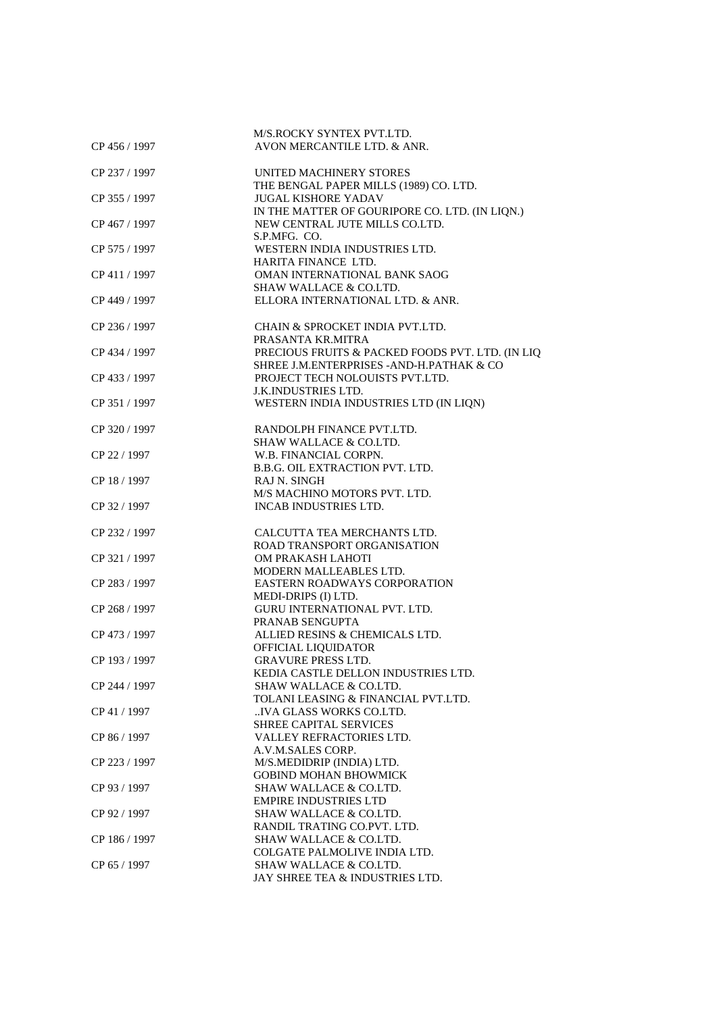|               | M/S.ROCKY SYNTEX PVT.LTD.                                                                     |
|---------------|-----------------------------------------------------------------------------------------------|
| CP 456 / 1997 | AVON MERCANTILE LTD. & ANR.                                                                   |
|               |                                                                                               |
| CP 237 / 1997 | UNITED MACHINERY STORES                                                                       |
|               | THE BENGAL PAPER MILLS (1989) CO. LTD.                                                        |
| CP 355 / 1997 | <b>JUGAL KISHORE YADAV</b>                                                                    |
|               | IN THE MATTER OF GOURIPORE CO. LTD. (IN LIQN.)                                                |
| CP 467 / 1997 | NEW CENTRAL JUTE MILLS CO.LTD.                                                                |
|               | S.P.MFG. CO.                                                                                  |
| CP 575 / 1997 | WESTERN INDIA INDUSTRIES LTD.                                                                 |
|               | HARITA FINANCE LTD.                                                                           |
| CP 411 / 1997 | OMAN INTERNATIONAL BANK SAOG                                                                  |
|               | <b>SHAW WALLACE &amp; CO.LTD.</b>                                                             |
| CP 449 / 1997 | ELLORA INTERNATIONAL LTD. & ANR.                                                              |
|               |                                                                                               |
| CP 236 / 1997 | CHAIN & SPROCKET INDIA PVT.LTD.                                                               |
| CP 434 / 1997 | PRASANTA KR.MITRA                                                                             |
|               | PRECIOUS FRUITS & PACKED FOODS PVT. LTD. (IN LIQ<br>SHREE J.M.ENTERPRISES - AND-H.PATHAK & CO |
| CP 433 / 1997 | PROJECT TECH NOLOUISTS PVT.LTD.                                                               |
|               | <b>J.K.INDUSTRIES LTD.</b>                                                                    |
| CP 351 / 1997 | WESTERN INDIA INDUSTRIES LTD (IN LIQN)                                                        |
|               |                                                                                               |
| CP 320 / 1997 | RANDOLPH FINANCE PVT.LTD.                                                                     |
|               | <b>SHAW WALLACE &amp; CO.LTD.</b>                                                             |
| CP 22 / 1997  | W.B. FINANCIAL CORPN.                                                                         |
|               | B.B.G. OIL EXTRACTION PVT. LTD.                                                               |
| CP 18 / 1997  | <b>RAJ N. SINGH</b>                                                                           |
|               | M/S MACHINO MOTORS PVT. LTD.                                                                  |
| CP 32 / 1997  | INCAB INDUSTRIES LTD.                                                                         |
|               |                                                                                               |
| CP 232 / 1997 | CALCUTTA TEA MERCHANTS LTD.                                                                   |
|               | ROAD TRANSPORT ORGANISATION                                                                   |
| CP 321 / 1997 | OM PRAKASH LAHOTI<br>MODERN MALLEABLES LTD.                                                   |
| CP 283 / 1997 | EASTERN ROADWAYS CORPORATION                                                                  |
|               | MEDI-DRIPS (I) LTD.                                                                           |
| CP 268 / 1997 | GURU INTERNATIONAL PVT. LTD.                                                                  |
|               | PRANAB SENGUPTA                                                                               |
| CP 473 / 1997 | ALLIED RESINS & CHEMICALS LTD.                                                                |
|               | OFFICIAL LIQUIDATOR                                                                           |
| CP 193 / 1997 | <b>GRAVURE PRESS LTD</b>                                                                      |
|               | KEDIA CASTLE DELLON INDUSTRIES LTD.                                                           |
| CP 244 / 1997 | <b>SHAW WALLACE &amp; CO.LTD.</b>                                                             |
|               | TOLANI LEASING & FINANCIAL PVT.LTD.                                                           |
| CP 41 / 1997  | IVA GLASS WORKS CO.LTD.                                                                       |
|               | <b>SHREE CAPITAL SERVICES</b>                                                                 |
| CP 86 / 1997  | VALLEY REFRACTORIES LTD.                                                                      |
|               | A.V.M.SALES CORP.                                                                             |
| CP 223 / 1997 | M/S.MEDIDRIP (INDIA) LTD.<br><b>GOBIND MOHAN BHOWMICK</b>                                     |
| CP 93 / 1997  | <b>SHAW WALLACE &amp; CO.LTD.</b>                                                             |
|               | <b>EMPIRE INDUSTRIES LTD</b>                                                                  |
| CP 92 / 1997  | SHAW WALLACE & CO.LTD.                                                                        |
|               |                                                                                               |
|               |                                                                                               |
| CP 186 / 1997 | RANDIL TRATING CO.PVT. LTD.                                                                   |
|               | SHAW WALLACE & CO.LTD.<br>COLGATE PALMOLIVE INDIA LTD.                                        |
| CP 65 / 1997  | SHAW WALLACE & CO.LTD.                                                                        |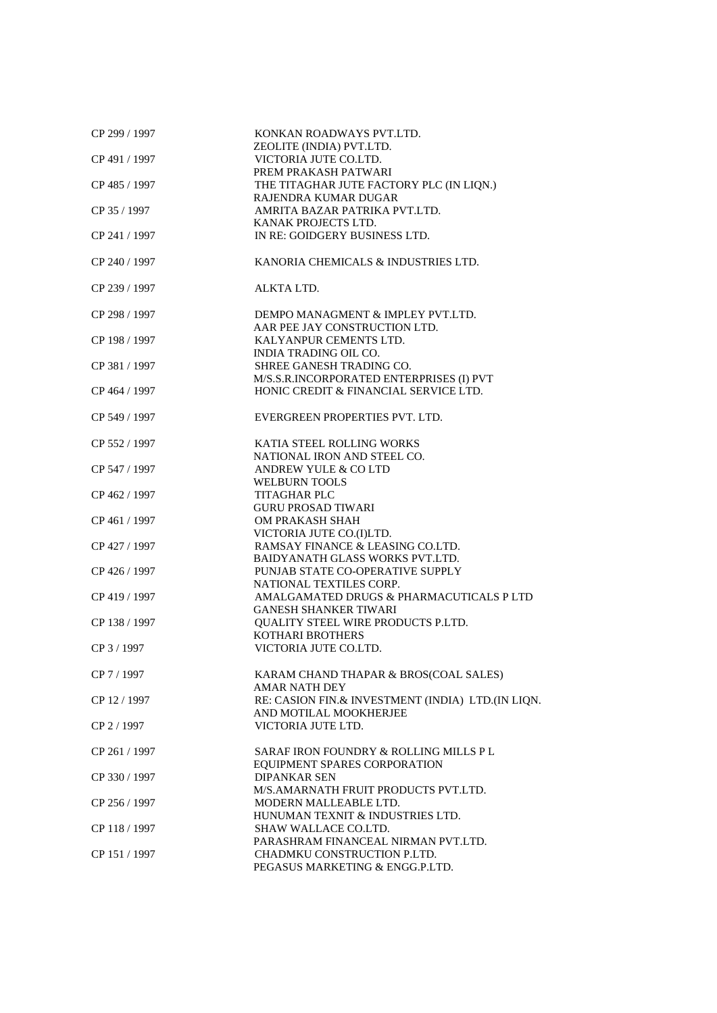| CP 299 / 1997 | KONKAN ROADWAYS PVT.LTD.<br>ZEOLITE (INDIA) PVT.LTD. |
|---------------|------------------------------------------------------|
| CP 491 / 1997 | VICTORIA JUTE CO.LTD.                                |
|               | PREM PRAKASH PATWARI                                 |
| CP 485 / 1997 | THE TITAGHAR JUTE FACTORY PLC (IN LIQN.)             |
|               | RAJENDRA KUMAR DUGAR                                 |
| CP 35 / 1997  | AMRITA BAZAR PATRIKA PVT.LTD.                        |
|               | KANAK PROJECTS LTD.                                  |
| CP 241 / 1997 | IN RE: GOIDGERY BUSINESS LTD.                        |
| CP 240 / 1997 | KANORIA CHEMICALS & INDUSTRIES LTD.                  |
| CP 239 / 1997 | ALKTA LTD.                                           |
| CP 298 / 1997 | DEMPO MANAGMENT & IMPLEY PVT.LTD.                    |
|               | AAR PEE JAY CONSTRUCTION LTD.                        |
| CP 198 / 1997 | KALYANPUR CEMENTS LTD.                               |
|               | <b>INDIA TRADING OIL CO.</b>                         |
| CP 381 / 1997 | SHREE GANESH TRADING CO.                             |
|               | M/S.S.R.INCORPORATED ENTERPRISES (I) PVT             |
| CP 464 / 1997 | HONIC CREDIT & FINANCIAL SERVICE LTD.                |
| CP 549 / 1997 | EVERGREEN PROPERTIES PVT. LTD.                       |
| CP 552 / 1997 | KATIA STEEL ROLLING WORKS                            |
|               | NATIONAL IRON AND STEEL CO.                          |
| CP 547 / 1997 | ANDREW YULE & CO LTD                                 |
|               | <b>WELBURN TOOLS</b>                                 |
| CP 462 / 1997 | <b>TITAGHAR PLC</b>                                  |
|               | <b>GURU PROSAD TIWARI</b>                            |
| CP 461 / 1997 | OM PRAKASH SHAH                                      |
|               | VICTORIA JUTE CO.(I)LTD.                             |
| CP 427 / 1997 | RAMSAY FINANCE & LEASING CO.LTD.                     |
|               | BAIDYANATH GLASS WORKS PVT.LTD.                      |
| CP 426 / 1997 | PUNJAB STATE CO-OPERATIVE SUPPLY                     |
|               | NATIONAL TEXTILES CORP.                              |
| CP 419 / 1997 | AMALGAMATED DRUGS & PHARMACUTICALS P LTD             |
|               | <b>GANESH SHANKER TIWARI</b>                         |
| CP 138 / 1997 | QUALITY STEEL WIRE PRODUCTS P.LTD.                   |
|               | KOTHARI BROTHERS                                     |
| CP 3 / 1997   | VICTORIA JUTE CO.LTD.                                |
| CP 7 / 1997   | KARAM CHAND THAPAR & BROS(COAL SALES)                |
|               | <b>AMAR NATH DEY</b>                                 |
| CP 12 / 1997  | RE: CASION FIN.& INVESTMENT (INDIA) LTD.(IN LIQN.    |
|               | AND MOTILAL MOOKHERJEE                               |
| CP 2 / 1997   | VICTORIA JUTE LTD.                                   |
| CP 261 / 1997 | SARAF IRON FOUNDRY & ROLLING MILLS P L               |
|               | EQUIPMENT SPARES CORPORATION                         |
| CP 330 / 1997 | <b>DIPANKAR SEN</b>                                  |
|               | M/S.AMARNATH FRUIT PRODUCTS PVT.LTD.                 |
| CP 256 / 1997 | MODERN MALLEABLE LTD.                                |
|               | HUNUMAN TEXNIT & INDUSTRIES LTD.                     |
| CP 118 / 1997 | SHAW WALLACE CO.LTD.                                 |
|               | PARASHRAM FINANCEAL NIRMAN PVT.LTD.                  |
| CP 151 / 1997 | CHADMKU CONSTRUCTION P.LTD.                          |
|               | PEGASUS MARKETING & ENGG.P.LTD.                      |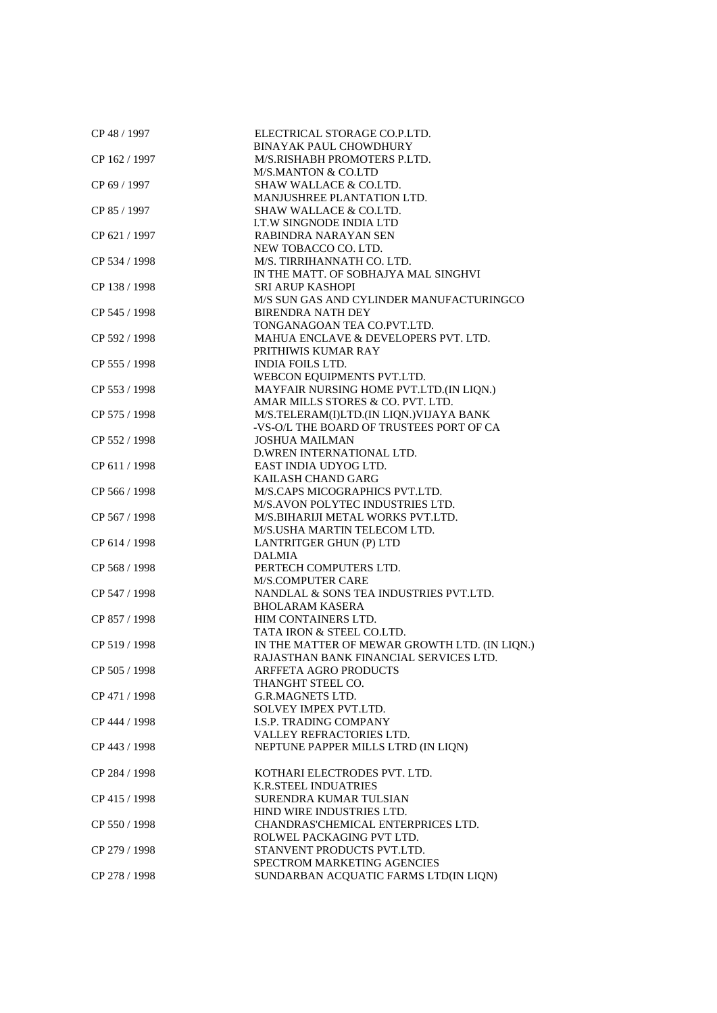| CP 48 / 1997  | ELECTRICAL STORAGE CO.P.LTD.                  |
|---------------|-----------------------------------------------|
|               | <b>BINAYAK PAUL CHOWDHURY</b>                 |
| CP 162 / 1997 | M/S.RISHABH PROMOTERS P.LTD.                  |
|               | <b>M/S.MANTON &amp; CO.LTD</b>                |
| CP 69 / 1997  | SHAW WALLACE & CO.LTD.                        |
|               | MANJUSHREE PLANTATION LTD.                    |
| CP 85 / 1997  | SHAW WALLACE & CO.LTD.                        |
|               | <b>I.T.W SINGNODE INDIA LTD</b>               |
| CP 621 / 1997 | RABINDRA NARAYAN SEN                          |
|               | NEW TOBACCO CO. LTD.                          |
| CP 534 / 1998 | M/S. TIRRIHANNATH CO. LTD.                    |
|               | IN THE MATT. OF SOBHAJYA MAL SINGHVI          |
| CP 138 / 1998 | <b>SRI ARUP KASHOPI</b>                       |
|               | M/S SUN GAS AND CYLINDER MANUFACTURINGCO      |
| CP 545 / 1998 | <b>BIRENDRA NATH DEY</b>                      |
|               | TONGANAGOAN TEA CO.PVT.LTD.                   |
| CP 592 / 1998 | MAHUA ENCLAVE & DEVELOPERS PVT. LTD.          |
|               | PRITHIWIS KUMAR RAY                           |
| CP 555 / 1998 | <b>INDIA FOILS LTD.</b>                       |
|               | WEBCON EQUIPMENTS PVT.LTD.                    |
| CP 553 / 1998 | MAYFAIR NURSING HOME PVT.LTD.(IN LIQN.)       |
|               | AMAR MILLS STORES & CO. PVT. LTD.             |
| CP 575 / 1998 | M/S.TELERAM(I)LTD.(IN LIQN.)VIJAYA BANK       |
|               | -VS-O/L THE BOARD OF TRUSTEES PORT OF CA      |
| CP 552 / 1998 | <b>JOSHUA MAILMAN</b>                         |
|               | D.WREN INTERNATIONAL LTD.                     |
| CP 611 / 1998 | EAST INDIA UDYOG LTD.                         |
|               | KAILASH CHAND GARG                            |
| CP 566 / 1998 | M/S.CAPS MICOGRAPHICS PVT.LTD.                |
|               | M/S.AVON POLYTEC INDUSTRIES LTD.              |
| CP 567 / 1998 | M/S.BIHARIJI METAL WORKS PVT.LTD.             |
|               | M/S.USHA MARTIN TELECOM LTD.                  |
| CP 614 / 1998 | LANTRITGER GHUN (P) LTD                       |
|               | <b>DALMIA</b>                                 |
| CP 568 / 1998 | PERTECH COMPUTERS LTD.                        |
|               | <b>M/S.COMPUTER CARE</b>                      |
| CP 547 / 1998 | NANDLAL & SONS TEA INDUSTRIES PVT.LTD.        |
|               | <b>BHOLARAM KASERA</b>                        |
| CP 857 / 1998 | HIM CONTAINERS LTD.                           |
|               | TATA IRON & STEEL CO.LTD.                     |
| CP 519 / 1998 | IN THE MATTER OF MEWAR GROWTH LTD. (IN LIQN.) |
|               | RAJASTHAN BANK FINANCIAL SERVICES LTD.        |
| CP 505 / 1998 | ARFFETA AGRO PRODUCTS                         |
|               | THANGHT STEEL CO.                             |
| CP 471 / 1998 | <b>G.R.MAGNETS LTD.</b>                       |
|               | <b>SOLVEY IMPEX PVT.LTD.</b>                  |
| CP 444 / 1998 | <b>I.S.P. TRADING COMPANY</b>                 |
|               | VALLEY REFRACTORIES LTD.                      |
| CP 443 / 1998 | NEPTUNE PAPPER MILLS LTRD (IN LIQN)           |
|               |                                               |
| CP 284 / 1998 | KOTHARI ELECTRODES PVT. LTD.                  |
|               | <b>K.R.STEEL INDUATRIES</b>                   |
| CP 415 / 1998 | SURENDRA KUMAR TULSIAN                        |
|               | HIND WIRE INDUSTRIES LTD.                     |
| CP 550 / 1998 | CHANDRAS'CHEMICAL ENTERPRICES LTD.            |
|               | ROLWEL PACKAGING PVT LTD.                     |
| CP 279 / 1998 | STANVENT PRODUCTS PVT.LTD.                    |
|               | SPECTROM MARKETING AGENCIES                   |
| CP 278 / 1998 | SUNDARBAN ACQUATIC FARMS LTD(IN LIQN)         |
|               |                                               |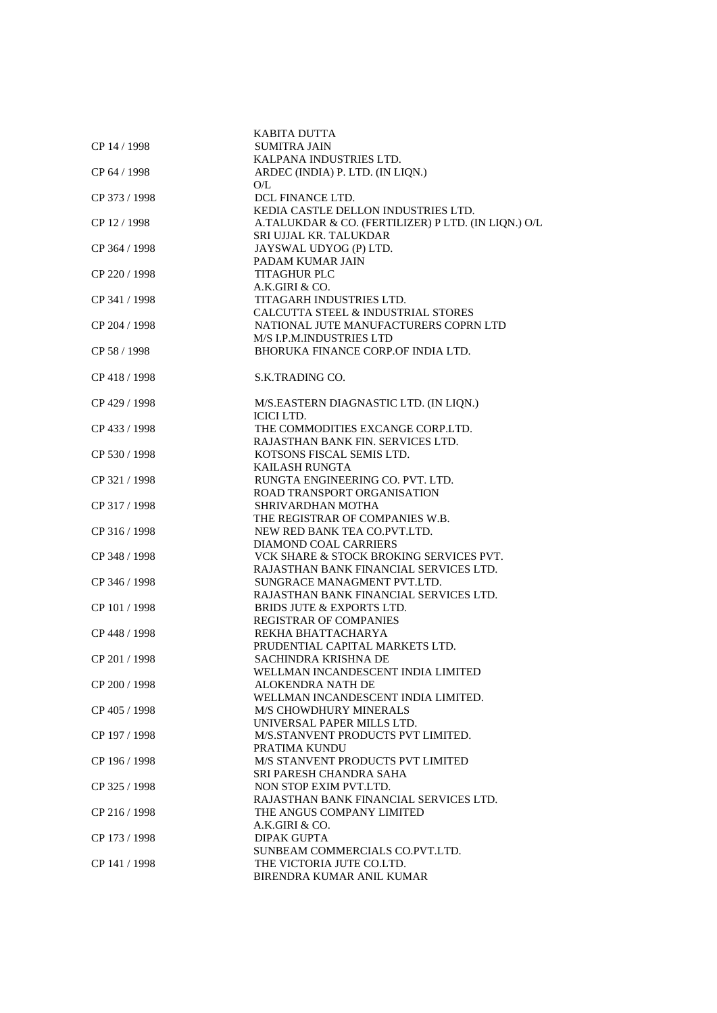|               | <b>KABITA DUTTA</b>                                         |
|---------------|-------------------------------------------------------------|
| CP 14 / 1998  | <b>SUMITRA JAIN</b><br>KALPANA INDUSTRIES LTD.              |
|               |                                                             |
| CP 64 / 1998  | ARDEC (INDIA) P. LTD. (IN LIQN.)                            |
|               | O/L                                                         |
| CP 373 / 1998 | DCL FINANCE LTD.                                            |
|               | KEDIA CASTLE DELLON INDUSTRIES LTD.                         |
| CP 12 / 1998  | A.TALUKDAR & CO. (FERTILIZER) P LTD. (IN LIQN.) O/L         |
|               | SRI UJJAL KR. TALUKDAR                                      |
| CP 364 / 1998 | JAYSWAL UDYOG (P) LTD.                                      |
|               | PADAM KUMAR JAIN                                            |
| CP 220 / 1998 | <b>TITAGHUR PLC</b>                                         |
|               | A.K.GIRI & CO.                                              |
| CP 341 / 1998 | TITAGARH INDUSTRIES LTD.                                    |
|               | CALCUTTA STEEL & INDUSTRIAL STORES                          |
| CP 204 / 1998 | NATIONAL JUTE MANUFACTURERS COPRN LTD                       |
|               | M/S I.P.M.INDUSTRIES LTD                                    |
| CP 58 / 1998  | BHORUKA FINANCE CORP.OF INDIA LTD.                          |
|               |                                                             |
| CP 418 / 1998 | S.K.TRADING CO.                                             |
|               |                                                             |
| CP 429 / 1998 |                                                             |
|               | M/S.EASTERN DIAGNASTIC LTD. (IN LIQN.)<br><b>ICICI LTD.</b> |
|               |                                                             |
| CP 433 / 1998 | THE COMMODITIES EXCANGE CORP.LTD.                           |
|               | RAJASTHAN BANK FIN. SERVICES LTD.                           |
| CP 530 / 1998 | KOTSONS FISCAL SEMIS LTD.                                   |
|               | KAILASH RUNGTA                                              |
| CP 321 / 1998 | RUNGTA ENGINEERING CO. PVT. LTD.                            |
|               | ROAD TRANSPORT ORGANISATION                                 |
| CP 317 / 1998 | SHRIVARDHAN MOTHA                                           |
|               | THE REGISTRAR OF COMPANIES W.B.                             |
| CP 316 / 1998 | NEW RED BANK TEA CO.PVT.LTD.                                |
|               | DIAMOND COAL CARRIERS                                       |
| CP 348 / 1998 | VCK SHARE & STOCK BROKING SERVICES PVT.                     |
|               | RAJASTHAN BANK FINANCIAL SERVICES LTD.                      |
| CP 346 / 1998 | SUNGRACE MANAGMENT PVT.LTD.                                 |
|               | RAJASTHAN BANK FINANCIAL SERVICES LTD.                      |
| CP 101 / 1998 | BRIDS JUTE & EXPORTS LTD.                                   |
|               | <b>REGISTRAR OF COMPANIES</b>                               |
| CP 448 / 1998 | REKHA BHATTACHARYA                                          |
|               | PRUDENTIAL CAPITAL MARKETS LTD.                             |
| CP 201 / 1998 | SACHINDRA KRISHNA DE                                        |
|               | WELLMAN INCANDESCENT INDIA LIMITED                          |
| CP 200 / 1998 | ALOKENDRA NATH DE                                           |
|               | WELLMAN INCANDESCENT INDIA LIMITED.                         |
| CP 405 / 1998 | <b>M/S CHOWDHURY MINERALS</b>                               |
|               | UNIVERSAL PAPER MILLS LTD.                                  |
| CP 197 / 1998 | M/S.STANVENT PRODUCTS PVT LIMITED.                          |
|               | PRATIMA KUNDU                                               |
| CP 196 / 1998 | M/S STANVENT PRODUCTS PVT LIMITED                           |
|               |                                                             |
|               | SRI PARESH CHANDRA SAHA                                     |
| CP 325 / 1998 | NON STOP EXIM PVT.LTD.                                      |
|               | RAJASTHAN BANK FINANCIAL SERVICES LTD.                      |
| CP 216 / 1998 | THE ANGUS COMPANY LIMITED                                   |
|               | A.K.GIRI & CO.                                              |
| CP 173 / 1998 | <b>DIPAK GUPTA</b>                                          |
|               | SUNBEAM COMMERCIALS CO.PVT.LTD.                             |
| CP 141 / 1998 | THE VICTORIA JUTE CO.LTD.                                   |
|               | BIRENDRA KUMAR ANIL KUMAR                                   |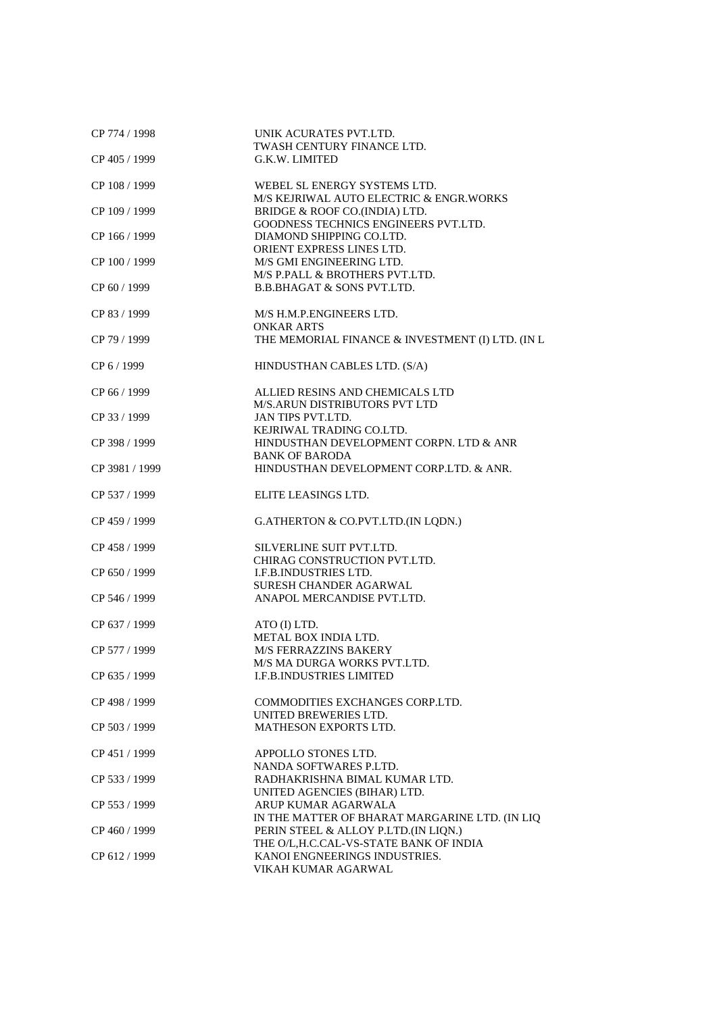| CP 774 / 1998  | UNIK ACURATES PVT.LTD.                           |
|----------------|--------------------------------------------------|
| CP 405 / 1999  | TWASH CENTURY FINANCE LTD.<br>G.K.W. LIMITED     |
|                |                                                  |
| CP 108 / 1999  | WEBEL SL ENERGY SYSTEMS LTD.                     |
|                | M/S KEJRIWAL AUTO ELECTRIC & ENGR.WORKS          |
| CP 109 / 1999  | BRIDGE & ROOF CO.(INDIA) LTD.                    |
|                | GOODNESS TECHNICS ENGINEERS PVT.LTD.             |
| CP 166 / 1999  | DIAMOND SHIPPING CO.LTD.                         |
|                | ORIENT EXPRESS LINES LTD.                        |
| CP 100 / 1999  | M/S GMI ENGINEERING LTD.                         |
|                | M/S P.PALL & BROTHERS PVT.LTD.                   |
| CP 60 / 1999   | <b>B.B.BHAGAT &amp; SONS PVT.LTD.</b>            |
|                |                                                  |
| CP 83 / 1999   | M/S H.M.P.ENGINEERS LTD.<br><b>ONKAR ARTS</b>    |
| CP 79 / 1999   | THE MEMORIAL FINANCE & INVESTMENT (I) LTD. (IN L |
|                |                                                  |
| CP 6 / 1999    | HINDUSTHAN CABLES LTD. (S/A)                     |
|                |                                                  |
| CP 66 / 1999   | ALLIED RESINS AND CHEMICALS LTD                  |
|                | M/S.ARUN DISTRIBUTORS PVT LTD                    |
| CP 33 / 1999   | JAN TIPS PVT.LTD.                                |
|                | KEJRIWAL TRADING CO.LTD.                         |
| CP 398 / 1999  | HINDUSTHAN DEVELOPMENT CORPN. LTD & ANR          |
|                | <b>BANK OF BARODA</b>                            |
| CP 3981 / 1999 | HINDUSTHAN DEVELOPMENT CORP.LTD. & ANR.          |
| CP 537 / 1999  | ELITE LEASINGS LTD.                              |
|                |                                                  |
| CP 459 / 1999  | G.ATHERTON & CO.PVT.LTD.(IN LQDN.)               |
|                |                                                  |
| CP 458 / 1999  | SILVERLINE SUIT PVT.LTD.                         |
|                | CHIRAG CONSTRUCTION PVT.LTD.                     |
| CP 650 / 1999  | <b>I.F.B.INDUSTRIES LTD.</b>                     |
|                | SURESH CHANDER AGARWAL                           |
| CP 546 / 1999  | ANAPOL MERCANDISE PVT.LTD.                       |
|                |                                                  |
| CP 637 / 1999  | ATO (I) LTD.<br>METAL BOX INDIA LTD.             |
| CP 577 / 1999  | M/S FERRAZZINS BAKERY                            |
|                | M/S MA DURGA WORKS PVT.LTD.                      |
| CP 635 / 1999  | <b>I.F.B.INDUSTRIES LIMITED</b>                  |
|                |                                                  |
| CP 498 / 1999  | COMMODITIES EXCHANGES CORP.LTD.                  |
|                | UNITED BREWERIES LTD.                            |
| CP 503 / 1999  | <b>MATHESON EXPORTS LTD.</b>                     |
|                | APPOLLO STONES LTD.                              |
| CP 451 / 1999  | NANDA SOFTWARES P.LTD.                           |
| CP 533 / 1999  | RADHAKRISHNA BIMAL KUMAR LTD.                    |
|                | UNITED AGENCIES (BIHAR) LTD.                     |
| CP 553 / 1999  | ARUP KUMAR AGARWALA                              |
|                | IN THE MATTER OF BHARAT MARGARINE LTD. (IN LIQ   |
| CP 460 / 1999  | PERIN STEEL & ALLOY P.LTD.(IN LIQN.)             |
|                | THE O/L,H.C.CAL-VS-STATE BANK OF INDIA           |
| CP 612 / 1999  | KANOI ENGNEERINGS INDUSTRIES.                    |
|                | VIKAH KUMAR AGARWAL                              |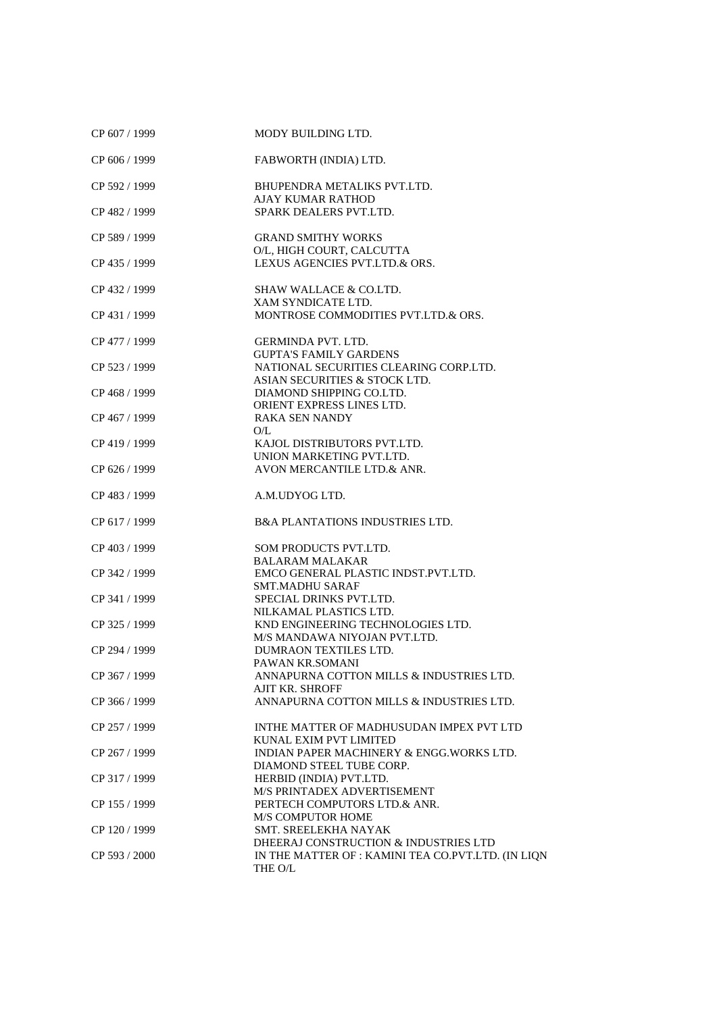| CP 607 / 1999 | MODY BUILDING LTD.                                                                                     |
|---------------|--------------------------------------------------------------------------------------------------------|
| CP 606 / 1999 | FABWORTH (INDIA) LTD.                                                                                  |
| CP 592 / 1999 | BHUPENDRA METALIKS PVT.LTD.<br><b>AJAY KUMAR RATHOD</b>                                                |
| CP 482 / 1999 | SPARK DEALERS PVT.LTD.                                                                                 |
| CP 589 / 1999 | <b>GRAND SMITHY WORKS</b><br>O/L, HIGH COURT, CALCUTTA                                                 |
| CP 435 / 1999 | LEXUS AGENCIES PVT.LTD.& ORS.                                                                          |
| CP 432 / 1999 | <b>SHAW WALLACE &amp; CO.LTD.</b><br>XAM SYNDICATE LTD.                                                |
| CP 431 / 1999 | MONTROSE COMMODITIES PVT.LTD.& ORS.                                                                    |
| CP 477 / 1999 | <b>GERMINDA PVT. LTD.</b><br><b>GUPTA'S FAMILY GARDENS</b>                                             |
| CP 523 / 1999 | NATIONAL SECURITIES CLEARING CORP.LTD.<br>ASIAN SECURITIES & STOCK LTD.                                |
| CP 468 / 1999 | DIAMOND SHIPPING CO.LTD.<br>ORIENT EXPRESS LINES LTD.                                                  |
| CP 467 / 1999 | <b>RAKA SEN NANDY</b><br>O/L                                                                           |
| CP 419 / 1999 | KAJOL DISTRIBUTORS PVT.LTD.                                                                            |
| CP 626 / 1999 | UNION MARKETING PVT.LTD.<br>AVON MERCANTILE LTD.& ANR.                                                 |
| CP 483 / 1999 | A.M.UDYOG LTD.                                                                                         |
| CP 617 / 1999 | <b>B&amp;A PLANTATIONS INDUSTRIES LTD.</b>                                                             |
| CP 403 / 1999 | SOM PRODUCTS PVT.LTD.<br><b>BALARAM MALAKAR</b>                                                        |
| CP 342 / 1999 | EMCO GENERAL PLASTIC INDST.PVT.LTD.<br><b>SMT.MADHU SARAF</b>                                          |
| CP 341 / 1999 | SPECIAL DRINKS PVT.LTD.<br>NILKAMAL PLASTICS LTD.                                                      |
| CP 325 / 1999 | KND ENGINEERING TECHNOLOGIES LTD.<br>M/S MANDAWA NIYOJAN PVT.LTD.                                      |
| CP 294 / 1999 | DUMRAON TEXTILES LTD.                                                                                  |
| CP 367 / 1999 | PAWAN KR.SOMANI<br>ANNAPURNA COTTON MILLS & INDUSTRIES LTD.                                            |
| CP 366 / 1999 | <b>AJIT KR. SHROFF</b><br>ANNAPURNA COTTON MILLS & INDUSTRIES LTD.                                     |
| CP 257 / 1999 | INTHE MATTER OF MADHUSUDAN IMPEX PVT LTD                                                               |
| CP 267 / 1999 | KUNAL EXIM PVT LIMITED<br>INDIAN PAPER MACHINERY & ENGG. WORKS LTD.                                    |
| CP 317 / 1999 | DIAMOND STEEL TUBE CORP.<br>HERBID (INDIA) PVT.LTD.                                                    |
| CP 155 / 1999 | M/S PRINTADEX ADVERTISEMENT<br>PERTECH COMPUTORS LTD.& ANR.                                            |
| CP 120 / 1999 | M/S COMPUTOR HOME<br>SMT. SREELEKHA NAYAK                                                              |
| CP 593 / 2000 | DHEERAJ CONSTRUCTION & INDUSTRIES LTD<br>IN THE MATTER OF : KAMINI TEA CO.PVT.LTD. (IN LIQN<br>THE O/L |
|               |                                                                                                        |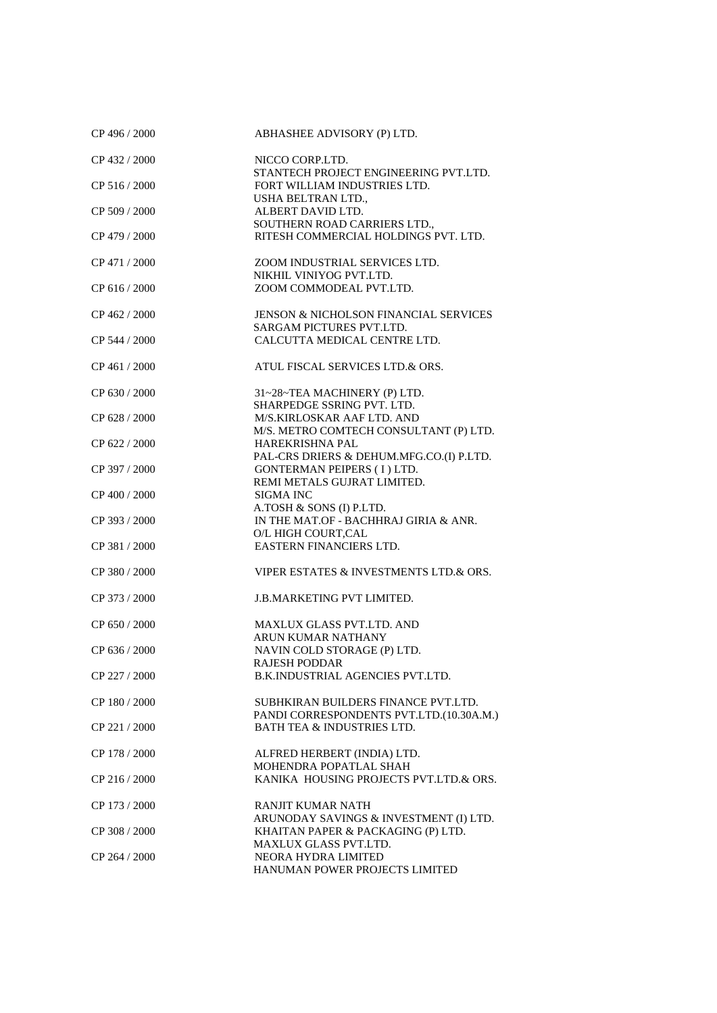| CP 496 / 2000 | ABHASHEE ADVISORY (P) LTD.                                           |
|---------------|----------------------------------------------------------------------|
| CP 432 / 2000 | NICCO CORP.LTD.                                                      |
|               | STANTECH PROJECT ENGINEERING PVT.LTD.                                |
| CP 516 / 2000 | FORT WILLIAM INDUSTRIES LTD.                                         |
|               | USHA BELTRAN LTD.,                                                   |
| CP 509 / 2000 | ALBERT DAVID LTD.                                                    |
|               | SOUTHERN ROAD CARRIERS LTD.,                                         |
| CP 479 / 2000 | RITESH COMMERCIAL HOLDINGS PVT. LTD.                                 |
| CP 471 / 2000 | ZOOM INDUSTRIAL SERVICES LTD.                                        |
|               | NIKHIL VINIYOG PVT.LTD.                                              |
| CP 616/2000   | ZOOM COMMODEAL PVT.LTD.                                              |
|               |                                                                      |
| CP 462 / 2000 | JENSON & NICHOLSON FINANCIAL SERVICES                                |
|               | SARGAM PICTURES PVT.LTD.                                             |
| CP 544 / 2000 | CALCUTTA MEDICAL CENTRE LTD.                                         |
|               |                                                                      |
| CP 461 / 2000 | ATUL FISCAL SERVICES LTD.& ORS.                                      |
|               |                                                                      |
| CP 630 / 2000 | 31~28~TEA MACHINERY (P) LTD.                                         |
|               | SHARPEDGE SSRING PVT. LTD.                                           |
| CP 628 / 2000 | M/S.KIRLOSKAR AAF LTD. AND<br>M/S. METRO COMTECH CONSULTANT (P) LTD. |
| CP 622 / 2000 | <b>HAREKRISHNA PAL</b>                                               |
|               | PAL-CRS DRIERS & DEHUM.MFG.CO.(I) P.LTD.                             |
| CP 397 / 2000 | <b>GONTERMAN PEIPERS (I) LTD.</b>                                    |
|               | REMI METALS GUJRAT LIMITED.                                          |
| CP 400 / 2000 | <b>SIGMA INC</b>                                                     |
|               | A.TOSH & SONS (I) P.LTD.                                             |
| CP 393 / 2000 | IN THE MAT.OF - BACHHRAJ GIRIA & ANR.                                |
|               | O/L HIGH COURT, CAL                                                  |
| CP 381 / 2000 | EASTERN FINANCIERS LTD.                                              |
|               |                                                                      |
| CP 380 / 2000 | VIPER ESTATES & INVESTMENTS LTD.& ORS.                               |
| CP 373 / 2000 | <b>J.B.MARKETING PVT LIMITED.</b>                                    |
|               |                                                                      |
| CP 650 / 2000 | MAXLUX GLASS PVT.LTD. AND                                            |
|               | ARUN KUMAR NATHANY                                                   |
| CP 636 / 2000 | NAVIN COLD STORAGE (P) LTD.                                          |
|               | RAJESH PODDAR                                                        |
| CP 227 / 2000 | B.K.INDUSTRIAL AGENCIES PVT.LTD.                                     |
|               |                                                                      |
| CP 180 / 2000 | SUBHKIRAN BUILDERS FINANCE PVT.LTD.                                  |
|               | PANDI CORRESPONDENTS PVT.LTD.(10.30A.M.)                             |
| CP 221/2000   | <b>BATH TEA &amp; INDUSTRIES LTD.</b>                                |
| CP 178 / 2000 | ALFRED HERBERT (INDIA) LTD.                                          |
|               | MOHENDRA POPATLAL SHAH                                               |
| CP 216 / 2000 | KANIKA HOUSING PROJECTS PVT.LTD.& ORS.                               |
|               |                                                                      |
| CP 173 / 2000 | <b>RANJIT KUMAR NATH</b>                                             |
|               | ARUNODAY SAVINGS & INVESTMENT (I) LTD.                               |
| CP 308 / 2000 | KHAITAN PAPER & PACKAGING (P) LTD.                                   |
|               | MAXLUX GLASS PVT.LTD.                                                |
| CP 264 / 2000 | NEORA HYDRA LIMITED                                                  |
|               | HANUMAN POWER PROJECTS LIMITED                                       |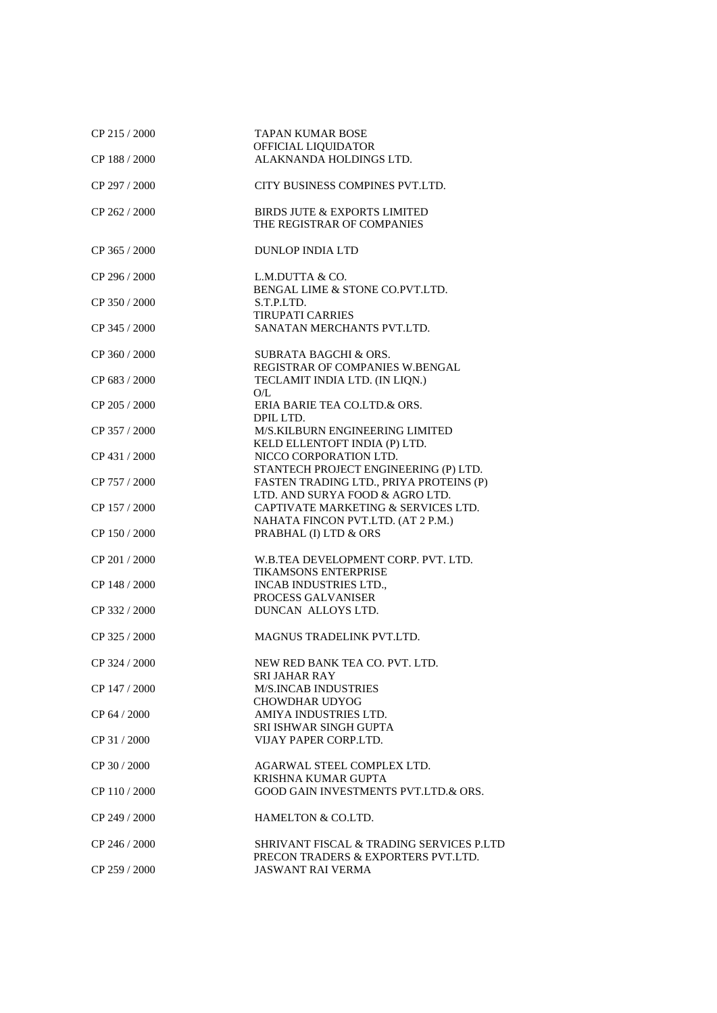| CP 215 / 2000 | <b>TAPAN KUMAR BOSE</b><br>OFFICIAL LIQUIDATOR                  |
|---------------|-----------------------------------------------------------------|
| CP 188 / 2000 | ALAKNANDA HOLDINGS LTD.                                         |
|               |                                                                 |
| CP 297 / 2000 | CITY BUSINESS COMPINES PVT.LTD.                                 |
| CP 262 / 2000 | BIRDS JUTE & EXPORTS LIMITED                                    |
|               | THE REGISTRAR OF COMPANIES                                      |
|               |                                                                 |
| CP 365 / 2000 | <b>DUNLOP INDIA LTD</b>                                         |
| CP 296 / 2000 |                                                                 |
|               | L.M.DUTTA & CO.<br>BENGAL LIME & STONE CO.PVT.LTD.              |
| CP 350 / 2000 | S.T.P.LTD.                                                      |
|               | <b>TIRUPATI CARRIES</b>                                         |
| CP 345 / 2000 | SANATAN MERCHANTS PVT.LTD.                                      |
|               |                                                                 |
| CP 360 / 2000 | <b>SUBRATA BAGCHI &amp; ORS.</b>                                |
|               | REGISTRAR OF COMPANIES W.BENGAL                                 |
| CP 683 / 2000 | TECLAMIT INDIA LTD. (IN LIQN.)                                  |
|               | O/L                                                             |
| CP 205 / 2000 | ERIA BARIE TEA CO.LTD.& ORS.                                    |
| CP 357 / 2000 | DPIL LTD.<br>M/S.KILBURN ENGINEERING LIMITED                    |
|               | KELD ELLENTOFT INDIA (P) LTD.                                   |
| CP 431 / 2000 | NICCO CORPORATION LTD.                                          |
|               | STANTECH PROJECT ENGINEERING (P) LTD.                           |
| CP 757 / 2000 | FASTEN TRADING LTD., PRIYA PROTEINS (P)                         |
|               | LTD. AND SURYA FOOD & AGRO LTD.                                 |
| CP 157 / 2000 | CAPTIVATE MARKETING & SERVICES LTD.                             |
|               | NAHATA FINCON PVT.LTD. (AT 2 P.M.)                              |
| CP 150 / 2000 | PRABHAL (I) LTD & ORS                                           |
|               |                                                                 |
| CP 201 / 2000 | W.B.TEA DEVELOPMENT CORP. PVT. LTD.                             |
| CP 148 / 2000 | <b>TIKAMSONS ENTERPRISE</b><br><b>INCAB INDUSTRIES LTD.,</b>    |
|               | PROCESS GALVANISER                                              |
| CP 332 / 2000 | DUNCAN ALLOYS LTD.                                              |
|               |                                                                 |
| CP 325 / 2000 | MAGNUS TRADELINK PVT.LTD.                                       |
|               |                                                                 |
| CP 324 / 2000 | NEW RED BANK TEA CO. PVT. LTD.                                  |
|               | <b>SRI JAHAR RAY</b>                                            |
| CP 147 / 2000 | <b>M/S.INCAB INDUSTRIES</b>                                     |
|               | <b>CHOWDHAR UDYOG</b>                                           |
| CP 64 / 2000  | AMIYA INDUSTRIES LTD.<br>SRI ISHWAR SINGH GUPTA                 |
| CP 31/2000    | VIJAY PAPER CORP.LTD.                                           |
|               |                                                                 |
| CP 30 / 2000  | AGARWAL STEEL COMPLEX LTD.                                      |
|               | KRISHNA KUMAR GUPTA                                             |
| CP 110 / 2000 | GOOD GAIN INVESTMENTS PVT.LTD.& ORS.                            |
|               |                                                                 |
| CP 249 / 2000 | HAMELTON & CO.LTD.                                              |
|               |                                                                 |
| CP 246 / 2000 | SHRIVANT FISCAL & TRADING SERVICES P.LTD                        |
| CP 259 / 2000 | PRECON TRADERS & EXPORTERS PVT.LTD.<br><b>JASWANT RAI VERMA</b> |
|               |                                                                 |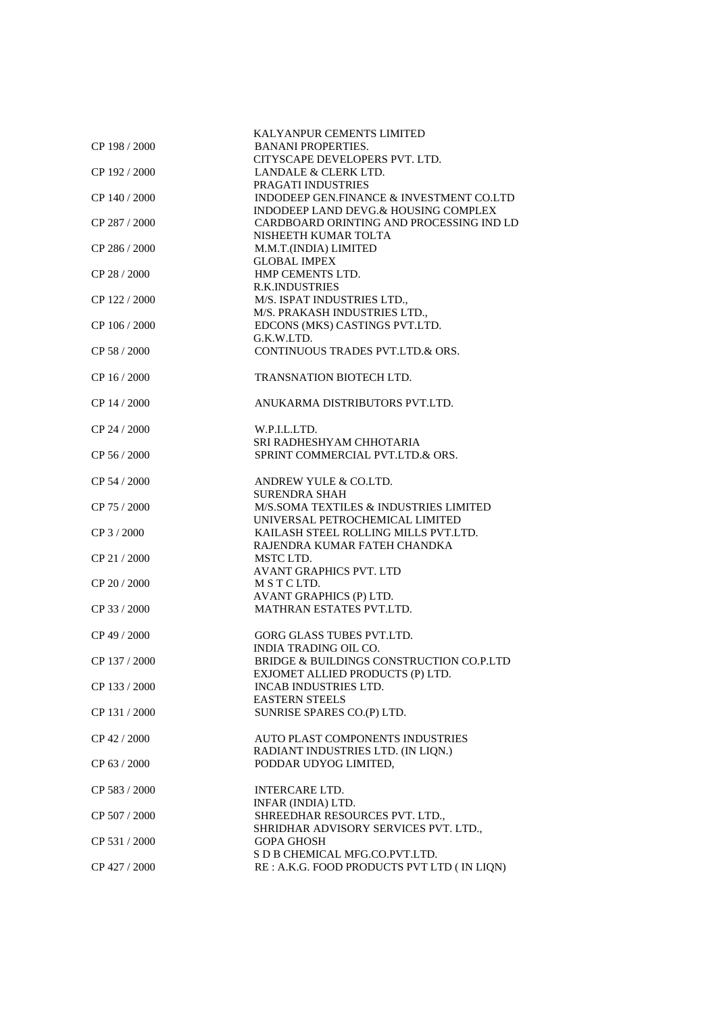|               | KALYANPUR CEMENTS LIMITED                   |
|---------------|---------------------------------------------|
| CP 198 / 2000 | <b>BANANI PROPERTIES.</b>                   |
|               | CITYSCAPE DEVELOPERS PVT. LTD.              |
|               |                                             |
| CP 192/2000   | LANDALE & CLERK LTD.                        |
|               | PRAGATI INDUSTRIES                          |
| CP 140 / 2000 | INDODEEP GEN.FINANCE & INVESTMENT CO.LTD    |
|               | INDODEEP LAND DEVG.& HOUSING COMPLEX        |
| CP 287 / 2000 | CARDBOARD ORINTING AND PROCESSING IND LD    |
|               | NISHEETH KUMAR TOLTA                        |
| CP 286 / 2000 | M.M.T.(INDIA) LIMITED                       |
|               | <b>GLOBAL IMPEX</b>                         |
| CP 28 / 2000  | HMP CEMENTS LTD.                            |
|               |                                             |
|               | <b>R.K.INDUSTRIES</b>                       |
| CP 122/2000   | M/S. ISPAT INDUSTRIES LTD.,                 |
|               | M/S. PRAKASH INDUSTRIES LTD.,               |
| CP 106 / 2000 | EDCONS (MKS) CASTINGS PVT.LTD.              |
|               | G.K.W.LTD.                                  |
| CP 58 / 2000  | CONTINUOUS TRADES PVT.LTD.& ORS.            |
|               |                                             |
|               |                                             |
| CP 16 / 2000  | <b>TRANSNATION BIOTECH LTD.</b>             |
|               |                                             |
| CP 14 / 2000  | ANUKARMA DISTRIBUTORS PVT.LTD.              |
|               |                                             |
| CP 24 / 2000  | W.P.I.L.LTD.                                |
|               | SRI RADHESHYAM CHHOTARIA                    |
| CP 56 / 2000  | SPRINT COMMERCIAL PVT.LTD.& ORS.            |
|               |                                             |
|               |                                             |
| CP 54 / 2000  | ANDREW YULE & CO.LTD.                       |
|               | <b>SURENDRA SHAH</b>                        |
| CP 75 / 2000  | M/S.SOMA TEXTILES & INDUSTRIES LIMITED      |
|               | UNIVERSAL PETROCHEMICAL LIMITED             |
| CP 3 / 2000   | KAILASH STEEL ROLLING MILLS PVT.LTD.        |
|               | RAJENDRA KUMAR FATEH CHANDKA                |
| CP 21 / 2000  | MSTC LTD.                                   |
|               | <b>AVANT GRAPHICS PVT. LTD</b>              |
|               |                                             |
| CP 20 / 2000  | MSTCLTD.                                    |
|               | AVANT GRAPHICS (P) LTD.                     |
| CP 33 / 2000  | MATHRAN ESTATES PVT.LTD.                    |
|               |                                             |
| CP 49 / 2000  | GORG GLASS TUBES PVT.LTD.                   |
|               | <b>INDIA TRADING OIL CO.</b>                |
| CP 137 / 2000 | BRIDGE & BUILDINGS CONSTRUCTION CO.P.LTD    |
|               |                                             |
|               | EXJOMET ALLIED PRODUCTS (P) LTD.            |
| CP 133/2000   | INCAB INDUSTRIES LTD.                       |
|               | <b>EASTERN STEELS</b>                       |
| CP 131/2000   | SUNRISE SPARES CO.(P) LTD.                  |
|               |                                             |
| CP 42 / 2000  | <b>AUTO PLAST COMPONENTS INDUSTRIES</b>     |
|               | RADIANT INDUSTRIES LTD. (IN LIQN.)          |
| CP 63 / 2000  | PODDAR UDYOG LIMITED,                       |
|               |                                             |
|               |                                             |
| CP 583 / 2000 | <b>INTERCARE LTD.</b>                       |
|               | INFAR (INDIA) LTD.                          |
| CP 507/2000   | SHREEDHAR RESOURCES PVT. LTD.,              |
|               | SHRIDHAR ADVISORY SERVICES PVT. LTD.,       |
| CP 531 / 2000 | <b>GOPA GHOSH</b>                           |
|               | S D B CHEMICAL MFG.CO.PVT.LTD.              |
| CP 427 / 2000 | RE : A.K.G. FOOD PRODUCTS PVT LTD (IN LIQN) |
|               |                                             |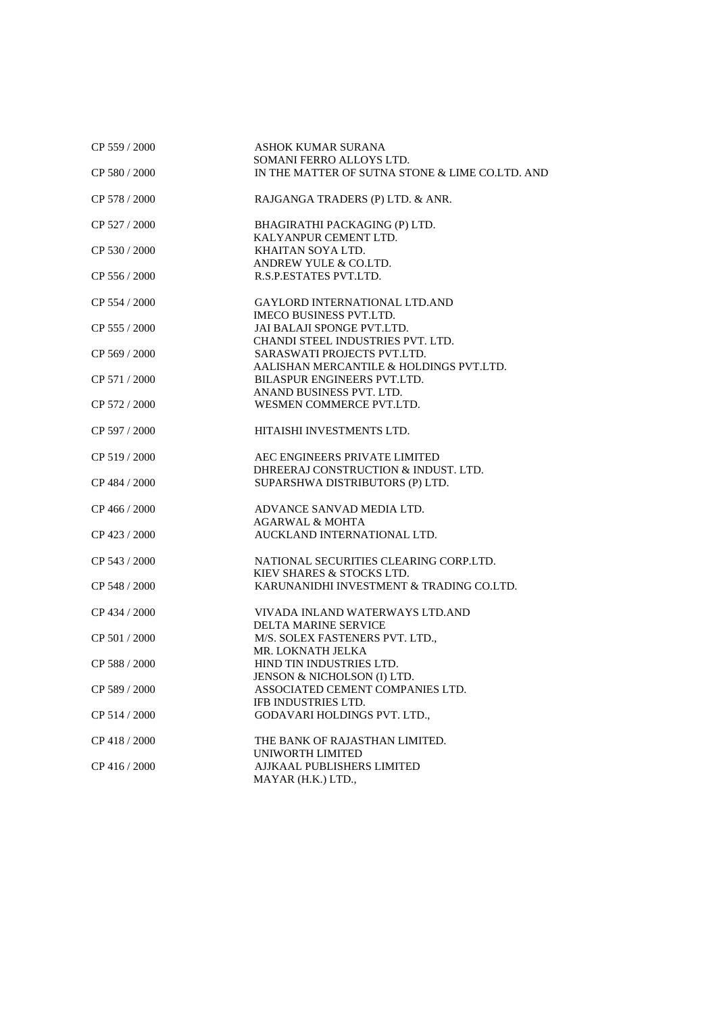| CP 559 / 2000 | <b>ASHOK KUMAR SURANA</b>                       |
|---------------|-------------------------------------------------|
|               | SOMANI FERRO ALLOYS LTD.                        |
| CP 580 / 2000 | IN THE MATTER OF SUTNA STONE & LIME CO.LTD. AND |
| CP 578 / 2000 | RAJGANGA TRADERS (P) LTD. & ANR.                |
| CP 527 / 2000 | BHAGIRATHI PACKAGING (P) LTD.                   |
|               | KALYANPUR CEMENT LTD.                           |
| CP 530 / 2000 | KHAITAN SOYA LTD.                               |
|               | ANDREW YULE & CO.LTD.                           |
| CP 556 / 2000 | R.S.P.ESTATES PVT.LTD.                          |
| CP 554 / 2000 | <b>GAYLORD INTERNATIONAL LTD.AND</b>            |
|               | <b>IMECO BUSINESS PVT.LTD.</b>                  |
| CP 555 / 2000 | JAI BALAJI SPONGE PVT.LTD.                      |
|               | CHANDI STEEL INDUSTRIES PVT. LTD.               |
| CP 569 / 2000 | SARASWATI PROJECTS PVT.LTD.                     |
|               | AALISHAN MERCANTILE & HOLDINGS PVT.LTD.         |
| CP 571 / 2000 | BILASPUR ENGINEERS PVT.LTD.                     |
|               | ANAND BUSINESS PVT. LTD.                        |
| CP 572 / 2000 | WESMEN COMMERCE PVT.LTD.                        |
|               |                                                 |
| CP 597 / 2000 | HITAISHI INVESTMENTS LTD.                       |
| CP 519/2000   | AEC ENGINEERS PRIVATE LIMITED                   |
|               | DHREERAJ CONSTRUCTION & INDUST. LTD.            |
| CP 484 / 2000 | SUPARSHWA DISTRIBUTORS (P) LTD.                 |
|               |                                                 |
| CP 466 / 2000 | ADVANCE SANVAD MEDIA LTD.                       |
|               | <b>AGARWAL &amp; MOHTA</b>                      |
| CP 423 / 2000 | AUCKLAND INTERNATIONAL LTD.                     |
|               |                                                 |
| CP 543 / 2000 | NATIONAL SECURITIES CLEARING CORP.LTD.          |
|               | KIEV SHARES & STOCKS LTD.                       |
| CP 548 / 2000 | KARUNANIDHI INVESTMENT & TRADING CO.LTD.        |
| CP 434 / 2000 | VIVADA INLAND WATERWAYS LTD.AND                 |
|               | <b>DELTA MARINE SERVICE</b>                     |
|               |                                                 |
| CP 501 / 2000 | M/S. SOLEX FASTENERS PVT. LTD.,                 |
|               | MR. LOKNATH JELKA                               |
| CP 588 / 2000 | HIND TIN INDUSTRIES LTD.                        |
|               | JENSON & NICHOLSON (I) LTD.                     |
| CP 589 / 2000 | ASSOCIATED CEMENT COMPANIES LTD.                |
|               | IFB INDUSTRIES LTD.                             |
| CP 514 / 2000 | GODAVARI HOLDINGS PVT. LTD.,                    |
| CP 418 / 2000 | THE BANK OF RAJASTHAN LIMITED.                  |
|               | UNIWORTH LIMITED                                |
| CP 416 / 2000 | AJJKAAL PUBLISHERS LIMITED                      |
|               | MAYAR (H.K.) LTD.,                              |
|               |                                                 |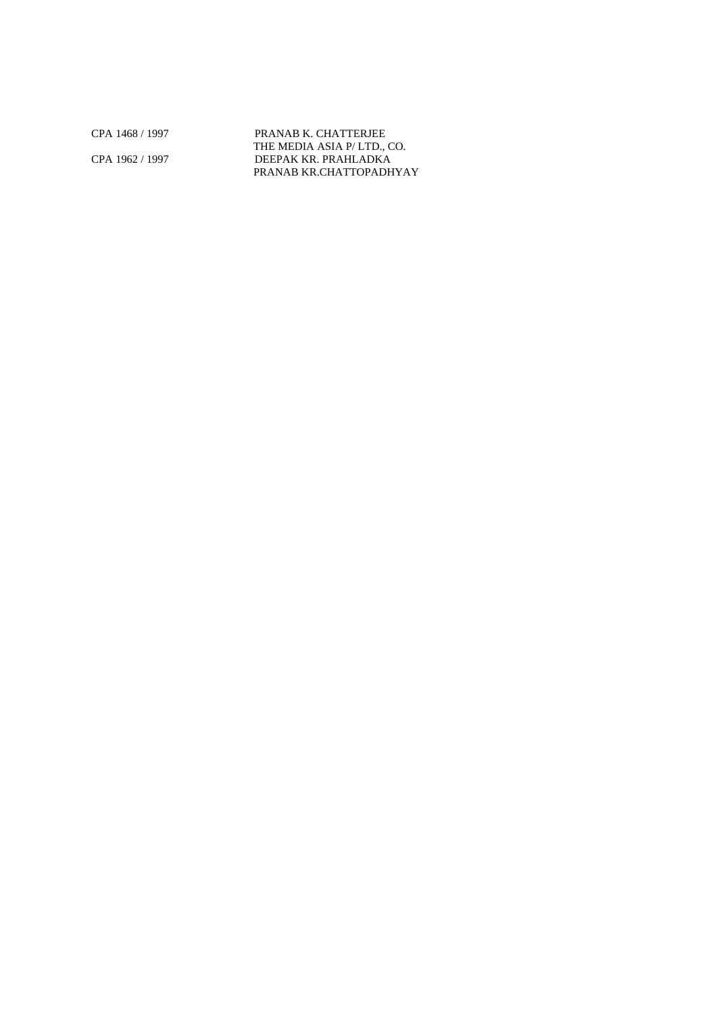CPA 1468 / 1997 PRANAB K. CHATTERJEE THE MEDIA ASIA P/ LTD., CO. CPA 1962 / 1997 DEEPAK KR. PRAHLADKA PRANAB KR.CHATTOPADHYAY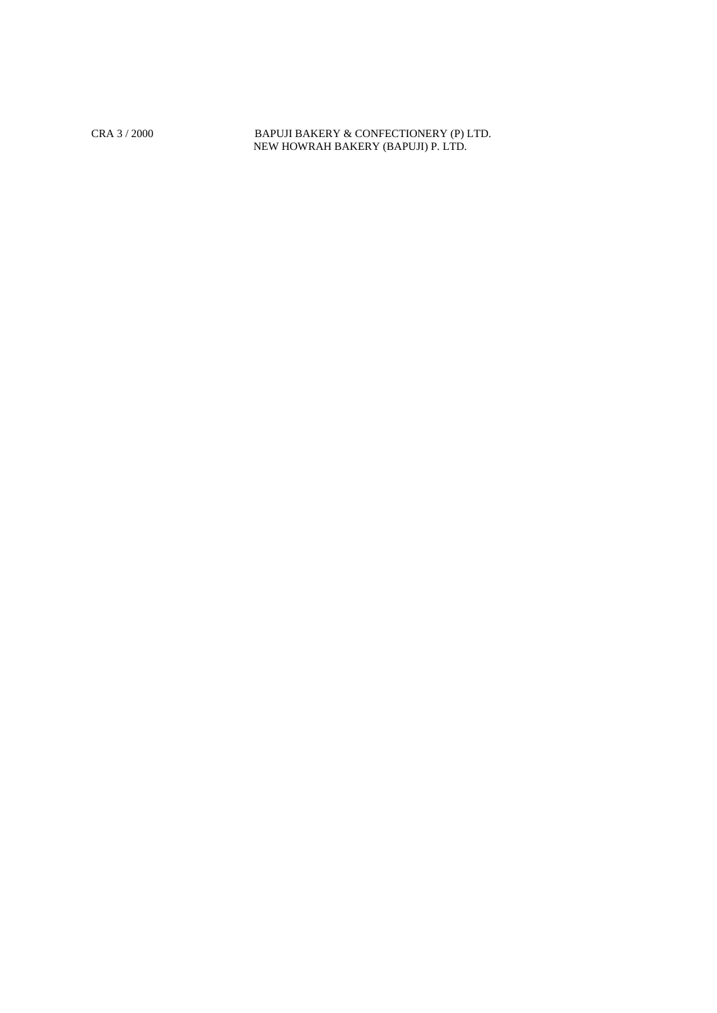CRA 3 / 2000 BAPUJI BAKERY & CONFECTIONERY (P) LTD. NEW HOWRAH BAKERY (BAPUJI) P. LTD.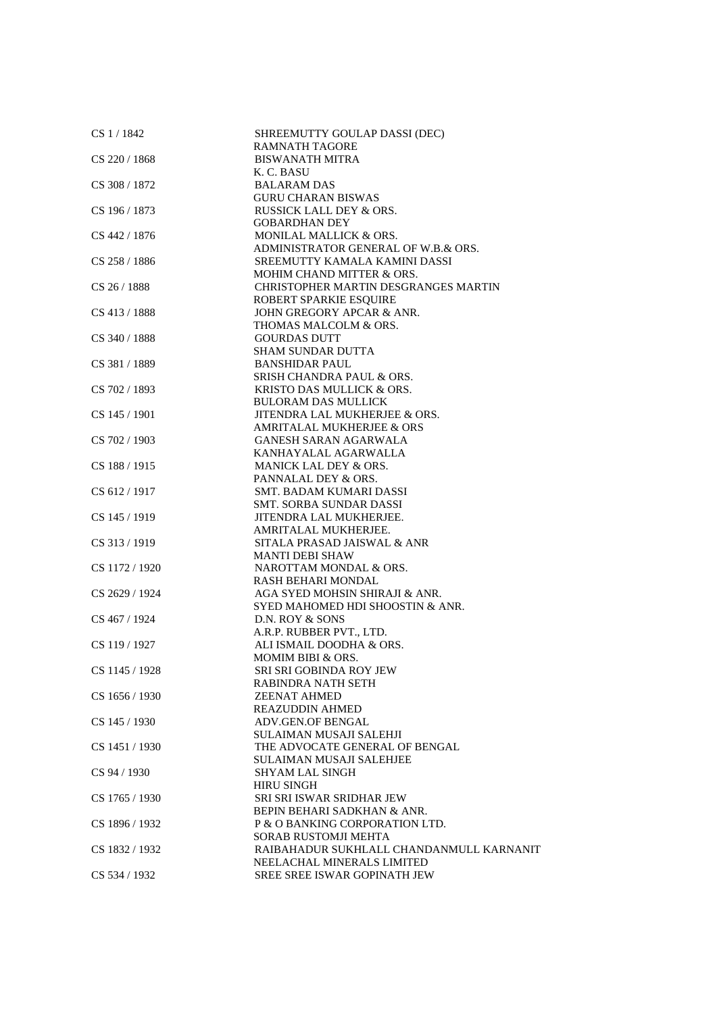| CS 1/1842      | SHREEMUTTY GOULAP DASSI (DEC)<br><b>RAMNATH TAGORE</b> |
|----------------|--------------------------------------------------------|
| CS 220 / 1868  | <b>BISWANATH MITRA</b>                                 |
|                | K. C. BASU                                             |
| CS 308 / 1872  | <b>BALARAM DAS</b>                                     |
|                | <b>GURU CHARAN BISWAS</b>                              |
| CS 196 / 1873  | <b>RUSSICK LALL DEY &amp; ORS.</b>                     |
|                | <b>GOBARDHAN DEY</b>                                   |
| CS 442 / 1876  | MONILAL MALLICK & ORS.                                 |
|                | ADMINISTRATOR GENERAL OF W.B.& ORS.                    |
| CS 258 / 1886  | SREEMUTTY KAMALA KAMINI DASSI                          |
|                | MOHIM CHAND MITTER & ORS.                              |
| CS 26/1888     | <b>CHRISTOPHER MARTIN DESGRANGES MARTIN</b>            |
|                | ROBERT SPARKIE ESQUIRE                                 |
| CS 413 / 1888  | JOHN GREGORY APCAR & ANR.                              |
|                | THOMAS MALCOLM & ORS.                                  |
| CS 340 / 1888  | <b>GOURDAS DUTT</b>                                    |
|                | <b>SHAM SUNDAR DUTTA</b>                               |
| CS 381 / 1889  | <b>BANSHIDAR PAUL</b>                                  |
|                | SRISH CHANDRA PAUL & ORS.                              |
| CS 702 / 1893  | KRISTO DAS MULLICK & ORS.                              |
|                | <b>BULORAM DAS MULLICK</b>                             |
| CS 145 / 1901  | JITENDRA LAL MUKHERJEE & ORS.                          |
|                | <b>AMRITALAL MUKHERJEE &amp; ORS</b>                   |
| CS 702 / 1903  | <b>GANESH SARAN AGARWALA</b>                           |
|                | KANHAYALAL AGARWALLA                                   |
| CS 188 / 1915  | MANICK LAL DEY & ORS.                                  |
|                | PANNALAL DEY & ORS.                                    |
| CS 612 / 1917  | SMT. BADAM KUMARI DASSI                                |
| CS 145 / 1919  | SMT. SORBA SUNDAR DASSI<br>JITENDRA LAL MUKHERJEE.     |
|                | AMRITALAL MUKHERJEE.                                   |
| CS 313 / 1919  | SITALA PRASAD JAISWAL & ANR                            |
|                | <b>MANTI DEBI SHAW</b>                                 |
| CS 1172 / 1920 | NAROTTAM MONDAL & ORS.                                 |
|                | RASH BEHARI MONDAL                                     |
| CS 2629 / 1924 | AGA SYED MOHSIN SHIRAJI & ANR.                         |
|                | SYED MAHOMED HDI SHOOSTIN & ANR.                       |
| CS 467 / 1924  | D.N. ROY & SONS                                        |
|                | A.R.P. RUBBER PVT., LTD.                               |
| CS 119 / 1927  | ALI ISMAIL DOODHA & ORS.                               |
|                | MOMIM BIBI & ORS.                                      |
| CS 1145 / 1928 | SRI SRI GOBINDA ROY JEW                                |
|                | RABINDRA NATH SETH                                     |
| CS 1656 / 1930 | <b>ZEENAT AHMED</b>                                    |
|                | <b>REAZUDDIN AHMED</b>                                 |
| CS 145 / 1930  | <b>ADV.GEN.OF BENGAL</b>                               |
|                | SULAIMAN MUSAJI SALEHJI                                |
| CS 1451 / 1930 | THE ADVOCATE GENERAL OF BENGAL                         |
|                | <b>SULAIMAN MUSAJI SALEHJEE</b>                        |
| CS 94 / 1930   | <b>SHYAM LAL SINGH</b>                                 |
|                | <b>HIRU SINGH</b>                                      |
| CS 1765 / 1930 | <b>SRI SRI ISWAR SRIDHAR JEW</b>                       |
|                | BEPIN BEHARI SADKHAN & ANR.                            |
| CS 1896 / 1932 | P & O BANKING CORPORATION LTD.                         |
|                | SORAB RUSTOMJI MEHTA                                   |
| CS 1832 / 1932 | RAIBAHADUR SUKHLALL CHANDANMULL KARNANIT               |
|                | NEELACHAL MINERALS LIMITED                             |
| CS 534 / 1932  | SREE SREE ISWAR GOPINATH JEW                           |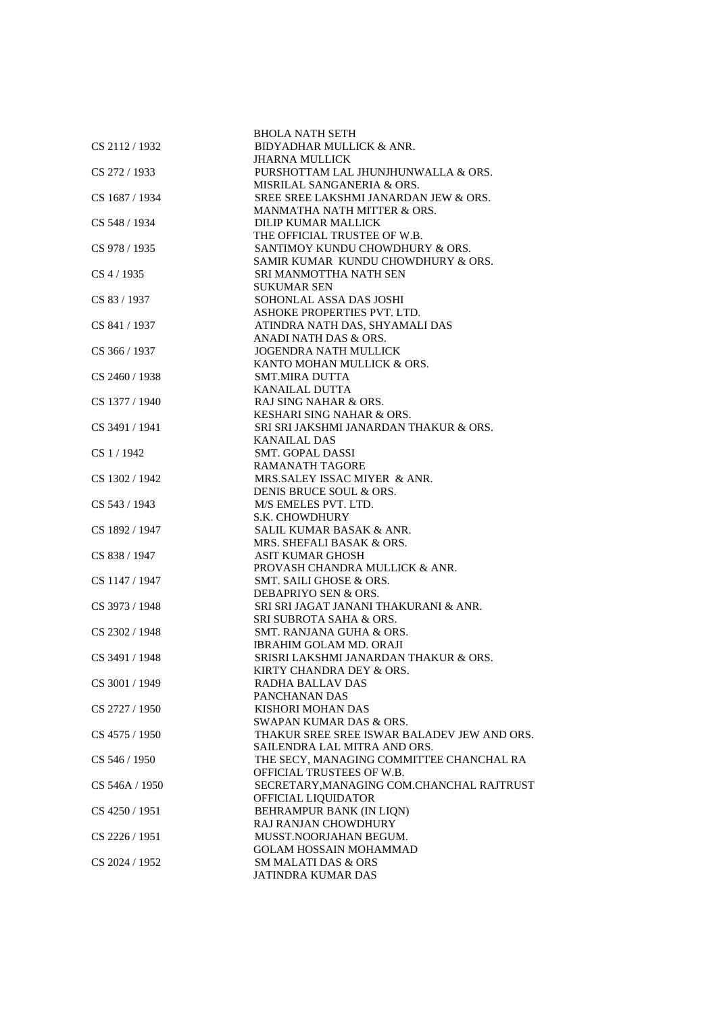|                | <b>BHOLA NATH SETH</b>                                  |
|----------------|---------------------------------------------------------|
| CS 2112/1932   | BIDYADHAR MULLICK & ANR.                                |
|                | <b>JHARNA MULLICK</b>                                   |
| CS 272 / 1933  | PURSHOTTAM LAL JHUNJHUNWALLA & ORS.                     |
|                | MISRILAL SANGANERIA & ORS.                              |
| CS 1687 / 1934 | SREE SREE LAKSHMI JANARDAN JEW & ORS.                   |
|                | MANMATHA NATH MITTER & ORS.                             |
| CS 548 / 1934  | DILIP KUMAR MALLICK                                     |
|                | THE OFFICIAL TRUSTEE OF W.B.                            |
| CS 978 / 1935  | SANTIMOY KUNDU CHOWDHURY & ORS.                         |
|                | SAMIR KUMAR KUNDU CHOWDHURY & ORS.                      |
| CS 4 / 1935    | SRI MANMOTTHA NATH SEN                                  |
|                | <b>SUKUMAR SEN</b>                                      |
| CS 83 / 1937   | SOHONLAL ASSA DAS JOSHI                                 |
|                | ASHOKE PROPERTIES PVT. LTD.                             |
| CS 841 / 1937  | ATINDRA NATH DAS, SHYAMALI DAS                          |
|                | ANADI NATH DAS & ORS.                                   |
| CS 366 / 1937  | <b>JOGENDRA NATH MULLICK</b>                            |
|                | KANTO MOHAN MULLICK & ORS.                              |
| CS 2460 / 1938 | <b>SMT.MIRA DUTTA</b>                                   |
|                |                                                         |
|                | KANAILAL DUTTA                                          |
| CS 1377 / 1940 | RAJ SING NAHAR & ORS.                                   |
|                | KESHARI SING NAHAR & ORS.                               |
| CS 3491 / 1941 | SRI SRI JAKSHMI JANARDAN THAKUR & ORS.                  |
|                | <b>KANAILAL DAS</b>                                     |
| CS 1 / 1942    | <b>SMT. GOPAL DASSI</b>                                 |
|                | <b>RAMANATH TAGORE</b>                                  |
| CS 1302 / 1942 | MRS.SALEY ISSAC MIYER & ANR.                            |
|                | DENIS BRUCE SOUL & ORS.                                 |
| CS 543 / 1943  | M/S EMELES PVT. LTD.                                    |
|                | S.K. CHOWDHURY                                          |
| CS 1892 / 1947 | SALIL KUMAR BASAK & ANR.                                |
|                | MRS. SHEFALI BASAK & ORS.                               |
| CS 838 / 1947  | <b>ASIT KUMAR GHOSH</b>                                 |
|                | PROVASH CHANDRA MULLICK & ANR.                          |
| CS 1147 / 1947 | SMT. SAILI GHOSE & ORS.                                 |
|                | DEBAPRIYO SEN & ORS.                                    |
| CS 3973 / 1948 | SRI SRI JAGAT JANANI THAKURANI & ANR.                   |
|                | <b>SRI SUBROTA SAHA &amp; ORS.</b>                      |
| CS 2302 / 1948 | SMT. RANJANA GUHA & ORS.                                |
|                | <b>IBRAHIM GOLAM MD. ORAJI</b>                          |
| CS 3491 / 1948 | SRISRI LAKSHMI JANARDAN THAKUR & ORS.                   |
|                | KIRTY CHANDRA DEY & ORS.                                |
| CS 3001 / 1949 | RADHA BALLAV DAS                                        |
|                | PANCHANAN DAS                                           |
|                |                                                         |
| CS 2727 / 1950 | KISHORI MOHAN DAS<br><b>SWAPAN KUMAR DAS &amp; ORS.</b> |
|                |                                                         |
| CS 4575 / 1950 | THAKUR SREE SREE ISWAR BALADEV JEW AND ORS.             |
|                | SAILENDRA LAL MITRA AND ORS.                            |
| CS 546 / 1950  | THE SECY, MANAGING COMMITTEE CHANCHAL RA                |
|                | OFFICIAL TRUSTEES OF W.B.                               |
| CS 546A / 1950 | SECRETARY, MANAGING COM.CHANCHAL RAJTRUST               |
|                | OFFICIAL LIQUIDATOR                                     |
| CS 4250 / 1951 | BEHRAMPUR BANK (IN LION)                                |
|                | <b>RAJ RANJAN CHOWDHURY</b>                             |
| CS 2226 / 1951 | MUSST.NOORJAHAN BEGUM.                                  |
|                | <b>GOLAM HOSSAIN MOHAMMAD</b>                           |
| CS 2024 / 1952 | <b>SM MALATI DAS &amp; ORS</b>                          |
|                | JATINDRA KUMAR DAS                                      |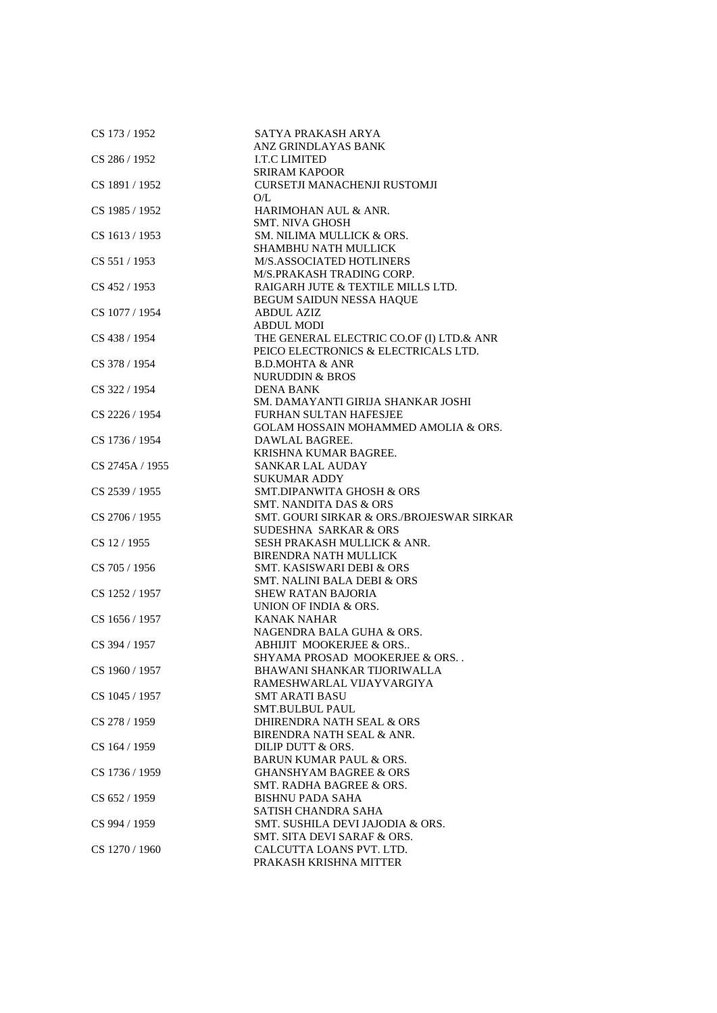| CS 173 / 1952   | SATYA PRAKASH ARYA                              |
|-----------------|-------------------------------------------------|
|                 | ANZ GRINDLAYAS BANK                             |
| CS 286 / 1952   | <b>I.T.C LIMITED</b>                            |
|                 | <b>SRIRAM KAPOOR</b>                            |
| CS 1891 / 1952  | CURSETJI MANACHENJI RUSTOMJI                    |
|                 | O/L                                             |
| CS 1985 / 1952  | HARIMOHAN AUL & ANR.                            |
|                 | <b>SMT. NIVA GHOSH</b>                          |
| CS 1613 / 1953  | SM. NILIMA MULLICK & ORS.                       |
|                 | <b>SHAMBHU NATH MULLICK</b>                     |
| CS 551 / 1953   | M/S.ASSOCIATED HOTLINERS                        |
|                 | M/S.PRAKASH TRADING CORP.                       |
| CS 452 / 1953   | RAIGARH JUTE & TEXTILE MILLS LTD.               |
|                 | BEGUM SAIDUN NESSA HAQUE                        |
| CS 1077 / 1954  | <b>ABDUL AZIZ</b>                               |
|                 | <b>ABDUL MODI</b>                               |
| CS 438 / 1954   | THE GENERAL ELECTRIC CO.OF (I) LTD.& ANR        |
|                 | PEICO ELECTRONICS & ELECTRICALS LTD.            |
| CS 378 / 1954   | <b>B.D.MOHTA &amp; ANR</b>                      |
|                 | <b>NURUDDIN &amp; BROS</b>                      |
| CS 322 / 1954   | <b>DENA BANK</b>                                |
|                 | SM. DAMAYANTI GIRIJA SHANKAR JOSHI              |
| CS 2226 / 1954  | <b>FURHAN SULTAN HAFESJEE</b>                   |
|                 | <b>GOLAM HOSSAIN MOHAMMED AMOLIA &amp; ORS.</b> |
| CS 1736 / 1954  | DAWLAL BAGREE.                                  |
|                 | KRISHNA KUMAR BAGREE.                           |
| CS 2745A / 1955 | <b>SANKAR LAL AUDAY</b>                         |
|                 | SUKUMAR ADDY                                    |
| CS 2539 / 1955  | SMT.DIPANWITA GHOSH & ORS                       |
|                 | <b>SMT. NANDITA DAS &amp; ORS</b>               |
| CS 2706 / 1955  | SMT. GOURI SIRKAR & ORS./BROJESWAR SIRKAR       |
|                 | SUDESHNA SARKAR & ORS                           |
| CS 12 / 1955    | SESH PRAKASH MULLICK & ANR.                     |
|                 | <b>BIRENDRA NATH MULLICK</b>                    |
| CS 705 / 1956   | SMT. KASISWARI DEBI & ORS                       |
|                 | <b>SMT. NALINI BALA DEBI &amp; ORS</b>          |
| CS 1252 / 1957  | <b>SHEW RATAN BAJORIA</b>                       |
|                 | UNION OF INDIA & ORS.                           |
| CS 1656 / 1957  | <b>KANAK NAHAR</b>                              |
|                 | NAGENDRA BALA GUHA & ORS.                       |
| CS 394 / 1957   | ABHIJIT MOOKERJEE & ORS                         |
|                 | SHYAMA PROSAD MOOKERJEE & ORS                   |
| CS 1960 / 1957  | BHAWANI SHANKAR TIJORIWALLA                     |
|                 | RAMESHWARLAL VIJAYVARGIYA                       |
| CS 1045 / 1957  | <b>SMT ARATI BASU</b>                           |
|                 | <b>SMT.BULBUL PAUL</b>                          |
| CS 278 / 1959   | DHIRENDRA NATH SEAL & ORS                       |
|                 | BIRENDRA NATH SEAL & ANR.                       |
| CS 164 / 1959   | DILIP DUTT & ORS.                               |
|                 | <b>BARUN KUMAR PAUL &amp; ORS.</b>              |
| CS 1736 / 1959  | <b>GHANSHYAM BAGREE &amp; ORS</b>               |
|                 | SMT. RADHA BAGREE & ORS.                        |
| CS 652 / 1959   | <b>BISHNU PADA SAHA</b>                         |
|                 | SATISH CHANDRA SAHA                             |
| CS 994 / 1959   | SMT. SUSHILA DEVI JAJODIA & ORS.                |
|                 | SMT. SITA DEVI SARAF & ORS.                     |
| CS 1270 / 1960  | CALCUTTA LOANS PVT. LTD.                        |
|                 | PRAKASH KRISHNA MITTER                          |
|                 |                                                 |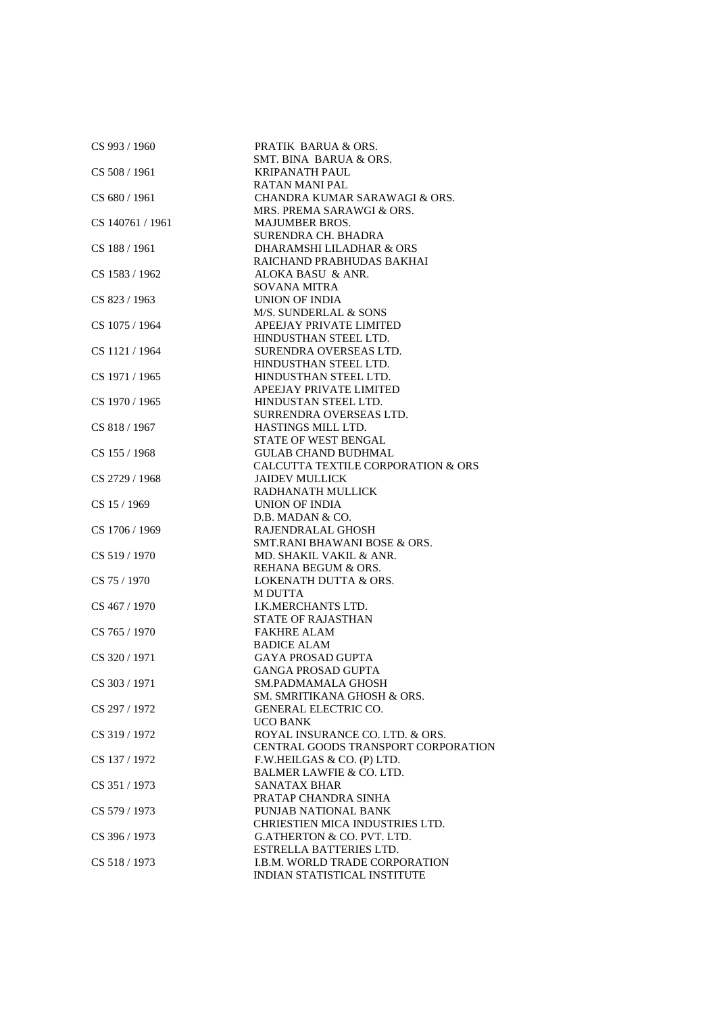| CS 993 / 1960    | PRATIK BARUA & ORS.                 |
|------------------|-------------------------------------|
|                  | SMT. BINA BARUA & ORS.              |
| CS 508 / 1961    | <b>KRIPANATH PAUL</b>               |
|                  | <b>RATAN MANI PAL</b>               |
| CS 680 / 1961    | CHANDRA KUMAR SARAWAGI & ORS.       |
|                  | MRS. PREMA SARAWGI & ORS.           |
| CS 140761 / 1961 | <b>MAJUMBER BROS.</b>               |
|                  | SURENDRA CH. BHADRA                 |
| CS 188 / 1961    | DHARAMSHI LILADHAR & ORS            |
|                  | RAICHAND PRABHUDAS BAKHAI           |
| CS 1583 / 1962   | ALOKA BASU & ANR.                   |
|                  | <b>SOVANA MITRA</b>                 |
| CS 823 / 1963    | <b>UNION OF INDIA</b>               |
|                  | M/S. SUNDERLAL & SONS               |
| CS 1075 / 1964   | APEEJAY PRIVATE LIMITED             |
|                  | HINDUSTHAN STEEL LTD.               |
| CS 1121 / 1964   | SURENDRA OVERSEAS LTD.              |
|                  | HINDUSTHAN STEEL LTD.               |
| CS 1971 / 1965   | HINDUSTHAN STEEL LTD.               |
|                  | APEEJAY PRIVATE LIMITED             |
| CS 1970 / 1965   | HINDUSTAN STEEL LTD.                |
|                  | SURRENDRA OVERSEAS LTD.             |
| CS 818 / 1967    | HASTINGS MILL LTD.                  |
|                  | STATE OF WEST BENGAL                |
| CS 155 / 1968    | <b>GULAB CHAND BUDHMAL</b>          |
|                  | CALCUTTA TEXTILE CORPORATION & ORS  |
| CS 2729 / 1968   | <b>JAIDEV MULLICK</b>               |
|                  | RADHANATH MULLICK                   |
| CS 15 / 1969     | <b>UNION OF INDIA</b>               |
|                  | D.B. MADAN & CO.                    |
| CS 1706 / 1969   | RAJENDRALAL GHOSH                   |
|                  | SMT.RANI BHAWANI BOSE & ORS.        |
| CS 519 / 1970    | MD. SHAKIL VAKIL & ANR.             |
|                  | REHANA BEGUM & ORS.                 |
| CS 75 / 1970     | <b>LOKENATH DUTTA &amp; ORS.</b>    |
|                  | <b>M DUTTA</b>                      |
| CS 467 / 1970    | I.K.MERCHANTS LTD.                  |
|                  | <b>STATE OF RAJASTHAN</b>           |
| CS 765 / 1970    | <b>FAKHRE ALAM</b>                  |
|                  | <b>BADICE ALAM</b>                  |
| CS 320 / 1971    | <b>GAYA PROSAD GUPTA</b>            |
|                  | GANGA PROSAD GUPTA                  |
| CS 303 / 1971    | SM.PADMAMALA GHOSH                  |
|                  | SM. SMRITIKANA GHOSH & ORS.         |
| CS 297 / 1972    | <b>GENERAL ELECTRIC CO.</b>         |
|                  | <b>UCO BANK</b>                     |
| CS 319 / 1972    | ROYAL INSURANCE CO. LTD. & ORS.     |
|                  | CENTRAL GOODS TRANSPORT CORPORATION |
| CS 137 / 1972    | F.W.HEILGAS & CO. (P) LTD.          |
|                  | <b>BALMER LAWFIE &amp; CO. LTD.</b> |
| CS 351/1973      | <b>SANATAX BHAR</b>                 |
|                  | PRATAP CHANDRA SINHA                |
| CS 579 / 1973    | PUNJAB NATIONAL BANK                |
|                  | CHRIESTIEN MICA INDUSTRIES LTD.     |
| CS 396 / 1973    | G.ATHERTON & CO. PVT. LTD.          |
|                  | ESTRELLA BATTERIES LTD.             |
|                  |                                     |
| CS 518 / 1973    | I.B.M. WORLD TRADE CORPORATION      |
|                  | INDIAN STATISTICAL INSTITUTE        |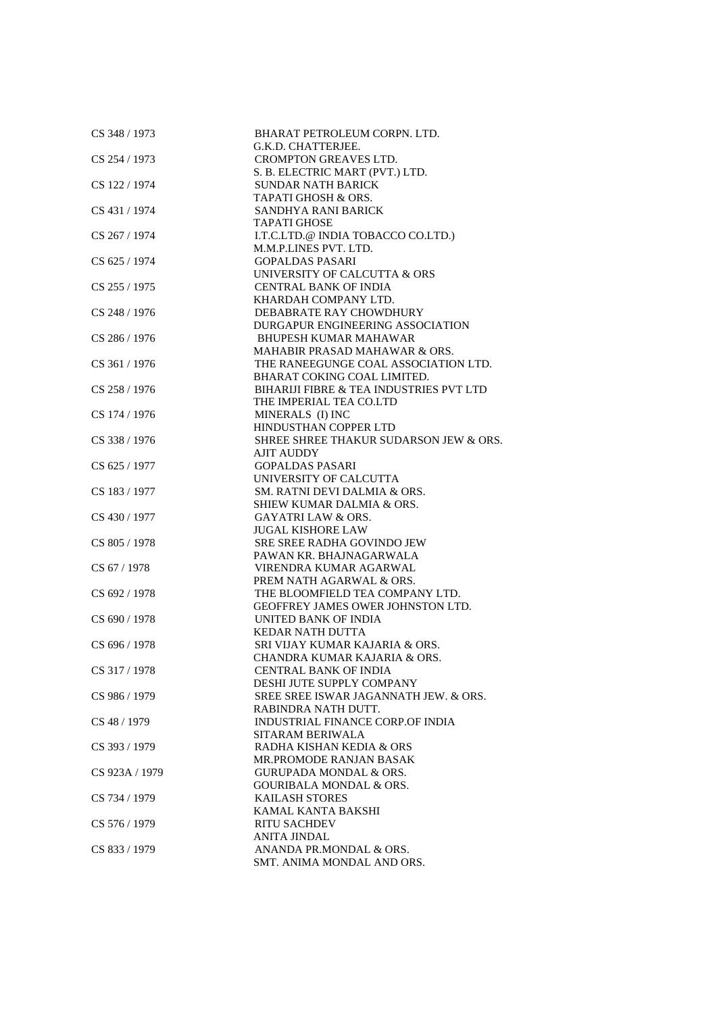| CS 348 / 1973  | BHARAT PETROLEUM CORPN. LTD.            |
|----------------|-----------------------------------------|
|                | G.K.D. CHATTERJEE.                      |
| CS 254 / 1973  | <b>CROMPTON GREAVES LTD.</b>            |
|                | S. B. ELECTRIC MART (PVT.) LTD.         |
| CS 122 / 1974  | <b>SUNDAR NATH BARICK</b>               |
|                | TAPATI GHOSH & ORS.                     |
| CS 431 / 1974  | SANDHYA RANI BARICK                     |
|                | <b>TAPATI GHOSE</b>                     |
| CS 267 / 1974  | I.T.C.LTD.@ INDIA TOBACCO CO.LTD.)      |
|                | M.M.P.LINES PVT. LTD.                   |
| CS 625 / 1974  | <b>GOPALDAS PASARI</b>                  |
|                |                                         |
|                | UNIVERSITY OF CALCUTTA & ORS            |
| CS 255 / 1975  | <b>CENTRAL BANK OF INDIA</b>            |
|                | KHARDAH COMPANY LTD.                    |
| CS 248 / 1976  | DEBABRATE RAY CHOWDHURY                 |
|                | DURGAPUR ENGINEERING ASSOCIATION        |
| CS 286 / 1976  | <b>BHUPESH KUMAR MAHAWAR</b>            |
|                | MAHABIR PRASAD MAHAWAR & ORS.           |
| CS 361 / 1976  | THE RANEEGUNGE COAL ASSOCIATION LTD.    |
|                | BHARAT COKING COAL LIMITED.             |
| CS 258 / 1976  | BIHARIJI FIBRE & TEA INDUSTRIES PVT LTD |
|                | THE IMPERIAL TEA CO.LTD                 |
| CS 174 / 1976  | MINERALS (I) INC                        |
|                | HINDUSTHAN COPPER LTD                   |
| CS 338 / 1976  | SHREE SHREE THAKUR SUDARSON JEW & ORS.  |
|                | <b>AJIT AUDDY</b>                       |
| CS 625 / 1977  | <b>GOPALDAS PASARI</b>                  |
|                |                                         |
|                | UNIVERSITY OF CALCUTTA                  |
| CS 183 / 1977  | SM. RATNI DEVI DALMIA & ORS.            |
|                | SHIEW KUMAR DALMIA & ORS.               |
| CS 430 / 1977  | <b>GAYATRI LAW &amp; ORS.</b>           |
|                | <b>JUGAL KISHORE LAW</b>                |
| CS 805 / 1978  | <b>SRE SREE RADHA GOVINDO JEW</b>       |
|                | PAWAN KR. BHAJNAGARWALA                 |
| CS 67 / 1978   | VIRENDRA KUMAR AGARWAL                  |
|                | PREM NATH AGARWAL & ORS.                |
| CS 692 / 1978  | THE BLOOMFIELD TEA COMPANY LTD.         |
|                | GEOFFREY JAMES OWER JOHNSTON LTD.       |
| CS 690 / 1978  | UNITED BANK OF INDIA                    |
|                | <b>KEDAR NATH DUTTA</b>                 |
| CS 696 / 1978  | SRI VIJAY KUMAR KAJARIA & ORS.          |
|                | CHANDRA KUMAR KAJARIA & ORS.            |
| CS 317 / 1978  | CENTRAL BANK OF INDIA                   |
|                | DESHI JUTE SUPPLY COMPANY               |
| CS 986 / 1979  | SREE SREE ISWAR JAGANNATH JEW. & ORS.   |
|                |                                         |
|                | RABINDRA NATH DUTT.                     |
| CS 48 / 1979   | <b>INDUSTRIAL FINANCE CORP.OF INDIA</b> |
|                | SITARAM BERIWALA                        |
| CS 393 / 1979  | RADHA KISHAN KEDIA & ORS                |
|                | MR.PROMODE RANJAN BASAK                 |
| CS 923A / 1979 | GURUPADA MONDAL & ORS.                  |
|                | GOURIBALA MONDAL & ORS.                 |
| CS 734 / 1979  | <b>KAILASH STORES</b>                   |
|                | KAMAL KANTA BAKSHI                      |
| CS 576 / 1979  | <b>RITU SACHDEV</b>                     |
|                | <b>ANITA JINDAL</b>                     |
| CS 833 / 1979  | ANANDA PR.MONDAL & ORS.                 |
|                | SMT. ANIMA MONDAL AND ORS.              |
|                |                                         |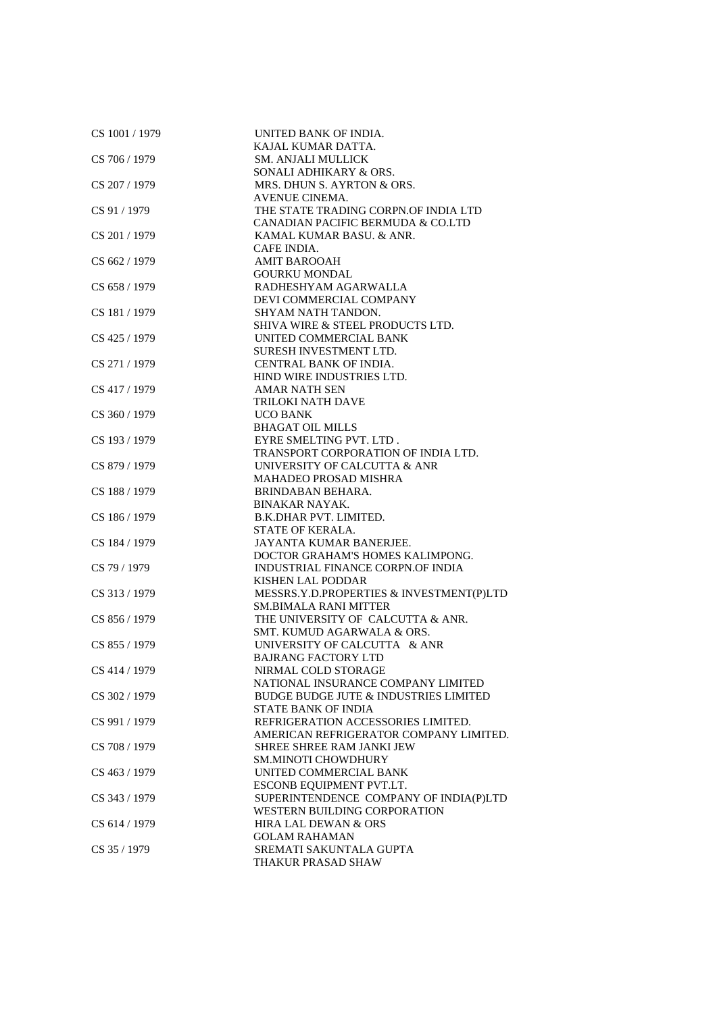| CS 1001 / 1979 | UNITED BANK OF INDIA.<br>KAJAL KUMAR DATTA.      |
|----------------|--------------------------------------------------|
| CS 706 / 1979  | <b>SM. ANJALI MULLICK</b>                        |
|                |                                                  |
|                | SONALI ADHIKARY & ORS.                           |
| CS 207 / 1979  | MRS. DHUN S. AYRTON & ORS.                       |
|                | AVENUE CINEMA.                                   |
| CS 91 / 1979   | THE STATE TRADING CORPN.OF INDIA LTD             |
|                | CANADIAN PACIFIC BERMUDA & CO.LTD                |
| CS 201 / 1979  | KAMAL KUMAR BASU. & ANR.                         |
|                | CAFE INDIA.                                      |
| CS 662 / 1979  | <b>AMIT BAROOAH</b>                              |
|                | <b>GOURKU MONDAL</b>                             |
| CS 658 / 1979  | RADHESHYAM AGARWALLA                             |
|                | DEVI COMMERCIAL COMPANY                          |
| CS 181 / 1979  | SHYAM NATH TANDON.                               |
|                | SHIVA WIRE & STEEL PRODUCTS LTD.                 |
| CS 425 / 1979  | UNITED COMMERCIAL BANK                           |
|                | SURESH INVESTMENT LTD.                           |
| CS 271 / 1979  | CENTRAL BANK OF INDIA.                           |
|                | HIND WIRE INDUSTRIES LTD.                        |
| CS 417 / 1979  | <b>AMAR NATH SEN</b>                             |
|                | TRILOKI NATH DAVE                                |
| CS 360 / 1979  | <b>UCO BANK</b>                                  |
|                | <b>BHAGAT OIL MILLS</b>                          |
| CS 193 / 1979  | EYRE SMELTING PVT. LTD.                          |
|                | TRANSPORT CORPORATION OF INDIA LTD.              |
| CS 879 / 1979  | UNIVERSITY OF CALCUTTA & ANR                     |
|                | MAHADEO PROSAD MISHRA                            |
| CS 188 / 1979  | <b>BRINDABAN BEHARA.</b>                         |
|                | <b>BINAKAR NAYAK.</b>                            |
| CS 186 / 1979  | B.K.DHAR PVT. LIMITED.                           |
|                | STATE OF KERALA.                                 |
| CS 184 / 1979  | JAYANTA KUMAR BANERJEE.                          |
|                | DOCTOR GRAHAM'S HOMES KALIMPONG.                 |
| CS 79 / 1979   | INDUSTRIAL FINANCE CORPN.OF INDIA                |
|                | <b>KISHEN LAL PODDAR</b>                         |
| CS 313 / 1979  | MESSRS.Y.D.PROPERTIES & INVESTMENT(P)LTD         |
|                | <b>SM.BIMALA RANI MITTER</b>                     |
| CS 856 / 1979  | THE UNIVERSITY OF CALCUTTA & ANR.                |
|                | SMT. KUMUD AGARWALA & ORS.                       |
| CS 855 / 1979  | UNIVERSITY OF CALCUTTA & ANR                     |
|                | <b>BAJRANG FACTORY LTD</b>                       |
| CS 414 / 1979  | NIRMAL COLD STORAGE                              |
|                | NATIONAL INSURANCE COMPANY LIMITED               |
| CS 302 / 1979  | <b>BUDGE BUDGE JUTE &amp; INDUSTRIES LIMITED</b> |
|                | STATE BANK OF INDIA                              |
| CS 991 / 1979  | REFRIGERATION ACCESSORIES LIMITED.               |
|                | AMERICAN REFRIGERATOR COMPANY LIMITED.           |
| CS 708 / 1979  | SHREE SHREE RAM JANKI JEW                        |
|                | <b>SM.MINOTI CHOWDHURY</b>                       |
| CS 463 / 1979  | UNITED COMMERCIAL BANK                           |
|                | ESCONB EQUIPMENT PVT.LT.                         |
| CS 343 / 1979  | SUPERINTENDENCE COMPANY OF INDIA(P)LTD           |
|                | <b>WESTERN BUILDING CORPORATION</b>              |
| CS 614 / 1979  | <b>HIRA LAL DEWAN &amp; ORS</b>                  |
|                | <b>GOLAM RAHAMAN</b>                             |
| CS 35 / 1979   | SREMATI SAKUNTALA GUPTA                          |
|                | THAKUR PRASAD SHAW                               |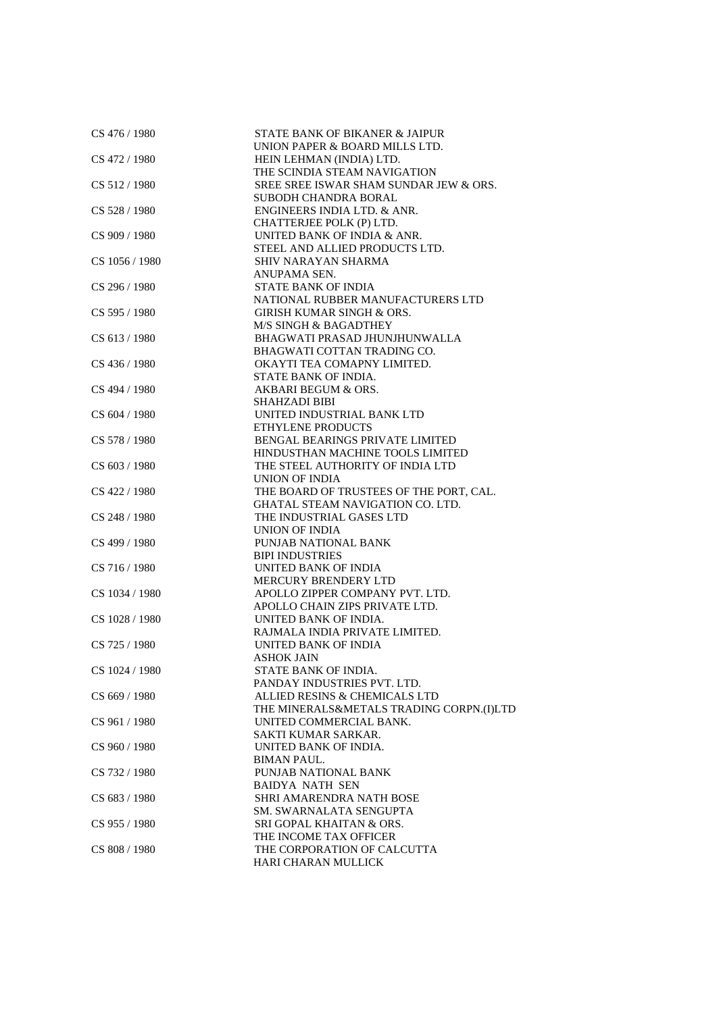| CS 476 / 1980  | <b>STATE BANK OF BIKANER &amp; JAIPUR</b><br>UNION PAPER & BOARD MILLS LTD. |
|----------------|-----------------------------------------------------------------------------|
| CS 472 / 1980  | HEIN LEHMAN (INDIA) LTD.                                                    |
|                | THE SCINDIA STEAM NAVIGATION                                                |
| CS 512/1980    | SREE SREE ISWAR SHAM SUNDAR JEW & ORS.                                      |
|                | <b>SUBODH CHANDRA BORAL</b>                                                 |
| CS 528 / 1980  | <b>ENGINEERS INDIA LTD. &amp; ANR.</b>                                      |
|                | CHATTERJEE POLK (P) LTD.                                                    |
| CS 909 / 1980  | UNITED BANK OF INDIA & ANR.                                                 |
|                | STEEL AND ALLIED PRODUCTS LTD.                                              |
| CS 1056 / 1980 | SHIV NARAYAN SHARMA                                                         |
|                | ANUPAMA SEN.                                                                |
| CS 296 / 1980  | <b>STATE BANK OF INDIA</b>                                                  |
|                | NATIONAL RUBBER MANUFACTURERS LTD                                           |
| CS 595 / 1980  | <b>GIRISH KUMAR SINGH &amp; ORS.</b>                                        |
|                | M/S SINGH & BAGADTHEY                                                       |
| CS 613 / 1980  | BHAGWATI PRASAD JHUNJHUNWALLA                                               |
|                | BHAGWATI COTTAN TRADING CO.                                                 |
| CS 436 / 1980  | OKAYTI TEA COMAPNY LIMITED.                                                 |
|                | STATE BANK OF INDIA.                                                        |
| CS 494 / 1980  | AKBARI BEGUM & ORS.                                                         |
|                | <b>SHAHZADI BIBI</b>                                                        |
| CS 604 / 1980  | UNITED INDUSTRIAL BANK LTD                                                  |
|                | ETHYLENE PRODUCTS                                                           |
| CS 578 / 1980  | BENGAL BEARINGS PRIVATE LIMITED                                             |
|                | HINDUSTHAN MACHINE TOOLS LIMITED                                            |
| CS 603 / 1980  | THE STEEL AUTHORITY OF INDIA LTD                                            |
|                | UNION OF INDIA                                                              |
| CS 422 / 1980  | THE BOARD OF TRUSTEES OF THE PORT, CAL.                                     |
|                | GHATAL STEAM NAVIGATION CO. LTD.                                            |
| CS 248 / 1980  | THE INDUSTRIAL GASES LTD                                                    |
|                | UNION OF INDIA                                                              |
| CS 499 / 1980  | PUNJAB NATIONAL BANK                                                        |
|                | <b>BIPI INDUSTRIES</b>                                                      |
| CS 716 / 1980  | UNITED BANK OF INDIA                                                        |
|                | MERCURY BRENDERY LTD                                                        |
| CS 1034 / 1980 | APOLLO ZIPPER COMPANY PVT. LTD.                                             |
|                | APOLLO CHAIN ZIPS PRIVATE LTD.                                              |
| CS 1028 / 1980 | UNITED BANK OF INDIA.                                                       |
|                | RAJMALA INDIA PRIVATE LIMITED.                                              |
| CS 725 / 1980  | UNITED BANK OF INDIA                                                        |
|                | <b>ASHOK JAIN</b>                                                           |
| CS 1024 / 1980 | STATE BANK OF INDIA.                                                        |
|                | PANDAY INDUSTRIES PVT. LTD.                                                 |
| CS 669 / 1980  | ALLIED RESINS & CHEMICALS LTD                                               |
|                | THE MINERALS&METALS TRADING CORPN.(I)LTD                                    |
| CS 961 / 1980  | UNITED COMMERCIAL BANK.                                                     |
|                | SAKTI KUMAR SARKAR.                                                         |
| CS 960 / 1980  | UNITED BANK OF INDIA.                                                       |
|                | <b>BIMAN PAUL.</b>                                                          |
| CS 732 / 1980  | PUNJAB NATIONAL BANK                                                        |
|                | <b>BAIDYA NATH SEN</b>                                                      |
| CS 683 / 1980  | SHRI AMARENDRA NATH BOSE                                                    |
|                | SM. SWARNALATA SENGUPTA                                                     |
| CS 955 / 1980  | SRI GOPAL KHAITAN & ORS.                                                    |
|                | THE INCOME TAX OFFICER                                                      |
| CS 808 / 1980  | THE CORPORATION OF CALCUTTA                                                 |
|                | HARI CHARAN MULLICK                                                         |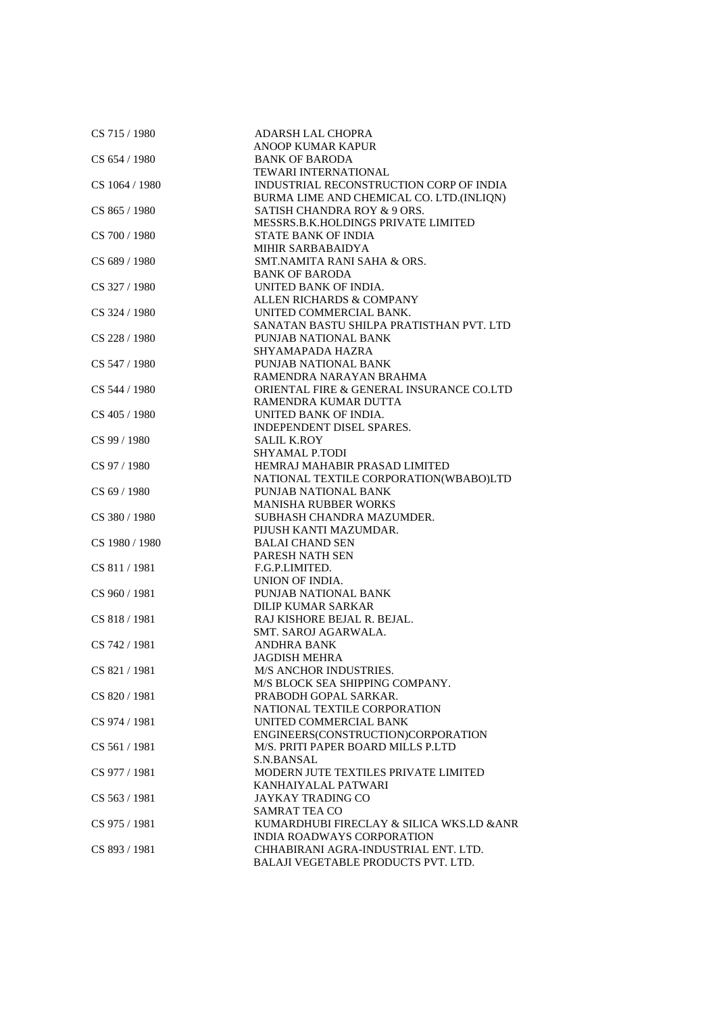| CS 715 / 1980  | ADARSH LAL CHOPRA                         |
|----------------|-------------------------------------------|
|                | <b>ANOOP KUMAR KAPUR</b>                  |
| CS 654 / 1980  | <b>BANK OF BARODA</b>                     |
|                | TEWARI INTERNATIONAL                      |
| CS 1064 / 1980 | INDUSTRIAL RECONSTRUCTION CORP OF INDIA   |
|                | BURMA LIME AND CHEMICAL CO. LTD.(INLIQN)  |
| CS 865 / 1980  | SATISH CHANDRA ROY & 9 ORS.               |
|                | MESSRS.B.K.HOLDINGS PRIVATE LIMITED       |
| CS 700 / 1980  | <b>STATE BANK OF INDIA</b>                |
|                | MIHIR SARBABAIDYA                         |
|                |                                           |
| CS 689 / 1980  | SMT.NAMITA RANI SAHA & ORS.               |
|                | <b>BANK OF BARODA</b>                     |
| CS 327 / 1980  | UNITED BANK OF INDIA.                     |
|                | ALLEN RICHARDS & COMPANY                  |
| CS 324 / 1980  | UNITED COMMERCIAL BANK.                   |
|                | SANATAN BASTU SHILPA PRATISTHAN PVT. LTD  |
| CS 228 / 1980  | PUNJAB NATIONAL BANK                      |
|                | SHYAMAPADA HAZRA                          |
| CS 547 / 1980  | PUNJAB NATIONAL BANK                      |
|                | RAMENDRA NARAYAN BRAHMA                   |
| CS 544 / 1980  | ORIENTAL FIRE & GENERAL INSURANCE CO.LTD  |
|                | RAMENDRA KUMAR DUTTA                      |
| CS 405 / 1980  | UNITED BANK OF INDIA.                     |
|                | INDEPENDENT DISEL SPARES.                 |
| CS 99 / 1980   | <b>SALIL K.ROY</b>                        |
|                | SHYAMAL P.TODI                            |
| CS 97 / 1980   | HEMRAJ MAHABIR PRASAD LIMITED             |
|                |                                           |
|                | NATIONAL TEXTILE CORPORATION(WBABO)LTD    |
| CS 69 / 1980   | PUNJAB NATIONAL BANK                      |
|                | <b>MANISHA RUBBER WORKS</b>               |
| CS 380 / 1980  | SUBHASH CHANDRA MAZUMDER.                 |
|                | PIJUSH KANTI MAZUMDAR.                    |
| CS 1980 / 1980 | <b>BALAI CHAND SEN</b>                    |
|                | PARESH NATH SEN                           |
| CS 811/1981    | F.G.P.LIMITED.                            |
|                | UNION OF INDIA.                           |
| CS 960 / 1981  | PUNJAB NATIONAL BANK                      |
|                | <b>DILIP KUMAR SARKAR</b>                 |
| CS 818 / 1981  | RAJ KISHORE BEJAL R. BEJAL.               |
|                | SMT. SAROJ AGARWALA.                      |
| CS 742 / 1981  | <b>ANDHRA BANK</b>                        |
|                | <b>JAGDISH MEHRA</b>                      |
| CS 821 / 1981  | M/S ANCHOR INDUSTRIES.                    |
|                | M/S BLOCK SEA SHIPPING COMPANY.           |
| CS 820 / 1981  | PRABODH GOPAL SARKAR.                     |
|                | NATIONAL TEXTILE CORPORATION              |
| CS 974 / 1981  | UNITED COMMERCIAL BANK                    |
|                | ENGINEERS(CONSTRUCTION)CORPORATION        |
| CS 561 / 1981  | M/S. PRITI PAPER BOARD MILLS P.LTD        |
|                |                                           |
|                | S.N.BANSAL                                |
| CS 977 / 1981  | MODERN JUTE TEXTILES PRIVATE LIMITED      |
|                | KANHAIYALAL PATWARI                       |
| CS 563 / 1981  | <b>JAYKAY TRADING CO</b>                  |
|                | SAMRAT TEA CO                             |
| CS 975 / 1981  | KUMARDHUBI FIRECLAY & SILICA WKS.LD & ANR |
|                | <b>INDIA ROADWAYS CORPORATION</b>         |
| CS 893 / 1981  | CHHABIRANI AGRA-INDUSTRIAL ENT. LTD.      |
|                | BALAJI VEGETABLE PRODUCTS PVT. LTD.       |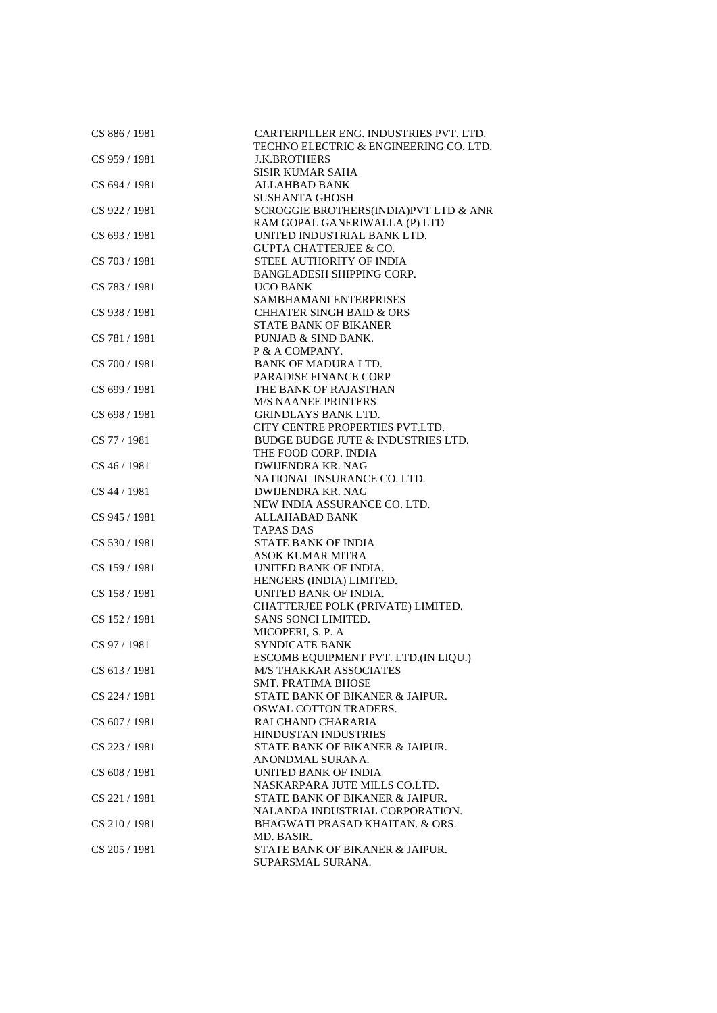| CS 886 / 1981 | CARTERPILLER ENG. INDUSTRIES PVT. LTD.<br>TECHNO ELECTRIC & ENGINEERING CO. LTD. |
|---------------|----------------------------------------------------------------------------------|
| CS 959 / 1981 | <b>J.K.BROTHERS</b>                                                              |
|               | <b>SISIR KUMAR SAHA</b>                                                          |
| CS 694 / 1981 | <b>ALLAHBAD BANK</b>                                                             |
|               | <b>SUSHANTA GHOSH</b>                                                            |
| CS 922 / 1981 | SCROGGIE BROTHERS(INDIA)PVT LTD & ANR                                            |
|               | RAM GOPAL GANERIWALLA (P) LTD                                                    |
| CS 693 / 1981 | UNITED INDUSTRIAL BANK LTD.                                                      |
|               | <b>GUPTA CHATTERJEE &amp; CO.</b>                                                |
| CS 703 / 1981 | STEEL AUTHORITY OF INDIA                                                         |
|               | BANGLADESH SHIPPING CORP.                                                        |
| CS 783 / 1981 | <b>UCO BANK</b>                                                                  |
|               | SAMBHAMANI ENTERPRISES                                                           |
| CS 938 / 1981 | <b>CHHATER SINGH BAID &amp; ORS</b>                                              |
|               | <b>STATE BANK OF BIKANER</b>                                                     |
| CS 781 / 1981 | PUNJAB & SIND BANK.                                                              |
|               | P & A COMPANY.                                                                   |
| CS 700 / 1981 | <b>BANK OF MADURA LTD.</b>                                                       |
|               | PARADISE FINANCE CORP                                                            |
| CS 699 / 1981 | THE BANK OF RAJASTHAN                                                            |
|               | <b>M/S NAANEE PRINTERS</b>                                                       |
| CS 698 / 1981 | <b>GRINDLAYS BANK LTD.</b>                                                       |
|               | CITY CENTRE PROPERTIES PVT.LTD.                                                  |
| CS 77 / 1981  | BUDGE BUDGE JUTE & INDUSTRIES LTD.                                               |
|               | THE FOOD CORP. INDIA                                                             |
| CS 46 / 1981  | <b>DWIJENDRA KR. NAG</b>                                                         |
|               | NATIONAL INSURANCE CO. LTD.                                                      |
| CS 44 / 1981  | DWIJENDRA KR. NAG                                                                |
|               | NEW INDIA ASSURANCE CO. LTD.                                                     |
| CS 945 / 1981 | ALLAHABAD BANK                                                                   |
|               | <b>TAPAS DAS</b>                                                                 |
| CS 530 / 1981 | <b>STATE BANK OF INDIA</b>                                                       |
|               | <b>ASOK KUMAR MITRA</b>                                                          |
| CS 159 / 1981 | UNITED BANK OF INDIA.                                                            |
|               | HENGERS (INDIA) LIMITED.                                                         |
| CS 158 / 1981 | UNITED BANK OF INDIA.                                                            |
|               | CHATTERJEE POLK (PRIVATE) LIMITED.                                               |
| CS 152 / 1981 | SANS SONCI LIMITED.                                                              |
| CS 97 / 1981  | MICOPERI, S. P. A                                                                |
|               | SYNDICATE BANK                                                                   |
| CS 613 / 1981 | ESCOMB EQUIPMENT PVT. LTD.(IN LIQU.)<br><b>M/S THAKKAR ASSOCIATES</b>            |
|               | <b>SMT. PRATIMA BHOSE</b>                                                        |
| CS 224 / 1981 | STATE BANK OF BIKANER & JAIPUR.                                                  |
|               | <b>OSWAL COTTON TRADERS.</b>                                                     |
| CS 607 / 1981 | RAI CHAND CHARARIA                                                               |
|               | HINDUSTAN INDUSTRIES                                                             |
| CS 223 / 1981 | STATE BANK OF BIKANER & JAIPUR.                                                  |
|               | ANONDMAL SURANA.                                                                 |
| CS 608 / 1981 | UNITED BANK OF INDIA                                                             |
|               | NASKARPARA JUTE MILLS CO.LTD.                                                    |
| CS 221/1981   | STATE BANK OF BIKANER & JAIPUR.                                                  |
|               | NALANDA INDUSTRIAL CORPORATION.                                                  |
| CS 210/1981   | BHAGWATI PRASAD KHAITAN. & ORS.                                                  |
|               | MD. BASIR.                                                                       |
| CS 205 / 1981 | STATE BANK OF BIKANER & JAIPUR.                                                  |
|               | SUPARSMAL SURANA.                                                                |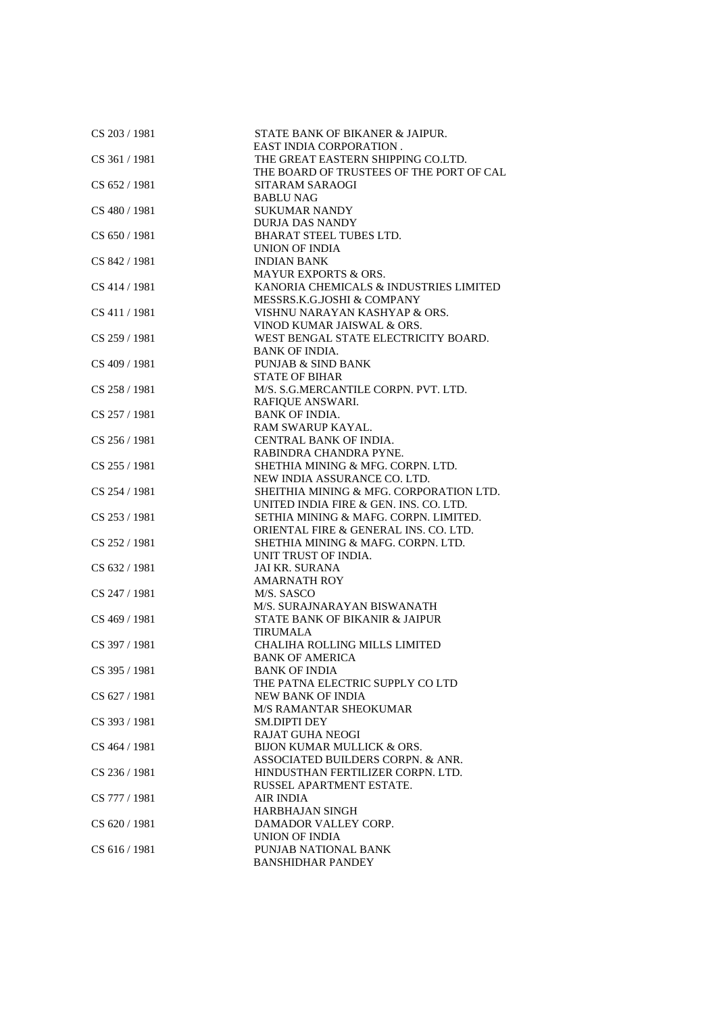| CS 203 / 1981 | STATE BANK OF BIKANER & JAIPUR.           |
|---------------|-------------------------------------------|
|               | <b>EAST INDIA CORPORATION.</b>            |
| CS 361 / 1981 | THE GREAT EASTERN SHIPPING CO.LTD.        |
|               | THE BOARD OF TRUSTEES OF THE PORT OF CAL  |
| CS 652/1981   | SITARAM SARAOGI                           |
|               | <b>BABLU NAG</b>                          |
| CS 480 / 1981 | <b>SUKUMAR NANDY</b>                      |
|               | <b>DURJA DAS NANDY</b>                    |
| CS 650 / 1981 | <b>BHARAT STEEL TUBES LTD.</b>            |
|               | <b>UNION OF INDIA</b>                     |
| CS 842 / 1981 | <b>INDIAN BANK</b>                        |
|               | <b>MAYUR EXPORTS &amp; ORS.</b>           |
|               |                                           |
| CS 414 / 1981 | KANORIA CHEMICALS & INDUSTRIES LIMITED    |
|               | MESSRS.K.G.JOSHI & COMPANY                |
| CS 411 / 1981 | VISHNU NARAYAN KASHYAP & ORS.             |
|               | VINOD KUMAR JAISWAL & ORS.                |
| CS 259 / 1981 | WEST BENGAL STATE ELECTRICITY BOARD.      |
|               | <b>BANK OF INDIA.</b>                     |
| CS 409 / 1981 | PUNJAB & SIND BANK                        |
|               | <b>STATE OF BIHAR</b>                     |
| CS 258 / 1981 | M/S. S.G.MERCANTILE CORPN. PVT. LTD.      |
|               | RAFIQUE ANSWARI.                          |
| CS 257 / 1981 | <b>BANK OF INDIA.</b>                     |
|               | <b>RAM SWARUP KAYAL.</b>                  |
| CS 256 / 1981 | CENTRAL BANK OF INDIA.                    |
|               | RABINDRA CHANDRA PYNE.                    |
| CS 255 / 1981 | SHETHIA MINING & MFG. CORPN. LTD.         |
|               | NEW INDIA ASSURANCE CO. LTD.              |
| CS 254 / 1981 | SHEITHIA MINING & MFG. CORPORATION LTD.   |
|               | UNITED INDIA FIRE & GEN. INS. CO. LTD.    |
| CS 253 / 1981 | SETHIA MINING & MAFG. CORPN. LIMITED.     |
|               | ORIENTAL FIRE & GENERAL INS. CO. LTD.     |
| CS 252 / 1981 | SHETHIA MINING & MAFG. CORPN. LTD.        |
|               | UNIT TRUST OF INDIA.                      |
| CS 632 / 1981 | <b>JAI KR. SURANA</b>                     |
|               | <b>AMARNATH ROY</b>                       |
| CS 247 / 1981 | M/S. SASCO                                |
|               | M/S. SURAJNARAYAN BISWANATH               |
| CS 469 / 1981 | <b>STATE BANK OF BIKANIR &amp; JAIPUR</b> |
|               | <b>TIRUMALA</b>                           |
| CS 397 / 1981 | <b>CHALIHA ROLLING MILLS LIMITED</b>      |
|               | <b>BANK OF AMERICA</b>                    |
| CS 395 / 1981 | <b>BANK OF INDIA</b>                      |
|               | THE PATNA ELECTRIC SUPPLY CO LTD          |
| CS 627 / 1981 | NEW BANK OF INDIA                         |
|               | <b>M/S RAMANTAR SHEOKUMAR</b>             |
| CS 393 / 1981 | <b>SM.DIPTI DEY</b>                       |
|               | <b>RAJAT GUHA NEOGI</b>                   |
| CS 464 / 1981 | BIJON KUMAR MULLICK & ORS.                |
|               | ASSOCIATED BUILDERS CORPN. & ANR.         |
|               |                                           |
| CS 236/1981   | HINDUSTHAN FERTILIZER CORPN. LTD.         |
|               | RUSSEL APARTMENT ESTATE.                  |
| CS 777 / 1981 | <b>AIR INDIA</b>                          |
|               | <b>HARBHAJAN SINGH</b>                    |
| CS 620 / 1981 | DAMADOR VALLEY CORP.                      |
|               | UNION OF INDIA                            |
| CS 616 / 1981 | PUNJAB NATIONAL BANK                      |
|               | <b>BANSHIDHAR PANDEY</b>                  |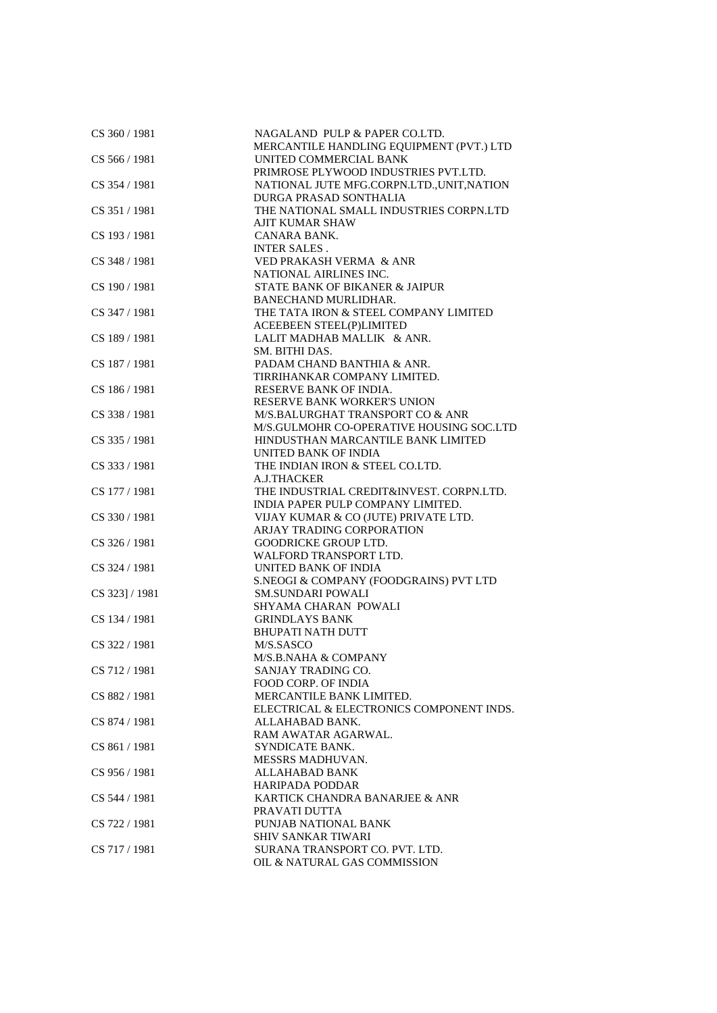| CS 360 / 1981   | NAGALAND PULP & PAPER CO.LTD.              |
|-----------------|--------------------------------------------|
|                 | MERCANTILE HANDLING EQUIPMENT (PVT.) LTD   |
| CS 566 / 1981   | UNITED COMMERCIAL BANK                     |
|                 | PRIMROSE PLYWOOD INDUSTRIES PVT.LTD.       |
| CS 354 / 1981   | NATIONAL JUTE MFG.CORPN.LTD., UNIT, NATION |
|                 | DURGA PRASAD SONTHALIA                     |
| CS 351 / 1981   | THE NATIONAL SMALL INDUSTRIES CORPN.LTD    |
|                 | AJIT KUMAR SHAW                            |
| CS 193 / 1981   | CANARA BANK.                               |
|                 | <b>INTER SALES.</b>                        |
| CS 348 / 1981   | VED PRAKASH VERMA & ANR                    |
|                 | NATIONAL AIRLINES INC.                     |
| CS 190 / 1981   | STATE BANK OF BIKANER & JAIPUR             |
|                 | <b>BANECHAND MURLIDHAR.</b>                |
| CS 347 / 1981   | THE TATA IRON & STEEL COMPANY LIMITED      |
|                 | <b>ACEEBEEN STEEL(P)LIMITED</b>            |
| CS 189 / 1981   | LALIT MADHAB MALLIK & ANR.                 |
|                 | SM. BITHI DAS.                             |
| CS 187 / 1981   | PADAM CHAND BANTHIA & ANR.                 |
|                 | TIRRIHANKAR COMPANY LIMITED.               |
| CS 186 / 1981   | RESERVE BANK OF INDIA.                     |
|                 | <b>RESERVE BANK WORKER'S UNION</b>         |
| CS 338 / 1981   | M/S.BALURGHAT TRANSPORT CO & ANR           |
|                 | M/S.GULMOHR CO-OPERATIVE HOUSING SOC.LTD   |
| CS 335 / 1981   | HINDUSTHAN MARCANTILE BANK LIMITED         |
|                 | UNITED BANK OF INDIA                       |
| CS 333 / 1981   | THE INDIAN IRON & STEEL CO.LTD.            |
|                 | A.J.THACKER                                |
| CS 177 / 1981   | THE INDUSTRIAL CREDIT&INVEST. CORPN.LTD.   |
|                 | INDIA PAPER PULP COMPANY LIMITED.          |
| CS 330 / 1981   | VIJAY KUMAR & CO (JUTE) PRIVATE LTD.       |
|                 | ARJAY TRADING CORPORATION                  |
| CS 326 / 1981   | <b>GOODRICKE GROUP LTD.</b>                |
|                 | WALFORD TRANSPORT LTD.                     |
| CS 324 / 1981   | UNITED BANK OF INDIA                       |
|                 | S.NEOGI & COMPANY (FOODGRAINS) PVT LTD     |
| CS 323] / 1981  | <b>SM.SUNDARI POWALI</b>                   |
|                 | <b>SHYAMA CHARAN POWALI</b>                |
| CS 134 / 1981   | <b>GRINDLAYS BANK</b>                      |
|                 | <b>BHUPATI NATH DUTT</b>                   |
| CS 322/1981     | M/S.SASCO                                  |
|                 | M/S.B.NAHA & COMPANY                       |
| CS 712 / 1981   | SANJAY TRADING CO.                         |
|                 | <b>FOOD CORP. OF INDIA</b>                 |
| CS 882 / 1981   | MERCANTILE BANK LIMITED.                   |
|                 | ELECTRICAL & ELECTRONICS COMPONENT INDS.   |
| CS 874 / 1981   | ALLAHABAD BANK.                            |
|                 | RAM AWATAR AGARWAL.                        |
| CS 861 / 1981   | SYNDICATE BANK.                            |
|                 | MESSRS MADHUVAN.                           |
| $CS$ 956 / 1981 | <b>ALLAHABAD BANK</b>                      |
|                 | <b>HARIPADA PODDAR</b>                     |
| CS 544 / 1981   | KARTICK CHANDRA BANARJEE & ANR             |
|                 | PRAVATI DUTTA                              |
| CS 722 / 1981   | PUNJAB NATIONAL BANK                       |
|                 | SHIV SANKAR TIWARI                         |
| CS 717 / 1981   | SURANA TRANSPORT CO. PVT. LTD.             |
|                 | OIL & NATURAL GAS COMMISSION               |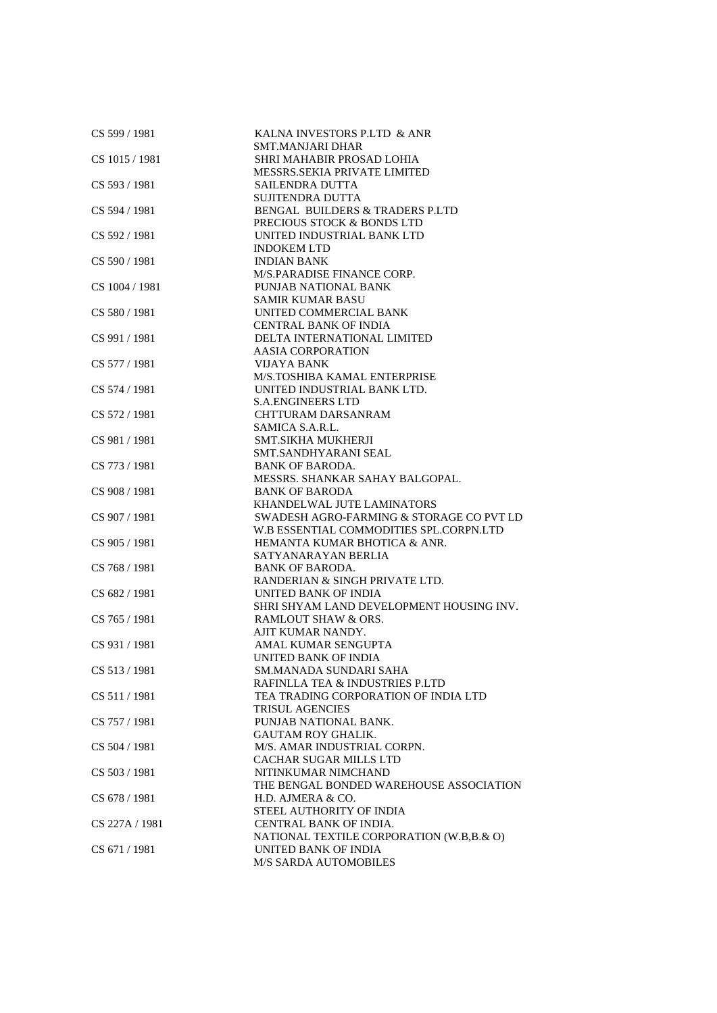| CS 599 / 1981  | KALNA INVESTORS P.LTD & ANR<br><b>SMT.MANJARI DHAR</b> |
|----------------|--------------------------------------------------------|
| CS 1015 / 1981 |                                                        |
|                | SHRI MAHABIR PROSAD LOHIA                              |
|                | MESSRS.SEKIA PRIVATE LIMITED                           |
| CS 593 / 1981  | <b>SAILENDRA DUTTA</b>                                 |
|                | <b>SUJITENDRA DUTTA</b>                                |
| CS 594 / 1981  | BENGAL BUILDERS & TRADERS P.LTD                        |
|                | PRECIOUS STOCK & BONDS LTD                             |
| CS 592 / 1981  | UNITED INDUSTRIAL BANK LTD                             |
|                | <b>INDOKEM LTD</b>                                     |
| CS 590 / 1981  | <b>INDIAN BANK</b>                                     |
|                | M/S.PARADISE FINANCE CORP.                             |
| CS 1004 / 1981 | PUNJAB NATIONAL BANK                                   |
|                | <b>SAMIR KUMAR BASU</b>                                |
| CS 580 / 1981  | UNITED COMMERCIAL BANK                                 |
|                | <b>CENTRAL BANK OF INDIA</b>                           |
| CS 991 / 1981  | DELTA INTERNATIONAL LIMITED                            |
|                | <b>AASIA CORPORATION</b>                               |
| CS 577 / 1981  | <b>VIJAYA BANK</b>                                     |
|                | M/S.TOSHIBA KAMAL ENTERPRISE                           |
| CS 574 / 1981  | UNITED INDUSTRIAL BANK LTD.                            |
|                | <b>S.A.ENGINEERS LTD</b>                               |
| CS 572 / 1981  | <b>CHTTURAM DARSANRAM</b>                              |
|                | SAMICA S.A.R.L.                                        |
| CS 981 / 1981  | <b>SMT.SIKHA MUKHERJI</b>                              |
|                | SMT.SANDHYARANI SEAL                                   |
| CS 773 / 1981  | <b>BANK OF BARODA.</b>                                 |
|                | MESSRS. SHANKAR SAHAY BALGOPAL.                        |
| CS 908 / 1981  | <b>BANK OF BARODA</b>                                  |
|                | <b>KHANDELWAL JUTE LAMINATORS</b>                      |
| CS 907 / 1981  | SWADESH AGRO-FARMING & STORAGE CO PVT LD               |
|                | W.B ESSENTIAL COMMODITIES SPL.CORPN.LTD                |
| CS 905 / 1981  | HEMANTA KUMAR BHOTICA & ANR.                           |
|                | SATYANARAYAN BERLIA                                    |
| CS 768 / 1981  | <b>BANK OF BARODA.</b>                                 |
|                | RANDERIAN & SINGH PRIVATE LTD.                         |
| CS 682 / 1981  | UNITED BANK OF INDIA                                   |
|                | SHRI SHYAM LAND DEVELOPMENT HOUSING INV.               |
| CS 765 / 1981  | RAMLOUT SHAW & ORS.                                    |
|                | AJIT KUMAR NANDY.                                      |
| CS 931/1981    | AMAL KUMAR SENGUPTA                                    |
|                | UNITED BANK OF INDIA                                   |
| CS 513 / 1981  | SM.MANADA SUNDARI SAHA                                 |
|                | RAFINLLA TEA & INDUSTRIES P.LTD                        |
| CS 511 / 1981  | TEA TRADING CORPORATION OF INDIA LTD                   |
|                | <b>TRISUL AGENCIES</b>                                 |
| CS 757 / 1981  | PUNJAB NATIONAL BANK.                                  |
|                | <b>GAUTAM ROY GHALIK.</b>                              |
| CS 504 / 1981  | M/S. AMAR INDUSTRIAL CORPN.                            |
|                | <b>CACHAR SUGAR MILLS LTD</b>                          |
| CS 503 / 1981  | NITINKUMAR NIMCHAND                                    |
|                | THE BENGAL BONDED WAREHOUSE ASSOCIATION                |
|                | H.D. AJMERA & CO.                                      |
| CS 678 / 1981  |                                                        |
|                | STEEL AUTHORITY OF INDIA                               |
| CS 227A / 1981 | CENTRAL BANK OF INDIA.                                 |
|                | NATIONAL TEXTILE CORPORATION (W.B,B.& O)               |
| CS 671 / 1981  | UNITED BANK OF INDIA                                   |
|                | M/S SARDA AUTOMOBILES                                  |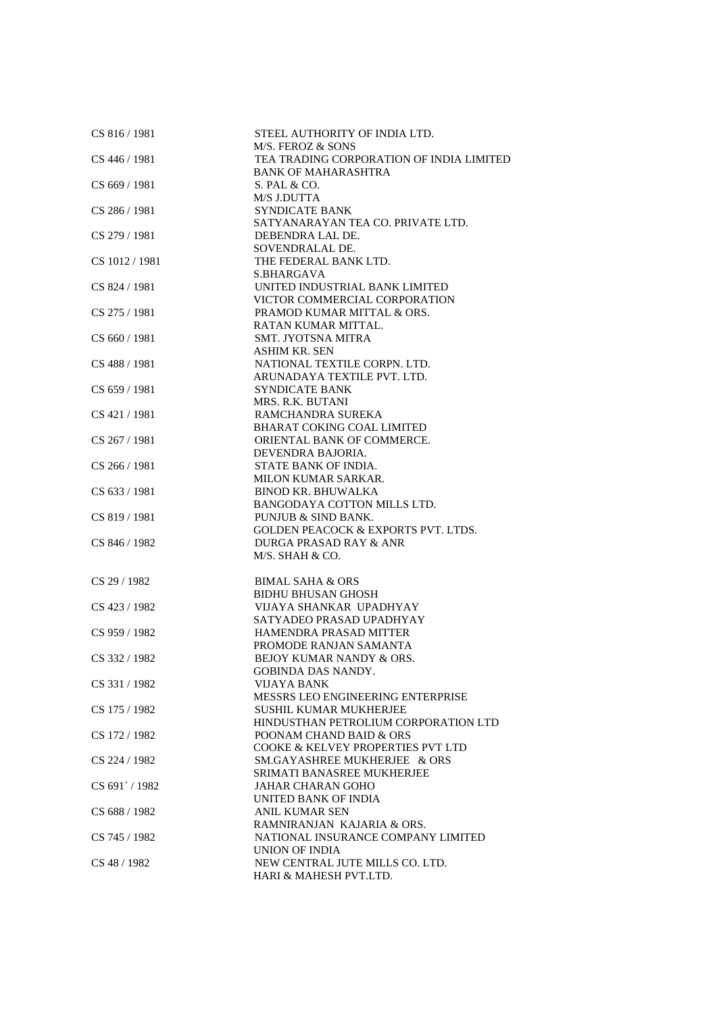| CS 816 / 1981       | STEEL AUTHORITY OF INDIA LTD.                            |
|---------------------|----------------------------------------------------------|
|                     | M/S. FEROZ & SONS                                        |
| CS 446 / 1981       | TEA TRADING CORPORATION OF INDIA LIMITED                 |
|                     | <b>BANK OF MAHARASHTRA</b>                               |
| CS 669 / 1981       | S. PAL & CO.                                             |
|                     | <b>M/S J.DUTTA</b>                                       |
| CS 286 / 1981       | <b>SYNDICATE BANK</b>                                    |
|                     | SATYANARAYAN TEA CO. PRIVATE LTD.                        |
| CS 279 / 1981       | DEBENDRA LAL DE.                                         |
|                     | SOVENDRALAL DE.                                          |
| CS 1012 / 1981      | THE FEDERAL BANK LTD.                                    |
|                     | S.BHARGAVA                                               |
| CS 824 / 1981       | UNITED INDUSTRIAL BANK LIMITED                           |
|                     | VICTOR COMMERCIAL CORPORATION                            |
| CS 275 / 1981       | PRAMOD KUMAR MITTAL & ORS.                               |
|                     | RATAN KUMAR MITTAL.                                      |
| CS 660 / 1981       | <b>SMT. JYOTSNA MITRA</b>                                |
|                     | <b>ASHIM KR. SEN</b>                                     |
| CS 488 / 1981       | NATIONAL TEXTILE CORPN. LTD.                             |
|                     | ARUNADAYA TEXTILE PVT. LTD.                              |
| CS 659 / 1981       | <b>SYNDICATE BANK</b>                                    |
|                     | MRS. R.K. BUTANI                                         |
| CS 421/1981         | RAMCHANDRA SUREKA                                        |
|                     | <b>BHARAT COKING COAL LIMITED</b>                        |
| CS 267 / 1981       | ORIENTAL BANK OF COMMERCE.                               |
|                     | DEVENDRA BAJORIA.                                        |
| CS 266 / 1981       | STATE BANK OF INDIA.                                     |
|                     |                                                          |
|                     | MILON KUMAR SARKAR.                                      |
| CS 633 / 1981       | <b>BINOD KR. BHUWALKA</b>                                |
|                     | BANGODAYA COTTON MILLS LTD.                              |
| CS 819 / 1981       | PUNJUB & SIND BANK.                                      |
|                     | <b>GOLDEN PEACOCK &amp; EXPORTS PVT. LTDS.</b>           |
| CS 846 / 1982       | DURGA PRASAD RAY & ANR                                   |
|                     | M/S. SHAH & CO.                                          |
| CS 29 / 1982        |                                                          |
|                     | <b>BIMAL SAHA &amp; ORS</b><br><b>BIDHU BHUSAN GHOSH</b> |
| CS 423 / 1982       | VIJAYA SHANKAR UPADHYAY                                  |
|                     | SATYADEO PRASAD UPADHYAY                                 |
| CS 959 / 1982       | <b>HAMENDRA PRASAD MITTER</b>                            |
|                     | PROMODE RANJAN SAMANTA                                   |
| CS 332 / 1982       | BEJOY KUMAR NANDY & ORS.                                 |
|                     | <b>GOBINDA DAS NANDY.</b>                                |
|                     |                                                          |
| CS 331/1982         | VIJAYA BANK<br>MESSRS LEO ENGINEERING ENTERPRISE         |
| CS 175 / 1982       | <b>SUSHIL KUMAR MUKHERJEE</b>                            |
|                     |                                                          |
|                     | HINDUSTHAN PETROLIUM CORPORATION LTD                     |
| CS 172 / 1982       | POONAM CHAND BAID & ORS                                  |
|                     | COOKE & KELVEY PROPERTIES PVT LTD                        |
| CS 224 / 1982       | SM.GAYASHREE MUKHERJEE & ORS                             |
|                     | SRIMATI BANASREE MUKHERJEE                               |
| CS 691 \cdot / 1982 | <b>JAHAR CHARAN GOHO</b>                                 |
|                     | UNITED BANK OF INDIA                                     |
| CS 688 / 1982       | <b>ANIL KUMAR SEN</b>                                    |
|                     | RAMNIRANJAN KAJARIA & ORS.                               |
| CS 745 / 1982       | NATIONAL INSURANCE COMPANY LIMITED                       |
|                     | UNION OF INDIA                                           |
| CS 48 / 1982        | NEW CENTRAL JUTE MILLS CO. LTD.                          |
|                     | HARI & MAHESH PVT.LTD.                                   |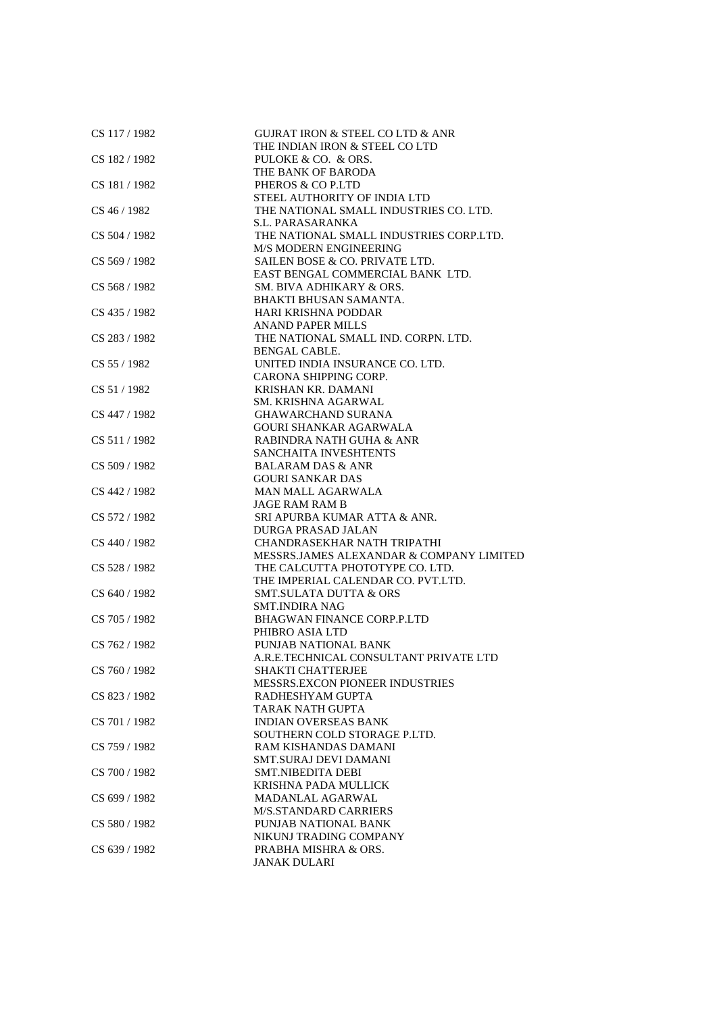| CS 117 / 1982 | <b>GUIRAT IRON &amp; STEEL CO LTD &amp; ANR</b><br>THE INDIAN IRON & STEEL CO LTD |
|---------------|-----------------------------------------------------------------------------------|
| CS 182 / 1982 | PULOKE & CO. & ORS.                                                               |
|               | THE BANK OF BARODA                                                                |
| CS 181/1982   | PHEROS & CO P.LTD                                                                 |
|               | STEEL AUTHORITY OF INDIA LTD                                                      |
| CS 46 / 1982  | THE NATIONAL SMALL INDUSTRIES CO. LTD.                                            |
|               | S.L. PARASARANKA                                                                  |
| CS 504 / 1982 | THE NATIONAL SMALL INDUSTRIES CORP.LTD.                                           |
|               | <b>M/S MODERN ENGINEERING</b>                                                     |
| CS 569 / 1982 | SAILEN BOSE & CO. PRIVATE LTD.                                                    |
|               | EAST BENGAL COMMERCIAL BANK LTD.                                                  |
| CS 568 / 1982 | SM. BIVA ADHIKARY & ORS.                                                          |
| CS 435 / 1982 | BHAKTI BHUSAN SAMANTA.<br>HARI KRISHNA PODDAR                                     |
|               | <b>ANAND PAPER MILLS</b>                                                          |
| CS 283 / 1982 | THE NATIONAL SMALL IND. CORPN. LTD.                                               |
|               | BENGAL CABLE.                                                                     |
| CS 55 / 1982  | UNITED INDIA INSURANCE CO. LTD.                                                   |
|               | CARONA SHIPPING CORP.                                                             |
| CS 51 / 1982  | KRISHAN KR. DAMANI                                                                |
|               | SM. KRISHNA AGARWAL                                                               |
| CS 447 / 1982 | <b>GHAWARCHAND SURANA</b>                                                         |
|               | <b>GOURI SHANKAR AGARWALA</b>                                                     |
| CS 511/1982   | RABINDRA NATH GUHA & ANR                                                          |
|               | SANCHAITA INVESHTENTS                                                             |
| CS 509 / 1982 | <b>BALARAM DAS &amp; ANR</b>                                                      |
|               | <b>GOURI SANKAR DAS</b>                                                           |
| CS 442 / 1982 | MAN MALL AGARWALA                                                                 |
|               | <b>JAGE RAM RAM B</b>                                                             |
| CS 572 / 1982 | SRI APURBA KUMAR ATTA & ANR.                                                      |
|               | DURGA PRASAD JALAN                                                                |
| CS 440 / 1982 | CHANDRASEKHAR NATH TRIPATHI<br>MESSRS.JAMES ALEXANDAR & COMPANY LIMITED           |
| CS 528 / 1982 | THE CALCUTTA PHOTOTYPE CO. LTD.                                                   |
|               | THE IMPERIAL CALENDAR CO. PVT.LTD.                                                |
| CS 640 / 1982 | <b>SMT.SULATA DUTTA &amp; ORS</b>                                                 |
|               | <b>SMT.INDIRA NAG</b>                                                             |
| CS 705 / 1982 | <b>BHAGWAN FINANCE CORP.P.LTD</b>                                                 |
|               | PHIBRO ASIA LTD                                                                   |
| CS 762 / 1982 | PUNJAB NATIONAL BANK                                                              |
|               | A.R.E.TECHNICAL CONSULTANT PRIVATE LTD                                            |
| CS 760 / 1982 | SHAKTI CHATTERJEE                                                                 |
|               | <b>MESSRS.EXCON PIONEER INDUSTRIES</b>                                            |
| CS 823 / 1982 | RADHESHYAM GUPTA                                                                  |
|               | TARAK NATH GUPTA                                                                  |
| CS 701 / 1982 | <b>INDIAN OVERSEAS BANK</b>                                                       |
|               | SOUTHERN COLD STORAGE P.LTD.                                                      |
| CS 759 / 1982 | RAM KISHANDAS DAMANI                                                              |
| CS 700 / 1982 | <b>SMT.SURAJ DEVI DAMANI</b><br><b>SMT.NIBEDITA DEBI</b>                          |
|               | KRISHNA PADA MULLICK                                                              |
| CS 699 / 1982 | MADANLAL AGARWAL                                                                  |
|               | <b>M/S.STANDARD CARRIERS</b>                                                      |
| CS 580 / 1982 | PUNJAB NATIONAL BANK                                                              |
|               | NIKUNJ TRADING COMPANY                                                            |
| CS 639 / 1982 | PRABHA MISHRA & ORS.                                                              |
|               | <b>JANAK DULARI</b>                                                               |
|               |                                                                                   |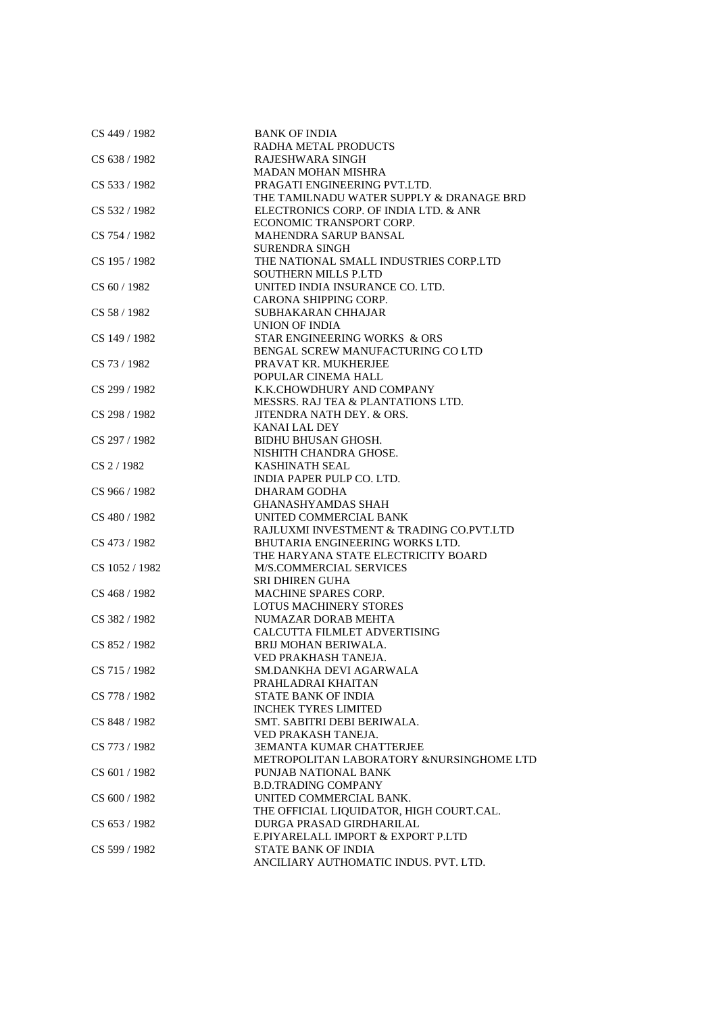| CS 449 / 1982  | <b>BANK OF INDIA</b>                     |
|----------------|------------------------------------------|
|                | RADHA METAL PRODUCTS                     |
| CS 638 / 1982  | RAJESHWARA SINGH                         |
|                | <b>MADAN MOHAN MISHRA</b>                |
| CS 533 / 1982  | PRAGATI ENGINEERING PVT.LTD.             |
|                | THE TAMILNADU WATER SUPPLY & DRANAGE BRD |
| CS 532 / 1982  | ELECTRONICS CORP. OF INDIA LTD. & ANR    |
|                | ECONOMIC TRANSPORT CORP.                 |
| CS 754 / 1982  | MAHENDRA SARUP BANSAL                    |
|                | SURENDRA SINGH                           |
| CS 195 / 1982  | THE NATIONAL SMALL INDUSTRIES CORP.LTD   |
|                | <b>SOUTHERN MILLS P.LTD</b>              |
| CS 60/1982     | UNITED INDIA INSURANCE CO. LTD.          |
|                | CARONA SHIPPING CORP.                    |
| CS 58 / 1982   | SUBHAKARAN CHHAJAR                       |
|                | UNION OF INDIA                           |
| CS 149 / 1982  | STAR ENGINEERING WORKS & ORS             |
|                | BENGAL SCREW MANUFACTURING CO LTD        |
| CS 73 / 1982   | PRAVAT KR. MUKHERJEE                     |
|                | POPULAR CINEMA HALL                      |
| CS 299 / 1982  | K.K.CHOWDHURY AND COMPANY                |
|                | MESSRS. RAJ TEA & PLANTATIONS LTD.       |
| CS 298 / 1982  | JITENDRA NATH DEY. & ORS.                |
|                | <b>KANAI LAL DEY</b>                     |
| CS 297 / 1982  | <b>BIDHU BHUSAN GHOSH.</b>               |
|                | NISHITH CHANDRA GHOSE.                   |
| CS 2/1982      | <b>KASHINATH SEAL</b>                    |
|                | INDIA PAPER PULP CO. LTD.                |
| CS 966 / 1982  | DHARAM GODHA                             |
|                | <b>GHANASHYAMDAS SHAH</b>                |
| CS 480 / 1982  | UNITED COMMERCIAL BANK                   |
|                | RAJLUXMI INVESTMENT & TRADING CO.PVT.LTD |
| CS 473 / 1982  | BHUTARIA ENGINEERING WORKS LTD.          |
|                | THE HARYANA STATE ELECTRICITY BOARD      |
| CS 1052 / 1982 | M/S.COMMERCIAL SERVICES                  |
|                | <b>SRI DHIREN GUHA</b>                   |
| CS 468 / 1982  | <b>MACHINE SPARES CORP.</b>              |
|                | <b>LOTUS MACHINERY STORES</b>            |
| CS 382 / 1982  | NUMAZAR DORAB MEHTA                      |
|                | CALCUTTA FILMLET ADVERTISING             |
| CS 852 / 1982  | BRIJ MOHAN BERIWALA.                     |
|                | VED PRAKHASH TANEJA.                     |
| CS 715 / 1982  | SM.DANKHA DEVI AGARWALA                  |
|                | PRAHLADRAI KHAITAN                       |
| CS 778 / 1982  | STATE BANK OF INDIA                      |
|                | <b>INCHEK TYRES LIMITED</b>              |
| CS 848 / 1982  | SMT. SABITRI DEBI BERIWALA.              |
|                | VED PRAKASH TANEJA.                      |
| CS 773 / 1982  | <b>3EMANTA KUMAR CHATTERJEE</b>          |
|                | METROPOLITAN LABORATORY &NURSINGHOME LTD |
| CS 601 / 1982  | PUNJAB NATIONAL BANK                     |
|                | <b>B.D.TRADING COMPANY</b>               |
| CS 600 / 1982  | UNITED COMMERCIAL BANK.                  |
|                | THE OFFICIAL LIQUIDATOR, HIGH COURT.CAL. |
| CS 653 / 1982  | DURGA PRASAD GIRDHARILAL                 |
|                | E.PIYARELALL IMPORT & EXPORT P.LTD       |
| CS 599 / 1982  | <b>STATE BANK OF INDIA</b>               |
|                | ANCILIARY AUTHOMATIC INDUS. PVT. LTD.    |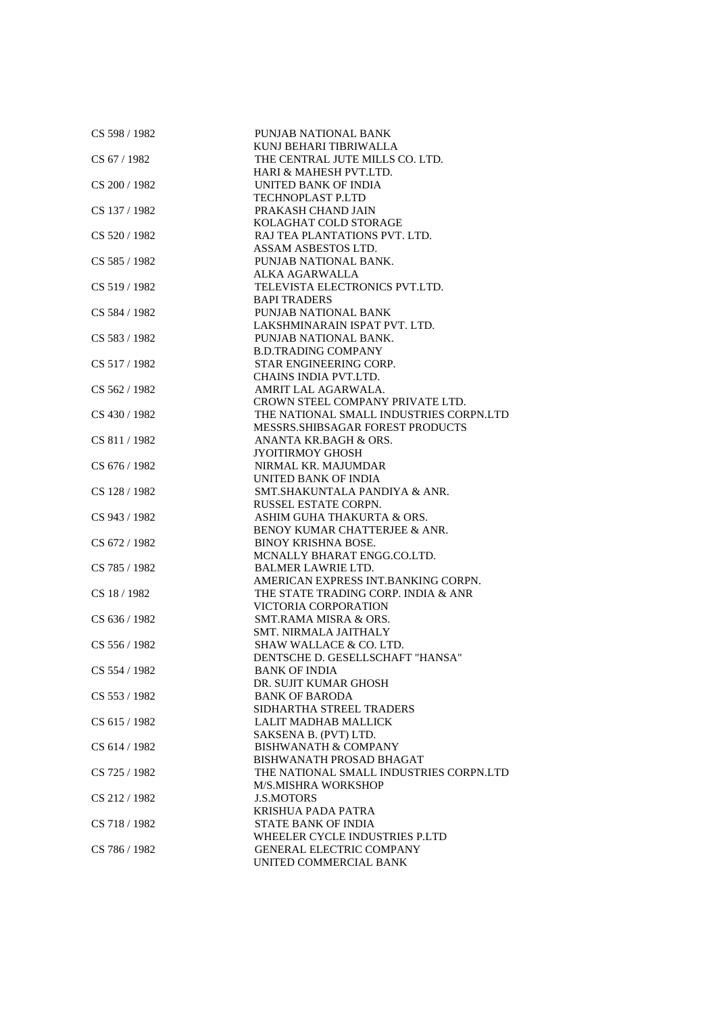| CS 598 / 1982 | PUNJAB NATIONAL BANK                    |
|---------------|-----------------------------------------|
|               | KUNJ BEHARI TIBRIWALLA                  |
| CS 67/1982    | THE CENTRAL JUTE MILLS CO. LTD.         |
|               | HARI & MAHESH PVT.LTD.                  |
| CS 200 / 1982 | UNITED BANK OF INDIA                    |
|               | TECHNOPLAST P.LTD                       |
| CS 137 / 1982 | PRAKASH CHAND JAIN                      |
|               | KOLAGHAT COLD STORAGE                   |
| CS 520 / 1982 | RAJ TEA PLANTATIONS PVT. LTD.           |
|               | ASSAM ASBESTOS LTD.                     |
| CS 585 / 1982 | PUNJAB NATIONAL BANK.                   |
|               | ALKA AGARWALLA                          |
| CS 519 / 1982 | TELEVISTA ELECTRONICS PVT.LTD.          |
|               | <b>BAPI TRADERS</b>                     |
| CS 584 / 1982 | PUNJAB NATIONAL BANK                    |
|               | LAKSHMINARAIN ISPAT PVT. LTD.           |
| CS 583 / 1982 | PUNJAB NATIONAL BANK.                   |
|               | <b>B.D.TRADING COMPANY</b>              |
| CS 517/1982   | STAR ENGINEERING CORP.                  |
|               | CHAINS INDIA PVT.LTD.                   |
| CS 562 / 1982 | AMRIT LAL AGARWALA.                     |
|               | CROWN STEEL COMPANY PRIVATE LTD.        |
| CS 430 / 1982 | THE NATIONAL SMALL INDUSTRIES CORPN.LTD |
|               | MESSRS. SHIBSAGAR FOREST PRODUCTS       |
| CS 811/1982   | ANANTA KR.BAGH & ORS.                   |
|               | <b>JYOITIRMOY GHOSH</b>                 |
| CS 676 / 1982 | NIRMAL KR. MAJUMDAR                     |
|               | UNITED BANK OF INDIA                    |
| CS 128 / 1982 | SMT.SHAKUNTALA PANDIYA & ANR.           |
|               |                                         |
|               | RUSSEL ESTATE CORPN.                    |
| CS 943 / 1982 | ASHIM GUHA THAKURTA & ORS.              |
|               | BENOY KUMAR CHATTERJEE & ANR.           |
| CS 672 / 1982 | <b>BINOY KRISHNA BOSE.</b>              |
|               | MCNALLY BHARAT ENGG.CO.LTD.             |
| CS 785 / 1982 | <b>BALMER LAWRIE LTD.</b>               |
|               | AMERICAN EXPRESS INT.BANKING CORPN.     |
| CS 18 / 1982  | THE STATE TRADING CORP. INDIA & ANR     |
|               | VICTORIA CORPORATION                    |
| CS 636 / 1982 | <b>SMT.RAMA MISRA &amp; ORS.</b>        |
|               | <b>SMT. NIRMALA JAITHALY</b>            |
| CS 556 / 1982 | SHAW WALLACE & CO. LTD.                 |
|               | DENTSCHE D. GESELLSCHAFT "HANSA"        |
| CS 554 / 1982 | BANK OF INDIA                           |
|               | DR. SUJIT KUMAR GHOSH                   |
| CS 553 / 1982 | <b>BANK OF BARODA</b>                   |
|               | SIDHARTHA STREEL TRADERS                |
| CS 615 / 1982 | LALIT MADHAB MALLICK                    |
|               | SAKSENA B. (PVT) LTD.                   |
| CS 614 / 1982 | <b>BISHWANATH &amp; COMPANY</b>         |
|               | BISHWANATH PROSAD BHAGAT                |
| CS 725 / 1982 | THE NATIONAL SMALL INDUSTRIES CORPN.LTD |
|               | <b>M/S.MISHRA WORKSHOP</b>              |
| CS 212 / 1982 | <b>J.S.MOTORS</b>                       |
|               | <b>KRISHUA PADA PATRA</b>               |
| CS 718 / 1982 | <b>STATE BANK OF INDIA</b>              |
|               | WHEELER CYCLE INDUSTRIES P.LTD          |
| CS 786 / 1982 | <b>GENERAL ELECTRIC COMPANY</b>         |
|               | UNITED COMMERCIAL BANK                  |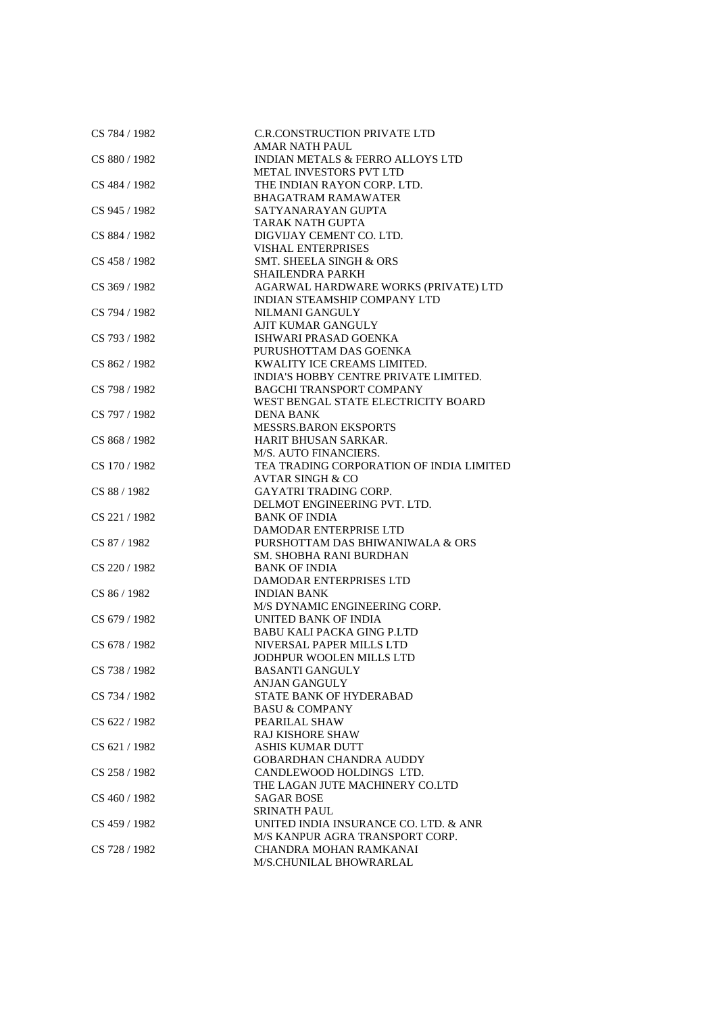| CS 784 / 1982   | C.R.CONSTRUCTION PRIVATE LTD             |
|-----------------|------------------------------------------|
|                 | <b>AMAR NATH PAUL</b>                    |
| CS 880 / 1982   | INDIAN METALS & FERRO ALLOYS LTD         |
|                 | <b>METAL INVESTORS PVT LTD</b>           |
| CS 484 / 1982   | THE INDIAN RAYON CORP. LTD.              |
|                 | <b>BHAGATRAM RAMAWATER</b>               |
| CS 945 / 1982   | SATYANARAYAN GUPTA                       |
|                 | TARAK NATH GUPTA                         |
| CS 884 / 1982   | DIGVIJAY CEMENT CO. LTD.                 |
|                 | <b>VISHAL ENTERPRISES</b>                |
| CS 458 / 1982   | <b>SMT. SHEELA SINGH &amp; ORS</b>       |
|                 | <b>SHAILENDRA PARKH</b>                  |
| CS 369 / 1982   | AGARWAL HARDWARE WORKS (PRIVATE) LTD     |
|                 | INDIAN STEAMSHIP COMPANY LTD             |
| CS 794 / 1982   | NILMANI GANGULY                          |
|                 | AJIT KUMAR GANGULY                       |
| CS 793 / 1982   | ISHWARI PRASAD GOENKA                    |
|                 | PURUSHOTTAM DAS GOENKA                   |
| CS 862 / 1982   | KWALITY ICE CREAMS LIMITED.              |
|                 | INDIA'S HOBBY CENTRE PRIVATE LIMITED.    |
| CS 798 / 1982   | <b>BAGCHI TRANSPORT COMPANY</b>          |
|                 | WEST BENGAL STATE ELECTRICITY BOARD      |
|                 |                                          |
| CS 797 / 1982   | <b>DENA BANK</b>                         |
|                 | <b>MESSRS.BARON EKSPORTS</b>             |
| CS 868 / 1982   | <b>HARIT BHUSAN SARKAR.</b>              |
|                 | M/S. AUTO FINANCIERS.                    |
| CS 170 / 1982   | TEA TRADING CORPORATION OF INDIA LIMITED |
|                 | <b>AVTAR SINGH &amp; CO</b>              |
| CS 88 / 1982    | <b>GAYATRI TRADING CORP.</b>             |
|                 | DELMOT ENGINEERING PVT. LTD.             |
| CS 221 / 1982   | <b>BANK OF INDIA</b>                     |
|                 | DAMODAR ENTERPRISE LTD                   |
| CS 87 / 1982    | PURSHOTTAM DAS BHIWANIWALA & ORS         |
|                 | SM. SHOBHA RANI BURDHAN                  |
| CS 220 / 1982   | <b>BANK OF INDIA</b>                     |
|                 | DAMODAR ENTERPRISES LTD                  |
| CS 86 / 1982    | <b>INDIAN BANK</b>                       |
|                 | M/S DYNAMIC ENGINEERING CORP.            |
| CS 679 / 1982   | UNITED BANK OF INDIA                     |
|                 | <b>BABU KALI PACKA GING P.LTD</b>        |
| CS 678 / 1982   | NIVERSAL PAPER MILLS LTD                 |
|                 | JODHPUR WOOLEN MILLS LTD                 |
| CS 738 / 1982   | <b>BASANTI GANGULY</b>                   |
|                 | ANJAN GANGULY                            |
| CS 734 / 1982   | STATE BANK OF HYDERABAD                  |
|                 | <b>BASU &amp; COMPANY</b>                |
| CS 622 / 1982   | PEARILAL SHAW                            |
|                 | <b>RAJ KISHORE SHAW</b>                  |
| CS 621 / 1982   | <b>ASHIS KUMAR DUTT</b>                  |
|                 | <b>GOBARDHAN CHANDRA AUDDY</b>           |
| CS 258 / 1982   | CANDLEWOOD HOLDINGS LTD.                 |
|                 | THE LAGAN JUTE MACHINERY CO.LTD          |
| $CS$ 460 / 1982 | SAGAR BOSE                               |
|                 | <b>SRINATH PAUL</b>                      |
| CS 459 / 1982   | UNITED INDIA INSURANCE CO. LTD. & ANR    |
|                 | M/S KANPUR AGRA TRANSPORT CORP.          |
| CS 728 / 1982   | CHANDRA MOHAN RAMKANAI                   |
|                 | M/S.CHUNILAL BHOWRARLAL                  |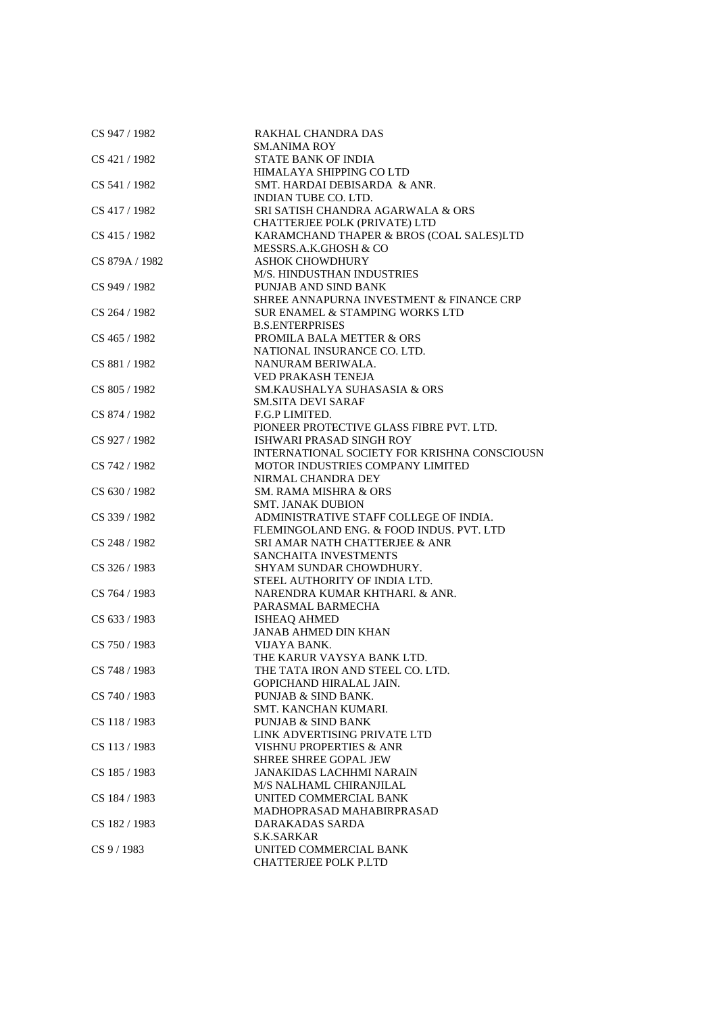| CS 947 / 1982  | RAKHAL CHANDRA DAS                           |
|----------------|----------------------------------------------|
|                | <b>SM.ANIMA ROY</b>                          |
| CS 421 / 1982  | <b>STATE BANK OF INDIA</b>                   |
|                | HIMALAYA SHIPPING CO LTD                     |
| CS 541 / 1982  | SMT. HARDAI DEBISARDA & ANR.                 |
|                | <b>INDIAN TUBE CO. LTD.</b>                  |
| CS 417 / 1982  | SRI SATISH CHANDRA AGARWALA & ORS            |
|                | CHATTERJEE POLK (PRIVATE) LTD                |
| CS 415 / 1982  | KARAMCHAND THAPER & BROS (COAL SALES)LTD     |
|                | MESSRS.A.K.GHOSH & CO                        |
| CS 879A / 1982 | <b>ASHOK CHOWDHURY</b>                       |
|                | M/S. HINDUSTHAN INDUSTRIES                   |
| CS 949 / 1982  | PUNJAB AND SIND BANK                         |
|                | SHREE ANNAPURNA INVESTMENT & FINANCE CRP     |
| CS 264 / 1982  | SUR ENAMEL & STAMPING WORKS LTD              |
|                | <b>B.S.ENTERPRISES</b>                       |
| CS 465 / 1982  | PROMILA BALA METTER & ORS                    |
|                | NATIONAL INSURANCE CO. LTD.                  |
| CS 881 / 1982  | NANURAM BERIWALA.                            |
|                | <b>VED PRAKASH TENEJA</b>                    |
| CS 805 / 1982  | SM.KAUSHALYA SUHASASIA & ORS                 |
|                | <b>SM.SITA DEVI SARAF</b>                    |
| CS 874 / 1982  | F.G.P LIMITED.                               |
|                | PIONEER PROTECTIVE GLASS FIBRE PVT. LTD.     |
| CS 927 / 1982  | ISHWARI PRASAD SINGH ROY                     |
|                | INTERNATIONAL SOCIETY FOR KRISHNA CONSCIOUSN |
| CS 742 / 1982  | MOTOR INDUSTRIES COMPANY LIMITED             |
|                | NIRMAL CHANDRA DEY                           |
| CS 630 / 1982  | <b>SM. RAMA MISHRA &amp; ORS</b>             |
|                | <b>SMT. JANAK DUBION</b>                     |
| CS 339 / 1982  | ADMINISTRATIVE STAFF COLLEGE OF INDIA.       |
|                | FLEMINGOLAND ENG. & FOOD INDUS. PVT. LTD     |
| CS 248 / 1982  | SRI AMAR NATH CHATTERJEE & ANR               |
|                | SANCHAITA INVESTMENTS                        |
| CS 326 / 1983  | SHYAM SUNDAR CHOWDHURY.                      |
|                | STEEL AUTHORITY OF INDIA LTD.                |
| CS 764 / 1983  | NARENDRA KUMAR KHTHARI. & ANR.               |
|                | PARASMAL BARMECHA                            |
| CS 633 / 1983  | <b>ISHEAQ AHMED</b>                          |
|                | <b>JANAB AHMED DIN KHAN</b>                  |
| CS 750 / 1983  | VIJAYA BANK.                                 |
|                | THE KARUR VAYSYA BANK LTD.                   |
| CS 748 / 1983  | THE TATA IRON AND STEEL CO. LTD.             |
|                | GOPICHAND HIRALAL JAIN.                      |
| CS 740 / 1983  | PUNJAB & SIND BANK.                          |
|                | SMT. KANCHAN KUMARI.                         |
| CS 118 / 1983  | <b>PUNJAB &amp; SIND BANK</b>                |
|                | LINK ADVERTISING PRIVATE LTD                 |
| CS 113/1983    | VISHNU PROPERTIES & ANR                      |
|                | SHREE SHREE GOPAL JEW                        |
| CS 185 / 1983  | <b>JANAKIDAS LACHHMI NARAIN</b>              |
|                | M/S NALHAML CHIRANJILAL                      |
| CS 184 / 1983  | UNITED COMMERCIAL BANK                       |
|                | MADHOPRASAD MAHABIRPRASAD                    |
| CS 182 / 1983  | DARAKADAS SARDA                              |
|                | S.K.SARKAR                                   |
| $CS$ 9 / 1983  | UNITED COMMERCIAL BANK                       |
|                | <b>CHATTERJEE POLK P.LTD</b>                 |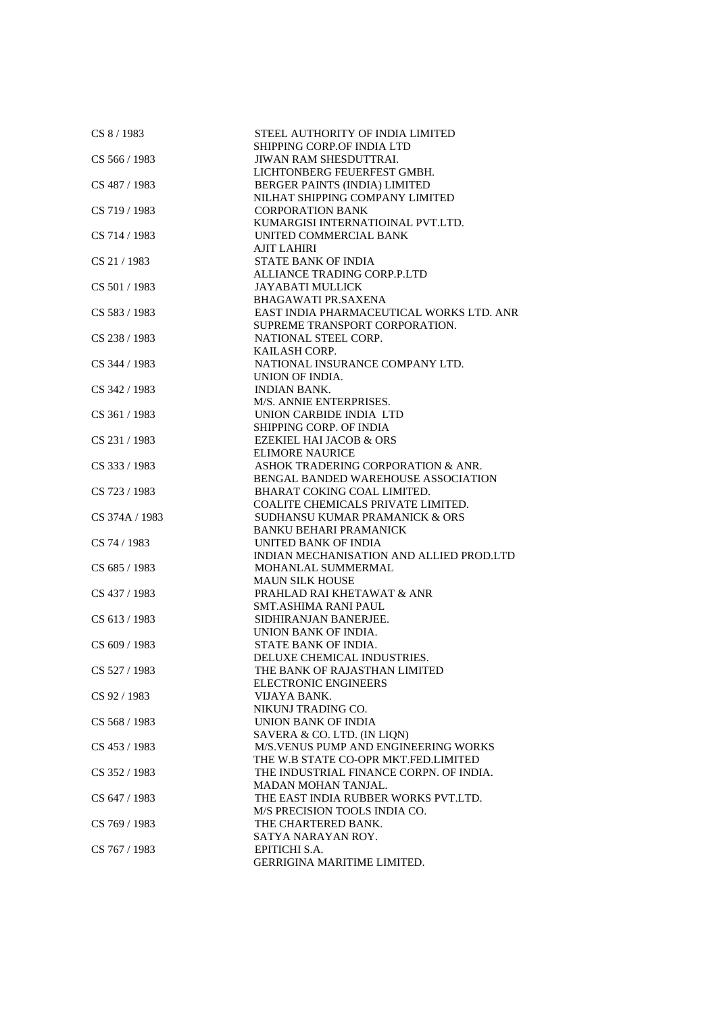| CS 8 / 1983    | STEEL AUTHORITY OF INDIA LIMITED<br>SHIPPING CORP.OF INDIA LTD |
|----------------|----------------------------------------------------------------|
| CS 566 / 1983  | JIWAN RAM SHESDUTTRAI.                                         |
|                | LICHTONBERG FEUERFEST GMBH.                                    |
| CS 487 / 1983  | BERGER PAINTS (INDIA) LIMITED                                  |
|                | NILHAT SHIPPING COMPANY LIMITED                                |
| CS 719 / 1983  | <b>CORPORATION BANK</b>                                        |
|                | KUMARGISI INTERNATIOINAL PVT.LTD.                              |
| CS 714 / 1983  | UNITED COMMERCIAL BANK                                         |
|                | <b>AJIT LAHIRI</b>                                             |
| CS 21 / 1983   | <b>STATE BANK OF INDIA</b>                                     |
|                |                                                                |
|                | ALLIANCE TRADING CORP.P.LTD                                    |
| CS 501/1983    | <b>JAYABATI MULLICK</b>                                        |
|                | <b>BHAGAWATI PR.SAXENA</b>                                     |
| CS 583 / 1983  | EAST INDIA PHARMACEUTICAL WORKS LTD. ANR                       |
|                | SUPREME TRANSPORT CORPORATION.                                 |
| CS 238 / 1983  | NATIONAL STEEL CORP.                                           |
|                | KAILASH CORP.                                                  |
| CS 344 / 1983  | NATIONAL INSURANCE COMPANY LTD.                                |
|                | UNION OF INDIA.                                                |
| CS 342 / 1983  | <b>INDIAN BANK.</b>                                            |
|                | M/S. ANNIE ENTERPRISES.                                        |
| CS 361 / 1983  | UNION CARBIDE INDIA LTD                                        |
|                | <b>SHIPPING CORP. OF INDIA</b>                                 |
| CS 231 / 1983  | <b>EZEKIEL HAI JACOB &amp; ORS</b>                             |
|                | <b>ELIMORE NAURICE</b>                                         |
| CS 333 / 1983  | ASHOK TRADERING CORPORATION & ANR.                             |
|                | BENGAL BANDED WAREHOUSE ASSOCIATION                            |
| CS 723 / 1983  | BHARAT COKING COAL LIMITED.                                    |
|                | COALITE CHEMICALS PRIVATE LIMITED.                             |
| CS 374A / 1983 | SUDHANSU KUMAR PRAMANICK & ORS                                 |
|                | <b>BANKU BEHARI PRAMANICK</b>                                  |
| CS 74 / 1983   | UNITED BANK OF INDIA                                           |
|                | INDIAN MECHANISATION AND ALLIED PROD.LTD                       |
| CS 685 / 1983  | MOHANLAL SUMMERMAL                                             |
|                | <b>MAUN SILK HOUSE</b>                                         |
| CS 437 / 1983  | PRAHLAD RAI KHETAWAT & ANR                                     |
|                | <b>SMT.ASHIMA RANI PAUL</b>                                    |
| CS 613 / 1983  | SIDHIRANJAN BANERJEE.                                          |
|                | UNION BANK OF INDIA.                                           |
| CS 609 / 1983  | STATE BANK OF INDIA.                                           |
|                | DELUXE CHEMICAL INDUSTRIES.                                    |
| CS 527 / 1983  | THE BANK OF RAJASTHAN LIMITED                                  |
|                | <b>ELECTRONIC ENGINEERS</b>                                    |
| CS 92 / 1983   | VIJAYA BANK.                                                   |
|                | NIKUNJ TRADING CO.                                             |
| CS 568 / 1983  | UNION BANK OF INDIA                                            |
|                | SAVERA & CO. LTD. (IN LIQN)                                    |
| CS 453 / 1983  | M/S.VENUS PUMP AND ENGINEERING WORKS                           |
|                |                                                                |
|                | THE W.B STATE CO-OPR MKT.FED.LIMITED                           |
| CS 352 / 1983  | THE INDUSTRIAL FINANCE CORPN. OF INDIA.                        |
|                | <b>MADAN MOHAN TANJAL.</b>                                     |
| CS 647 / 1983  | THE EAST INDIA RUBBER WORKS PVT.LTD.                           |
|                | M/S PRECISION TOOLS INDIA CO.                                  |
| CS 769 / 1983  | THE CHARTERED BANK.                                            |
|                | SATYA NARAYAN ROY.                                             |
| CS 767 / 1983  | EPITICHI S.A.                                                  |
|                | GERRIGINA MARITIME LIMITED.                                    |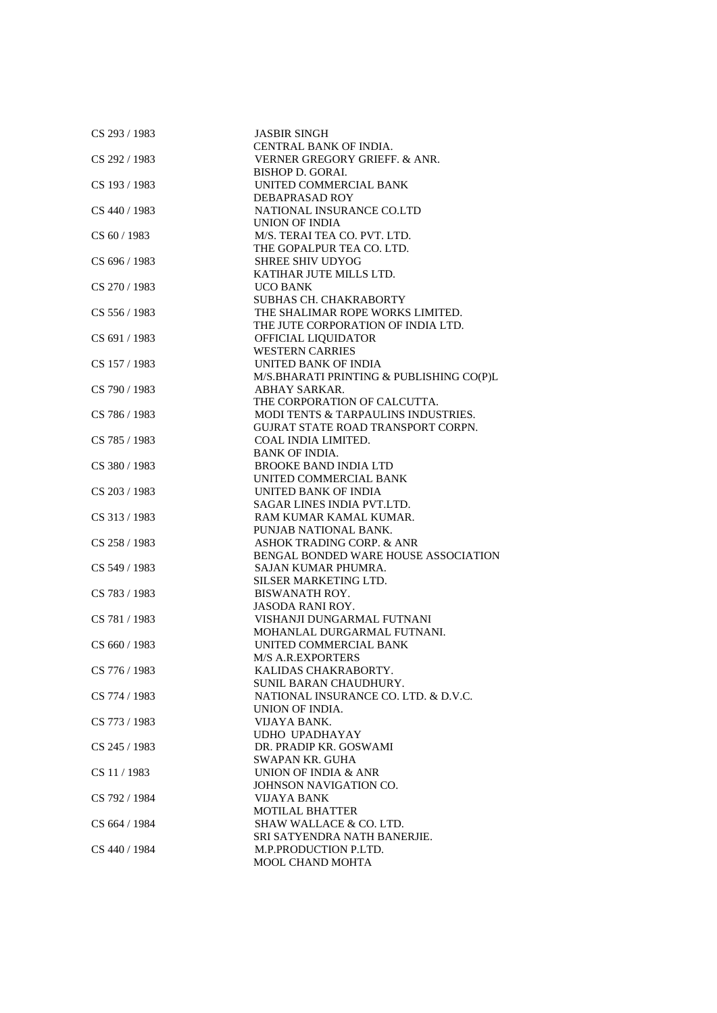| CS 293 / 1983 | <b>JASBIR SINGH</b>                       |
|---------------|-------------------------------------------|
|               | CENTRAL BANK OF INDIA.                    |
| CS 292 / 1983 | VERNER GREGORY GRIEFF. & ANR.             |
|               | <b>BISHOP D. GORAI.</b>                   |
| CS 193 / 1983 | UNITED COMMERCIAL BANK                    |
|               | DEBAPRASAD ROY                            |
| CS 440 / 1983 | NATIONAL INSURANCE CO.LTD                 |
|               | UNION OF INDIA                            |
| CS 60 / 1983  | M/S. TERAI TEA CO. PVT. LTD.              |
|               | THE GOPALPUR TEA CO. LTD.                 |
| CS 696 / 1983 | <b>SHREE SHIV UDYOG</b>                   |
|               | KATIHAR JUTE MILLS LTD.                   |
|               |                                           |
| CS 270/1983   | <b>UCO BANK</b>                           |
|               | SUBHAS CH. CHAKRABORTY                    |
| CS 556 / 1983 | THE SHALIMAR ROPE WORKS LIMITED.          |
|               | THE JUTE CORPORATION OF INDIA LTD.        |
| CS 691/1983   | <b>OFFICIAL LIQUIDATOR</b>                |
|               | <b>WESTERN CARRIES</b>                    |
| CS 157 / 1983 | UNITED BANK OF INDIA                      |
|               | M/S.BHARATI PRINTING & PUBLISHING CO(P)L  |
| CS 790 / 1983 | ABHAY SARKAR.                             |
|               | THE CORPORATION OF CALCUTTA.              |
| CS 786 / 1983 | MODI TENTS & TARPAULINS INDUSTRIES.       |
|               | <b>GUJRAT STATE ROAD TRANSPORT CORPN.</b> |
| CS 785 / 1983 | COAL INDIA LIMITED.                       |
|               | <b>BANK OF INDIA.</b>                     |
| CS 380 / 1983 | <b>BROOKE BAND INDIA LTD</b>              |
|               | UNITED COMMERCIAL BANK                    |
| CS 203 / 1983 | UNITED BANK OF INDIA                      |
|               | SAGAR LINES INDIA PVT.LTD.                |
| CS 313 / 1983 | RAM KUMAR KAMAL KUMAR.                    |
|               | PUNJAB NATIONAL BANK.                     |
| CS 258 / 1983 | ASHOK TRADING CORP. & ANR                 |
|               |                                           |
|               | BENGAL BONDED WARE HOUSE ASSOCIATION      |
| CS 549 / 1983 | SAJAN KUMAR PHUMRA.                       |
|               | SILSER MARKETING LTD.                     |
| CS 783 / 1983 | <b>BISWANATH ROY.</b>                     |
|               | <b>JASODA RANI ROY.</b>                   |
| CS 781 / 1983 | VISHANJI DUNGARMAL FUTNANI                |
|               | MOHANLAL DURGARMAL FUTNANI.               |
| CS 660 / 1983 | UNITED COMMERCIAL BANK                    |
|               | <b>M/S A.R.EXPORTERS</b>                  |
| CS 776 / 1983 | KALIDAS CHAKRABORTY.                      |
|               | SUNIL BARAN CHAUDHURY.                    |
| CS 774 / 1983 | NATIONAL INSURANCE CO. LTD. & D.V.C.      |
|               | UNION OF INDIA.                           |
| CS 773 / 1983 | VIJAYA BANK.                              |
|               | <b>UDHO UPADHAYAY</b>                     |
| CS 245 / 1983 | DR. PRADIP KR. GOSWAMI                    |
|               | <b>SWAPAN KR. GUHA</b>                    |
| CS 11/1983    | UNION OF INDIA & ANR                      |
|               | JOHNSON NAVIGATION CO.                    |
| CS 792 / 1984 | VIJAYA BANK                               |
|               | <b>MOTILAL BHATTER</b>                    |
| CS 664 / 1984 | SHAW WALLACE & CO. LTD.                   |
|               | SRI SATYENDRA NATH BANERJIE.              |
| CS 440 / 1984 | M.P.PRODUCTION P.LTD.                     |
|               |                                           |
|               | MOOL CHAND MOHTA                          |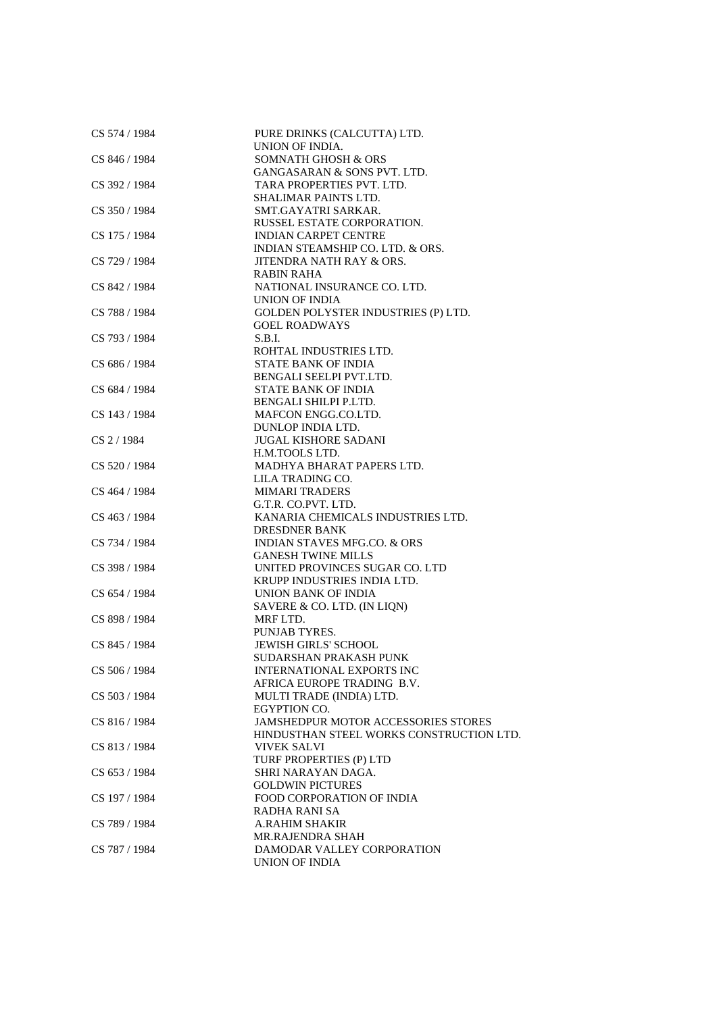| CS 574 / 1984 | PURE DRINKS (CALCUTTA) LTD.<br>UNION OF INDIA.     |
|---------------|----------------------------------------------------|
| CS 846 / 1984 | <b>SOMNATH GHOSH &amp; ORS</b>                     |
|               | <b>GANGASARAN &amp; SONS PVT. LTD.</b>             |
| CS 392 / 1984 | TARA PROPERTIES PVT. LTD.                          |
|               | SHALIMAR PAINTS LTD.                               |
| CS 350 / 1984 | SMT.GAYATRI SARKAR.                                |
|               | RUSSEL ESTATE CORPORATION.                         |
| CS 175 / 1984 | <b>INDIAN CARPET CENTRE</b>                        |
|               | INDIAN STEAMSHIP CO. LTD. & ORS.                   |
| CS 729 / 1984 | JITENDRA NATH RAY & ORS.                           |
|               | <b>RABIN RAHA</b>                                  |
| CS 842 / 1984 | NATIONAL INSURANCE CO. LTD.                        |
|               | UNION OF INDIA                                     |
| CS 788 / 1984 | GOLDEN POLYSTER INDUSTRIES (P) LTD.                |
|               | <b>GOEL ROADWAYS</b>                               |
| CS 793 / 1984 | S.B.I.                                             |
|               | ROHTAL INDUSTRIES LTD.                             |
| CS 686 / 1984 | <b>STATE BANK OF INDIA</b>                         |
|               | BENGALI SEELPI PVT.LTD.                            |
| CS 684 / 1984 | <b>STATE BANK OF INDIA</b>                         |
|               | BENGALI SHILPI P.LTD.                              |
| CS 143 / 1984 | MAFCON ENGG.CO.LTD.                                |
|               | DUNLOP INDIA LTD.                                  |
| CS 2 / 1984   | <b>JUGAL KISHORE SADANI</b>                        |
|               | H.M.TOOLS LTD.                                     |
| CS 520 / 1984 | MADHYA BHARAT PAPERS LTD.                          |
|               | LILA TRADING CO.                                   |
| CS 464 / 1984 | <b>MIMARI TRADERS</b>                              |
|               | G.T.R. CO.PVT. LTD.                                |
| CS 463 / 1984 | KANARIA CHEMICALS INDUSTRIES LTD.                  |
|               | <b>DRESDNER BANK</b>                               |
| CS 734 / 1984 | <b>INDIAN STAVES MFG.CO. &amp; ORS</b>             |
|               | <b>GANESH TWINE MILLS</b>                          |
| CS 398 / 1984 | UNITED PROVINCES SUGAR CO. LTD                     |
| CS 654 / 1984 | KRUPP INDUSTRIES INDIA LTD.<br>UNION BANK OF INDIA |
|               | SAVERE & CO. LTD. (IN LIQN)                        |
| CS 898 / 1984 | MRF LTD.                                           |
|               | PUNJAB TYRES.                                      |
| CS 845 / 1984 | JEWISH GIRLS' SCHOOL                               |
|               | <b>SUDARSHAN PRAKASH PUNK</b>                      |
| CS 506 / 1984 | <b>INTERNATIONAL EXPORTS INC</b>                   |
|               | AFRICA EUROPE TRADING B.V.                         |
| CS 503 / 1984 | MULTI TRADE (INDIA) LTD.                           |
|               | EGYPTION CO.                                       |
| CS 816 / 1984 | <b>JAMSHEDPUR MOTOR ACCESSORIES STORES</b>         |
|               | HINDUSTHAN STEEL WORKS CONSTRUCTION LTD.           |
| CS 813 / 1984 | <b>VIVEK SALVI</b>                                 |
|               | TURF PROPERTIES (P) LTD                            |
| CS 653 / 1984 | SHRI NARAYAN DAGA.                                 |
|               | <b>GOLDWIN PICTURES</b>                            |
| CS 197 / 1984 | <b>FOOD CORPORATION OF INDIA</b>                   |
|               | RADHA RANI SA                                      |
| CS 789 / 1984 | <b>A.RAHIM SHAKIR</b>                              |
|               | MR.RAJENDRA SHAH                                   |
| CS 787 / 1984 | DAMODAR VALLEY CORPORATION                         |
|               | <b>UNION OF INDIA</b>                              |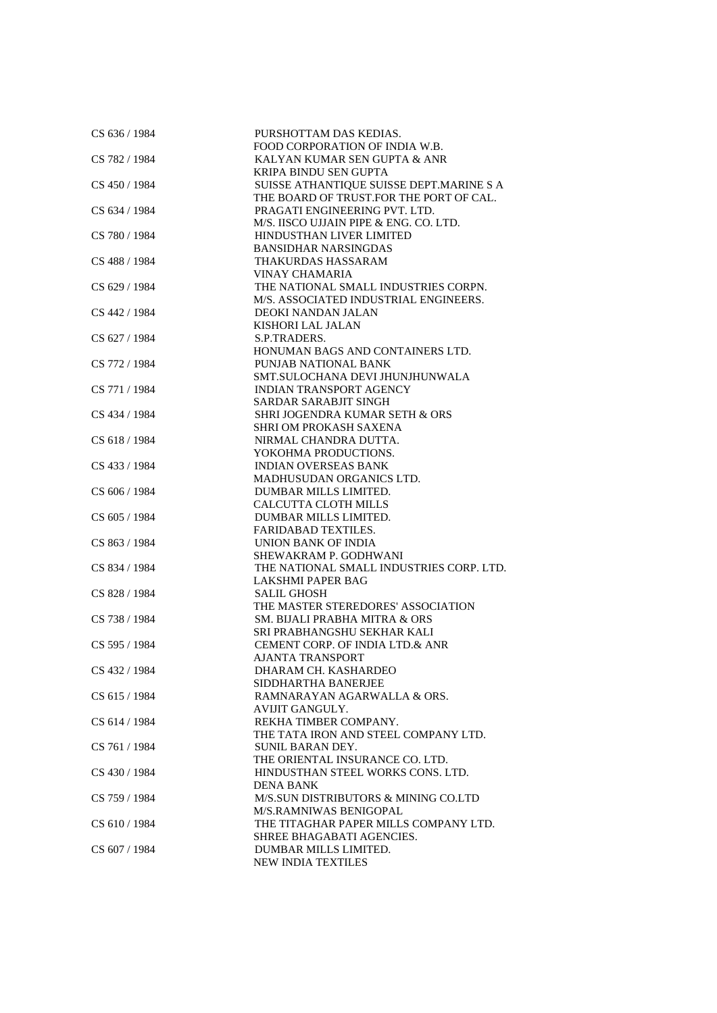| CS 636 / 1984 | PURSHOTTAM DAS KEDIAS.                   |
|---------------|------------------------------------------|
|               | FOOD CORPORATION OF INDIA W.B.           |
| CS 782 / 1984 | KALYAN KUMAR SEN GUPTA & ANR             |
|               | <b>KRIPA BINDU SEN GUPTA</b>             |
| CS 450 / 1984 | SUISSE ATHANTIQUE SUISSE DEPT.MARINE S A |
|               | THE BOARD OF TRUST.FOR THE PORT OF CAL.  |
| CS 634 / 1984 | PRAGATI ENGINEERING PVT. LTD.            |
|               | M/S. IISCO UJJAIN PIPE & ENG. CO. LTD.   |
| CS 780 / 1984 | HINDUSTHAN LIVER LIMITED                 |
|               | <b>BANSIDHAR NARSINGDAS</b>              |
|               |                                          |
| CS 488 / 1984 | THAKURDAS HASSARAM                       |
|               | VINAY CHAMARIA                           |
| CS 629 / 1984 | THE NATIONAL SMALL INDUSTRIES CORPN.     |
|               | M/S. ASSOCIATED INDUSTRIAL ENGINEERS.    |
| CS 442 / 1984 | DEOKI NANDAN JALAN                       |
|               | KISHORI LAL JALAN                        |
| CS 627 / 1984 | S.P.TRADERS.                             |
|               | HONUMAN BAGS AND CONTAINERS LTD.         |
| CS 772 / 1984 | PUNJAB NATIONAL BANK                     |
|               | SMT.SULOCHANA DEVI JHUNJHUNWALA          |
| CS 771 / 1984 | <b>INDIAN TRANSPORT AGENCY</b>           |
|               | <b>SARDAR SARABJIT SINGH</b>             |
| CS 434 / 1984 | SHRI JOGENDRA KUMAR SETH & ORS           |
|               | SHRI OM PROKASH SAXENA                   |
| CS 618 / 1984 | NIRMAL CHANDRA DUTTA.                    |
|               | YOKOHMA PRODUCTIONS.                     |
| CS 433 / 1984 | <b>INDIAN OVERSEAS BANK</b>              |
|               | <b>MADHUSUDAN ORGANICS LTD.</b>          |
|               |                                          |
| CS 606 / 1984 | DUMBAR MILLS LIMITED.                    |
|               | CALCUTTA CLOTH MILLS                     |
| CS 605 / 1984 | DUMBAR MILLS LIMITED.                    |
|               | <b>FARIDABAD TEXTILES.</b>               |
| CS 863 / 1984 | UNION BANK OF INDIA                      |
|               | SHEWAKRAM P. GODHWANI                    |
| CS 834 / 1984 | THE NATIONAL SMALL INDUSTRIES CORP. LTD. |
|               | LAKSHMI PAPER BAG                        |
| CS 828 / 1984 | <b>SALIL GHOSH</b>                       |
|               | THE MASTER STEREDORES' ASSOCIATION       |
| CS 738 / 1984 | SM. BIJALI PRABHA MITRA & ORS            |
|               | SRI PRABHANGSHU SEKHAR KALI              |
| CS 595 / 1984 | CEMENT CORP. OF INDIA LTD.& ANR          |
|               | <b>AJANTA TRANSPORT</b>                  |
| CS 432 / 1984 | DHARAM CH. KASHARDEO                     |
|               | SIDDHARTHA BANERJEE                      |
| CS 615 / 1984 | RAMNARAYAN AGARWALLA & ORS.              |
|               | AVIJIT GANGULY.                          |
| CS 614 / 1984 | REKHA TIMBER COMPANY.                    |
|               | THE TATA IRON AND STEEL COMPANY LTD.     |
| CS 761 / 1984 | <b>SUNIL BARAN DEY.</b>                  |
|               | THE ORIENTAL INSURANCE CO. LTD.          |
|               |                                          |
| CS 430 / 1984 | HINDUSTHAN STEEL WORKS CONS. LTD.        |
|               | <b>DENA BANK</b>                         |
| CS 759 / 1984 | M/S.SUN DISTRIBUTORS & MINING CO.LTD     |
|               | M/S.RAMNIWAS BENIGOPAL                   |
| CS 610 / 1984 | THE TITAGHAR PAPER MILLS COMPANY LTD.    |
|               | SHREE BHAGABATI AGENCIES.                |
| CS 607 / 1984 | DUMBAR MILLS LIMITED.                    |
|               | NEW INDIA TEXTILES                       |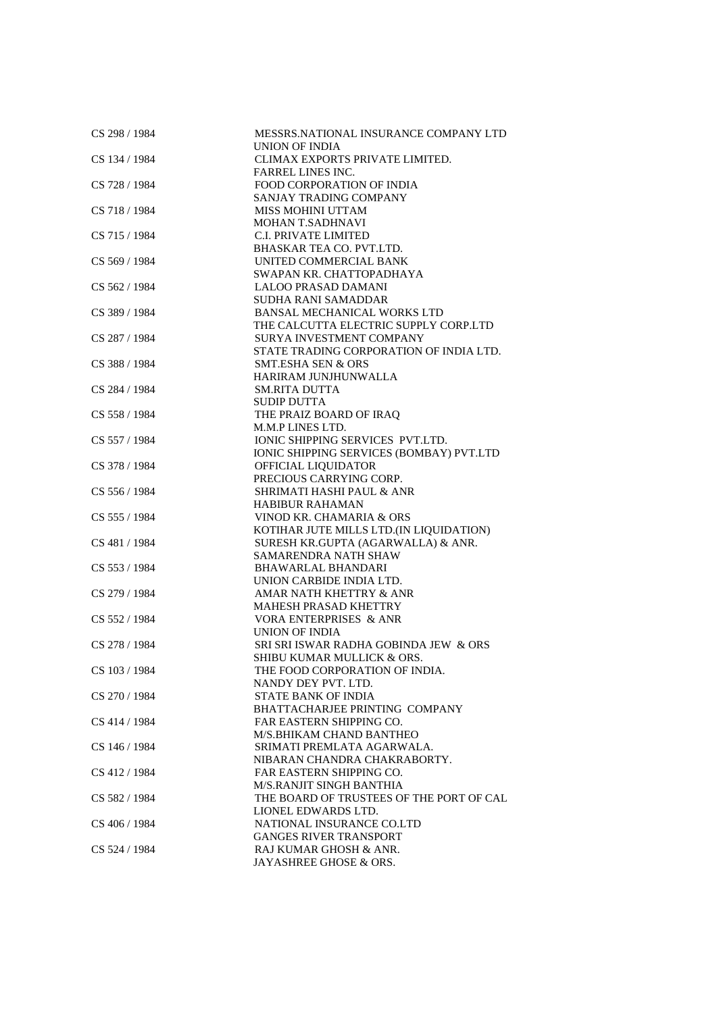| CS 298 / 1984 | MESSRS.NATIONAL INSURANCE COMPANY LTD<br>UNION OF INDIA |
|---------------|---------------------------------------------------------|
| CS 134 / 1984 | CLIMAX EXPORTS PRIVATE LIMITED.                         |
|               | <b>FARREL LINES INC.</b>                                |
| CS 728 / 1984 | <b>FOOD CORPORATION OF INDIA</b>                        |
|               | SANJAY TRADING COMPANY                                  |
| CS 718 / 1984 | <b>MISS MOHINI UTTAM</b>                                |
|               | MOHAN T.SADHNAVI                                        |
|               |                                                         |
| CS 715 / 1984 | C.I. PRIVATE LIMITED<br>BHASKAR TEA CO. PVT.LTD.        |
| CS 569 / 1984 | UNITED COMMERCIAL BANK                                  |
|               |                                                         |
|               | SWAPAN KR. CHATTOPADHAYA<br><b>LALOO PRASAD DAMANI</b>  |
| CS 562 / 1984 | <b>SUDHA RANI SAMADDAR</b>                              |
|               | <b>BANSAL MECHANICAL WORKS LTD</b>                      |
| CS 389 / 1984 |                                                         |
|               | THE CALCUTTA ELECTRIC SUPPLY CORP.LTD                   |
| CS 287 / 1984 | SURYA INVESTMENT COMPANY                                |
|               | STATE TRADING CORPORATION OF INDIA LTD.                 |
| CS 388 / 1984 | <b>SMT.ESHA SEN &amp; ORS</b>                           |
|               | HARIRAM JUNJHUNWALLA                                    |
| CS 284 / 1984 | <b>SM.RITA DUTTA</b>                                    |
|               | <b>SUDIP DUTTA</b>                                      |
| CS 558 / 1984 | THE PRAIZ BOARD OF IRAQ                                 |
|               | M.M.P LINES LTD.                                        |
| CS 557 / 1984 | IONIC SHIPPING SERVICES PVT.LTD.                        |
|               | IONIC SHIPPING SERVICES (BOMBAY) PVT.LTD                |
| CS 378 / 1984 | OFFICIAL LIQUIDATOR                                     |
|               | PRECIOUS CARRYING CORP.                                 |
| CS 556 / 1984 | SHRIMATI HASHI PAUL & ANR                               |
|               | <b>HABIBUR RAHAMAN</b>                                  |
| CS 555 / 1984 | VINOD KR. CHAMARIA & ORS                                |
|               | KOTIHAR JUTE MILLS LTD.(IN LIQUIDATION)                 |
| CS 481 / 1984 | SURESH KR.GUPTA (AGARWALLA) & ANR.                      |
|               | SAMARENDRA NATH SHAW                                    |
| CS 553 / 1984 | <b>BHAWARLAL BHANDARI</b>                               |
|               | UNION CARBIDE INDIA LTD.                                |
| CS 279 / 1984 | AMAR NATH KHETTRY & ANR                                 |
|               | <b>MAHESH PRASAD KHETTRY</b>                            |
| CS 552 / 1984 | VORA ENTERPRISES & ANR                                  |
|               | <b>UNION OF INDIA</b>                                   |
| CS 278 / 1984 | SRI SRI ISWAR RADHA GOBINDA JEW & ORS                   |
|               | SHIBU KUMAR MULLICK & ORS.                              |
| CS 103 / 1984 | THE FOOD CORPORATION OF INDIA.                          |
|               | NANDY DEY PVT. LTD.                                     |
| CS 270 / 1984 | STATE BANK OF INDIA                                     |
|               | BHATTACHARJEE PRINTING COMPANY                          |
| CS 414 / 1984 | <b>FAR EASTERN SHIPPING CO.</b>                         |
|               | M/S.BHIKAM CHAND BANTHEO                                |
| CS 146 / 1984 | SRIMATI PREMLATA AGARWALA.                              |
|               | NIBARAN CHANDRA CHAKRABORTY.                            |
| CS 412 / 1984 | FAR EASTERN SHIPPING CO.                                |
|               | <b>M/S.RANJIT SINGH BANTHIA</b>                         |
| CS 582 / 1984 | THE BOARD OF TRUSTEES OF THE PORT OF CAL                |
|               | LIONEL EDWARDS LTD.                                     |
| CS 406 / 1984 | NATIONAL INSURANCE CO.LTD                               |
|               | <b>GANGES RIVER TRANSPORT</b>                           |
| CS 524 / 1984 | RAJ KUMAR GHOSH & ANR.                                  |
|               | JAYASHREE GHOSE & ORS.                                  |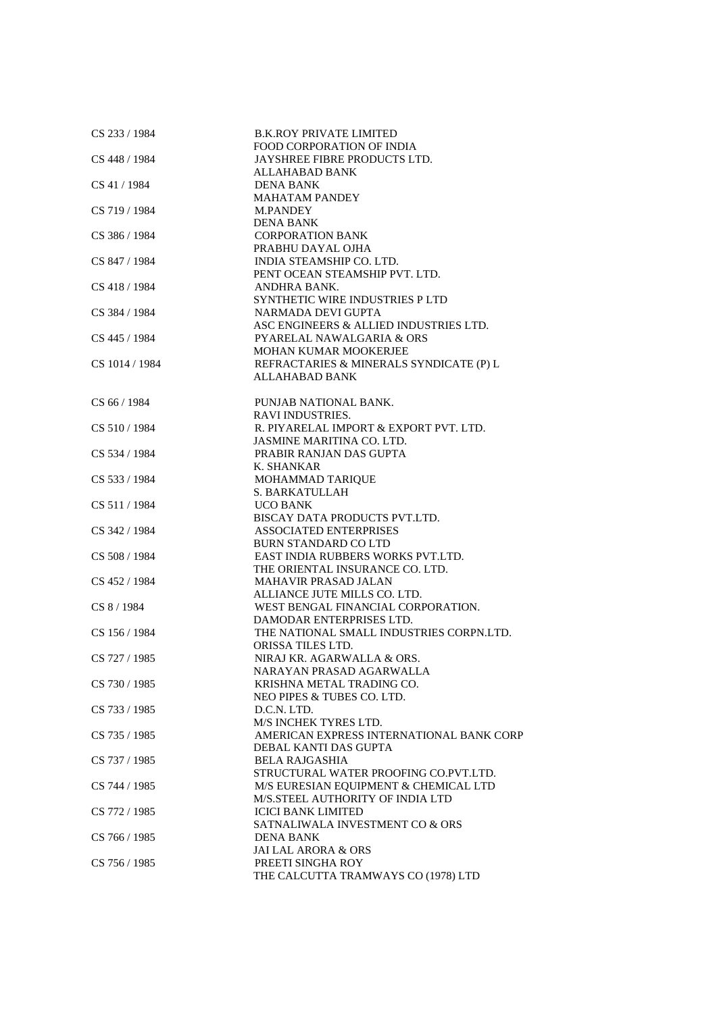| CS 233 / 1984  | <b>B.K.ROY PRIVATE LIMITED</b>           |
|----------------|------------------------------------------|
|                | <b>FOOD CORPORATION OF INDIA</b>         |
| CS 448 / 1984  | JAYSHREE FIBRE PRODUCTS LTD.             |
|                | <b>ALLAHABAD BANK</b>                    |
| CS 41 / 1984   | DENA BANK                                |
|                | <b>MAHATAM PANDEY</b>                    |
| CS 719 / 1984  | <b>M.PANDEY</b>                          |
|                | <b>DENA BANK</b>                         |
| CS 386 / 1984  | <b>CORPORATION BANK</b>                  |
|                | PRABHU DAYAL OJHA                        |
| CS 847 / 1984  | INDIA STEAMSHIP CO. LTD.                 |
|                | PENT OCEAN STEAMSHIP PVT. LTD.           |
|                |                                          |
| CS 418 / 1984  | ANDHRA BANK.                             |
|                | SYNTHETIC WIRE INDUSTRIES PLTD           |
| CS 384 / 1984  | NARMADA DEVI GUPTA                       |
|                | ASC ENGINEERS & ALLIED INDUSTRIES LTD.   |
| CS 445 / 1984  | PYARELAL NAWALGARIA & ORS                |
|                | MOHAN KUMAR MOOKERJEE                    |
| CS 1014 / 1984 | REFRACTARIES & MINERALS SYNDICATE (P) L  |
|                | ALLAHABAD BANK                           |
|                |                                          |
| CS 66 / 1984   | PUNJAB NATIONAL BANK.                    |
|                | <b>RAVI INDUSTRIES.</b>                  |
| CS 510/1984    | R. PIYARELAL IMPORT & EXPORT PVT. LTD.   |
|                | JASMINE MARITINA CO. LTD.                |
|                |                                          |
| CS 534 / 1984  | PRABIR RANJAN DAS GUPTA                  |
|                | K. SHANKAR                               |
| CS 533 / 1984  | MOHAMMAD TARIQUE                         |
|                | <b>S. BARKATULLAH</b>                    |
| CS 511 / 1984  | <b>UCO BANK</b>                          |
|                | BISCAY DATA PRODUCTS PVT.LTD.            |
| CS 342 / 1984  | <b>ASSOCIATED ENTERPRISES</b>            |
|                | <b>BURN STANDARD CO LTD</b>              |
| CS 508 / 1984  | EAST INDIA RUBBERS WORKS PVT.LTD.        |
|                | THE ORIENTAL INSURANCE CO. LTD.          |
| CS 452 / 1984  | <b>MAHAVIR PRASAD JALAN</b>              |
|                | ALLIANCE JUTE MILLS CO. LTD.             |
| CS 8 / 1984    | WEST BENGAL FINANCIAL CORPORATION.       |
|                | DAMODAR ENTERPRISES LTD.                 |
|                |                                          |
| CS 156 / 1984  | THE NATIONAL SMALL INDUSTRIES CORPN.LTD. |
|                | ORISSA TILES LTD.                        |
| CS 727 / 1985  | NIRAJ KR. AGARWALLA & ORS.               |
|                | NARAYAN PRASAD AGARWALLA                 |
| CS 730 / 1985  | KRISHNA METAL TRADING CO.                |
|                | NEO PIPES & TUBES CO. LTD.               |
| CS 733 / 1985  | D.C.N. LTD.                              |
|                | M/S INCHEK TYRES LTD.                    |
| CS 735 / 1985  | AMERICAN EXPRESS INTERNATIONAL BANK CORP |
|                | DEBAL KANTI DAS GUPTA                    |
| CS 737 / 1985  | <b>BELA RAJGASHIA</b>                    |
|                | STRUCTURAL WATER PROOFING CO.PVT.LTD.    |
| CS 744 / 1985  | M/S EURESIAN EQUIPMENT & CHEMICAL LTD    |
|                |                                          |
|                | M/S.STEEL AUTHORITY OF INDIA LTD         |
| CS 772 / 1985  | <b>ICICI BANK LIMITED</b>                |
|                | SATNALIWALA INVESTMENT CO & ORS          |
| CS 766 / 1985  | DENA BANK                                |
|                | <b>JAI LAL ARORA &amp; ORS</b>           |
| CS 756 / 1985  | PREETI SINGHA ROY                        |
|                | THE CALCUTTA TRAMWAYS CO (1978) LTD      |
|                |                                          |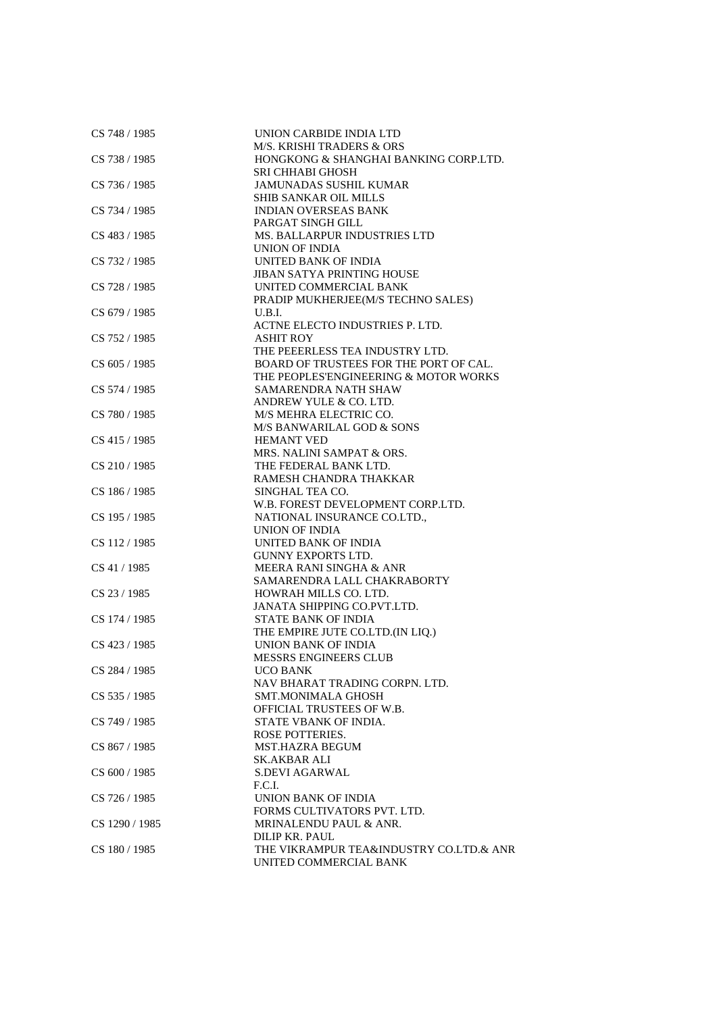| CS 748 / 1985  | UNION CARBIDE INDIA LTD                 |
|----------------|-----------------------------------------|
|                | <b>M/S. KRISHI TRADERS &amp; ORS</b>    |
| CS 738 / 1985  | HONGKONG & SHANGHAI BANKING CORP.LTD.   |
|                | <b>SRI CHHABI GHOSH</b>                 |
| CS 736 / 1985  | <b>JAMUNADAS SUSHIL KUMAR</b>           |
|                | SHIB SANKAR OIL MILLS                   |
| CS 734 / 1985  | <b>INDIAN OVERSEAS BANK</b>             |
|                | PARGAT SINGH GILL                       |
| CS 483 / 1985  | <b>MS. BALLARPUR INDUSTRIES LTD</b>     |
|                | UNION OF INDIA                          |
| CS 732 / 1985  | UNITED BANK OF INDIA                    |
|                | <b>JIBAN SATYA PRINTING HOUSE</b>       |
|                |                                         |
| CS 728 / 1985  | UNITED COMMERCIAL BANK                  |
|                | PRADIP MUKHERJEE(M/S TECHNO SALES)      |
| CS 679 / 1985  | U.B.I.                                  |
|                | ACTNE ELECTO INDUSTRIES P. LTD.         |
| CS 752 / 1985  | <b>ASHIT ROY</b>                        |
|                | THE PEEERLESS TEA INDUSTRY LTD.         |
| CS 605 / 1985  | BOARD OF TRUSTEES FOR THE PORT OF CAL.  |
|                | THE PEOPLES'ENGINEERING & MOTOR WORKS   |
| CS 574 / 1985  | SAMARENDRA NATH SHAW                    |
|                | ANDREW YULE & CO. LTD.                  |
| CS 780 / 1985  | M/S MEHRA ELECTRIC CO.                  |
|                | M/S BANWARILAL GOD & SONS               |
| CS 415 / 1985  | <b>HEMANT VED</b>                       |
|                | MRS. NALINI SAMPAT & ORS.               |
| CS 210/1985    | THE FEDERAL BANK LTD.                   |
|                | RAMESH CHANDRA THAKKAR                  |
| CS 186 / 1985  | SINGHAL TEA CO.                         |
|                | W.B. FOREST DEVELOPMENT CORP.LTD.       |
| CS 195 / 1985  |                                         |
|                | NATIONAL INSURANCE CO.LTD.,             |
|                | UNION OF INDIA                          |
| CS 112/1985    | UNITED BANK OF INDIA                    |
|                | <b>GUNNY EXPORTS LTD.</b>               |
| CS 41 / 1985   | MEERA RANI SINGHA & ANR                 |
|                | SAMARENDRA LALL CHAKRABORTY             |
| CS 23 / 1985   | HOWRAH MILLS CO. LTD.                   |
|                | JANATA SHIPPING CO.PVT.LTD.             |
| CS 174 / 1985  | <b>STATE BANK OF INDIA</b>              |
|                | THE EMPIRE JUTE CO.LTD.(IN LIQ.)        |
| CS 423 / 1985  | UNION BANK OF INDIA                     |
|                | <b>MESSRS ENGINEERS CLUB</b>            |
| CS 284 / 1985  | UCO BANK                                |
|                | NAV BHARAT TRADING CORPN. LTD.          |
| CS 535 / 1985  | <b>SMT.MONIMALA GHOSH</b>               |
|                | OFFICIAL TRUSTEES OF W.B.               |
| CS 749 / 1985  | STATE VBANK OF INDIA.                   |
|                | <b>ROSE POTTERIES.</b>                  |
| CS 867/1985    | <b>MST.HAZRA BEGUM</b>                  |
|                | <b>SK.AKBAR ALI</b>                     |
| CS 600 / 1985  | <b>S.DEVI AGARWAL</b>                   |
|                | F.C.I.                                  |
| CS 726 / 1985  | UNION BANK OF INDIA                     |
|                | FORMS CULTIVATORS PVT. LTD.             |
| CS 1290 / 1985 | MRINALENDU PAUL & ANR.                  |
|                | DILIP KR. PAUL                          |
|                |                                         |
| CS 180 / 1985  | THE VIKRAMPUR TEA&INDUSTRY CO.LTD.& ANR |
|                | UNITED COMMERCIAL BANK                  |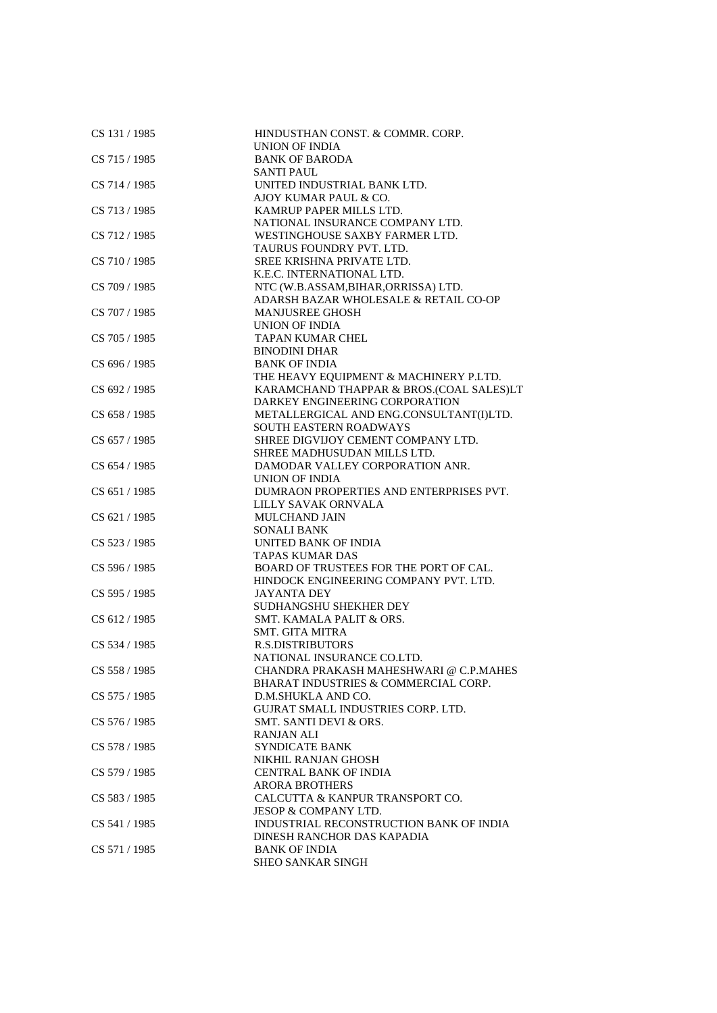| CS 131 / 1985 | HINDUSTHAN CONST. & COMMR. CORP.         |
|---------------|------------------------------------------|
|               | UNION OF INDIA                           |
| CS 715 / 1985 | <b>BANK OF BARODA</b>                    |
|               | <b>SANTI PAUL</b>                        |
| CS 714 / 1985 | UNITED INDUSTRIAL BANK LTD.              |
|               | AJOY KUMAR PAUL & CO.                    |
| CS 713 / 1985 | KAMRUP PAPER MILLS LTD.                  |
|               | NATIONAL INSURANCE COMPANY LTD.          |
| CS 712 / 1985 | WESTINGHOUSE SAXBY FARMER LTD.           |
|               | TAURUS FOUNDRY PVT. LTD.                 |
| CS 710 / 1985 | SREE KRISHNA PRIVATE LTD.                |
|               | K.E.C. INTERNATIONAL LTD.                |
|               |                                          |
| CS 709 / 1985 | NTC (W.B.ASSAM, BIHAR, ORRISSA) LTD.     |
|               | ADARSH BAZAR WHOLESALE & RETAIL CO-OP    |
| CS 707 / 1985 | <b>MANJUSREE GHOSH</b>                   |
|               | UNION OF INDIA                           |
| CS 705 / 1985 | <b>TAPAN KUMAR CHEL</b>                  |
|               | <b>BINODINI DHAR</b>                     |
| CS 696 / 1985 | <b>BANK OF INDIA</b>                     |
|               | THE HEAVY EQUIPMENT & MACHINERY P.LTD.   |
| CS 692 / 1985 | KARAMCHAND THAPPAR & BROS.(COAL SALES)LT |
|               | DARKEY ENGINEERING CORPORATION           |
| CS 658 / 1985 | METALLERGICAL AND ENG.CONSULTANT(I)LTD.  |
|               | <b>SOUTH EASTERN ROADWAYS</b>            |
| CS 657 / 1985 | SHREE DIGVIJOY CEMENT COMPANY LTD.       |
|               | SHREE MADHUSUDAN MILLS LTD.              |
| CS 654 / 1985 | DAMODAR VALLEY CORPORATION ANR.          |
|               | UNION OF INDIA                           |
| CS 651 / 1985 | DUMRAON PROPERTIES AND ENTERPRISES PVT.  |
|               | LILLY SAVAK ORNVALA                      |
| CS 621 / 1985 | <b>MULCHAND JAIN</b>                     |
|               | <b>SONALI BANK</b>                       |
| CS 523 / 1985 | UNITED BANK OF INDIA                     |
|               | <b>TAPAS KUMAR DAS</b>                   |
| CS 596 / 1985 | BOARD OF TRUSTEES FOR THE PORT OF CAL.   |
|               | HINDOCK ENGINEERING COMPANY PVT. LTD.    |
| CS 595 / 1985 | <b>JAYANTA DEY</b>                       |
|               | SUDHANGSHU SHEKHER DEY                   |
| CS 612 / 1985 | SMT. KAMALA PALIT & ORS.                 |
|               | <b>SMT. GITA MITRA</b>                   |
| CS 534 / 1985 | <b>R.S.DISTRIBUTORS</b>                  |
|               | NATIONAL INSURANCE CO.LTD.               |
| CS 558 / 1985 | CHANDRA PRAKASH MAHESHWARI @ C.P.MAHES   |
|               | BHARAT INDUSTRIES & COMMERCIAL CORP.     |
| CS 575 / 1985 | D.M.SHUKLA AND CO.                       |
|               | GUJRAT SMALL INDUSTRIES CORP. LTD.       |
| CS 576 / 1985 | SMT. SANTI DEVI & ORS.                   |
|               | <b>RANJAN ALI</b>                        |
| CS 578 / 1985 | <b>SYNDICATE BANK</b>                    |
|               | NIKHIL RANJAN GHOSH                      |
| CS 579 / 1985 | <b>CENTRAL BANK OF INDIA</b>             |
|               | <b>ARORA BROTHERS</b>                    |
| CS 583 / 1985 | CALCUTTA & KANPUR TRANSPORT CO.          |
|               | JESOP & COMPANY LTD.                     |
| CS 541 / 1985 | INDUSTRIAL RECONSTRUCTION BANK OF INDIA  |
|               | DINESH RANCHOR DAS KAPADIA               |
| CS 571 / 1985 | <b>BANK OF INDIA</b>                     |
|               | <b>SHEO SANKAR SINGH</b>                 |
|               |                                          |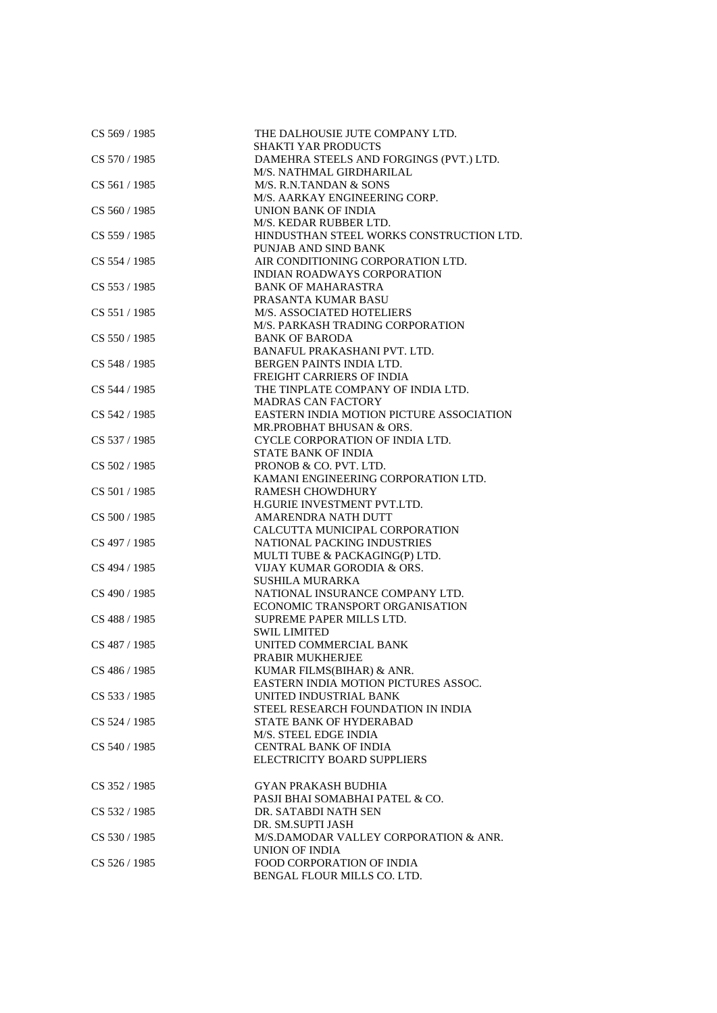| CS 569 / 1985   | THE DALHOUSIE JUTE COMPANY LTD.<br><b>SHAKTI YAR PRODUCTS</b> |
|-----------------|---------------------------------------------------------------|
| CS 570 / 1985   | DAMEHRA STEELS AND FORGINGS (PVT.) LTD.                       |
|                 | M/S. NATHMAL GIRDHARILAL                                      |
| CS 561/1985     | M/S. R.N.TANDAN & SONS                                        |
|                 | M/S. AARKAY ENGINEERING CORP.                                 |
| CS 560 / 1985   | UNION BANK OF INDIA                                           |
|                 | M/S. KEDAR RUBBER LTD.                                        |
| CS 559 / 1985   | HINDUSTHAN STEEL WORKS CONSTRUCTION LTD.                      |
|                 | PUNJAB AND SIND BANK                                          |
| CS 554 / 1985   | AIR CONDITIONING CORPORATION LTD.                             |
|                 | <b>INDIAN ROADWAYS CORPORATION</b>                            |
| CS 553 / 1985   | <b>BANK OF MAHARASTRA</b>                                     |
|                 | PRASANTA KUMAR BASU                                           |
| CS 551 / 1985   | M/S. ASSOCIATED HOTELIERS                                     |
|                 | M/S. PARKASH TRADING CORPORATION                              |
| CS 550/1985     | <b>BANK OF BARODA</b>                                         |
|                 | BANAFUL PRAKASHANI PVT. LTD.                                  |
| CS 548 / 1985   | BERGEN PAINTS INDIA LTD.                                      |
|                 | FREIGHT CARRIERS OF INDIA                                     |
| CS 544 / 1985   | THE TINPLATE COMPANY OF INDIA LTD.                            |
|                 | <b>MADRAS CAN FACTORY</b>                                     |
|                 | EASTERN INDIA MOTION PICTURE ASSOCIATION                      |
| CS 542 / 1985   |                                                               |
|                 | MR.PROBHAT BHUSAN & ORS.                                      |
| CS 537 / 1985   | CYCLE CORPORATION OF INDIA LTD.                               |
|                 | <b>STATE BANK OF INDIA</b>                                    |
| CS 502 / 1985   | PRONOB & CO. PVT. LTD.                                        |
|                 | KAMANI ENGINEERING CORPORATION LTD.                           |
| CS 501 / 1985   | <b>RAMESH CHOWDHURY</b>                                       |
|                 | H.GURIE INVESTMENT PVT.LTD.                                   |
| CS 500 / 1985   | AMARENDRA NATH DUTT                                           |
|                 | CALCUTTA MUNICIPAL CORPORATION                                |
| CS 497 / 1985   | NATIONAL PACKING INDUSTRIES                                   |
|                 | MULTI TUBE & PACKAGING(P) LTD.                                |
| CS 494 / 1985   | VIJAY KUMAR GORODIA & ORS.                                    |
|                 | <b>SUSHILA MURARKA</b>                                        |
| CS 490 / 1985   | NATIONAL INSURANCE COMPANY LTD.                               |
|                 | ECONOMIC TRANSPORT ORGANISATION                               |
| CS 488 / 1985   | SUPREME PAPER MILLS LTD.                                      |
|                 | <b>SWIL LIMITED</b>                                           |
| CS 487 / 1985   | UNITED COMMERCIAL BANK                                        |
|                 | PRABIR MUKHERJEE                                              |
| CS 486 / 1985   | KUMAR FILMS(BIHAR) & ANR.                                     |
|                 | <b>EASTERN INDIA MOTION PICTURES ASSOC.</b>                   |
| CS 533 / 1985   | UNITED INDUSTRIAL BANK                                        |
|                 | STEEL RESEARCH FOUNDATION IN INDIA                            |
| CS 524 / 1985   | STATE BANK OF HYDERABAD                                       |
|                 | M/S. STEEL EDGE INDIA                                         |
| CS 540 / 1985   | <b>CENTRAL BANK OF INDIA</b>                                  |
|                 | ELECTRICITY BOARD SUPPLIERS                                   |
|                 |                                                               |
| CS 352/1985     | <b>GYAN PRAKASH BUDHIA</b>                                    |
|                 | PASJI BHAI SOMABHAI PATEL & CO.                               |
| CS 532 / 1985   | DR. SATABDI NATH SEN                                          |
|                 | DR. SM.SUPTI JASH                                             |
| CS 530 / 1985   | M/S.DAMODAR VALLEY CORPORATION & ANR.                         |
|                 | UNION OF INDIA                                                |
| $CS$ 526 / 1985 | <b>FOOD CORPORATION OF INDIA</b>                              |
|                 | BENGAL FLOUR MILLS CO. LTD.                                   |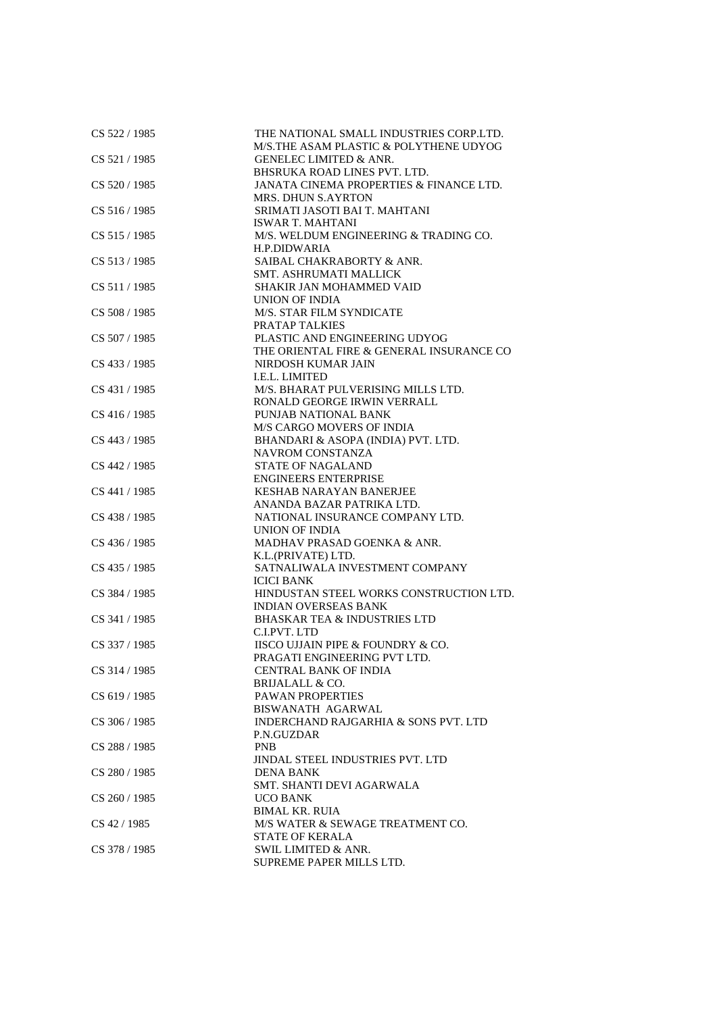| CS 522 / 1985   | THE NATIONAL SMALL INDUSTRIES CORP.LTD.  |
|-----------------|------------------------------------------|
|                 | M/S.THE ASAM PLASTIC & POLYTHENE UDYOG   |
| CS 521 / 1985   | <b>GENELEC LIMITED &amp; ANR.</b>        |
|                 | BHSRUKA ROAD LINES PVT. LTD.             |
| CS 520 / 1985   | JANATA CINEMA PROPERTIES & FINANCE LTD.  |
|                 | <b>MRS. DHUN S.AYRTON</b>                |
| CS 516 / 1985   | SRIMATI JASOTI BAI T. MAHTANI            |
|                 | <b>ISWAR T. MAHTANI</b>                  |
| CS 515 / 1985   | M/S. WELDUM ENGINEERING & TRADING CO.    |
|                 | H.P.DIDWARIA                             |
| CS 513 / 1985   | SAIBAL CHAKRABORTY & ANR.                |
|                 | <b>SMT. ASHRUMATI MALLICK</b>            |
| CS 511/1985     | <b>SHAKIR JAN MOHAMMED VAID</b>          |
|                 | UNION OF INDIA                           |
| CS 508 / 1985   | M/S. STAR FILM SYNDICATE                 |
|                 | <b>PRATAP TALKIES</b>                    |
| CS 507 / 1985   | PLASTIC AND ENGINEERING UDYOG            |
|                 | THE ORIENTAL FIRE & GENERAL INSURANCE CO |
| CS 433 / 1985   | NIRDOSH KUMAR JAIN                       |
|                 | I.E.L. LIMITED                           |
|                 |                                          |
| CS 431 / 1985   | M/S. BHARAT PULVERISING MILLS LTD.       |
|                 | RONALD GEORGE IRWIN VERRALL              |
| CS 416 / 1985   | PUNJAB NATIONAL BANK                     |
|                 | <b>M/S CARGO MOVERS OF INDIA</b>         |
| CS 443 / 1985   | BHANDARI & ASOPA (INDIA) PVT. LTD.       |
|                 | <b>NAVROM CONSTANZA</b>                  |
| CS 442 / 1985   | <b>STATE OF NAGALAND</b>                 |
|                 | <b>ENGINEERS ENTERPRISE</b>              |
| CS 441 / 1985   | <b>KESHAB NARAYAN BANERJEE</b>           |
|                 | ANANDA BAZAR PATRIKA LTD.                |
| CS 438 / 1985   | NATIONAL INSURANCE COMPANY LTD.          |
|                 | UNION OF INDIA                           |
| CS 436 / 1985   | MADHAV PRASAD GOENKA & ANR.              |
|                 | K.L.(PRIVATE) LTD.                       |
| CS 435 / 1985   | SATNALIWALA INVESTMENT COMPANY           |
|                 | <b>ICICI BANK</b>                        |
| CS 384 / 1985   | HINDUSTAN STEEL WORKS CONSTRUCTION LTD.  |
|                 | <b>INDIAN OVERSEAS BANK</b>              |
| CS 341 / 1985   | <b>BHASKAR TEA &amp; INDUSTRIES LTD</b>  |
|                 | C.I.PVT. LTD                             |
| CS 337 / 1985   | IISCO UJJAIN PIPE & FOUNDRY & CO.        |
|                 | PRAGATI ENGINEERING PVT LTD.             |
|                 |                                          |
| CS 314 / 1985   | CENTRAL BANK OF INDIA                    |
|                 | BRIJALALL & CO.                          |
| CS 619 / 1985   | PAWAN PROPERTIES                         |
|                 | <b>BISWANATH AGARWAL</b>                 |
| CS 306 / 1985   | INDERCHAND RAJGARHIA & SONS PVT. LTD     |
|                 | P.N.GUZDAR                               |
| CS 288 / 1985   | <b>PNB</b>                               |
|                 | JINDAL STEEL INDUSTRIES PVT. LTD         |
| CS 280 / 1985   | <b>DENA BANK</b>                         |
|                 | SMT. SHANTI DEVI AGARWALA                |
| $CS$ 260 / 1985 | UCO BANK                                 |
|                 | <b>BIMAL KR. RUIA</b>                    |
| CS 42 / 1985    | M/S WATER & SEWAGE TREATMENT CO.         |
|                 | <b>STATE OF KERALA</b>                   |
| CS 378 / 1985   | SWIL LIMITED & ANR.                      |
|                 | SUPREME PAPER MILLS LTD.                 |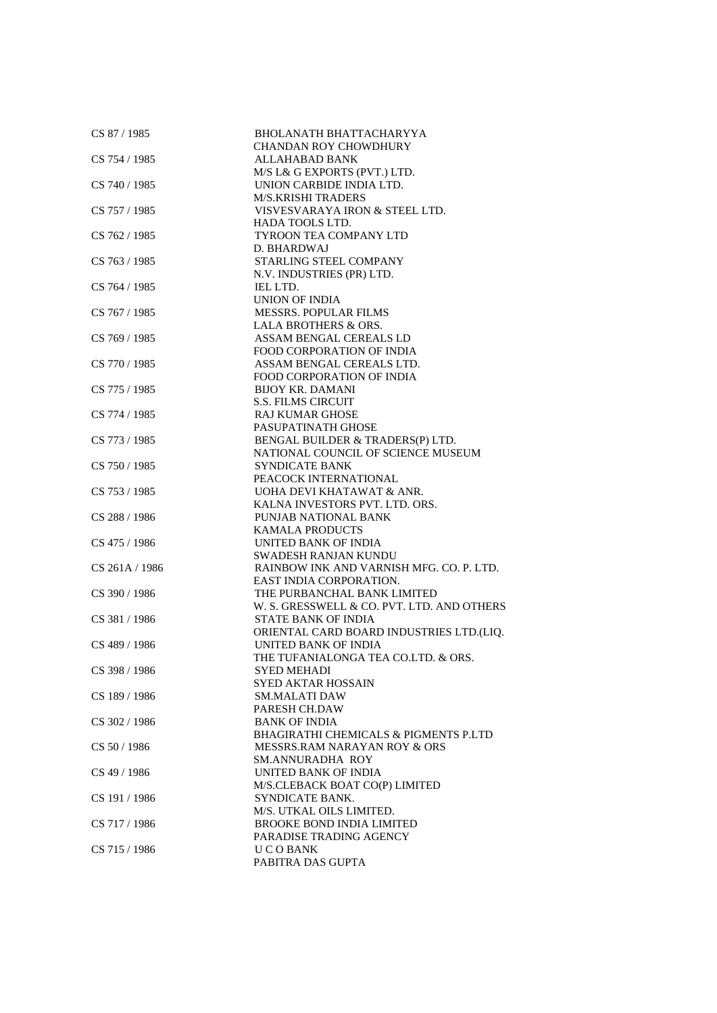| CS 87 / 1985   | <b>BHOLANATH BHATTACHARYYA</b>                   |
|----------------|--------------------------------------------------|
|                | <b>CHANDAN ROY CHOWDHURY</b>                     |
| CS 754 / 1985  | <b>ALLAHABAD BANK</b>                            |
|                | M/S L& G EXPORTS (PVT.) LTD.                     |
| CS 740 / 1985  | UNION CARBIDE INDIA LTD.                         |
|                | <b>M/S.KRISHI TRADERS</b>                        |
| CS 757 / 1985  | VISVESVARAYA IRON & STEEL LTD.                   |
|                | HADA TOOLS LTD.                                  |
| CS 762 / 1985  | TYROON TEA COMPANY LTD                           |
|                | D. BHARDWAJ                                      |
| CS 763 / 1985  | STARLING STEEL COMPANY                           |
|                | N.V. INDUSTRIES (PR) LTD.                        |
| CS 764 / 1985  | <b>IEL LTD.</b>                                  |
|                | <b>UNION OF INDIA</b>                            |
| CS 767 / 1985  | MESSRS. POPULAR FILMS                            |
|                |                                                  |
|                | <b>LALA BROTHERS &amp; ORS.</b>                  |
| CS 769 / 1985  | ASSAM BENGAL CEREALS LD                          |
|                | <b>FOOD CORPORATION OF INDIA</b>                 |
| CS 770 / 1985  | ASSAM BENGAL CEREALS LTD.                        |
|                | <b>FOOD CORPORATION OF INDIA</b>                 |
| CS 775 / 1985  | <b>BIJOY KR. DAMANI</b>                          |
|                | <b>S.S. FILMS CIRCUIT</b>                        |
| CS 774 / 1985  | <b>RAJ KUMAR GHOSE</b>                           |
|                | PASUPATINATH GHOSE                               |
| CS 773 / 1985  | BENGAL BUILDER & TRADERS(P) LTD.                 |
|                | NATIONAL COUNCIL OF SCIENCE MUSEUM               |
| CS 750 / 1985  | SYNDICATE BANK                                   |
|                | PEACOCK INTERNATIONAL                            |
| CS 753 / 1985  | UOHA DEVI KHATAWAT & ANR.                        |
|                | KALNA INVESTORS PVT. LTD. ORS.                   |
| CS 288 / 1986  | PUNJAB NATIONAL BANK                             |
|                | <b>KAMALA PRODUCTS</b>                           |
| CS 475 / 1986  | UNITED BANK OF INDIA                             |
|                | SWADESH RANJAN KUNDU                             |
| CS 261A / 1986 | RAINBOW INK AND VARNISH MFG. CO. P. LTD.         |
|                | EAST INDIA CORPORATION.                          |
| CS 390 / 1986  | THE PURBANCHAL BANK LIMITED                      |
|                | W. S. GRESSWELL & CO. PVT. LTD. AND OTHERS       |
| CS 381 / 1986  | <b>STATE BANK OF INDIA</b>                       |
|                | ORIENTAL CARD BOARD INDUSTRIES LTD.(LIQ.         |
| CS 489 / 1986  | <b>UNITED BANK OF INDIA</b>                      |
|                | THE TUFANIALONGA TEA CO.LTD. & ORS.              |
| CS 398 / 1986  | SYED MEHADI                                      |
|                | SYED AKTAR HOSSAIN                               |
| CS 189 / 1986  | <b>SM.MALATI DAW</b>                             |
|                | PARESH CH.DAW                                    |
| CS 302 / 1986  | <b>BANK OF INDIA</b>                             |
|                | <b>BHAGIRATHI CHEMICALS &amp; PIGMENTS P.LTD</b> |
| CS 50 / 1986   | MESSRS.RAM NARAYAN ROY & ORS                     |
|                | SM.ANNURADHA ROY                                 |
| CS 49 / 1986   | UNITED BANK OF INDIA                             |
|                | M/S.CLEBACK BOAT CO(P) LIMITED                   |
| CS 191 / 1986  | SYNDICATE BANK.                                  |
|                | M/S. UTKAL OILS LIMITED.                         |
| CS 717 / 1986  | <b>BROOKE BOND INDIA LIMITED</b>                 |
|                | PARADISE TRADING AGENCY                          |
| CS 715 / 1986  | <b>UCOBANK</b>                                   |
|                | PABITRA DAS GUPTA                                |
|                |                                                  |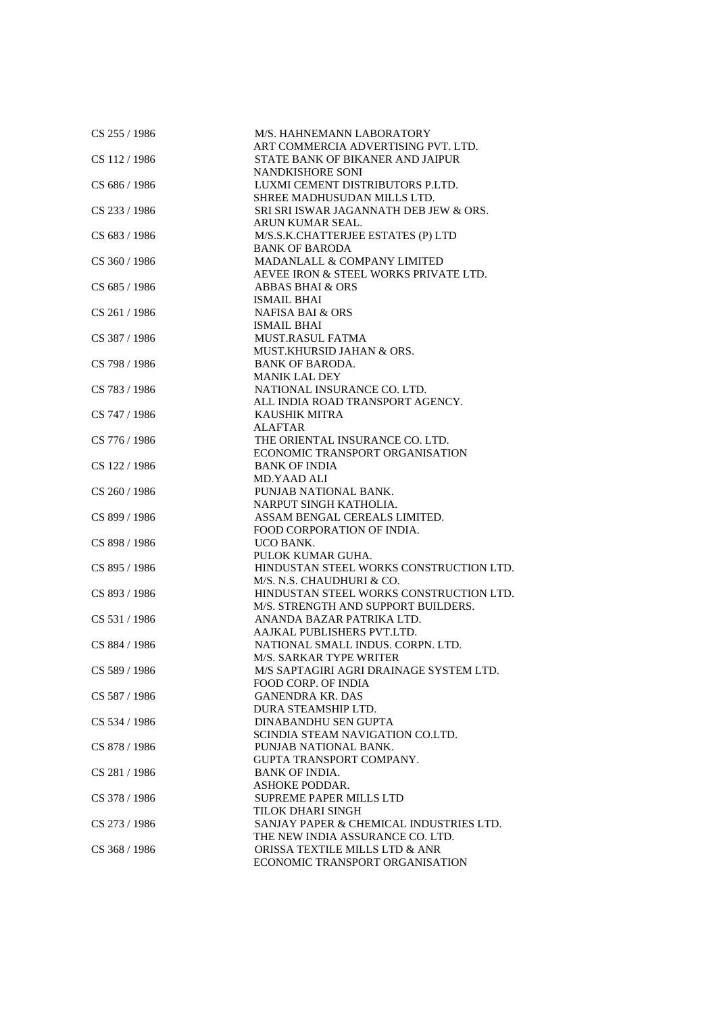| CS 255 / 1986 | M/S. HAHNEMANN LABORATORY<br>ART COMMERCIA ADVERTISING PVT. LTD.            |
|---------------|-----------------------------------------------------------------------------|
| CS 112/1986   | STATE BANK OF BIKANER AND JAIPUR                                            |
|               | <b>NANDKISHORE SONI</b>                                                     |
| CS 686 / 1986 | LUXMI CEMENT DISTRIBUTORS P.LTD.                                            |
|               | SHREE MADHUSUDAN MILLS LTD.                                                 |
| CS 233 / 1986 | SRI SRI ISWAR JAGANNATH DEB JEW & ORS.                                      |
|               | ARUN KUMAR SEAL.                                                            |
| CS 683 / 1986 | M/S.S.K.CHATTERJEE ESTATES (P) LTD                                          |
|               | <b>BANK OF BARODA</b>                                                       |
| CS 360 / 1986 | MADANLALL & COMPANY LIMITED                                                 |
|               | AEVEE IRON & STEEL WORKS PRIVATE LTD.                                       |
| CS 685 / 1986 | <b>ABBAS BHAI &amp; ORS</b>                                                 |
|               | <b>ISMAIL BHAI</b>                                                          |
| CS 261 / 1986 | <b>NAFISA BAI &amp; ORS</b>                                                 |
|               | <b>ISMAIL BHAI</b>                                                          |
| CS 387 / 1986 | <b>MUST.RASUL FATMA</b>                                                     |
|               | MUST.KHURSID JAHAN & ORS.                                                   |
| CS 798 / 1986 | <b>BANK OF BARODA.</b>                                                      |
|               | <b>MANIK LAL DEY</b>                                                        |
| CS 783 / 1986 | NATIONAL INSURANCE CO. LTD.                                                 |
|               | ALL INDIA ROAD TRANSPORT AGENCY.                                            |
| CS 747 / 1986 | <b>KAUSHIK MITRA</b>                                                        |
|               | <b>ALAFTAR</b>                                                              |
| CS 776 / 1986 | THE ORIENTAL INSURANCE CO. LTD.                                             |
|               | ECONOMIC TRANSPORT ORGANISATION                                             |
| CS 122 / 1986 | <b>BANK OF INDIA</b><br>MD.YAAD ALI                                         |
| CS 260 / 1986 | PUNJAB NATIONAL BANK.                                                       |
|               | NARPUT SINGH KATHOLIA.                                                      |
| CS 899 / 1986 | ASSAM BENGAL CEREALS LIMITED.                                               |
|               | FOOD CORPORATION OF INDIA.                                                  |
| CS 898 / 1986 | UCO BANK.                                                                   |
|               | PULOK KUMAR GUHA.                                                           |
| CS 895 / 1986 | HINDUSTAN STEEL WORKS CONSTRUCTION LTD.                                     |
|               | M/S. N.S. CHAUDHURI & CO.                                                   |
| CS 893 / 1986 | HINDUSTAN STEEL WORKS CONSTRUCTION LTD.                                     |
|               | M/S. STRENGTH AND SUPPORT BUILDERS.                                         |
| CS 531 / 1986 | ANANDA BAZAR PATRIKA LTD.                                                   |
|               | AAJKAL PUBLISHERS PVT.LTD.                                                  |
| CS 884 / 1986 | NATIONAL SMALL INDUS. CORPN. LTD.                                           |
|               | <b>M/S. SARKAR TYPE WRITER</b>                                              |
| CS 589 / 1986 | M/S SAPTAGIRI AGRI DRAINAGE SYSTEM LTD.                                     |
|               | <b>FOOD CORP. OF INDIA</b>                                                  |
| CS 587 / 1986 | <b>GANENDRA KR. DAS</b>                                                     |
|               | DURA STEAMSHIP LTD.                                                         |
| CS 534 / 1986 | <b>DINABANDHU SEN GUPTA</b>                                                 |
|               | SCINDIA STEAM NAVIGATION CO.LTD.                                            |
| CS 878 / 1986 | PUNJAB NATIONAL BANK.                                                       |
|               | GUPTA TRANSPORT COMPANY.                                                    |
| CS 281 / 1986 | <b>BANK OF INDIA.</b>                                                       |
|               | <b>ASHOKE PODDAR.</b>                                                       |
| CS 378 / 1986 | <b>SUPREME PAPER MILLS LTD</b>                                              |
|               | <b>TILOK DHARI SINGH</b>                                                    |
| CS 273 / 1986 | SANJAY PAPER & CHEMICAL INDUSTRIES LTD.<br>THE NEW INDIA ASSURANCE CO. LTD. |
| CS 368 / 1986 | ORISSA TEXTILE MILLS LTD & ANR                                              |
|               | ECONOMIC TRANSPORT ORGANISATION                                             |
|               |                                                                             |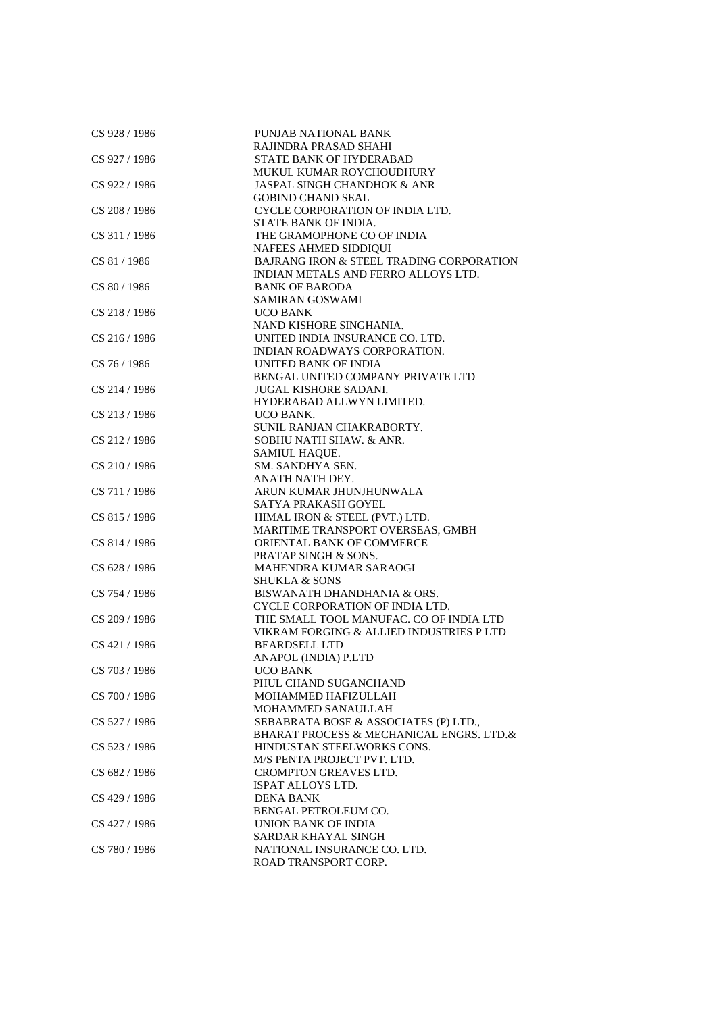| CS 928 / 1986 | PUNJAB NATIONAL BANK                     |
|---------------|------------------------------------------|
|               | RAJINDRA PRASAD SHAHI                    |
| CS 927 / 1986 | STATE BANK OF HYDERABAD                  |
|               | MUKUL KUMAR ROYCHOUDHURY                 |
| CS 922 / 1986 | <b>JASPAL SINGH CHANDHOK &amp; ANR</b>   |
|               | <b>GOBIND CHAND SEAL</b>                 |
| CS 208 / 1986 | CYCLE CORPORATION OF INDIA LTD.          |
|               | STATE BANK OF INDIA.                     |
| CS 311 / 1986 | THE GRAMOPHONE CO OF INDIA               |
|               | NAFEES AHMED SIDDIQUI                    |
| CS 81 / 1986  | BAJRANG IRON & STEEL TRADING CORPORATION |
|               | INDIAN METALS AND FERRO ALLOYS LTD.      |
| CS 80 / 1986  | <b>BANK OF BARODA</b>                    |
|               | <b>SAMIRAN GOSWAMI</b>                   |
| CS 218 / 1986 | UCO BANK                                 |
|               | NAND KISHORE SINGHANIA.                  |
| CS 216 / 1986 | UNITED INDIA INSURANCE CO. LTD.          |
|               | INDIAN ROADWAYS CORPORATION.             |
|               |                                          |
| CS 76 / 1986  | UNITED BANK OF INDIA                     |
|               | BENGAL UNITED COMPANY PRIVATE LTD        |
| CS 214 / 1986 | <b>JUGAL KISHORE SADANI.</b>             |
|               | HYDERABAD ALLWYN LIMITED.                |
| CS 213 / 1986 | UCO BANK.                                |
|               | SUNIL RANJAN CHAKRABORTY.                |
| CS 212/1986   | SOBHU NATH SHAW. & ANR.                  |
|               | SAMIUL HAQUE.                            |
| CS 210 / 1986 | SM. SANDHYA SEN.                         |
|               | ANATH NATH DEY.                          |
| CS 711 / 1986 | ARUN KUMAR JHUNJHUNWALA                  |
|               | SATYA PRAKASH GOYEL                      |
| CS 815 / 1986 | HIMAL IRON & STEEL (PVT.) LTD.           |
|               | MARITIME TRANSPORT OVERSEAS, GMBH        |
| CS 814 / 1986 | ORIENTAL BANK OF COMMERCE                |
|               | PRATAP SINGH & SONS.                     |
| CS 628 / 1986 | MAHENDRA KUMAR SARAOGI                   |
|               | <b>SHUKLA &amp; SONS</b>                 |
| CS 754 / 1986 | BISWANATH DHANDHANIA & ORS.              |
|               | CYCLE CORPORATION OF INDIA LTD.          |
| CS 209 / 1986 | THE SMALL TOOL MANUFAC. CO OF INDIA LTD  |
|               | VIKRAM FORGING & ALLIED INDUSTRIES P LTD |
| CS 421 / 1986 | <b>BEARDSELL LTD</b>                     |
|               | ANAPOL (INDIA) P.LTD                     |
| CS 703 / 1986 | UCO BANK                                 |
|               | PHUL CHAND SUGANCHAND                    |
| CS 700 / 1986 | MOHAMMED HAFIZULLAH                      |
|               | MOHAMMED SANAULLAH                       |
| CS 527 / 1986 | SEBABRATA BOSE & ASSOCIATES (P) LTD.,    |
|               | BHARAT PROCESS & MECHANICAL ENGRS. LTD.& |
| CS 523 / 1986 | HINDUSTAN STEELWORKS CONS.               |
|               | M/S PENTA PROJECT PVT. LTD.              |
| CS 682 / 1986 | <b>CROMPTON GREAVES LTD.</b>             |
|               |                                          |
|               | ISPAT ALLOYS LTD.                        |
| CS 429 / 1986 | <b>DENA BANK</b>                         |
|               | BENGAL PETROLEUM CO.                     |
| CS 427 / 1986 | <b>UNION BANK OF INDIA</b>               |
|               | SARDAR KHAYAL SINGH                      |
| CS 780 / 1986 | NATIONAL INSURANCE CO. LTD.              |
|               | ROAD TRANSPORT CORP.                     |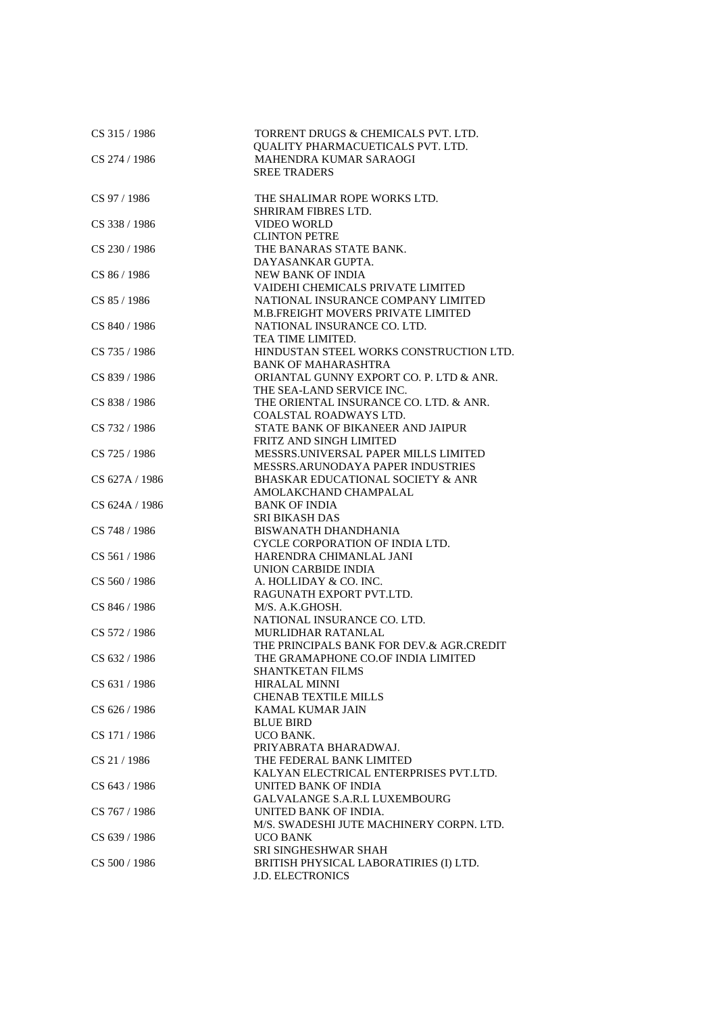| CS 315 / 1986  | TORRENT DRUGS & CHEMICALS PVT. LTD.<br>QUALITY PHARMACUETICALS PVT. LTD. |
|----------------|--------------------------------------------------------------------------|
| CS 274 / 1986  | MAHENDRA KUMAR SARAOGI                                                   |
|                | <b>SREE TRADERS</b>                                                      |
|                |                                                                          |
| CS 97 / 1986   | THE SHALIMAR ROPE WORKS LTD.                                             |
|                | <b>SHRIRAM FIBRES LTD.</b>                                               |
| CS 338 / 1986  | <b>VIDEO WORLD</b>                                                       |
|                | <b>CLINTON PETRE</b>                                                     |
| CS 230 / 1986  | THE BANARAS STATE BANK.                                                  |
|                | DAYASANKAR GUPTA.                                                        |
| CS 86 / 1986   | <b>NEW BANK OF INDIA</b>                                                 |
|                | VAIDEHI CHEMICALS PRIVATE LIMITED                                        |
| CS 85 / 1986   | NATIONAL INSURANCE COMPANY LIMITED                                       |
|                | M.B.FREIGHT MOVERS PRIVATE LIMITED                                       |
| CS 840 / 1986  | NATIONAL INSURANCE CO. LTD.                                              |
|                | TEA TIME LIMITED.                                                        |
| CS 735 / 1986  | HINDUSTAN STEEL WORKS CONSTRUCTION LTD.                                  |
|                | <b>BANK OF MAHARASHTRA</b>                                               |
| CS 839 / 1986  | ORIANTAL GUNNY EXPORT CO. P. LTD & ANR.                                  |
|                | THE SEA-LAND SERVICE INC.                                                |
| CS 838 / 1986  | THE ORIENTAL INSURANCE CO. LTD. & ANR.                                   |
|                | COALSTAL ROADWAYS LTD.                                                   |
| CS 732 / 1986  | STATE BANK OF BIKANEER AND JAIPUR                                        |
|                | FRITZ AND SINGH LIMITED                                                  |
| CS 725 / 1986  | MESSRS.UNIVERSAL PAPER MILLS LIMITED                                     |
|                | MESSRS.ARUNODAYA PAPER INDUSTRIES                                        |
| CS 627A / 1986 | <b>BHASKAR EDUCATIONAL SOCIETY &amp; ANR</b>                             |
|                | AMOLAKCHAND CHAMPALAL                                                    |
| CS 624A / 1986 | <b>BANK OF INDIA</b>                                                     |
|                | <b>SRI BIKASH DAS</b>                                                    |
| CS 748 / 1986  | <b>BISWANATH DHANDHANIA</b>                                              |
|                | CYCLE CORPORATION OF INDIA LTD.                                          |
| CS 561 / 1986  | HARENDRA CHIMANLAL JANI                                                  |
|                | UNION CARBIDE INDIA<br>A. HOLLIDAY & CO. INC.                            |
| CS 560 / 1986  | RAGUNATH EXPORT PVT.LTD.                                                 |
| CS 846 / 1986  | M/S. A.K.GHOSH.                                                          |
|                | NATIONAL INSURANCE CO. LTD.                                              |
| CS 572 / 1986  | MURLIDHAR RATANLAL                                                       |
|                | THE PRINCIPALS BANK FOR DEV.& AGR.CREDIT                                 |
| CS 632 / 1986  | THE GRAMAPHONE CO.OF INDIA LIMITED                                       |
|                | <b>SHANTKETAN FILMS</b>                                                  |
| CS 631 / 1986  | <b>HIRALAL MINNI</b>                                                     |
|                | <b>CHENAB TEXTILE MILLS</b>                                              |
| CS 626 / 1986  | <b>KAMAL KUMAR JAIN</b>                                                  |
|                | <b>BLUE BIRD</b>                                                         |
| CS 171 / 1986  | UCO BANK.                                                                |
|                | PRIYABRATA BHARADWAJ.                                                    |
| CS 21/1986     | THE FEDERAL BANK LIMITED                                                 |
|                | KALYAN ELECTRICAL ENTERPRISES PVT.LTD.                                   |
| CS 643 / 1986  | UNITED BANK OF INDIA                                                     |
|                | GALVALANGE S.A.R.L LUXEMBOURG                                            |
| CS 767 / 1986  | UNITED BANK OF INDIA.                                                    |
|                | M/S. SWADESHI JUTE MACHINERY CORPN. LTD.                                 |
| CS 639 / 1986  | UCO BANK                                                                 |
|                | SRI SINGHESHWAR SHAH                                                     |
| CS 500 / 1986  | BRITISH PHYSICAL LABORATIRIES (I) LTD.                                   |
|                | <b>J.D. ELECTRONICS</b>                                                  |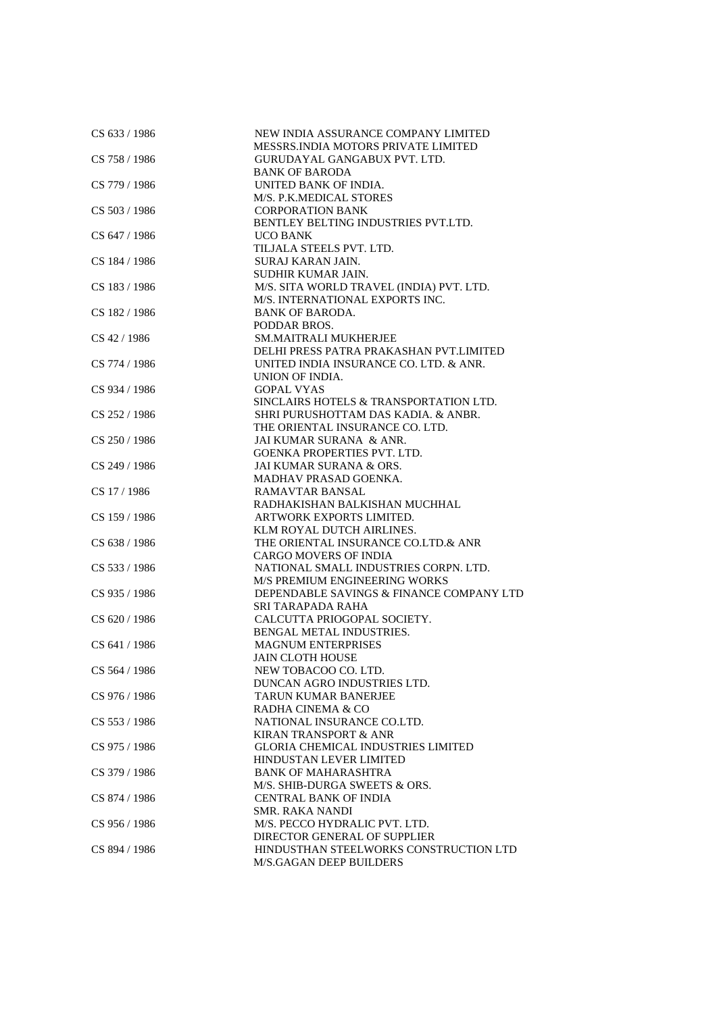| CS 633 / 1986 | NEW INDIA ASSURANCE COMPANY LIMITED       |
|---------------|-------------------------------------------|
|               | MESSRS.INDIA MOTORS PRIVATE LIMITED       |
| CS 758 / 1986 | GURUDAYAL GANGABUX PVT. LTD.              |
|               | <b>BANK OF BARODA</b>                     |
| CS 779 / 1986 | UNITED BANK OF INDIA.                     |
|               | M/S. P.K.MEDICAL STORES                   |
| CS 503 / 1986 | <b>CORPORATION BANK</b>                   |
|               | BENTLEY BELTING INDUSTRIES PVT.LTD.       |
| CS 647 / 1986 | UCO BANK                                  |
|               | TILJALA STEELS PVT. LTD.                  |
| CS 184 / 1986 | SURAJ KARAN JAIN.                         |
|               | SUDHIR KUMAR JAIN.                        |
| CS 183/1986   | M/S. SITA WORLD TRAVEL (INDIA) PVT. LTD.  |
|               | M/S. INTERNATIONAL EXPORTS INC.           |
| CS 182 / 1986 | <b>BANK OF BARODA.</b>                    |
|               | PODDAR BROS.                              |
| CS 42 / 1986  | <b>SM.MAITRALI MUKHERJEE</b>              |
|               | DELHI PRESS PATRA PRAKASHAN PVT.LIMITED   |
| CS 774 / 1986 | UNITED INDIA INSURANCE CO. LTD. & ANR.    |
|               | UNION OF INDIA.                           |
| CS 934 / 1986 | <b>GOPAL VYAS</b>                         |
|               | SINCLAIRS HOTELS & TRANSPORTATION LTD.    |
| CS 252 / 1986 | SHRI PURUSHOTTAM DAS KADIA. & ANBR.       |
|               | THE ORIENTAL INSURANCE CO. LTD.           |
| CS 250 / 1986 | JAI KUMAR SURANA & ANR.                   |
|               | <b>GOENKA PROPERTIES PVT. LTD.</b>        |
| CS 249 / 1986 | JAI KUMAR SURANA & ORS.                   |
|               | MADHAV PRASAD GOENKA.                     |
| CS 17 / 1986  | <b>RAMAVTAR BANSAL</b>                    |
|               | RADHAKISHAN BALKISHAN MUCHHAL             |
| CS 159 / 1986 | ARTWORK EXPORTS LIMITED.                  |
|               | KLM ROYAL DUTCH AIRLINES.                 |
| CS 638 / 1986 | THE ORIENTAL INSURANCE CO.LTD.& ANR       |
|               | <b>CARGO MOVERS OF INDIA</b>              |
| CS 533 / 1986 | NATIONAL SMALL INDUSTRIES CORPN. LTD.     |
|               | M/S PREMIUM ENGINEERING WORKS             |
| CS 935 / 1986 | DEPENDABLE SAVINGS & FINANCE COMPANY LTD  |
|               | SRI TARAPADA RAHA                         |
| CS 620 / 1986 | CALCUTTA PRIOGOPAL SOCIETY.               |
|               | BENGAL METAL INDUSTRIES.                  |
| CS 641 / 1986 | <b>MAGNUM ENTERPRISES</b>                 |
|               | <b>JAIN CLOTH HOUSE</b>                   |
| CS 564 / 1986 | NEW TOBACOO CO. LTD.                      |
|               | DUNCAN AGRO INDUSTRIES LTD.               |
| CS 976 / 1986 | TARUN KUMAR BANERJEE                      |
|               | RADHA CINEMA & CO                         |
| CS 553 / 1986 | NATIONAL INSURANCE CO.LTD.                |
|               | <b>KIRAN TRANSPORT &amp; ANR</b>          |
| CS 975 / 1986 | <b>GLORIA CHEMICAL INDUSTRIES LIMITED</b> |
|               | <b>HINDUSTAN LEVER LIMITED</b>            |
| CS 379 / 1986 | <b>BANK OF MAHARASHTRA</b>                |
|               | M/S. SHIB-DURGA SWEETS & ORS.             |
| CS 874 / 1986 | <b>CENTRAL BANK OF INDIA</b>              |
|               | SMR. RAKA NANDI                           |
| CS 956 / 1986 | M/S. PECCO HYDRALIC PVT. LTD.             |
|               | DIRECTOR GENERAL OF SUPPLIER              |
| CS 894 / 1986 | HINDUSTHAN STEELWORKS CONSTRUCTION LTD    |
|               |                                           |
|               | M/S.GAGAN DEEP BUILDERS                   |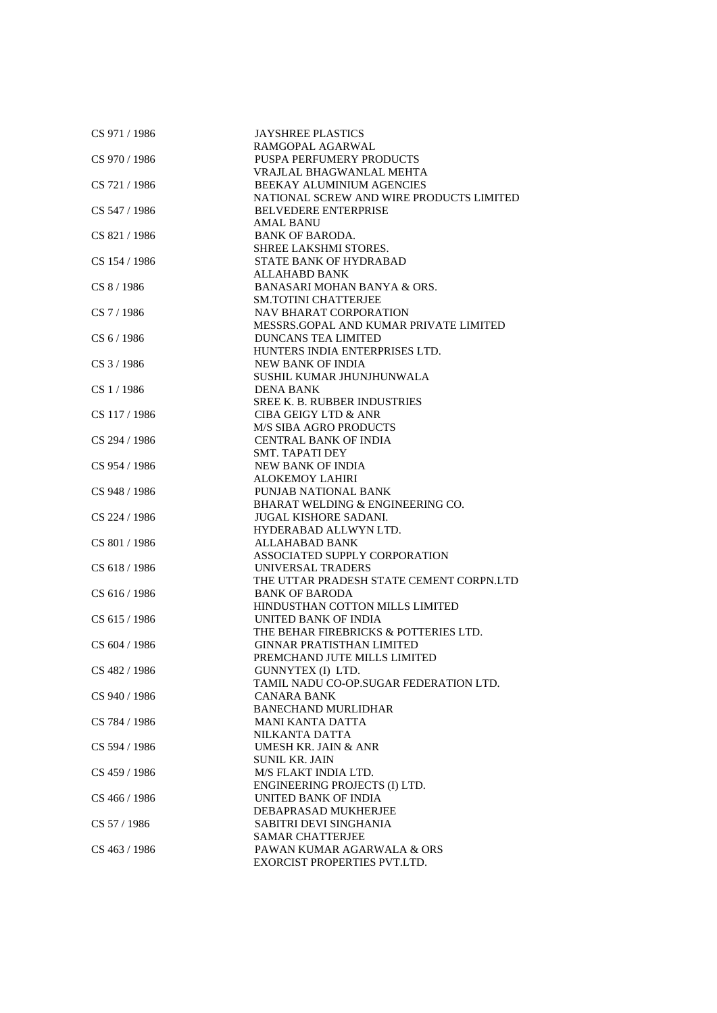| CS 971 / 1986 | <b>JAYSHREE PLASTICS</b>                 |
|---------------|------------------------------------------|
|               | RAMGOPAL AGARWAL                         |
| CS 970 / 1986 | PUSPA PERFUMERY PRODUCTS                 |
|               | VRAJLAL BHAGWANLAL MEHTA                 |
| CS 721 / 1986 | BEEKAY ALUMINIUM AGENCIES                |
|               | NATIONAL SCREW AND WIRE PRODUCTS LIMITED |
| CS 547 / 1986 | <b>BELVEDERE ENTERPRISE</b>              |
|               | <b>AMAL BANU</b>                         |
| CS 821/1986   | <b>BANK OF BARODA.</b>                   |
|               | SHREE LAKSHMI STORES.                    |
| CS 154 / 1986 | STATE BANK OF HYDRABAD                   |
|               | <b>ALLAHABD BANK</b>                     |
|               | <b>BANASARI MOHAN BANYA &amp; ORS.</b>   |
| CS 8/1986     | <b>SM.TOTINI CHATTERJEE</b>              |
|               |                                          |
| $CS$ 7 / 1986 | <b>NAV BHARAT CORPORATION</b>            |
|               | MESSRS.GOPAL AND KUMAR PRIVATE LIMITED   |
| CS 6/1986     | <b>DUNCANS TEA LIMITED</b>               |
|               | HUNTERS INDIA ENTERPRISES LTD.           |
| CS 3 / 1986   | NEW BANK OF INDIA                        |
|               | SUSHIL KUMAR JHUNJHUNWALA                |
| CS 1/1986     | <b>DENA BANK</b>                         |
|               | <b>SREE K. B. RUBBER INDUSTRIES</b>      |
| CS 117 / 1986 | <b>CIBA GEIGY LTD &amp; ANR</b>          |
|               | <b>M/S SIBA AGRO PRODUCTS</b>            |
| CS 294 / 1986 | <b>CENTRAL BANK OF INDIA</b>             |
|               | SMT. TAPATI DEY                          |
| CS 954 / 1986 | <b>NEW BANK OF INDIA</b>                 |
|               | <b>ALOKEMOY LAHIRI</b>                   |
| CS 948 / 1986 | PUNJAB NATIONAL BANK                     |
|               | BHARAT WELDING & ENGINEERING CO.         |
| CS 224 / 1986 | <b>JUGAL KISHORE SADANI.</b>             |
|               | HYDERABAD ALLWYN LTD.                    |
|               |                                          |
| CS 801 / 1986 | <b>ALLAHABAD BANK</b>                    |
|               | ASSOCIATED SUPPLY CORPORATION            |
| CS 618 / 1986 | UNIVERSAL TRADERS                        |
|               | THE UTTAR PRADESH STATE CEMENT CORPN.LTD |
| CS 616 / 1986 | <b>BANK OF BARODA</b>                    |
|               | HINDUSTHAN COTTON MILLS LIMITED          |
| CS 615 / 1986 | UNITED BANK OF INDIA                     |
|               | THE BEHAR FIREBRICKS & POTTERIES LTD.    |
| CS 604 / 1986 | <b>GINNAR PRATISTHAN LIMITED</b>         |
|               | PREMCHAND JUTE MILLS LIMITED             |
| CS 482 / 1986 | GUNNYTEX (I) LTD.                        |
|               | TAMIL NADU CO-OP.SUGAR FEDERATION LTD.   |
| CS 940 / 1986 | CANARA BANK                              |
|               | <b>BANECHAND MURLIDHAR</b>               |
| CS 784 / 1986 | <b>MANI KANTA DATTA</b>                  |
|               | NILKANTA DATTA                           |
| CS 594 / 1986 | UMESH KR. JAIN & ANR                     |
|               | <b>SUNIL KR. JAIN</b>                    |
| CS 459 / 1986 | M/S FLAKT INDIA LTD.                     |
|               | ENGINEERING PROJECTS (I) LTD.            |
| CS 466 / 1986 | UNITED BANK OF INDIA                     |
|               |                                          |
|               | DEBAPRASAD MUKHERJEE                     |
| CS 57 / 1986  | SABITRI DEVI SINGHANIA                   |
|               | <b>SAMAR CHATTERJEE</b>                  |
| CS 463 / 1986 | PAWAN KUMAR AGARWALA & ORS               |
|               | EXORCIST PROPERTIES PVT.LTD.             |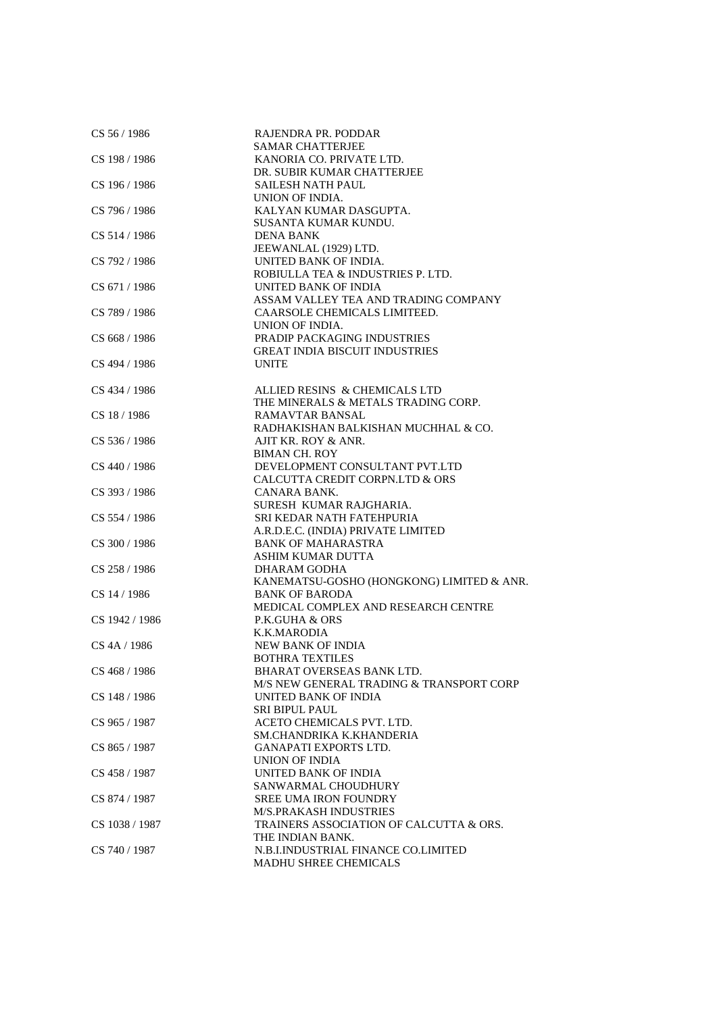| CS 56 / 1986   | RAJENDRA PR. PODDAR                       |
|----------------|-------------------------------------------|
|                | <b>SAMAR CHATTERJEE</b>                   |
| CS 198 / 1986  | KANORIA CO. PRIVATE LTD.                  |
|                | DR. SUBIR KUMAR CHATTERJEE                |
| CS 196 / 1986  | <b>SAILESH NATH PAUL</b>                  |
|                | UNION OF INDIA.                           |
| CS 796 / 1986  | KALYAN KUMAR DASGUPTA.                    |
|                | SUSANTA KUMAR KUNDU.                      |
| CS 514 / 1986  | <b>DENA BANK</b>                          |
|                | JEEWANLAL (1929) LTD.                     |
| CS 792 / 1986  | UNITED BANK OF INDIA.                     |
|                | ROBIULLA TEA & INDUSTRIES P. LTD.         |
| CS 671/1986    | UNITED BANK OF INDIA                      |
|                | ASSAM VALLEY TEA AND TRADING COMPANY      |
| CS 789 / 1986  | CAARSOLE CHEMICALS LIMITEED.              |
|                | UNION OF INDIA.                           |
|                |                                           |
| CS 668 / 1986  | PRADIP PACKAGING INDUSTRIES               |
|                | <b>GREAT INDIA BISCUIT INDUSTRIES</b>     |
| CS 494 / 1986  | <b>UNITE</b>                              |
|                |                                           |
| CS 434 / 1986  | ALLIED RESINS & CHEMICALS LTD             |
|                | THE MINERALS & METALS TRADING CORP.       |
| CS 18 / 1986   | <b>RAMAVTAR BANSAL</b>                    |
|                | RADHAKISHAN BALKISHAN MUCHHAL & CO.       |
| CS 536 / 1986  | AJIT KR. ROY & ANR.                       |
|                | <b>BIMAN CH. ROY</b>                      |
| CS 440 / 1986  | DEVELOPMENT CONSULTANT PVT.LTD            |
|                | CALCUTTA CREDIT CORPN.LTD & ORS           |
| CS 393 / 1986  | CANARA BANK.                              |
|                | SURESH KUMAR RAJGHARIA.                   |
| CS 554 / 1986  | SRI KEDAR NATH FATEHPURIA                 |
|                | A.R.D.E.C. (INDIA) PRIVATE LIMITED        |
| CS 300 / 1986  | <b>BANK OF MAHARASTRA</b>                 |
|                | <b>ASHIM KUMAR DUTTA</b>                  |
| CS 258 / 1986  | DHARAM GODHA                              |
|                | KANEMATSU-GOSHO (HONGKONG) LIMITED & ANR. |
| CS 14 / 1986   | <b>BANK OF BARODA</b>                     |
|                | MEDICAL COMPLEX AND RESEARCH CENTRE       |
| CS 1942 / 1986 | <b>P.K.GUHA &amp; ORS</b>                 |
|                | K.K.MARODIA                               |
|                |                                           |
| CS 4A / 1986   | NEW BANK OF INDIA                         |
|                | <b>BOTHRA TEXTILES</b>                    |
| CS 468 / 1986  | BHARAT OVERSEAS BANK LTD.                 |
|                | M/S NEW GENERAL TRADING & TRANSPORT CORP  |
| CS 148 / 1986  | UNITED BANK OF INDIA                      |
|                | <b>SRI BIPUL PAUL</b>                     |
| CS 965 / 1987  | ACETO CHEMICALS PVT. LTD.                 |
|                | SM.CHANDRIKA K.KHANDERIA                  |
| CS 865 / 1987  | <b>GANAPATI EXPORTS LTD.</b>              |
|                | UNION OF INDIA                            |
| CS 458 / 1987  | UNITED BANK OF INDIA                      |
|                | SANWARMAL CHOUDHURY                       |
| CS 874 / 1987  | <b>SREE UMA IRON FOUNDRY</b>              |
|                | <b>M/S.PRAKASH INDUSTRIES</b>             |
| CS 1038 / 1987 | TRAINERS ASSOCIATION OF CALCUTTA & ORS.   |
|                | THE INDIAN BANK.                          |
| CS 740 / 1987  | N.B.I.INDUSTRIAL FINANCE CO.LIMITED       |
|                | MADHU SHREE CHEMICALS                     |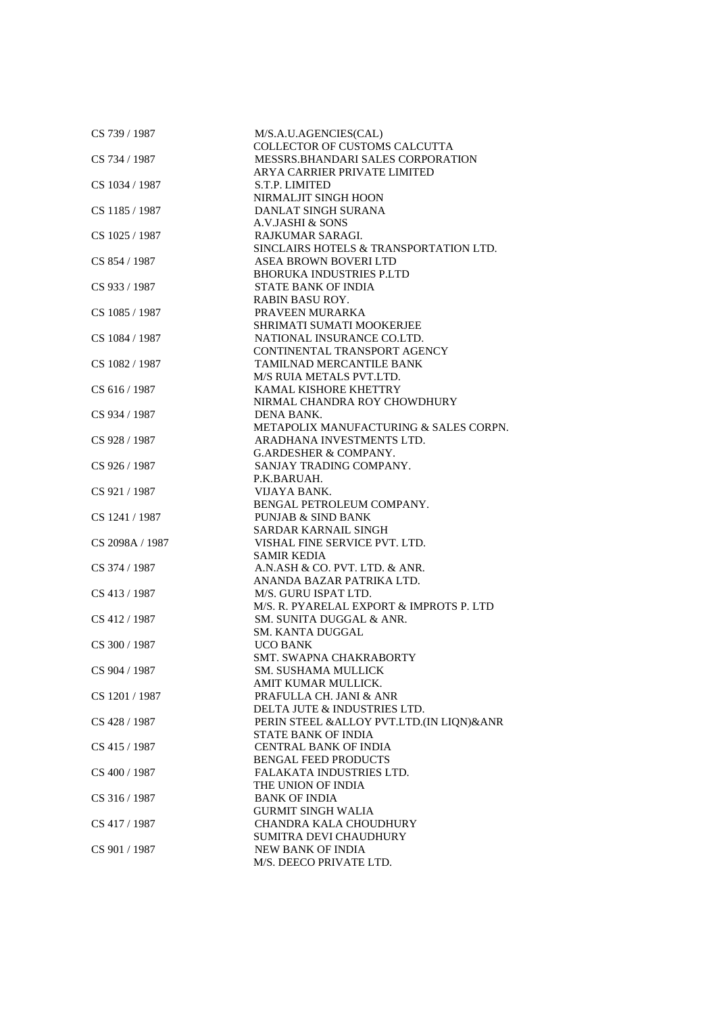| CS 739 / 1987   | M/S.A.U.AGENCIES(CAL)                    |
|-----------------|------------------------------------------|
|                 | COLLECTOR OF CUSTOMS CALCUTTA            |
| CS 734 / 1987   | MESSRS.BHANDARI SALES CORPORATION        |
|                 | ARYA CARRIER PRIVATE LIMITED             |
| CS 1034 / 1987  | S.T.P. LIMITED                           |
|                 | NIRMALJIT SINGH HOON                     |
| CS 1185 / 1987  | DANLAT SINGH SURANA                      |
|                 | A.V.JASHI & SONS                         |
| CS 1025 / 1987  | RAJKUMAR SARAGI.                         |
|                 | SINCLAIRS HOTELS & TRANSPORTATION LTD.   |
|                 |                                          |
| CS 854 / 1987   | ASEA BROWN BOVERI LTD                    |
|                 | <b>BHORUKA INDUSTRIES P.LTD</b>          |
| CS 933 / 1987   | <b>STATE BANK OF INDIA</b>               |
|                 | <b>RABIN BASU ROY.</b>                   |
| CS 1085 / 1987  | PRAVEEN MURARKA                          |
|                 | SHRIMATI SUMATI MOOKERJEE                |
| CS 1084 / 1987  | NATIONAL INSURANCE CO.LTD.               |
|                 | CONTINENTAL TRANSPORT AGENCY             |
| CS 1082 / 1987  | TAMILNAD MERCANTILE BANK                 |
|                 | M/S RUIA METALS PVT.LTD.                 |
| CS 616 / 1987   | KAMAL KISHORE KHETTRY                    |
|                 | NIRMAL CHANDRA ROY CHOWDHURY             |
| CS 934 / 1987   | DENA BANK.                               |
|                 | METAPOLIX MANUFACTURING & SALES CORPN.   |
| CS 928 / 1987   | ARADHANA INVESTMENTS LTD.                |
|                 | <b>G.ARDESHER &amp; COMPANY.</b>         |
|                 |                                          |
| CS 926 / 1987   | SANJAY TRADING COMPANY.                  |
|                 | P.K.BARUAH.                              |
| CS 921 / 1987   | VIJAYA BANK.                             |
|                 | BENGAL PETROLEUM COMPANY.                |
| CS 1241 / 1987  | <b>PUNJAB &amp; SIND BANK</b>            |
|                 | SARDAR KARNAIL SINGH                     |
| CS 2098A / 1987 | VISHAL FINE SERVICE PVT. LTD.            |
|                 | <b>SAMIR KEDIA</b>                       |
| CS 374 / 1987   | A.N.ASH & CO. PVT. LTD. & ANR.           |
|                 | ANANDA BAZAR PATRIKA LTD.                |
| CS 413 / 1987   | M/S. GURU ISPAT LTD.                     |
|                 | M/S. R. PYARELAL EXPORT & IMPROTS P. LTD |
| CS 412 / 1987   | SM. SUNITA DUGGAL & ANR.                 |
|                 | SM. KANTA DUGGAL                         |
| CS 300 / 1987   | <b>UCO BANK</b>                          |
|                 | <b>SMT. SWAPNA CHAKRABORTY</b>           |
| CS 904 / 1987   |                                          |
|                 | SM. SUSHAMA MULLICK                      |
|                 | AMIT KUMAR MULLICK.                      |
| CS 1201 / 1987  | PRAFULLA CH. JANI & ANR                  |
|                 | DELTA JUTE & INDUSTRIES LTD.             |
| CS 428 / 1987   | PERIN STEEL &ALLOY PVT.LTD.(IN LIQN)&ANR |
|                 | STATE BANK OF INDIA                      |
| CS 415 / 1987   | <b>CENTRAL BANK OF INDIA</b>             |
|                 | <b>BENGAL FEED PRODUCTS</b>              |
| CS 400 / 1987   | FALAKATA INDUSTRIES LTD.                 |
|                 | THE UNION OF INDIA                       |
| CS 316 / 1987   | <b>BANK OF INDIA</b>                     |
|                 | <b>GURMIT SINGH WALIA</b>                |
| CS 417 / 1987   | <b>CHANDRA KALA CHOUDHURY</b>            |
|                 | SUMITRA DEVI CHAUDHURY                   |
| CS 901 / 1987   | NEW BANK OF INDIA                        |
|                 | M/S. DEECO PRIVATE LTD.                  |
|                 |                                          |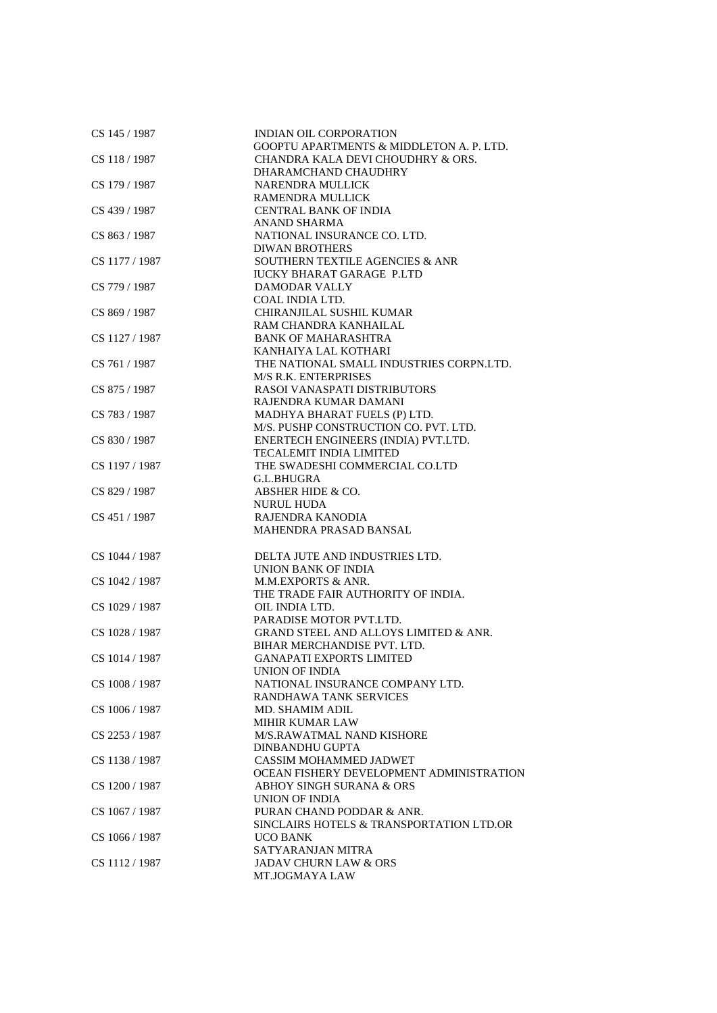| CS 145 / 1987  | <b>INDIAN OIL CORPORATION</b>                       |
|----------------|-----------------------------------------------------|
|                | <b>GOOPTU APARTMENTS &amp; MIDDLETON A. P. LTD.</b> |
| CS 118 / 1987  | CHANDRA KALA DEVI CHOUDHRY & ORS.                   |
|                | DHARAMCHAND CHAUDHRY                                |
| CS 179 / 1987  | <b>NARENDRA MULLICK</b>                             |
|                | <b>RAMENDRA MULLICK</b>                             |
| CS 439 / 1987  | <b>CENTRAL BANK OF INDIA</b>                        |
|                | <b>ANAND SHARMA</b>                                 |
| CS 863 / 1987  | NATIONAL INSURANCE CO. LTD.                         |
|                | <b>DIWAN BROTHERS</b>                               |
| CS 1177 / 1987 | <b>SOUTHERN TEXTILE AGENCIES &amp; ANR</b>          |
|                | <b>IUCKY BHARAT GARAGE P.LTD</b>                    |
| CS 779 / 1987  | <b>DAMODAR VALLY</b>                                |
|                | <b>COAL INDIA LTD.</b>                              |
| CS 869 / 1987  | CHIRANJILAL SUSHIL KUMAR                            |
|                | RAM CHANDRA KANHAILAL                               |
| CS 1127 / 1987 | <b>BANK OF MAHARASHTRA</b>                          |
|                | KANHAIYA LAL KOTHARI                                |
|                |                                                     |
| CS 761 / 1987  | THE NATIONAL SMALL INDUSTRIES CORPN.LTD.            |
|                | <b>M/S R.K. ENTERPRISES</b>                         |
| CS 875 / 1987  | RASOI VANASPATI DISTRIBUTORS                        |
|                | RAJENDRA KUMAR DAMANI                               |
| CS 783 / 1987  | MADHYA BHARAT FUELS (P) LTD.                        |
|                | M/S. PUSHP CONSTRUCTION CO. PVT. LTD.               |
| CS 830 / 1987  | ENERTECH ENGINEERS (INDIA) PVT.LTD.                 |
|                | <b>TECALEMIT INDIA LIMITED</b>                      |
| CS 1197 / 1987 | THE SWADESHI COMMERCIAL CO.LTD                      |
|                | G.L.BHUGRA                                          |
| CS 829 / 1987  | ABSHER HIDE & CO.                                   |
|                | <b>NURUL HUDA</b>                                   |
| CS 451 / 1987  | RAJENDRA KANODIA                                    |
|                | <b>MAHENDRA PRASAD BANSAL</b>                       |
|                |                                                     |
| CS 1044 / 1987 | DELTA JUTE AND INDUSTRIES LTD.                      |
|                | UNION BANK OF INDIA                                 |
| CS 1042 / 1987 | M.M.EXPORTS & ANR.                                  |
|                | THE TRADE FAIR AUTHORITY OF INDIA.                  |
| CS 1029 / 1987 | OIL INDIA LTD.                                      |
|                | PARADISE MOTOR PVT.LTD.                             |
| CS 1028 / 1987 | <b>GRAND STEEL AND ALLOYS LIMITED &amp; ANR.</b>    |
|                | BIHAR MERCHANDISE PVT. LTD.                         |
| CS 1014 / 1987 | <b>GANAPATI EXPORTS LIMITED</b>                     |
|                | UNION OF INDIA                                      |
| CS 1008 / 1987 | NATIONAL INSURANCE COMPANY LTD.                     |
|                | RANDHAWA TANK SERVICES                              |
| CS 1006 / 1987 | MD. SHAMIM ADIL                                     |
|                | <b>MIHIR KUMAR LAW</b>                              |
| CS 2253 / 1987 | M/S.RAWATMAL NAND KISHORE                           |
|                | <b>DINBANDHU GUPTA</b>                              |
|                | <b>CASSIM MOHAMMED JADWET</b>                       |
| CS 1138 / 1987 |                                                     |
|                | OCEAN FISHERY DEVELOPMENT ADMINISTRATION            |
| CS 1200 / 1987 | ABHOY SINGH SURANA & ORS                            |
|                | <b>UNION OF INDIA</b>                               |
| CS 1067 / 1987 | PURAN CHAND PODDAR & ANR.                           |
|                | SINCLAIRS HOTELS & TRANSPORTATION LTD.OR            |
| CS 1066 / 1987 | <b>UCO BANK</b>                                     |
|                | SATYARANJAN MITRA                                   |
| CS 1112 / 1987 | <b>JADAV CHURN LAW &amp; ORS</b>                    |
|                | MT.JOGMAYA LAW                                      |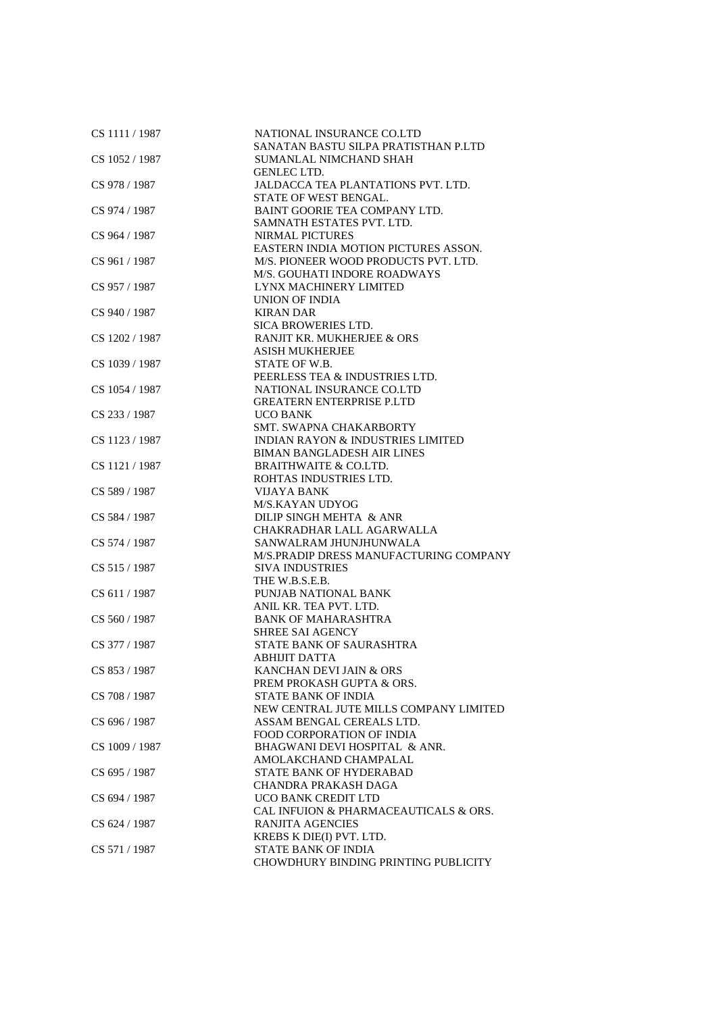| CS 1111 / 1987 | NATIONAL INSURANCE CO.LTD<br>SANATAN BASTU SILPA PRATISTHAN P.LTD |
|----------------|-------------------------------------------------------------------|
| CS 1052 / 1987 | SUMANLAL NIMCHAND SHAH                                            |
|                | <b>GENLEC LTD.</b>                                                |
| CS 978 / 1987  | JALDACCA TEA PLANTATIONS PVT. LTD.                                |
|                | STATE OF WEST BENGAL.                                             |
| CS 974 / 1987  | BAINT GOORIE TEA COMPANY LTD.                                     |
|                | SAMNATH ESTATES PVT. LTD.                                         |
| CS 964 / 1987  | <b>NIRMAL PICTURES</b>                                            |
|                | EASTERN INDIA MOTION PICTURES ASSON.                              |
| CS 961 / 1987  | M/S. PIONEER WOOD PRODUCTS PVT. LTD.                              |
|                | M/S. GOUHATI INDORE ROADWAYS                                      |
| CS 957 / 1987  | <b>LYNX MACHINERY LIMITED</b>                                     |
|                | <b>UNION OF INDIA</b>                                             |
| CS 940 / 1987  | <b>KIRAN DAR</b>                                                  |
|                |                                                                   |
|                | <b>SICA BROWERIES LTD.</b><br>RANJIT KR. MUKHERJEE & ORS          |
| CS 1202 / 1987 | <b>ASISH MUKHERJEE</b>                                            |
| CS 1039 / 1987 | STATE OF W.B.                                                     |
|                | PEERLESS TEA & INDUSTRIES LTD.                                    |
| CS 1054 / 1987 | NATIONAL INSURANCE CO.LTD                                         |
|                | <b>GREATERN ENTERPRISE P.LTD</b>                                  |
| CS 233 / 1987  | <b>UCO BANK</b>                                                   |
|                | SMT. SWAPNA CHAKARBORTY                                           |
|                | <b>INDIAN RAYON &amp; INDUSTRIES LIMITED</b>                      |
| CS 1123 / 1987 | <b>BIMAN BANGLADESH AIR LINES</b>                                 |
|                | <b>BRAITHWAITE &amp; CO.LTD.</b>                                  |
| CS 1121 / 1987 |                                                                   |
|                | ROHTAS INDUSTRIES LTD.                                            |
| CS 589 / 1987  | VIJAYA BANK                                                       |
|                | M/S.KAYAN UDYOG                                                   |
| CS 584 / 1987  | DILIP SINGH MEHTA & ANR                                           |
|                | CHAKRADHAR LALL AGARWALLA                                         |
| CS 574 / 1987  | SANWALRAM JHUNJHUNWALA                                            |
|                | M/S.PRADIP DRESS MANUFACTURING COMPANY                            |
| CS 515 / 1987  | <b>SIVA INDUSTRIES</b>                                            |
|                | THE W.B.S.E.B.                                                    |
| CS 611 / 1987  | PUNJAB NATIONAL BANK                                              |
|                | ANIL KR. TEA PVT. LTD.                                            |
| CS 560 / 1987  | <b>BANK OF MAHARASHTRA</b>                                        |
|                | <b>SHREE SAI AGENCY</b>                                           |
| CS 377 / 1987  | STATE BANK OF SAURASHTRA                                          |
|                | <b>ABHIJIT DATTA</b>                                              |
| CS 853 / 1987  | KANCHAN DEVI JAIN & ORS                                           |
|                | PREM PROKASH GUPTA & ORS.                                         |
| CS 708 / 1987  | <b>STATE BANK OF INDIA</b>                                        |
|                | NEW CENTRAL JUTE MILLS COMPANY LIMITED                            |
| CS 696 / 1987  | ASSAM BENGAL CEREALS LTD.                                         |
|                | FOOD CORPORATION OF INDIA                                         |
| CS 1009 / 1987 | BHAGWANI DEVI HOSPITAL & ANR.                                     |
|                | AMOLAKCHAND CHAMPALAL                                             |
| CS 695 / 1987  | STATE BANK OF HYDERABAD                                           |
|                | <b>CHANDRA PRAKASH DAGA</b>                                       |
| CS 694 / 1987  | UCO BANK CREDIT LTD                                               |
|                | CAL INFUION & PHARMACEAUTICALS & ORS.                             |
| CS 624 / 1987  | <b>RANJITA AGENCIES</b>                                           |
|                | KREBS K DIE(I) PVT. LTD.                                          |
| CS 571 / 1987  | <b>STATE BANK OF INDIA</b>                                        |
|                | <b>CHOWDHURY BINDING PRINTING PUBLICITY</b>                       |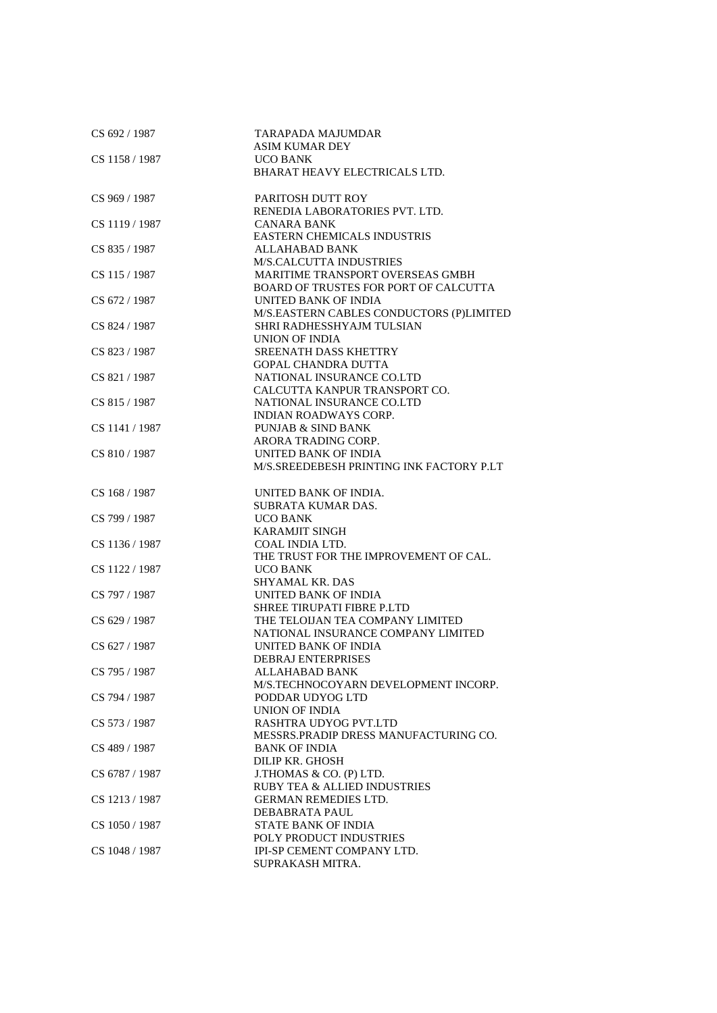| CS 692 / 1987  | <b>TARAPADA MAJUMDAR</b><br><b>ASIM KUMAR DEY</b> |
|----------------|---------------------------------------------------|
| CS 1158 / 1987 | <b>UCO BANK</b>                                   |
|                | BHARAT HEAVY ELECTRICALS LTD.                     |
|                |                                                   |
| CS 969 / 1987  | PARITOSH DUTT ROY                                 |
|                | RENEDIA LABORATORIES PVT. LTD.                    |
| CS 1119 / 1987 | <b>CANARA BANK</b>                                |
|                | <b>EASTERN CHEMICALS INDUSTRIS</b>                |
| CS 835 / 1987  | <b>ALLAHABAD BANK</b>                             |
|                | <b>M/S.CALCUTTA INDUSTRIES</b>                    |
| CS 115 / 1987  | MARITIME TRANSPORT OVERSEAS GMBH                  |
|                | BOARD OF TRUSTES FOR PORT OF CALCUTTA             |
| CS 672 / 1987  | <b>UNITED BANK OF INDIA</b>                       |
|                | M/S.EASTERN CABLES CONDUCTORS (P)LIMITED          |
| CS 824 / 1987  | SHRI RADHESSHYAJM TULSIAN                         |
|                | UNION OF INDIA                                    |
| CS 823 / 1987  | <b>SREENATH DASS KHETTRY</b>                      |
|                | <b>GOPAL CHANDRA DUTTA</b>                        |
| CS 821 / 1987  | NATIONAL INSURANCE CO.LTD                         |
|                | CALCUTTA KANPUR TRANSPORT CO.                     |
| CS 815 / 1987  | NATIONAL INSURANCE CO.LTD                         |
|                | <b>INDIAN ROADWAYS CORP.</b>                      |
| CS 1141 / 1987 | <b>PUNJAB &amp; SIND BANK</b>                     |
|                | ARORA TRADING CORP.                               |
| CS 810 / 1987  | <b>UNITED BANK OF INDIA</b>                       |
|                | M/S. SREEDEBESH PRINTING INK FACTORY P.LT         |
|                |                                                   |
| CS 168 / 1987  | UNITED BANK OF INDIA.                             |
|                | SUBRATA KUMAR DAS.                                |
| CS 799 / 1987  | <b>UCO BANK</b>                                   |
|                | <b>KARAMJIT SINGH</b>                             |
| CS 1136 / 1987 | COAL INDIA LTD.                                   |
|                | THE TRUST FOR THE IMPROVEMENT OF CAL.             |
| CS 1122 / 1987 | <b>UCO BANK</b>                                   |
|                | <b>SHYAMAL KR. DAS</b>                            |
| CS 797 / 1987  | UNITED BANK OF INDIA                              |
|                | SHREE TIRUPATI FIBRE P.LTD                        |
| CS 629 / 1987  | THE TELOIJAN TEA COMPANY LIMITED                  |
|                | NATIONAL INSURANCE COMPANY LIMITED                |
| CS 627 / 1987  | UNITED BANK OF INDIA                              |
|                | <b>DEBRAJ ENTERPRISES</b>                         |
| CS 795 / 1987  | ALLAHABAD BANK                                    |
|                | M/S.TECHNOCOYARN DEVELOPMENT INCORP.              |
| CS 794 / 1987  | PODDAR UDYOG LTD                                  |
|                | <b>UNION OF INDIA</b>                             |
| CS 573 / 1987  | RASHTRA UDYOG PVT.LTD                             |
|                | MESSRS. PRADIP DRESS MANUFACTURING CO.            |
| CS 489 / 1987  | <b>BANK OF INDIA</b>                              |
|                | DILIP KR. GHOSH                                   |
| CS 6787 / 1987 | J.THOMAS & CO. (P) LTD.                           |
|                | <b>RUBY TEA &amp; ALLIED INDUSTRIES</b>           |
| CS 1213 / 1987 | <b>GERMAN REMEDIES LTD.</b>                       |
|                | DEBABRATA PAUL                                    |
| CS 1050 / 1987 | <b>STATE BANK OF INDIA</b>                        |
|                | POLY PRODUCT INDUSTRIES                           |
| CS 1048 / 1987 | IPI-SP CEMENT COMPANY LTD.                        |
|                | SUPRAKASH MITRA.                                  |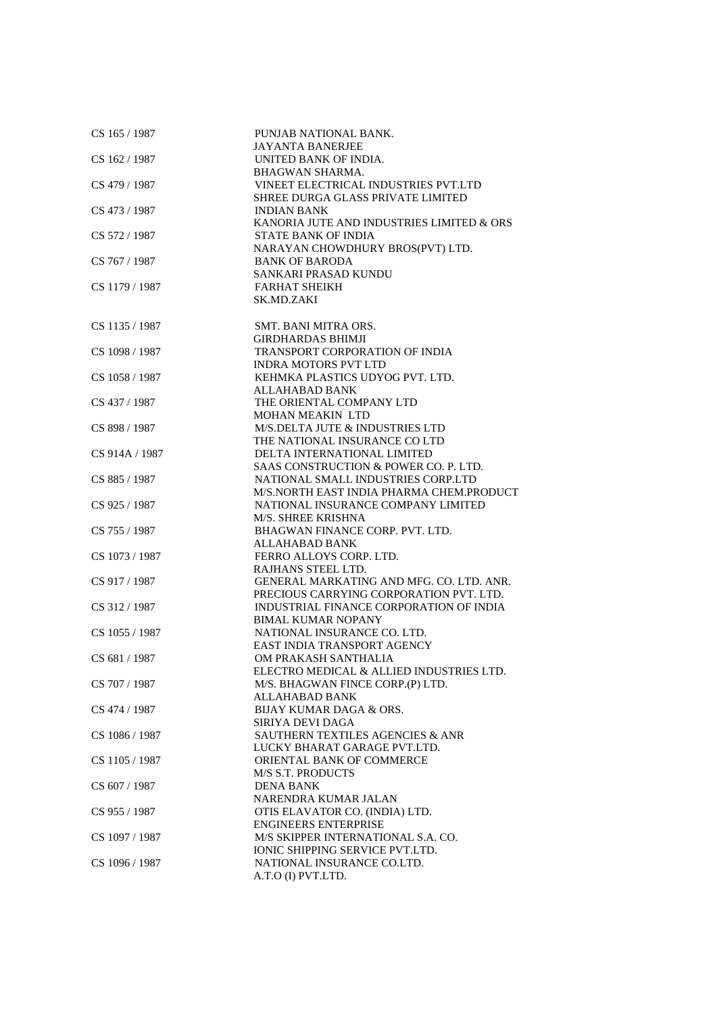| CS 165 / 1987  | PUNJAB NATIONAL BANK.                       |
|----------------|---------------------------------------------|
|                | <b>JAYANTA BANERJEE</b>                     |
| CS 162 / 1987  | UNITED BANK OF INDIA.                       |
|                | <b>BHAGWAN SHARMA.</b>                      |
| CS 479 / 1987  | VINEET ELECTRICAL INDUSTRIES PVT.LTD        |
|                | <b>SHREE DURGA GLASS PRIVATE LIMITED</b>    |
| CS 473 / 1987  | <b>INDIAN BANK</b>                          |
|                | KANORIA JUTE AND INDUSTRIES LIMITED & ORS   |
| CS 572 / 1987  | <b>STATE BANK OF INDIA</b>                  |
|                | NARAYAN CHOWDHURY BROS(PVT) LTD.            |
| CS 767 / 1987  | <b>BANK OF BARODA</b>                       |
|                | SANKARI PRASAD KUNDU                        |
| CS 1179 / 1987 | <b>FARHAT SHEIKH</b>                        |
|                | SK.MD.ZAKI                                  |
|                |                                             |
| CS 1135 / 1987 | SMT. BANI MITRA ORS.                        |
|                | <b>GIRDHARDAS BHIMJI</b>                    |
| CS 1098 / 1987 | TRANSPORT CORPORATION OF INDIA              |
|                | <b>INDRA MOTORS PVT LTD</b>                 |
| CS 1058 / 1987 | KEHMKA PLASTICS UDYOG PVT. LTD.             |
|                | ALLAHABAD BANK                              |
|                |                                             |
| CS 437 / 1987  | THE ORIENTAL COMPANY LTD                    |
|                | MOHAN MEAKIN LTD                            |
| CS 898 / 1987  | M/S.DELTA JUTE & INDUSTRIES LTD             |
|                | THE NATIONAL INSURANCE CO LTD               |
| CS 914A / 1987 | DELTA INTERNATIONAL LIMITED                 |
|                | SAAS CONSTRUCTION & POWER CO. P. LTD.       |
| CS 885 / 1987  | NATIONAL SMALL INDUSTRIES CORP.LTD          |
|                | M/S.NORTH EAST INDIA PHARMA CHEM.PRODUCT    |
| CS 925 / 1987  | NATIONAL INSURANCE COMPANY LIMITED          |
|                | M/S. SHREE KRISHNA                          |
| CS 755 / 1987  | BHAGWAN FINANCE CORP. PVT. LTD.             |
|                | <b>ALLAHABAD BANK</b>                       |
| CS 1073 / 1987 | FERRO ALLOYS CORP. LTD.                     |
|                | RAJHANS STEEL LTD.                          |
| CS 917 / 1987  | GENERAL MARKATING AND MFG. CO. LTD. ANR.    |
|                | PRECIOUS CARRYING CORPORATION PVT. LTD.     |
| CS 312 / 1987  | INDUSTRIAL FINANCE CORPORATION OF INDIA     |
|                | <b>BIMAL KUMAR NOPANY</b>                   |
| CS 1055 / 1987 | NATIONAL INSURANCE CO. LTD.                 |
|                | EAST INDIA TRANSPORT AGENCY                 |
| CS 681/1987    | OM PRAKASH SANTHALIA                        |
|                | ELECTRO MEDICAL & ALLIED INDUSTRIES LTD.    |
| CS 707 / 1987  | M/S. BHAGWAN FINCE CORP.(P) LTD.            |
|                | <b>ALLAHABAD BANK</b>                       |
| CS 474 / 1987  | BIJAY KUMAR DAGA & ORS.                     |
|                | SIRIYA DEVI DAGA                            |
| CS 1086 / 1987 | <b>SAUTHERN TEXTILES AGENCIES &amp; ANR</b> |
|                | LUCKY BHARAT GARAGE PVT.LTD.                |
| CS 1105 / 1987 | ORIENTAL BANK OF COMMERCE                   |
|                | <b>M/S S.T. PRODUCTS</b>                    |
| CS 607 / 1987  | <b>DENA BANK</b>                            |
|                | NARENDRA KUMAR JALAN                        |
| CS 955 / 1987  | OTIS ELAVATOR CO. (INDIA) LTD.              |
|                | <b>ENGINEERS ENTERPRISE</b>                 |
| CS 1097 / 1987 | M/S SKIPPER INTERNATIONAL S.A. CO.          |
|                | <b>IONIC SHIPPING SERVICE PVT.LTD.</b>      |
| CS 1096 / 1987 | NATIONAL INSURANCE CO.LTD.                  |
|                | A.T.O (I) PVT.LTD.                          |
|                |                                             |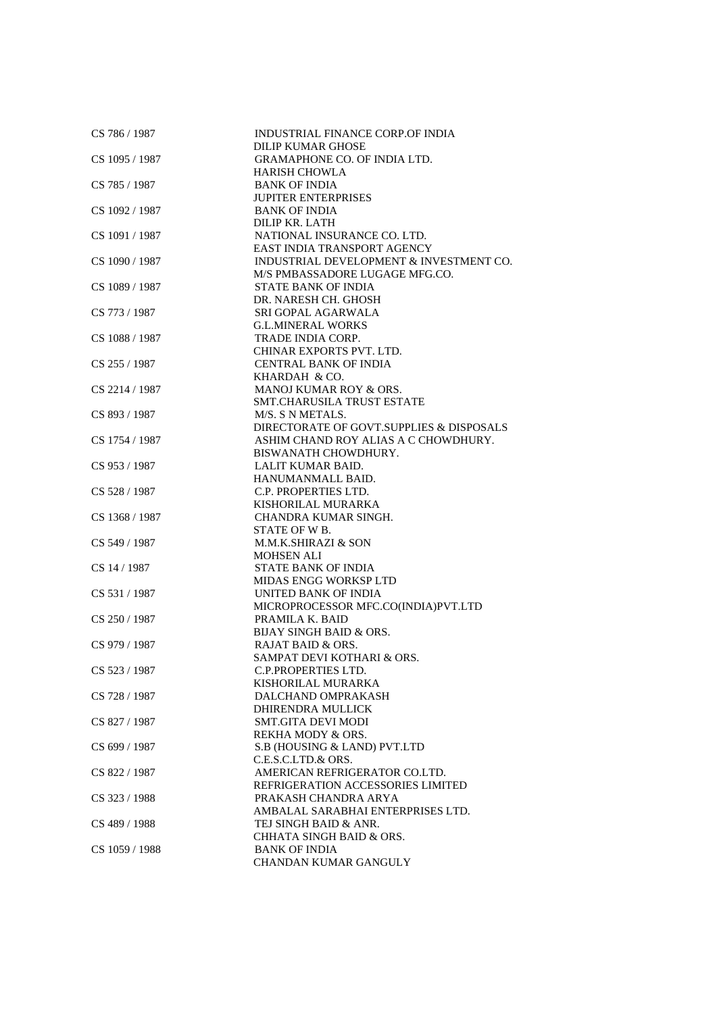| CS 786 / 1987  | INDUSTRIAL FINANCE CORP.OF INDIA<br>DILIP KUMAR GHOSE       |
|----------------|-------------------------------------------------------------|
| CS 1095 / 1987 | <b>GRAMAPHONE CO. OF INDIA LTD.</b>                         |
|                | <b>HARISH CHOWLA</b>                                        |
| CS 785 / 1987  | <b>BANK OF INDIA</b>                                        |
|                | <b>JUPITER ENTERPRISES</b>                                  |
| CS 1092 / 1987 | <b>BANK OF INDIA</b>                                        |
|                | DILIP KR. LATH                                              |
| CS 1091 / 1987 | NATIONAL INSURANCE CO. LTD.                                 |
|                | EAST INDIA TRANSPORT AGENCY                                 |
| CS 1090 / 1987 | INDUSTRIAL DEVELOPMENT & INVESTMENT CO.                     |
|                | M/S PMBASSADORE LUGAGE MFG.CO.                              |
| CS 1089 / 1987 | <b>STATE BANK OF INDIA</b>                                  |
|                | DR. NARESH CH. GHOSH                                        |
| CS 773 / 1987  | SRI GOPAL AGARWALA                                          |
|                | <b>G.L.MINERAL WORKS</b>                                    |
| CS 1088 / 1987 | TRADE INDIA CORP.                                           |
|                | CHINAR EXPORTS PVT. LTD.                                    |
| CS 255 / 1987  | <b>CENTRAL BANK OF INDIA</b>                                |
|                | KHARDAH & CO.                                               |
| CS 2214 / 1987 | <b>MANOJ KUMAR ROY &amp; ORS.</b>                           |
|                | <b>SMT.CHARUSILA TRUST ESTATE</b>                           |
| CS 893 / 1987  | M/S. S N METALS.                                            |
|                | DIRECTORATE OF GOVT.SUPPLIES & DISPOSALS                    |
| CS 1754 / 1987 | ASHIM CHAND ROY ALIAS A C CHOWDHURY.                        |
|                | BISWANATH CHOWDHURY.                                        |
| CS 953 / 1987  | <b>LALIT KUMAR BAID.</b>                                    |
|                | HANUMANMALL BAID.                                           |
| CS 528 / 1987  | C.P. PROPERTIES LTD.                                        |
|                | KISHORILAL MURARKA                                          |
|                |                                                             |
| CS 1368 / 1987 | CHANDRA KUMAR SINGH.<br>STATE OF W B.                       |
|                |                                                             |
| CS 549 / 1987  | M.M.K.SHIRAZI & SON                                         |
| CS 14 / 1987   | <b>MOHSEN ALI</b><br><b>STATE BANK OF INDIA</b>             |
|                |                                                             |
|                | <b>MIDAS ENGG WORKSP LTD</b>                                |
| CS 531 / 1987  | UNITED BANK OF INDIA<br>MICROPROCESSOR MFC.CO(INDIA)PVT.LTD |
|                | PRAMILA K. BAID                                             |
| CS 250 / 1987  |                                                             |
|                | <b>BIJAY SINGH BAID &amp; ORS.</b>                          |
| CS 979 / 1987  | <b>RAJAT BAID &amp; ORS.</b>                                |
|                | SAMPAT DEVI KOTHARI & ORS.                                  |
| CS 523 / 1987  | <b>C.P.PROPERTIES LTD.</b>                                  |
|                | KISHORILAL MURARKA                                          |
| CS 728 / 1987  | DALCHAND OMPRAKASH                                          |
|                | DHIRENDRA MULLICK                                           |
| CS 827 / 1987  | SMT.GITA DEVI MODI                                          |
|                | REKHA MODY & ORS.                                           |
| CS 699 / 1987  | S.B (HOUSING & LAND) PVT.LTD<br>C.E.S.C.LTD.& ORS.          |
|                |                                                             |
| CS 822 / 1987  | AMERICAN REFRIGERATOR CO.LTD.                               |
|                | REFRIGERATION ACCESSORIES LIMITED                           |
| CS 323 / 1988  | PRAKASH CHANDRA ARYA                                        |
|                | AMBALAL SARABHAI ENTERPRISES LTD.                           |
| CS 489 / 1988  | TEJ SINGH BAID & ANR.                                       |
|                | CHHATA SINGH BAID & ORS.                                    |
| CS 1059 / 1988 | <b>BANK OF INDIA</b>                                        |
|                | CHANDAN KUMAR GANGULY                                       |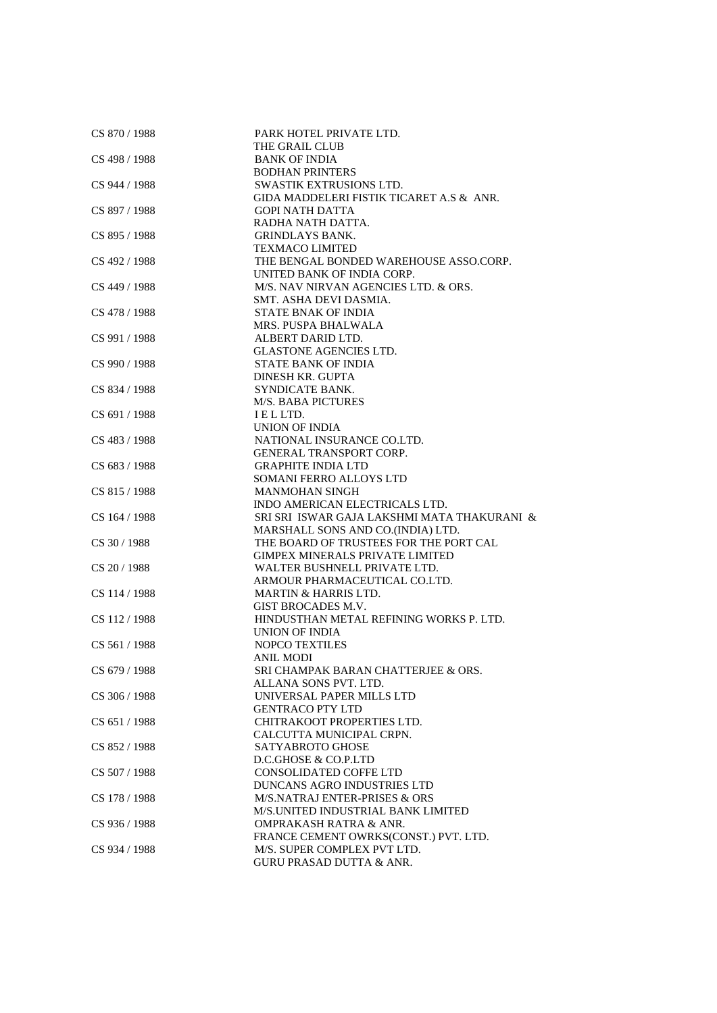| CS 870 / 1988 | PARK HOTEL PRIVATE LTD.                     |
|---------------|---------------------------------------------|
|               | THE GRAIL CLUB                              |
| CS 498 / 1988 | <b>BANK OF INDIA</b>                        |
|               | <b>BODHAN PRINTERS</b>                      |
| CS 944 / 1988 | SWASTIK EXTRUSIONS LTD.                     |
|               | GIDA MADDELERI FISTIK TICARET A.S & ANR.    |
| CS 897 / 1988 | <b>GOPI NATH DATTA</b>                      |
|               | RADHA NATH DATTA.                           |
| CS 895 / 1988 | <b>GRINDLAYS BANK.</b>                      |
|               | <b>TEXMACO LIMITED</b>                      |
| CS 492 / 1988 | THE BENGAL BONDED WAREHOUSE ASSO.CORP.      |
|               | UNITED BANK OF INDIA CORP.                  |
| CS 449 / 1988 | M/S. NAV NIRVAN AGENCIES LTD. & ORS.        |
|               | SMT. ASHA DEVI DASMIA.                      |
| CS 478 / 1988 | <b>STATE BNAK OF INDIA</b>                  |
|               | MRS. PUSPA BHALWALA                         |
|               | ALBERT DARID LTD.                           |
| CS 991 / 1988 | <b>GLASTONE AGENCIES LTD.</b>               |
|               |                                             |
| CS 990 / 1988 | <b>STATE BANK OF INDIA</b>                  |
|               | DINESH KR. GUPTA                            |
| CS 834 / 1988 | SYNDICATE BANK.                             |
|               | <b>M/S. BABA PICTURES</b>                   |
| CS 691 / 1988 | IELLTD.                                     |
|               | UNION OF INDIA                              |
| CS 483 / 1988 | NATIONAL INSURANCE CO.LTD.                  |
|               | <b>GENERAL TRANSPORT CORP.</b>              |
| CS 683 / 1988 | <b>GRAPHITE INDIA LTD</b>                   |
|               | SOMANI FERRO ALLOYS LTD                     |
| CS 815 / 1988 | <b>MANMOHAN SINGH</b>                       |
|               | INDO AMERICAN ELECTRICALS LTD.              |
| CS 164 / 1988 | SRI SRI ISWAR GAJA LAKSHMI MATA THAKURANI & |
|               | MARSHALL SONS AND CO.(INDIA) LTD.           |
| CS 30 / 1988  | THE BOARD OF TRUSTEES FOR THE PORT CAL      |
|               | <b>GIMPEX MINERALS PRIVATE LIMITED</b>      |
| CS 20 / 1988  | WALTER BUSHNELL PRIVATE LTD.                |
|               | ARMOUR PHARMACEUTICAL CO.LTD.               |
| CS 114 / 1988 | <b>MARTIN &amp; HARRIS LTD.</b>             |
|               | GIST BROCADES M.V.                          |
| CS 112/1988   | HINDUSTHAN METAL REFINING WORKS P. LTD.     |
|               | UNION OF INDIA                              |
| CS 561/1988   | <b>NOPCO TEXTILES</b>                       |
|               | <b>ANIL MODI</b>                            |
| CS 679 / 1988 | SRI CHAMPAK BARAN CHATTERJEE & ORS.         |
|               | ALLANA SONS PVT. LTD.                       |
| CS 306 / 1988 | UNIVERSAL PAPER MILLS LTD                   |
|               | <b>GENTRACO PTY LTD</b>                     |
| CS 651 / 1988 | CHITRAKOOT PROPERTIES LTD.                  |
|               | CALCUTTA MUNICIPAL CRPN.                    |
| CS 852 / 1988 | <b>SATYABROTO GHOSE</b>                     |
|               | D.C.GHOSE & CO.P.LTD                        |
|               |                                             |
| CS 507 / 1988 | <b>CONSOLIDATED COFFE LTD</b>               |
|               | DUNCANS AGRO INDUSTRIES LTD                 |
| CS 178 / 1988 | <b>M/S.NATRAJ ENTER-PRISES &amp; ORS</b>    |
|               | M/S.UNITED INDUSTRIAL BANK LIMITED          |
| CS 936 / 1988 | <b>OMPRAKASH RATRA &amp; ANR.</b>           |
|               | FRANCE CEMENT OWRKS(CONST.) PVT. LTD.       |
| CS 934 / 1988 | M/S. SUPER COMPLEX PVT LTD.                 |
|               | <b>GURU PRASAD DUTTA &amp; ANR.</b>         |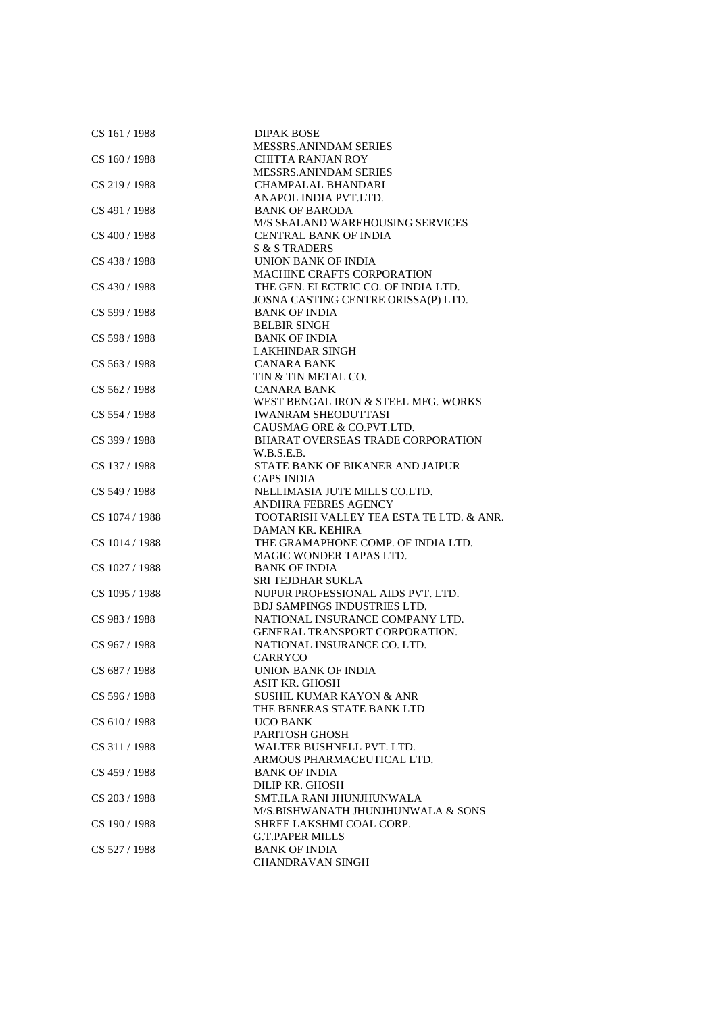| CS 161/1988    | <b>DIPAK BOSE</b>                        |
|----------------|------------------------------------------|
|                | <b>MESSRS.ANINDAM SERIES</b>             |
| CS 160 / 1988  | <b>CHITTA RANJAN ROY</b>                 |
|                | <b>MESSRS.ANINDAM SERIES</b>             |
| CS 219 / 1988  | <b>CHAMPALAL BHANDARI</b>                |
|                | ANAPOL INDIA PVT.LTD.                    |
| CS 491 / 1988  | <b>BANK OF BARODA</b>                    |
|                | <b>M/S SEALAND WAREHOUSING SERVICES</b>  |
| CS 400 / 1988  | <b>CENTRAL BANK OF INDIA</b>             |
|                | S & S TRADERS                            |
| CS 438 / 1988  | UNION BANK OF INDIA                      |
|                | <b>MACHINE CRAFTS CORPORATION</b>        |
| CS 430 / 1988  | THE GEN. ELECTRIC CO. OF INDIA LTD.      |
|                | JOSNA CASTING CENTRE ORISSA(P) LTD.      |
| CS 599 / 1988  | <b>BANK OF INDIA</b>                     |
|                | <b>BELBIR SINGH</b>                      |
| CS 598 / 1988  | <b>BANK OF INDIA</b>                     |
|                | <b>LAKHINDAR SINGH</b>                   |
| CS 563 / 1988  | <b>CANARA BANK</b>                       |
|                | TIN & TIN METAL CO.                      |
| CS 562 / 1988  | <b>CANARA BANK</b>                       |
|                | WEST BENGAL IRON & STEEL MFG. WORKS      |
| CS 554 / 1988  | <b>IWANRAM SHEODUTTASI</b>               |
|                | CAUSMAG ORE & CO.PVT.LTD.                |
| CS 399 / 1988  | BHARAT OVERSEAS TRADE CORPORATION        |
|                | W.B.S.E.B.                               |
| CS 137 / 1988  | STATE BANK OF BIKANER AND JAIPUR         |
|                | <b>CAPS INDIA</b>                        |
|                | NELLIMASIA JUTE MILLS CO.LTD.            |
| CS 549 / 1988  |                                          |
|                | ANDHRA FEBRES AGENCY                     |
| CS 1074 / 1988 | TOOTARISH VALLEY TEA ESTA TE LTD. & ANR. |
|                | DAMAN KR. KEHIRA                         |
| CS 1014 / 1988 | THE GRAMAPHONE COMP. OF INDIA LTD.       |
|                | MAGIC WONDER TAPAS LTD.                  |
| CS 1027 / 1988 | <b>BANK OF INDIA</b>                     |
|                | <b>SRI TEJDHAR SUKLA</b>                 |
| CS 1095 / 1988 | NUPUR PROFESSIONAL AIDS PVT. LTD.        |
|                | <b>BDJ SAMPINGS INDUSTRIES LTD.</b>      |
| CS 983 / 1988  | NATIONAL INSURANCE COMPANY LTD.          |
|                | <b>GENERAL TRANSPORT CORPORATION.</b>    |
| CS 967 / 1988  | NATIONAL INSURANCE CO. LTD.              |
|                | CARRYCO                                  |
| CS 687 / 1988  | UNION BANK OF INDIA                      |
|                | ASIT KR. GHOSH                           |
| CS 596 / 1988  | SUSHIL KUMAR KAYON & ANR                 |
|                | THE BENERAS STATE BANK LTD               |
| CS 610 / 1988  | <b>UCO BANK</b>                          |
|                | PARITOSH GHOSH                           |
| CS 311 / 1988  | WALTER BUSHNELL PVT. LTD.                |
|                | ARMOUS PHARMACEUTICAL LTD.               |
| CS 459 / 1988  | <b>BANK OF INDIA</b>                     |
|                | DILIP KR. GHOSH                          |
| CS 203 / 1988  | SMT.ILA RANI JHUNJHUNWALA                |
|                | M/S.BISHWANATH JHUNJHUNWALA & SONS       |
| CS 190/1988    | SHREE LAKSHMI COAL CORP.                 |
|                | <b>G.T.PAPER MILLS</b>                   |
| CS 527 / 1988  | <b>BANK OF INDIA</b>                     |
|                | <b>CHANDRAVAN SINGH</b>                  |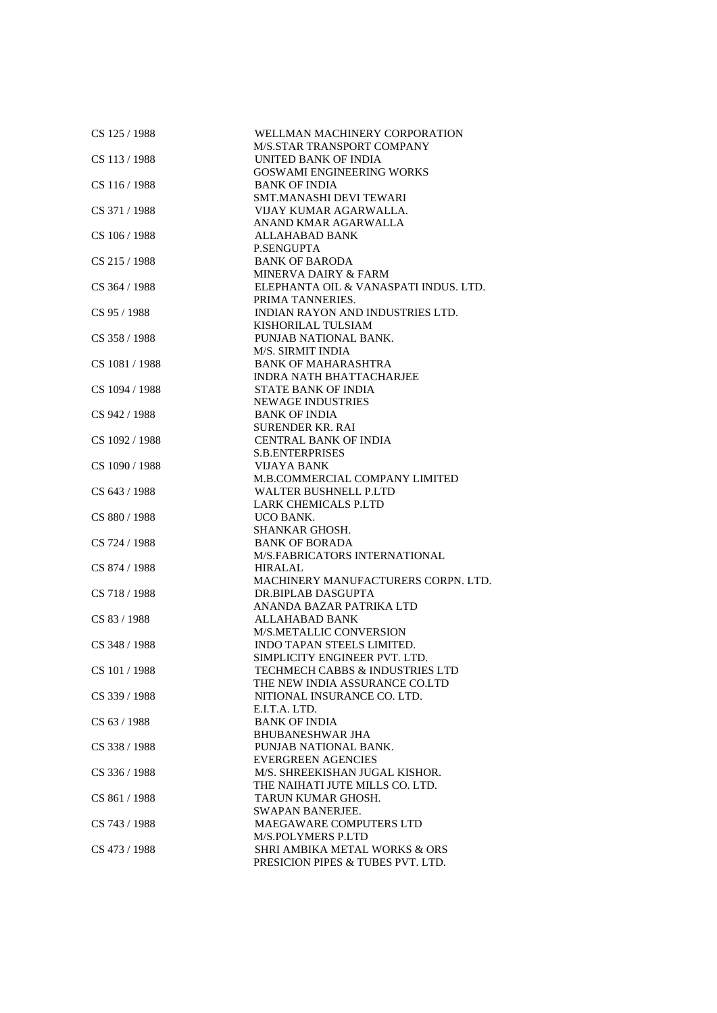| CS 125 / 1988  | WELLMAN MACHINERY CORPORATION<br>M/S.STAR TRANSPORT COMPANY |
|----------------|-------------------------------------------------------------|
| CS 113 / 1988  | UNITED BANK OF INDIA<br><b>GOSWAMI ENGINEERING WORKS</b>    |
| CS 116 / 1988  | <b>BANK OF INDIA</b><br><b>SMT.MANASHI DEVI TEWARI</b>      |
| CS 371 / 1988  | VIJAY KUMAR AGARWALLA.                                      |
|                | ANAND KMAR AGARWALLA                                        |
| CS 106 / 1988  | <b>ALLAHABAD BANK</b>                                       |
|                | <b>P.SENGUPTA</b>                                           |
| CS 215 / 1988  | <b>BANK OF BARODA</b>                                       |
|                | <b>MINERVA DAIRY &amp; FARM</b>                             |
| CS 364 / 1988  | ELEPHANTA OIL & VANASPATI INDUS. LTD.                       |
|                | PRIMA TANNERIES.                                            |
| CS 95 / 1988   | INDIAN RAYON AND INDUSTRIES LTD.                            |
|                | KISHORILAL TULSIAM                                          |
| CS 358 / 1988  | PUNJAB NATIONAL BANK.                                       |
|                | M/S. SIRMIT INDIA                                           |
| CS 1081 / 1988 | <b>BANK OF MAHARASHTRA</b>                                  |
|                | <b>INDRA NATH BHATTACHARJEE</b>                             |
| CS 1094 / 1988 | <b>STATE BANK OF INDIA</b>                                  |
| CS 942 / 1988  | <b>NEWAGE INDUSTRIES</b><br><b>BANK OF INDIA</b>            |
|                | <b>SURENDER KR. RAI</b>                                     |
| CS 1092 / 1988 | <b>CENTRAL BANK OF INDIA</b>                                |
|                | <b>S.B.ENTERPRISES</b>                                      |
| CS 1090 / 1988 | VIJAYA BANK                                                 |
|                | M.B.COMMERCIAL COMPANY LIMITED                              |
| CS 643 / 1988  | <b>WALTER BUSHNELL P.LTD</b>                                |
|                | <b>LARK CHEMICALS P.LTD</b>                                 |
| CS 880 / 1988  | <b>UCO BANK.</b>                                            |
|                | SHANKAR GHOSH.                                              |
| CS 724 / 1988  | <b>BANK OF BORADA</b>                                       |
|                | M/S.FABRICATORS INTERNATIONAL                               |
| CS 874 / 1988  | HIRALAL                                                     |
|                | MACHINERY MANUFACTURERS CORPN. LTD.                         |
| CS 718 / 1988  | DR.BIPLAB DASGUPTA                                          |
|                | ANANDA BAZAR PATRIKA LTD                                    |
| CS 83 / 1988   | <b>ALLAHABAD BANK</b>                                       |
|                | <b>M/S.METALLIC CONVERSION</b>                              |
| CS 348 / 1988  | INDO TAPAN STEELS LIMITED.                                  |
|                | SIMPLICITY ENGINEER PVT. LTD.                               |
| CS 101 / 1988  | TECHMECH CABBS & INDUSTRIES LTD                             |
|                | THE NEW INDIA ASSURANCE CO.LTD                              |
| CS 339 / 1988  | NITIONAL INSURANCE CO. LTD.                                 |
|                | E.I.T.A. LTD.<br><b>BANK OF INDIA</b>                       |
| CS 63 / 1988   |                                                             |
| CS 338 / 1988  | <b>BHUBANESHWAR JHA</b><br>PUNJAB NATIONAL BANK.            |
|                | <b>EVERGREEN AGENCIES</b>                                   |
| CS 336 / 1988  | M/S. SHREEKISHAN JUGAL KISHOR.                              |
|                | THE NAIHATI JUTE MILLS CO. LTD.                             |
| CS 861/1988    | TARUN KUMAR GHOSH.                                          |
|                | <b>SWAPAN BANERJEE.</b>                                     |
| CS 743 / 1988  | MAEGAWARE COMPUTERS LTD                                     |
|                | M/S.POLYMERS P.LTD                                          |
| CS 473 / 1988  | SHRI AMBIKA METAL WORKS & ORS                               |
|                | PRESICION PIPES & TUBES PVT. LTD.                           |
|                |                                                             |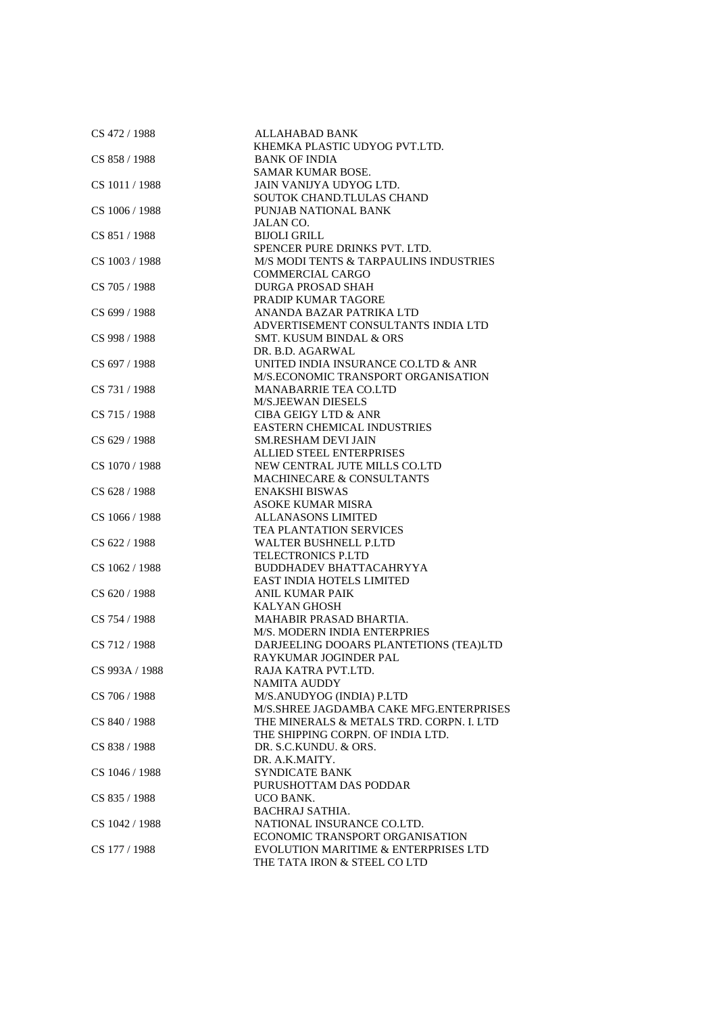| CS 472 / 1988  | <b>ALLAHABAD BANK</b>                    |
|----------------|------------------------------------------|
|                | KHEMKA PLASTIC UDYOG PVT.LTD.            |
| CS 858 / 1988  | <b>BANK OF INDIA</b>                     |
|                | <b>SAMAR KUMAR BOSE.</b>                 |
| CS 1011 / 1988 | JAIN VANIJYA UDYOG LTD.                  |
|                | SOUTOK CHAND.TLULAS CHAND                |
| CS 1006 / 1988 | PUNJAB NATIONAL BANK                     |
|                | <b>JALAN CO.</b>                         |
| CS 851/1988    | <b>BIJOLI GRILL</b>                      |
|                | SPENCER PURE DRINKS PVT. LTD.            |
| CS 1003 / 1988 | M/S MODI TENTS & TARPAULINS INDUSTRIES   |
|                | COMMERCIAL CARGO                         |
| CS 705 / 1988  | <b>DURGA PROSAD SHAH</b>                 |
|                | PRADIP KUMAR TAGORE                      |
| CS 699 / 1988  | ANANDA BAZAR PATRIKA LTD                 |
|                |                                          |
|                | ADVERTISEMENT CONSULTANTS INDIA LTD      |
| CS 998 / 1988  | <b>SMT. KUSUM BINDAL &amp; ORS</b>       |
|                | DR. B.D. AGARWAL                         |
| CS 697 / 1988  | UNITED INDIA INSURANCE CO.LTD & ANR      |
|                | M/S.ECONOMIC TRANSPORT ORGANISATION      |
| CS 731 / 1988  | <b>MANABARRIE TEA CO.LTD</b>             |
|                | <b>M/S.JEEWAN DIESELS</b>                |
| CS 715 / 1988  | <b>CIBA GEIGY LTD &amp; ANR</b>          |
|                | <b>EASTERN CHEMICAL INDUSTRIES</b>       |
| CS 629 / 1988  | <b>SM.RESHAM DEVI JAIN</b>               |
|                | <b>ALLIED STEEL ENTERPRISES</b>          |
| CS 1070 / 1988 | NEW CENTRAL JUTE MILLS CO.LTD            |
|                | MACHINECARE & CONSULTANTS                |
| CS 628 / 1988  | <b>ENAKSHI BISWAS</b>                    |
|                | <b>ASOKE KUMAR MISRA</b>                 |
| CS 1066 / 1988 | ALLANASONS LIMITED                       |
|                | TEA PLANTATION SERVICES                  |
|                |                                          |
| CS 622 / 1988  | WALTER BUSHNELL P.LTD                    |
|                | <b>TELECTRONICS P.LTD</b>                |
| CS 1062 / 1988 | <b>BUDDHADEV BHATTACAHRYYA</b>           |
|                | <b>EAST INDIA HOTELS LIMITED</b>         |
| CS 620 / 1988  | <b>ANIL KUMAR PAIK</b>                   |
|                | <b>KALYAN GHOSH</b>                      |
| CS 754 / 1988  | MAHABIR PRASAD BHARTIA.                  |
|                | M/S. MODERN INDIA ENTERPRIES             |
| CS 712 / 1988  | DARJEELING DOOARS PLANTETIONS (TEA)LTD   |
|                | RAYKUMAR JOGINDER PAL                    |
| CS 993A / 1988 | RAJA KATRA PVT.LTD.                      |
|                | NAMITA AUDDY                             |
| CS 706 / 1988  | M/S.ANUDYOG (INDIA) P.LTD                |
|                | M/S.SHREE JAGDAMBA CAKE MFG.ENTERPRISES  |
| CS 840 / 1988  | THE MINERALS & METALS TRD. CORPN. I. LTD |
|                | THE SHIPPING CORPN. OF INDIA LTD.        |
| CS 838 / 1988  | DR. S.C.KUNDU. & ORS.                    |
|                | DR. A.K.MAITY.                           |
| CS 1046 / 1988 | <b>SYNDICATE BANK</b>                    |
|                | PURUSHOTTAM DAS PODDAR                   |
|                |                                          |
| CS 835 / 1988  | UCO BANK.                                |
|                | <b>BACHRAJ SATHIA.</b>                   |
| CS 1042 / 1988 | NATIONAL INSURANCE CO.LTD.               |
|                | ECONOMIC TRANSPORT ORGANISATION          |
| CS 177 / 1988  | EVOLUTION MARITIME & ENTERPRISES LTD     |
|                | THE TATA IRON & STEEL CO LTD             |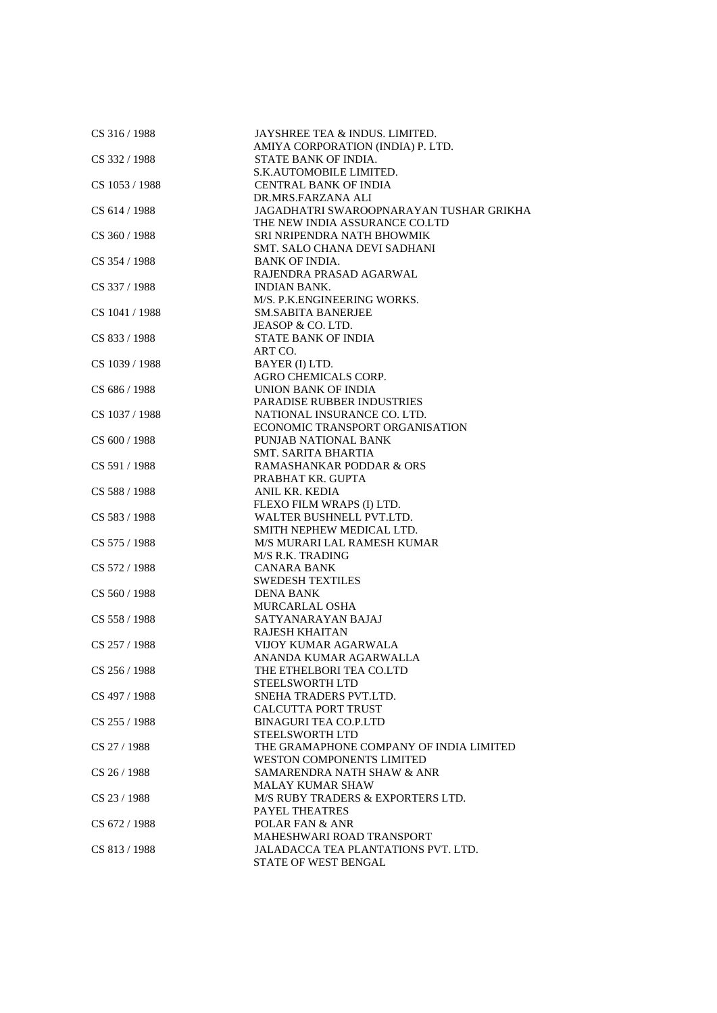| CS 316 / 1988  | JAYSHREE TEA & INDUS. LIMITED.<br>AMIYA CORPORATION (INDIA) P. LTD. |
|----------------|---------------------------------------------------------------------|
| CS 332 / 1988  | STATE BANK OF INDIA.                                                |
|                | S.K.AUTOMOBILE LIMITED.                                             |
| CS 1053 / 1988 | <b>CENTRAL BANK OF INDIA</b>                                        |
|                | DR.MRS.FARZANA ALI                                                  |
| CS 614 / 1988  | JAGADHATRI SWAROOPNARAYAN TUSHAR GRIKHA                             |
|                | THE NEW INDIA ASSURANCE CO.LTD                                      |
| CS 360 / 1988  | SRI NRIPENDRA NATH BHOWMIK                                          |
|                | SMT. SALO CHANA DEVI SADHANI                                        |
| CS 354 / 1988  | <b>BANK OF INDIA.</b>                                               |
|                | RAJENDRA PRASAD AGARWAL                                             |
| CS 337 / 1988  | <b>INDIAN BANK.</b>                                                 |
|                | M/S. P.K.ENGINEERING WORKS.                                         |
|                | <b>SM.SABITA BANERJEE</b>                                           |
| CS 1041 / 1988 |                                                                     |
|                | JEASOP & CO. LTD.                                                   |
| CS 833 / 1988  | STATE BANK OF INDIA                                                 |
|                | ART CO.                                                             |
| CS 1039 / 1988 | BAYER (I) LTD.                                                      |
|                | AGRO CHEMICALS CORP.                                                |
| CS 686 / 1988  | UNION BANK OF INDIA                                                 |
|                | PARADISE RUBBER INDUSTRIES                                          |
| CS 1037 / 1988 | NATIONAL INSURANCE CO. LTD.                                         |
|                | ECONOMIC TRANSPORT ORGANISATION                                     |
| CS 600 / 1988  | PUNJAB NATIONAL BANK                                                |
|                | SMT. SARITA BHARTIA                                                 |
| CS 591/1988    | <b>RAMASHANKAR PODDAR &amp; ORS</b>                                 |
|                | PRABHAT KR. GUPTA                                                   |
| CS 588 / 1988  | ANIL KR. KEDIA                                                      |
|                | FLEXO FILM WRAPS (I) LTD.                                           |
| CS 583 / 1988  | WALTER BUSHNELL PVT.LTD.                                            |
|                | SMITH NEPHEW MEDICAL LTD.                                           |
| CS 575 / 1988  | M/S MURARI LAL RAMESH KUMAR                                         |
|                | M/S R.K. TRADING                                                    |
| CS 572 / 1988  | <b>CANARA BANK</b>                                                  |
|                | <b>SWEDESH TEXTILES</b>                                             |
| CS 560 / 1988  | <b>DENA BANK</b>                                                    |
|                | <b>MURCARLAL OSHA</b>                                               |
| CS 558 / 1988  | SATYANARAYAN BAJAJ                                                  |
|                | <b>RAJESH KHAITAN</b>                                               |
| CS 257/1988    | VIJOY KUMAR AGARWALA                                                |
|                | ANANDA KUMAR AGARWALLA                                              |
| CS 256 / 1988  | THE ETHELBORI TEA CO.LTD                                            |
|                | <b>STEELSWORTH LTD</b>                                              |
| CS 497 / 1988  | SNEHA TRADERS PVT.LTD.                                              |
|                | <b>CALCUTTA PORT TRUST</b>                                          |
| CS 255 / 1988  | <b>BINAGURI TEA CO.P.LTD</b>                                        |
|                | <b>STEELSWORTH LTD</b>                                              |
| CS 27 / 1988   | THE GRAMAPHONE COMPANY OF INDIA LIMITED                             |
|                | <b>WESTON COMPONENTS LIMITED</b>                                    |
| CS 26 / 1988   | SAMARENDRA NATH SHAW & ANR                                          |
|                | <b>MALAY KUMAR SHAW</b>                                             |
| CS 23/1988     | M/S RUBY TRADERS & EXPORTERS LTD.                                   |
|                | PAYEL THEATRES                                                      |
| CS 672 / 1988  | POLAR FAN & ANR                                                     |
|                | MAHESHWARI ROAD TRANSPORT                                           |
| CS 813/1988    | JALADACCA TEA PLANTATIONS PVT. LTD.                                 |
|                | STATE OF WEST BENGAL                                                |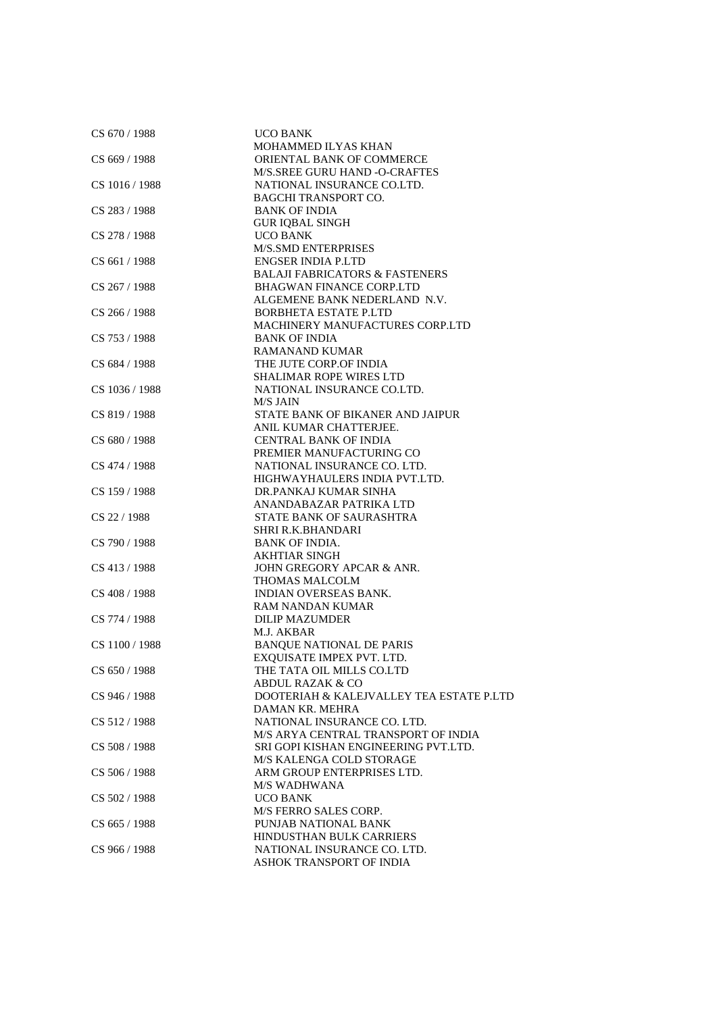| CS 670 / 1988  | <b>UCO BANK</b>                                              |
|----------------|--------------------------------------------------------------|
|                | MOHAMMED ILYAS KHAN                                          |
| CS 669 / 1988  | ORIENTAL BANK OF COMMERCE                                    |
|                | M/S.SREE GURU HAND -O-CRAFTES                                |
| CS 1016 / 1988 | NATIONAL INSURANCE CO.LTD.                                   |
|                | <b>BAGCHI TRANSPORT CO.</b>                                  |
| CS 283 / 1988  | <b>BANK OF INDIA</b>                                         |
|                | <b>GUR IQBAL SINGH</b>                                       |
| CS 278 / 1988  | <b>UCO BANK</b>                                              |
|                | <b>M/S.SMD ENTERPRISES</b>                                   |
| CS 661 / 1988  | <b>ENGSER INDIA P.LTD</b>                                    |
|                | <b>BALAJI FABRICATORS &amp; FASTENERS</b>                    |
| CS 267 / 1988  | <b>BHAGWAN FINANCE CORP.LTD</b>                              |
|                | ALGEMENE BANK NEDERLAND N.V.                                 |
| CS 266 / 1988  | <b>BORBHETA ESTATE P.LTD</b>                                 |
|                | MACHINERY MANUFACTURES CORP.LTD                              |
| CS 753 / 1988  | <b>BANK OF INDIA</b>                                         |
|                | <b>RAMANAND KUMAR</b>                                        |
| CS 684 / 1988  | THE JUTE CORP.OF INDIA                                       |
|                | <b>SHALIMAR ROPE WIRES LTD</b>                               |
| CS 1036 / 1988 | NATIONAL INSURANCE CO.LTD.                                   |
|                | M/S JAIN                                                     |
| CS 819 / 1988  | STATE BANK OF BIKANER AND JAIPUR                             |
|                | ANIL KUMAR CHATTERJEE.                                       |
| CS 680 / 1988  | <b>CENTRAL BANK OF INDIA</b>                                 |
|                | PREMIER MANUFACTURING CO                                     |
| CS 474 / 1988  | NATIONAL INSURANCE CO. LTD.<br>HIGHWAYHAULERS INDIA PVT.LTD. |
| CS 159 / 1988  | DR.PANKAJ KUMAR SINHA                                        |
|                | ANANDABAZAR PATRIKA LTD                                      |
| CS 22 / 1988   | STATE BANK OF SAURASHTRA                                     |
|                | SHRI R.K.BHANDARI                                            |
| CS 790 / 1988  | <b>BANK OF INDIA.</b>                                        |
|                | <b>AKHTIAR SINGH</b>                                         |
| CS 413 / 1988  | JOHN GREGORY APCAR & ANR.                                    |
|                | THOMAS MALCOLM                                               |
| CS 408 / 1988  | <b>INDIAN OVERSEAS BANK.</b>                                 |
|                | <b>RAM NANDAN KUMAR</b>                                      |
| CS 774 / 1988  | <b>DILIP MAZUMDER</b>                                        |
|                | M.J. AKBAR                                                   |
| CS 1100 / 1988 | <b>BANQUE NATIONAL DE PARIS</b>                              |
|                | EXQUISATE IMPEX PVT. LTD.                                    |
| CS 650 / 1988  | THE TATA OIL MILLS CO.LTD                                    |
|                | <b>ABDUL RAZAK &amp; CO</b>                                  |
| CS 946 / 1988  | DOOTERIAH & KALEJVALLEY TEA ESTATE P.LTD                     |
|                | DAMAN KR. MEHRA                                              |
| CS 512/1988    | NATIONAL INSURANCE CO. LTD.                                  |
|                | M/S ARYA CENTRAL TRANSPORT OF INDIA                          |
| CS 508 / 1988  | SRI GOPI KISHAN ENGINEERING PVT.LTD.                         |
|                | M/S KALENGA COLD STORAGE                                     |
| CS 506 / 1988  | ARM GROUP ENTERPRISES LTD.                                   |
|                | <b>M/S WADHWANA</b>                                          |
| CS 502 / 1988  | <b>UCO BANK</b>                                              |
|                | <b>M/S FERRO SALES CORP.</b>                                 |
| CS 665 / 1988  | PUNJAB NATIONAL BANK                                         |
|                | HINDUSTHAN BULK CARRIERS<br>NATIONAL INSURANCE CO. LTD.      |
| CS 966 / 1988  | ASHOK TRANSPORT OF INDIA                                     |
|                |                                                              |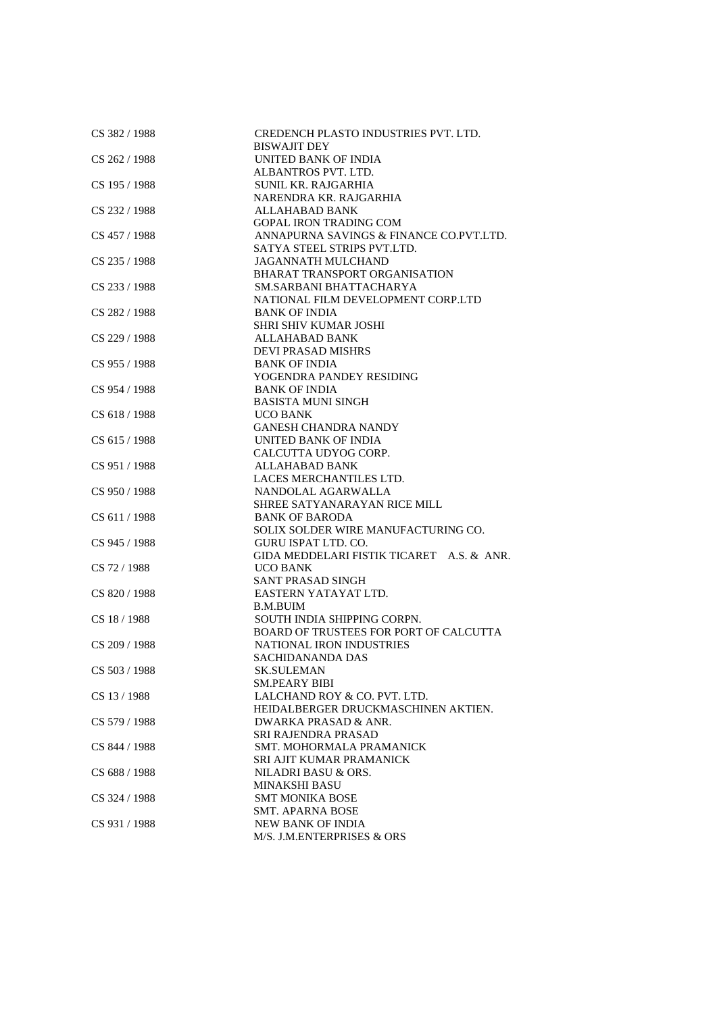| CS 382 / 1988 | CREDENCH PLASTO INDUSTRIES PVT. LTD.<br><b>BISWAJIT DEY</b> |
|---------------|-------------------------------------------------------------|
| CS 262 / 1988 | <b>UNITED BANK OF INDIA</b>                                 |
|               | ALBANTROS PVT. LTD.                                         |
| CS 195 / 1988 | <b>SUNIL KR. RAJGARHIA</b>                                  |
|               | NARENDRA KR. RAJGARHIA                                      |
| CS 232 / 1988 | <b>ALLAHABAD BANK</b>                                       |
|               | <b>GOPAL IRON TRADING COM</b>                               |
| CS 457 / 1988 | ANNAPURNA SAVINGS & FINANCE CO.PVT.LTD.                     |
|               | SATYA STEEL STRIPS PVT.LTD.                                 |
| CS 235 / 1988 | JAGANNATH MULCHAND                                          |
|               | BHARAT TRANSPORT ORGANISATION                               |
| CS 233 / 1988 | SM.SARBANI BHATTACHARYA                                     |
|               | NATIONAL FILM DEVELOPMENT CORP.LTD                          |
| CS 282 / 1988 | <b>BANK OF INDIA</b>                                        |
|               | <b>SHRI SHIV KUMAR JOSHI</b>                                |
| CS 229 / 1988 | ALLAHABAD BANK                                              |
|               | <b>DEVI PRASAD MISHRS</b>                                   |
| CS 955 / 1988 | <b>BANK OF INDIA</b>                                        |
|               | YOGENDRA PANDEY RESIDING                                    |
| CS 954 / 1988 | <b>BANK OF INDIA</b>                                        |
|               | <b>BASISTA MUNI SINGH</b>                                   |
| CS 618 / 1988 | <b>UCO BANK</b>                                             |
|               | <b>GANESH CHANDRA NANDY</b>                                 |
| CS 615 / 1988 | UNITED BANK OF INDIA                                        |
|               | CALCUTTA UDYOG CORP.                                        |
| CS 951/1988   | <b>ALLAHABAD BANK</b>                                       |
|               | LACES MERCHANTILES LTD.                                     |
| CS 950 / 1988 | NANDOLAL AGARWALLA                                          |
|               | SHREE SATYANARAYAN RICE MILL                                |
| CS 611 / 1988 | <b>BANK OF BARODA</b>                                       |
|               | SOLIX SOLDER WIRE MANUFACTURING CO.                         |
| CS 945 / 1988 | <b>GURU ISPAT LTD. CO.</b>                                  |
|               | GIDA MEDDELARI FISTIK TICARET A.S. & ANR.                   |
| CS 72 / 1988  | UCO BANK                                                    |
|               | <b>SANT PRASAD SINGH</b>                                    |
| CS 820 / 1988 | EASTERN YATAYAT LTD.                                        |
|               | <b>B.M.BUIM</b>                                             |
| CS 18 / 1988  | SOUTH INDIA SHIPPING CORPN.                                 |
|               | BOARD OF TRUSTEES FOR PORT OF CALCUTTA                      |
| CS 209 / 1988 | <b>NATIONAL IRON INDUSTRIES</b>                             |
|               | <b>SACHIDANANDA DAS</b>                                     |
| CS 503 / 1988 | <b>SK.SULEMAN</b>                                           |
|               | <b>SM.PEARY BIBI</b>                                        |
| CS 13 / 1988  | LALCHAND ROY & CO. PVT. LTD.                                |
|               | HEIDALBERGER DRUCKMASCHINEN AKTIEN.                         |
| CS 579 / 1988 | DWARKA PRASAD & ANR.                                        |
|               | SRI RAJENDRA PRASAD                                         |
| CS 844 / 1988 | <b>SMT. MOHORMALA PRAMANICK</b>                             |
|               | SRI AJIT KUMAR PRAMANICK                                    |
| CS 688 / 1988 | NILADRI BASU & ORS.                                         |
|               | <b>MINAKSHI BASU</b>                                        |
| CS 324 / 1988 | <b>SMT MONIKA BOSE</b>                                      |
|               | <b>SMT. APARNA BOSE</b>                                     |
| CS 931 / 1988 | <b>NEW BANK OF INDIA</b>                                    |
|               | M/S. J.M.ENTERPRISES & ORS                                  |
|               |                                                             |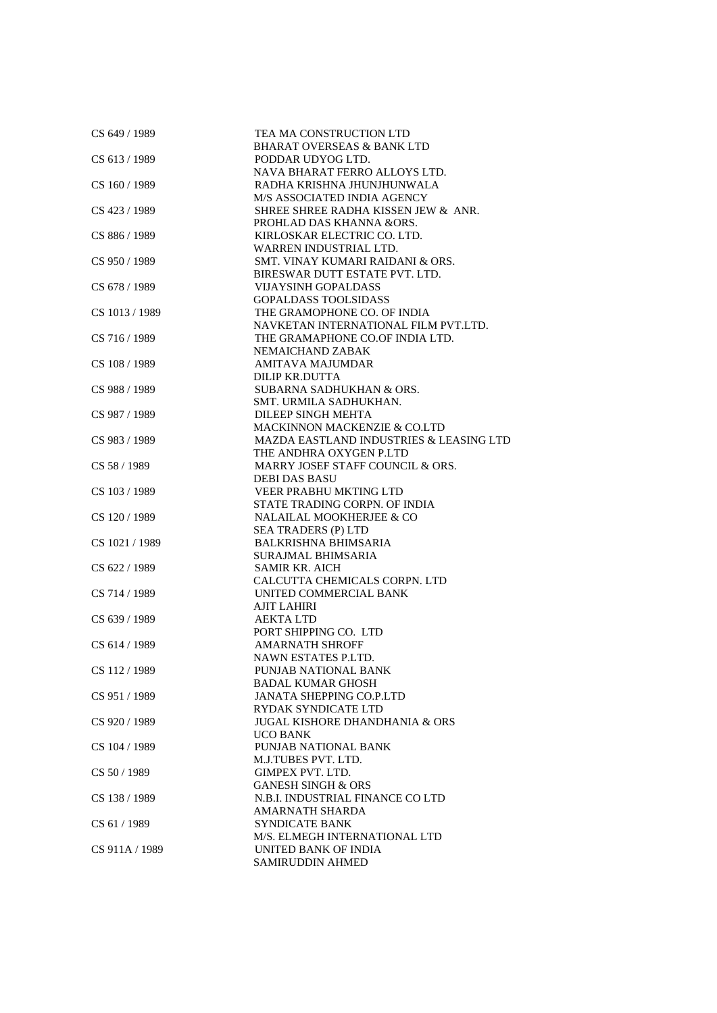| CS 649 / 1989  | TEA MA CONSTRUCTION LTD                   |
|----------------|-------------------------------------------|
|                | <b>BHARAT OVERSEAS &amp; BANK LTD</b>     |
| CS 613 / 1989  | PODDAR UDYOG LTD.                         |
|                | NAVA BHARAT FERRO ALLOYS LTD.             |
| CS 160 / 1989  | RADHA KRISHNA JHUNJHUNWALA                |
|                | M/S ASSOCIATED INDIA AGENCY               |
| CS 423 / 1989  | SHREE SHREE RADHA KISSEN JEW & ANR.       |
|                | PROHLAD DAS KHANNA &ORS.                  |
| CS 886 / 1989  | KIRLOSKAR ELECTRIC CO. LTD.               |
|                | WARREN INDUSTRIAL LTD.                    |
| CS 950 / 1989  | SMT. VINAY KUMARI RAIDANI & ORS.          |
|                | BIRESWAR DUTT ESTATE PVT. LTD.            |
| CS 678 / 1989  | <b>VIJAYSINH GOPALDASS</b>                |
|                | <b>GOPALDASS TOOLSIDASS</b>               |
| CS 1013 / 1989 | THE GRAMOPHONE CO. OF INDIA               |
|                | NAVKETAN INTERNATIONAL FILM PVT.LTD.      |
| CS 716 / 1989  | THE GRAMAPHONE CO.OF INDIA LTD.           |
|                | NEMAICHAND ZABAK                          |
| CS 108 / 1989  | <b>AMITAVA MAJUMDAR</b>                   |
|                | DILIP KR.DUTTA                            |
| CS 988 / 1989  | SUBARNA SADHUKHAN & ORS.                  |
|                | SMT. URMILA SADHUKHAN.                    |
| CS 987 / 1989  | DILEEP SINGH MEHTA                        |
|                | MACKINNON MACKENZIE & CO.LTD              |
| CS 983 / 1989  | MAZDA EASTLAND INDUSTRIES & LEASING LTD   |
|                | THE ANDHRA OXYGEN P.LTD                   |
| CS 58 / 1989   | MARRY JOSEF STAFF COUNCIL & ORS.          |
|                | <b>DEBI DAS BASU</b>                      |
| CS 103 / 1989  | VEER PRABHU MKTING LTD                    |
|                | STATE TRADING CORPN. OF INDIA             |
| CS 120 / 1989  | NALAILAL MOOKHERJEE & CO                  |
|                | SEA TRADERS (P) LTD                       |
| CS 1021 / 1989 | <b>BALKRISHNA BHIMSARIA</b>               |
|                | <b>SURAJMAL BHIMSARIA</b>                 |
| CS 622 / 1989  | <b>SAMIR KR. AICH</b>                     |
|                | CALCUTTA CHEMICALS CORPN. LTD             |
| CS 714 / 1989  | UNITED COMMERCIAL BANK                    |
|                | <b>AJIT LAHIRI</b>                        |
| CS 639 / 1989  | <b>AEKTA LTD</b>                          |
|                | PORT SHIPPING CO. LTD                     |
| CS 614 / 1989  | <b>AMARNATH SHROFF</b>                    |
|                | NAWN ESTATES P.LTD.                       |
| CS 112 / 1989  | PUNJAB NATIONAL BANK                      |
|                | <b>BADAL KUMAR GHOSH</b>                  |
| CS 951 / 1989  | <b>JANATA SHEPPING CO.P.LTD</b>           |
|                | <b>RYDAK SYNDICATE LTD</b>                |
| CS 920 / 1989  | <b>JUGAL KISHORE DHANDHANIA &amp; ORS</b> |
|                | UCO BANK                                  |
| CS 104 / 1989  | PUNJAB NATIONAL BANK                      |
|                | M.J.TUBES PVT. LTD.                       |
| CS 50 / 1989   | GIMPEX PVT. LTD.                          |
|                | <b>GANESH SINGH &amp; ORS</b>             |
| CS 138 / 1989  | N.B.I. INDUSTRIAL FINANCE CO LTD          |
|                | <b>AMARNATH SHARDA</b>                    |
| CS 61 / 1989   | <b>SYNDICATE BANK</b>                     |
|                | M/S. ELMEGH INTERNATIONAL LTD             |
| CS 911A / 1989 | UNITED BANK OF INDIA                      |
|                | <b>SAMIRUDDIN AHMED</b>                   |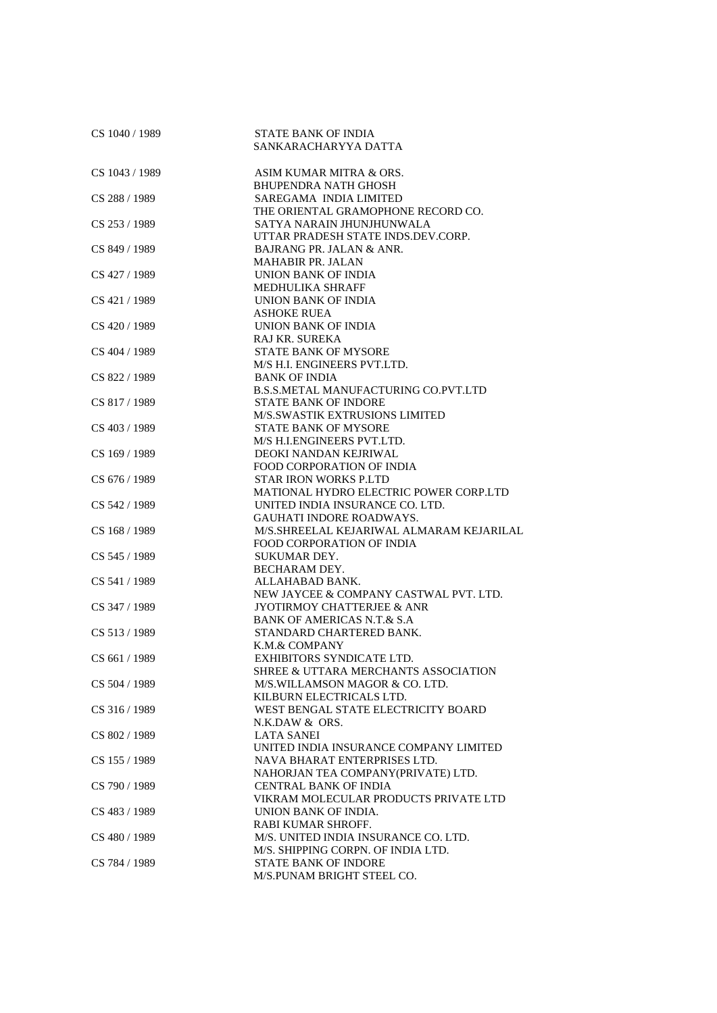| CS 1040 / 1989 | <b>STATE BANK OF INDIA</b><br>SANKARACHARYYA DATTA |
|----------------|----------------------------------------------------|
| CS 1043 / 1989 | ASIM KUMAR MITRA & ORS.                            |
|                | <b>BHUPENDRA NATH GHOSH</b>                        |
| CS 288 / 1989  | SAREGAMA INDIA LIMITED                             |
|                | THE ORIENTAL GRAMOPHONE RECORD CO.                 |
| CS 253 / 1989  | SATYA NARAIN JHUNJHUNWALA                          |
|                | UTTAR PRADESH STATE INDS.DEV.CORP.                 |
| CS 849 / 1989  | BAJRANG PR. JALAN & ANR.                           |
|                | <b>MAHABIR PR. JALAN</b>                           |
| CS 427 / 1989  | UNION BANK OF INDIA                                |
|                | MEDHULIKA SHRAFF                                   |
| CS 421/1989    | UNION BANK OF INDIA                                |
|                | <b>ASHOKE RUEA</b>                                 |
| CS 420 / 1989  | UNION BANK OF INDIA                                |
|                | RAJ KR. SUREKA                                     |
| CS 404 / 1989  | <b>STATE BANK OF MYSORE</b>                        |
|                | M/S H.I. ENGINEERS PVT.LTD.                        |
| CS 822 / 1989  | <b>BANK OF INDIA</b>                               |
|                | <b>B.S.S.METAL MANUFACTURING CO.PVT.LTD</b>        |
| CS 817 / 1989  | <b>STATE BANK OF INDORE</b>                        |
|                | M/S.SWASTIK EXTRUSIONS LIMITED                     |
| CS 403 / 1989  | <b>STATE BANK OF MYSORE</b>                        |
|                | M/S H.I.ENGINEERS PVT.LTD.                         |
| CS 169 / 1989  | DEOKI NANDAN KEJRIWAL                              |
|                | <b>FOOD CORPORATION OF INDIA</b>                   |
| CS 676 / 1989  | <b>STAR IRON WORKS P.LTD</b>                       |
|                | MATIONAL HYDRO ELECTRIC POWER CORP.LTD             |
| CS 542 / 1989  | UNITED INDIA INSURANCE CO. LTD.                    |
|                | <b>GAUHATI INDORE ROADWAYS.</b>                    |
| CS 168 / 1989  | M/S.SHREELAL KEJARIWAL ALMARAM KEJARILAL           |
|                | <b>FOOD CORPORATION OF INDIA</b>                   |
| CS 545 / 1989  | <b>SUKUMAR DEY.</b>                                |
|                | <b>BECHARAM DEY.</b>                               |
| CS 541 / 1989  | ALLAHABAD BANK.                                    |
|                | NEW JAYCEE & COMPANY CASTWAL PVT. LTD.             |
| CS 347 / 1989  | <b>JYOTIRMOY CHATTERJEE &amp; ANR</b>              |
|                | <b>BANK OF AMERICAS N.T.&amp; S.A.</b>             |
| CS 513/1989    | STANDARD CHARTERED BANK.                           |
|                | K.M.& COMPANY                                      |
| CS 661 / 1989  | EXHIBITORS SYNDICATE LTD.                          |
|                | SHREE & UTTARA MERCHANTS ASSOCIATION               |
| CS 504 / 1989  | M/S.WILLAMSON MAGOR & CO. LTD.                     |
|                | KILBURN ELECTRICALS LTD.                           |
| CS 316 / 1989  | WEST BENGAL STATE ELECTRICITY BOARD                |
|                | N.K.DAW & ORS.                                     |
| CS 802 / 1989  | <b>LATA SANEI</b>                                  |
|                | UNITED INDIA INSURANCE COMPANY LIMITED             |
| CS 155 / 1989  | NAVA BHARAT ENTERPRISES LTD.                       |
|                | NAHORJAN TEA COMPANY(PRIVATE) LTD.                 |
| CS 790 / 1989  | CENTRAL BANK OF INDIA                              |
|                | VIKRAM MOLECULAR PRODUCTS PRIVATE LTD              |
| CS 483 / 1989  | UNION BANK OF INDIA.                               |
|                | RABI KUMAR SHROFF.                                 |
| CS 480 / 1989  | M/S. UNITED INDIA INSURANCE CO. LTD.               |
|                | M/S. SHIPPING CORPN. OF INDIA LTD.                 |
| CS 784 / 1989  | STATE BANK OF INDORE                               |
|                | M/S.PUNAM BRIGHT STEEL CO.                         |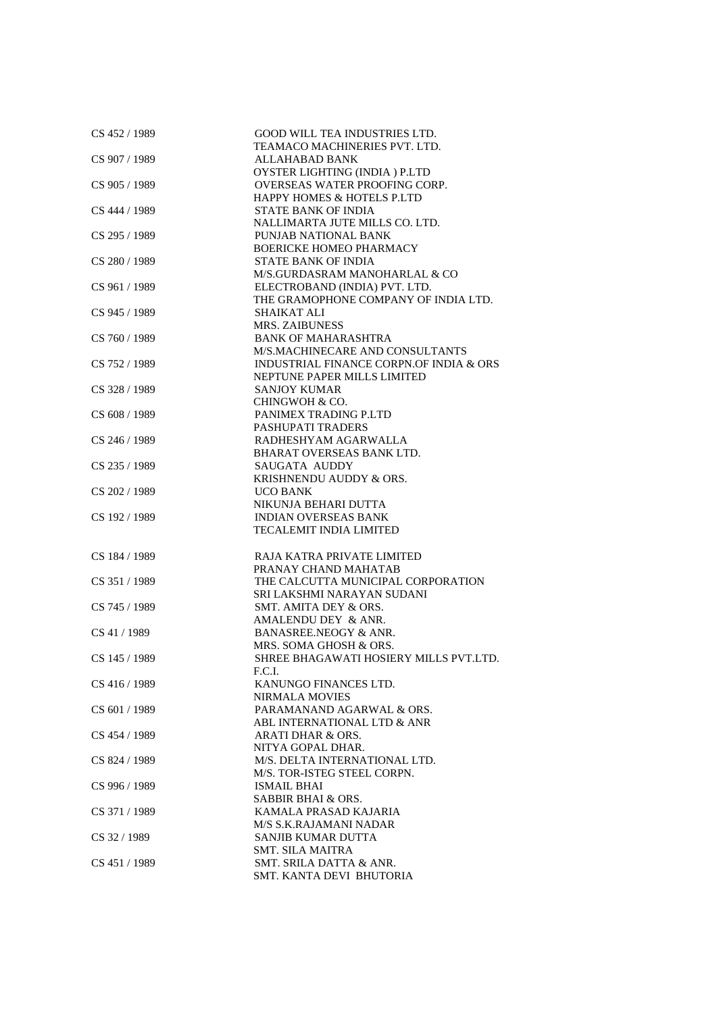| CS 452 / 1989 | GOOD WILL TEA INDUSTRIES LTD.           |
|---------------|-----------------------------------------|
|               | TEAMACO MACHINERIES PVT. LTD.           |
| CS 907 / 1989 | ALLAHABAD BANK                          |
|               | OYSTER LIGHTING (INDIA) P.LTD           |
| CS 905 / 1989 | OVERSEAS WATER PROOFING CORP.           |
|               | <b>HAPPY HOMES &amp; HOTELS P.LTD</b>   |
| CS 444 / 1989 | <b>STATE BANK OF INDIA</b>              |
|               | NALLIMARTA JUTE MILLS CO. LTD.          |
| CS 295 / 1989 | PUNJAB NATIONAL BANK                    |
|               | <b>BOERICKE HOMEO PHARMACY</b>          |
| CS 280 / 1989 | <b>STATE BANK OF INDIA</b>              |
|               | M/S.GURDASRAM MANOHARLAL & CO           |
| CS 961 / 1989 | ELECTROBAND (INDIA) PVT. LTD.           |
|               | THE GRAMOPHONE COMPANY OF INDIA LTD.    |
| CS 945 / 1989 | SHAIKAT ALI                             |
|               | <b>MRS. ZAIBUNESS</b>                   |
| CS 760 / 1989 | <b>BANK OF MAHARASHTRA</b>              |
|               | M/S.MACHINECARE AND CONSULTANTS         |
| CS 752 / 1989 | INDUSTRIAL FINANCE CORPN.OF INDIA & ORS |
|               |                                         |
|               | NEPTUNE PAPER MILLS LIMITED             |
| CS 328 / 1989 | <b>SANJOY KUMAR</b>                     |
|               | CHINGWOH & CO.                          |
| CS 608 / 1989 | PANIMEX TRADING P.LTD                   |
|               | PASHUPATI TRADERS                       |
| CS 246 / 1989 | RADHESHYAM AGARWALLA                    |
|               | BHARAT OVERSEAS BANK LTD.               |
| CS 235 / 1989 | <b>SAUGATA AUDDY</b>                    |
|               | KRISHNENDU AUDDY & ORS.                 |
| CS 202 / 1989 | <b>UCO BANK</b>                         |
|               | NIKUNJA BEHARI DUTTA                    |
| CS 192 / 1989 | <b>INDIAN OVERSEAS BANK</b>             |
|               | <b>TECALEMIT INDIA LIMITED</b>          |
|               |                                         |
| CS 184 / 1989 | RAJA KATRA PRIVATE LIMITED              |
|               | PRANAY CHAND MAHATAB                    |
| CS 351 / 1989 | THE CALCUTTA MUNICIPAL CORPORATION      |
|               | SRI LAKSHMI NARAYAN SUDANI              |
| CS 745 / 1989 | SMT. AMITA DEY & ORS.                   |
|               | AMALENDU DEY & ANR.                     |
| CS 41 / 1989  | BANASREE.NEOGY & ANR.                   |
|               | MRS. SOMA GHOSH & ORS.                  |
| CS 145 / 1989 | SHREE BHAGAWATI HOSIERY MILLS PVT.LTD.  |
|               | F.C.I.                                  |
| CS 416 / 1989 | KANUNGO FINANCES LTD.                   |
|               | NIRMALA MOVIES                          |
| CS 601/1989   | PARAMANAND AGARWAL & ORS.               |
|               | ABL INTERNATIONAL LTD & ANR             |
| CS 454 / 1989 | <b>ARATI DHAR &amp; ORS.</b>            |
|               | NITYA GOPAL DHAR.                       |
| CS 824 / 1989 | M/S. DELTA INTERNATIONAL LTD.           |
|               | M/S. TOR-ISTEG STEEL CORPN.             |
| CS 996 / 1989 | <b>ISMAIL BHAI</b>                      |
|               | SABBIR BHAI & ORS.                      |
| CS 371 / 1989 | KAMALA PRASAD KAJARIA                   |
|               | M/S S.K.RAJAMANI NADAR                  |
| CS 32 / 1989  | SANJIB KUMAR DUTTA                      |
|               | SMT. SILA MAITRA                        |
| CS 451 / 1989 | SMT. SRILA DATTA & ANR.                 |
|               |                                         |
|               | SMT. KANTA DEVI BHUTORIA                |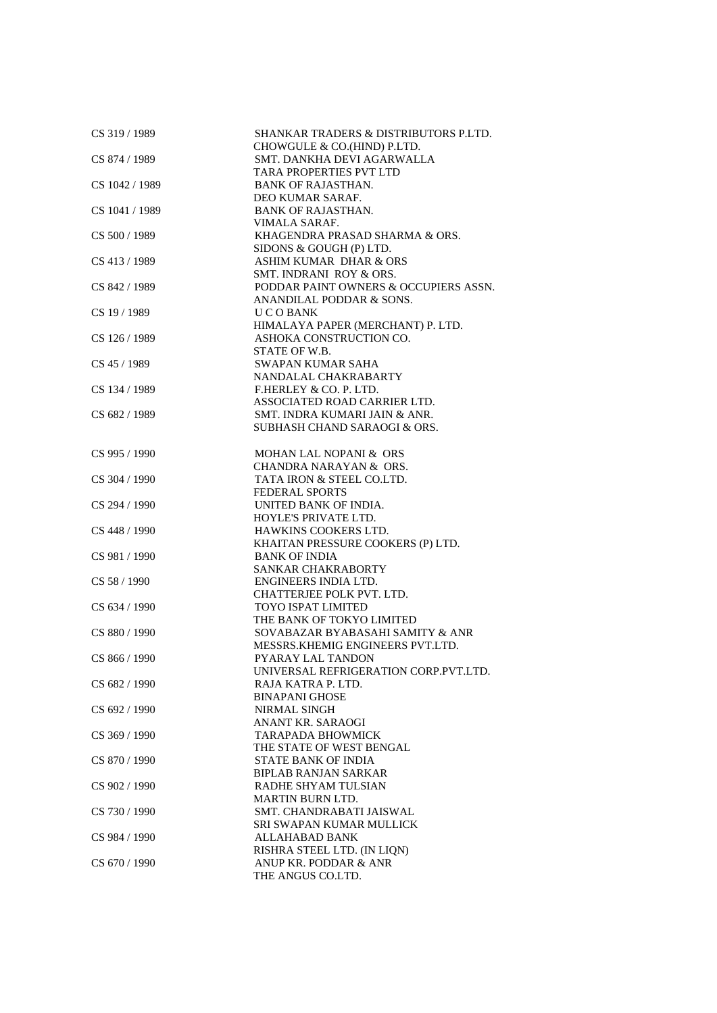| CS 319 / 1989  | <b>SHANKAR TRADERS &amp; DISTRIBUTORS P.LTD.</b> |
|----------------|--------------------------------------------------|
|                | CHOWGULE & CO.(HIND) P.LTD.                      |
| CS 874 / 1989  | SMT. DANKHA DEVI AGARWALLA                       |
|                | TARA PROPERTIES PVT LTD                          |
| CS 1042 / 1989 | <b>BANK OF RAJASTHAN.</b>                        |
|                | DEO KUMAR SARAF.                                 |
| CS 1041 / 1989 | <b>BANK OF RAJASTHAN.</b>                        |
|                | VIMALA SARAF.                                    |
| CS 500 / 1989  | KHAGENDRA PRASAD SHARMA & ORS.                   |
|                | SIDONS & GOUGH (P) LTD.                          |
| CS 413 / 1989  | <b>ASHIM KUMAR DHAR &amp; ORS</b>                |
|                | SMT. INDRANI ROY & ORS.                          |
| CS 842 / 1989  | PODDAR PAINT OWNERS & OCCUPIERS ASSN.            |
|                | ANANDILAL PODDAR & SONS.                         |
| CS 19 / 1989   | U C O BANK                                       |
|                | HIMALAYA PAPER (MERCHANT) P. LTD.                |
| CS 126 / 1989  | ASHOKA CONSTRUCTION CO.                          |
|                |                                                  |
|                | STATE OF W.B.                                    |
| CS 45 / 1989   | <b>SWAPAN KUMAR SAHA</b>                         |
|                | NANDALAL CHAKRABARTY                             |
| CS 134 / 1989  | F.HERLEY & CO. P. LTD.                           |
|                | ASSOCIATED ROAD CARRIER LTD.                     |
| CS 682 / 1989  | SMT. INDRA KUMARI JAIN & ANR.                    |
|                | SUBHASH CHAND SARAOGI & ORS.                     |
|                |                                                  |
| CS 995 / 1990  | MOHAN LAL NOPANI & ORS                           |
|                | <b>CHANDRA NARAYAN &amp; ORS.</b>                |
| CS 304 / 1990  | TATA IRON & STEEL CO.LTD.                        |
|                | <b>FEDERAL SPORTS</b>                            |
| CS 294 / 1990  | UNITED BANK OF INDIA.                            |
|                | HOYLE'S PRIVATE LTD.                             |
| CS 448 / 1990  | HAWKINS COOKERS LTD.                             |
|                | KHAITAN PRESSURE COOKERS (P) LTD.                |
| CS 981 / 1990  | <b>BANK OF INDIA</b>                             |
|                | SANKAR CHAKRABORTY                               |
| CS 58 / 1990   | ENGINEERS INDIA LTD.                             |
|                | CHATTERJEE POLK PVT. LTD.                        |
| CS 634 / 1990  | TOYO ISPAT LIMITED                               |
|                | THE BANK OF TOKYO LIMITED                        |
|                |                                                  |
| CS 880 / 1990  | SOVABAZAR BYABASAHI SAMITY & ANR                 |
|                | MESSRS. KHEMIG ENGINEERS PVT.LTD.                |
| CS 866 / 1990  | PYARAY LAL TANDON                                |
|                | UNIVERSAL REFRIGERATION CORP.PVT.LTD.            |
| CS 682 / 1990  | RAJA KATRA P. LTD.                               |
|                | <b>BINAPANI GHOSE</b>                            |
| CS 692 / 1990  | <b>NIRMAL SINGH</b>                              |
|                | ANANT KR. SARAOGI                                |
| CS 369 / 1990  | <b>TARAPADA BHOWMICK</b>                         |
|                | THE STATE OF WEST BENGAL                         |
| CS 870 / 1990  | <b>STATE BANK OF INDIA</b>                       |
|                | <b>BIPLAB RANJAN SARKAR</b>                      |
| CS 902 / 1990  | RADHE SHYAM TULSIAN                              |
|                | <b>MARTIN BURN LTD.</b>                          |
| CS 730 / 1990  | SMT. CHANDRABATI JAISWAL                         |
|                | SRI SWAPAN KUMAR MULLICK                         |
| CS 984 / 1990  | <b>ALLAHABAD BANK</b>                            |
|                | RISHRA STEEL LTD. (IN LIQN)                      |
| CS 670 / 1990  | ANUP KR. PODDAR & ANR                            |
|                | THE ANGUS CO.LTD.                                |
|                |                                                  |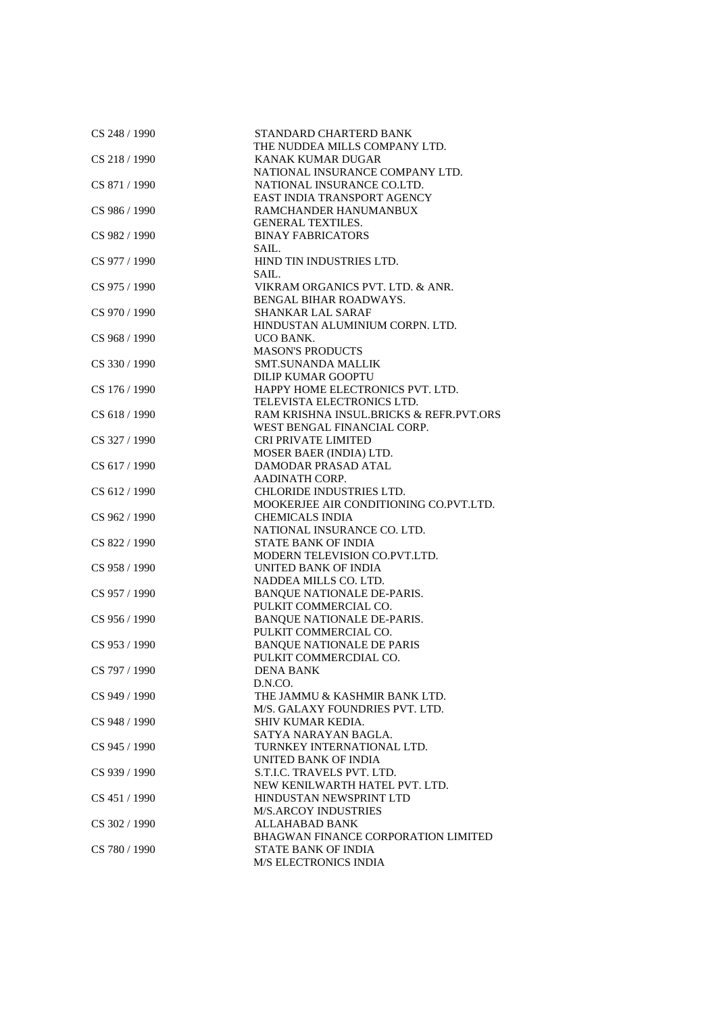| CS 248 / 1990   | STANDARD CHARTERD BANK                                     |
|-----------------|------------------------------------------------------------|
|                 | THE NUDDEA MILLS COMPANY LTD.                              |
| CS 218 / 1990   | KANAK KUMAR DUGAR                                          |
|                 | NATIONAL INSURANCE COMPANY LTD.                            |
| CS 871 / 1990   | NATIONAL INSURANCE CO.LTD.                                 |
|                 | EAST INDIA TRANSPORT AGENCY                                |
| CS 986 / 1990   | RAMCHANDER HANUMANBUX                                      |
|                 | <b>GENERAL TEXTILES.</b>                                   |
| CS 982 / 1990   | <b>BINAY FABRICATORS</b>                                   |
|                 | SAIL.                                                      |
| CS 977 / 1990   | HIND TIN INDUSTRIES LTD.                                   |
|                 | SAIL.                                                      |
| CS 975 / 1990   | VIKRAM ORGANICS PVT. LTD. & ANR.                           |
|                 | BENGAL BIHAR ROADWAYS.                                     |
| CS 970 / 1990   | <b>SHANKAR LAL SARAF</b>                                   |
|                 | HINDUSTAN ALUMINIUM CORPN. LTD.                            |
| CS 968 / 1990   | UCO BANK.                                                  |
|                 | <b>MASON'S PRODUCTS</b>                                    |
| CS 330 / 1990   | <b>SMT.SUNANDA MALLIK</b>                                  |
|                 | <b>DILIP KUMAR GOOPTU</b>                                  |
| CS 176/1990     | HAPPY HOME ELECTRONICS PVT. LTD.                           |
|                 | TELEVISTA ELECTRONICS LTD.                                 |
| CS 618 / 1990   | RAM KRISHNA INSUL.BRICKS & REFR.PVT.ORS                    |
|                 | WEST BENGAL FINANCIAL CORP.                                |
| CS 327 / 1990   | <b>CRI PRIVATE LIMITED</b>                                 |
|                 | MOSER BAER (INDIA) LTD.                                    |
| CS 617 / 1990   | <b>DAMODAR PRASAD ATAL</b>                                 |
|                 | <b>AADINATH CORP.</b>                                      |
| CS 612 / 1990   | <b>CHLORIDE INDUSTRIES LTD.</b>                            |
|                 | MOOKERJEE AIR CONDITIONING CO.PVT.LTD.                     |
| CS 962 / 1990   | <b>CHEMICALS INDIA</b>                                     |
|                 | NATIONAL INSURANCE CO. LTD.                                |
| CS 822 / 1990   | <b>STATE BANK OF INDIA</b>                                 |
|                 | MODERN TELEVISION CO.PVT.LTD.                              |
| CS 958 / 1990   | UNITED BANK OF INDIA                                       |
|                 | NADDEA MILLS CO. LTD.                                      |
| CS 957 / 1990   |                                                            |
|                 | <b>BANQUE NATIONALE DE-PARIS.</b>                          |
|                 | PULKIT COMMERCIAL CO.                                      |
| $CS$ 956 / 1990 | <b>BANQUE NATIONALE DE-PARIS.</b>                          |
|                 | PULKIT COMMERCIAL CO.                                      |
| $CS$ 953 / 1990 | <b>BANQUE NATIONALE DE PARIS</b><br>PULKIT COMMERCDIAL CO. |
| CS 797 / 1990   |                                                            |
|                 | <b>DENA BANK</b>                                           |
|                 | D.N.CO.                                                    |
| CS 949 / 1990   | THE JAMMU & KASHMIR BANK LTD.                              |
|                 | M/S. GALAXY FOUNDRIES PVT. LTD.                            |
| CS 948 / 1990   | SHIV KUMAR KEDIA.                                          |
|                 | SATYA NARAYAN BAGLA.                                       |
| CS 945 / 1990   | TURNKEY INTERNATIONAL LTD.                                 |
|                 | UNITED BANK OF INDIA                                       |
| CS 939 / 1990   | S.T.I.C. TRAVELS PVT. LTD.                                 |
|                 | NEW KENILWARTH HATEL PVT. LTD.                             |
| CS 451 / 1990   | HINDUSTAN NEWSPRINT LTD                                    |
|                 | <b>M/S.ARCOY INDUSTRIES</b>                                |
| CS 302 / 1990   | <b>ALLAHABAD BANK</b>                                      |
|                 | BHAGWAN FINANCE CORPORATION LIMITED                        |
| CS 780 / 1990   | STATE BANK OF INDIA                                        |
|                 | <b>M/S ELECTRONICS INDIA</b>                               |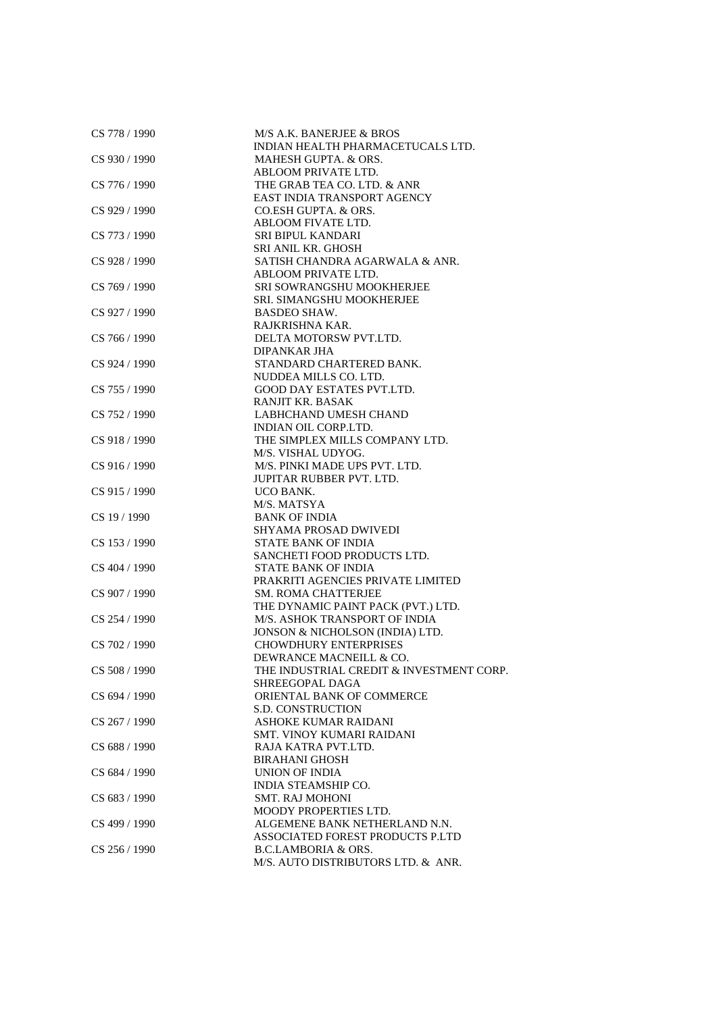| CS 778 / 1990 | M/S A.K. BANERJEE & BROS<br>INDIAN HEALTH PHARMACETUCALS LTD. |
|---------------|---------------------------------------------------------------|
| CS 930 / 1990 | MAHESH GUPTA. & ORS.                                          |
|               | ABLOOM PRIVATE LTD.                                           |
| CS 776 / 1990 | THE GRAB TEA CO. LTD. & ANR                                   |
|               | EAST INDIA TRANSPORT AGENCY                                   |
| CS 929 / 1990 | CO.ESH GUPTA. & ORS.                                          |
|               | ABLOOM FIVATE LTD.                                            |
| CS 773 / 1990 | SRI BIPUL KANDARI                                             |
|               | <b>SRI ANIL KR. GHOSH</b>                                     |
| CS 928 / 1990 | SATISH CHANDRA AGARWALA & ANR.                                |
|               | ABLOOM PRIVATE LTD.                                           |
| CS 769 / 1990 | SRI SOWRANGSHU MOOKHERJEE                                     |
|               | SRI. SIMANGSHU MOOKHERJEE                                     |
| CS 927 / 1990 | <b>BASDEO SHAW.</b>                                           |
|               | RAJKRISHNA KAR.                                               |
| CS 766 / 1990 | DELTA MOTORSW PVT.LTD.                                        |
|               | <b>DIPANKAR JHA</b>                                           |
|               | STANDARD CHARTERED BANK.                                      |
| CS 924 / 1990 |                                                               |
|               | NUDDEA MILLS CO. LTD.                                         |
| CS 755 / 1990 | GOOD DAY ESTATES PVT.LTD.                                     |
|               | <b>RANJIT KR. BASAK</b>                                       |
| CS 752/1990   | LABHCHAND UMESH CHAND                                         |
|               | INDIAN OIL CORP.LTD.                                          |
| CS 918 / 1990 | THE SIMPLEX MILLS COMPANY LTD.                                |
|               | M/S. VISHAL UDYOG.                                            |
| CS 916 / 1990 | M/S. PINKI MADE UPS PVT. LTD.                                 |
|               | <b>JUPITAR RUBBER PVT. LTD.</b>                               |
| CS 915 / 1990 | UCO BANK.                                                     |
|               | M/S. MATSYA                                                   |
| CS 19 / 1990  | <b>BANK OF INDIA</b>                                          |
|               | SHYAMA PROSAD DWIVEDI                                         |
| CS 153 / 1990 | STATE BANK OF INDIA                                           |
|               | SANCHETI FOOD PRODUCTS LTD.                                   |
| CS 404 / 1990 | <b>STATE BANK OF INDIA</b>                                    |
|               | PRAKRITI AGENCIES PRIVATE LIMITED                             |
| CS 907 / 1990 | SM. ROMA CHATTERJEE                                           |
|               | THE DYNAMIC PAINT PACK (PVT.) LTD.                            |
| CS 254 / 1990 | M/S. ASHOK TRANSPORT OF INDIA                                 |
|               | JONSON & NICHOLSON (INDIA) LTD.                               |
| CS 702 / 1990 | <b>CHOWDHURY ENTERPRISES</b>                                  |
|               | DEWRANCE MACNEILL & CO.                                       |
| CS 508 / 1990 | THE INDUSTRIAL CREDIT & INVESTMENT CORP.                      |
|               | SHREEGOPAL DAGA                                               |
| CS 694 / 1990 | ORIENTAL BANK OF COMMERCE                                     |
|               | <b>S.D. CONSTRUCTION</b>                                      |
| CS 267 / 1990 | <b>ASHOKE KUMAR RAIDANI</b>                                   |
|               | <b>SMT. VINOY KUMARI RAIDANI</b>                              |
| CS 688 / 1990 | RAJA KATRA PVT.LTD.                                           |
|               | <b>BIRAHANI GHOSH</b>                                         |
| CS 684 / 1990 | <b>UNION OF INDIA</b>                                         |
|               | <b>INDIA STEAMSHIP CO.</b>                                    |
| CS 683 / 1990 | <b>SMT. RAJ MOHONI</b>                                        |
|               | <b>MOODY PROPERTIES LTD.</b>                                  |
| CS 499 / 1990 | ALGEMENE BANK NETHERLAND N.N.                                 |
|               | ASSOCIATED FOREST PRODUCTS P.LTD                              |
| CS 256 / 1990 | <b>B.C.LAMBORIA &amp; ORS.</b>                                |
|               | M/S. AUTO DISTRIBUTORS LTD. & ANR.                            |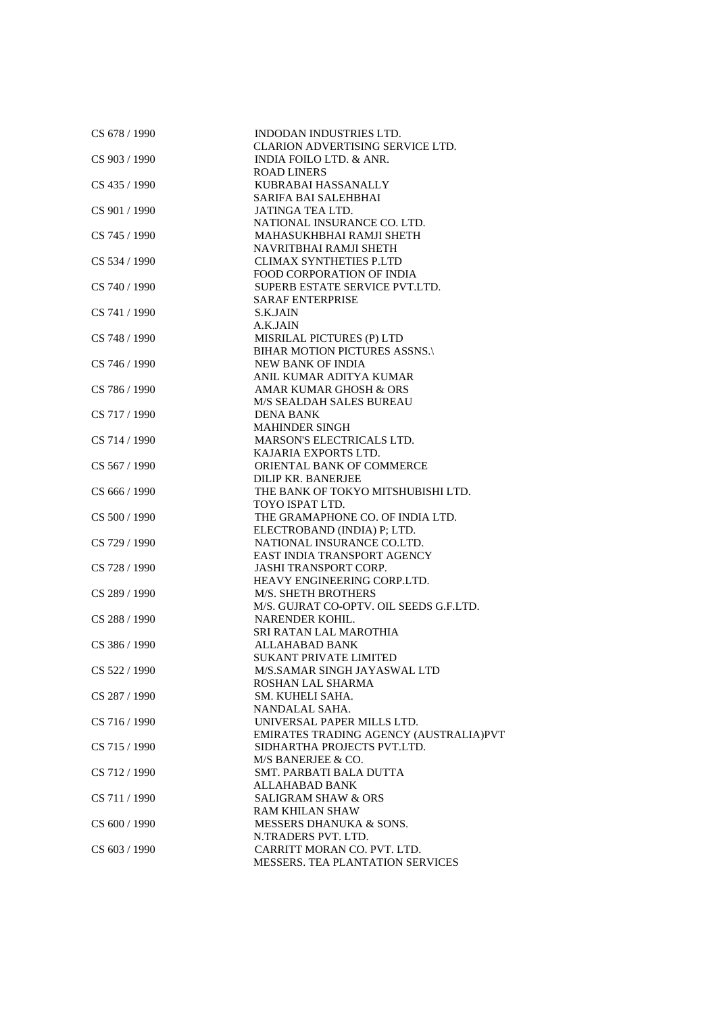| CS 678 / 1990 | INDODAN INDUSTRIES LTD.                 |
|---------------|-----------------------------------------|
|               | CLARION ADVERTISING SERVICE LTD.        |
| CS 903 / 1990 | INDIA FOILO LTD. & ANR.                 |
|               | <b>ROAD LINERS</b>                      |
| CS 435 / 1990 | KUBRABAI HASSANALLY                     |
|               | <b>SARIFA BAI SALEHBHAI</b>             |
| CS 901 / 1990 | JATINGA TEA LTD.                        |
|               | NATIONAL INSURANCE CO. LTD.             |
| CS 745 / 1990 | MAHASUKHBHAI RAMJI SHETH                |
|               | NAVRITBHAI RAMJI SHETH                  |
| CS 534 / 1990 | <b>CLIMAX SYNTHETIES P.LTD</b>          |
|               | <b>FOOD CORPORATION OF INDIA</b>        |
| CS 740 / 1990 | SUPERB ESTATE SERVICE PVT.LTD.          |
|               | <b>SARAF ENTERPRISE</b>                 |
| CS 741 / 1990 | <b>S.K.JAIN</b>                         |
|               | A.K.JAIN                                |
| CS 748 / 1990 | MISRILAL PICTURES (P) LTD               |
|               | BIHAR MOTION PICTURES ASSNS.\           |
|               | <b>NEW BANK OF INDIA</b>                |
| CS 746 / 1990 | ANIL KUMAR ADITYA KUMAR                 |
| CS 786 / 1990 |                                         |
|               | AMAR KUMAR GHOSH & ORS                  |
|               | <b>M/S SEALDAH SALES BUREAU</b>         |
| CS 717 / 1990 | <b>DENA BANK</b>                        |
|               | <b>MAHINDER SINGH</b>                   |
| CS 714 / 1990 | MARSON'S ELECTRICALS LTD.               |
|               | KAJARIA EXPORTS LTD.                    |
| CS 567 / 1990 | ORIENTAL BANK OF COMMERCE               |
|               | DILIP KR. BANERJEE                      |
| CS 666 / 1990 | THE BANK OF TOKYO MITSHUBISHI LTD.      |
|               | TOYO ISPAT LTD.                         |
| CS 500 / 1990 | THE GRAMAPHONE CO. OF INDIA LTD.        |
|               | ELECTROBAND (INDIA) P; LTD.             |
| CS 729 / 1990 | NATIONAL INSURANCE CO.LTD.              |
|               | EAST INDIA TRANSPORT AGENCY             |
| CS 728 / 1990 | <b>JASHI TRANSPORT CORP.</b>            |
|               | HEAVY ENGINEERING CORP.LTD.             |
| CS 289 / 1990 | <b>M/S. SHETH BROTHERS</b>              |
|               | M/S. GUJRAT CO-OPTV. OIL SEEDS G.F.LTD. |
| CS 288 / 1990 | NARENDER KOHIL.                         |
|               | SRI RATAN LAL MAROTHIA                  |
| CS 386 / 1990 | <b>ALLAHABAD BANK</b>                   |
|               | <b>SUKANT PRIVATE LIMITED</b>           |
| CS 522 / 1990 | M/S.SAMAR SINGH JAYASWAL LTD            |
|               | ROSHAN LAL SHARMA                       |
| CS 287 / 1990 | SM. KUHELI SAHA.                        |
|               | NANDALAL SAHA.                          |
| CS 716 / 1990 | UNIVERSAL PAPER MILLS LTD.              |
|               | EMIRATES TRADING AGENCY (AUSTRALIA) PVT |
| CS 715 / 1990 | SIDHARTHA PROJECTS PVT.LTD.             |
|               | M/S BANERJEE & CO.                      |
| CS 712 / 1990 | SMT. PARBATI BALA DUTTA                 |
|               | ALLAHABAD BANK                          |
| CS 711 / 1990 | <b>SALIGRAM SHAW &amp; ORS</b>          |
|               | <b>RAM KHILAN SHAW</b>                  |
| CS 600 / 1990 | MESSERS DHANUKA & SONS.                 |
|               | N.TRADERS PVT. LTD.                     |
| CS 603 / 1990 | CARRITT MORAN CO. PVT. LTD.             |
|               | <b>MESSERS. TEA PLANTATION SERVICES</b> |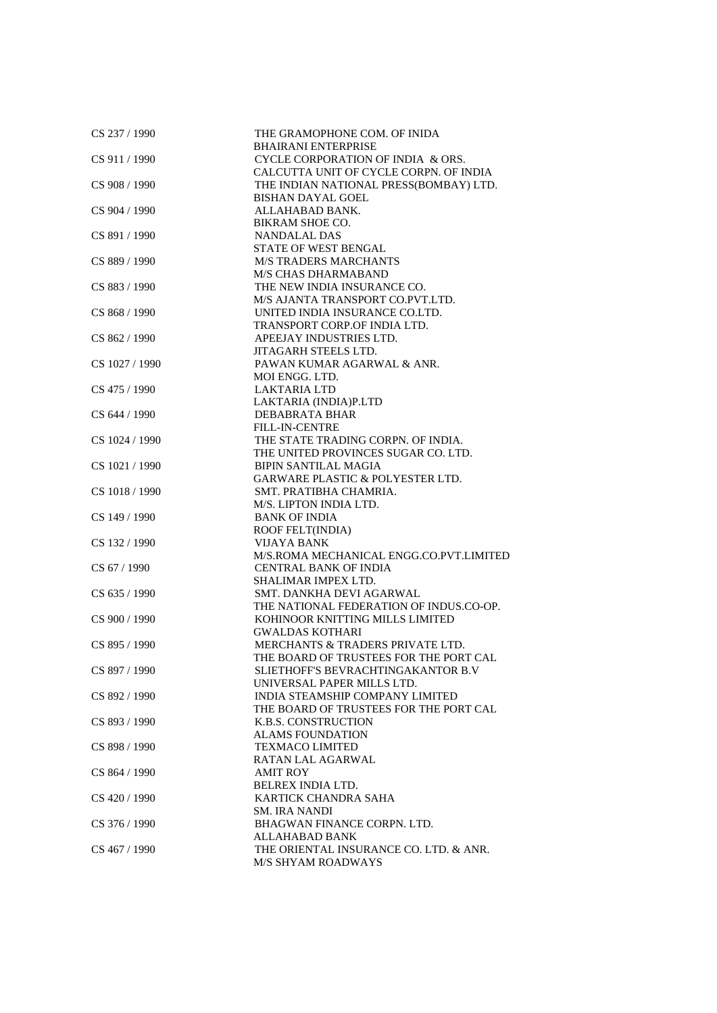| CS 237 / 1990  | THE GRAMOPHONE COM. OF INIDA<br><b>BHAIRANI ENTERPRISE</b>      |
|----------------|-----------------------------------------------------------------|
| CS 911 / 1990  | CYCLE CORPORATION OF INDIA & ORS.                               |
|                | CALCUTTA UNIT OF CYCLE CORPN. OF INDIA                          |
| CS 908 / 1990  | THE INDIAN NATIONAL PRESS(BOMBAY) LTD.                          |
|                | <b>BISHAN DAYAL GOEL</b>                                        |
|                |                                                                 |
| CS 904 / 1990  | ALLAHABAD BANK.                                                 |
|                | BIKRAM SHOE CO.                                                 |
| CS 891 / 1990  | <b>NANDALAL DAS</b>                                             |
|                | STATE OF WEST BENGAL                                            |
| CS 889 / 1990  | <b>M/S TRADERS MARCHANTS</b>                                    |
|                | <b>M/S CHAS DHARMABAND</b>                                      |
| CS 883 / 1990  | THE NEW INDIA INSURANCE CO.<br>M/S AJANTA TRANSPORT CO.PVT.LTD. |
|                |                                                                 |
| CS 868 / 1990  | UNITED INDIA INSURANCE CO.LTD.                                  |
|                | TRANSPORT CORP.OF INDIA LTD.                                    |
| CS 862 / 1990  | APEEJAY INDUSTRIES LTD.                                         |
|                | <b>JITAGARH STEELS LTD.</b>                                     |
| CS 1027 / 1990 | PAWAN KUMAR AGARWAL & ANR.                                      |
|                | MOI ENGG. LTD.                                                  |
| CS 475 / 1990  | <b>LAKTARIA LTD</b>                                             |
|                | LAKTARIA (INDIA)P.LTD                                           |
| CS 644 / 1990  | DEBABRATA BHAR                                                  |
|                | FILL-IN-CENTRE                                                  |
| CS 1024 / 1990 | THE STATE TRADING CORPN. OF INDIA.                              |
|                | THE UNITED PROVINCES SUGAR CO. LTD.                             |
| CS 1021 / 1990 | <b>BIPIN SANTILAL MAGIA</b>                                     |
|                | <b>GARWARE PLASTIC &amp; POLYESTER LTD.</b>                     |
| CS 1018 / 1990 | SMT. PRATIBHA CHAMRIA.                                          |
|                | M/S. LIPTON INDIA LTD.                                          |
| CS 149 / 1990  | <b>BANK OF INDIA</b>                                            |
|                | ROOF FELT(INDIA)                                                |
| CS 132 / 1990  | VIJAYA BANK                                                     |
|                | M/S.ROMA MECHANICAL ENGG.CO.PVT.LIMITED                         |
| CS 67 / 1990   | <b>CENTRAL BANK OF INDIA</b>                                    |
|                | SHALIMAR IMPEX LTD.                                             |
| CS 635 / 1990  | SMT. DANKHA DEVI AGARWAL                                        |
|                | THE NATIONAL FEDERATION OF INDUS.CO-OP.                         |
| CS 900 / 1990  | KOHINOOR KNITTING MILLS LIMITED                                 |
|                | <b>GWALDAS KOTHARI</b>                                          |
| CS 895 / 1990  | MERCHANTS & TRADERS PRIVATE LTD.                                |
|                | THE BOARD OF TRUSTEES FOR THE PORT CAL                          |
| CS 897 / 1990  | SLIETHOFF'S BEVRACHTINGAKANTOR B.V                              |
|                | UNIVERSAL PAPER MILLS LTD.                                      |
| CS 892 / 1990  | INDIA STEAMSHIP COMPANY LIMITED                                 |
|                | THE BOARD OF TRUSTEES FOR THE PORT CAL                          |
| CS 893 / 1990  | <b>K.B.S. CONSTRUCTION</b>                                      |
|                | <b>ALAMS FOUNDATION</b>                                         |
| CS 898 / 1990  | <b>TEXMACO LIMITED</b>                                          |
|                | RATAN LAL AGARWAL                                               |
| CS 864 / 1990  | <b>AMIT ROY</b>                                                 |
|                | <b>BELREX INDIA LTD.</b>                                        |
| CS 420 / 1990  | KARTICK CHANDRA SAHA                                            |
|                | <b>SM. IRA NANDI</b>                                            |
| CS 376 / 1990  | BHAGWAN FINANCE CORPN. LTD.                                     |
|                | ALLAHABAD BANK                                                  |
| CS 467 / 1990  | THE ORIENTAL INSURANCE CO. LTD. & ANR.                          |
|                | M/S SHYAM ROADWAYS                                              |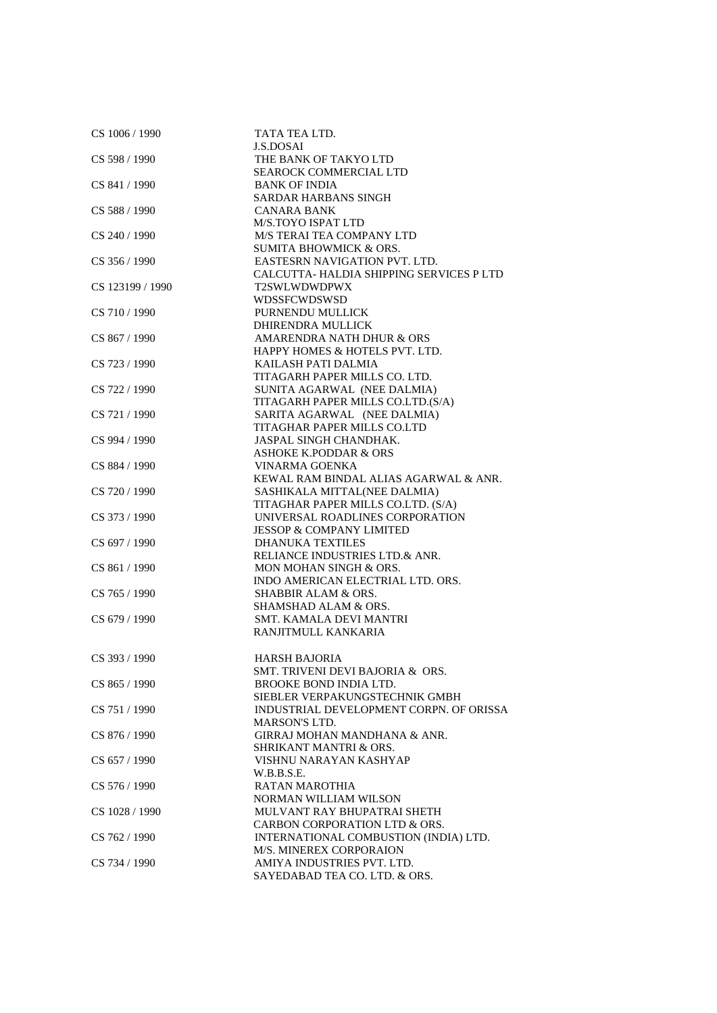| CS 1006 / 1990   | TATA TEA LTD.                           |
|------------------|-----------------------------------------|
|                  | <b>J.S.DOSAI</b>                        |
| CS 598 / 1990    | THE BANK OF TAKYO LTD                   |
|                  | <b>SEAROCK COMMERCIAL LTD</b>           |
| CS 841 / 1990    | <b>BANK OF INDIA</b>                    |
|                  | SARDAR HARBANS SINGH                    |
| CS 588 / 1990    | CANARA BANK                             |
|                  | M/S.TOYO ISPAT LTD                      |
| CS 240 / 1990    | M/S TERAI TEA COMPANY LTD               |
|                  | <b>SUMITA BHOWMICK &amp; ORS.</b>       |
| CS 356 / 1990    | EASTESRN NAVIGATION PVT. LTD.           |
|                  | CALCUTTA-HALDIA SHIPPING SERVICES P LTD |
|                  | T2SWLWDWDPWX                            |
| CS 123199 / 1990 |                                         |
|                  | WDSSFCWDSWSD                            |
| CS 710 / 1990    | PURNENDU MULLICK                        |
|                  | DHIRENDRA MULLICK                       |
| CS 867 / 1990    | AMARENDRA NATH DHUR & ORS               |
|                  | HAPPY HOMES & HOTELS PVT. LTD.          |
| CS 723 / 1990    | KAILASH PATI DALMIA                     |
|                  | TITAGARH PAPER MILLS CO. LTD.           |
| CS 722 / 1990    | SUNITA AGARWAL (NEE DALMIA)             |
|                  | TITAGARH PAPER MILLS CO.LTD.(S/A)       |
| CS 721 / 1990    | SARITA AGARWAL (NEE DALMIA)             |
|                  | TITAGHAR PAPER MILLS CO.LTD             |
| CS 994 / 1990    | JASPAL SINGH CHANDHAK.                  |
|                  | ASHOKE K.PODDAR & ORS                   |
| CS 884 / 1990    | VINARMA GOENKA                          |
|                  | KEWAL RAM BINDAL ALIAS AGARWAL & ANR.   |
| CS 720 / 1990    | SASHIKALA MITTAL(NEE DALMIA)            |
|                  | TITAGHAR PAPER MILLS CO.LTD. (S/A)      |
| CS 373 / 1990    | UNIVERSAL ROADLINES CORPORATION         |
|                  |                                         |
|                  | <b>JESSOP &amp; COMPANY LIMITED</b>     |
| CS 697 / 1990    | <b>DHANUKA TEXTILES</b>                 |
|                  | RELIANCE INDUSTRIES LTD.& ANR.          |
| CS 861 / 1990    | MON MOHAN SINGH & ORS.                  |
|                  | INDO AMERICAN ELECTRIAL LTD. ORS.       |
| CS 765 / 1990    | <b>SHABBIR ALAM &amp; ORS.</b>          |
|                  | SHAMSHAD ALAM & ORS.                    |
| CS 679 / 1990    | SMT. KAMALA DEVI MANTRI                 |
|                  | RANJITMULL KANKARIA                     |
|                  |                                         |
| CS 393 / 1990    | <b>HARSH BAJORIA</b>                    |
|                  | SMT. TRIVENI DEVI BAJORIA & ORS.        |
| CS 865 / 1990    | BROOKE BOND INDIA LTD.                  |
|                  | SIEBLER VERPAKUNGSTECHNIK GMBH          |
| CS 751 / 1990    | INDUSTRIAL DEVELOPMENT CORPN. OF ORISSA |
|                  | MARSON'S LTD.                           |
| CS 876 / 1990    | GIRRAJ MOHAN MANDHANA & ANR.            |
|                  | <b>SHRIKANT MANTRI &amp; ORS.</b>       |
| CS 657 / 1990    | VISHNU NARAYAN KASHYAP                  |
|                  | W.B.B.S.E.                              |
|                  |                                         |
| CS 576 / 1990    | <b>RATAN MAROTHIA</b>                   |
|                  | <b>NORMAN WILLIAM WILSON</b>            |
| CS 1028 / 1990   | MULVANT RAY BHUPATRAI SHETH             |
|                  | CARBON CORPORATION LTD & ORS.           |
| CS 762 / 1990    | INTERNATIONAL COMBUSTION (INDIA) LTD.   |
|                  | M/S. MINEREX CORPORAION                 |
| CS 734 / 1990    | AMIYA INDUSTRIES PVT. LTD.              |
|                  | SAYEDABAD TEA CO. LTD. & ORS.           |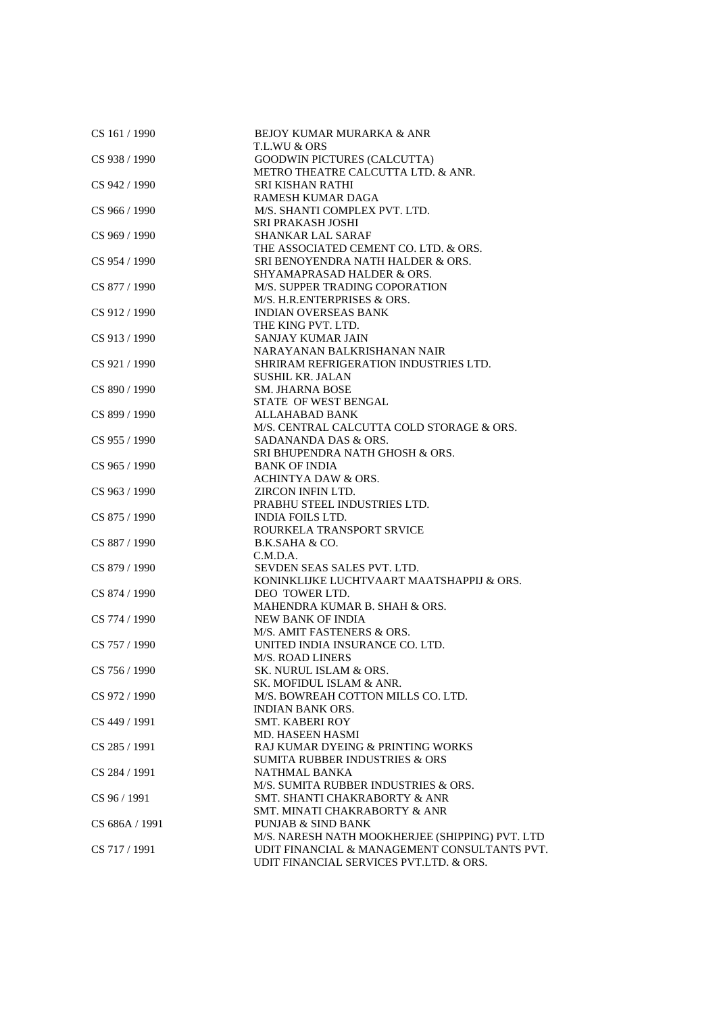| CS 161 / 1990  | <b>BEJOY KUMAR MURARKA &amp; ANR</b>            |
|----------------|-------------------------------------------------|
|                | T.L.WU & ORS                                    |
| CS 938 / 1990  | GOODWIN PICTURES (CALCUTTA)                     |
|                | METRO THEATRE CALCUTTA LTD. & ANR.              |
| CS 942 / 1990  | <b>SRI KISHAN RATHI</b>                         |
|                | RAMESH KUMAR DAGA                               |
| CS 966 / 1990  | M/S. SHANTI COMPLEX PVT. LTD.                   |
|                | SRI PRAKASH JOSHI                               |
| CS 969 / 1990  | <b>SHANKAR LAL SARAF</b>                        |
|                | THE ASSOCIATED CEMENT CO. LTD. & ORS.           |
| CS 954 / 1990  | SRI BENOYENDRA NATH HALDER & ORS.               |
|                |                                                 |
|                | SHYAMAPRASAD HALDER & ORS.                      |
| CS 877 / 1990  | M/S. SUPPER TRADING COPORATION                  |
|                | M/S. H.R.ENTERPRISES & ORS.                     |
| CS 912 / 1990  | <b>INDIAN OVERSEAS BANK</b>                     |
|                | THE KING PVT. LTD.                              |
| CS 913 / 1990  | SANJAY KUMAR JAIN                               |
|                | NARAYANAN BALKRISHANAN NAIR                     |
| CS 921 / 1990  | SHRIRAM REFRIGERATION INDUSTRIES LTD.           |
|                | <b>SUSHIL KR. JALAN</b>                         |
| CS 890 / 1990  | <b>SM. JHARNA BOSE</b>                          |
|                | STATE OF WEST BENGAL                            |
| CS 899 / 1990  | <b>ALLAHABAD BANK</b>                           |
|                | M/S. CENTRAL CALCUTTA COLD STORAGE & ORS.       |
| CS 955 / 1990  | SADANANDA DAS & ORS.                            |
|                | SRI BHUPENDRA NATH GHOSH & ORS.                 |
| CS 965 / 1990  | <b>BANK OF INDIA</b>                            |
|                |                                                 |
|                | <b>ACHINTYA DAW &amp; ORS.</b>                  |
| CS 963 / 1990  | ZIRCON INFIN LTD.                               |
|                | PRABHU STEEL INDUSTRIES LTD.                    |
| CS 875 / 1990  | <b>INDIA FOILS LTD.</b>                         |
|                | ROURKELA TRANSPORT SRVICE                       |
| CS 887 / 1990  | B.K.SAHA & CO.                                  |
|                | C.M.D.A.                                        |
| CS 879 / 1990  | SEVDEN SEAS SALES PVT. LTD.                     |
|                | KONINKLIJKE LUCHTVAART MAATSHAPPIJ & ORS.       |
| CS 874 / 1990  | DEO TOWER LTD.                                  |
|                | MAHENDRA KUMAR B. SHAH & ORS.                   |
| CS 774 / 1990  | NEW BANK OF INDIA                               |
|                | M/S. AMIT FASTENERS & ORS.                      |
| CS 757 / 1990  | UNITED INDIA INSURANCE CO. LTD.                 |
|                | <b>M/S. ROAD LINERS</b>                         |
| CS 756 / 1990  | SK. NURUL ISLAM & ORS.                          |
|                | SK. MOFIDUL ISLAM & ANR.                        |
| CS 972 / 1990  | M/S. BOWREAH COTTON MILLS CO. LTD.              |
|                |                                                 |
|                | <b>INDIAN BANK ORS.</b>                         |
| CS 449 / 1991  | <b>SMT. KABERI ROY</b>                          |
|                | MD. HASEEN HASMI                                |
| CS 285 / 1991  | RAJ KUMAR DYEING & PRINTING WORKS               |
|                | <b>SUMITA RUBBER INDUSTRIES &amp; ORS</b>       |
| CS 284 / 1991  | <b>NATHMAL BANKA</b>                            |
|                | M/S. SUMITA RUBBER INDUSTRIES & ORS.            |
| CS 96 / 1991   | <b>SMT. SHANTI CHAKRABORTY &amp; ANR</b>        |
|                | SMT. MINATI CHAKRABORTY & ANR                   |
| CS 686A / 1991 | <b>PUNJAB &amp; SIND BANK</b>                   |
|                | M/S. NARESH NATH MOOKHERJEE (SHIPPING) PVT. LTD |
| CS 717 / 1991  | UDIT FINANCIAL & MANAGEMENT CONSULTANTS PVT.    |
|                | UDIT FINANCIAL SERVICES PVT.LTD. & ORS.         |
|                |                                                 |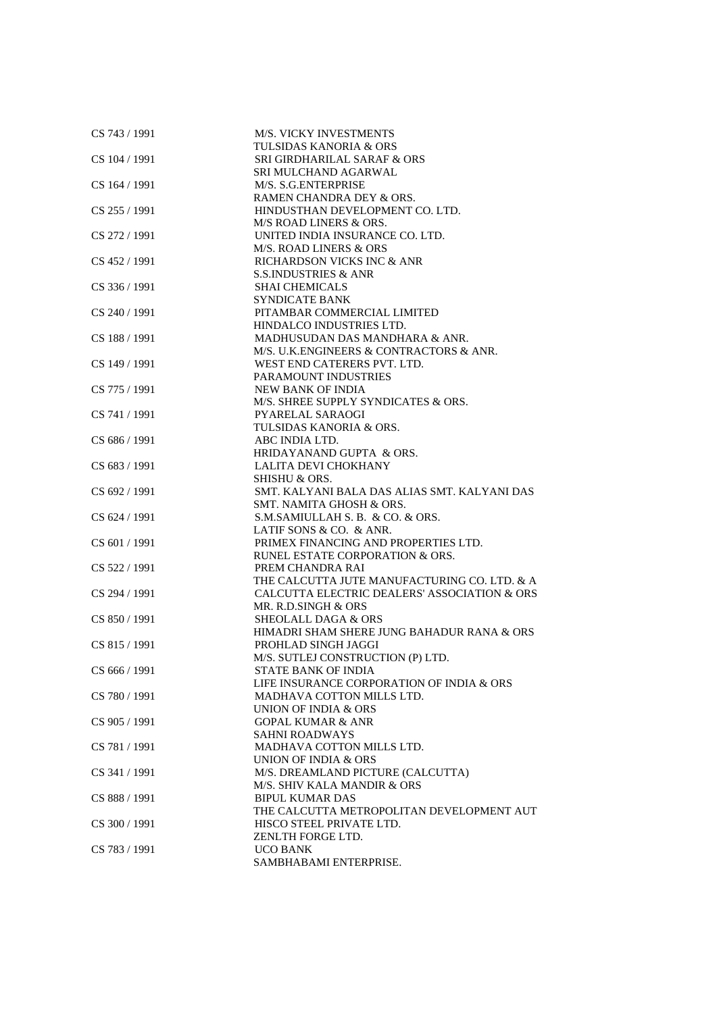| CS 743 / 1991   | M/S. VICKY INVESTMENTS                       |
|-----------------|----------------------------------------------|
|                 | <b>TULSIDAS KANORIA &amp; ORS</b>            |
| CS 104 / 1991   | <b>SRI GIRDHARILAL SARAF &amp; ORS</b>       |
|                 | SRI MULCHAND AGARWAL                         |
| CS 164 / 1991   | M/S. S.G.ENTERPRISE                          |
|                 | RAMEN CHANDRA DEY & ORS.                     |
| $CS$ 255 / 1991 | HINDUSTHAN DEVELOPMENT CO. LTD.              |
|                 | M/S ROAD LINERS & ORS.                       |
| CS 272 / 1991   | UNITED INDIA INSURANCE CO. LTD.              |
|                 | <b>M/S. ROAD LINERS &amp; ORS</b>            |
| CS 452 / 1991   | RICHARDSON VICKS INC & ANR                   |
|                 | <b>S.S.INDUSTRIES &amp; ANR</b>              |
| CS 336 / 1991   | <b>SHAI CHEMICALS</b>                        |
|                 | <b>SYNDICATE BANK</b>                        |
| CS 240 / 1991   | PITAMBAR COMMERCIAL LIMITED                  |
|                 | HINDALCO INDUSTRIES LTD.                     |
| CS 188 / 1991   | MADHUSUDAN DAS MANDHARA & ANR.               |
|                 | M/S. U.K. ENGINEERS & CONTRACTORS & ANR.     |
| CS 149 / 1991   | WEST END CATERERS PVT. LTD.                  |
|                 | PARAMOUNT INDUSTRIES                         |
| CS 775 / 1991   | <b>NEW BANK OF INDIA</b>                     |
|                 | M/S. SHREE SUPPLY SYNDICATES & ORS.          |
| CS 741 / 1991   | PYARELAL SARAOGI                             |
|                 | TULSIDAS KANORIA & ORS.                      |
| CS 686 / 1991   | ABC INDIA LTD.                               |
|                 | HRIDAYANAND GUPTA & ORS.                     |
| CS 683 / 1991   | <b>LALITA DEVI CHOKHANY</b>                  |
|                 | SHISHU & ORS.                                |
| CS 692 / 1991   | SMT. KALYANI BALA DAS ALIAS SMT. KALYANI DAS |
|                 |                                              |
|                 | SMT. NAMITA GHOSH & ORS.                     |
| CS 624 / 1991   | S.M.SAMIULLAH S. B. & CO. & ORS.             |
|                 | LATIF SONS & CO. & ANR.                      |
| CS 601 / 1991   | PRIMEX FINANCING AND PROPERTIES LTD.         |
|                 | RUNEL ESTATE CORPORATION & ORS.              |
| CS 522 / 1991   | PREM CHANDRA RAI                             |
|                 | THE CALCUTTA JUTE MANUFACTURING CO. LTD. & A |
| CS 294 / 1991   | CALCUTTA ELECTRIC DEALERS' ASSOCIATION & ORS |
|                 | MR. R.D.SINGH & ORS                          |
| CS 850 / 1991   | <b>SHEOLALL DAGA &amp; ORS</b>               |
|                 | HIMADRI SHAM SHERE JUNG BAHADUR RANA & ORS   |
| CS 815 / 1991   | PROHLAD SINGH JAGGI                          |
|                 | M/S. SUTLEJ CONSTRUCTION (P) LTD.            |
| CS 666 / 1991   | STATE BANK OF INDIA                          |
|                 | LIFE INSURANCE CORPORATION OF INDIA & ORS    |
| CS 780 / 1991   | MADHAVA COTTON MILLS LTD.                    |
|                 | <b>UNION OF INDIA &amp; ORS</b>              |
| CS 905 / 1991   | <b>GOPAL KUMAR &amp; ANR</b>                 |
|                 | <b>SAHNI ROADWAYS</b>                        |
| CS 781 / 1991   | MADHAVA COTTON MILLS LTD.                    |
|                 | UNION OF INDIA & ORS                         |
| CS 341 / 1991   | M/S. DREAMLAND PICTURE (CALCUTTA)            |
|                 | M/S. SHIV KALA MANDIR & ORS                  |
| CS 888 / 1991   | <b>BIPUL KUMAR DAS</b>                       |
|                 | THE CALCUTTA METROPOLITAN DEVELOPMENT AUT    |
| CS 300 / 1991   | HISCO STEEL PRIVATE LTD.                     |
|                 | ZENLTH FORGE LTD.                            |
| CS 783 / 1991   | <b>UCO BANK</b>                              |
|                 | SAMBHABAMI ENTERPRISE.                       |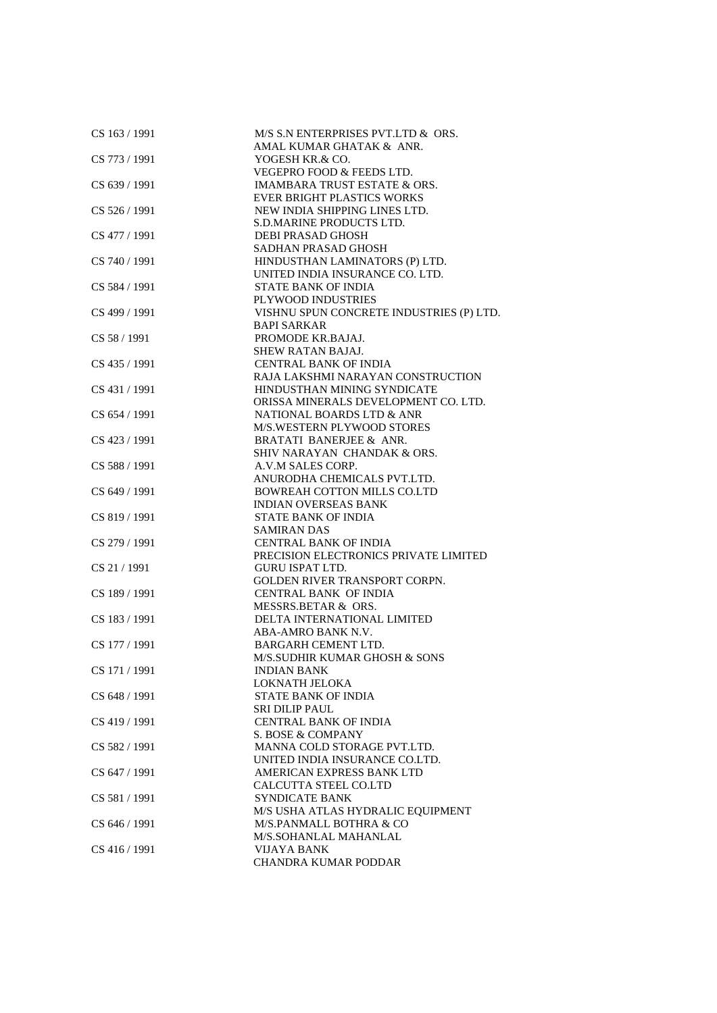| CS 163 / 1991 | M/S S.N ENTERPRISES PVT.LTD & ORS.       |
|---------------|------------------------------------------|
|               | AMAL KUMAR GHATAK & ANR.                 |
| CS 773 / 1991 | YOGESH KR.& CO.                          |
|               | VEGEPRO FOOD & FEEDS LTD.                |
| CS 639 / 1991 | <b>IMAMBARA TRUST ESTATE &amp; ORS.</b>  |
|               | EVER BRIGHT PLASTICS WORKS               |
| CS 526 / 1991 | NEW INDIA SHIPPING LINES LTD.            |
|               | S.D.MARINE PRODUCTS LTD.                 |
| CS 477 / 1991 | DEBI PRASAD GHOSH                        |
|               | SADHAN PRASAD GHOSH                      |
| CS 740 / 1991 | HINDUSTHAN LAMINATORS (P) LTD.           |
|               | UNITED INDIA INSURANCE CO. LTD.          |
| CS 584 / 1991 | <b>STATE BANK OF INDIA</b>               |
|               | PLYWOOD INDUSTRIES                       |
|               |                                          |
| CS 499 / 1991 | VISHNU SPUN CONCRETE INDUSTRIES (P) LTD. |
|               | <b>BAPI SARKAR</b>                       |
| CS 58 / 1991  | PROMODE KR.BAJAJ.                        |
|               | SHEW RATAN BAJAJ.                        |
| CS 435 / 1991 | <b>CENTRAL BANK OF INDIA</b>             |
|               | RAJA LAKSHMI NARAYAN CONSTRUCTION        |
| CS 431 / 1991 | HINDUSTHAN MINING SYNDICATE              |
|               | ORISSA MINERALS DEVELOPMENT CO. LTD.     |
| CS 654 / 1991 | NATIONAL BOARDS LTD & ANR                |
|               | M/S.WESTERN PLYWOOD STORES               |
| CS 423 / 1991 | BRATATI BANERJEE & ANR.                  |
|               | SHIV NARAYAN CHANDAK & ORS.              |
| CS 588 / 1991 | A.V.M SALES CORP.                        |
|               | ANURODHA CHEMICALS PVT.LTD.              |
| CS 649 / 1991 | <b>BOWREAH COTTON MILLS CO.LTD</b>       |
|               | <b>INDIAN OVERSEAS BANK</b>              |
| CS 819 / 1991 | <b>STATE BANK OF INDIA</b>               |
|               | <b>SAMIRAN DAS</b>                       |
| CS 279 / 1991 | <b>CENTRAL BANK OF INDIA</b>             |
|               | PRECISION ELECTRONICS PRIVATE LIMITED    |
| CS 21 / 1991  | <b>GURU ISPAT LTD.</b>                   |
|               | <b>GOLDEN RIVER TRANSPORT CORPN.</b>     |
| CS 189 / 1991 | <b>CENTRAL BANK OF INDIA</b>             |
|               | MESSRS.BETAR & ORS.                      |
| CS 183 / 1991 | DELTA INTERNATIONAL LIMITED              |
|               | ABA-AMRO BANK N.V.                       |
| CS 177 / 1991 | <b>BARGARH CEMENT LTD.</b>               |
|               | M/S.SUDHIR KUMAR GHOSH & SONS            |
| CS 171 / 1991 | <b>INDIAN BANK</b>                       |
|               | LOKNATH JELOKA                           |
| CS 648 / 1991 | <b>STATE BANK OF INDIA</b>               |
|               | <b>SRI DILIP PAUL</b>                    |
| CS 419 / 1991 | <b>CENTRAL BANK OF INDIA</b>             |
|               | S. BOSE & COMPANY                        |
| CS 582 / 1991 | MANNA COLD STORAGE PVT.LTD.              |
|               | UNITED INDIA INSURANCE CO.LTD.           |
| CS 647 / 1991 | AMERICAN EXPRESS BANK LTD                |
|               | CALCUTTA STEEL CO.LTD                    |
| CS 581 / 1991 |                                          |
|               | SYNDICATE BANK                           |
|               | M/S USHA ATLAS HYDRALIC EQUIPMENT        |
| CS 646 / 1991 | M/S.PANMALL BOTHRA & CO                  |
|               | M/S.SOHANLAL MAHANLAL                    |
| CS 416 / 1991 | <b>VIJAYA BANK</b>                       |
|               | CHANDRA KUMAR PODDAR                     |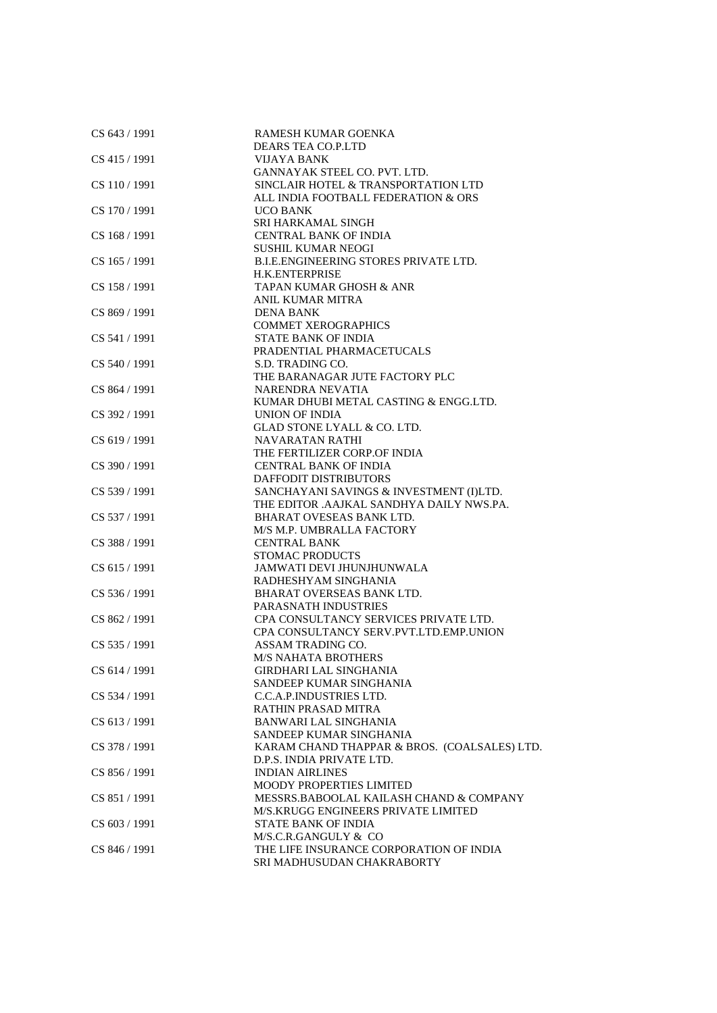| CS 643 / 1991 | RAMESH KUMAR GOENKA                                          |
|---------------|--------------------------------------------------------------|
|               | DEARS TEA CO.P.LTD                                           |
| CS 415 / 1991 | VIJAYA BANK                                                  |
|               | GANNAYAK STEEL CO. PVT. LTD.                                 |
| CS 110/1991   | SINCLAIR HOTEL & TRANSPORTATION LTD                          |
|               | ALL INDIA FOOTBALL FEDERATION & ORS                          |
| CS 170 / 1991 | <b>UCO BANK</b>                                              |
|               | SRI HARKAMAL SINGH                                           |
| CS 168 / 1991 | <b>CENTRAL BANK OF INDIA</b>                                 |
|               | <b>SUSHIL KUMAR NEOGI</b>                                    |
| CS 165 / 1991 | B.I.E.ENGINEERING STORES PRIVATE LTD.                        |
|               | <b>H.K.ENTERPRISE</b>                                        |
| CS 158 / 1991 | TAPAN KUMAR GHOSH & ANR                                      |
|               | <b>ANIL KUMAR MITRA</b>                                      |
| CS 869 / 1991 | <b>DENA BANK</b>                                             |
|               | <b>COMMET XEROGRAPHICS</b>                                   |
| CS 541 / 1991 | <b>STATE BANK OF INDIA</b>                                   |
|               | PRADENTIAL PHARMACETUCALS                                    |
| CS 540 / 1991 | S.D. TRADING CO.                                             |
|               | THE BARANAGAR JUTE FACTORY PLC                               |
| CS 864 / 1991 | NARENDRA NEVATIA                                             |
|               | KUMAR DHUBI METAL CASTING & ENGG.LTD.                        |
| CS 392 / 1991 | UNION OF INDIA                                               |
|               | GLAD STONE LYALL & CO. LTD.                                  |
|               |                                                              |
| CS 619 / 1991 | <b>NAVARATAN RATHI</b>                                       |
|               | THE FERTILIZER CORP.OF INDIA<br><b>CENTRAL BANK OF INDIA</b> |
| CS 390 / 1991 |                                                              |
|               | DAFFODIT DISTRIBUTORS                                        |
| CS 539 / 1991 | SANCHAYANI SAVINGS & INVESTMENT (I)LTD.                      |
|               | THE EDITOR .AAJKAL SANDHYA DAILY NWS.PA.                     |
| CS 537 / 1991 | <b>BHARAT OVESEAS BANK LTD.</b>                              |
|               | M/S M.P. UMBRALLA FACTORY                                    |
| CS 388 / 1991 | <b>CENTRAL BANK</b>                                          |
|               | <b>STOMAC PRODUCTS</b>                                       |
| CS 615 / 1991 | JAMWATI DEVI JHUNJHUNWALA                                    |
|               | RADHESHYAM SINGHANIA                                         |
| CS 536 / 1991 | BHARAT OVERSEAS BANK LTD.                                    |
|               | PARASNATH INDUSTRIES                                         |
| CS 862 / 1991 | CPA CONSULTANCY SERVICES PRIVATE LTD.                        |
|               | CPA CONSULTANCY SERV.PVT.LTD.EMP.UNION                       |
| CS 535 / 1991 | ASSAM TRADING CO.                                            |
|               | <b>M/S NAHATA BROTHERS</b>                                   |
| CS 614 / 1991 | <b>GIRDHARI LAL SINGHANIA</b>                                |
|               | SANDEEP KUMAR SINGHANIA                                      |
| CS 534 / 1991 | C.C.A.P.INDUSTRIES LTD.                                      |
|               | RATHIN PRASAD MITRA                                          |
| CS 613 / 1991 | <b>BANWARI LAL SINGHANIA</b>                                 |
|               | SANDEEP KUMAR SINGHANIA                                      |
| CS 378 / 1991 | KARAM CHAND THAPPAR & BROS. (COALSALES) LTD.                 |
|               | D.P.S. INDIA PRIVATE LTD.                                    |
| CS 856 / 1991 | <b>INDIAN AIRLINES</b>                                       |
|               | <b>MOODY PROPERTIES LIMITED</b>                              |
| CS 851/1991   | MESSRS.BABOOLAL KAILASH CHAND & COMPANY                      |
|               | M/S.KRUGG ENGINEERS PRIVATE LIMITED                          |
| CS 603 / 1991 | STATE BANK OF INDIA                                          |
|               | M/S.C.R.GANGULY & CO                                         |
| CS 846 / 1991 | THE LIFE INSURANCE CORPORATION OF INDIA                      |
|               | SRI MADHUSUDAN CHAKRABORTY                                   |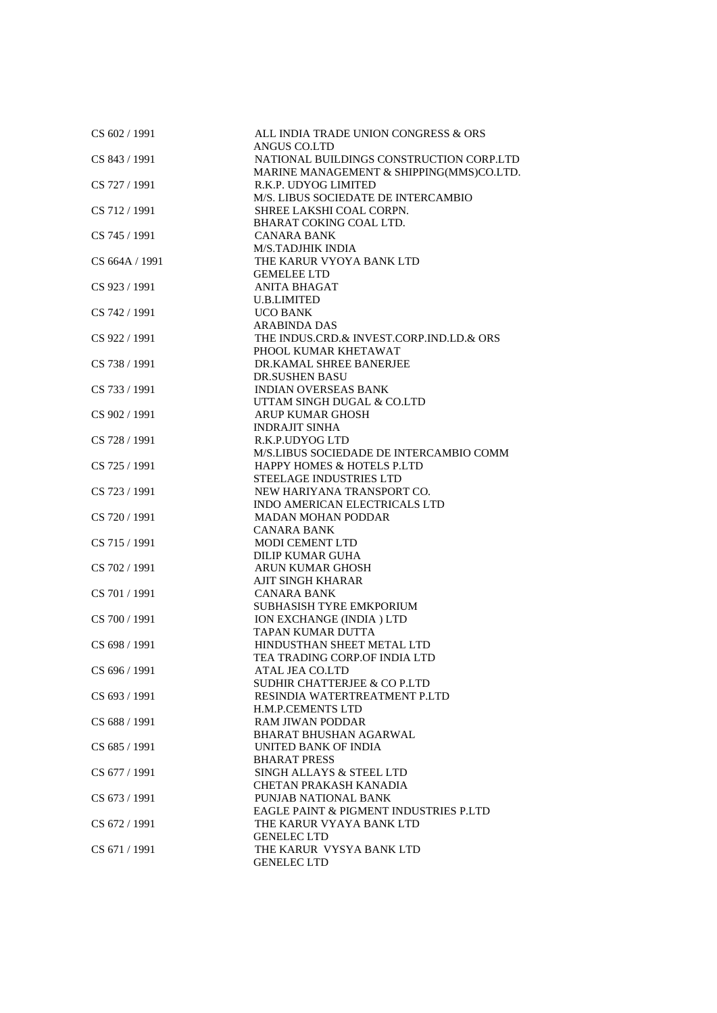| CS 602 / 1991  | ALL INDIA TRADE UNION CONGRESS & ORS     |
|----------------|------------------------------------------|
|                | ANGUS CO.LTD                             |
| CS 843 / 1991  | NATIONAL BUILDINGS CONSTRUCTION CORP.LTD |
|                | MARINE MANAGEMENT & SHIPPING(MMS)CO.LTD. |
| CS 727 / 1991  | R.K.P. UDYOG LIMITED                     |
|                | M/S. LIBUS SOCIEDATE DE INTERCAMBIO      |
| CS 712 / 1991  | SHREE LAKSHI COAL CORPN.                 |
|                | BHARAT COKING COAL LTD.                  |
| CS 745 / 1991  | <b>CANARA BANK</b>                       |
|                | <b>M/S.TADJHIK INDIA</b>                 |
| CS 664A / 1991 | THE KARUR VYOYA BANK LTD                 |
|                | <b>GEMELEE LTD</b>                       |
| CS 923 / 1991  | <b>ANITA BHAGAT</b>                      |
|                | <b>U.B.LIMITED</b>                       |
| CS 742 / 1991  | <b>UCO BANK</b>                          |
|                | <b>ARABINDA DAS</b>                      |
| CS 922 / 1991  | THE INDUS.CRD.& INVEST.CORP.IND.LD.& ORS |
|                | PHOOL KUMAR KHETAWAT                     |
|                |                                          |
| CS 738 / 1991  | DR.KAMAL SHREE BANERJEE                  |
|                | <b>DR.SUSHEN BASU</b>                    |
| CS 733 / 1991  | <b>INDIAN OVERSEAS BANK</b>              |
|                | UTTAM SINGH DUGAL & CO.LTD               |
| CS 902 / 1991  | <b>ARUP KUMAR GHOSH</b>                  |
|                | <b>INDRAJIT SINHA</b>                    |
| CS 728 / 1991  | R.K.P.UDYOG LTD                          |
|                | M/S.LIBUS SOCIEDADE DE INTERCAMBIO COMM  |
| CS 725 / 1991  | <b>HAPPY HOMES &amp; HOTELS P.LTD</b>    |
|                | STEELAGE INDUSTRIES LTD                  |
| CS 723 / 1991  | NEW HARIYANA TRANSPORT CO.               |
|                | INDO AMERICAN ELECTRICALS LTD            |
| CS 720 / 1991  | <b>MADAN MOHAN PODDAR</b>                |
|                | <b>CANARA BANK</b>                       |
| CS 715 / 1991  | <b>MODI CEMENT LTD</b>                   |
|                | <b>DILIP KUMAR GUHA</b>                  |
| CS 702 / 1991  | <b>ARUN KUMAR GHOSH</b>                  |
|                | <b>AJIT SINGH KHARAR</b>                 |
| CS 701 / 1991  | <b>CANARA BANK</b>                       |
|                | SUBHASISH TYRE EMKPORIUM                 |
| CS 700 / 1991  | ION EXCHANGE (INDIA) LTD                 |
|                | TAPAN KUMAR DUTTA                        |
| CS 698 / 1991  | HINDUSTHAN SHEET METAL LTD               |
|                | TEA TRADING CORP.OF INDIA LTD            |
| CS 696 / 1991  | ATAL JEA CO.LTD                          |
|                | <b>SUDHIR CHATTERJEE &amp; CO P.LTD</b>  |
| CS 693 / 1991  | RESINDIA WATERTREATMENT P.LTD            |
|                | <b>H.M.P.CEMENTS LTD</b>                 |
| CS 688 / 1991  | <b>RAM JIWAN PODDAR</b>                  |
|                | BHARAT BHUSHAN AGARWAL                   |
| CS 685 / 1991  | UNITED BANK OF INDIA                     |
|                | <b>BHARAT PRESS</b>                      |
| CS 677 / 1991  | SINGH ALLAYS & STEEL LTD                 |
|                | <b>CHETAN PRAKASH KANADIA</b>            |
| CS 673 / 1991  | PUNJAB NATIONAL BANK                     |
|                |                                          |
|                | EAGLE PAINT & PIGMENT INDUSTRIES P.LTD   |
| CS 672 / 1991  | THE KARUR VYAYA BANK LTD                 |
|                | <b>GENELEC LTD</b>                       |
| CS 671 / 1991  | THE KARUR VYSYA BANK LTD                 |
|                | <b>GENELEC LTD</b>                       |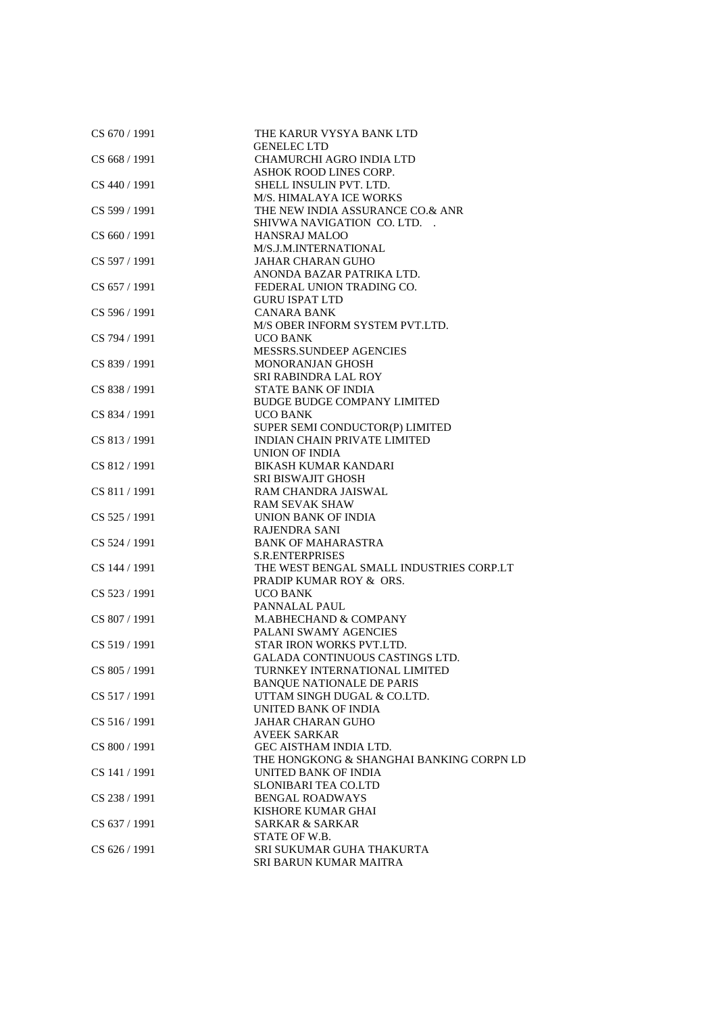| CS 670 / 1991   | THE KARUR VYSYA BANK LTD<br><b>GENELEC LTD</b> |
|-----------------|------------------------------------------------|
| CS 668 / 1991   | <b>CHAMURCHI AGRO INDIA LTD</b>                |
|                 | ASHOK ROOD LINES CORP.                         |
| CS 440 / 1991   | SHELL INSULIN PVT. LTD.                        |
|                 | M/S. HIMALAYA ICE WORKS                        |
| CS 599 / 1991   | THE NEW INDIA ASSURANCE CO.& ANR               |
|                 | SHIVWA NAVIGATION CO. LTD.                     |
| CS 660 / 1991   | <b>HANSRAJ MALOO</b>                           |
|                 | M/S.J.M.INTERNATIONAL                          |
| CS 597 / 1991   | <b>JAHAR CHARAN GUHO</b>                       |
|                 | ANONDA BAZAR PATRIKA LTD.                      |
| CS 657/1991     | FEDERAL UNION TRADING CO.                      |
|                 | <b>GURU ISPAT LTD</b>                          |
| CS 596 / 1991   | <b>CANARA BANK</b>                             |
|                 | M/S OBER INFORM SYSTEM PVT.LTD.                |
| CS 794 / 1991   | <b>UCO BANK</b>                                |
|                 | MESSRS.SUNDEEP AGENCIES                        |
| CS 839 / 1991   | <b>MONORANJAN GHOSH</b>                        |
|                 | SRI RABINDRA LAL ROY                           |
| CS 838 / 1991   | <b>STATE BANK OF INDIA</b>                     |
|                 | <b>BUDGE BUDGE COMPANY LIMITED</b>             |
| CS 834 / 1991   | <b>UCO BANK</b>                                |
|                 | SUPER SEMI CONDUCTOR(P) LIMITED                |
| CS 813 / 1991   | <b>INDIAN CHAIN PRIVATE LIMITED</b>            |
|                 | <b>UNION OF INDIA</b>                          |
| CS 812 / 1991   | <b>BIKASH KUMAR KANDARI</b>                    |
|                 | <b>SRI BISWAJIT GHOSH</b>                      |
| CS 811 / 1991   | RAM CHANDRA JAISWAL                            |
|                 | <b>RAM SEVAK SHAW</b>                          |
| CS 525 / 1991   | UNION BANK OF INDIA                            |
|                 | <b>RAJENDRA SANI</b>                           |
| CS 524 / 1991   | <b>BANK OF MAHARASTRA</b>                      |
|                 | <b>S.R.ENTERPRISES</b>                         |
| CS 144 / 1991   | THE WEST BENGAL SMALL INDUSTRIES CORP.LT       |
|                 | PRADIP KUMAR ROY & ORS.                        |
| CS 523 / 1991   | <b>UCO BANK</b>                                |
|                 | PANNALAL PAUL                                  |
| CS 807 / 1991   | M.ABHECHAND & COMPANY                          |
|                 | PALANI SWAMY AGENCIES                          |
| CS 519 / 1991   | STAR IRON WORKS PVT.LTD.                       |
|                 | GALADA CONTINUOUS CASTINGS LTD.                |
| CS 805 / 1991   | TURNKEY INTERNATIONAL LIMITED                  |
|                 | <b>BANQUE NATIONALE DE PARIS</b>               |
| CS 517 / 1991   | UTTAM SINGH DUGAL & CO.LTD.                    |
|                 | UNITED BANK OF INDIA                           |
| CS 516 / 1991   | <b>JAHAR CHARAN GUHO</b>                       |
|                 | <b>AVEEK SARKAR</b>                            |
| CS 800 / 1991   | <b>GEC AISTHAM INDIA LTD.</b>                  |
|                 | THE HONGKONG & SHANGHAI BANKING CORPN LD       |
| CS 141 / 1991   | UNITED BANK OF INDIA                           |
|                 | <b>SLONIBARI TEA CO.LTD</b>                    |
| CS 238 / 1991   | <b>BENGAL ROADWAYS</b>                         |
|                 | KISHORE KUMAR GHAI                             |
| CS 637 / 1991   | <b>SARKAR &amp; SARKAR</b>                     |
|                 | STATE OF W.B.                                  |
| $CS$ 626 / 1991 | SRI SUKUMAR GUHA THAKURTA                      |
|                 | SRI BARUN KUMAR MAITRA                         |
|                 |                                                |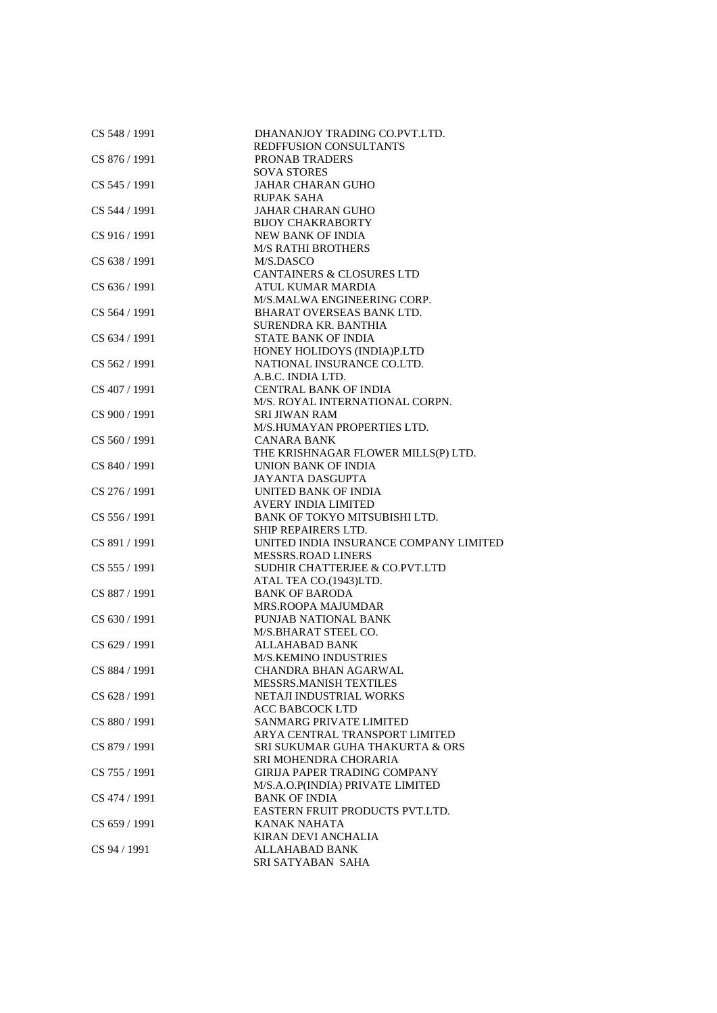| CS 548 / 1991 | DHANANJOY TRADING CO.PVT.LTD.<br>REDFFUSION CONSULTANTS |
|---------------|---------------------------------------------------------|
| CS 876 / 1991 | <b>PRONAB TRADERS</b>                                   |
|               |                                                         |
|               | <b>SOVA STORES</b>                                      |
| CS 545 / 1991 | <b>JAHAR CHARAN GUHO</b>                                |
|               | <b>RUPAK SAHA</b>                                       |
| CS 544 / 1991 | <b>JAHAR CHARAN GUHO</b>                                |
|               | <b>BIJOY CHAKRABORTY</b>                                |
| CS 916 / 1991 | <b>NEW BANK OF INDIA</b>                                |
|               | <b>M/S RATHI BROTHERS</b>                               |
| CS 638 / 1991 | M/S.DASCO                                               |
|               | <b>CANTAINERS &amp; CLOSURES LTD</b>                    |
| CS 636 / 1991 | ATUL KUMAR MARDIA                                       |
|               | M/S.MALWA ENGINEERING CORP.                             |
| CS 564 / 1991 | BHARAT OVERSEAS BANK LTD.                               |
|               | SURENDRA KR. BANTHIA                                    |
|               |                                                         |
| CS 634 / 1991 | <b>STATE BANK OF INDIA</b>                              |
|               | HONEY HOLIDOYS (INDIA)P.LTD                             |
| CS 562 / 1991 | NATIONAL INSURANCE CO.LTD.                              |
|               | A.B.C. INDIA LTD.                                       |
| CS 407 / 1991 | <b>CENTRAL BANK OF INDIA</b>                            |
|               | M/S. ROYAL INTERNATIONAL CORPN.                         |
| CS 900 / 1991 | SRI JIWAN RAM                                           |
|               | M/S.HUMAYAN PROPERTIES LTD.                             |
| CS 560 / 1991 | CANARA BANK                                             |
|               | THE KRISHNAGAR FLOWER MILLS(P) LTD.                     |
| CS 840 / 1991 | UNION BANK OF INDIA                                     |
|               | <b>JAYANTA DASGUPTA</b>                                 |
| CS 276 / 1991 | UNITED BANK OF INDIA                                    |
|               | <b>AVERY INDIA LIMITED</b>                              |
| CS 556 / 1991 | BANK OF TOKYO MITSUBISHI LTD.                           |
|               | SHIP REPAIRERS LTD.                                     |
|               |                                                         |
| CS 891 / 1991 | UNITED INDIA INSURANCE COMPANY LIMITED                  |
|               | <b>MESSRS.ROAD LINERS</b>                               |
| CS 555 / 1991 | SUDHIR CHATTERJEE & CO.PVT.LTD                          |
|               | ATAL TEA CO.(1943)LTD.                                  |
| CS 887 / 1991 | <b>BANK OF BARODA</b>                                   |
|               | <b>MRS.ROOPA MAJUMDAR</b>                               |
| CS 630 / 1991 | PUNJAB NATIONAL BANK                                    |
|               | M/S.BHARAT STEEL CO.                                    |
| CS 629 / 1991 | <b>ALLAHABAD BANK</b>                                   |
|               | <b>M/S.KEMINO INDUSTRIES</b>                            |
| CS 884 / 1991 | CHANDRA BHAN AGARWAL                                    |
|               | <b>MESSRS.MANISH TEXTILES</b>                           |
| CS 628 / 1991 | NETAJI INDUSTRIAL WORKS                                 |
|               | <b>ACC BABCOCK LTD</b>                                  |
| CS 880 / 1991 | <b>SANMARG PRIVATE LIMITED</b>                          |
|               | ARYA CENTRAL TRANSPORT LIMITED                          |
| CS 879 / 1991 |                                                         |
|               | SRI SUKUMAR GUHA THAKURTA & ORS                         |
|               | SRI MOHENDRA CHORARIA                                   |
| CS 755 / 1991 | <b>GIRIJA PAPER TRADING COMPANY</b>                     |
|               | M/S.A.O.P(INDIA) PRIVATE LIMITED                        |
| CS 474 / 1991 | <b>BANK OF INDIA</b>                                    |
|               | EASTERN FRUIT PRODUCTS PVT.LTD.                         |
| CS 659 / 1991 | <b>KANAK NAHATA</b>                                     |
|               | KIRAN DEVI ANCHALIA                                     |
| CS 94 / 1991  | <b>ALLAHABAD BANK</b>                                   |
|               | SRI SATYABAN SAHA                                       |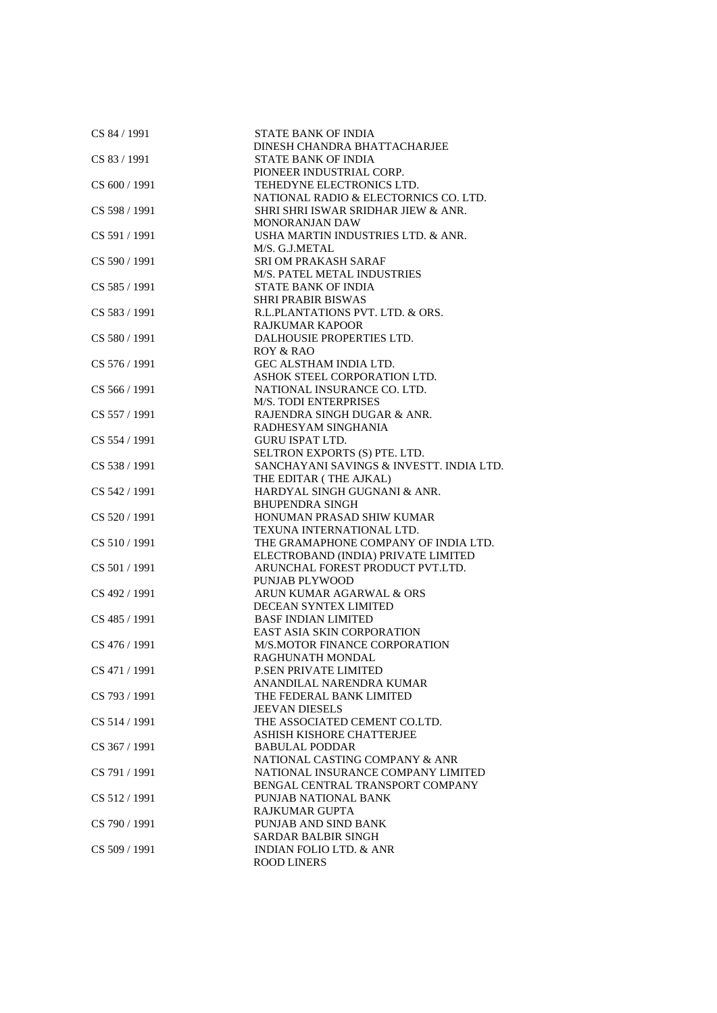| CS 84 / 1991  | <b>STATE BANK OF INDIA</b>               |
|---------------|------------------------------------------|
|               | DINESH CHANDRA BHATTACHARJEE             |
| CS 83 / 1991  | <b>STATE BANK OF INDIA</b>               |
|               | PIONEER INDUSTRIAL CORP.                 |
| CS 600 / 1991 | TEHEDYNE ELECTRONICS LTD.                |
|               | NATIONAL RADIO & ELECTORNICS CO. LTD.    |
| CS 598 / 1991 | SHRI SHRI ISWAR SRIDHAR JIEW & ANR.      |
|               | <b>MONORANJAN DAW</b>                    |
| CS 591 / 1991 | USHA MARTIN INDUSTRIES LTD. & ANR.       |
|               | M/S. G.J.METAL                           |
| CS 590 / 1991 | <b>SRI OM PRAKASH SARAF</b>              |
|               | <b>M/S. PATEL METAL INDUSTRIES</b>       |
| CS 585 / 1991 | <b>STATE BANK OF INDIA</b>               |
|               | <b>SHRI PRABIR BISWAS</b>                |
|               | R.L.PLANTATIONS PVT. LTD. & ORS.         |
| CS 583 / 1991 |                                          |
|               | <b>RAJKUMAR KAPOOR</b>                   |
| CS 580 / 1991 | DALHOUSIE PROPERTIES LTD.                |
|               | ROY & RAO                                |
| CS 576 / 1991 | <b>GEC ALSTHAM INDIA LTD.</b>            |
|               | ASHOK STEEL CORPORATION LTD.             |
| CS 566 / 1991 | NATIONAL INSURANCE CO. LTD.              |
|               | <b>M/S. TODI ENTERPRISES</b>             |
| CS 557 / 1991 | RAJENDRA SINGH DUGAR & ANR.              |
|               | RADHESYAM SINGHANIA                      |
| CS 554 / 1991 | <b>GURU ISPAT LTD.</b>                   |
|               | SELTRON EXPORTS (S) PTE. LTD.            |
| CS 538 / 1991 | SANCHAYANI SAVINGS & INVESTT. INDIA LTD. |
|               | THE EDITAR (THE AJKAL)                   |
| CS 542 / 1991 | HARDYAL SINGH GUGNANI & ANR.             |
|               | <b>BHUPENDRA SINGH</b>                   |
| CS 520 / 1991 | HONUMAN PRASAD SHIW KUMAR                |
|               | TEXUNA INTERNATIONAL LTD.                |
| CS 510 / 1991 | THE GRAMAPHONE COMPANY OF INDIA LTD.     |
|               | ELECTROBAND (INDIA) PRIVATE LIMITED      |
| CS 501 / 1991 | ARUNCHAL FOREST PRODUCT PVT.LTD.         |
|               | PUNJAB PLYWOOD                           |
| CS 492 / 1991 | ARUN KUMAR AGARWAL & ORS                 |
|               | DECEAN SYNTEX LIMITED                    |
| CS 485 / 1991 | <b>BASF INDIAN LIMITED</b>               |
|               | <b>EAST ASIA SKIN CORPORATION</b>        |
| CS 476 / 1991 | M/S.MOTOR FINANCE CORPORATION            |
|               | RAGHUNATH MONDAL                         |
| CS 471 / 1991 | P.SEN PRIVATE LIMITED                    |
|               | ANANDILAL NARENDRA KUMAR                 |
| CS 793 / 1991 | THE FEDERAL BANK LIMITED                 |
|               | <b>JEEVAN DIESELS</b>                    |
| CS 514 / 1991 | THE ASSOCIATED CEMENT CO.LTD.            |
|               | ASHISH KISHORE CHATTERJEE                |
| CS 367 / 1991 | <b>BABULAL PODDAR</b>                    |
|               | NATIONAL CASTING COMPANY & ANR           |
| CS 791 / 1991 | NATIONAL INSURANCE COMPANY LIMITED       |
|               | BENGAL CENTRAL TRANSPORT COMPANY         |
| CS 512/1991   | PUNJAB NATIONAL BANK                     |
|               | RAJKUMAR GUPTA                           |
| CS 790 / 1991 | PUNJAB AND SIND BANK                     |
|               | <b>SARDAR BALBIR SINGH</b>               |
| CS 509 / 1991 | <b>INDIAN FOLIO LTD. &amp; ANR</b>       |
|               | <b>ROOD LINERS</b>                       |
|               |                                          |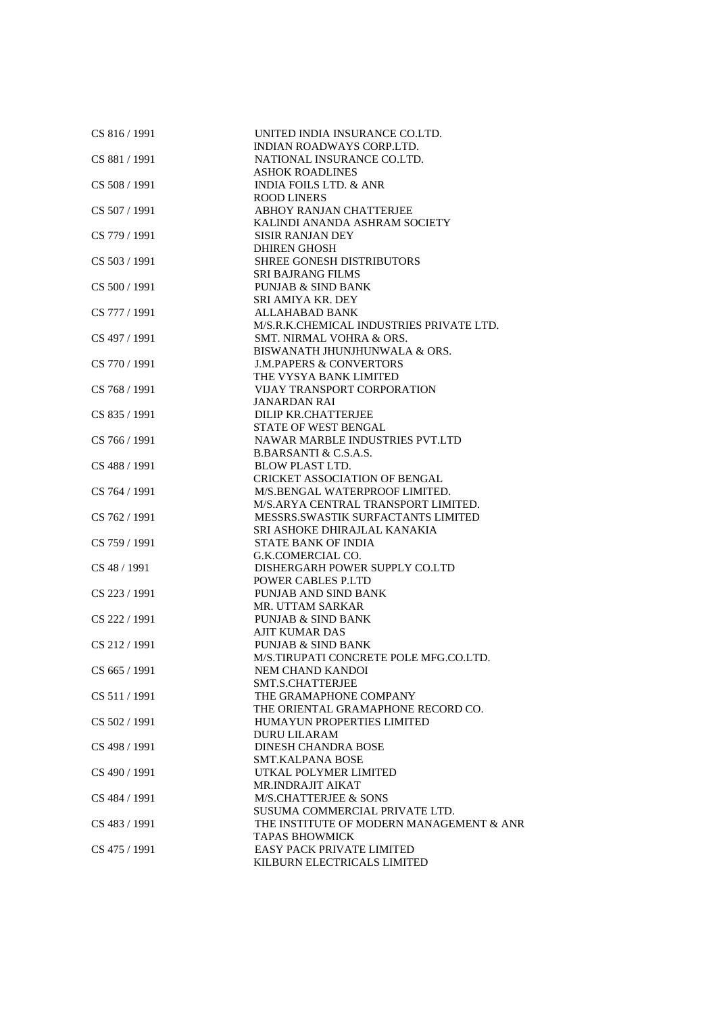| INDIAN ROADWAYS CORP.LTD.<br>CS 881 / 1991<br>NATIONAL INSURANCE CO.LTD.<br><b>ASHOK ROADLINES</b><br>CS 508 / 1991<br><b>INDIA FOILS LTD. &amp; ANR</b><br><b>ROOD LINERS</b><br>CS 507 / 1991<br>ABHOY RANJAN CHATTERJEE<br>KALINDI ANANDA ASHRAM SOCIETY<br>CS 779 / 1991<br><b>SISIR RANJAN DEY</b><br><b>DHIREN GHOSH</b><br>CS 503 / 1991<br>SHREE GONESH DISTRIBUTORS<br><b>SRI BAJRANG FILMS</b><br>CS 500 / 1991<br><b>PUNJAB &amp; SIND BANK</b><br>SRI AMIYA KR. DEY<br><b>ALLAHABAD BANK</b><br>CS 777 / 1991<br>M/S.R.K.CHEMICAL INDUSTRIES PRIVATE LTD. |  |
|-----------------------------------------------------------------------------------------------------------------------------------------------------------------------------------------------------------------------------------------------------------------------------------------------------------------------------------------------------------------------------------------------------------------------------------------------------------------------------------------------------------------------------------------------------------------------|--|
|                                                                                                                                                                                                                                                                                                                                                                                                                                                                                                                                                                       |  |
|                                                                                                                                                                                                                                                                                                                                                                                                                                                                                                                                                                       |  |
|                                                                                                                                                                                                                                                                                                                                                                                                                                                                                                                                                                       |  |
|                                                                                                                                                                                                                                                                                                                                                                                                                                                                                                                                                                       |  |
|                                                                                                                                                                                                                                                                                                                                                                                                                                                                                                                                                                       |  |
|                                                                                                                                                                                                                                                                                                                                                                                                                                                                                                                                                                       |  |
|                                                                                                                                                                                                                                                                                                                                                                                                                                                                                                                                                                       |  |
|                                                                                                                                                                                                                                                                                                                                                                                                                                                                                                                                                                       |  |
|                                                                                                                                                                                                                                                                                                                                                                                                                                                                                                                                                                       |  |
|                                                                                                                                                                                                                                                                                                                                                                                                                                                                                                                                                                       |  |
|                                                                                                                                                                                                                                                                                                                                                                                                                                                                                                                                                                       |  |
|                                                                                                                                                                                                                                                                                                                                                                                                                                                                                                                                                                       |  |
|                                                                                                                                                                                                                                                                                                                                                                                                                                                                                                                                                                       |  |
|                                                                                                                                                                                                                                                                                                                                                                                                                                                                                                                                                                       |  |
|                                                                                                                                                                                                                                                                                                                                                                                                                                                                                                                                                                       |  |
|                                                                                                                                                                                                                                                                                                                                                                                                                                                                                                                                                                       |  |
| CS 497 / 1991<br>SMT. NIRMAL VOHRA & ORS.                                                                                                                                                                                                                                                                                                                                                                                                                                                                                                                             |  |
| BISWANATH JHUNJHUNWALA & ORS.                                                                                                                                                                                                                                                                                                                                                                                                                                                                                                                                         |  |
| CS 770 / 1991<br><b>J.M.PAPERS &amp; CONVERTORS</b>                                                                                                                                                                                                                                                                                                                                                                                                                                                                                                                   |  |
| THE VYSYA BANK LIMITED                                                                                                                                                                                                                                                                                                                                                                                                                                                                                                                                                |  |
| CS 768 / 1991<br><b>VIJAY TRANSPORT CORPORATION</b>                                                                                                                                                                                                                                                                                                                                                                                                                                                                                                                   |  |
| <b>JANARDAN RAI</b>                                                                                                                                                                                                                                                                                                                                                                                                                                                                                                                                                   |  |
| CS 835 / 1991<br>DILIP KR.CHATTERJEE                                                                                                                                                                                                                                                                                                                                                                                                                                                                                                                                  |  |
| STATE OF WEST BENGAL                                                                                                                                                                                                                                                                                                                                                                                                                                                                                                                                                  |  |
| CS 766 / 1991<br>NAWAR MARBLE INDUSTRIES PVT.LTD                                                                                                                                                                                                                                                                                                                                                                                                                                                                                                                      |  |
| B.BARSANTI & C.S.A.S.                                                                                                                                                                                                                                                                                                                                                                                                                                                                                                                                                 |  |
| CS 488 / 1991<br><b>BLOW PLAST LTD.</b>                                                                                                                                                                                                                                                                                                                                                                                                                                                                                                                               |  |
| <b>CRICKET ASSOCIATION OF BENGAL</b>                                                                                                                                                                                                                                                                                                                                                                                                                                                                                                                                  |  |
| CS 764 / 1991<br>M/S.BENGAL WATERPROOF LIMITED.                                                                                                                                                                                                                                                                                                                                                                                                                                                                                                                       |  |
| M/S.ARYA CENTRAL TRANSPORT LIMITED.                                                                                                                                                                                                                                                                                                                                                                                                                                                                                                                                   |  |
| CS 762 / 1991<br>MESSRS.SWASTIK SURFACTANTS LIMITED                                                                                                                                                                                                                                                                                                                                                                                                                                                                                                                   |  |
| SRI ASHOKE DHIRAJLAL KANAKIA                                                                                                                                                                                                                                                                                                                                                                                                                                                                                                                                          |  |
| CS 759 / 1991<br><b>STATE BANK OF INDIA</b>                                                                                                                                                                                                                                                                                                                                                                                                                                                                                                                           |  |
| G.K.COMERCIAL CO.                                                                                                                                                                                                                                                                                                                                                                                                                                                                                                                                                     |  |
| CS 48 / 1991<br>DISHERGARH POWER SUPPLY CO.LTD                                                                                                                                                                                                                                                                                                                                                                                                                                                                                                                        |  |
| <b>POWER CABLES P.LTD</b>                                                                                                                                                                                                                                                                                                                                                                                                                                                                                                                                             |  |
| CS 223 / 1991<br>PUNJAB AND SIND BANK                                                                                                                                                                                                                                                                                                                                                                                                                                                                                                                                 |  |
| MR. UTTAM SARKAR                                                                                                                                                                                                                                                                                                                                                                                                                                                                                                                                                      |  |
| CS 222 / 1991<br><b>PUNJAB &amp; SIND BANK</b>                                                                                                                                                                                                                                                                                                                                                                                                                                                                                                                        |  |
| <b>AJIT KUMAR DAS</b>                                                                                                                                                                                                                                                                                                                                                                                                                                                                                                                                                 |  |
| CS 212/1991<br><b>PUNJAB &amp; SIND BANK</b>                                                                                                                                                                                                                                                                                                                                                                                                                                                                                                                          |  |
| M/S.TIRUPATI CONCRETE POLE MFG.CO.LTD.                                                                                                                                                                                                                                                                                                                                                                                                                                                                                                                                |  |
| CS 665 / 1991<br>NEM CHAND KANDOI                                                                                                                                                                                                                                                                                                                                                                                                                                                                                                                                     |  |
| SMT.S.CHATTERJEE                                                                                                                                                                                                                                                                                                                                                                                                                                                                                                                                                      |  |
| CS 511/1991<br>THE GRAMAPHONE COMPANY                                                                                                                                                                                                                                                                                                                                                                                                                                                                                                                                 |  |
| THE ORIENTAL GRAMAPHONE RECORD CO.                                                                                                                                                                                                                                                                                                                                                                                                                                                                                                                                    |  |
| CS 502 / 1991<br>HUMAYUN PROPERTIES LIMITED                                                                                                                                                                                                                                                                                                                                                                                                                                                                                                                           |  |
| <b>DURU LILARAM</b>                                                                                                                                                                                                                                                                                                                                                                                                                                                                                                                                                   |  |
| CS 498 / 1991<br><b>DINESH CHANDRA BOSE</b>                                                                                                                                                                                                                                                                                                                                                                                                                                                                                                                           |  |
| <b>SMT.KALPANA BOSE</b>                                                                                                                                                                                                                                                                                                                                                                                                                                                                                                                                               |  |
| CS 490 / 1991<br>UTKAL POLYMER LIMITED                                                                                                                                                                                                                                                                                                                                                                                                                                                                                                                                |  |
| MR.INDRAJIT AIKAT                                                                                                                                                                                                                                                                                                                                                                                                                                                                                                                                                     |  |
| CS 484 / 1991<br><b>M/S.CHATTERJEE &amp; SONS</b>                                                                                                                                                                                                                                                                                                                                                                                                                                                                                                                     |  |
|                                                                                                                                                                                                                                                                                                                                                                                                                                                                                                                                                                       |  |
| SUSUMA COMMERCIAL PRIVATE LTD.                                                                                                                                                                                                                                                                                                                                                                                                                                                                                                                                        |  |
| CS 483 / 1991<br>THE INSTITUTE OF MODERN MANAGEMENT & ANR                                                                                                                                                                                                                                                                                                                                                                                                                                                                                                             |  |
| <b>TAPAS BHOWMICK</b>                                                                                                                                                                                                                                                                                                                                                                                                                                                                                                                                                 |  |
| <b>EASY PACK PRIVATE LIMITED</b><br>CS 475 / 1991                                                                                                                                                                                                                                                                                                                                                                                                                                                                                                                     |  |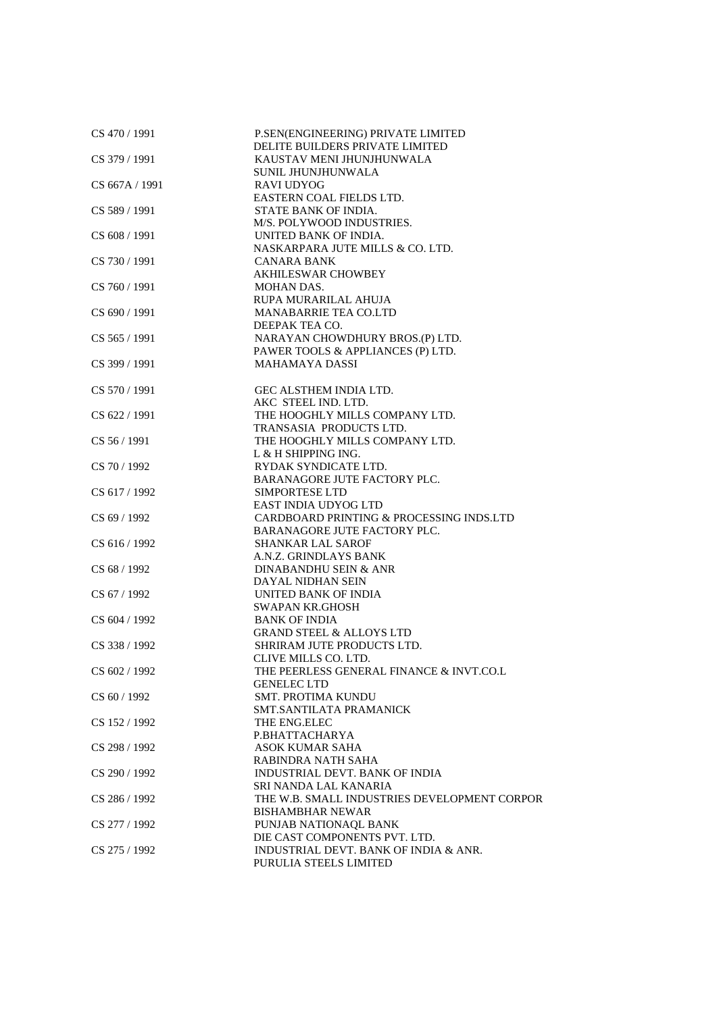| CS 470 / 1991    | P.SEN(ENGINEERING) PRIVATE LIMITED<br>DELITE BUILDERS PRIVATE LIMITED |
|------------------|-----------------------------------------------------------------------|
| CS 379 / 1991    | KAUSTAV MENI JHUNJHUNWALA                                             |
|                  | SUNIL JHUNJHUNWALA                                                    |
| CS 667A / 1991   | <b>RAVI UDYOG</b>                                                     |
|                  | EASTERN COAL FIELDS LTD.                                              |
| CS 589 / 1991    | STATE BANK OF INDIA.                                                  |
|                  | M/S. POLYWOOD INDUSTRIES.                                             |
| CS 608 / 1991    | UNITED BANK OF INDIA.                                                 |
|                  | NASKARPARA JUTE MILLS & CO. LTD.                                      |
| CS 730 / 1991    | <b>CANARA BANK</b>                                                    |
|                  | <b>AKHILESWAR CHOWBEY</b>                                             |
| CS 760 / 1991    | MOHAN DAS.                                                            |
|                  | RUPA MURARILAL AHUJA                                                  |
| CS 690 / 1991    | <b>MANABARRIE TEA CO.LTD</b>                                          |
|                  | DEEPAK TEA CO.                                                        |
| CS 565 / 1991    | NARAYAN CHOWDHURY BROS.(P) LTD.                                       |
|                  | PAWER TOOLS & APPLIANCES (P) LTD.                                     |
| CS 399 / 1991    | <b>MAHAMAYA DASSI</b>                                                 |
| CS 570 / 1991    | GEC ALSTHEM INDIA LTD.                                                |
|                  | AKC STEEL IND. LTD.                                                   |
| CS 622 / 1991    | THE HOOGHLY MILLS COMPANY LTD.                                        |
|                  | TRANSASIA PRODUCTS LTD.                                               |
| $CS$ 56 $/$ 1991 | THE HOOGHLY MILLS COMPANY LTD.                                        |
|                  | L & H SHIPPING ING.                                                   |
| CS 70 / 1992     | RYDAK SYNDICATE LTD.                                                  |
|                  | BARANAGORE JUTE FACTORY PLC.                                          |
| CS 617 / 1992    | <b>SIMPORTESE LTD</b>                                                 |
|                  | <b>EAST INDIA UDYOG LTD</b>                                           |
| CS 69 / 1992     | CARDBOARD PRINTING & PROCESSING INDS.LTD                              |
|                  | BARANAGORE JUTE FACTORY PLC.                                          |
| CS 616 / 1992    | <b>SHANKAR LAL SAROF</b>                                              |
|                  | A.N.Z. GRINDLAYS BANK                                                 |
| CS 68 / 1992     | DINABANDHU SEIN & ANR                                                 |
|                  | DAYAL NIDHAN SEIN                                                     |
| CS 67 / 1992     | UNITED BANK OF INDIA                                                  |
|                  | <b>SWAPAN KR.GHOSH</b>                                                |
| CS 604 / 1992    | <b>BANK OF INDIA</b>                                                  |
|                  | <b>GRAND STEEL &amp; ALLOYS LTD</b>                                   |
| CS 338 / 1992    | SHRIRAM JUTE PRODUCTS LTD.                                            |
|                  | CLIVE MILLS CO. LTD.                                                  |
| CS 602 / 1992    | THE PEERLESS GENERAL FINANCE & INVT.CO.L                              |
|                  | <b>GENELEC LTD</b>                                                    |
| CS 60 / 1992     | <b>SMT. PROTIMA KUNDU</b>                                             |
|                  | SMT.SANTILATA PRAMANICK                                               |
| CS 152/1992      | THE ENG.ELEC                                                          |
|                  | P.BHATTACHARYA                                                        |
| CS 298 / 1992    | ASOK KUMAR SAHA                                                       |
|                  | RABINDRA NATH SAHA                                                    |
| CS 290 / 1992    | <b>INDUSTRIAL DEVT. BANK OF INDIA</b>                                 |
|                  | SRI NANDA LAL KANARIA                                                 |
| CS 286 / 1992    | THE W.B. SMALL INDUSTRIES DEVELOPMENT CORPOR                          |
|                  | <b>BISHAMBHAR NEWAR</b>                                               |
| CS 277 / 1992    | PUNJAB NATIONAQL BANK                                                 |
|                  | DIE CAST COMPONENTS PVT. LTD.                                         |
| CS 275 / 1992    | INDUSTRIAL DEVT. BANK OF INDIA & ANR.                                 |
|                  | PURULIA STEELS LIMITED                                                |
|                  |                                                                       |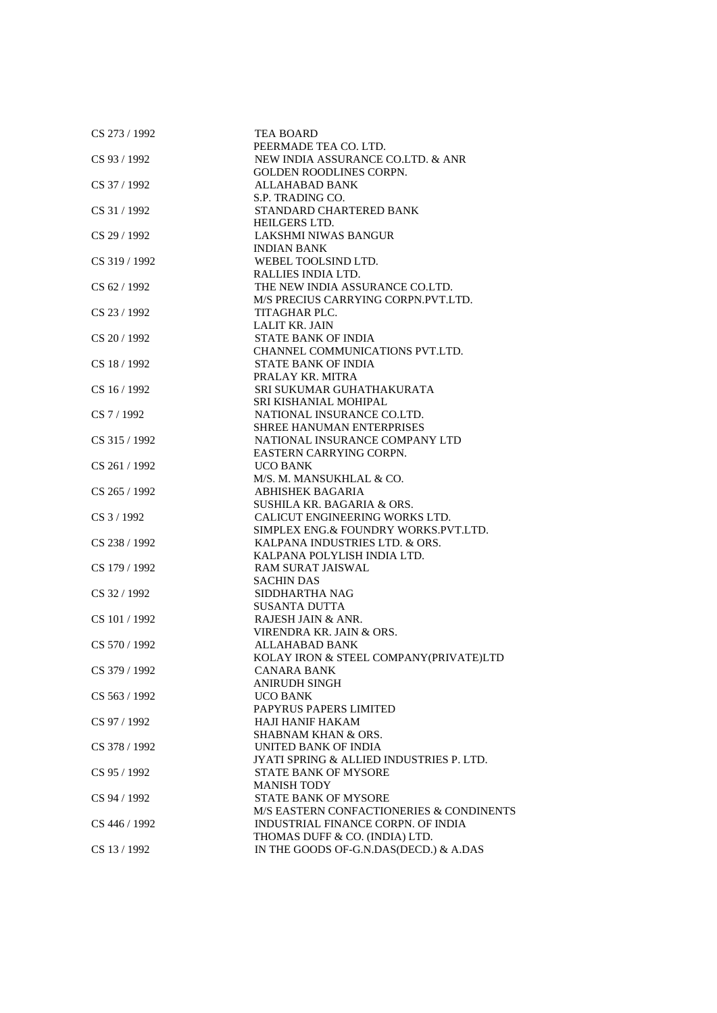| CS 273 / 1992  | <b>TEA BOARD</b>                                                       |
|----------------|------------------------------------------------------------------------|
|                | PEERMADE TEA CO. LTD.                                                  |
| CS 93 / 1992   | NEW INDIA ASSURANCE CO.LTD. & ANR                                      |
|                | <b>GOLDEN ROODLINES CORPN.</b>                                         |
| CS 37 / 1992   | <b>ALLAHABAD BANK</b>                                                  |
|                | S.P. TRADING CO.                                                       |
| CS 31 / 1992   | STANDARD CHARTERED BANK                                                |
|                | HEILGERS LTD.                                                          |
| CS 29 / 1992   | LAKSHMI NIWAS BANGUR                                                   |
|                | <b>INDIAN BANK</b>                                                     |
| CS 319 / 1992  | WEBEL TOOLSIND LTD.                                                    |
|                | RALLIES INDIA LTD.                                                     |
| CS 62 / 1992   | THE NEW INDIA ASSURANCE CO.LTD.                                        |
|                | M/S PRECIUS CARRYING CORPN.PVT.LTD.                                    |
| CS 23 / 1992   | TITAGHAR PLC.                                                          |
|                | <b>LALIT KR. JAIN</b>                                                  |
| CS 20 / 1992   | <b>STATE BANK OF INDIA</b>                                             |
|                | CHANNEL COMMUNICATIONS PVT.LTD.                                        |
| CS 18 / 1992   | STATE BANK OF INDIA                                                    |
|                | PRALAY KR. MITRA                                                       |
| $CS$ 16 / 1992 | SRI SUKUMAR GUHATHAKURATA                                              |
|                | SRI KISHANIAL MOHIPAL                                                  |
| $CS$ 7 / 1992  | NATIONAL INSURANCE CO.LTD.                                             |
|                | <b>SHREE HANUMAN ENTERPRISES</b>                                       |
| CS 315 / 1992  | NATIONAL INSURANCE COMPANY LTD                                         |
|                | EASTERN CARRYING CORPN.                                                |
| CS 261 / 1992  | <b>UCO BANK</b>                                                        |
|                | M/S. M. MANSUKHLAL & CO.                                               |
| CS 265 / 1992  | <b>ABHISHEK BAGARIA</b>                                                |
|                | SUSHILA KR. BAGARIA & ORS.                                             |
| CS 3 / 1992    | CALICUT ENGINEERING WORKS LTD.                                         |
|                | SIMPLEX ENG.& FOUNDRY WORKS.PVT.LTD.<br>KALPANA INDUSTRIES LTD. & ORS. |
| CS 238 / 1992  | KALPANA POLYLISH INDIA LTD.                                            |
| CS 179 / 1992  | <b>RAM SURAT JAISWAL</b>                                               |
|                | <b>SACHIN DAS</b>                                                      |
| CS 32 / 1992   | SIDDHARTHA NAG                                                         |
|                | <b>SUSANTA DUTTA</b>                                                   |
| CS 101 / 1992  | RAJESH JAIN & ANR.                                                     |
|                | VIRENDRA KR. JAIN & ORS.                                               |
| CS 570 / 1992  | ALLAHABAD BANK                                                         |
|                | KOLAY IRON & STEEL COMPANY(PRIVATE)LTD                                 |
| CS 379 / 1992  | CANARA BANK                                                            |
|                | ANIRUDH SINGH                                                          |
| CS 563 / 1992  | <b>UCO BANK</b>                                                        |
|                | PAPYRUS PAPERS LIMITED                                                 |
| CS 97 / 1992   | HAJI HANIF HAKAM                                                       |
|                | <b>SHABNAM KHAN &amp; ORS.</b>                                         |
| CS 378 / 1992  | UNITED BANK OF INDIA                                                   |
|                | JYATI SPRING & ALLIED INDUSTRIES P. LTD.                               |
| CS 95 / 1992   | <b>STATE BANK OF MYSORE</b>                                            |
|                | <b>MANISH TODY</b>                                                     |
| CS 94 / 1992   | <b>STATE BANK OF MYSORE</b>                                            |
|                | M/S EASTERN CONFACTIONERIES & CONDINENTS                               |
| CS 446 / 1992  | INDUSTRIAL FINANCE CORPN. OF INDIA                                     |
|                | THOMAS DUFF & CO. (INDIA) LTD.                                         |
| CS 13 / 1992   | IN THE GOODS OF-G.N.DAS(DECD.) & A.DAS                                 |
|                |                                                                        |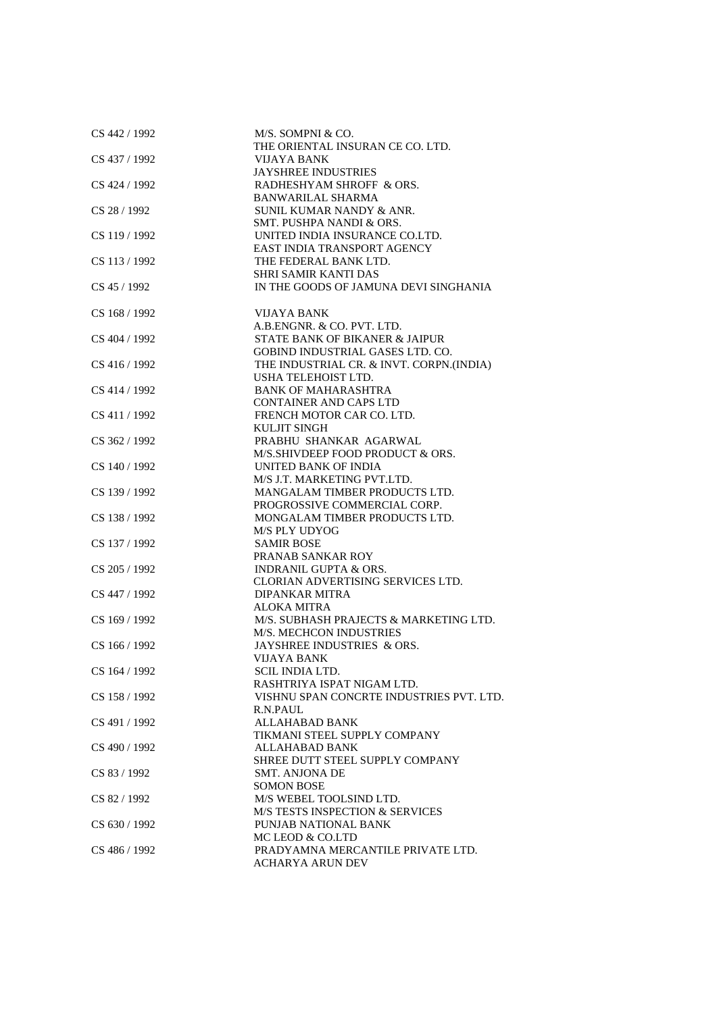| CS 442 / 1992 | M/S. SOMPNI & CO.                          |
|---------------|--------------------------------------------|
|               | THE ORIENTAL INSURAN CE CO. LTD.           |
| CS 437 / 1992 | VIJAYA BANK<br><b>JAYSHREE INDUSTRIES</b>  |
| CS 424 / 1992 | RADHESHYAM SHROFF & ORS.                   |
|               | <b>BANWARILAL SHARMA</b>                   |
| CS 28 / 1992  | SUNIL KUMAR NANDY & ANR.                   |
|               | SMT. PUSHPA NANDI & ORS.                   |
| CS 119 / 1992 | UNITED INDIA INSURANCE CO.LTD.             |
|               | EAST INDIA TRANSPORT AGENCY                |
| CS 113 / 1992 | THE FEDERAL BANK LTD.                      |
|               | <b>SHRI SAMIR KANTI DAS</b>                |
| CS 45 / 1992  | IN THE GOODS OF JAMUNA DEVI SINGHANIA      |
|               |                                            |
| CS 168 / 1992 | VIJAYA BANK                                |
|               | A.B.ENGNR. & CO. PVT. LTD.                 |
| CS 404 / 1992 | STATE BANK OF BIKANER & JAIPUR             |
|               | GOBIND INDUSTRIAL GASES LTD. CO.           |
| CS 416 / 1992 | THE INDUSTRIAL CR. & INVT. CORPN.(INDIA)   |
|               | USHA TELEHOIST LTD.                        |
| CS 414 / 1992 | <b>BANK OF MAHARASHTRA</b>                 |
|               | <b>CONTAINER AND CAPS LTD</b>              |
| CS 411 / 1992 | FRENCH MOTOR CAR CO. LTD.                  |
|               | <b>KULJIT SINGH</b>                        |
| CS 362 / 1992 | PRABHU SHANKAR AGARWAL                     |
|               | M/S.SHIVDEEP FOOD PRODUCT & ORS.           |
| CS 140 / 1992 | UNITED BANK OF INDIA                       |
|               | M/S J.T. MARKETING PVT.LTD.                |
| CS 139 / 1992 | MANGALAM TIMBER PRODUCTS LTD.              |
|               | PROGROSSIVE COMMERCIAL CORP.               |
| CS 138 / 1992 | MONGALAM TIMBER PRODUCTS LTD.              |
|               | <b>M/S PLY UDYOG</b>                       |
| CS 137 / 1992 | <b>SAMIR BOSE</b>                          |
|               | PRANAB SANKAR ROY                          |
| CS 205 / 1992 | <b>INDRANIL GUPTA &amp; ORS.</b>           |
|               | CLORIAN ADVERTISING SERVICES LTD.          |
| CS 447 / 1992 | DIPANKAR MITRA                             |
|               | <b>ALOKA MITRA</b>                         |
| CS 169 / 1992 | M/S. SUBHASH PRAJECTS & MARKETING LTD.     |
|               | <b>M/S. MECHCON INDUSTRIES</b>             |
| CS 166 / 1992 | JAYSHREE INDUSTRIES & ORS.                 |
|               | VIJAYA BANK                                |
| CS 164 / 1992 | SCIL INDIA LTD.                            |
|               | RASHTRIYA ISPAT NIGAM LTD.                 |
| CS 158 / 1992 | VISHNU SPAN CONCRTE INDUSTRIES PVT. LTD.   |
|               | R.N.PAUL                                   |
| CS 491 / 1992 | ALLAHABAD BANK                             |
|               | TIKMANI STEEL SUPPLY COMPANY               |
| CS 490 / 1992 | ALLAHABAD BANK                             |
|               | SHREE DUTT STEEL SUPPLY COMPANY            |
| CS 83 / 1992  | <b>SMT. ANJONA DE</b>                      |
|               | <b>SOMON BOSE</b>                          |
| CS 82 / 1992  | M/S WEBEL TOOLSIND LTD.                    |
|               | <b>M/S TESTS INSPECTION &amp; SERVICES</b> |
| CS 630 / 1992 | PUNJAB NATIONAL BANK                       |
|               | MC LEOD & CO.LTD                           |
| CS 486 / 1992 | PRADYAMNA MERCANTILE PRIVATE LTD.          |
|               | ACHARYA ARUN DEV                           |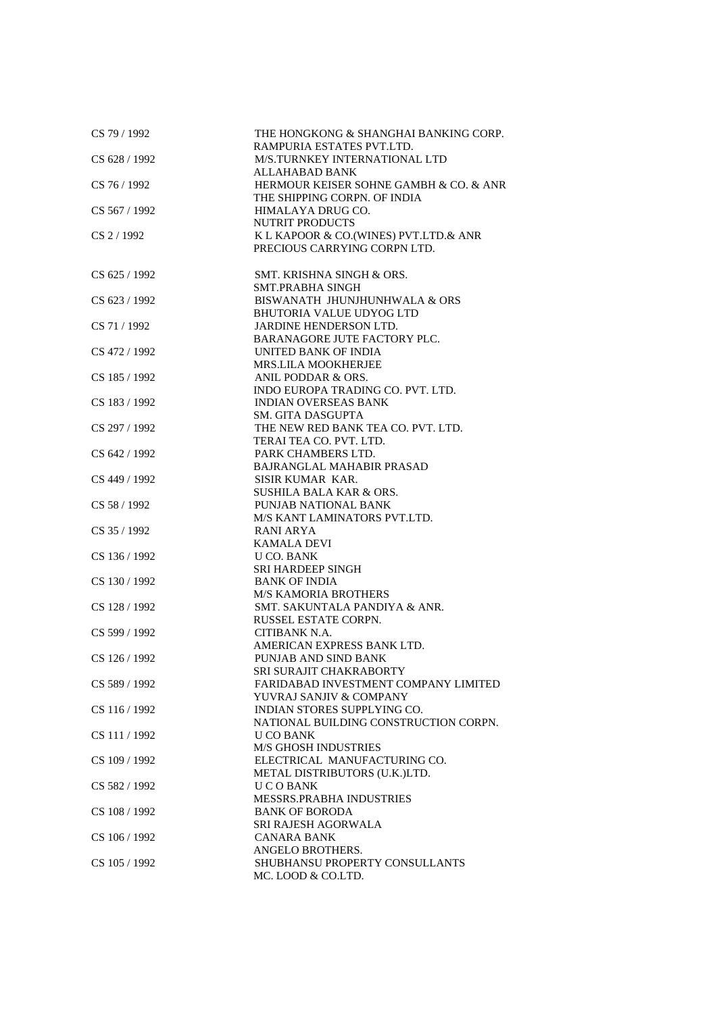| CS 79 / 1992  | THE HONGKONG & SHANGHAI BANKING CORP.<br>RAMPURIA ESTATES PVT.LTD.                              |
|---------------|-------------------------------------------------------------------------------------------------|
| CS 628 / 1992 | M/S.TURNKEY INTERNATIONAL LTD                                                                   |
| CS 76 / 1992  | <b>ALLAHABAD BANK</b><br>HERMOUR KEISER SOHNE GAMBH & CO. & ANR<br>THE SHIPPING CORPN. OF INDIA |
| CS 567 / 1992 | HIMALAYA DRUG CO.<br><b>NUTRIT PRODUCTS</b>                                                     |
| CS 2 / 1992   | K L KAPOOR & CO.(WINES) PVT.LTD.& ANR<br>PRECIOUS CARRYING CORPN LTD.                           |
| CS 625 / 1992 | SMT. KRISHNA SINGH & ORS.<br><b>SMT.PRABHA SINGH</b>                                            |
| CS 623 / 1992 | BISWANATH JHUNJHUNHWALA & ORS<br><b>BHUTORIA VALUE UDYOG LTD</b>                                |
| CS 71 / 1992  | JARDINE HENDERSON LTD.                                                                          |
| CS 472 / 1992 | BARANAGORE JUTE FACTORY PLC.<br>UNITED BANK OF INDIA                                            |
| CS 185 / 1992 | MRS.LILA MOOKHERJEE<br>ANIL PODDAR & ORS.                                                       |
| CS 183 / 1992 | INDO EUROPA TRADING CO. PVT. LTD.<br><b>INDIAN OVERSEAS BANK</b>                                |
| CS 297 / 1992 | <b>SM. GITA DASGUPTA</b><br>THE NEW RED BANK TEA CO. PVT. LTD.                                  |
| CS 642 / 1992 | TERAI TEA CO. PVT. LTD.<br>PARK CHAMBERS LTD.                                                   |
| CS 449 / 1992 | <b>BAJRANGLAL MAHABIR PRASAD</b><br>SISIR KUMAR KAR.                                            |
| CS 58 / 1992  | <b>SUSHILA BALA KAR &amp; ORS.</b><br>PUNJAB NATIONAL BANK                                      |
| CS 35 / 1992  | M/S KANT LAMINATORS PVT.LTD.<br>RANI ARYA                                                       |
| CS 136 / 1992 | <b>KAMALA DEVI</b><br>U CO. BANK                                                                |
| CS 130 / 1992 | <b>SRI HARDEEP SINGH</b><br><b>BANK OF INDIA</b>                                                |
| CS 128 / 1992 | <b>M/S KAMORIA BROTHERS</b><br>SMT. SAKUNTALA PANDIYA & ANR.                                    |
| CS 599 / 1992 | RUSSEL ESTATE CORPN.<br>CITIBANK N.A.                                                           |
| CS 126 / 1992 | AMERICAN EXPRESS BANK LTD.<br>PUNJAB AND SIND BANK                                              |
| CS 589 / 1992 | SRI SURAJIT CHAKRABORTY<br>FARIDABAD INVESTMENT COMPANY LIMITED                                 |
| CS 116 / 1992 | YUVRAJ SANJIV & COMPANY<br>INDIAN STORES SUPPLYING CO.                                          |
| CS 111 / 1992 | NATIONAL BUILDING CONSTRUCTION CORPN.<br>U CO BANK                                              |
| CS 109 / 1992 | <b>M/S GHOSH INDUSTRIES</b><br>ELECTRICAL MANUFACTURING CO.                                     |
| CS 582 / 1992 | METAL DISTRIBUTORS (U.K.)LTD.<br><b>UCOBANK</b>                                                 |
| CS 108 / 1992 | MESSRS.PRABHA INDUSTRIES<br><b>BANK OF BORODA</b>                                               |
| CS 106 / 1992 | SRI RAJESH AGORWALA<br><b>CANARA BANK</b>                                                       |
| CS 105 / 1992 | ANGELO BROTHERS.<br>SHUBHANSU PROPERTY CONSULLANTS<br>MC. LOOD & CO.LTD.                        |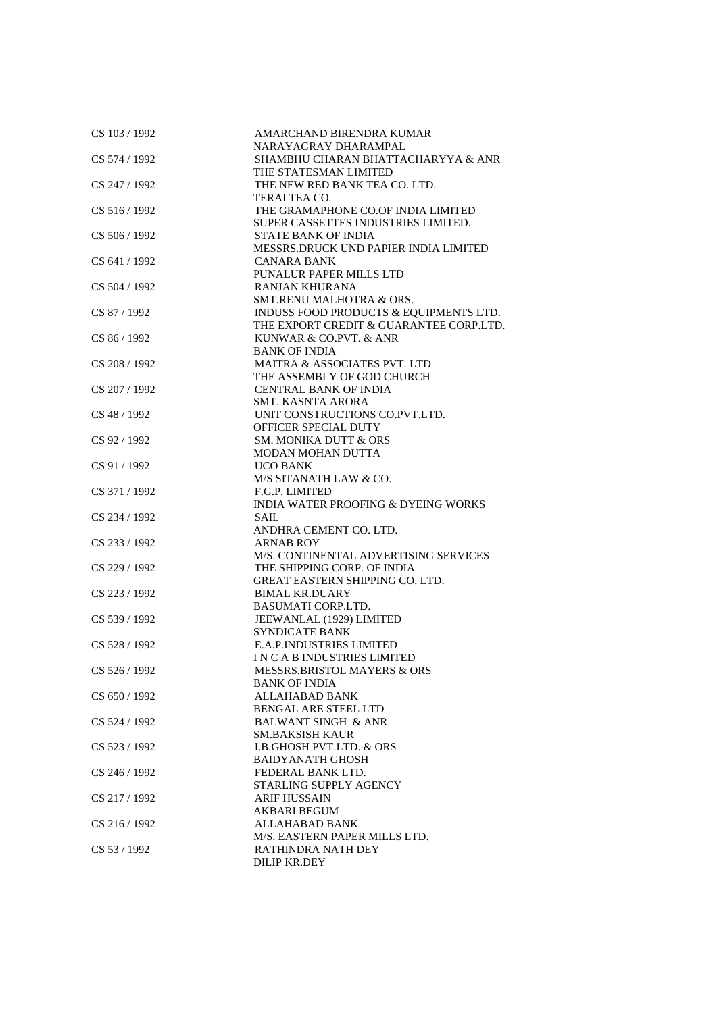| CS 103 / 1992 | AMARCHAND BIRENDRA KUMAR<br>NARAYAGRAY DHARAMPAL          |
|---------------|-----------------------------------------------------------|
| CS 574 / 1992 | SHAMBHU CHARAN BHATTACHARYYA & ANR                        |
|               | THE STATESMAN LIMITED                                     |
| CS 247 / 1992 | THE NEW RED BANK TEA CO. LTD.                             |
|               | TERAI TEA CO.                                             |
|               | THE GRAMAPHONE CO.OF INDIA LIMITED                        |
| CS 516 / 1992 | SUPER CASSETTES INDUSTRIES LIMITED.                       |
| CS 506 / 1992 | STATE BANK OF INDIA                                       |
|               | MESSRS.DRUCK UND PAPIER INDIA LIMITED                     |
| CS 641 / 1992 | <b>CANARA BANK</b>                                        |
|               | PUNALUR PAPER MILLS LTD                                   |
| CS 504 / 1992 | <b>RANJAN KHURANA</b>                                     |
|               | SMT.RENU MALHOTRA & ORS.                                  |
| CS 87/1992    | INDUSS FOOD PRODUCTS & EQUIPMENTS LTD.                    |
|               | THE EXPORT CREDIT & GUARANTEE CORP.LTD.                   |
| CS 86 / 1992  | KUNWAR & CO.PVT. & ANR                                    |
|               | <b>BANK OF INDIA</b>                                      |
| CS 208 / 1992 | MAITRA & ASSOCIATES PVT. LTD                              |
|               | THE ASSEMBLY OF GOD CHURCH                                |
| CS 207 / 1992 | <b>CENTRAL BANK OF INDIA</b>                              |
|               | <b>SMT. KASNTA ARORA</b>                                  |
| CS 48 / 1992  | UNIT CONSTRUCTIONS CO.PVT.LTD.                            |
|               |                                                           |
| CS 92 / 1992  | OFFICER SPECIAL DUTY<br><b>SM. MONIKA DUTT &amp; ORS</b>  |
|               | <b>MODAN MOHAN DUTTA</b>                                  |
|               |                                                           |
| CS 91 / 1992  | <b>UCO BANK</b><br>M/S SITANATH LAW & CO.                 |
| CS 371 / 1992 | F.G.P. LIMITED                                            |
|               | <b>INDIA WATER PROOFING &amp; DYEING WORKS</b>            |
|               |                                                           |
| CS 234 / 1992 | SAIL                                                      |
|               | ANDHRA CEMENT CO. LTD.                                    |
| CS 233 / 1992 | <b>ARNAB ROY</b><br>M/S. CONTINENTAL ADVERTISING SERVICES |
| CS 229 / 1992 | THE SHIPPING CORP. OF INDIA                               |
|               | <b>GREAT EASTERN SHIPPING CO. LTD.</b>                    |
| CS 223 / 1992 | <b>BIMAL KR.DUARY</b>                                     |
|               | <b>BASUMATI CORP.LTD.</b>                                 |
| CS 539 / 1992 | JEEWANLAL (1929) LIMITED                                  |
|               | <b>SYNDICATE BANK</b>                                     |
| CS 528 / 1992 | <b>E.A.P.INDUSTRIES LIMITED</b>                           |
|               | IN CAB INDUSTRIES LIMITED                                 |
| CS 526 / 1992 | MESSRS.BRISTOL MAYERS & ORS                               |
|               | <b>BANK OF INDIA</b>                                      |
| CS 650 / 1992 | ALLAHABAD BANK                                            |
|               | <b>BENGAL ARE STEEL LTD</b>                               |
| CS 524 / 1992 | <b>BALWANT SINGH &amp; ANR</b>                            |
|               | <b>SM.BAKSISH KAUR</b>                                    |
| CS 523 / 1992 | <b>I.B.GHOSH PVT.LTD. &amp; ORS</b>                       |
|               | <b>BAIDYANATH GHOSH</b>                                   |
| CS 246 / 1992 | FEDERAL BANK LTD.                                         |
|               | STARLING SUPPLY AGENCY                                    |
| CS 217/1992   | <b>ARIF HUSSAIN</b>                                       |
|               | <b>AKBARI BEGUM</b>                                       |
| CS 216 / 1992 | ALLAHABAD BANK                                            |
|               | M/S. EASTERN PAPER MILLS LTD.                             |
| CS 53 / 1992  | RATHINDRA NATH DEY                                        |
|               | DILIP KR.DEY                                              |
|               |                                                           |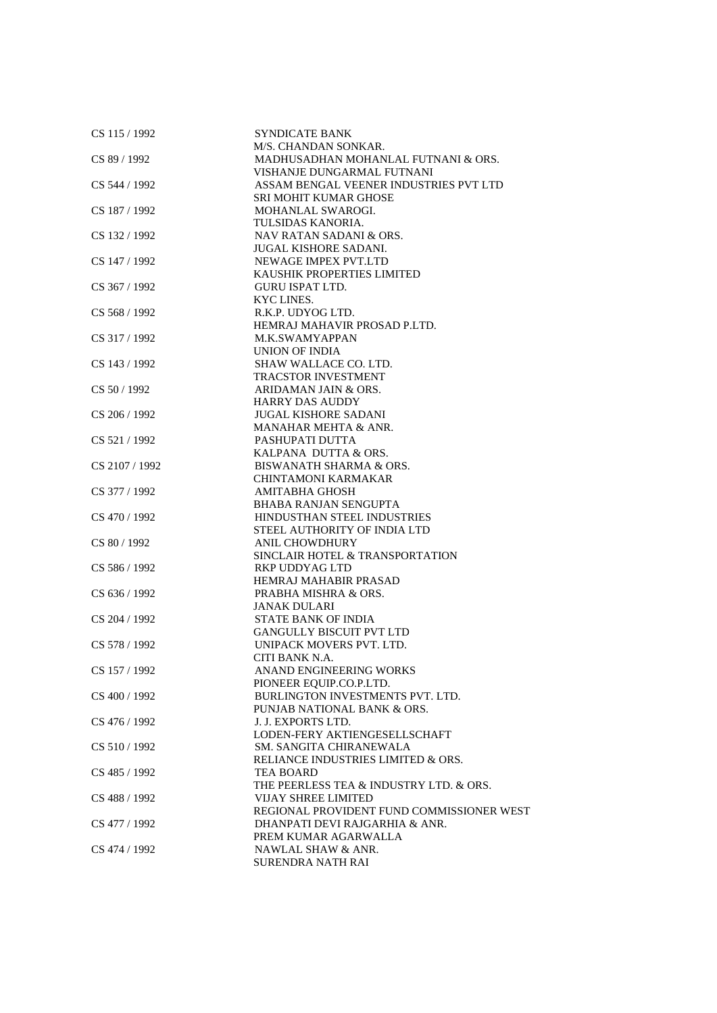| CS 115 / 1992  | <b>SYNDICATE BANK</b>                     |
|----------------|-------------------------------------------|
|                | M/S. CHANDAN SONKAR.                      |
| CS 89 / 1992   | MADHUSADHAN MOHANLAL FUTNANI & ORS.       |
|                | VISHANJE DUNGARMAL FUTNANI                |
| CS 544 / 1992  | ASSAM BENGAL VEENER INDUSTRIES PVT LTD    |
|                | <b>SRI MOHIT KUMAR GHOSE</b>              |
| CS 187 / 1992  | MOHANLAL SWAROGI.                         |
|                | TULSIDAS KANORIA.                         |
| CS 132 / 1992  | NAV RATAN SADANI & ORS.                   |
|                | <b>JUGAL KISHORE SADANI.</b>              |
| CS 147 / 1992  | NEWAGE IMPEX PVT.LTD                      |
|                | KAUSHIK PROPERTIES LIMITED                |
| CS 367 / 1992  | <b>GURU ISPAT LTD.</b>                    |
|                |                                           |
|                | KYC LINES.                                |
| CS 568 / 1992  | R.K.P. UDYOG LTD.                         |
|                | HEMRAJ MAHAVIR PROSAD P.LTD.              |
| CS 317 / 1992  | M.K.SWAMYAPPAN                            |
|                | UNION OF INDIA                            |
| CS 143 / 1992  | SHAW WALLACE CO. LTD.                     |
|                | <b>TRACSTOR INVESTMENT</b>                |
| CS 50/1992     | ARIDAMAN JAIN & ORS.                      |
|                | <b>HARRY DAS AUDDY</b>                    |
| CS 206 / 1992  | <b>JUGAL KISHORE SADANI</b>               |
|                | MANAHAR MEHTA & ANR.                      |
| CS 521/1992    | PASHUPATI DUTTA                           |
|                | KALPANA DUTTA & ORS.                      |
| CS 2107 / 1992 | <b>BISWANATH SHARMA &amp; ORS.</b>        |
|                | <b>CHINTAMONI KARMAKAR</b>                |
| CS 377 / 1992  | <b>AMITABHA GHOSH</b>                     |
|                |                                           |
|                | <b>BHABA RANJAN SENGUPTA</b>              |
| CS 470 / 1992  | HINDUSTHAN STEEL INDUSTRIES               |
|                | STEEL AUTHORITY OF INDIA LTD              |
| CS 80 / 1992   | <b>ANIL CHOWDHURY</b>                     |
|                | SINCLAIR HOTEL & TRANSPORTATION           |
| CS 586 / 1992  | <b>RKP UDDYAG LTD</b>                     |
|                | HEMRAJ MAHABIR PRASAD                     |
| CS 636 / 1992  | PRABHA MISHRA & ORS.                      |
|                | <b>JANAK DULARI</b>                       |
| CS 204 / 1992  | <b>STATE BANK OF INDIA</b>                |
|                | <b>GANGULLY BISCUIT PVT LTD</b>           |
| CS 578 / 1992  | UNIPACK MOVERS PVT. LTD.                  |
|                | CITI BANK N.A.                            |
| CS 157 / 1992  | ANAND ENGINEERING WORKS                   |
|                | PIONEER EQUIP.CO.P.LTD.                   |
| CS 400 / 1992  | BURLINGTON INVESTMENTS PVT. LTD.          |
|                | PUNJAB NATIONAL BANK & ORS.               |
| CS 476 / 1992  | J. J. EXPORTS LTD.                        |
|                |                                           |
|                | LODEN-FERY AKTIENGESELLSCHAFT             |
| CS 510 / 1992  | <b>SM. SANGITA CHIRANEWALA</b>            |
|                | RELIANCE INDUSTRIES LIMITED & ORS.        |
| CS 485 / 1992  | <b>TEA BOARD</b>                          |
|                | THE PEERLESS TEA & INDUSTRY LTD. & ORS.   |
| CS 488 / 1992  | <b>VIJAY SHREE LIMITED</b>                |
|                | REGIONAL PROVIDENT FUND COMMISSIONER WEST |
| CS 477 / 1992  | DHANPATI DEVI RAJGARHIA & ANR.            |
|                | PREM KUMAR AGARWALLA                      |
| CS 474 / 1992  | NAWLAL SHAW & ANR.                        |
|                | SURENDRA NATH RAI                         |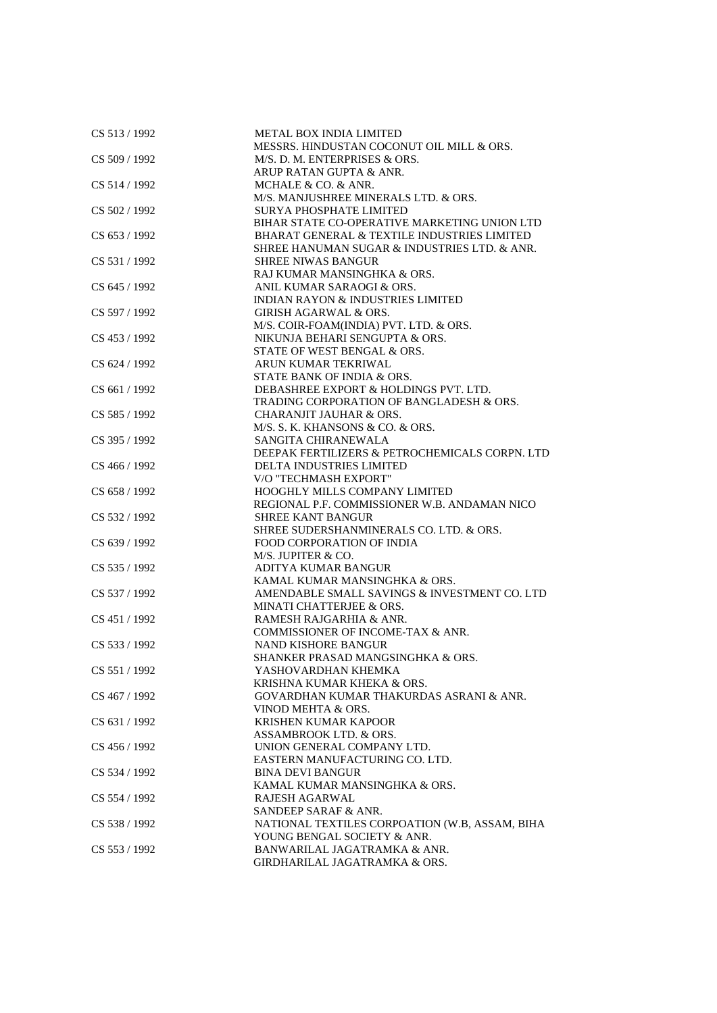| CS 513/1992   | <b>METAL BOX INDIA LIMITED</b>                     |
|---------------|----------------------------------------------------|
|               | MESSRS. HINDUSTAN COCONUT OIL MILL & ORS.          |
| CS 509 / 1992 | M/S. D. M. ENTERPRISES & ORS.                      |
|               | ARUP RATAN GUPTA & ANR.                            |
| CS 514 / 1992 | MCHALE & CO. & ANR.                                |
|               | M/S. MANJUSHREE MINERALS LTD. & ORS.               |
| CS 502 / 1992 | <b>SURYA PHOSPHATE LIMITED</b>                     |
|               | BIHAR STATE CO-OPERATIVE MARKETING UNION LTD       |
| CS 653 / 1992 | BHARAT GENERAL & TEXTILE INDUSTRIES LIMITED        |
|               | SHREE HANUMAN SUGAR & INDUSTRIES LTD. & ANR.       |
| CS 531 / 1992 | <b>SHREE NIWAS BANGUR</b>                          |
|               | RAJ KUMAR MANSINGHKA & ORS.                        |
| CS 645 / 1992 | ANIL KUMAR SARAOGI & ORS.                          |
|               | <b>INDIAN RAYON &amp; INDUSTRIES LIMITED</b>       |
|               | <b>GIRISH AGARWAL &amp; ORS.</b>                   |
| CS 597 / 1992 |                                                    |
|               | M/S. COIR-FOAM(INDIA) PVT. LTD. & ORS.             |
| CS 453 / 1992 | NIKUNJA BEHARI SENGUPTA & ORS.                     |
|               | STATE OF WEST BENGAL & ORS.                        |
| CS 624 / 1992 | ARUN KUMAR TEKRIWAL                                |
|               | STATE BANK OF INDIA & ORS.                         |
| CS 661 / 1992 | DEBASHREE EXPORT & HOLDINGS PVT. LTD.              |
|               | TRADING CORPORATION OF BANGLADESH & ORS.           |
| CS 585 / 1992 | <b>CHARANJIT JAUHAR &amp; ORS.</b>                 |
|               | M/S. S. K. KHANSONS & CO. & ORS.                   |
| CS 395 / 1992 | SANGITA CHIRANEWALA                                |
|               | DEEPAK FERTILIZERS & PETROCHEMICALS CORPN. LTD     |
| CS 466 / 1992 | DELTA INDUSTRIES LIMITED                           |
|               | V/O "TECHMASH EXPORT"                              |
| CS 658 / 1992 | <b>HOOGHLY MILLS COMPANY LIMITED</b>               |
|               | REGIONAL P.F. COMMISSIONER W.B. ANDAMAN NICO       |
| CS 532 / 1992 | <b>SHREE KANT BANGUR</b>                           |
|               | SHREE SUDERSHANMINERALS CO. LTD. & ORS.            |
| CS 639 / 1992 | <b>FOOD CORPORATION OF INDIA</b>                   |
|               | M/S. JUPITER & CO.                                 |
| CS 535 / 1992 | ADITYA KUMAR BANGUR                                |
|               | KAMAL KUMAR MANSINGHKA & ORS.                      |
| CS 537 / 1992 | AMENDABLE SMALL SAVINGS & INVESTMENT CO. LTD       |
|               | MINATI CHATTERJEE & ORS.                           |
| CS 451 / 1992 | RAMESH RAJGARHIA & ANR.                            |
|               | COMMISSIONER OF INCOME-TAX & ANR.                  |
| CS 533 / 1992 | <b>NAND KISHORE BANGUR</b>                         |
|               | SHANKER PRASAD MANGSINGHKA & ORS.                  |
| CS 551 / 1992 | YASHOVARDHAN KHEMKA                                |
|               |                                                    |
|               | KRISHNA KUMAR KHEKA & ORS.                         |
| CS 467 / 1992 | <b>GOVARDHAN KUMAR THAKURDAS ASRANI &amp; ANR.</b> |
|               | VINOD MEHTA & ORS.                                 |
| CS 631 / 1992 | <b>KRISHEN KUMAR KAPOOR</b>                        |
|               | ASSAMBROOK LTD. & ORS.                             |
| CS 456 / 1992 | UNION GENERAL COMPANY LTD.                         |
|               | EASTERN MANUFACTURING CO. LTD.                     |
| CS 534 / 1992 | <b>BINA DEVI BANGUR</b>                            |
|               | KAMAL KUMAR MANSINGHKA & ORS.                      |
| CS 554 / 1992 | <b>RAJESH AGARWAL</b>                              |
|               | SANDEEP SARAF & ANR.                               |
| CS 538 / 1992 | NATIONAL TEXTILES CORPOATION (W.B, ASSAM, BIHA     |
|               | YOUNG BENGAL SOCIETY & ANR.                        |
| CS 553 / 1992 | BANWARILAL JAGATRAMKA & ANR.                       |
|               | GIRDHARILAL JAGATRAMKA & ORS.                      |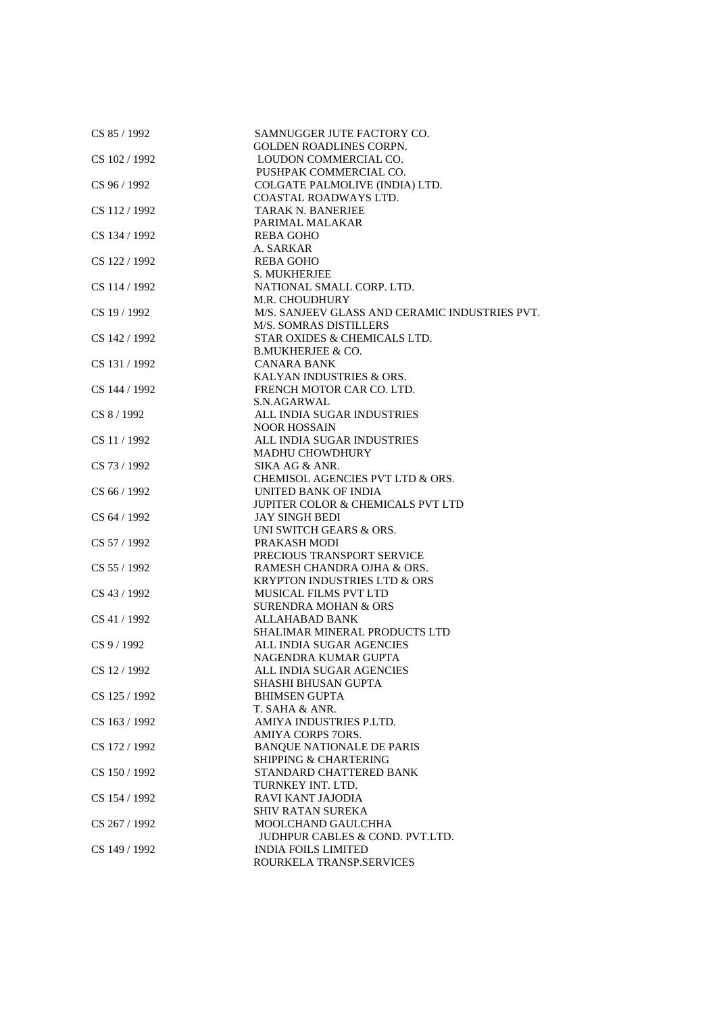| CS 85 / 1992  | SAMNUGGER JUTE FACTORY CO.                     |
|---------------|------------------------------------------------|
|               | <b>GOLDEN ROADLINES CORPN.</b>                 |
| CS 102 / 1992 | LOUDON COMMERCIAL CO.                          |
|               | PUSHPAK COMMERCIAL CO.                         |
| CS 96 / 1992  | COLGATE PALMOLIVE (INDIA) LTD.                 |
|               | COASTAL ROADWAYS LTD.                          |
| CS 112/1992   | <b>TARAK N. BANERJEE</b>                       |
|               | PARIMAL MALAKAR                                |
| CS 134 / 1992 | <b>REBA GOHO</b>                               |
|               | A. SARKAR                                      |
| CS 122 / 1992 | REBA GOHO                                      |
|               | <b>S. MUKHERJEE</b>                            |
| CS 114 / 1992 | NATIONAL SMALL CORP. LTD.                      |
|               | M.R. CHOUDHURY                                 |
| CS 19 / 1992  | M/S. SANJEEV GLASS AND CERAMIC INDUSTRIES PVT. |
|               | <b>M/S. SOMRAS DISTILLERS</b>                  |
| CS 142 / 1992 | STAR OXIDES & CHEMICALS LTD.                   |
|               | <b>B.MUKHERJEE &amp; CO.</b>                   |
| CS 131 / 1992 | <b>CANARA BANK</b>                             |
|               | KALYAN INDUSTRIES & ORS.                       |
| CS 144 / 1992 | FRENCH MOTOR CAR CO. LTD.                      |
|               | S.N.AGARWAL                                    |
| CS 8 / 1992   | ALL INDIA SUGAR INDUSTRIES                     |
|               | <b>NOOR HOSSAIN</b>                            |
| CS 11 / 1992  | ALL INDIA SUGAR INDUSTRIES                     |
|               | <b>MADHU CHOWDHURY</b>                         |
|               | SIKA AG & ANR.                                 |
| CS 73 / 1992  |                                                |
|               | CHEMISOL AGENCIES PVT LTD & ORS.               |
| CS 66 / 1992  | UNITED BANK OF INDIA                           |
|               | JUPITER COLOR & CHEMICALS PVT LTD              |
| CS 64 / 1992  | <b>JAY SINGH BEDI</b>                          |
|               | UNI SWITCH GEARS & ORS.                        |
| CS 57 / 1992  | PRAKASH MODI                                   |
|               | PRECIOUS TRANSPORT SERVICE                     |
| CS 55 / 1992  | RAMESH CHANDRA OJHA & ORS.                     |
|               | <b>KRYPTON INDUSTRIES LTD &amp; ORS</b>        |
| CS 43 / 1992  | MUSICAL FILMS PVT LTD                          |
|               | <b>SURENDRA MOHAN &amp; ORS</b>                |
| CS 41 / 1992  | ALLAHABAD BANK                                 |
|               | SHALIMAR MINERAL PRODUCTS LTD                  |
| CS 9 / 1992   | ALL INDIA SUGAR AGENCIES                       |
|               | NAGENDRA KUMAR GUPTA                           |
| CS 12 / 1992  | ALL INDIA SUGAR AGENCIES                       |
|               | SHASHI BHUSAN GUPTA                            |
| CS 125 / 1992 | <b>BHIMSEN GUPTA</b>                           |
|               | T. SAHA & ANR.                                 |
| CS 163 / 1992 | AMIYA INDUSTRIES P.LTD.                        |
|               | AMIYA CORPS 7ORS.                              |
| CS 172/1992   | <b>BANQUE NATIONALE DE PARIS</b>               |
|               | SHIPPING & CHARTERING                          |
| CS 150/1992   | STANDARD CHATTERED BANK                        |
|               | TURNKEY INT. LTD.                              |
| CS 154 / 1992 | <b>RAVI KANT JAJODIA</b>                       |
|               | <b>SHIV RATAN SUREKA</b>                       |
| CS 267 / 1992 | MOOLCHAND GAULCHHA                             |
|               | <b>JUDHPUR CABLES &amp; COND. PVT.LTD.</b>     |
| CS 149 / 1992 | <b>INDIA FOILS LIMITED</b>                     |
|               | ROURKELA TRANSP.SERVICES                       |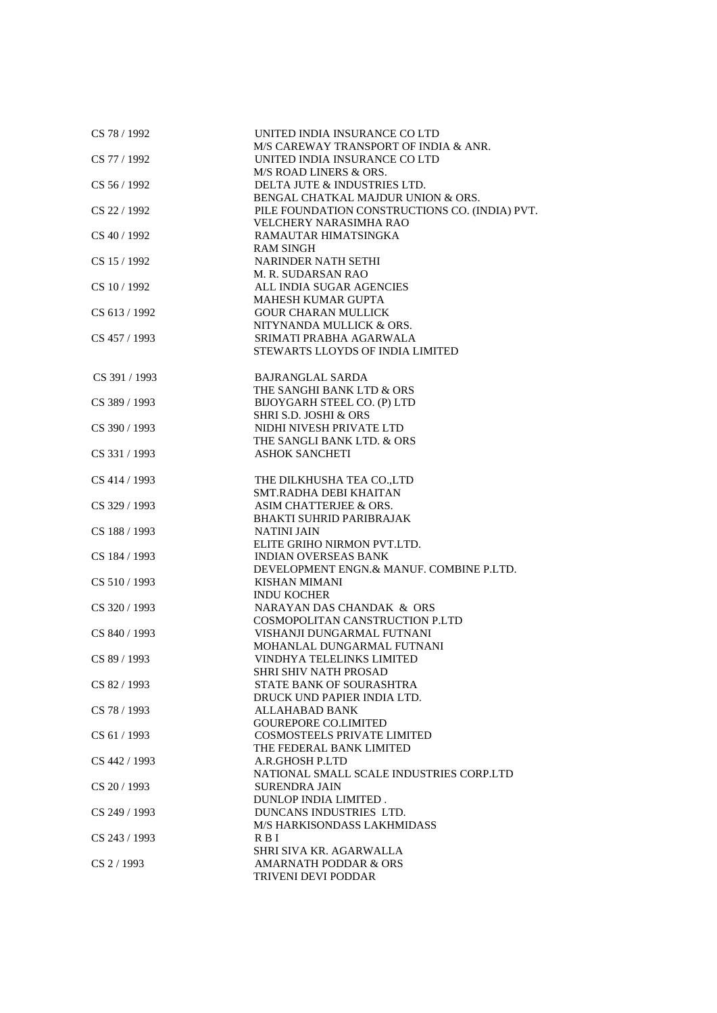| CS 78 / 1992  | UNITED INDIA INSURANCE CO LTD<br>M/S CAREWAY TRANSPORT OF INDIA & ANR.               |
|---------------|--------------------------------------------------------------------------------------|
| CS 77 / 1992  | UNITED INDIA INSURANCE CO LTD<br>M/S ROAD LINERS & ORS.                              |
| CS 56 / 1992  | DELTA JUTE & INDUSTRIES LTD.                                                         |
| CS 22 / 1992  | BENGAL CHATKAL MAJDUR UNION & ORS.<br>PILE FOUNDATION CONSTRUCTIONS CO. (INDIA) PVT. |
|               | VELCHERY NARASIMHA RAO                                                               |
| CS 40 / 1992  | RAMAUTAR HIMATSINGKA<br><b>RAM SINGH</b>                                             |
| CS 15 / 1992  | NARINDER NATH SETHI<br>M. R. SUDARSAN RAO                                            |
| CS 10/1992    | ALL INDIA SUGAR AGENCIES                                                             |
| CS 613/1992   | <b>MAHESH KUMAR GUPTA</b><br><b>GOUR CHARAN MULLICK</b>                              |
|               | NITYNANDA MULLICK & ORS.                                                             |
| CS 457 / 1993 | SRIMATI PRABHA AGARWALA                                                              |
|               | <b>STEWARTS LLOYDS OF INDIA LIMITED</b>                                              |
| CS 391 / 1993 | <b>BAJRANGLAL SARDA</b>                                                              |
|               | THE SANGHI BANK LTD & ORS                                                            |
| CS 389 / 1993 | BIJOYGARH STEEL CO. (P) LTD                                                          |
|               | SHRI S.D. JOSHI & ORS                                                                |
| CS 390 / 1993 | NIDHI NIVESH PRIVATE LTD                                                             |
|               | THE SANGLI BANK LTD. & ORS                                                           |
| CS 331 / 1993 | <b>ASHOK SANCHETI</b>                                                                |
| CS 414 / 1993 | THE DILKHUSHA TEA CO.,LTD                                                            |
|               | SMT.RADHA DEBI KHAITAN                                                               |
| CS 329 / 1993 | ASIM CHATTERJEE & ORS.                                                               |
|               | <b>BHAKTI SUHRID PARIBRAJAK</b>                                                      |
| CS 188 / 1993 | <b>NATINI JAIN</b>                                                                   |
| CS 184 / 1993 | ELITE GRIHO NIRMON PVT.LTD.<br><b>INDIAN OVERSEAS BANK</b>                           |
|               | DEVELOPMENT ENGN.& MANUF. COMBINE P.LTD.                                             |
| CS 510/1993   | KISHAN MIMANI                                                                        |
|               | <b>INDU KOCHER</b>                                                                   |
| CS 320 / 1993 | NARAYAN DAS CHANDAK & ORS                                                            |
|               | COSMOPOLITAN CANSTRUCTION P.LTD                                                      |
| CS 840 / 1993 | VISHANJI DUNGARMAL FUTNANI                                                           |
|               | MOHANLAL DUNGARMAL FUTNANI                                                           |
| CS 89 / 1993  | VINDHYA TELELINKS LIMITED                                                            |
|               | <b>SHRI SHIV NATH PROSAD</b>                                                         |
| CS 82/1993    | STATE BANK OF SOURASHTRA                                                             |
|               | DRUCK UND PAPIER INDIA LTD.                                                          |
| CS 78 / 1993  | <b>ALLAHABAD BANK</b><br><b>GOUREPORE CO.LIMITED</b>                                 |
| CS 61 / 1993  | <b>COSMOSTEELS PRIVATE LIMITED</b>                                                   |
|               | THE FEDERAL BANK LIMITED                                                             |
| CS 442 / 1993 | A.R.GHOSH P.LTD                                                                      |
|               | NATIONAL SMALL SCALE INDUSTRIES CORP.LTD                                             |
| CS 20 / 1993  | <b>SURENDRA JAIN</b>                                                                 |
|               | DUNLOP INDIA LIMITED.                                                                |
| CS 249 / 1993 | DUNCANS INDUSTRIES LTD.                                                              |
|               | <b>M/S HARKISONDASS LAKHMIDASS</b>                                                   |
| CS 243 / 1993 | R B I                                                                                |
|               | SHRI SIVA KR. AGARWALLA                                                              |
| CS 2 / 1993   | <b>AMARNATH PODDAR &amp; ORS</b><br>TRIVENI DEVI PODDAR                              |
|               |                                                                                      |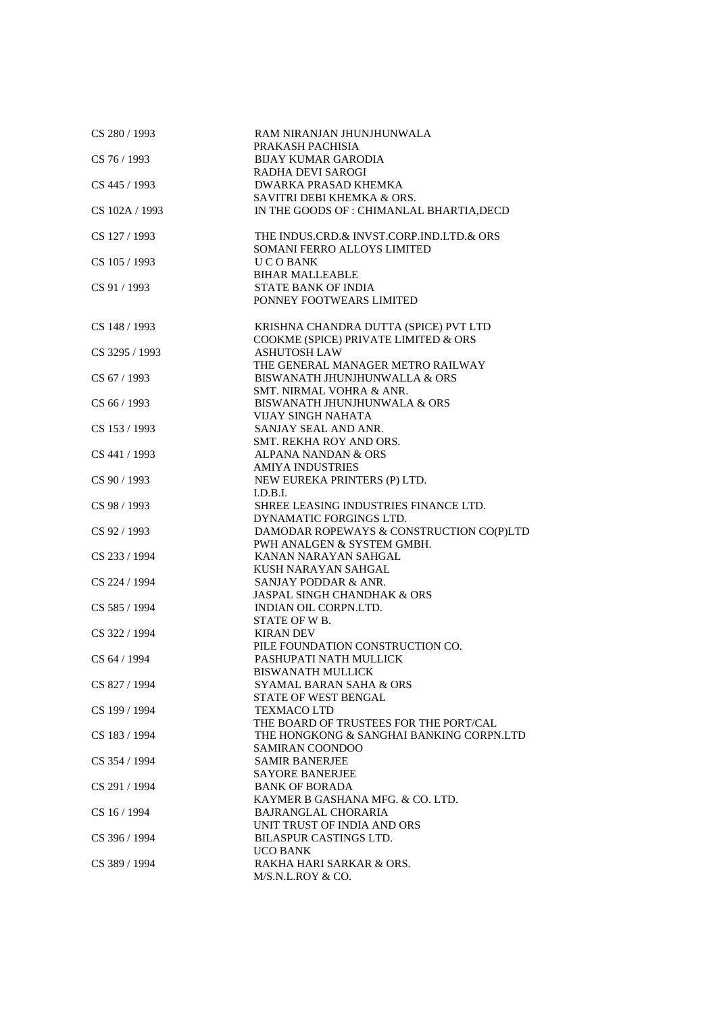| CS 280 / 1993  | RAM NIRANJAN JHUNJHUNWALA<br>PRAKASH PACHISIA |
|----------------|-----------------------------------------------|
| CS 76 / 1993   | <b>BIJAY KUMAR GARODIA</b>                    |
|                | RADHA DEVI SAROGI                             |
| CS 445 / 1993  | DWARKA PRASAD KHEMKA                          |
|                | SAVITRI DEBI KHEMKA & ORS.                    |
| CS 102A / 1993 | IN THE GOODS OF : CHIMANLAL BHARTIA, DECD     |
| CS 127 / 1993  | THE INDUS.CRD.& INVST.CORP.IND.LTD.& ORS      |
|                | SOMANI FERRO ALLOYS LIMITED                   |
| CS 105 / 1993  | <b>UCOBANK</b><br><b>BIHAR MALLEABLE</b>      |
| CS 91 / 1993   | <b>STATE BANK OF INDIA</b>                    |
|                | PONNEY FOOTWEARS LIMITED                      |
|                |                                               |
|                |                                               |
| CS 148 / 1993  | KRISHNA CHANDRA DUTTA (SPICE) PVT LTD         |
|                | COOKME (SPICE) PRIVATE LIMITED & ORS          |
| CS 3295 / 1993 | <b>ASHUTOSH LAW</b>                           |
|                | THE GENERAL MANAGER METRO RAILWAY             |
| CS 67 / 1993   | BISWANATH JHUNJHUNWALLA & ORS                 |
|                | SMT. NIRMAL VOHRA & ANR.                      |
| CS 66 / 1993   | BISWANATH JHUNJHUNWALA & ORS                  |
|                | VIJAY SINGH NAHATA                            |
| CS 153 / 1993  | SANJAY SEAL AND ANR.                          |
|                | SMT. REKHA ROY AND ORS.                       |
| CS 441 / 1993  | ALPANA NANDAN & ORS                           |
|                | <b>AMIYA INDUSTRIES</b>                       |
| CS 90 / 1993   | NEW EUREKA PRINTERS (P) LTD.                  |
|                | I.D.B.I.                                      |
| CS 98 / 1993   | SHREE LEASING INDUSTRIES FINANCE LTD.         |
|                | DYNAMATIC FORGINGS LTD.                       |
| CS 92 / 1993   |                                               |
|                | DAMODAR ROPEWAYS & CONSTRUCTION CO(P)LTD      |
|                | PWH ANALGEN & SYSTEM GMBH.                    |
| CS 233 / 1994  | KANAN NARAYAN SAHGAL                          |
|                | KUSH NARAYAN SAHGAL                           |
| CS 224 / 1994  | SANJAY PODDAR & ANR.                          |
|                | <b>JASPAL SINGH CHANDHAK &amp; ORS</b>        |
| CS 585 / 1994  | INDIAN OIL CORPN.LTD.                         |
|                | STATE OF W B.                                 |
| CS 322 / 1994  | <b>KIRAN DEV</b>                              |
|                | PILE FOUNDATION CONSTRUCTION CO.              |
| CS 64 / 1994   | PASHUPATI NATH MULLICK                        |
|                | <b>BISWANATH MULLICK</b>                      |
| CS 827 / 1994  | SYAMAL BARAN SAHA & ORS                       |
|                | <b>STATE OF WEST BENGAL</b>                   |
| CS 199 / 1994  | TEXMACO LTD                                   |
|                | THE BOARD OF TRUSTEES FOR THE PORT/CAL        |
| CS 183 / 1994  | THE HONGKONG & SANGHAI BANKING CORPN.LTD      |
|                | SAMIRAN COONDOO                               |
| CS 354 / 1994  | <b>SAMIR BANERJEE</b>                         |
|                | <b>SAYORE BANERJEE</b>                        |
| CS 291 / 1994  | <b>BANK OF BORADA</b>                         |
|                | KAYMER B GASHANA MFG. & CO. LTD.              |
|                |                                               |
| CS 16 / 1994   | <b>BAJRANGLAL CHORARIA</b>                    |
|                | UNIT TRUST OF INDIA AND ORS                   |
| CS 396 / 1994  | <b>BILASPUR CASTINGS LTD.</b>                 |
|                | UCO BANK                                      |
| CS 389 / 1994  | RAKHA HARI SARKAR & ORS.                      |
|                | M/S.N.L.ROY & CO.                             |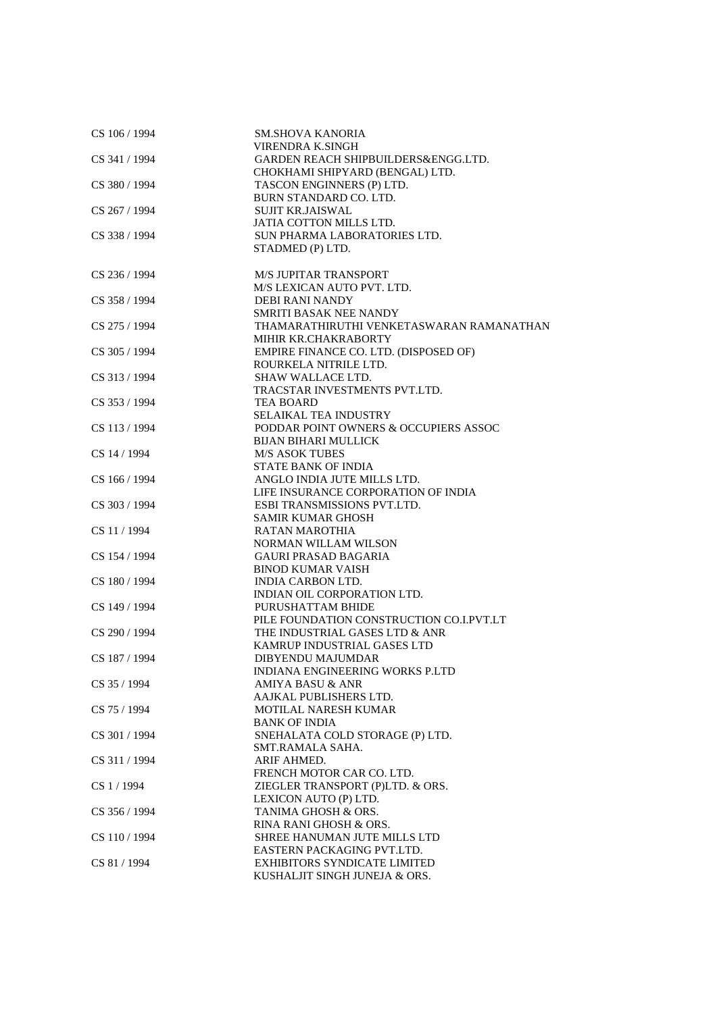| CS 106 / 1994 | <b>SM.SHOVA KANORIA</b>                                            |
|---------------|--------------------------------------------------------------------|
|               | VIRENDRA K.SINGH                                                   |
| CS 341 / 1994 | GARDEN REACH SHIPBUILDERS&ENGG.LTD.                                |
|               | CHOKHAMI SHIPYARD (BENGAL) LTD.                                    |
| CS 380 / 1994 | TASCON ENGINNERS (P) LTD.                                          |
|               | BURN STANDARD CO. LTD.                                             |
| CS 267 / 1994 | <b>SUJIT KR.JAISWAL</b>                                            |
|               | JATIA COTTON MILLS LTD.                                            |
| CS 338 / 1994 | SUN PHARMA LABORATORIES LTD.                                       |
|               | STADMED (P) LTD.                                                   |
|               |                                                                    |
| CS 236 / 1994 | <b>M/S JUPITAR TRANSPORT</b><br>M/S LEXICAN AUTO PVT. LTD.         |
|               |                                                                    |
| CS 358 / 1994 | DEBI RANI NANDY                                                    |
|               | SMRITI BASAK NEE NANDY<br>THAMARATHIRUTHI VENKETASWARAN RAMANATHAN |
| CS 275 / 1994 | MIHIR KR.CHAKRABORTY                                               |
| CS 305 / 1994 |                                                                    |
|               | EMPIRE FINANCE CO. LTD. (DISPOSED OF)<br>ROURKELA NITRILE LTD.     |
| CS 313 / 1994 | <b>SHAW WALLACE LTD.</b>                                           |
|               |                                                                    |
| CS 353/1994   | TRACSTAR INVESTMENTS PVT.LTD.<br><b>TEA BOARD</b>                  |
|               |                                                                    |
| CS 113 / 1994 | SELAIKAL TEA INDUSTRY<br>PODDAR POINT OWNERS & OCCUPIERS ASSOC     |
|               | <b>BIJAN BIHARI MULLICK</b>                                        |
|               | <b>M/S ASOK TUBES</b>                                              |
| CS 14 / 1994  | <b>STATE BANK OF INDIA</b>                                         |
| CS 166 / 1994 | ANGLO INDIA JUTE MILLS LTD.                                        |
|               | LIFE INSURANCE CORPORATION OF INDIA                                |
| CS 303 / 1994 | ESBI TRANSMISSIONS PVT.LTD.                                        |
|               |                                                                    |
| CS 11 / 1994  | <b>SAMIR KUMAR GHOSH</b><br><b>RATAN MAROTHIA</b>                  |
|               | NORMAN WILLAM WILSON                                               |
| CS 154 / 1994 | <b>GAURI PRASAD BAGARIA</b>                                        |
|               | <b>BINOD KUMAR VAISH</b>                                           |
| CS 180 / 1994 | <b>INDIA CARBON LTD.</b>                                           |
|               | INDIAN OIL CORPORATION LTD.                                        |
| CS 149 / 1994 | PURUSHATTAM BHIDE                                                  |
|               | PILE FOUNDATION CONSTRUCTION CO.I.PVT.LT                           |
| CS 290 / 1994 | THE INDUSTRIAL GASES LTD & ANR                                     |
|               | KAMRUP INDUSTRIAL GASES LTD                                        |
| CS 187 / 1994 | DIBYENDU MAJUMDAR                                                  |
|               | INDIANA ENGINEERING WORKS P.LTD                                    |
| CS 35 / 1994  | AMIYA BASU & ANR                                                   |
|               | AAJKAL PUBLISHERS LTD.                                             |
| CS 75 / 1994  | <b>MOTILAL NARESH KUMAR</b>                                        |
|               | <b>BANK OF INDIA</b>                                               |
| CS 301 / 1994 | SNEHALATA COLD STORAGE (P) LTD.                                    |
|               | SMT.RAMALA SAHA.                                                   |
| CS 311 / 1994 | ARIF AHMED.                                                        |
|               | FRENCH MOTOR CAR CO. LTD.                                          |
| CS 1 / 1994   | ZIEGLER TRANSPORT (P)LTD. & ORS.                                   |
|               | LEXICON AUTO (P) LTD.                                              |
| CS 356 / 1994 | TANIMA GHOSH & ORS.                                                |
|               | RINA RANI GHOSH & ORS.                                             |
| CS 110 / 1994 | SHREE HANUMAN JUTE MILLS LTD                                       |
|               | EASTERN PACKAGING PVT.LTD.                                         |
| CS 81 / 1994  | <b>EXHIBITORS SYNDICATE LIMITED</b>                                |
|               | KUSHALJIT SINGH JUNEJA & ORS.                                      |
|               |                                                                    |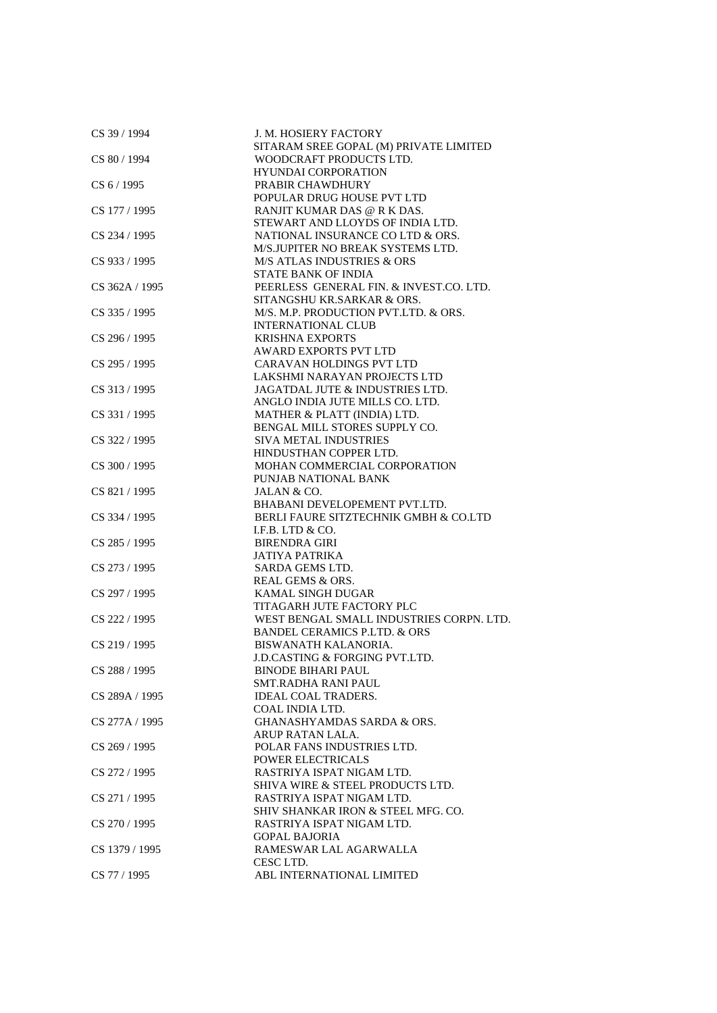| CS 39 / 1994   | J. M. HOSIERY FACTORY                     |
|----------------|-------------------------------------------|
|                | SITARAM SREE GOPAL (M) PRIVATE LIMITED    |
| CS 80 / 1994   | WOODCRAFT PRODUCTS LTD.                   |
|                | <b>HYUNDAI CORPORATION</b>                |
| CS 6 / 1995    | PRABIR CHAWDHURY                          |
|                | POPULAR DRUG HOUSE PVT LTD                |
| CS 177 / 1995  | RANJIT KUMAR DAS @ R K DAS.               |
|                | STEWART AND LLOYDS OF INDIA LTD.          |
| CS 234 / 1995  | NATIONAL INSURANCE CO LTD & ORS.          |
|                | M/S.JUPITER NO BREAK SYSTEMS LTD.         |
| CS 933 / 1995  | <b>M/S ATLAS INDUSTRIES &amp; ORS</b>     |
|                | <b>STATE BANK OF INDIA</b>                |
| CS 362A / 1995 | PEERLESS GENERAL FIN. & INVEST.CO. LTD.   |
|                | SITANGSHU KR.SARKAR & ORS.                |
| CS 335 / 1995  | M/S. M.P. PRODUCTION PVT.LTD. & ORS.      |
|                |                                           |
|                | <b>INTERNATIONAL CLUB</b>                 |
| CS 296 / 1995  | <b>KRISHNA EXPORTS</b>                    |
|                | AWARD EXPORTS PVT LTD                     |
| CS 295 / 1995  | CARAVAN HOLDINGS PVT LTD                  |
|                | LAKSHMI NARAYAN PROJECTS LTD              |
| CS 313 / 1995  | JAGATDAL JUTE & INDUSTRIES LTD.           |
|                | ANGLO INDIA JUTE MILLS CO. LTD.           |
| CS 331 / 1995  | MATHER & PLATT (INDIA) LTD.               |
|                | BENGAL MILL STORES SUPPLY CO.             |
| CS 322 / 1995  | <b>SIVA METAL INDUSTRIES</b>              |
|                | HINDUSTHAN COPPER LTD.                    |
| CS 300 / 1995  | MOHAN COMMERCIAL CORPORATION              |
|                | PUNJAB NATIONAL BANK                      |
| CS 821 / 1995  | JALAN & CO.                               |
|                | BHABANI DEVELOPEMENT PVT.LTD.             |
| CS 334 / 1995  | BERLI FAURE SITZTECHNIK GMBH & CO.LTD     |
|                |                                           |
|                | I.F.B. LTD & CO.                          |
| CS 285 / 1995  | <b>BIRENDRA GIRI</b>                      |
|                | JATIYA PATRIKA                            |
| CS 273 / 1995  | SARDA GEMS LTD.                           |
|                | REAL GEMS & ORS.                          |
| CS 297 / 1995  | KAMAL SINGH DUGAR                         |
|                | TITAGARH JUTE FACTORY PLC                 |
| CS 222 / 1995  | WEST BENGAL SMALL INDUSTRIES CORPN. LTD.  |
|                | <b>BANDEL CERAMICS P.LTD. &amp; ORS</b>   |
| CS 219 / 1995  | BISWANATH KALANORIA.                      |
|                | <b>J.D.CASTING &amp; FORGING PVT.LTD.</b> |
| CS 288 / 1995  | <b>BINODE BIHARI PAUL</b>                 |
|                | SMT.RADHA RANI PAUL                       |
| CS 289A / 1995 | <b>IDEAL COAL TRADERS.</b>                |
|                | COAL INDIA LTD.                           |
| CS 277A / 1995 | <b>GHANASHYAMDAS SARDA &amp; ORS.</b>     |
|                | ARUP RATAN LALA.                          |
| CS 269 / 1995  | POLAR FANS INDUSTRIES LTD.                |
|                | POWER ELECTRICALS                         |
|                |                                           |
| CS 272 / 1995  | RASTRIYA ISPAT NIGAM LTD.                 |
|                | SHIVA WIRE & STEEL PRODUCTS LTD.          |
| CS 271 / 1995  | RASTRIYA ISPAT NIGAM LTD.                 |
|                | SHIV SHANKAR IRON & STEEL MFG. CO.        |
| CS 270 / 1995  | RASTRIYA ISPAT NIGAM LTD.                 |
|                | <b>GOPAL BAJORIA</b>                      |
| CS 1379 / 1995 | RAMESWAR LAL AGARWALLA                    |
|                | CESC LTD.                                 |
| CS 77 / 1995   | ABL INTERNATIONAL LIMITED                 |
|                |                                           |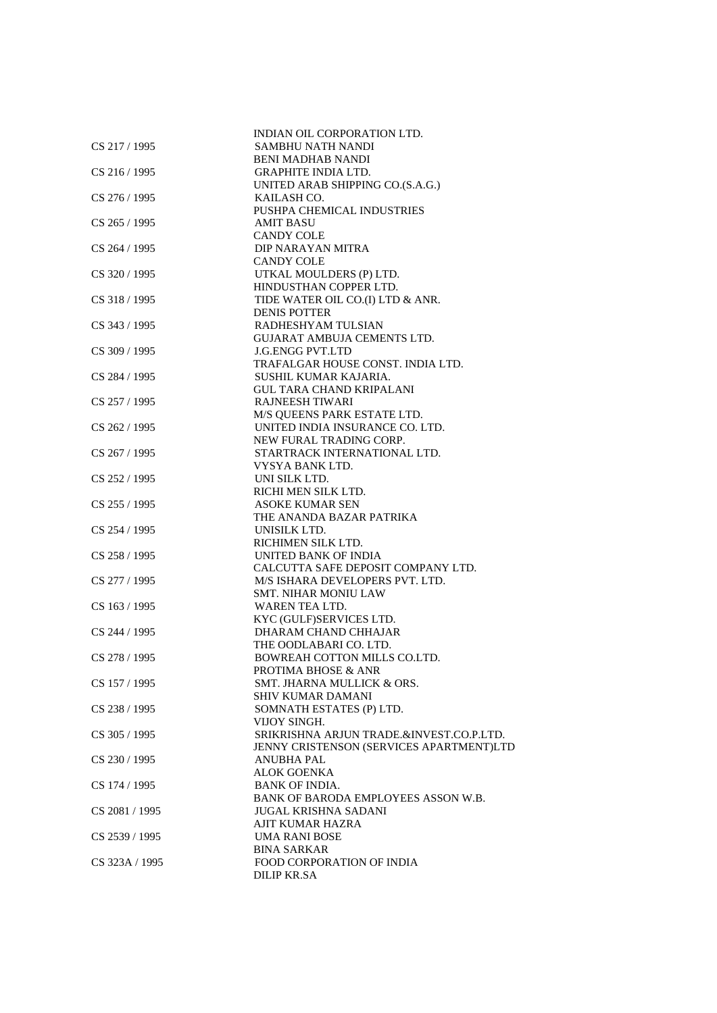|                | INDIAN OIL CORPORATION LTD.                             |
|----------------|---------------------------------------------------------|
| CS 217/1995    | SAMBHU NATH NANDI                                       |
|                | <b>BENI MADHAB NANDI</b>                                |
| CS 216 / 1995  | <b>GRAPHITE INDIA LTD.</b>                              |
|                | UNITED ARAB SHIPPING CO.(S.A.G.)                        |
| CS 276 / 1995  | KAILASH CO.                                             |
|                | PUSHPA CHEMICAL INDUSTRIES                              |
| CS 265 / 1995  | <b>AMIT BASU</b>                                        |
|                | <b>CANDY COLE</b>                                       |
| CS 264 / 1995  | DIP NARAYAN MITRA                                       |
|                | <b>CANDY COLE</b>                                       |
| CS 320/1995    | UTKAL MOULDERS (P) LTD.                                 |
|                | HINDUSTHAN COPPER LTD.                                  |
| CS 318 / 1995  |                                                         |
|                | TIDE WATER OIL CO.(I) LTD & ANR.<br><b>DENIS POTTER</b> |
|                |                                                         |
| CS 343 / 1995  | RADHESHYAM TULSIAN                                      |
|                | <b>GUJARAT AMBUJA CEMENTS LTD.</b>                      |
| CS 309 / 1995  | <b>J.G.ENGG PVT.LTD</b>                                 |
|                | TRAFALGAR HOUSE CONST. INDIA LTD.                       |
| CS 284 / 1995  | SUSHIL KUMAR KAJARIA.                                   |
|                | <b>GUL TARA CHAND KRIPALANI</b>                         |
| CS 257 / 1995  | <b>RAJNEESH TIWARI</b>                                  |
|                | M/S QUEENS PARK ESTATE LTD.                             |
| CS 262 / 1995  | UNITED INDIA INSURANCE CO. LTD.                         |
|                | NEW FURAL TRADING CORP.                                 |
| CS 267 / 1995  | STARTRACK INTERNATIONAL LTD.                            |
|                | VYSYA BANK LTD.                                         |
| CS 252 / 1995  | UNI SILK LTD.                                           |
|                | RICHI MEN SILK LTD.                                     |
| CS 255 / 1995  | <b>ASOKE KUMAR SEN</b>                                  |
|                | THE ANANDA BAZAR PATRIKA                                |
| CS 254 / 1995  | UNISILK LTD.                                            |
|                | RICHIMEN SILK LTD.                                      |
| CS 258 / 1995  | UNITED BANK OF INDIA                                    |
|                | CALCUTTA SAFE DEPOSIT COMPANY LTD.                      |
| CS 277 / 1995  | M/S ISHARA DEVELOPERS PVT. LTD.                         |
|                | <b>SMT. NIHAR MONIU LAW</b>                             |
| CS 163 / 1995  | WAREN TEA LTD.                                          |
|                | KYC (GULF)SERVICES LTD.                                 |
| CS 244 / 1995  | DHARAM CHAND CHHAJAR                                    |
|                | THE OODLABARI CO. LTD.                                  |
| CS 278 / 1995  | BOWREAH COTTON MILLS CO.LTD.                            |
|                | PROTIMA BHOSE & ANR                                     |
| CS 157 / 1995  | SMT. JHARNA MULLICK & ORS.                              |
|                | <b>SHIV KUMAR DAMANI</b>                                |
| CS 238 / 1995  | SOMNATH ESTATES (P) LTD.                                |
|                | VIJOY SINGH.                                            |
| CS 305 / 1995  | SRIKRISHNA ARJUN TRADE.&INVEST.CO.P.LTD.                |
|                | JENNY CRISTENSON (SERVICES APARTMENT)LTD                |
| CS 230 / 1995  | <b>ANUBHA PAL</b>                                       |
|                | <b>ALOK GOENKA</b>                                      |
|                |                                                         |
| CS 174 / 1995  | <b>BANK OF INDIA.</b>                                   |
|                | BANK OF BARODA EMPLOYEES ASSON W.B.                     |
| CS 2081 / 1995 | <b>JUGAL KRISHNA SADANI</b>                             |
|                | <b>AJIT KUMAR HAZRA</b>                                 |
| CS 2539 / 1995 | <b>UMA RANI BOSE</b>                                    |
|                | <b>BINA SARKAR</b>                                      |
| CS 323A / 1995 | <b>FOOD CORPORATION OF INDIA</b>                        |
|                | <b>DILIP KR.SA</b>                                      |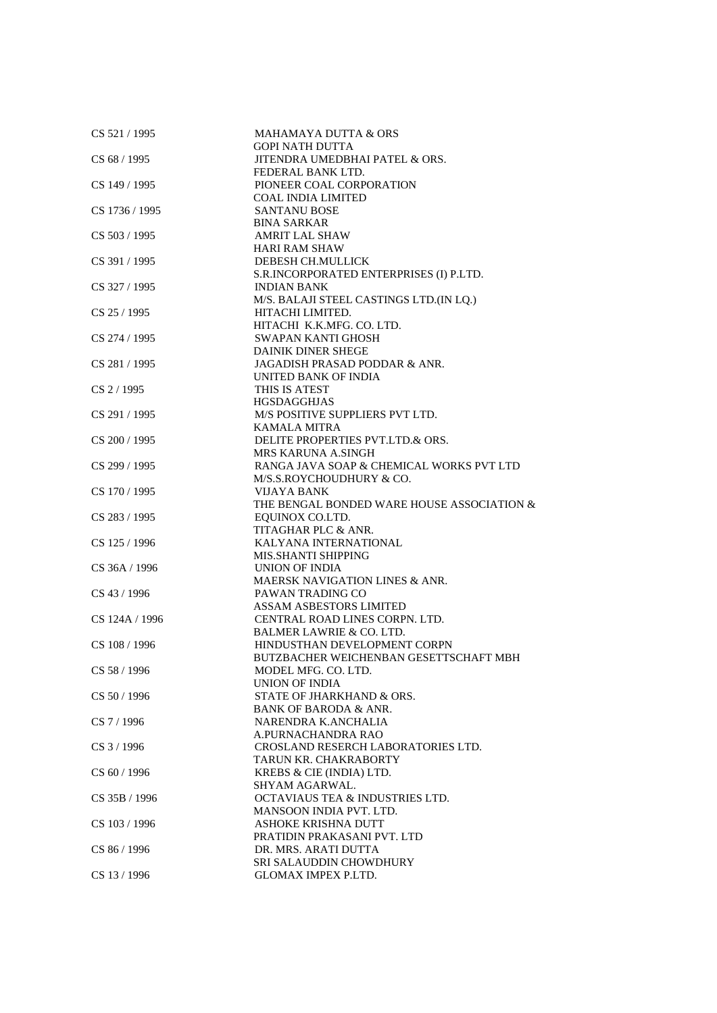| CS 521 / 1995  | <b>MAHAMAYA DUTTA &amp; ORS</b>            |
|----------------|--------------------------------------------|
|                | <b>GOPI NATH DUTTA</b>                     |
| CS 68/1995     | JITENDRA UMEDBHAI PATEL & ORS.             |
|                | FEDERAL BANK LTD.                          |
| CS 149 / 1995  | PIONEER COAL CORPORATION                   |
|                | COAL INDIA LIMITED                         |
| CS 1736 / 1995 | <b>SANTANU BOSE</b>                        |
|                | <b>BINA SARKAR</b>                         |
| CS 503 / 1995  | <b>AMRIT LAL SHAW</b>                      |
|                | <b>HARI RAM SHAW</b>                       |
| CS 391 / 1995  | DEBESH CH.MULLICK                          |
|                | S.R.INCORPORATED ENTERPRISES (I) P.LTD.    |
| CS 327 / 1995  | <b>INDIAN BANK</b>                         |
|                | M/S. BALAJI STEEL CASTINGS LTD.(IN LQ.)    |
| $CS$ 25 / 1995 | HITACHI LIMITED.                           |
|                | HITACHI K.K.MFG. CO. LTD.                  |
| CS 274 / 1995  | SWAPAN KANTI GHOSH                         |
|                | <b>DAINIK DINER SHEGE</b>                  |
| CS 281 / 1995  | JAGADISH PRASAD PODDAR & ANR.              |
|                | UNITED BANK OF INDIA                       |
|                |                                            |
| $CS$ 2 / 1995  | THIS IS ATEST                              |
|                | <b>HGSDAGGHJAS</b>                         |
| CS 291 / 1995  | M/S POSITIVE SUPPLIERS PVT LTD.            |
|                | <b>KAMALA MITRA</b>                        |
| CS 200 / 1995  | DELITE PROPERTIES PVT.LTD.& ORS.           |
|                | <b>MRS KARUNA A.SINGH</b>                  |
| CS 299 / 1995  | RANGA JAVA SOAP & CHEMICAL WORKS PVT LTD   |
|                | M/S.S.ROYCHOUDHURY & CO.                   |
| CS 170 / 1995  | <b>VIJAYA BANK</b>                         |
|                | THE BENGAL BONDED WARE HOUSE ASSOCIATION & |
| CS 283 / 1995  | EQUINOX CO.LTD.                            |
|                | TITAGHAR PLC & ANR.                        |
| CS 125 / 1996  | KALYANA INTERNATIONAL                      |
|                | MIS.SHANTI SHIPPING                        |
| CS 36A / 1996  | <b>UNION OF INDIA</b>                      |
|                | <b>MAERSK NAVIGATION LINES &amp; ANR.</b>  |
| CS 43 / 1996   | PAWAN TRADING CO                           |
|                | <b>ASSAM ASBESTORS LIMITED</b>             |
| CS 124A / 1996 | CENTRAL ROAD LINES CORPN. LTD.             |
|                | <b>BALMER LAWRIE &amp; CO. LTD.</b>        |
| CS 108 / 1996  | HINDUSTHAN DEVELOPMENT CORPN               |
|                | BUTZBACHER WEICHENBAN GESETTSCHAFT MBH     |
| CS 58 / 1996   | MODEL MFG. CO. LTD.                        |
|                | UNION OF INDIA                             |
| CS 50 / 1996   | STATE OF JHARKHAND & ORS.                  |
|                | BANK OF BARODA & ANR.                      |
| $CS$ 7 / 1996  | NARENDRA K.ANCHALIA                        |
|                | A.PURNACHANDRA RAO                         |
| CS 3 / 1996    | CROSLAND RESERCH LABORATORIES LTD.         |
|                | TARUN KR. CHAKRABORTY                      |
| CS 60 / 1996   | KREBS & CIE (INDIA) LTD.                   |
|                | SHYAM AGARWAL.                             |
| CS 35B / 1996  | <b>OCTAVIAUS TEA &amp; INDUSTRIES LTD.</b> |
|                | MANSOON INDIA PVT. LTD.                    |
| CS 103 / 1996  | ASHOKE KRISHNA DUTT                        |
|                | PRATIDIN PRAKASANI PVT. LTD                |
|                |                                            |
| CS 86 / 1996   | DR. MRS. ARATI DUTTA                       |
|                | <b>SRI SALAUDDIN CHOWDHURY</b>             |
| CS 13 / 1996   | GLOMAX IMPEX P.LTD.                        |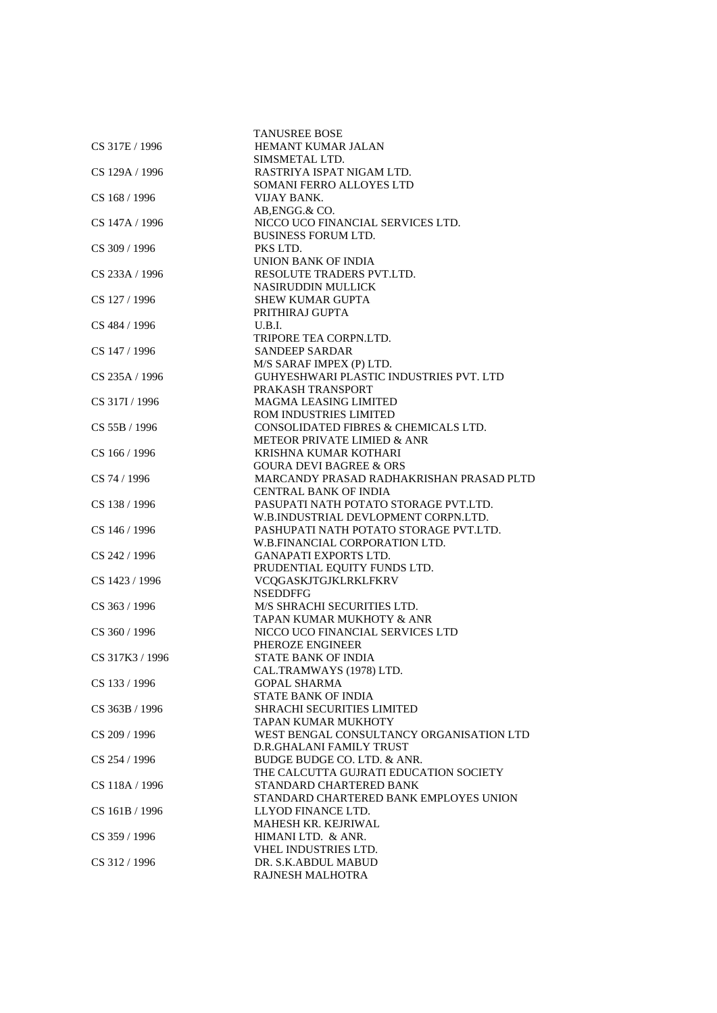| CS 317E / 1996  | <b>TANUSREE BOSE</b><br>HEMANT KUMAR JALAN |
|-----------------|--------------------------------------------|
|                 | SIMSMETAL LTD.                             |
| CS 129A / 1996  | RASTRIYA ISPAT NIGAM LTD.                  |
|                 | SOMANI FERRO ALLOYES LTD                   |
| CS 168 / 1996   | VIJAY BANK.                                |
|                 | AB, ENGG.& CO.                             |
| CS 147A / 1996  | NICCO UCO FINANCIAL SERVICES LTD.          |
|                 | <b>BUSINESS FORUM LTD.</b>                 |
| CS 309 / 1996   | PKS LTD.                                   |
|                 | UNION BANK OF INDIA                        |
| CS 233A / 1996  | RESOLUTE TRADERS PVT.LTD.                  |
|                 | <b>NASIRUDDIN MULLICK</b>                  |
| CS 127 / 1996   | <b>SHEW KUMAR GUPTA</b>                    |
|                 | PRITHIRAJ GUPTA                            |
| CS 484 / 1996   | U.B.I.                                     |
|                 | TRIPORE TEA CORPN.LTD.                     |
| CS 147 / 1996   | <b>SANDEEP SARDAR</b>                      |
|                 | M/S SARAF IMPEX (P) LTD.                   |
| CS 235A / 1996  | GUHYESHWARI PLASTIC INDUSTRIES PVT. LTD    |
|                 | PRAKASH TRANSPORT                          |
| CS 317I / 1996  | <b>MAGMA LEASING LIMITED</b>               |
|                 | <b>ROM INDUSTRIES LIMITED</b>              |
| CS 55B / 1996   | CONSOLIDATED FIBRES & CHEMICALS LTD.       |
|                 | METEOR PRIVATE LIMIED & ANR                |
| CS 166 / 1996   | KRISHNA KUMAR KOTHARI                      |
|                 | <b>GOURA DEVI BAGREE &amp; ORS</b>         |
| CS 74 / 1996    | MARCANDY PRASAD RADHAKRISHAN PRASAD PLTD   |
|                 | CENTRAL BANK OF INDIA                      |
| CS 138 / 1996   | PASUPATI NATH POTATO STORAGE PVT.LTD.      |
|                 | W.B.INDUSTRIAL DEVLOPMENT CORPN.LTD.       |
| CS 146 / 1996   | PASHUPATI NATH POTATO STORAGE PVT.LTD.     |
|                 | W.B.FINANCIAL CORPORATION LTD.             |
| CS 242 / 1996   | <b>GANAPATI EXPORTS LTD.</b>               |
|                 | PRUDENTIAL EQUITY FUNDS LTD.               |
| CS 1423 / 1996  | VCQGASKJTGJKLRKLFKRV<br><b>NSEDDFFG</b>    |
| CS 363 / 1996   | M/S SHRACHI SECURITIES LTD.                |
|                 | TAPAN KUMAR MUKHOTY & ANR                  |
| CS 360 / 1996   | NICCO UCO FINANCIAL SERVICES LTD           |
|                 | PHEROZE ENGINEER                           |
| CS 317K3 / 1996 | STATE BANK OF INDIA                        |
|                 | CAL.TRAMWAYS (1978) LTD.                   |
| CS 133 / 1996   | <b>GOPAL SHARMA</b>                        |
|                 | <b>STATE BANK OF INDIA</b>                 |
| CS 363B / 1996  | <b>SHRACHI SECURITIES LIMITED</b>          |
|                 | TAPAN KUMAR MUKHOTY                        |
| CS 209 / 1996   | WEST BENGAL CONSULTANCY ORGANISATION LTD   |
|                 | D.R.GHALANI FAMILY TRUST                   |
| CS 254 / 1996   | BUDGE BUDGE CO. LTD. & ANR.                |
|                 | THE CALCUTTA GUJRATI EDUCATION SOCIETY     |
| CS 118A / 1996  | STANDARD CHARTERED BANK                    |
|                 | STANDARD CHARTERED BANK EMPLOYES UNION     |
| CS 161B / 1996  | LLYOD FINANCE LTD.                         |
|                 | MAHESH KR. KEJRIWAL                        |
| CS 359 / 1996   | HIMANI LTD. & ANR.                         |
|                 | VHEL INDUSTRIES LTD.                       |
| CS 312 / 1996   | DR. S.K.ABDUL MABUD                        |
|                 | RAJNESH MALHOTRA                           |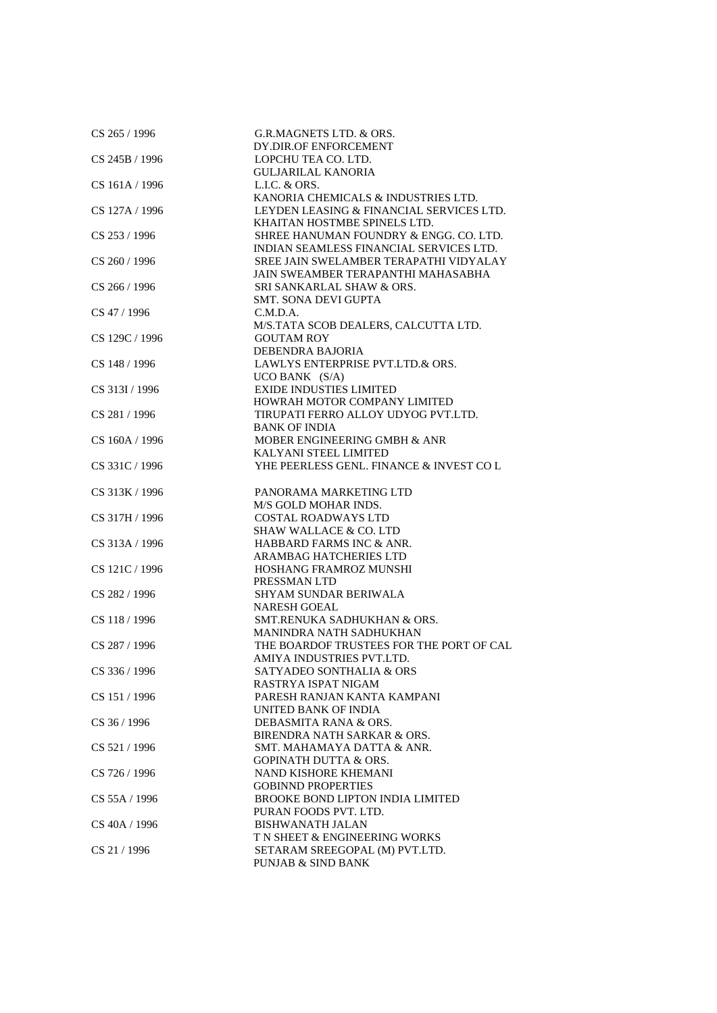| CS 265 / 1996     | G.R.MAGNETS LTD. & ORS.<br>DY.DIR.OF ENFORCEMENT              |
|-------------------|---------------------------------------------------------------|
| CS 245B / 1996    | LOPCHU TEA CO. LTD.                                           |
|                   |                                                               |
|                   | <b>GULJARILAL KANORIA</b>                                     |
| CS 161A / 1996    | L.L.C. & ORS.                                                 |
|                   | KANORIA CHEMICALS & INDUSTRIES LTD.                           |
| CS 127A / 1996    | LEYDEN LEASING & FINANCIAL SERVICES LTD.                      |
|                   | KHAITAN HOSTMBE SPINELS LTD.                                  |
| CS 253 / 1996     | SHREE HANUMAN FOUNDRY & ENGG. CO. LTD.                        |
|                   | INDIAN SEAMLESS FINANCIAL SERVICES LTD.                       |
| CS 260 / 1996     | SREE JAIN SWELAMBER TERAPATHI VIDYALAY                        |
|                   | JAIN SWEAMBER TERAPANTHI MAHASABHA                            |
| $CS$ 266 / 1996   | SRI SANKARLAL SHAW & ORS.                                     |
|                   | <b>SMT. SONA DEVI GUPTA</b>                                   |
| CS 47 / 1996      | C.M.D.A.                                                      |
|                   | M/S.TATA SCOB DEALERS, CALCUTTA LTD.                          |
| CS 129C / 1996    | <b>GOUTAM ROY</b>                                             |
|                   | DEBENDRA BAJORIA                                              |
| CS 148 / 1996     | LAWLYS ENTERPRISE PVT.LTD.& ORS.                              |
|                   | $UCO$ BANK $(S/A)$                                            |
| CS 313I / 1996    | <b>EXIDE INDUSTIES LIMITED</b>                                |
|                   | HOWRAH MOTOR COMPANY LIMITED                                  |
| CS 281 / 1996     | TIRUPATI FERRO ALLOY UDYOG PVT.LTD.                           |
|                   | <b>BANK OF INDIA</b>                                          |
| CS 160A / 1996    | MOBER ENGINEERING GMBH & ANR                                  |
|                   | KALYANI STEEL LIMITED                                         |
| CS 331C / 1996    | YHE PEERLESS GENL. FINANCE & INVEST COL                       |
|                   |                                                               |
| CS 313K / 1996    | PANORAMA MARKETING LTD                                        |
|                   | M/S GOLD MOHAR INDS.                                          |
|                   |                                                               |
| CS 317H / 1996    | <b>COSTAL ROADWAYS LTD</b>                                    |
|                   | <b>SHAW WALLACE &amp; CO. LTD</b><br>HABBARD FARMS INC & ANR. |
| CS 313A / 1996    | ARAMBAG HATCHERIES LTD                                        |
|                   |                                                               |
| CS 121C / 1996    | HOSHANG FRAMROZ MUNSHI<br>PRESSMAN LTD                        |
|                   | <b>SHYAM SUNDAR BERIWALA</b>                                  |
| CS 282 / 1996     |                                                               |
|                   | <b>NARESH GOEAL</b>                                           |
| CS 118 / 1996     | SMT.RENUKA SADHUKHAN & ORS.                                   |
|                   | MANINDRA NATH SADHUKHAN                                       |
| CS 287 / 1996     | THE BOARDOF TRUSTEES FOR THE PORT OF CAL                      |
|                   | AMIYA INDUSTRIES PVT.LTD.                                     |
| CS 336 / 1996     | SATYADEO SONTHALIA & ORS                                      |
|                   | RASTRYA ISPAT NIGAM                                           |
| CS 151 / 1996     | PARESH RANJAN KANTA KAMPANI                                   |
|                   | UNITED BANK OF INDIA                                          |
| CS 36 / 1996      | DEBASMITA RANA & ORS.                                         |
|                   | BIRENDRA NATH SARKAR & ORS.                                   |
| CS 521 / 1996     | SMT. MAHAMAYA DATTA & ANR.                                    |
|                   | <b>GOPINATH DUTTA &amp; ORS.</b>                              |
| CS 726 / 1996     | NAND KISHORE KHEMANI                                          |
|                   | <b>GOBINND PROPERTIES</b>                                     |
| $CS$ 55A $/$ 1996 | <b>BROOKE BOND LIPTON INDIA LIMITED</b>                       |
|                   | PURAN FOODS PVT. LTD.                                         |
| CS 40A / 1996     | <b>BISHWANATH JALAN</b>                                       |
|                   | T N SHEET & ENGINEERING WORKS                                 |
| CS 21 / 1996      | SETARAM SREEGOPAL (M) PVT.LTD.                                |
|                   | PUNJAB & SIND BANK                                            |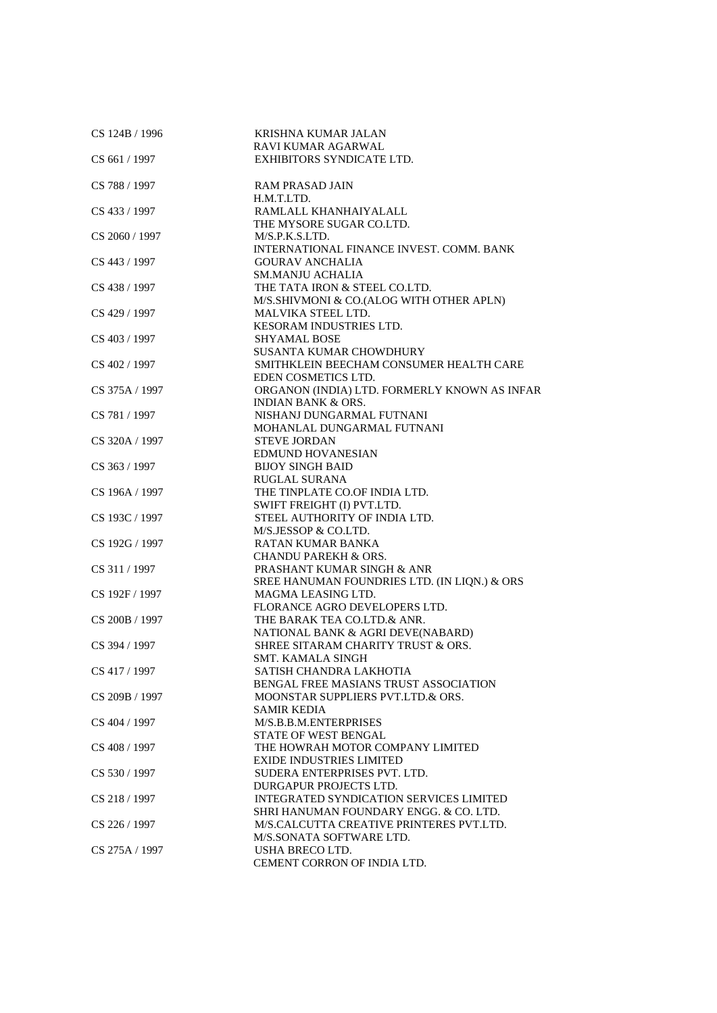| CS 124B / 1996 | KRISHNA KUMAR JALAN                          |
|----------------|----------------------------------------------|
|                | RAVI KUMAR AGARWAL                           |
| CS 661 / 1997  | EXHIBITORS SYNDICATE LTD.                    |
| CS 788 / 1997  | RAM PRASAD JAIN                              |
|                | H.M.T.LTD.                                   |
| CS 433 / 1997  | RAMLALL KHANHAIYALALL                        |
|                | THE MYSORE SUGAR CO.LTD.                     |
| CS 2060 / 1997 | M/S.P.K.S.LTD.                               |
|                | INTERNATIONAL FINANCE INVEST. COMM. BANK     |
| CS 443 / 1997  | <b>GOURAV ANCHALIA</b>                       |
|                | <b>SM.MANJU ACHALIA</b>                      |
| CS 438 / 1997  | THE TATA IRON & STEEL CO.LTD.                |
|                | M/S.SHIVMONI & CO.(ALOG WITH OTHER APLN)     |
| CS 429 / 1997  | MALVIKA STEEL LTD.                           |
|                | KESORAM INDUSTRIES LTD.                      |
| CS 403 / 1997  | <b>SHYAMAL BOSE</b>                          |
|                | <b>SUSANTA KUMAR CHOWDHURY</b>               |
| CS 402 / 1997  | SMITHKLEIN BEECHAM CONSUMER HEALTH CARE      |
|                | EDEN COSMETICS LTD.                          |
| CS 375A / 1997 | ORGANON (INDIA) LTD. FORMERLY KNOWN AS INFAR |
|                | <b>INDIAN BANK &amp; ORS.</b>                |
| CS 781 / 1997  | NISHANJ DUNGARMAL FUTNANI                    |
|                | MOHANLAL DUNGARMAL FUTNANI                   |
| CS 320A / 1997 | STEVE JORDAN                                 |
|                | <b>EDMUND HOVANESIAN</b>                     |
| CS 363 / 1997  | <b>BIJOY SINGH BAID</b>                      |
|                | <b>RUGLAL SURANA</b>                         |
| CS 196A / 1997 | THE TINPLATE CO.OF INDIA LTD.                |
|                | SWIFT FREIGHT (I) PVT.LTD.                   |
| CS 193C / 1997 | STEEL AUTHORITY OF INDIA LTD.                |
|                | M/S.JESSOP & CO.LTD.                         |
| CS 192G / 1997 | RATAN KUMAR BANKA                            |
|                | <b>CHANDU PAREKH &amp; ORS.</b>              |
| CS 311 / 1997  | PRASHANT KUMAR SINGH & ANR                   |
|                | SREE HANUMAN FOUNDRIES LTD. (IN LIQN.) & ORS |
| CS 192F / 1997 | MAGMA LEASING LTD.                           |
|                | FLORANCE AGRO DEVELOPERS LTD.                |
| CS 200B / 1997 | THE BARAK TEA CO.LTD.& ANR.                  |
|                | NATIONAL BANK & AGRI DEVE(NABARD)            |
| CS 394 / 1997  | SHREE SITARAM CHARITY TRUST & ORS.           |
|                | <b>SMT. KAMALA SINGH</b>                     |
| CS 417 / 1997  | SATISH CHANDRA LAKHOTIA                      |
|                | BENGAL FREE MASIANS TRUST ASSOCIATION        |
| CS 209B / 1997 | MOONSTAR SUPPLIERS PVT.LTD.& ORS.            |
|                | <b>SAMIR KEDIA</b>                           |
| CS 404 / 1997  | M/S.B.B.M.ENTERPRISES                        |
|                | STATE OF WEST BENGAL                         |
| CS 408 / 1997  | THE HOWRAH MOTOR COMPANY LIMITED             |
|                | <b>EXIDE INDUSTRIES LIMITED</b>              |
| CS 530 / 1997  | SUDERA ENTERPRISES PVT. LTD.                 |
|                | DURGAPUR PROJECTS LTD.                       |
| CS 218 / 1997  | INTEGRATED SYNDICATION SERVICES LIMITED      |
|                | SHRI HANUMAN FOUNDARY ENGG. & CO. LTD.       |
| CS 226 / 1997  | M/S.CALCUTTA CREATIVE PRINTERES PVT.LTD.     |
|                | M/S.SONATA SOFTWARE LTD.                     |
| CS 275A / 1997 | USHA BRECO LTD.                              |
|                | CEMENT CORRON OF INDIA LTD.                  |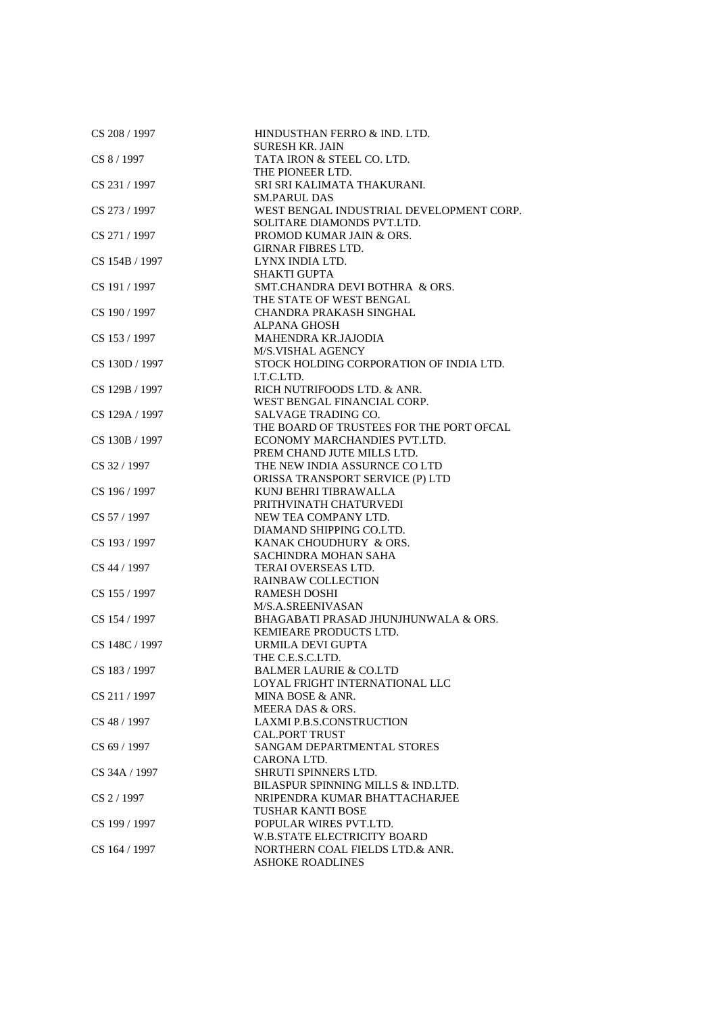| CS 208 / 1997  | HINDUSTHAN FERRO & IND. LTD.<br><b>SURESH KR. JAIN</b> |
|----------------|--------------------------------------------------------|
| CS 8 / 1997    | TATA IRON & STEEL CO. LTD.                             |
|                | THE PIONEER LTD.                                       |
| CS 231 / 1997  | SRI SRI KALIMATA THAKURANI.                            |
|                | <b>SM.PARUL DAS</b>                                    |
| CS 273 / 1997  | WEST BENGAL INDUSTRIAL DEVELOPMENT CORP.               |
|                | SOLITARE DIAMONDS PVT.LTD.                             |
| CS 271 / 1997  | PROMOD KUMAR JAIN & ORS.                               |
|                | <b>GIRNAR FIBRES LTD.</b>                              |
| CS 154B / 1997 | LYNX INDIA LTD.                                        |
|                | <b>SHAKTI GUPTA</b>                                    |
| CS 191 / 1997  | SMT.CHANDRA DEVI BOTHRA & ORS.                         |
|                | THE STATE OF WEST BENGAL                               |
| CS 190 / 1997  | CHANDRA PRAKASH SINGHAL                                |
|                | <b>ALPANA GHOSH</b>                                    |
| CS 153 / 1997  | <b>MAHENDRA KR.JAJODIA</b>                             |
|                | <b>M/S.VISHAL AGENCY</b>                               |
| CS 130D / 1997 | STOCK HOLDING CORPORATION OF INDIA LTD.                |
|                | I.T.C.LTD.                                             |
| CS 129B / 1997 | RICH NUTRIFOODS LTD. & ANR.                            |
|                | WEST BENGAL FINANCIAL CORP.                            |
| CS 129A / 1997 | <b>SALVAGE TRADING CO.</b>                             |
|                | THE BOARD OF TRUSTEES FOR THE PORT OFCAL               |
| CS 130B / 1997 | ECONOMY MARCHANDIES PVT.LTD.                           |
|                | PREM CHAND JUTE MILLS LTD.                             |
| CS 32 / 1997   | THE NEW INDIA ASSURNCE CO LTD                          |
|                | ORISSA TRANSPORT SERVICE (P) LTD                       |
| CS 196 / 1997  | KUNJ BEHRI TIBRAWALLA                                  |
|                | PRITHVINATH CHATURVEDI                                 |
| CS 57 / 1997   | NEW TEA COMPANY LTD.                                   |
|                | DIAMAND SHIPPING CO.LTD.                               |
| CS 193 / 1997  | KANAK CHOUDHURY & ORS.                                 |
|                | <b>SACHINDRA MOHAN SAHA</b>                            |
| CS 44 / 1997   | TERAI OVERSEAS LTD.                                    |
|                | <b>RAINBAW COLLECTION</b>                              |
| CS 155 / 1997  | <b>RAMESH DOSHI</b>                                    |
|                | M/S.A.SREENIVASAN                                      |
| CS 154 / 1997  | BHAGABATI PRASAD JHUNJHUNWALA & ORS.                   |
|                | KEMIEARE PRODUCTS LTD.                                 |
| CS 148C / 1997 | URMILA DEVI GUPTA                                      |
|                | THE C.E.S.C.LTD.                                       |
| CS 183 / 1997  | <b>BALMER LAURIE &amp; CO.LTD</b>                      |
|                | LOYAL FRIGHT INTERNATIONAL LLC                         |
| CS 211 / 1997  | MINA BOSE & ANR.                                       |
|                | MEERA DAS & ORS.                                       |
| CS 48 / 1997   | <b>LAXMI P.B.S.CONSTRUCTION</b>                        |
|                | <b>CAL.PORT TRUST</b>                                  |
| CS 69 / 1997   | SANGAM DEPARTMENTAL STORES                             |
|                | CARONA LTD.                                            |
| CS 34A / 1997  | SHRUTI SPINNERS LTD.                                   |
|                | BILASPUR SPINNING MILLS & IND.LTD.                     |
| CS 2 / 1997    | NRIPENDRA KUMAR BHATTACHARJEE                          |
|                | TUSHAR KANTI BOSE                                      |
| CS 199 / 1997  | POPULAR WIRES PVT.LTD.                                 |
|                | <b>W.B.STATE ELECTRICITY BOARD</b>                     |
| CS 164 / 1997  | NORTHERN COAL FIELDS LTD.& ANR.                        |
|                | <b>ASHOKE ROADLINES</b>                                |
|                |                                                        |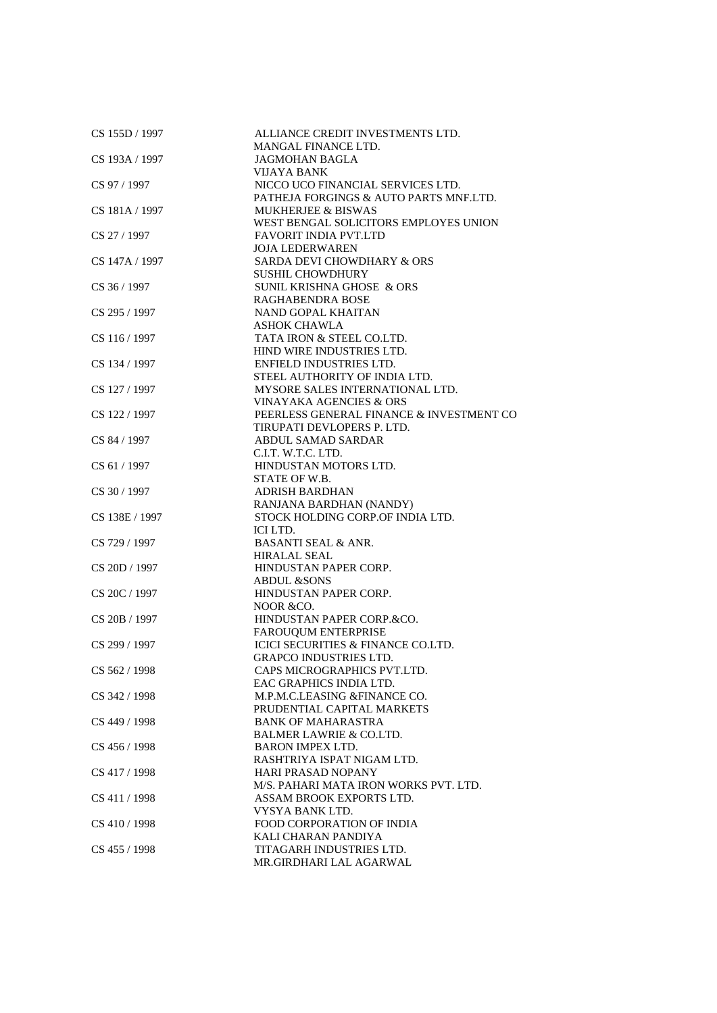| CS 155D / 1997 | ALLIANCE CREDIT INVESTMENTS LTD.<br><b>MANGAL FINANCE LTD.</b> |
|----------------|----------------------------------------------------------------|
| CS 193A / 1997 | <b>JAGMOHAN BAGLA</b>                                          |
|                | VIJAYA BANK                                                    |
| CS 97 / 1997   | NICCO UCO FINANCIAL SERVICES LTD.                              |
|                | PATHEJA FORGINGS & AUTO PARTS MNF.LTD.                         |
| CS 181A / 1997 | <b>MUKHERJEE &amp; BISWAS</b>                                  |
|                | WEST BENGAL SOLICITORS EMPLOYES UNION                          |
| CS 27 / 1997   | <b>FAVORIT INDIA PVT.LTD</b>                                   |
|                | <b>JOJA LEDERWAREN</b>                                         |
| CS 147A / 1997 | SARDA DEVI CHOWDHARY & ORS                                     |
|                | <b>SUSHIL CHOWDHURY</b>                                        |
| CS 36 / 1997   | SUNIL KRISHNA GHOSE & ORS                                      |
|                | RAGHABENDRA BOSE                                               |
| CS 295 / 1997  | NAND GOPAL KHAITAN                                             |
|                | <b>ASHOK CHAWLA</b>                                            |
| CS 116 / 1997  | TATA IRON & STEEL CO.LTD.                                      |
|                | HIND WIRE INDUSTRIES LTD.                                      |
| CS 134 / 1997  | <b>ENFIELD INDUSTRIES LTD.</b>                                 |
|                | STEEL AUTHORITY OF INDIA LTD.                                  |
| CS 127 / 1997  | MYSORE SALES INTERNATIONAL LTD.                                |
|                | VINAYAKA AGENCIES & ORS                                        |
| CS 122 / 1997  | PEERLESS GENERAL FINANCE & INVESTMENT CO                       |
|                | TIRUPATI DEVLOPERS P. LTD.                                     |
| CS 84 / 1997   | ABDUL SAMAD SARDAR                                             |
|                | C.I.T. W.T.C. LTD.                                             |
| CS 61 / 1997   | HINDUSTAN MOTORS LTD.                                          |
|                | STATE OF W.B.                                                  |
| CS 30 / 1997   | <b>ADRISH BARDHAN</b>                                          |
|                | RANJANA BARDHAN (NANDY)                                        |
| CS 138E / 1997 | STOCK HOLDING CORP.OF INDIA LTD.                               |
|                | ICI LTD.                                                       |
| CS 729 / 1997  | <b>BASANTI SEAL &amp; ANR.</b>                                 |
|                | <b>HIRALAL SEAL</b>                                            |
| CS 20D / 1997  | HINDUSTAN PAPER CORP.                                          |
|                | <b>ABDUL &amp;SONS</b>                                         |
| CS 20C / 1997  | HINDUSTAN PAPER CORP.                                          |
|                | NOOR & CO.                                                     |
| CS 20B / 1997  | HINDUSTAN PAPER CORP.&CO.                                      |
|                | FAROUQUM ENTERPRISE                                            |
| CS 299 / 1997  | ICICI SECURITIES & FINANCE CO.LTD.                             |
|                | <b>GRAPCO INDUSTRIES LTD.</b>                                  |
| CS 562 / 1998  | CAPS MICROGRAPHICS PVT.LTD.                                    |
|                | EAC GRAPHICS INDIA LTD.                                        |
| CS 342 / 1998  | M.P.M.C.LEASING &FINANCE CO.                                   |
|                | PRUDENTIAL CAPITAL MARKETS                                     |
| CS 449 / 1998  | <b>BANK OF MAHARASTRA</b>                                      |
|                | <b>BALMER LAWRIE &amp; CO.LTD.</b>                             |
| CS 456 / 1998  | <b>BARON IMPEX LTD.</b>                                        |
|                | RASHTRIYA ISPAT NIGAM LTD.                                     |
|                |                                                                |
| CS 417 / 1998  | <b>HARI PRASAD NOPANY</b>                                      |
|                | M/S. PAHARI MATA IRON WORKS PVT. LTD.                          |
| CS 411 / 1998  | ASSAM BROOK EXPORTS LTD.                                       |
|                | VYSYA BANK LTD.                                                |
| CS 410 / 1998  | FOOD CORPORATION OF INDIA                                      |
|                | KALI CHARAN PANDIYA                                            |
| CS 455 / 1998  | TITAGARH INDUSTRIES LTD.                                       |
|                | MR.GIRDHARI LAL AGARWAL                                        |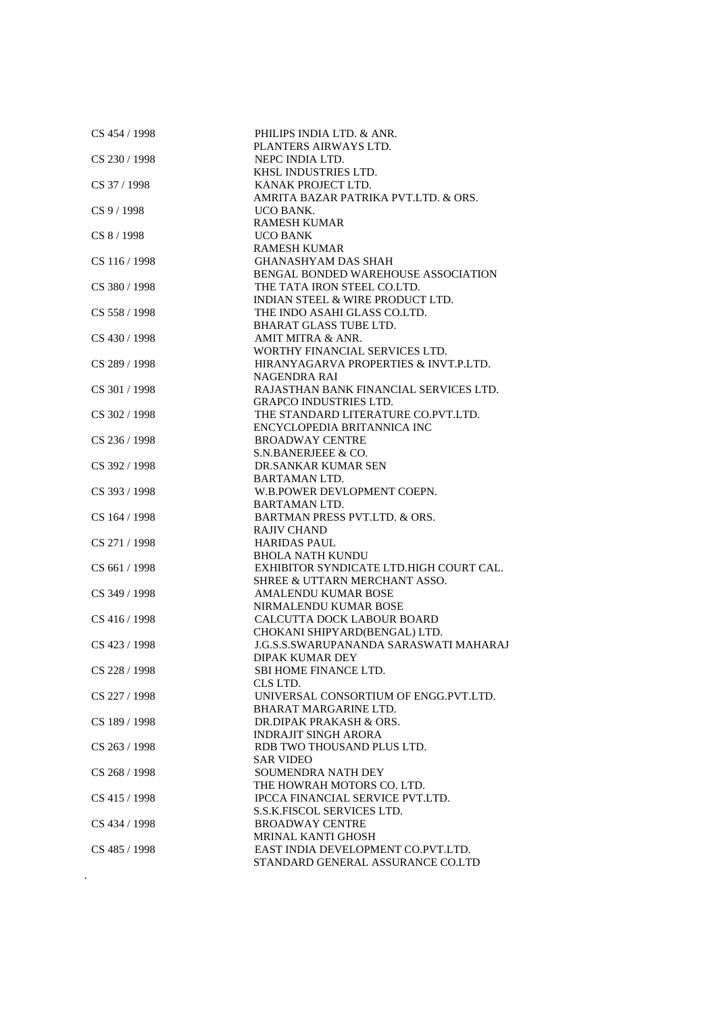| CS 454 / 1998 | PHILIPS INDIA LTD. & ANR.                                          |
|---------------|--------------------------------------------------------------------|
|               | PLANTERS AIRWAYS LTD.                                              |
| CS 230 / 1998 | NEPC INDIA LTD.                                                    |
|               | KHSL INDUSTRIES LTD.                                               |
| CS 37 / 1998  | KANAK PROJECT LTD.                                                 |
|               | AMRITA BAZAR PATRIKA PVT.LTD. & ORS.                               |
| CS 9 / 1998   | <b>UCO BANK.</b>                                                   |
|               | <b>RAMESH KUMAR</b>                                                |
| CS 8 / 1998   | <b>UCO BANK</b>                                                    |
|               | <b>RAMESH KUMAR</b>                                                |
| CS 116/1998   | <b>GHANASHYAM DAS SHAH</b>                                         |
|               | BENGAL BONDED WAREHOUSE ASSOCIATION                                |
| CS 380 / 1998 | THE TATA IRON STEEL CO.LTD.                                        |
|               | INDIAN STEEL & WIRE PRODUCT LTD.                                   |
| CS 558 / 1998 | THE INDO ASAHI GLASS CO.LTD.                                       |
|               | <b>BHARAT GLASS TUBE LTD.</b>                                      |
| CS 430 / 1998 | AMIT MITRA & ANR.                                                  |
|               | WORTHY FINANCIAL SERVICES LTD.                                     |
| CS 289 / 1998 | HIRANYAGARVA PROPERTIES & INVT.P.LTD.                              |
|               | NAGENDRA RAI                                                       |
| CS 301 / 1998 | RAJASTHAN BANK FINANCIAL SERVICES LTD.                             |
|               | <b>GRAPCO INDUSTRIES LTD.</b>                                      |
| CS 302 / 1998 | THE STANDARD LITERATURE CO.PVT.LTD.                                |
|               | ENCYCLOPEDIA BRITANNICA INC                                        |
| CS 236 / 1998 | <b>BROADWAY CENTRE</b>                                             |
|               | S.N.BANERJEEE & CO.                                                |
| CS 392 / 1998 | DR.SANKAR KUMAR SEN                                                |
|               | <b>BARTAMAN LTD.</b>                                               |
| CS 393 / 1998 | W.B.POWER DEVLOPMENT COEPN.                                        |
|               |                                                                    |
| CS 164 / 1998 | <b>BARTAMAN LTD.</b><br><b>BARTMAN PRESS PVT.LTD. &amp; ORS.</b>   |
|               |                                                                    |
|               | <b>RAJIV CHAND</b>                                                 |
| CS 271 / 1998 | <b>HARIDAS PAUL</b>                                                |
| CS 661 / 1998 | <b>BHOLA NATH KUNDU</b><br>EXHIBITOR SYNDICATE LTD.HIGH COURT CAL. |
|               | SHREE & UTTARN MERCHANT ASSO.                                      |
|               |                                                                    |
| CS 349 / 1998 | AMALENDU KUMAR BOSE<br>NIRMALENDU KUMAR BOSE                       |
|               |                                                                    |
| CS 416 / 1998 | CALCUTTA DOCK LABOUR BOARD                                         |
|               | CHOKANI SHIPYARD(BENGAL) LTD.                                      |
| CS 423/1998   | <b>J.G.S.S.SWARUPANANDA SARASWATI MAHARAJ</b>                      |
|               | <b>DIPAK KUMAR DEY</b>                                             |
| CS 228 / 1998 | SBI HOME FINANCE LTD.                                              |
|               | CLS LTD.                                                           |
| CS 227 / 1998 | UNIVERSAL CONSORTIUM OF ENGG.PVT.LTD.                              |
|               | <b>BHARAT MARGARINE LTD.</b>                                       |
| CS 189 / 1998 | DR.DIPAK PRAKASH & ORS.                                            |
|               | <b>INDRAJIT SINGH ARORA</b>                                        |
| CS 263 / 1998 | RDB TWO THOUSAND PLUS LTD.                                         |
|               | <b>SAR VIDEO</b>                                                   |
| CS 268 / 1998 | <b>SOUMENDRA NATH DEY</b>                                          |
|               | THE HOWRAH MOTORS CO. LTD.                                         |
| CS 415 / 1998 | IPCCA FINANCIAL SERVICE PVT.LTD.                                   |
|               | S.S.K.FISCOL SERVICES LTD.                                         |
| CS 434 / 1998 | <b>BROADWAY CENTRE</b>                                             |
|               | <b>MRINAL KANTI GHOSH</b>                                          |
| CS 485 / 1998 | EAST INDIA DEVELOPMENT CO.PVT.LTD.                                 |
|               | STANDARD GENERAL ASSURANCE CO.LTD                                  |
|               |                                                                    |
|               |                                                                    |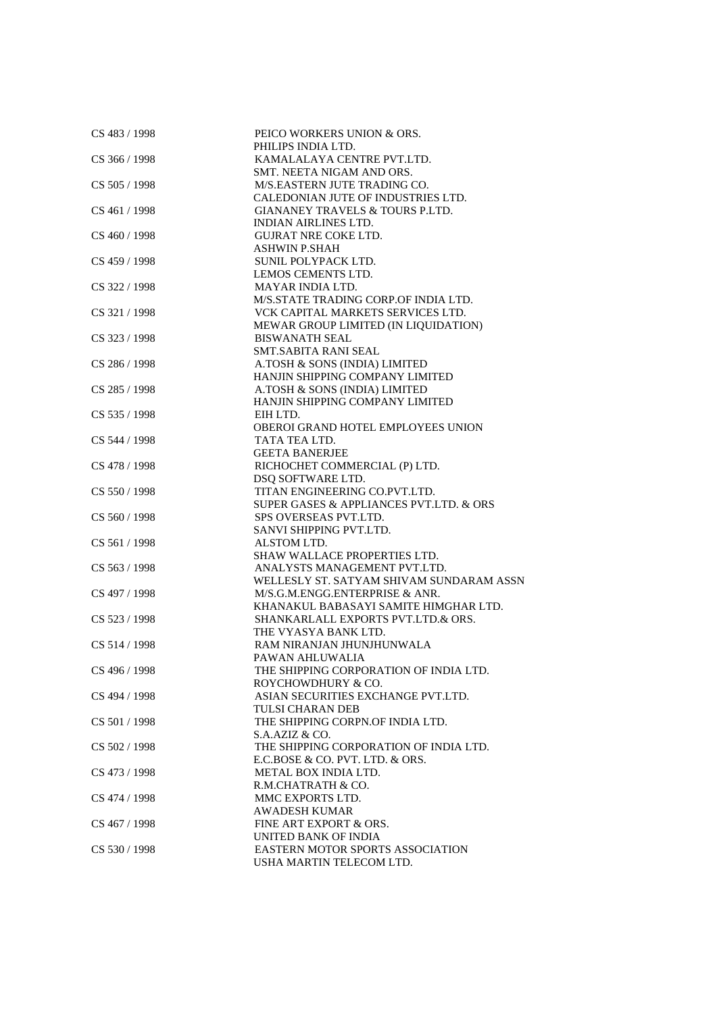| CS 483 / 1998 | PEICO WORKERS UNION & ORS.               |
|---------------|------------------------------------------|
|               | PHILIPS INDIA LTD.                       |
| CS 366 / 1998 | KAMALALAYA CENTRE PVT.LTD.               |
|               | SMT. NEETA NIGAM AND ORS.                |
| CS 505 / 1998 | M/S.EASTERN JUTE TRADING CO.             |
|               | CALEDONIAN JUTE OF INDUSTRIES LTD.       |
| CS 461 / 1998 | GIANANEY TRAVELS & TOURS P.LTD.          |
|               | <b>INDIAN AIRLINES LTD.</b>              |
| CS 460 / 1998 | <b>GUJRAT NRE COKE LTD.</b>              |
|               | <b>ASHWIN P.SHAH</b>                     |
| CS 459 / 1998 | SUNIL POLYPACK LTD.                      |
|               | LEMOS CEMENTS LTD.                       |
| CS 322 / 1998 | MAYAR INDIA LTD.                         |
|               | M/S.STATE TRADING CORP.OF INDIA LTD.     |
|               | VCK CAPITAL MARKETS SERVICES LTD.        |
| CS 321 / 1998 |                                          |
|               | MEWAR GROUP LIMITED (IN LIQUIDATION)     |
| CS 323 / 1998 | <b>BISWANATH SEAL</b>                    |
|               | <b>SMT.SABITA RANI SEAL</b>              |
| CS 286 / 1998 | A.TOSH & SONS (INDIA) LIMITED            |
|               | HANJIN SHIPPING COMPANY LIMITED          |
| CS 285 / 1998 | A.TOSH & SONS (INDIA) LIMITED            |
|               | HANJIN SHIPPING COMPANY LIMITED          |
| CS 535 / 1998 | EIH LTD.                                 |
|               | OBEROI GRAND HOTEL EMPLOYEES UNION       |
| CS 544 / 1998 | TATA TEA LTD.                            |
|               | <b>GEETA BANERJEE</b>                    |
| CS 478 / 1998 | RICHOCHET COMMERCIAL (P) LTD.            |
|               | DSQ SOFTWARE LTD.                        |
| CS 550 / 1998 | TITAN ENGINEERING CO.PVT.LTD.            |
|               | SUPER GASES & APPLIANCES PVT.LTD. & ORS  |
| CS 560 / 1998 | SPS OVERSEAS PVT.LTD.                    |
|               | SANVI SHIPPING PVT.LTD.                  |
| CS 561 / 1998 | ALSTOM LTD.                              |
|               | SHAW WALLACE PROPERTIES LTD.             |
| CS 563 / 1998 | ANALYSTS MANAGEMENT PVT.LTD.             |
|               | WELLESLY ST. SATYAM SHIVAM SUNDARAM ASSN |
| CS 497 / 1998 | M/S.G.M.ENGG.ENTERPRISE & ANR.           |
|               | KHANAKUL BABASAYI SAMITE HIMGHAR LTD.    |
| CS 523 / 1998 | SHANKARLALL EXPORTS PVT.LTD.& ORS.       |
|               | THE VYASYA BANK LTD.                     |
| CS 514 / 1998 | RAM NIRANJAN JHUNJHUNWALA                |
|               | PAWAN AHLUWALIA                          |
| CS 496 / 1998 | THE SHIPPING CORPORATION OF INDIA LTD.   |
|               | ROYCHOWDHURY & CO.                       |
| CS 494 / 1998 | ASIAN SECURITIES EXCHANGE PVT.LTD.       |
|               | TULSI CHARAN DEB                         |
| CS 501 / 1998 | THE SHIPPING CORPN.OF INDIA LTD.         |
|               | S.A.AZIZ & CO.                           |
| CS 502 / 1998 | THE SHIPPING CORPORATION OF INDIA LTD.   |
|               | E.C.BOSE & CO. PVT. LTD. & ORS.          |
| CS 473 / 1998 | <b>METAL BOX INDIA LTD.</b>              |
|               | R.M.CHATRATH & CO.                       |
| CS 474 / 1998 | MMC EXPORTS LTD.                         |
|               | <b>AWADESH KUMAR</b>                     |
| CS 467 / 1998 | FINE ART EXPORT & ORS.                   |
|               | UNITED BANK OF INDIA                     |
| CS 530 / 1998 | <b>EASTERN MOTOR SPORTS ASSOCIATION</b>  |
|               | USHA MARTIN TELECOM LTD.                 |
|               |                                          |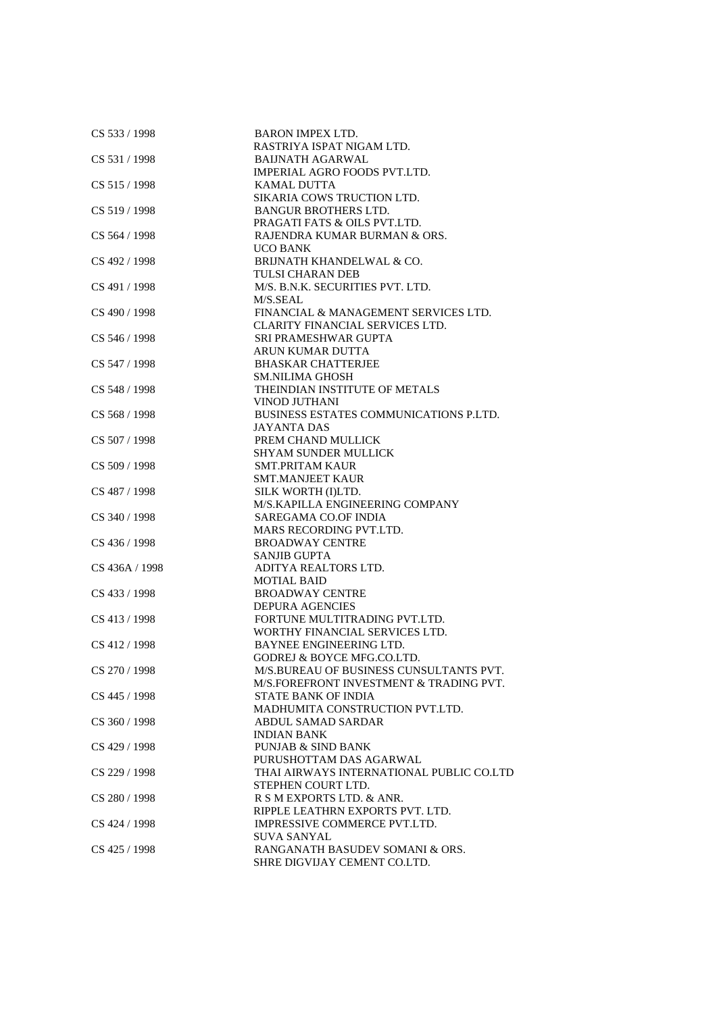| CS 533 / 1998  | <b>BARON IMPEX LTD.</b>                  |
|----------------|------------------------------------------|
|                | RASTRIYA ISPAT NIGAM LTD.                |
| CS 531/1998    | <b>BAIJNATH AGARWAL</b>                  |
|                | IMPERIAL AGRO FOODS PVT.LTD.             |
| CS 515 / 1998  | <b>KAMAL DUTTA</b>                       |
|                | SIKARIA COWS TRUCTION LTD.               |
| CS 519 / 1998  | <b>BANGUR BROTHERS LTD.</b>              |
|                | PRAGATI FATS & OILS PVT.LTD.             |
| CS 564 / 1998  | RAJENDRA KUMAR BURMAN & ORS.             |
|                | <b>UCO BANK</b>                          |
| CS 492 / 1998  | BRIJNATH KHANDELWAL & CO.                |
|                | TULSI CHARAN DEB                         |
| CS 491 / 1998  | M/S. B.N.K. SECURITIES PVT. LTD.         |
|                | M/S.SEAL                                 |
| CS 490 / 1998  | FINANCIAL & MANAGEMENT SERVICES LTD.     |
|                | CLARITY FINANCIAL SERVICES LTD.          |
| CS 546 / 1998  | SRI PRAMESHWAR GUPTA                     |
|                | ARUN KUMAR DUTTA                         |
| CS 547 / 1998  | <b>BHASKAR CHATTERJEE</b>                |
|                | <b>SM.NILIMA GHOSH</b>                   |
| CS 548 / 1998  | THEINDIAN INSTITUTE OF METALS            |
|                | <b>VINOD JUTHANI</b>                     |
| CS 568 / 1998  | BUSINESS ESTATES COMMUNICATIONS P.LTD.   |
|                | <b>JAYANTA DAS</b>                       |
|                | PREM CHAND MULLICK                       |
| CS 507 / 1998  | <b>SHYAM SUNDER MULLICK</b>              |
|                |                                          |
| CS 509 / 1998  | <b>SMT.PRITAM KAUR</b>                   |
|                | <b>SMT.MANJEET KAUR</b>                  |
| CS 487 / 1998  | SILK WORTH (I)LTD.                       |
|                | M/S.KAPILLA ENGINEERING COMPANY          |
| CS 340 / 1998  | SAREGAMA CO.OF INDIA                     |
|                | <b>MARS RECORDING PVT.LTD.</b>           |
| CS 436 / 1998  | <b>BROADWAY CENTRE</b>                   |
|                | <b>SANJIB GUPTA</b>                      |
| CS 436A / 1998 | ADITYA REALTORS LTD.                     |
|                | <b>MOTIAL BAID</b>                       |
| CS 433 / 1998  | <b>BROADWAY CENTRE</b>                   |
|                | <b>DEPURA AGENCIES</b>                   |
| CS 413 / 1998  | FORTUNE MULTITRADING PVT.LTD.            |
|                | WORTHY FINANCIAL SERVICES LTD.           |
| CS 412 / 1998  | BAYNEE ENGINEERING LTD.                  |
|                | <b>GODREJ &amp; BOYCE MFG.CO.LTD.</b>    |
| CS 270 / 1998  | M/S.BUREAU OF BUSINESS CUNSULTANTS PVT.  |
|                | M/S.FOREFRONT INVESTMENT & TRADING PVT.  |
| CS 445 / 1998  | STATE BANK OF INDIA                      |
|                | MADHUMITA CONSTRUCTION PVT.LTD.          |
| CS 360 / 1998  | <b>ABDUL SAMAD SARDAR</b>                |
|                | <b>INDIAN BANK</b>                       |
| CS 429 / 1998  | <b>PUNJAB &amp; SIND BANK</b>            |
|                | PURUSHOTTAM DAS AGARWAL                  |
| CS 229 / 1998  | THAI AIRWAYS INTERNATIONAL PUBLIC CO.LTD |
|                | STEPHEN COURT LTD.                       |
| CS 280 / 1998  | R S M EXPORTS LTD. & ANR.                |
|                | RIPPLE LEATHRN EXPORTS PVT. LTD.         |
| CS 424 / 1998  | IMPRESSIVE COMMERCE PVT.LTD.             |
|                | SUVA SANYAL                              |
| CS 425 / 1998  | RANGANATH BASUDEV SOMANI & ORS.          |
|                | SHRE DIGVIJAY CEMENT CO.LTD.             |
|                |                                          |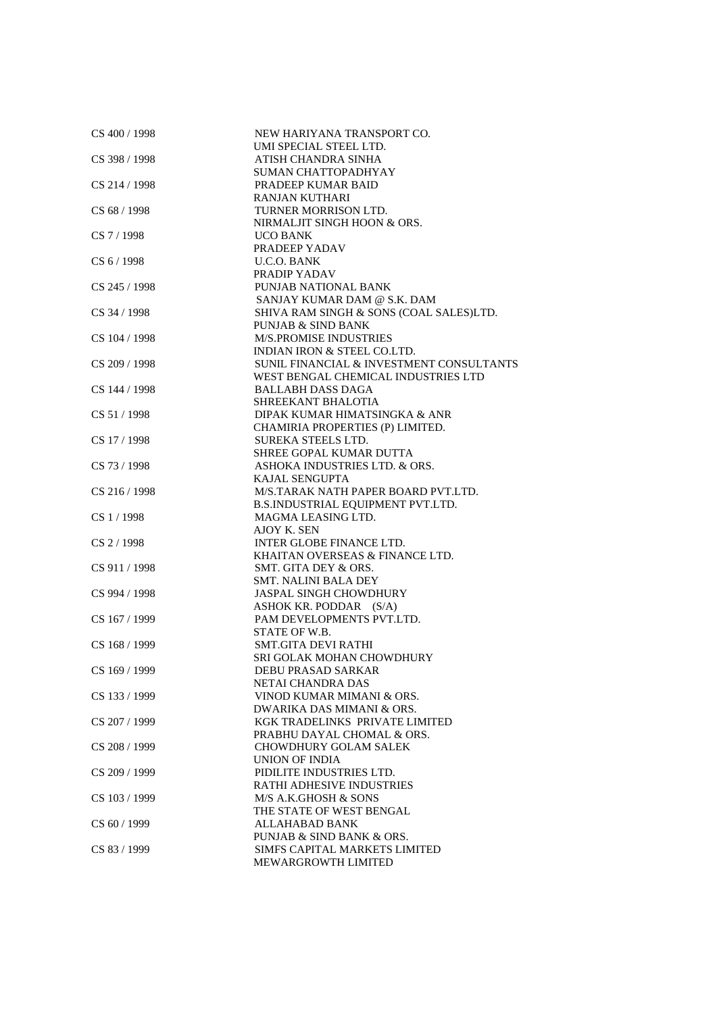| CS 400 / 1998 | NEW HARIYANA TRANSPORT CO.               |
|---------------|------------------------------------------|
|               | UMI SPECIAL STEEL LTD.                   |
| CS 398 / 1998 | ATISH CHANDRA SINHA                      |
|               | SUMAN CHATTOPADHYAY                      |
| CS 214 / 1998 | PRADEEP KUMAR BAID                       |
|               | <b>RANJAN KUTHARI</b>                    |
| CS 68 / 1998  | TURNER MORRISON LTD.                     |
|               | NIRMALJIT SINGH HOON & ORS.              |
| CS 7/1998     | <b>UCO BANK</b>                          |
|               | PRADEEP YADAV                            |
| CS 6 / 1998   | <b>U.C.O. BANK</b>                       |
|               | PRADIP YADAV                             |
|               | PUNJAB NATIONAL BANK                     |
| CS 245 / 1998 |                                          |
|               | SANJAY KUMAR DAM @ S.K. DAM              |
| CS 34 / 1998  | SHIVA RAM SINGH & SONS (COAL SALES)LTD.  |
|               | PUNJAB & SIND BANK                       |
| CS 104 / 1998 | M/S.PROMISE INDUSTRIES                   |
|               | INDIAN IRON & STEEL CO.LTD.              |
| CS 209 / 1998 | SUNIL FINANCIAL & INVESTMENT CONSULTANTS |
|               | WEST BENGAL CHEMICAL INDUSTRIES LTD      |
| CS 144 / 1998 | <b>BALLABH DASS DAGA</b>                 |
|               | SHREEKANT BHALOTIA                       |
| CS 51/1998    | DIPAK KUMAR HIMATSINGKA & ANR            |
|               | CHAMIRIA PROPERTIES (P) LIMITED.         |
| CS 17 / 1998  | <b>SUREKA STEELS LTD.</b>                |
|               | SHREE GOPAL KUMAR DUTTA                  |
| CS 73 / 1998  | ASHOKA INDUSTRIES LTD. & ORS.            |
|               | KAJAL SENGUPTA                           |
| CS 216 / 1998 | M/S.TARAK NATH PAPER BOARD PVT.LTD.      |
|               |                                          |
|               | B.S.INDUSTRIAL EQUIPMENT PVT.LTD.        |
| CS 1 / 1998   | MAGMA LEASING LTD.                       |
|               | AJOY K. SEN                              |
| CS 2 / 1998   | INTER GLOBE FINANCE LTD.                 |
|               | KHAITAN OVERSEAS & FINANCE LTD.          |
| CS 911 / 1998 | SMT. GITA DEY & ORS.                     |
|               | <b>SMT. NALINI BALA DEY</b>              |
| CS 994 / 1998 | <b>JASPAL SINGH CHOWDHURY</b>            |
|               | ASHOK KR. PODDAR (S/A)                   |
| CS 167 / 1999 | PAM DEVELOPMENTS PVT.LTD.                |
|               | STATE OF W.B.                            |
| CS 168 / 1999 | <b>SMT.GITA DEVI RATHI</b>               |
|               | SRI GOLAK MOHAN CHOWDHURY                |
| CS 169 / 1999 | DEBU PRASAD SARKAR                       |
|               | NETAI CHANDRA DAS                        |
| CS 133 / 1999 | VINOD KUMAR MIMANI & ORS.                |
|               | DWARIKA DAS MIMANI & ORS.                |
| CS 207 / 1999 | KGK TRADELINKS PRIVATE LIMITED           |
|               | PRABHU DAYAL CHOMAL & ORS.               |
| CS 208 / 1999 | <b>CHOWDHURY GOLAM SALEK</b>             |
|               | UNION OF INDIA                           |
|               |                                          |
| CS 209 / 1999 | PIDILITE INDUSTRIES LTD.                 |
|               | <b>RATHI ADHESIVE INDUSTRIES</b>         |
| CS 103/1999   | M/S A.K.GHOSH & SONS                     |
|               | THE STATE OF WEST BENGAL                 |
| CS 60 / 1999  | ALLAHABAD BANK                           |
|               | PUNJAB & SIND BANK & ORS.                |
| CS 83 / 1999  | SIMFS CAPITAL MARKETS LIMITED            |
|               | MEWARGROWTH LIMITED                      |
|               |                                          |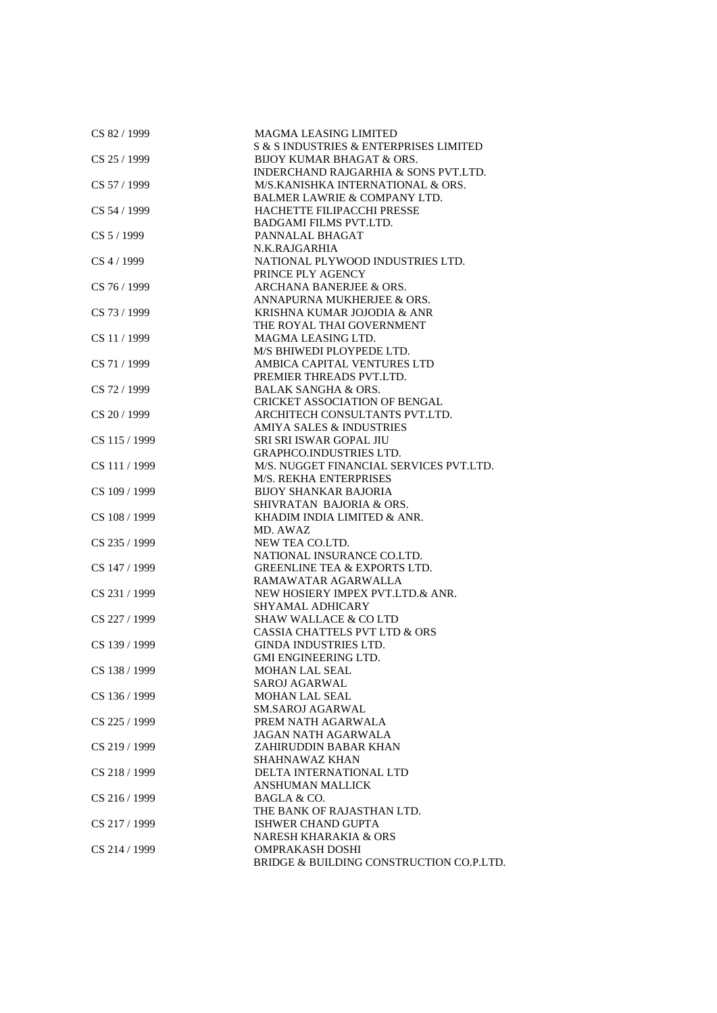| CS 82 / 1999  | <b>MAGMA LEASING LIMITED</b>             |
|---------------|------------------------------------------|
|               | S & S INDUSTRIES & ENTERPRISES LIMITED   |
| CS 25 / 1999  | <b>BIJOY KUMAR BHAGAT &amp; ORS.</b>     |
|               | INDERCHAND RAJGARHIA & SONS PVT.LTD.     |
| CS 57 / 1999  | M/S.KANISHKA INTERNATIONAL & ORS.        |
|               | BALMER LAWRIE & COMPANY LTD.             |
| CS 54 / 1999  | HACHETTE FILIPACCHI PRESSE               |
|               | <b>BADGAMI FILMS PVT.LTD.</b>            |
| CS 5 / 1999   | PANNALAL BHAGAT                          |
|               | N.K.RAJGARHIA                            |
| $CS$ 4 / 1999 | NATIONAL PLYWOOD INDUSTRIES LTD.         |
|               | PRINCE PLY AGENCY                        |
| CS 76 / 1999  | ARCHANA BANERJEE & ORS.                  |
|               | ANNAPURNA MUKHERJEE & ORS.               |
| CS 73 / 1999  | KRISHNA KUMAR JOJODIA & ANR              |
|               | THE ROYAL THAI GOVERNMENT                |
| CS 11 / 1999  | MAGMA LEASING LTD.                       |
|               | M/S BHIWEDI PLOYPEDE LTD.                |
| CS 71 / 1999  | AMBICA CAPITAL VENTURES LTD              |
|               | PREMIER THREADS PVT.LTD.                 |
| CS 72 / 1999  | <b>BALAK SANGHA &amp; ORS.</b>           |
|               | <b>CRICKET ASSOCIATION OF BENGAL</b>     |
| CS 20 / 1999  | ARCHITECH CONSULTANTS PVT.LTD.           |
|               |                                          |
|               | <b>AMIYA SALES &amp; INDUSTRIES</b>      |
| CS 115 / 1999 | <b>SRI SRI ISWAR GOPAL JIU</b>           |
|               | <b>GRAPHCO.INDUSTRIES LTD.</b>           |
| CS 111 / 1999 | M/S. NUGGET FINANCIAL SERVICES PVT.LTD.  |
|               | M/S. REKHA ENTERPRISES                   |
| CS 109 / 1999 | <b>BIJOY SHANKAR BAJORIA</b>             |
|               | SHIVRATAN BAJORIA & ORS.                 |
| CS 108 / 1999 | KHADIM INDIA LIMITED & ANR.              |
|               | MD. AWAZ                                 |
| CS 235 / 1999 | NEW TEA CO.LTD.                          |
|               | NATIONAL INSURANCE CO.LTD.               |
| CS 147 / 1999 | <b>GREENLINE TEA &amp; EXPORTS LTD.</b>  |
|               | RAMAWATAR AGARWALLA                      |
| CS 231 / 1999 | NEW HOSIERY IMPEX PVT.LTD.& ANR.         |
|               | SHYAMAL ADHICARY                         |
| CS 227 / 1999 | <b>SHAW WALLACE &amp; CO LTD</b>         |
|               | <b>CASSIA CHATTELS PVT LTD &amp; ORS</b> |
| CS 139 / 1999 | <b>GINDA INDUSTRIES LTD.</b>             |
|               | <b>GMI ENGINEERING LTD.</b>              |
| CS 138 / 1999 | MOHAN LAL SEAL                           |
|               | SAROJ AGARWAL                            |
| CS 136/1999   | <b>MOHAN LAL SEAL</b>                    |
|               | SM.SAROJ AGARWAL                         |
| CS 225 / 1999 | PREM NATH AGARWALA                       |
|               | JAGAN NATH AGARWALA                      |
| CS 219 / 1999 | ZAHIRUDDIN BABAR KHAN                    |
|               | SHAHNAWAZ KHAN                           |
| CS 218 / 1999 | DELTA INTERNATIONAL LTD                  |
|               | <b>ANSHUMAN MALLICK</b>                  |
| CS 216 / 1999 | BAGLA & CO.                              |
|               | THE BANK OF RAJASTHAN LTD.               |
| CS 217 / 1999 | ISHWER CHAND GUPTA                       |
|               | <b>NARESH KHARAKIA &amp; ORS</b>         |
| CS 214 / 1999 | <b>OMPRAKASH DOSHI</b>                   |
|               | BRIDGE & BUILDING CONSTRUCTION CO.P.LTD. |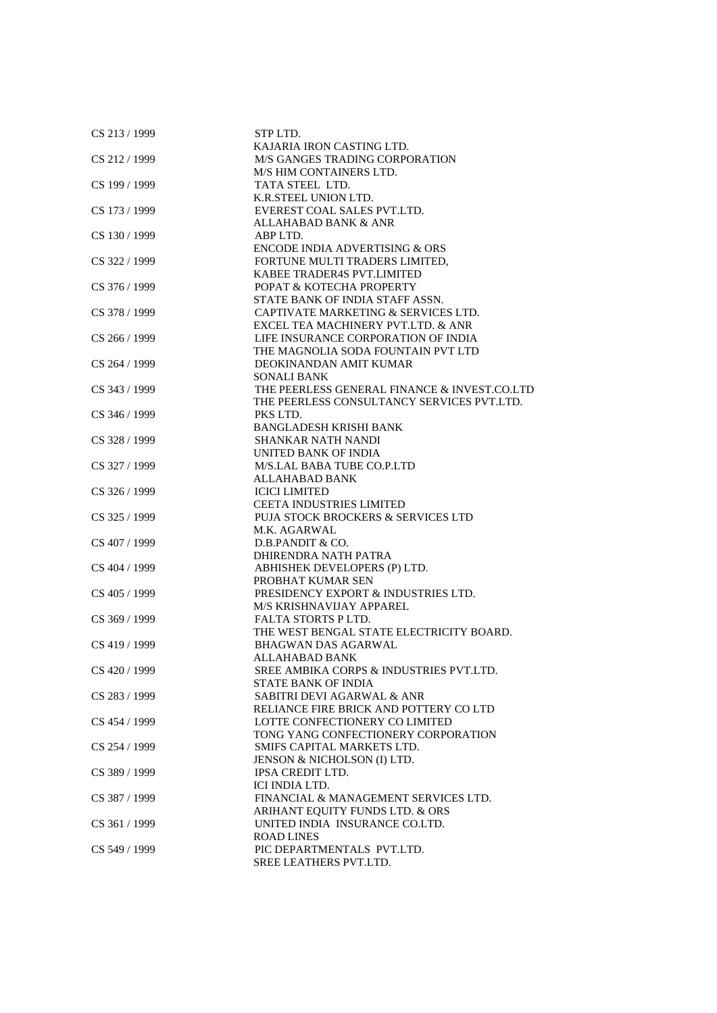| CS 213 / 1999 | STP LTD.                                     |
|---------------|----------------------------------------------|
|               | KAJARIA IRON CASTING LTD.                    |
| CS 212 / 1999 | M/S GANGES TRADING CORPORATION               |
|               | M/S HIM CONTAINERS LTD.                      |
| CS 199 / 1999 | TATA STEEL LTD.                              |
|               | K.R.STEEL UNION LTD.                         |
| CS 173 / 1999 | EVEREST COAL SALES PVT.LTD.                  |
|               | <b>ALLAHABAD BANK &amp; ANR</b>              |
| CS 130 / 1999 | ABP LTD.                                     |
|               | <b>ENCODE INDIA ADVERTISING &amp; ORS</b>    |
| CS 322 / 1999 | FORTUNE MULTI TRADERS LIMITED,               |
|               | KABEE TRADER4S PVT.LIMITED                   |
| CS 376 / 1999 | POPAT & KOTECHA PROPERTY                     |
|               | STATE BANK OF INDIA STAFF ASSN.              |
| CS 378 / 1999 | CAPTIVATE MARKETING & SERVICES LTD.          |
|               | EXCEL TEA MACHINERY PVT.LTD. & ANR           |
| CS 266 / 1999 | LIFE INSURANCE CORPORATION OF INDIA          |
|               | THE MAGNOLIA SODA FOUNTAIN PVT LTD           |
| CS 264 / 1999 | DEOKINANDAN AMIT KUMAR                       |
|               | <b>SONALI BANK</b>                           |
| CS 343 / 1999 | THE PEERLESS GENERAL FINANCE & INVEST.CO.LTD |
|               |                                              |
|               | THE PEERLESS CONSULTANCY SERVICES PVT.LTD.   |
| CS 346 / 1999 | PKS LTD.                                     |
|               | <b>BANGLADESH KRISHI BANK</b>                |
| CS 328 / 1999 | <b>SHANKAR NATH NANDI</b>                    |
|               | UNITED BANK OF INDIA                         |
| CS 327 / 1999 | M/S.LAL BABA TUBE CO.P.LTD                   |
|               | ALLAHABAD BANK                               |
| CS 326 / 1999 | <b>ICICI LIMITED</b>                         |
|               | <b>CEETA INDUSTRIES LIMITED</b>              |
| CS 325 / 1999 | PUJA STOCK BROCKERS & SERVICES LTD           |
|               | M.K. AGARWAL                                 |
| CS 407 / 1999 | D.B.PANDIT & CO.                             |
|               | DHIRENDRA NATH PATRA                         |
| CS 404 / 1999 | ABHISHEK DEVELOPERS (P) LTD.                 |
|               | PROBHAT KUMAR SEN                            |
| CS 405 / 1999 | PRESIDENCY EXPORT & INDUSTRIES LTD.          |
|               | M/S KRISHNAVIJAY APPAREL                     |
| CS 369 / 1999 | <b>FALTA STORTS PLTD.</b>                    |
|               | THE WEST BENGAL STATE ELECTRICITY BOARD.     |
| CS 419 / 1999 | <b>BHAGWAN DAS AGARWAL</b>                   |
|               | <b>ALLAHABAD BANK</b>                        |
| CS 420 / 1999 | SREE AMBIKA CORPS & INDUSTRIES PVT.LTD.      |
|               | <b>STATE BANK OF INDIA</b>                   |
| CS 283 / 1999 | <b>SABITRI DEVI AGARWAL &amp; ANR</b>        |
|               | RELIANCE FIRE BRICK AND POTTERY CO LTD       |
| CS 454 / 1999 | LOTTE CONFECTIONERY CO LIMITED               |
|               | TONG YANG CONFECTIONERY CORPORATION          |
| CS 254 / 1999 | SMIFS CAPITAL MARKETS LTD.                   |
|               | JENSON & NICHOLSON (I) LTD.                  |
| CS 389 / 1999 | <b>IPSA CREDIT LTD.</b>                      |
|               | ICI INDIA LTD.                               |
| CS 387 / 1999 | FINANCIAL & MANAGEMENT SERVICES LTD.         |
|               | ARIHANT EQUITY FUNDS LTD. & ORS              |
| CS 361 / 1999 | UNITED INDIA INSURANCE CO.LTD.               |
|               | <b>ROAD LINES</b>                            |
| CS 549 / 1999 | PIC DEPARTMENTALS PVT.LTD.                   |
|               | SREE LEATHERS PVT.LTD.                       |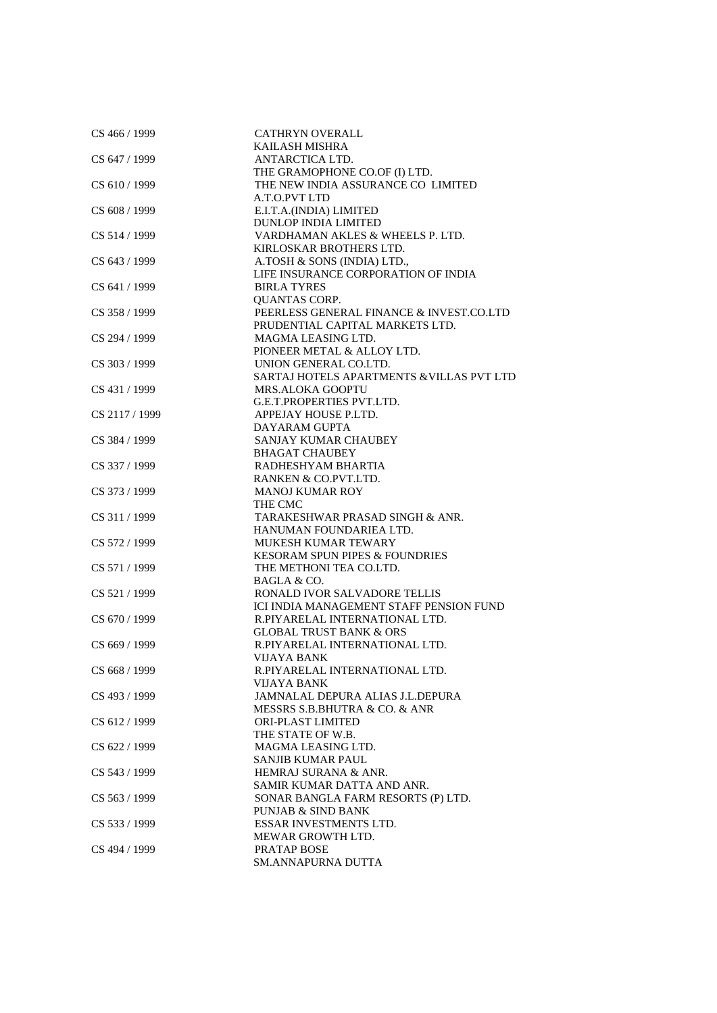| CS 466 / 1999  | <b>CATHRYN OVERALL</b>                    |
|----------------|-------------------------------------------|
|                | KAILASH MISHRA                            |
| CS 647 / 1999  | ANTARCTICA LTD.                           |
|                | THE GRAMOPHONE CO.OF (I) LTD.             |
| CS 610 / 1999  | THE NEW INDIA ASSURANCE CO LIMITED        |
|                | A.T.O.PVT LTD                             |
| CS 608 / 1999  | E.I.T.A.(INDIA) LIMITED                   |
|                | <b>DUNLOP INDIA LIMITED</b>               |
| CS 514 / 1999  | VARDHAMAN AKLES & WHEELS P. LTD.          |
|                | KIRLOSKAR BROTHERS LTD.                   |
| CS 643 / 1999  | A.TOSH & SONS (INDIA) LTD.,               |
|                | LIFE INSURANCE CORPORATION OF INDIA       |
| CS 641 / 1999  | <b>BIRLA TYRES</b>                        |
|                | <b>QUANTAS CORP.</b>                      |
| CS 358 / 1999  | PEERLESS GENERAL FINANCE & INVEST.CO.LTD  |
|                | PRUDENTIAL CAPITAL MARKETS LTD.           |
| CS 294 / 1999  | MAGMA LEASING LTD.                        |
|                | PIONEER METAL & ALLOY LTD.                |
| CS 303 / 1999  | UNION GENERAL CO.LTD.                     |
|                | SARTAJ HOTELS APARTMENTS & VILLAS PVT LTD |
| CS 431 / 1999  | <b>MRS.ALOKA GOOPTU</b>                   |
|                | <b>G.E.T.PROPERTIES PVT.LTD.</b>          |
| CS 2117 / 1999 | APPEJAY HOUSE P.LTD.                      |
|                | DAYARAM GUPTA                             |
| CS 384 / 1999  | SANJAY KUMAR CHAUBEY                      |
|                | <b>BHAGAT CHAUBEY</b>                     |
| CS 337 / 1999  | RADHESHYAM BHARTIA                        |
|                | RANKEN & CO.PVT.LTD.                      |
| CS 373 / 1999  | <b>MANOJ KUMAR ROY</b>                    |
|                |                                           |
|                | THE CMC                                   |
| CS 311 / 1999  | TARAKESHWAR PRASAD SINGH & ANR.           |
|                | HANUMAN FOUNDARIEA LTD.                   |
| CS 572 / 1999  | <b>MUKESH KUMAR TEWARY</b>                |
|                | <b>KESORAM SPUN PIPES &amp; FOUNDRIES</b> |
| CS 571 / 1999  | THE METHONI TEA CO.LTD.                   |
|                | BAGLA & CO.                               |
| CS 521 / 1999  | RONALD IVOR SALVADORE TELLIS              |
|                | ICI INDIA MANAGEMENT STAFF PENSION FUND   |
| CS 670 / 1999  | R.PIYARELAL INTERNATIONAL LTD.            |
|                | <b>GLOBAL TRUST BANK &amp; ORS</b>        |
| CS 669 / 1999  | R.PIYARELAL INTERNATIONAL LTD.            |
|                | VIJAYA BANK                               |
| CS 668 / 1999  | R.PIYARELAL INTERNATIONAL LTD.            |
|                | VIJAYA BANK                               |
| CS 493 / 1999  | JAMNALAL DEPURA ALIAS J.L.DEPURA          |
|                | MESSRS S.B.BHUTRA & CO. & ANR             |
| CS 612 / 1999  | <b>ORI-PLAST LIMITED</b>                  |
|                | THE STATE OF W.B.                         |
| CS 622 / 1999  | MAGMA LEASING LTD.                        |
|                | <b>SANJIB KUMAR PAUL</b>                  |
| CS 543 / 1999  | HEMRAJ SURANA & ANR.                      |
|                | SAMIR KUMAR DATTA AND ANR.                |
| CS 563 / 1999  | SONAR BANGLA FARM RESORTS (P) LTD.        |
|                | PUNJAB & SIND BANK                        |
| CS 533 / 1999  | ESSAR INVESTMENTS LTD.                    |
|                | MEWAR GROWTH LTD.                         |
| CS 494 / 1999  | PRATAP BOSE                               |
|                | SM.ANNAPURNA DUTTA                        |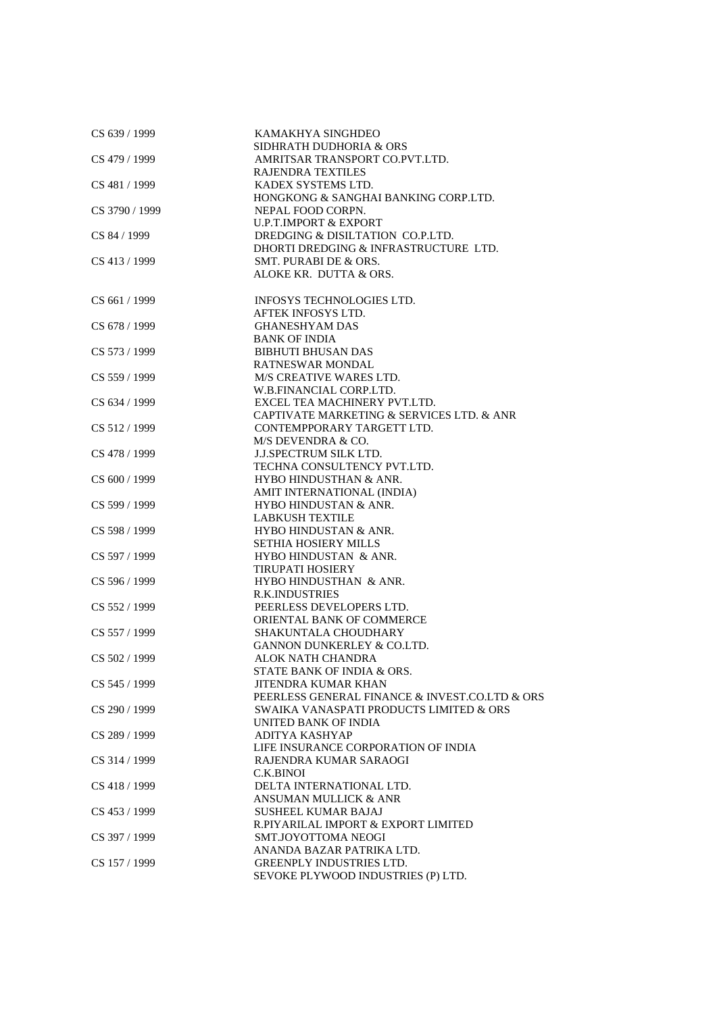| CS 639 / 1999  | KAMAKHYA SINGHDEO<br>SIDHRATH DUDHORIA & ORS              |
|----------------|-----------------------------------------------------------|
| CS 479 / 1999  | AMRITSAR TRANSPORT CO.PVT.LTD.                            |
|                | <b>RAJENDRA TEXTILES</b>                                  |
| CS 481 / 1999  | KADEX SYSTEMS LTD.                                        |
| CS 3790 / 1999 | HONGKONG & SANGHAI BANKING CORP.LTD.<br>NEPAL FOOD CORPN. |
|                | <b>U.P.T.IMPORT &amp; EXPORT</b>                          |
| CS 84 / 1999   | DREDGING & DISILTATION CO.P.LTD.                          |
|                | DHORTI DREDGING & INFRASTRUCTURE LTD.                     |
| CS 413 / 1999  | SMT. PURABI DE & ORS.                                     |
|                | ALOKE KR. DUTTA & ORS.                                    |
| CS 661 / 1999  | <b>INFOSYS TECHNOLOGIES LTD.</b>                          |
|                | AFTEK INFOSYS LTD.                                        |
| CS 678 / 1999  | <b>GHANESHYAM DAS</b>                                     |
|                | <b>BANK OF INDIA</b>                                      |
| CS 573 / 1999  | <b>BIBHUTI BHUSAN DAS</b>                                 |
|                | <b>RATNESWAR MONDAL</b>                                   |
| CS 559 / 1999  | M/S CREATIVE WARES LTD.                                   |
|                | W.B.FINANCIAL CORP.LTD.                                   |
| CS 634 / 1999  | EXCEL TEA MACHINERY PVT.LTD.                              |
|                | CAPTIVATE MARKETING & SERVICES LTD. & ANR                 |
| CS 512/1999    | CONTEMPPORARY TARGETT LTD.<br>M/S DEVENDRA & CO.          |
| CS 478 / 1999  | <b>J.J.SPECTRUM SILK LTD.</b>                             |
|                | TECHNA CONSULTENCY PVT.LTD.                               |
| CS 600 / 1999  | HYBO HINDUSTHAN & ANR.                                    |
|                | AMIT INTERNATIONAL (INDIA)                                |
| CS 599 / 1999  | HYBO HINDUSTAN & ANR.                                     |
|                | <b>LABKUSH TEXTILE</b>                                    |
| CS 598 / 1999  | HYBO HINDUSTAN & ANR.                                     |
|                | <b>SETHIA HOSIERY MILLS</b>                               |
| CS 597 / 1999  | HYBO HINDUSTAN & ANR.                                     |
|                | <b>TIRUPATI HOSIERY</b>                                   |
| CS 596 / 1999  | HYBO HINDUSTHAN & ANR.                                    |
|                | <b>R.K.INDUSTRIES</b>                                     |
| CS 552 / 1999  | PEERLESS DEVELOPERS LTD.                                  |
|                | ORIENTAL BANK OF COMMERCE                                 |
| CS 557 / 1999  | SHAKUNTALA CHOUDHARY                                      |
|                | GANNON DUNKERLEY & CO.LTD.                                |
| CS 502 / 1999  | ALOK NATH CHANDRA                                         |
|                | STATE BANK OF INDIA & ORS.                                |
| CS 545 / 1999  | JITENDRA KUMAR KHAN                                       |
|                | PEERLESS GENERAL FINANCE & INVEST.CO.LTD & ORS            |
| CS 290 / 1999  | SWAIKA VANASPATI PRODUCTS LIMITED & ORS                   |
| CS 289 / 1999  | UNITED BANK OF INDIA<br>ADITYA KASHYAP                    |
|                | LIFE INSURANCE CORPORATION OF INDIA                       |
| CS 314 / 1999  | RAJENDRA KUMAR SARAOGI                                    |
|                | C.K.BINOI                                                 |
| CS 418 / 1999  | DELTA INTERNATIONAL LTD.                                  |
|                | <b>ANSUMAN MULLICK &amp; ANR</b>                          |
| CS 453 / 1999  | <b>SUSHEEL KUMAR BAJAJ</b>                                |
|                | R.PIYARILAL IMPORT & EXPORT LIMITED                       |
| CS 397 / 1999  | SMT.JOYOTTOMA NEOGI                                       |
|                | ANANDA BAZAR PATRIKA LTD.                                 |
| CS 157 / 1999  | <b>GREENPLY INDUSTRIES LTD.</b>                           |
|                | SEVOKE PLYWOOD INDUSTRIES (P) LTD.                        |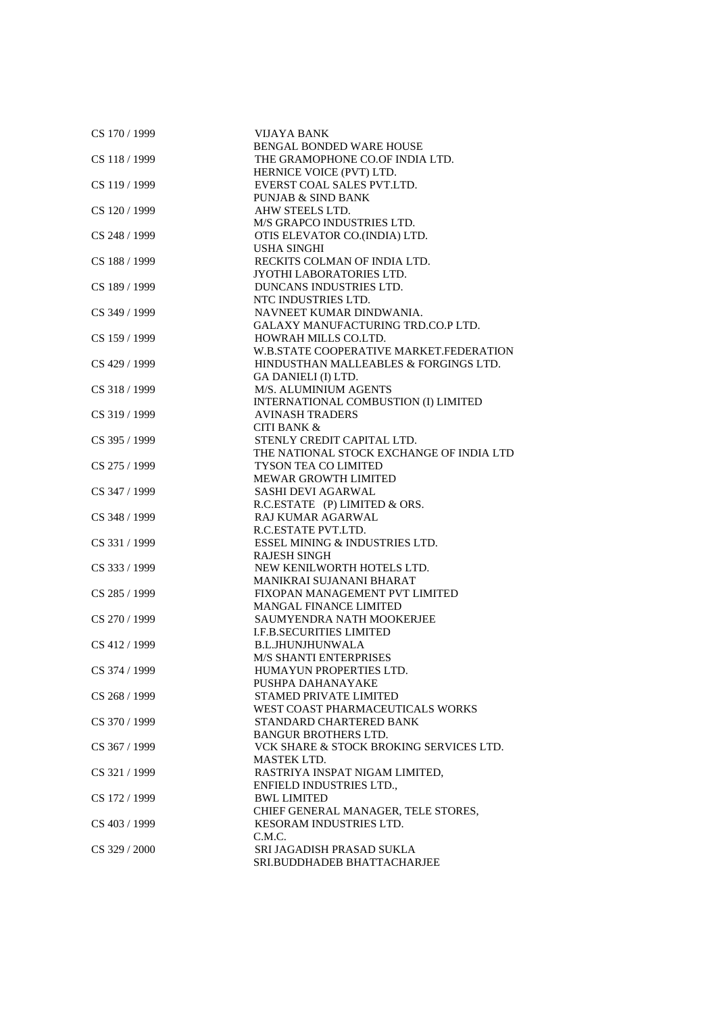| CS 170 / 1999 | <b>VIJAYA BANK</b>                       |
|---------------|------------------------------------------|
|               | <b>BENGAL BONDED WARE HOUSE</b>          |
| CS 118 / 1999 | THE GRAMOPHONE CO.OF INDIA LTD.          |
|               | HERNICE VOICE (PVT) LTD.                 |
| CS 119 / 1999 | EVERST COAL SALES PVT.LTD.               |
|               | <b>PUNJAB &amp; SIND BANK</b>            |
| CS 120 / 1999 | AHW STEELS LTD.                          |
|               | M/S GRAPCO INDUSTRIES LTD.               |
| CS 248 / 1999 | OTIS ELEVATOR CO.(INDIA) LTD.            |
|               | <b>USHA SINGHI</b>                       |
| CS 188 / 1999 | RECKITS COLMAN OF INDIA LTD.             |
|               | JYOTHI LABORATORIES LTD.                 |
| CS 189 / 1999 | DUNCANS INDUSTRIES LTD.                  |
|               | NTC INDUSTRIES LTD.                      |
| CS 349 / 1999 | NAVNEET KUMAR DINDWANIA.                 |
|               | GALAXY MANUFACTURING TRD.CO.P LTD.       |
| CS 159 / 1999 | HOWRAH MILLS CO.LTD.                     |
|               | W.B.STATE COOPERATIVE MARKET.FEDERATION  |
| CS 429 / 1999 | HINDUSTHAN MALLEABLES & FORGINGS LTD.    |
|               | GA DANIELI (I) LTD.                      |
| CS 318 / 1999 | M/S. ALUMINIUM AGENTS                    |
|               | INTERNATIONAL COMBUSTION (I) LIMITED     |
| CS 319 / 1999 | <b>AVINASH TRADERS</b>                   |
|               | <b>CITI BANK &amp;</b>                   |
| CS 395 / 1999 | STENLY CREDIT CAPITAL LTD.               |
|               | THE NATIONAL STOCK EXCHANGE OF INDIA LTD |
| CS 275 / 1999 | <b>TYSON TEA CO LIMITED</b>              |
|               | <b>MEWAR GROWTH LIMITED</b>              |
| CS 347 / 1999 | <b>SASHI DEVI AGARWAL</b>                |
|               | R.C.ESTATE (P) LIMITED & ORS.            |
| CS 348 / 1999 | <b>RAJ KUMAR AGARWAL</b>                 |
|               | R.C.ESTATE PVT.LTD.                      |
| CS 331/1999   | ESSEL MINING & INDUSTRIES LTD.           |
|               | <b>RAJESH SINGH</b>                      |
| CS 333 / 1999 | NEW KENILWORTH HOTELS LTD.               |
|               | MANIKRAI SUJANANI BHARAT                 |
| CS 285 / 1999 | FIXOPAN MANAGEMENT PVT LIMITED           |
|               | <b>MANGAL FINANCE LIMITED</b>            |
| CS 270 / 1999 | SAUMYENDRA NATH MOOKERJEE                |
|               | <b>I.F.B.SECURITIES LIMITED</b>          |
| CS 412 / 1999 | <b>B.L.JHUNJHUNWALA</b>                  |
|               | <b>M/S SHANTI ENTERPRISES</b>            |
| CS 374 / 1999 | HUMAYUN PROPERTIES LTD.                  |
|               | PUSHPA DAHANAYAKE                        |
| CS 268 / 1999 | STAMED PRIVATE LIMITED                   |
|               | WEST COAST PHARMACEUTICALS WORKS         |
| CS 370 / 1999 | STANDARD CHARTERED BANK                  |
|               | <b>BANGUR BROTHERS LTD.</b>              |
| CS 367 / 1999 | VCK SHARE & STOCK BROKING SERVICES LTD.  |
|               | MASTEK LTD.                              |
| CS 321 / 1999 | RASTRIYA INSPAT NIGAM LIMITED,           |
|               | ENFIELD INDUSTRIES LTD.,                 |
| CS 172 / 1999 | <b>BWL LIMITED</b>                       |
|               | CHIEF GENERAL MANAGER, TELE STORES,      |
| CS 403 / 1999 | <b>KESORAM INDUSTRIES LTD.</b>           |
|               | C.M.C.                                   |
| CS 329 / 2000 | SRI JAGADISH PRASAD SUKLA                |
|               | SRI.BUDDHADEB BHATTACHARJEE              |
|               |                                          |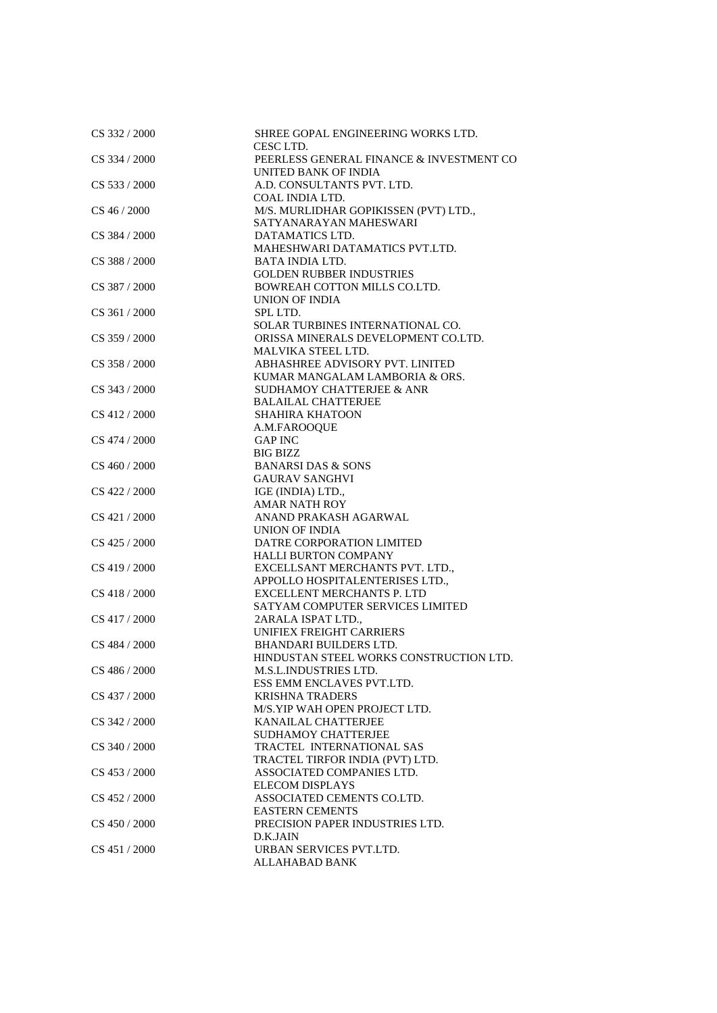| CS 332 / 2000   | SHREE GOPAL ENGINEERING WORKS LTD.<br>CESC LTD.                 |
|-----------------|-----------------------------------------------------------------|
| CS 334 / 2000   | PEERLESS GENERAL FINANCE & INVESTMENT CO                        |
|                 | UNITED BANK OF INDIA                                            |
| $CS$ 533 / 2000 | A.D. CONSULTANTS PVT. LTD.                                      |
|                 | COAL INDIA LTD.                                                 |
| CS 46 / 2000    | M/S. MURLIDHAR GOPIKISSEN (PVT) LTD.,<br>SATYANARAYAN MAHESWARI |
| CS 384 / 2000   | DATAMATICS LTD.                                                 |
|                 | MAHESHWARI DATAMATICS PVT.LTD.                                  |
| CS 388 / 2000   | BATA INDIA LTD.                                                 |
|                 | <b>GOLDEN RUBBER INDUSTRIES</b>                                 |
| CS 387 / 2000   | BOWREAH COTTON MILLS CO.LTD.                                    |
|                 | <b>UNION OF INDIA</b>                                           |
| CS 361/2000     | SPL LTD.                                                        |
|                 | SOLAR TURBINES INTERNATIONAL CO.                                |
| CS 359 / 2000   | ORISSA MINERALS DEVELOPMENT CO.LTD.                             |
|                 | MALVIKA STEEL LTD.                                              |
| CS 358 / 2000   | ABHASHREE ADVISORY PVT. LINITED                                 |
|                 | KUMAR MANGALAM LAMBORIA & ORS.                                  |
| CS 343 / 2000   | <b>SUDHAMOY CHATTERJEE &amp; ANR</b>                            |
|                 | <b>BALAILAL CHATTERJEE</b>                                      |
| CS 412 / 2000   | <b>SHAHIRA KHATOON</b>                                          |
|                 | A.M.FAROOQUE                                                    |
| CS 474 / 2000   | <b>GAP INC</b>                                                  |
|                 | BIG BIZZ                                                        |
| CS 460 / 2000   | <b>BANARSI DAS &amp; SONS</b>                                   |
|                 | <b>GAURAV SANGHVI</b>                                           |
| CS 422 / 2000   | IGE (INDIA) LTD.,                                               |
|                 | <b>AMAR NATH ROY</b>                                            |
| CS 421 / 2000   | ANAND PRAKASH AGARWAL                                           |
|                 | UNION OF INDIA                                                  |
| CS 425 / 2000   | DATRE CORPORATION LIMITED                                       |
|                 | <b>HALLI BURTON COMPANY</b>                                     |
| CS 419 / 2000   | EXCELLSANT MERCHANTS PVT. LTD.,                                 |
|                 | APPOLLO HOSPITALENTERISES LTD.,                                 |
| $CS$ 418 / 2000 | EXCELLENT MERCHANTS P. LTD                                      |
|                 | SATYAM COMPUTER SERVICES LIMITED                                |
| CS 417 / 2000   | 2ARALA ISPAT LTD.,                                              |
|                 | UNIFIEX FREIGHT CARRIERS                                        |
| CS 484 / 2000   | <b>BHANDARI BUILDERS LTD.</b>                                   |
|                 | HINDUSTAN STEEL WORKS CONSTRUCTION LTD.                         |
| CS 486 / 2000   | <b>M.S.L.INDUSTRIES LTD.</b>                                    |
|                 | ESS EMM ENCLAVES PVT.LTD.                                       |
| CS 437 / 2000   | <b>KRISHNA TRADERS</b>                                          |
|                 | M/S.YIP WAH OPEN PROJECT LTD.                                   |
| CS 342 / 2000   | KANAILAL CHATTERJEE                                             |
|                 | <b>SUDHAMOY CHATTERJEE</b>                                      |
| CS 340 / 2000   | TRACTEL INTERNATIONAL SAS                                       |
|                 | TRACTEL TIRFOR INDIA (PVT) LTD.                                 |
| CS 453 / 2000   | ASSOCIATED COMPANIES LTD.                                       |
|                 | <b>ELECOM DISPLAYS</b>                                          |
| CS 452 / 2000   | ASSOCIATED CEMENTS CO.LTD.                                      |
|                 | <b>EASTERN CEMENTS</b>                                          |
| CS 450 / 2000   | PRECISION PAPER INDUSTRIES LTD.                                 |
|                 | D.K.JAIN                                                        |
| CS 451 / 2000   | URBAN SERVICES PVT.LTD.                                         |
|                 | <b>ALLAHABAD BANK</b>                                           |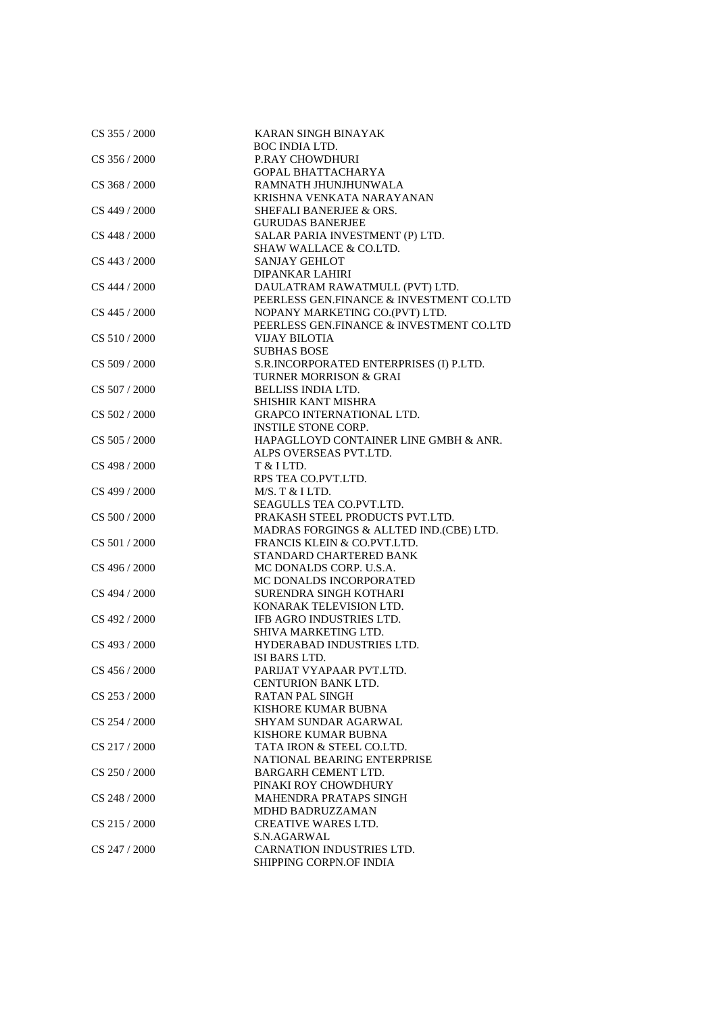| CS 355 / 2000   | <b>KARAN SINGH BINAYAK</b>               |
|-----------------|------------------------------------------|
|                 | <b>BOC INDIA LTD.</b>                    |
| CS 356 / 2000   | <b>P.RAY CHOWDHURI</b>                   |
|                 | <b>GOPAL BHATTACHARYA</b>                |
| CS 368 / 2000   | RAMNATH JHUNJHUNWALA                     |
|                 | KRISHNA VENKATA NARAYANAN                |
| CS 449 / 2000   | SHEFALI BANERJEE & ORS.                  |
|                 | <b>GURUDAS BANERJEE</b>                  |
| CS 448 / 2000   | SALAR PARIA INVESTMENT (P) LTD.          |
|                 | SHAW WALLACE & CO.LTD.                   |
| CS 443 / 2000   | <b>SANJAY GEHLOT</b>                     |
|                 | <b>DIPANKAR LAHIRI</b>                   |
|                 |                                          |
| CS 444 / 2000   | DAULATRAM RAWATMULL (PVT) LTD.           |
|                 | PEERLESS GEN.FINANCE & INVESTMENT CO.LTD |
| CS 445 / 2000   | NOPANY MARKETING CO.(PVT) LTD.           |
|                 | PEERLESS GEN.FINANCE & INVESTMENT CO.LTD |
| CS 510/2000     | <b>VIJAY BILOTIA</b>                     |
|                 | <b>SUBHAS BOSE</b>                       |
| CS 509 / 2000   | S.R.INCORPORATED ENTERPRISES (I) P.LTD.  |
|                 | <b>TURNER MORRISON &amp; GRAI</b>        |
| CS 507 / 2000   | <b>BELLISS INDIA LTD.</b>                |
|                 | SHISHIR KANT MISHRA                      |
| CS 502 / 2000   | GRAPCO INTERNATIONAL LTD.                |
|                 | <b>INSTILE STONE CORP.</b>               |
| CS 505 / 2000   | HAPAGLLOYD CONTAINER LINE GMBH & ANR.    |
|                 | ALPS OVERSEAS PVT.LTD.                   |
| CS 498 / 2000   | T & ILTD.                                |
|                 | RPS TEA CO.PVT.LTD.                      |
| CS 499 / 2000   | M/S. T & I LTD.                          |
|                 | SEAGULLS TEA CO.PVT.LTD.                 |
| CS 500 / 2000   | PRAKASH STEEL PRODUCTS PVT.LTD.          |
|                 | MADRAS FORGINGS & ALLTED IND.(CBE) LTD.  |
| CS 501/2000     | FRANCIS KLEIN & CO.PVT.LTD.              |
|                 | STANDARD CHARTERED BANK                  |
| CS 496 / 2000   | MC DONALDS CORP. U.S.A.                  |
|                 | MC DONALDS INCORPORATED                  |
| CS 494 / 2000   | SURENDRA SINGH KOTHARI                   |
|                 | KONARAK TELEVISION LTD.                  |
| CS 492 / 2000   | IFB AGRO INDUSTRIES LTD.                 |
|                 | SHIVA MARKETING LTD.                     |
| CS 493 / 2000   | HYDERABAD INDUSTRIES LTD.                |
|                 | ISI BARS LTD.                            |
| CS 456 / 2000   | PARIJAT VYAPAAR PVT.LTD.                 |
|                 | <b>CENTURION BANK LTD.</b>               |
| $CS$ 253 / 2000 | <b>RATAN PAL SINGH</b>                   |
|                 | KISHORE KUMAR BUBNA                      |
| CS 254 / 2000   | SHYAM SUNDAR AGARWAL                     |
|                 | KISHORE KUMAR BUBNA                      |
| CS 217/2000     | TATA IRON & STEEL CO.LTD.                |
|                 | NATIONAL BEARING ENTERPRISE              |
| CS 250 / 2000   | <b>BARGARH CEMENT LTD.</b>               |
|                 | PINAKI ROY CHOWDHURY                     |
| CS 248 / 2000   | <b>MAHENDRA PRATAPS SINGH</b>            |
|                 | MDHD BADRUZZAMAN                         |
| CS 215 / 2000   | <b>CREATIVE WARES LTD.</b>               |
|                 | S.N.AGARWAL                              |
| CS 247 / 2000   | CARNATION INDUSTRIES LTD.                |
|                 | SHIPPING CORPN.OF INDIA                  |
|                 |                                          |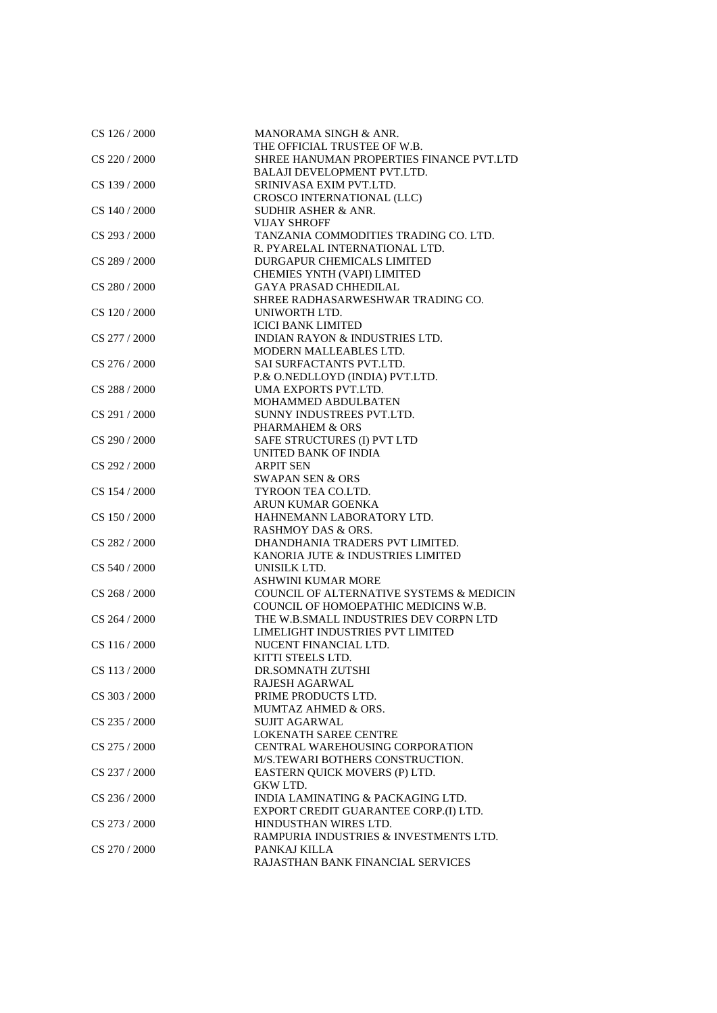| $CS$ 126 / 2000 | MANORAMA SINGH & ANR.<br>THE OFFICIAL TRUSTEE OF W.B. |
|-----------------|-------------------------------------------------------|
|                 |                                                       |
| CS 220 / 2000   | SHREE HANUMAN PROPERTIES FINANCE PVT.LTD              |
|                 | <b>BALAJI DEVELOPMENT PVT.LTD.</b>                    |
| CS 139 / 2000   | SRINIVASA EXIM PVT.LTD.                               |
|                 | CROSCO INTERNATIONAL (LLC)                            |
| CS 140 / 2000   | SUDHIR ASHER & ANR.                                   |
|                 | <b>VIJAY SHROFF</b>                                   |
| CS 293 / 2000   | TANZANIA COMMODITIES TRADING CO. LTD.                 |
|                 | R. PYARELAL INTERNATIONAL LTD.                        |
| CS 289 / 2000   | DURGAPUR CHEMICALS LIMITED                            |
|                 | <b>CHEMIES YNTH (VAPI) LIMITED</b>                    |
| CS 280 / 2000   | <b>GAYA PRASAD CHHEDILAL</b>                          |
|                 | SHREE RADHASARWESHWAR TRADING CO.                     |
| CS 120/2000     | UNIWORTH LTD.                                         |
|                 | <b>ICICI BANK LIMITED</b>                             |
| CS 277 / 2000   | <b>INDIAN RAYON &amp; INDUSTRIES LTD.</b>             |
|                 | MODERN MALLEABLES LTD.                                |
| CS 276 / 2000   | SAI SURFACTANTS PVT.LTD.                              |
|                 | P.& O.NEDLLOYD (INDIA) PVT.LTD.                       |
| CS 288 / 2000   | UMA EXPORTS PVT.LTD.                                  |
|                 | MOHAMMED ABDULBATEN                                   |
| CS 291/2000     | SUNNY INDUSTREES PVT.LTD.                             |
|                 | PHARMAHEM & ORS                                       |
| CS 290 / 2000   | SAFE STRUCTURES (I) PVT LTD                           |
|                 | UNITED BANK OF INDIA                                  |
| CS 292 / 2000   | <b>ARPIT SEN</b>                                      |
|                 | <b>SWAPAN SEN &amp; ORS</b>                           |
|                 |                                                       |
| CS 154 / 2000   | TYROON TEA CO.LTD.                                    |
|                 | ARUN KUMAR GOENKA                                     |
| CS 150 / 2000   | HAHNEMANN LABORATORY LTD.                             |
|                 | <b>RASHMOY DAS &amp; ORS.</b>                         |
| CS 282 / 2000   | DHANDHANIA TRADERS PVT LIMITED.                       |
|                 | KANORIA JUTE & INDUSTRIES LIMITED                     |
| CS 540 / 2000   | UNISILK LTD.                                          |
|                 | <b>ASHWINI KUMAR MORE</b>                             |
| CS 268 / 2000   | COUNCIL OF ALTERNATIVE SYSTEMS & MEDICIN              |
|                 | COUNCIL OF HOMOEPATHIC MEDICINS W.B.                  |
| CS 264 / 2000   | THE W.B.SMALL INDUSTRIES DEV CORPN LTD                |
|                 | LIMELIGHT INDUSTRIES PVT LIMITED                      |
| CS 116/2000     | NUCENT FINANCIAL LTD.                                 |
|                 | KITTI STEELS LTD.                                     |
| CS 113 / 2000   | DR.SOMNATH ZUTSHI                                     |
|                 | RAJESH AGARWAL                                        |
| CS 303 / 2000   | PRIME PRODUCTS LTD.                                   |
|                 | MUMTAZ AHMED & ORS.                                   |
| CS 235 / 2000   | <b>SUJIT AGARWAL</b>                                  |
|                 | <b>LOKENATH SAREE CENTRE</b>                          |
| CS 275 / 2000   | CENTRAL WAREHOUSING CORPORATION                       |
|                 | M/S.TEWARI BOTHERS CONSTRUCTION.                      |
| CS 237 / 2000   | EASTERN QUICK MOVERS (P) LTD.                         |
|                 | GKW LTD.                                              |
| $CS$ 236 / 2000 | INDIA LAMINATING & PACKAGING LTD.                     |
|                 | EXPORT CREDIT GUARANTEE CORP.(I) LTD.                 |
| CS 273 / 2000   | HINDUSTHAN WIRES LTD.                                 |
|                 | RAMPURIA INDUSTRIES & INVESTMENTS LTD.                |
| CS 270 / 2000   | PANKAJ KILLA                                          |
|                 | RAJASTHAN BANK FINANCIAL SERVICES                     |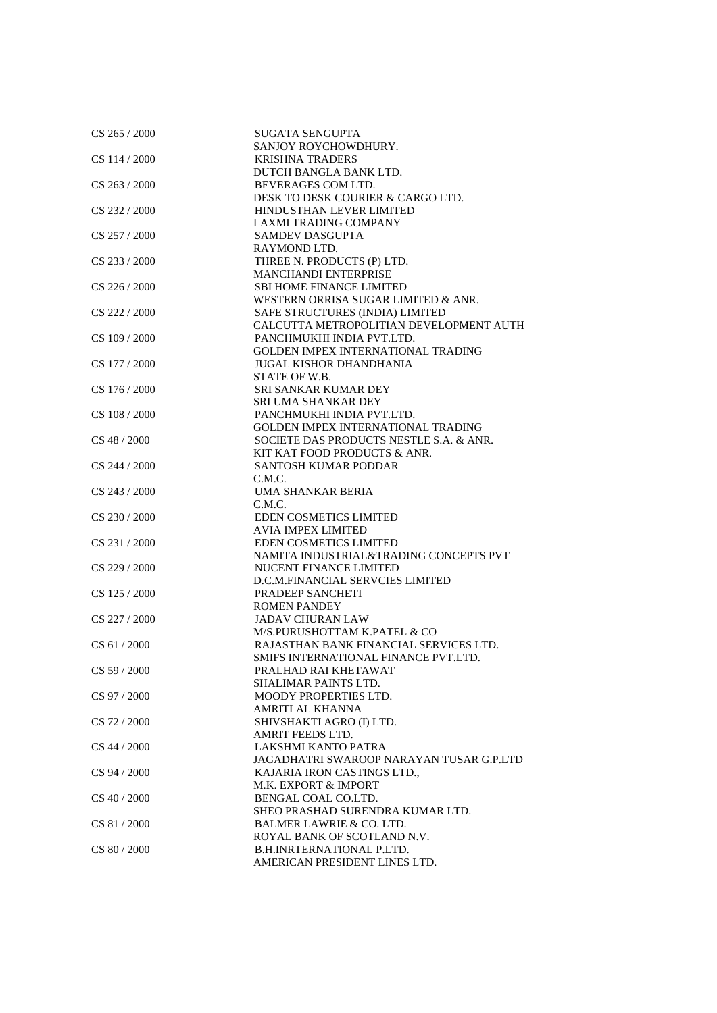| CS 265 / 2000  | SUGATA SENGUPTA                          |
|----------------|------------------------------------------|
|                | SANJOY ROYCHOWDHURY.                     |
| CS 114/2000    | <b>KRISHNA TRADERS</b>                   |
|                | DUTCH BANGLA BANK LTD.                   |
| CS 263 / 2000  | BEVERAGES COM LTD.                       |
|                | DESK TO DESK COURIER & CARGO LTD.        |
| CS 232 / 2000  | HINDUSTHAN LEVER LIMITED                 |
|                | LAXMI TRADING COMPANY                    |
| CS 257 / 2000  | <b>SAMDEV DASGUPTA</b>                   |
|                | RAYMOND LTD.                             |
| CS 233 / 2000  | THREE N. PRODUCTS (P) LTD.               |
|                | <b>MANCHANDI ENTERPRISE</b>              |
| CS 226 / 2000  | <b>SBI HOME FINANCE LIMITED</b>          |
|                | WESTERN ORRISA SUGAR LIMITED & ANR.      |
| CS 222 / 2000  | SAFE STRUCTURES (INDIA) LIMITED          |
|                | CALCUTTA METROPOLITIAN DEVELOPMENT AUTH  |
| CS 109 / 2000  | PANCHMUKHI INDIA PVT.LTD.                |
|                | GOLDEN IMPEX INTERNATIONAL TRADING       |
| CS 177 / 2000  | <b>JUGAL KISHOR DHANDHANIA</b>           |
|                | STATE OF W.B.                            |
| CS 176 / 2000  | <b>SRI SANKAR KUMAR DEY</b>              |
|                | SRI UMA SHANKAR DEY                      |
| CS 108 / 2000  | PANCHMUKHI INDIA PVT.LTD.                |
|                | GOLDEN IMPEX INTERNATIONAL TRADING       |
| CS 48 / 2000   | SOCIETE DAS PRODUCTS NESTLE S.A. & ANR.  |
|                | KIT KAT FOOD PRODUCTS & ANR.             |
|                |                                          |
| CS 244 / 2000  | SANTOSH KUMAR PODDAR                     |
|                | C.M.C.                                   |
| CS 243 / 2000  | UMA SHANKAR BERIA                        |
|                | C.M.C.                                   |
| CS 230 / 2000  | EDEN COSMETICS LIMITED                   |
|                | <b>AVIA IMPEX LIMITED</b>                |
| CS 231 / 2000  | <b>EDEN COSMETICS LIMITED</b>            |
|                | NAMITA INDUSTRIAL&TRADING CONCEPTS PVT   |
| CS 229 / 2000  | NUCENT FINANCE LIMITED                   |
|                | D.C.M.FINANCIAL SERVCIES LIMITED         |
| CS 125 / 2000  | PRADEEP SANCHETI                         |
|                | <b>ROMEN PANDEY</b>                      |
| CS 227 / 2000  | <b>JADAV CHURAN LAW</b>                  |
|                | M/S.PURUSHOTTAM K.PATEL & CO             |
| CS 61 / 2000   | RAJASTHAN BANK FINANCIAL SERVICES LTD.   |
|                | SMIFS INTERNATIONAL FINANCE PVT.LTD.     |
| CS 59 / 2000   | PRALHAD RAI KHETAWAT                     |
|                | SHALIMAR PAINTS LTD.                     |
| CS 97 / 2000   | MOODY PROPERTIES LTD.                    |
|                | AMRITLAL KHANNA                          |
| CS 72 / 2000   | SHIVSHAKTI AGRO (I) LTD.                 |
|                | AMRIT FEEDS LTD.                         |
| CS 44 / 2000   | LAKSHMI KANTO PATRA                      |
|                | JAGADHATRI SWAROOP NARAYAN TUSAR G.P.LTD |
| CS 94 / 2000   | KAJARIA IRON CASTINGS LTD.,              |
|                | M.K. EXPORT & IMPORT                     |
| $CS$ 40 / 2000 | BENGAL COAL CO.LTD.                      |
|                | SHEO PRASHAD SURENDRA KUMAR LTD.         |
| CS 81/2000     | <b>BALMER LAWRIE &amp; CO. LTD.</b>      |
|                | ROYAL BANK OF SCOTLAND N.V.              |
| CS 80 / 2000   | <b>B.H.INRTERNATIONAL P.LTD.</b>         |
|                | AMERICAN PRESIDENT LINES LTD.            |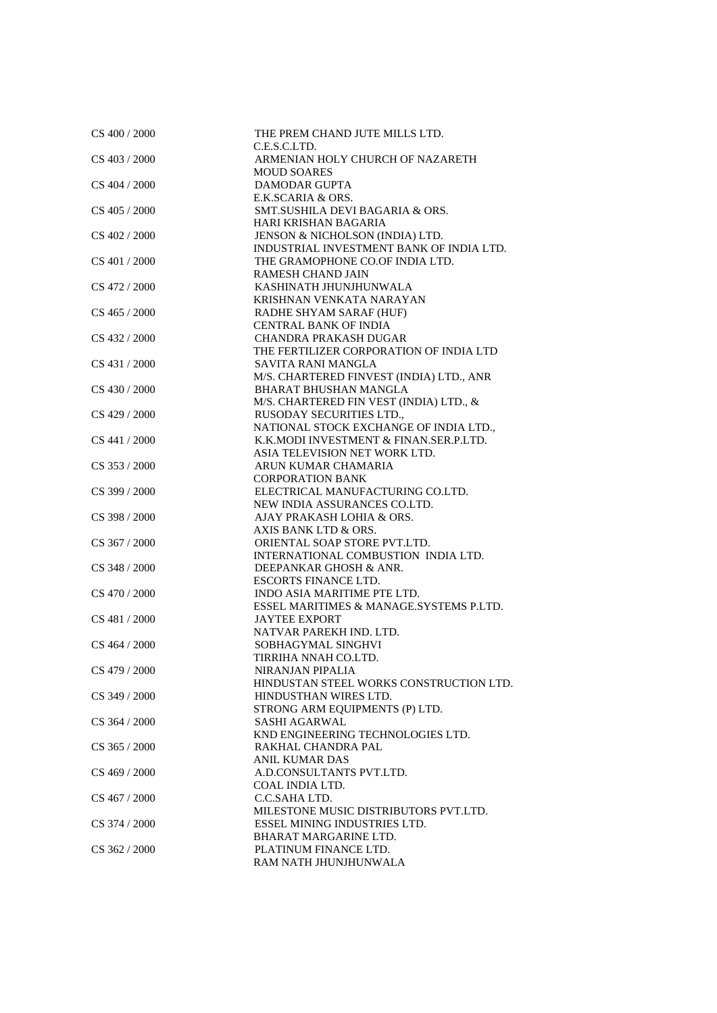| CS 400 / 2000   | THE PREM CHAND JUTE MILLS LTD.           |
|-----------------|------------------------------------------|
|                 | C.E.S.C.LTD.                             |
| CS 403 / 2000   | ARMENIAN HOLY CHURCH OF NAZARETH         |
|                 | <b>MOUD SOARES</b>                       |
| CS 404 / 2000   | <b>DAMODAR GUPTA</b>                     |
|                 | E.K.SCARIA & ORS.                        |
| CS 405 / 2000   | SMT.SUSHILA DEVI BAGARIA & ORS.          |
|                 | HARI KRISHAN BAGARIA                     |
| CS 402 / 2000   | JENSON & NICHOLSON (INDIA) LTD.          |
|                 | INDUSTRIAL INVESTMENT BANK OF INDIA LTD. |
| CS 401 / 2000   | THE GRAMOPHONE CO.OF INDIA LTD.          |
|                 | <b>RAMESH CHAND JAIN</b>                 |
| CS 472 / 2000   | KASHINATH JHUNJHUNWALA                   |
|                 | KRISHNAN VENKATA NARAYAN                 |
| $CS$ 465 / 2000 | RADHE SHYAM SARAF (HUF)                  |
|                 | <b>CENTRAL BANK OF INDIA</b>             |
| CS 432 / 2000   | CHANDRA PRAKASH DUGAR                    |
|                 | THE FERTILIZER CORPORATION OF INDIA LTD  |
| CS 431 / 2000   | SAVITA RANI MANGLA                       |
|                 |                                          |
|                 | M/S. CHARTERED FINVEST (INDIA) LTD., ANR |
| CS 430 / 2000   | BHARAT BHUSHAN MANGLA                    |
|                 | M/S. CHARTERED FIN VEST (INDIA) LTD., &  |
| CS 429 / 2000   | RUSODAY SECURITIES LTD.,                 |
|                 | NATIONAL STOCK EXCHANGE OF INDIA LTD.,   |
| CS 441 / 2000   | K.K.MODI INVESTMENT & FINAN.SER.P.LTD.   |
|                 | ASIA TELEVISION NET WORK LTD.            |
| CS 353 / 2000   | ARUN KUMAR CHAMARIA                      |
|                 | <b>CORPORATION BANK</b>                  |
| CS 399 / 2000   | ELECTRICAL MANUFACTURING CO.LTD.         |
|                 | NEW INDIA ASSURANCES CO.LTD.             |
| CS 398 / 2000   | AJAY PRAKASH LOHIA & ORS.                |
|                 | AXIS BANK LTD & ORS.                     |
| CS 367 / 2000   | ORIENTAL SOAP STORE PVT.LTD.             |
|                 | INTERNATIONAL COMBUSTION INDIA LTD.      |
| CS 348 / 2000   | DEEPANKAR GHOSH & ANR.                   |
|                 | <b>ESCORTS FINANCE LTD.</b>              |
| CS 470 / 2000   | INDO ASIA MARITIME PTE LTD.              |
|                 | ESSEL MARITIMES & MANAGE.SYSTEMS P.LTD.  |
| CS 481 / 2000   | <b>JAYTEE EXPORT</b>                     |
|                 | NATVAR PAREKH IND. LTD.                  |
| CS 464 / 2000   | SOBHAGYMAL SINGHVI                       |
|                 | TIRRIHA NNAH CO.LTD.                     |
| CS 479 / 2000   | NIRANJAN PIPALIA                         |
|                 | HINDUSTAN STEEL WORKS CONSTRUCTION LTD.  |
| CS 349 / 2000   | HINDUSTHAN WIRES LTD.                    |
|                 | STRONG ARM EQUIPMENTS (P) LTD.           |
| CS 364 / 2000   | <b>SASHI AGARWAL</b>                     |
|                 | KND ENGINEERING TECHNOLOGIES LTD.        |
| CS 365 / 2000   | RAKHAL CHANDRA PAL                       |
|                 | <b>ANIL KUMAR DAS</b>                    |
| CS 469 / 2000   | A.D.CONSULTANTS PVT.LTD.                 |
|                 | <b>COAL INDIA LTD.</b>                   |
| CS 467 / 2000   | C.C.SAHA LTD.                            |
|                 | MILESTONE MUSIC DISTRIBUTORS PVT.LTD.    |
| CS 374 / 2000   | ESSEL MINING INDUSTRIES LTD.             |
|                 | BHARAT MARGARINE LTD.                    |
| CS 362 / 2000   | PLATINUM FINANCE LTD.                    |
|                 | RAM NATH JHUNJHUNWALA                    |
|                 |                                          |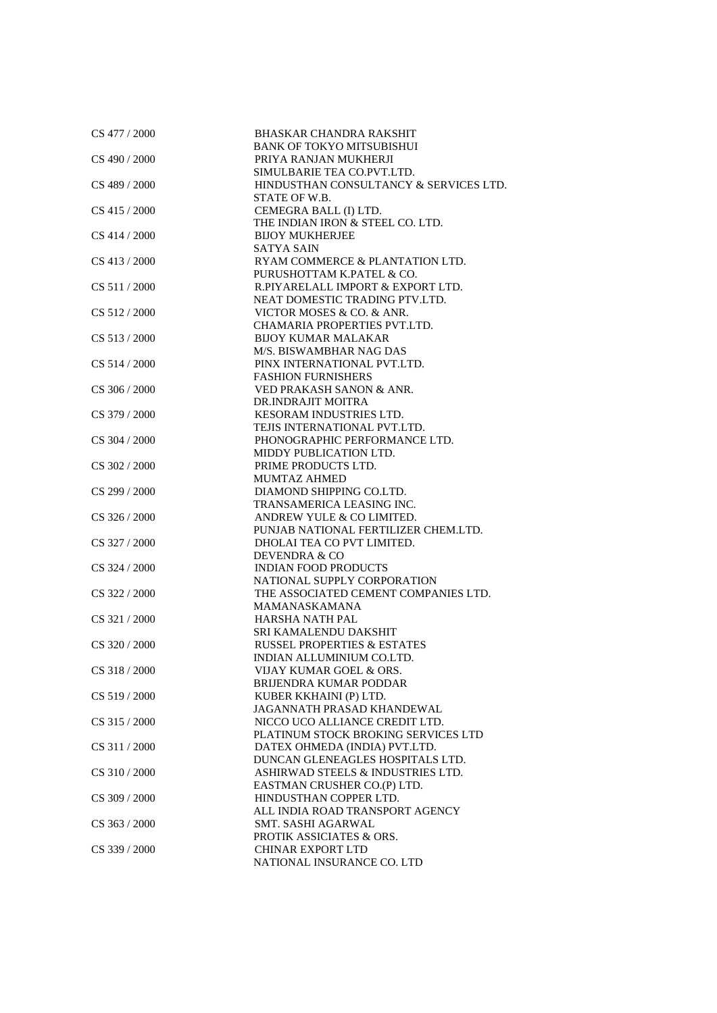| CS 477 / 2000   | <b>BHASKAR CHANDRA RAKSHIT</b><br><b>BANK OF TOKYO MITSUBISHUI</b> |
|-----------------|--------------------------------------------------------------------|
|                 |                                                                    |
| CS 490 / 2000   | PRIYA RANJAN MUKHERJI                                              |
|                 | SIMULBARIE TEA CO.PVT.LTD.                                         |
| CS 489 / 2000   | HINDUSTHAN CONSULTANCY & SERVICES LTD.                             |
|                 | STATE OF W.B.                                                      |
| CS 415 / 2000   | CEMEGRA BALL (I) LTD.                                              |
|                 | THE INDIAN IRON & STEEL CO. LTD.                                   |
| CS 414 / 2000   | <b>BIJOY MUKHERJEE</b>                                             |
|                 | <b>SATYA SAIN</b>                                                  |
| $CS$ 413 / 2000 | RYAM COMMERCE & PLANTATION LTD.                                    |
|                 | PURUSHOTTAM K.PATEL & CO.                                          |
| CS 511 / 2000   | R.PIYARELALL IMPORT & EXPORT LTD.                                  |
|                 | NEAT DOMESTIC TRADING PTV.LTD.                                     |
| CS 512 / 2000   | VICTOR MOSES & CO. & ANR.                                          |
|                 | CHAMARIA PROPERTIES PVT.LTD.                                       |
| CS 513/2000     | <b>BIJOY KUMAR MALAKAR</b>                                         |
|                 | M/S. BISWAMBHAR NAG DAS                                            |
| CS 514 / 2000   | PINX INTERNATIONAL PVT.LTD.                                        |
|                 | <b>FASHION FURNISHERS</b>                                          |
| CS 306 / 2000   | VED PRAKASH SANON & ANR.                                           |
|                 | DR.INDRAJIT MOITRA                                                 |
| CS 379 / 2000   | KESORAM INDUSTRIES LTD.                                            |
|                 | TEJIS INTERNATIONAL PVT.LTD.                                       |
| CS 304 / 2000   | PHONOGRAPHIC PERFORMANCE LTD.                                      |
|                 | MIDDY PUBLICATION LTD.                                             |
| CS 302 / 2000   | PRIME PRODUCTS LTD.                                                |
|                 | MUMTAZ AHMED                                                       |
| CS 299 / 2000   | DIAMOND SHIPPING CO.LTD.                                           |
|                 | TRANSAMERICA LEASING INC.                                          |
| CS 326 / 2000   | ANDREW YULE & CO LIMITED.                                          |
|                 | PUNJAB NATIONAL FERTILIZER CHEM.LTD.                               |
| CS 327 / 2000   | DHOLAI TEA CO PVT LIMITED.                                         |
|                 | DEVENDRA & CO                                                      |
| CS 324 / 2000   | <b>INDIAN FOOD PRODUCTS</b>                                        |
|                 | NATIONAL SUPPLY CORPORATION                                        |
| CS 322 / 2000   | THE ASSOCIATED CEMENT COMPANIES LTD.                               |
|                 | MAMANASKAMANA                                                      |
| CS 321 / 2000   | HARSHA NATH PAL                                                    |
|                 | SRI KAMALENDU DAKSHIT                                              |
| CS 320 / 2000   | <b>RUSSEL PROPERTIES &amp; ESTATES</b>                             |
|                 | INDIAN ALLUMINIUM CO.LTD.                                          |
| CS 318 / 2000   | VIJAY KUMAR GOEL & ORS.                                            |
|                 | <b>BRIJENDRA KUMAR PODDAR</b>                                      |
|                 |                                                                    |
| CS 519 / 2000   | KUBER KKHAINI (P) LTD.<br>JAGANNATH PRASAD KHANDEWAL               |
| CS 315 / 2000   | NICCO UCO ALLIANCE CREDIT LTD.                                     |
|                 |                                                                    |
|                 | PLATINUM STOCK BROKING SERVICES LTD                                |
| CS 311 / 2000   | DATEX OHMEDA (INDIA) PVT.LTD.                                      |
|                 | DUNCAN GLENEAGLES HOSPITALS LTD.                                   |
| CS 310 / 2000   | ASHIRWAD STEELS & INDUSTRIES LTD.                                  |
|                 | EASTMAN CRUSHER CO.(P) LTD.                                        |
| CS 309 / 2000   | HINDUSTHAN COPPER LTD.                                             |
|                 | ALL INDIA ROAD TRANSPORT AGENCY                                    |
| CS 363 / 2000   | SMT. SASHI AGARWAL                                                 |
|                 | PROTIK ASSICIATES & ORS.                                           |
| CS 339 / 2000   | <b>CHINAR EXPORT LTD</b>                                           |
|                 | NATIONAL INSURANCE CO. LTD                                         |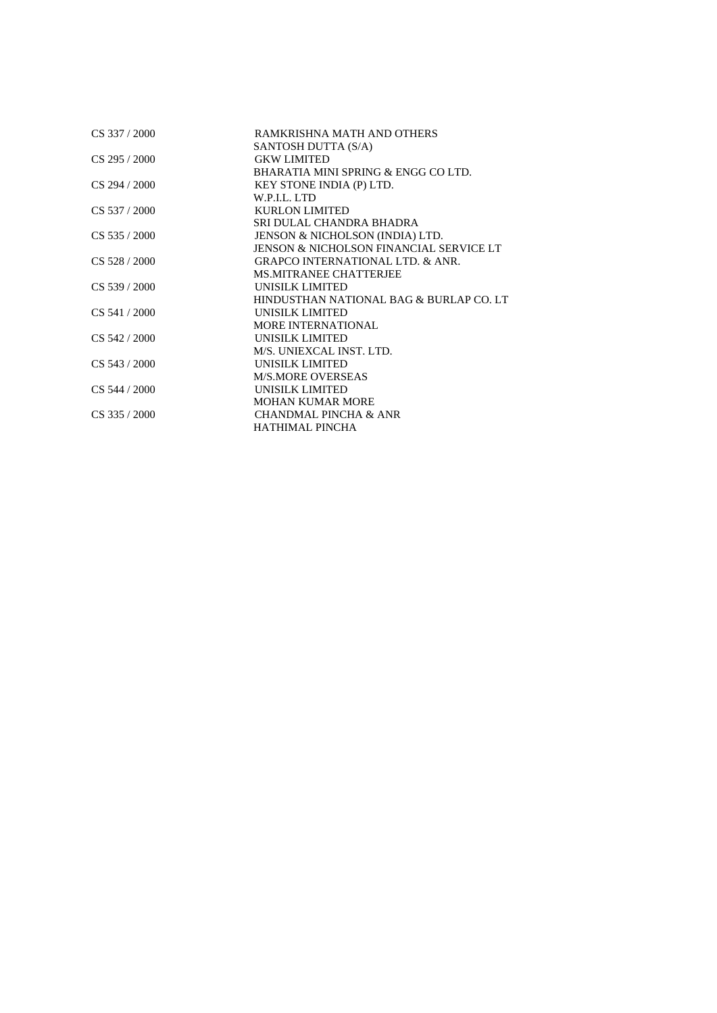| CS 337 / 2000   | RAMKRISHNA MATH AND OTHERS                  |
|-----------------|---------------------------------------------|
|                 | SANTOSH DUTTA (S/A)                         |
| $CS$ 295 / 2000 | <b>GKW LIMITED</b>                          |
|                 | BHARATIA MINI SPRING & ENGG CO LTD.         |
| $CS$ 294 / 2000 | KEY STONE INDIA (P) LTD.                    |
|                 | W.P.I.L. LTD                                |
| $CS$ 537 / 2000 | <b>KURLON LIMITED</b>                       |
|                 | SRI DULAL CHANDRA BHADRA                    |
| $CS$ 535 / 2000 | JENSON & NICHOLSON (INDIA) LTD.             |
|                 | JENSON & NICHOLSON FINANCIAL SERVICE LT     |
| $CS$ 528 / 2000 | <b>GRAPCO INTERNATIONAL LTD. &amp; ANR.</b> |
|                 | <b>MS.MITRANEE CHATTERJEE</b>               |
| $CS$ 539 / 2000 | UNISILK LIMITED                             |
|                 | HINDUSTHAN NATIONAL BAG & BURLAP CO. LT     |
| $CS$ 541 / 2000 | UNISILK LIMITED                             |
|                 | <b>MORE INTERNATIONAL</b>                   |
| CS 542 / 2000   | UNISILK LIMITED                             |
|                 | M/S. UNIEXCAL INST. LTD.                    |
| $CS$ 543 / 2000 | UNISILK LIMITED                             |
|                 | <b>M/S.MORE OVERSEAS</b>                    |
| CS 544 / 2000   | UNISILK LIMITED                             |
|                 | <b>MOHAN KUMAR MORE</b>                     |
| $CS$ 335 / 2000 | <b>CHANDMAL PINCHA &amp; ANR</b>            |
|                 | HATHIMAL PINCHA                             |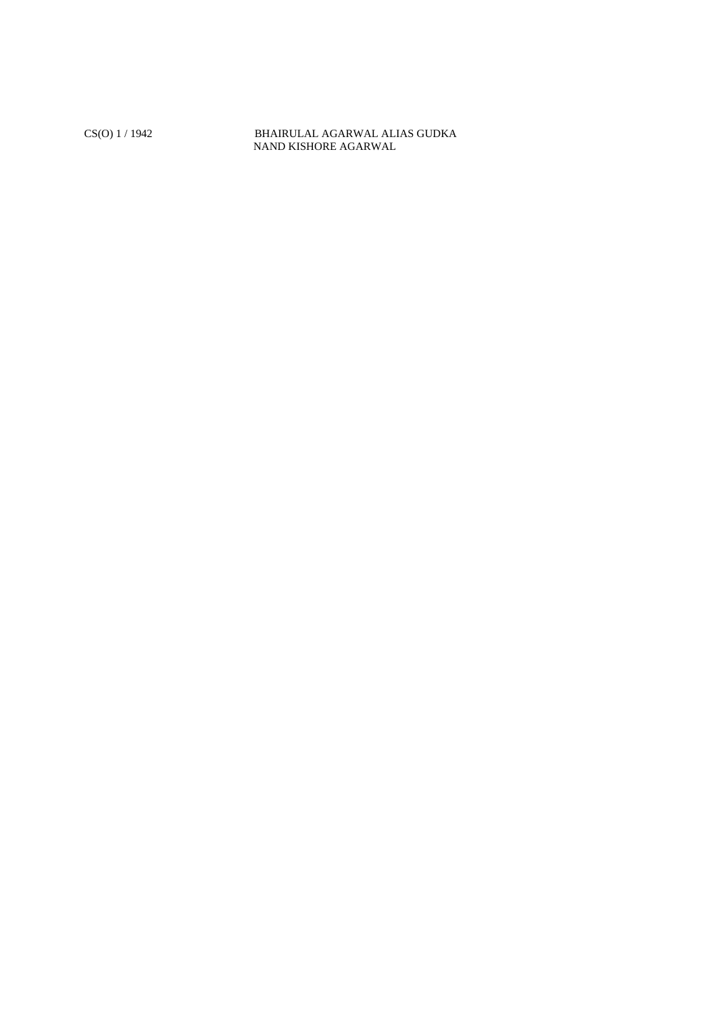CS(O) 1 / 1942 BHAIRULAL AGARWAL ALIAS GUDKA NAND KISHORE AGARWAL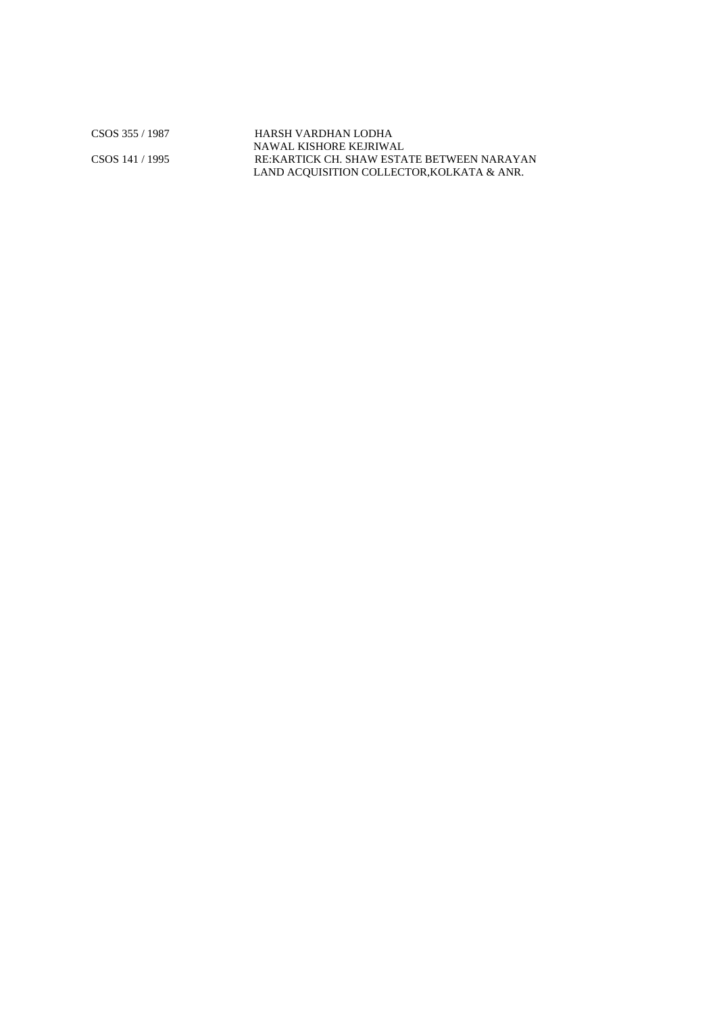CSOS 355 / 1987 HARSH VARDHAN LODHA NAWAL KISHORE KEJRIWAL CSOS 141 / 1995 RE:KARTICK CH. SHAW ESTATE BETWEEN NARAYAN LAND ACQUISITION COLLECTOR,KOLKATA & ANR.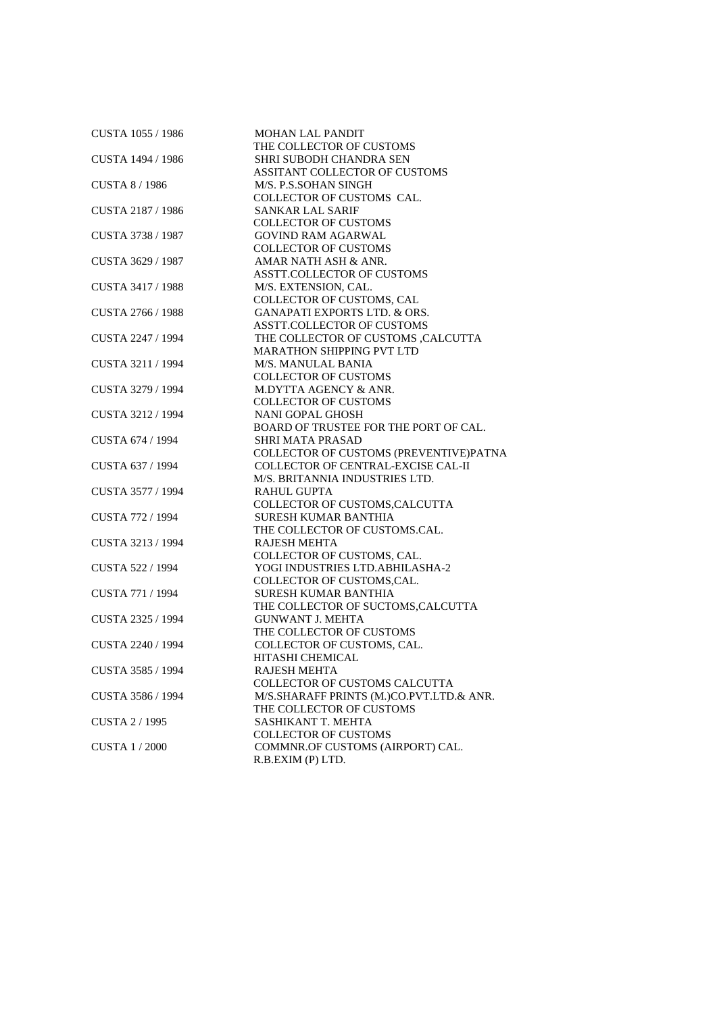| CUSTA 1055 / 1986     | MOHAN LAL PANDIT                         |
|-----------------------|------------------------------------------|
|                       | THE COLLECTOR OF CUSTOMS                 |
| CUSTA 1494 / 1986     | SHRI SUBODH CHANDRA SEN                  |
|                       | ASSITANT COLLECTOR OF CUSTOMS            |
| CUSTA 8/1986          | M/S. P.S.SOHAN SINGH                     |
|                       | COLLECTOR OF CUSTOMS CAL.                |
| CUSTA 2187 / 1986     | <b>SANKAR LAL SARIF</b>                  |
|                       | <b>COLLECTOR OF CUSTOMS</b>              |
| CUSTA 3738 / 1987     | <b>GOVIND RAM AGARWAL</b>                |
|                       | <b>COLLECTOR OF CUSTOMS</b>              |
| CUSTA 3629 / 1987     | AMAR NATH ASH & ANR.                     |
|                       | <b>ASSTT.COLLECTOR OF CUSTOMS</b>        |
| CUSTA 3417 / 1988     | M/S. EXTENSION, CAL.                     |
|                       | COLLECTOR OF CUSTOMS, CAL                |
| CUSTA 2766 / 1988     | <b>GANAPATI EXPORTS LTD. &amp; ORS.</b>  |
|                       | <b>ASSTT.COLLECTOR OF CUSTOMS</b>        |
| CUSTA 2247 / 1994     | THE COLLECTOR OF CUSTOMS , CALCUTTA      |
|                       | <b>MARATHON SHIPPING PVT LTD</b>         |
| CUSTA 3211 / 1994     | M/S. MANULAL BANIA                       |
|                       | <b>COLLECTOR OF CUSTOMS</b>              |
| CUSTA 3279 / 1994     | M.DYTTA AGENCY & ANR.                    |
|                       | <b>COLLECTOR OF CUSTOMS</b>              |
| CUSTA 3212 / 1994     | NANI GOPAL GHOSH                         |
|                       | BOARD OF TRUSTEE FOR THE PORT OF CAL.    |
|                       |                                          |
| CUSTA 674 / 1994      | <b>SHRI MATA PRASAD</b>                  |
|                       | COLLECTOR OF CUSTOMS (PREVENTIVE)PATNA   |
| CUSTA 637 / 1994      | COLLECTOR OF CENTRAL-EXCISE CAL-II       |
|                       | M/S. BRITANNIA INDUSTRIES LTD.           |
| CUSTA 3577 / 1994     | <b>RAHUL GUPTA</b>                       |
|                       | COLLECTOR OF CUSTOMS, CALCUTTA           |
| CUSTA 772 / 1994      | <b>SURESH KUMAR BANTHIA</b>              |
|                       | THE COLLECTOR OF CUSTOMS.CAL.            |
| CUSTA 3213 / 1994     | <b>RAJESH MEHTA</b>                      |
|                       | COLLECTOR OF CUSTOMS, CAL.               |
| CUSTA 522 / 1994      | YOGI INDUSTRIES LTD.ABHILASHA-2          |
|                       | COLLECTOR OF CUSTOMS, CAL.               |
| CUSTA 771 / 1994      | SURESH KUMAR BANTHIA                     |
|                       | THE COLLECTOR OF SUCTOMS, CALCUTTA       |
| CUSTA 2325 / 1994     | <b>GUNWANT J. MEHTA</b>                  |
|                       | THE COLLECTOR OF CUSTOMS                 |
| CUSTA 2240 / 1994     | COLLECTOR OF CUSTOMS, CAL.               |
|                       | HITASHI CHEMICAL                         |
| CUSTA 3585 / 1994     | RAJESH MEHTA                             |
|                       | <b>COLLECTOR OF CUSTOMS CALCUTTA</b>     |
| CUSTA 3586 / 1994     | M/S.SHARAFF PRINTS (M.)CO.PVT.LTD.& ANR. |
|                       | THE COLLECTOR OF CUSTOMS                 |
| <b>CUSTA 2 / 1995</b> | SASHIKANT T. MEHTA                       |
|                       | <b>COLLECTOR OF CUSTOMS</b>              |
| <b>CUSTA 1/2000</b>   | COMMNR.OF CUSTOMS (AIRPORT) CAL.         |
|                       | R.B.EXIM (P) LTD.                        |
|                       |                                          |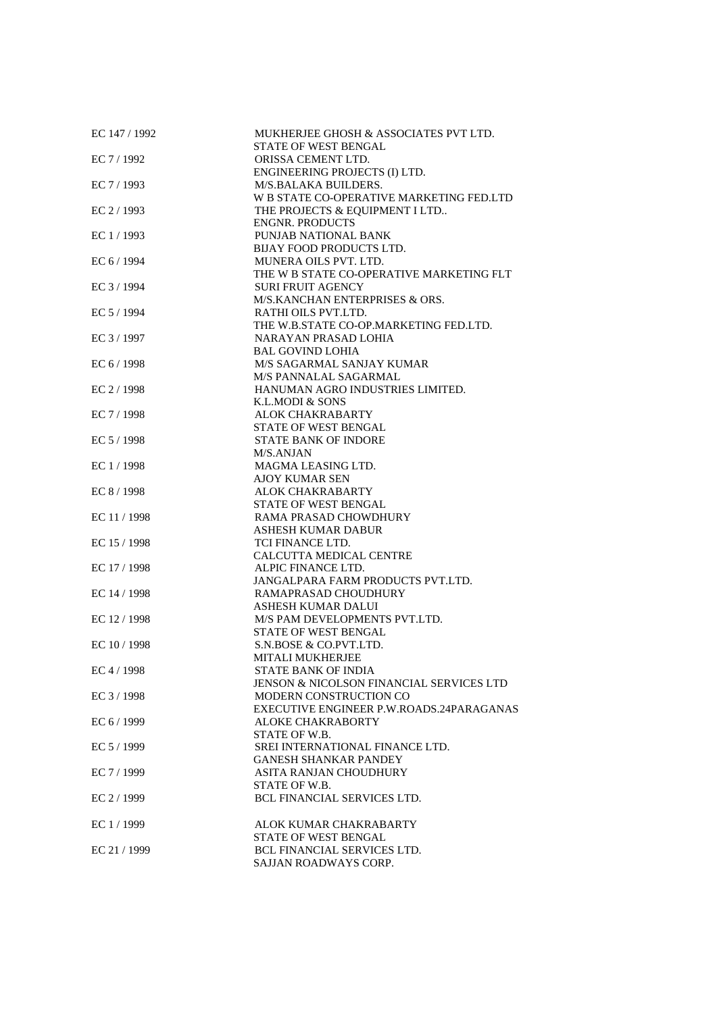| EC 147 / 1992 | MUKHERJEE GHOSH & ASSOCIATES PVT LTD.<br>STATE OF WEST BENGAL |
|---------------|---------------------------------------------------------------|
| EC 7 / 1992   | ORISSA CEMENT LTD.                                            |
|               | ENGINEERING PROJECTS (I) LTD.                                 |
| EC 7 / 1993   | M/S.BALAKA BUILDERS.                                          |
|               | W B STATE CO-OPERATIVE MARKETING FED.LTD                      |
| EC $2/1993$   |                                                               |
|               | THE PROJECTS & EQUIPMENT I LTD<br><b>ENGNR. PRODUCTS</b>      |
|               |                                                               |
| EC 1 / 1993   | PUNJAB NATIONAL BANK<br><b>BIJAY FOOD PRODUCTS LTD.</b>       |
| EC 6 / 1994   | MUNERA OILS PVT. LTD.                                         |
|               | THE W B STATE CO-OPERATIVE MARKETING FLT                      |
| EC 3 / 1994   | <b>SURI FRUIT AGENCY</b>                                      |
|               | M/S.KANCHAN ENTERPRISES & ORS.                                |
| EC 5 / 1994   | RATHI OILS PVT.LTD.                                           |
|               | THE W.B.STATE CO-OP.MARKETING FED.LTD.                        |
| EC 3 / 1997   | NARAYAN PRASAD LOHIA                                          |
|               | <b>BAL GOVIND LOHIA</b>                                       |
|               |                                                               |
| EC 6 / 1998   | M/S SAGARMAL SANJAY KUMAR                                     |
|               | M/S PANNALAL SAGARMAL                                         |
| EC 2 / 1998   | HANUMAN AGRO INDUSTRIES LIMITED.                              |
|               | K.L.MODI & SONS                                               |
| EC 7 / 1998   | ALOK CHAKRABARTY                                              |
|               | STATE OF WEST BENGAL                                          |
| EC 5 / 1998   | <b>STATE BANK OF INDORE</b>                                   |
|               | <b>M/S.ANJAN</b>                                              |
| EC 1 / 1998   | MAGMA LEASING LTD.                                            |
|               | <b>AJOY KUMAR SEN</b>                                         |
| EC 8 / 1998   | ALOK CHAKRABARTY                                              |
|               | STATE OF WEST BENGAL                                          |
| EC 11 / 1998  | RAMA PRASAD CHOWDHURY                                         |
|               | <b>ASHESH KUMAR DABUR</b>                                     |
| EC 15 / 1998  | TCI FINANCE LTD.                                              |
|               | CALCUTTA MEDICAL CENTRE                                       |
| EC 17 / 1998  | ALPIC FINANCE LTD.                                            |
|               | JANGALPARA FARM PRODUCTS PVT.LTD.                             |
| EC 14 / 1998  | RAMAPRASAD CHOUDHURY                                          |
|               | ASHESH KUMAR DALUI                                            |
| EC 12 / 1998  | M/S PAM DEVELOPMENTS PVT.LTD.                                 |
|               | STATE OF WEST BENGAL                                          |
| EC 10 / 1998  | S.N.BOSE & CO.PVT.LTD.                                        |
|               | <b>MITALI MUKHERJEE</b>                                       |
| EC 4 / 1998   | <b>STATE BANK OF INDIA</b>                                    |
|               | <b>JENSON &amp; NICOLSON FINANCIAL SERVICES LTD</b>           |
| EC 3 / 1998   | MODERN CONSTRUCTION CO                                        |
|               | EXECUTIVE ENGINEER P.W.ROADS.24PARAGANAS                      |
| EC 6 / 1999   | ALOKE CHAKRABORTY                                             |
|               | STATE OF W.B.                                                 |
| EC 5 / 1999   | SREI INTERNATIONAL FINANCE LTD.                               |
|               | <b>GANESH SHANKAR PANDEY</b>                                  |
| EC 7 / 1999   | ASITA RANJAN CHOUDHURY                                        |
|               | STATE OF W.B.                                                 |
| EC $2/1999$   | <b>BCL FINANCIAL SERVICES LTD.</b>                            |
| EC 1 / 1999   | ALOK KUMAR CHAKRABARTY                                        |
|               | STATE OF WEST BENGAL                                          |
| EC 21 / 1999  | <b>BCL FINANCIAL SERVICES LTD.</b>                            |
|               | SAJJAN ROADWAYS CORP.                                         |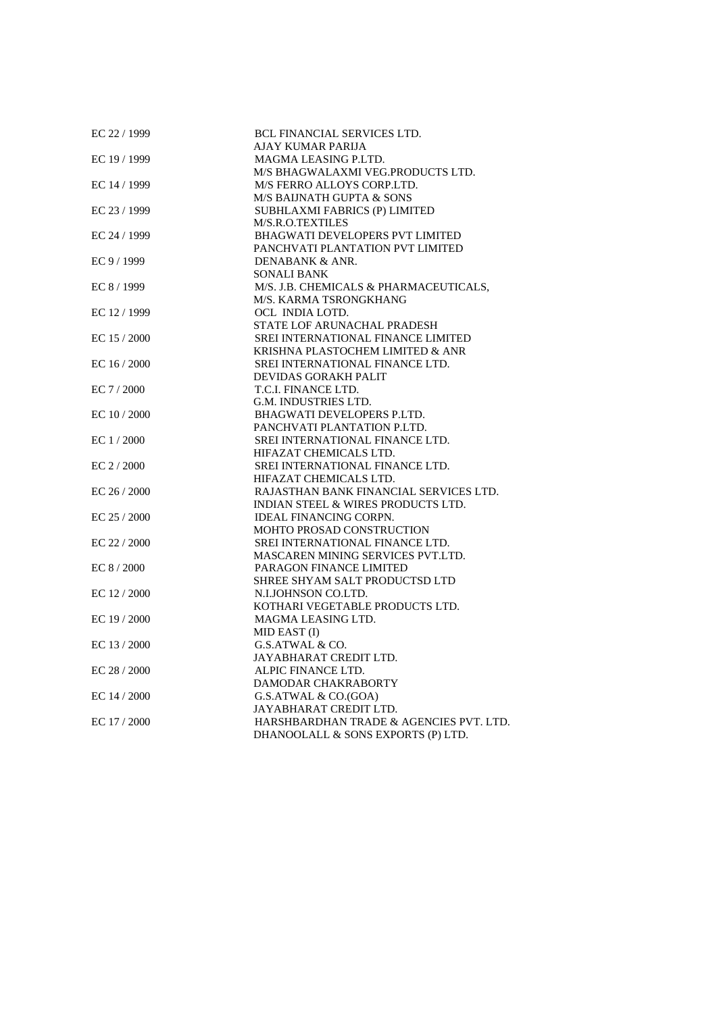| EC 22 / 1999 | <b>BCL FINANCIAL SERVICES LTD.</b>            |
|--------------|-----------------------------------------------|
|              | AJAY KUMAR PARIJA                             |
| EC 19 / 1999 | MAGMA LEASING P.LTD.                          |
|              | M/S BHAGWALAXMI VEG.PRODUCTS LTD.             |
| EC 14 / 1999 | M/S FERRO ALLOYS CORP.LTD.                    |
|              | M/S BAIJNATH GUPTA & SONS                     |
| EC 23 / 1999 | SUBHLAXMI FABRICS (P) LIMITED                 |
|              | M/S.R.O.TEXTILES                              |
| EC 24 / 1999 | <b>BHAGWATI DEVELOPERS PVT LIMITED</b>        |
|              | PANCHVATI PLANTATION PVT LIMITED              |
| EC 9 / 1999  | DENABANK & ANR.                               |
|              | <b>SONALI BANK</b>                            |
| EC 8 / 1999  | M/S. J.B. CHEMICALS & PHARMACEUTICALS,        |
|              | M/S. KARMA TSRONGKHANG                        |
| EC 12 / 1999 | OCL INDIA LOTD.                               |
|              | STATE LOF ARUNACHAL PRADESH                   |
| EC $15/2000$ | <b>SREI INTERNATIONAL FINANCE LIMITED</b>     |
|              | KRISHNA PLASTOCHEM LIMITED & ANR              |
| EC $16/2000$ | SREI INTERNATIONAL FINANCE LTD.               |
|              | <b>DEVIDAS GORAKH PALIT</b>                   |
| EC $7/2000$  | T.C.I. FINANCE LTD.                           |
|              | G.M. INDUSTRIES LTD.                          |
| EC $10/2000$ | BHAGWATI DEVELOPERS P.LTD.                    |
|              | PANCHVATI PLANTATION P.LTD.                   |
| EC $1/2000$  | SREI INTERNATIONAL FINANCE LTD.               |
|              | HIFAZAT CHEMICALS LTD.                        |
| EC $2/2000$  | SREI INTERNATIONAL FINANCE LTD.               |
|              | HIFAZAT CHEMICALS LTD.                        |
| EC $26/2000$ | RAJASTHAN BANK FINANCIAL SERVICES LTD.        |
|              | <b>INDIAN STEEL &amp; WIRES PRODUCTS LTD.</b> |
| EC 25 / 2000 | <b>IDEAL FINANCING CORPN.</b>                 |
|              | <b>MOHTO PROSAD CONSTRUCTION</b>              |
| EC 22 / 2000 | SREI INTERNATIONAL FINANCE LTD.               |
|              | <b>MASCAREN MINING SERVICES PVT.LTD.</b>      |
| EC $8/2000$  | PARAGON FINANCE LIMITED                       |
|              | SHREE SHYAM SALT PRODUCTSD LTD                |
| EC 12 / 2000 | N.I.JOHNSON CO.LTD.                           |
|              | KOTHARI VEGETABLE PRODUCTS LTD.               |
| EC $19/2000$ | MAGMA LEASING LTD.                            |
|              | MID EAST (I)                                  |
| EC $13/2000$ | G.S.ATWAL & CO.                               |
|              | JAYABHARAT CREDIT LTD.                        |
| EC 28 / 2000 | ALPIC FINANCE LTD.                            |
|              | DAMODAR CHAKRABORTY                           |
| EC 14 / 2000 | G.S.ATWAL & CO.(GOA)                          |
|              | JAYABHARAT CREDIT LTD.                        |
| EC 17 / 2000 | HARSHBARDHAN TRADE & AGENCIES PVT. LTD.       |
|              | DHANOOLALL & SONS EXPORTS (P) LTD.            |
|              |                                               |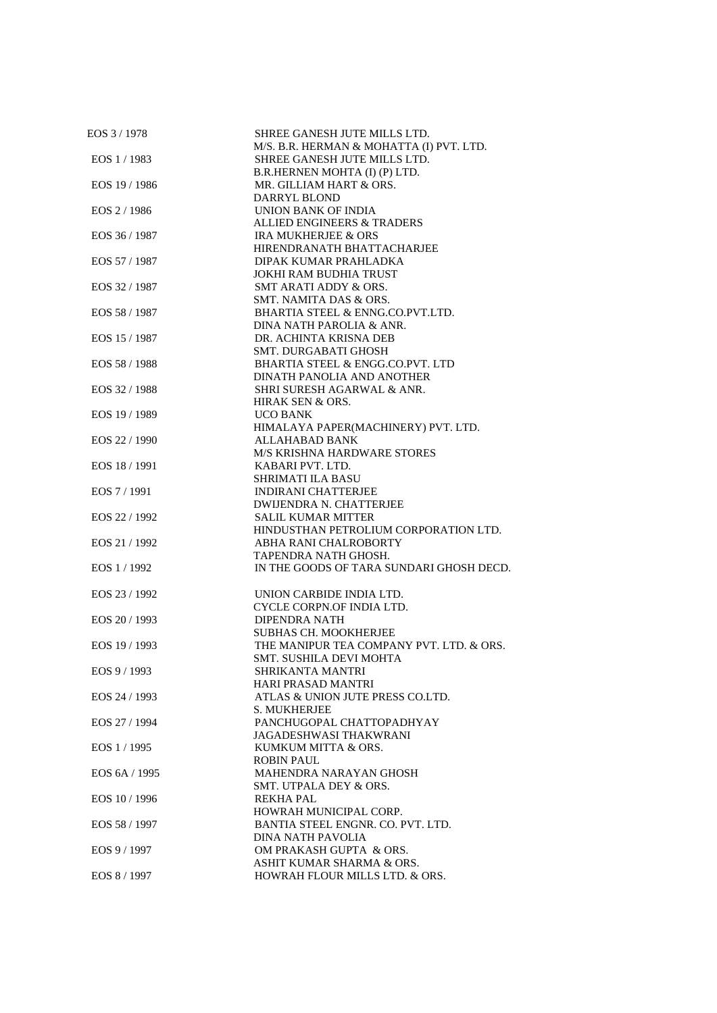| EOS 3/1978    | SHREE GANESH JUTE MILLS LTD.             |
|---------------|------------------------------------------|
|               | M/S. B.R. HERMAN & MOHATTA (I) PVT. LTD. |
| EOS 1 / 1983  | SHREE GANESH JUTE MILLS LTD.             |
|               | B.R.HERNEN MOHTA (I) (P) LTD.            |
| EOS 19 / 1986 | MR. GILLIAM HART & ORS.                  |
|               | DARRYL BLOND                             |
| EOS 2 / 1986  | <b>UNION BANK OF INDIA</b>               |
|               | <b>ALLIED ENGINEERS &amp; TRADERS</b>    |
| EOS 36 / 1987 | <b>IRA MUKHERJEE &amp; ORS</b>           |
|               | HIRENDRANATH BHATTACHARJEE               |
| EOS 57 / 1987 | DIPAK KUMAR PRAHLADKA                    |
|               | JOKHI RAM BUDHIA TRUST                   |
|               |                                          |
| EOS 32 / 1987 | SMT ARATI ADDY & ORS.                    |
|               | SMT. NAMITA DAS & ORS.                   |
| EOS 58 / 1987 | BHARTIA STEEL & ENNG.CO.PVT.LTD.         |
|               | DINA NATH PAROLIA & ANR.                 |
| EOS 15 / 1987 | DR. ACHINTA KRISNA DEB                   |
|               | <b>SMT. DURGABATI GHOSH</b>              |
| EOS 58 / 1988 | BHARTIA STEEL & ENGG.CO.PVT. LTD         |
|               | DINATH PANOLIA AND ANOTHER               |
| EOS 32/1988   | SHRI SURESH AGARWAL & ANR.               |
|               | HIRAK SEN & ORS.                         |
| EOS 19 / 1989 | <b>UCO BANK</b>                          |
|               | HIMALAYA PAPER(MACHINERY) PVT. LTD.      |
| EOS 22 / 1990 | ALLAHABAD BANK                           |
|               | <b>M/S KRISHNA HARDWARE STORES</b>       |
|               |                                          |
| EOS 18 / 1991 | KABARI PVT. LTD.                         |
|               | <b>SHRIMATI ILA BASU</b>                 |
| EOS 7 / 1991  | <b>INDIRANI CHATTERJEE</b>               |
|               | DWIJENDRA N. CHATTERJEE                  |
| EOS 22 / 1992 | <b>SALIL KUMAR MITTER</b>                |
|               | HINDUSTHAN PETROLIUM CORPORATION LTD.    |
| EOS 21/1992   | ABHA RANI CHALROBORTY                    |
|               | TAPENDRA NATH GHOSH.                     |
| EOS 1/1992    | IN THE GOODS OF TARA SUNDARI GHOSH DECD. |
|               |                                          |
| EOS 23 / 1992 | UNION CARBIDE INDIA LTD.                 |
|               | CYCLE CORPN.OF INDIA LTD.                |
| EOS 20 / 1993 | <b>DIPENDRA NATH</b>                     |
|               | <b>SUBHAS CH. MOOKHERJEE</b>             |
|               |                                          |
| EOS 19 / 1993 | THE MANIPUR TEA COMPANY PVT. LTD. & ORS. |
|               | SMT. SUSHILA DEVI MOHTA                  |
| EOS 9 / 1993  | <b>SHRIKANTA MANTRI</b>                  |
|               | HARI PRASAD MANTRI                       |
| EOS 24 / 1993 | ATLAS & UNION JUTE PRESS CO.LTD.         |
|               | S. MUKHERJEE                             |
| EOS 27 / 1994 | PANCHUGOPAL CHATTOPADHYAY                |
|               | JAGADESHWASI THAKWRANI                   |
| EOS 1/1995    | KUMKUM MITTA & ORS.                      |
|               | <b>ROBIN PAUL</b>                        |
| EOS 6A / 1995 | MAHENDRA NARAYAN GHOSH                   |
|               | SMT. UTPALA DEY & ORS.                   |
| EOS 10/1996   | <b>REKHA PAL</b>                         |
|               |                                          |
|               | HOWRAH MUNICIPAL CORP.                   |
| EOS 58 / 1997 | BANTIA STEEL ENGNR. CO. PVT. LTD.        |
|               | DINA NATH PAVOLIA                        |
| EOS 9 / 1997  | OM PRAKASH GUPTA & ORS.                  |
|               | ASHIT KUMAR SHARMA & ORS.                |
| EOS 8 / 1997  | HOWRAH FLOUR MILLS LTD. & ORS.           |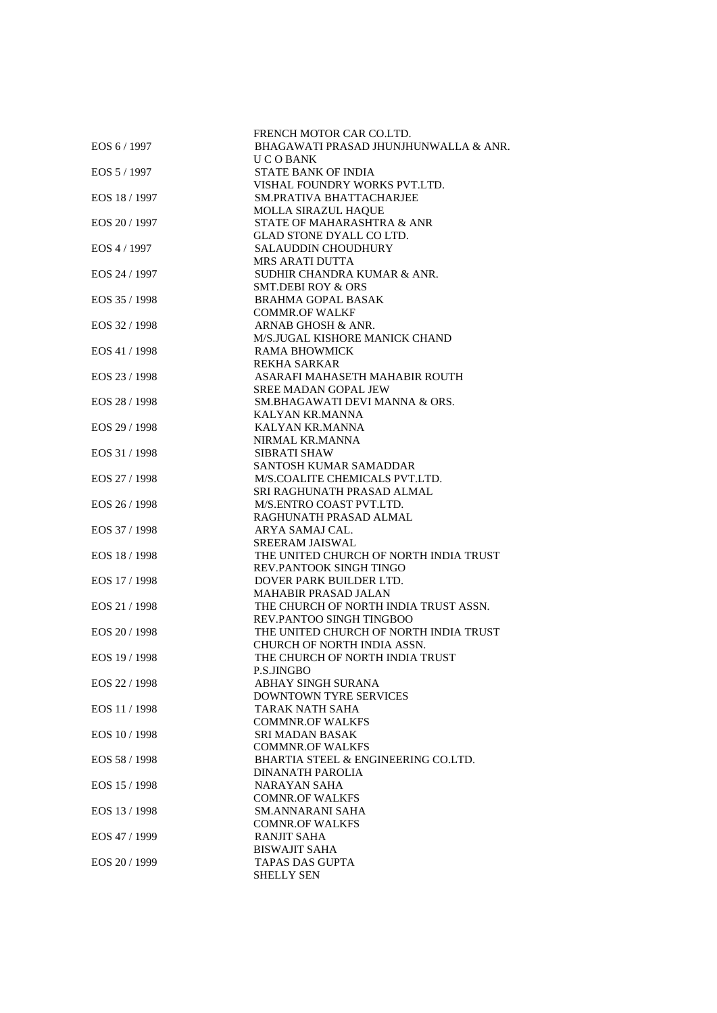| EOS 6 / 1997  | FRENCH MOTOR CAR CO.LTD.<br>BHAGAWATI PRASAD JHUNJHUNWALLA & ANR. |
|---------------|-------------------------------------------------------------------|
|               | U C O BANK                                                        |
| EOS 5 / 1997  | <b>STATE BANK OF INDIA</b>                                        |
|               | VISHAL FOUNDRY WORKS PVT.LTD.                                     |
| EOS 18 / 1997 | <b>SM.PRATIVA BHATTACHARJEE</b>                                   |
|               | <b>MOLLA SIRAZUL HAQUE</b>                                        |
| EOS 20 / 1997 | STATE OF MAHARASHTRA & ANR                                        |
|               | GLAD STONE DYALL CO LTD.                                          |
| EOS 4 / 1997  | <b>SALAUDDIN CHOUDHURY</b>                                        |
|               | <b>MRS ARATI DUTTA</b>                                            |
| EOS 24 / 1997 | SUDHIR CHANDRA KUMAR & ANR.                                       |
|               | <b>SMT.DEBI ROY &amp; ORS</b>                                     |
| EOS 35 / 1998 | <b>BRAHMA GOPAL BASAK</b>                                         |
|               | <b>COMMR.OF WALKF</b>                                             |
| EOS 32 / 1998 | ARNAB GHOSH & ANR.                                                |
|               | M/S.JUGAL KISHORE MANICK CHAND                                    |
| EOS 41 / 1998 | RAMA BHOWMICK                                                     |
|               | <b>REKHA SARKAR</b>                                               |
| EOS 23 / 1998 | ASARAFI MAHASETH MAHABIR ROUTH                                    |
|               | SREE MADAN GOPAL JEW                                              |
| EOS 28 / 1998 | SM.BHAGAWATI DEVI MANNA & ORS.                                    |
|               | KALYAN KR.MANNA                                                   |
| EOS 29 / 1998 | <b>KALYAN KR.MANNA</b>                                            |
|               | NIRMAL KR.MANNA                                                   |
| EOS 31 / 1998 | <b>SIBRATI SHAW</b>                                               |
|               | SANTOSH KUMAR SAMADDAR                                            |
| EOS 27 / 1998 | M/S.COALITE CHEMICALS PVT.LTD.                                    |
|               | SRI RAGHUNATH PRASAD ALMAL                                        |
| EOS 26 / 1998 | M/S.ENTRO COAST PVT.LTD.                                          |
|               | RAGHUNATH PRASAD ALMAL                                            |
| EOS 37 / 1998 | ARYA SAMAJ CAL.                                                   |
|               | <b>SREERAM JAISWAL</b>                                            |
| EOS 18 / 1998 | THE UNITED CHURCH OF NORTH INDIA TRUST                            |
|               | REV.PANTOOK SINGH TINGO                                           |
| EOS 17 / 1998 | DOVER PARK BUILDER LTD.                                           |
|               | <b>MAHABIR PRASAD JALAN</b>                                       |
| EOS 21 / 1998 | THE CHURCH OF NORTH INDIA TRUST ASSN.                             |
|               | REV.PANTOO SINGH TINGBOO                                          |
| EOS 20 / 1998 | THE UNITED CHURCH OF NORTH INDIA TRUST                            |
| EOS 19 / 1998 | CHURCH OF NORTH INDIA ASSN.<br>THE CHURCH OF NORTH INDIA TRUST    |
|               | P.S.JINGBO                                                        |
| EOS 22 / 1998 | ABHAY SINGH SURANA                                                |
|               | DOWNTOWN TYRE SERVICES                                            |
| EOS 11 / 1998 | TARAK NATH SAHA                                                   |
|               | <b>COMMNR.OF WALKFS</b>                                           |
| EOS 10 / 1998 | <b>SRI MADAN BASAK</b>                                            |
|               | <b>COMMNR.OF WALKFS</b>                                           |
| EOS 58 / 1998 | BHARTIA STEEL & ENGINEERING CO.LTD.                               |
|               | DINANATH PAROLIA                                                  |
| EOS 15 / 1998 | NARAYAN SAHA                                                      |
|               | <b>COMNR.OF WALKFS</b>                                            |
| EOS 13 / 1998 | <b>SM.ANNARANI SAHA</b>                                           |
|               | <b>COMNR.OF WALKFS</b>                                            |
| EOS 47 / 1999 | <b>RANJIT SAHA</b>                                                |
|               | <b>BISWAJIT SAHA</b>                                              |
| EOS 20 / 1999 | TAPAS DAS GUPTA                                                   |
|               | <b>SHELLY SEN</b>                                                 |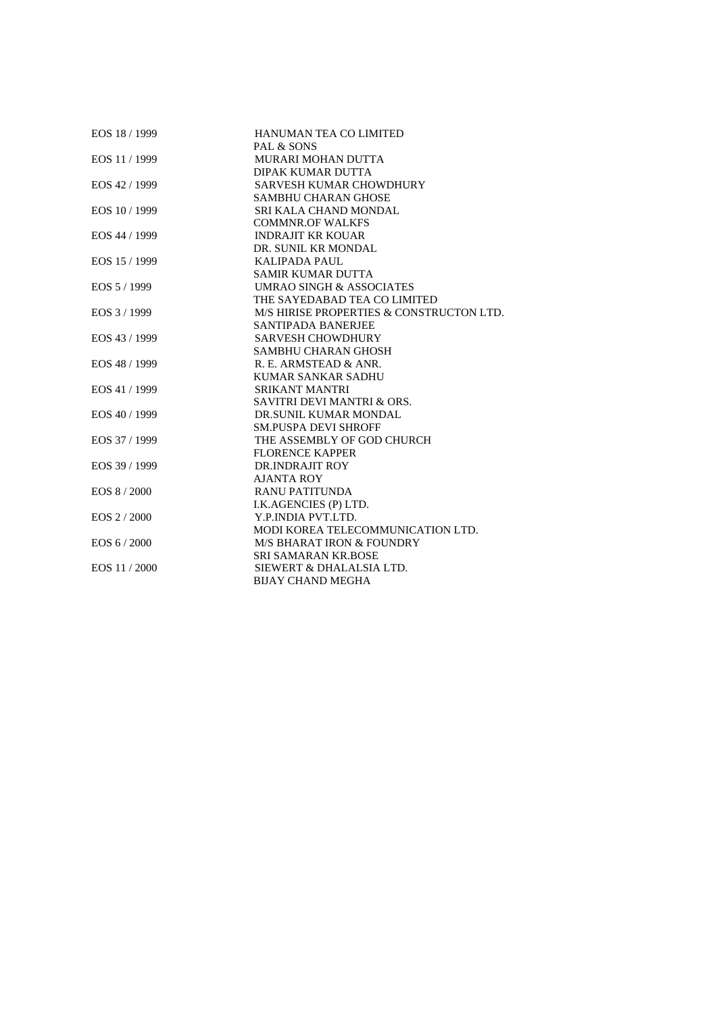| EOS 18 / 1999 | HANUMAN TEA CO LIMITED                   |
|---------------|------------------------------------------|
|               | PAL & SONS                               |
| EOS 11 / 1999 | <b>MURARI MOHAN DUTTA</b>                |
|               | <b>DIPAK KUMAR DUTTA</b>                 |
| EOS 42 / 1999 | SARVESH KUMAR CHOWDHURY                  |
|               | <b>SAMBHU CHARAN GHOSE</b>               |
| EOS 10 / 1999 | SRI KALA CHAND MONDAL                    |
|               | <b>COMMNR.OF WALKFS</b>                  |
| EOS 44 / 1999 | <b>INDRAJIT KR KOUAR</b>                 |
|               | DR. SUNIL KR MONDAL                      |
| EOS 15 / 1999 | <b>KALIPADA PAUL</b>                     |
|               | <b>SAMIR KUMAR DUTTA</b>                 |
| EOS 5/1999    | <b>UMRAO SINGH &amp; ASSOCIATES</b>      |
|               | THE SAYEDABAD TEA CO LIMITED             |
| EOS 3/1999    | M/S HIRISE PROPERTIES & CONSTRUCTON LTD. |
|               | <b>SANTIPADA BANERJEE</b>                |
| EOS 43 / 1999 | <b>SARVESH CHOWDHURY</b>                 |
|               | <b>SAMBHU CHARAN GHOSH</b>               |
| EOS 48 / 1999 | R. E. ARMSTEAD & ANR.                    |
|               | <b>KUMAR SANKAR SADHU</b>                |
| EOS 41 / 1999 | <b>SRIKANT MANTRI</b>                    |
|               | <b>SAVITRI DEVI MANTRI &amp; ORS.</b>    |
| EOS 40 / 1999 | DR.SUNIL KUMAR MONDAL                    |
|               | <b>SM.PUSPA DEVI SHROFF</b>              |
| EOS 37 / 1999 | THE ASSEMBLY OF GOD CHURCH               |
|               | <b>FLORENCE KAPPER</b>                   |
| EOS 39 / 1999 | DR.INDRAJIT ROY                          |
|               | <b>AJANTA ROY</b>                        |
| EOS 8/2000    | <b>RANU PATITUNDA</b>                    |
|               | I.K.AGENCIES (P) LTD.                    |
| EOS 2/2000    | Y.P. INDIA PVT. LTD.                     |
|               | MODI KOREA TELECOMMUNICATION LTD.        |
| EOS 6/2000    | <b>M/S BHARAT IRON &amp; FOUNDRY</b>     |
|               | <b>SRI SAMARAN KR.BOSE</b>               |
| EOS 11/2000   | SIEWERT & DHALALSIA LTD.                 |
|               | <b>BIJAY CHAND MEGHA</b>                 |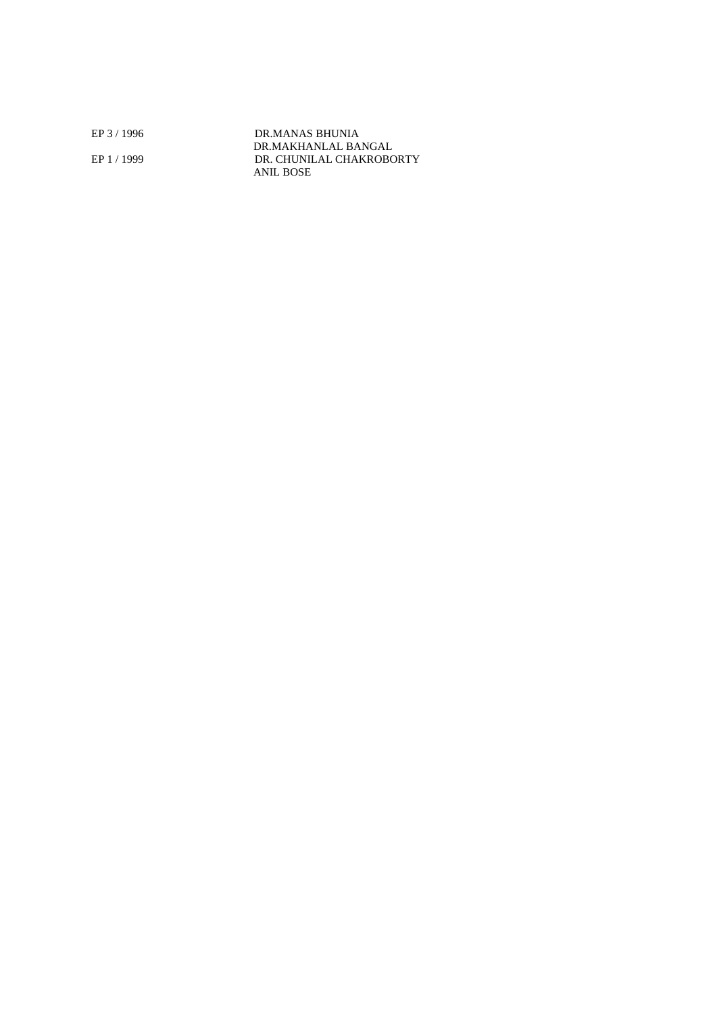EP 3 / 1996 DR.MANAS BHUNIA DR.MAKHANLAL BANGAL EP 1 / 1999 DR. CHUNILAL CHAKROBORTY ANIL BOSE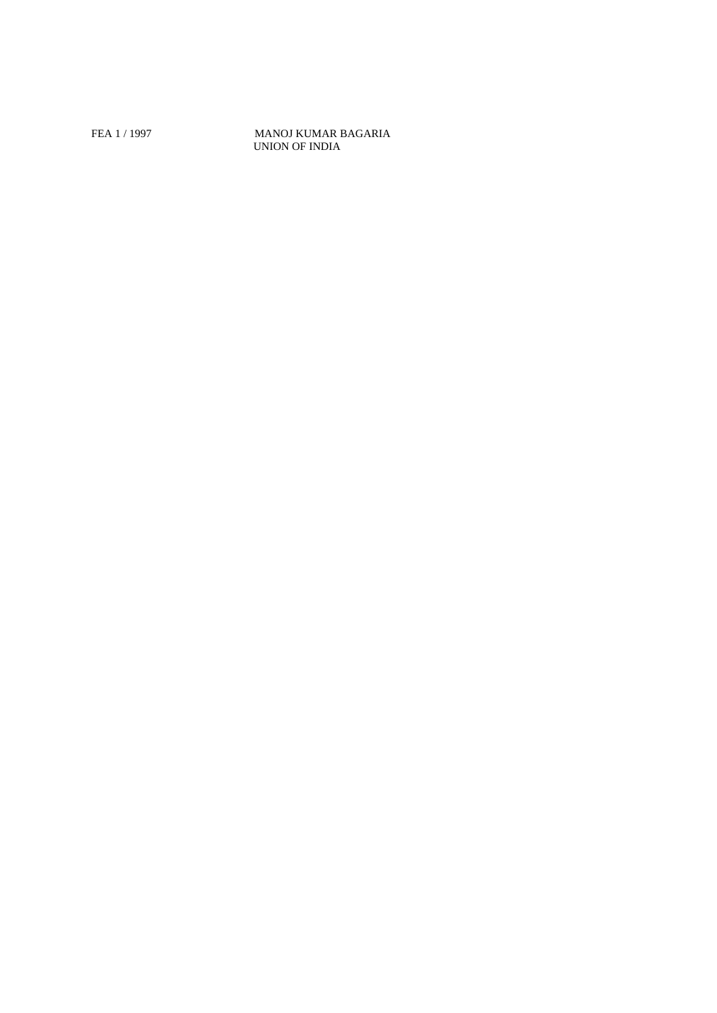## FEA 1 / 1997 MANOJ KUMAR BAGARIA UNION OF INDIA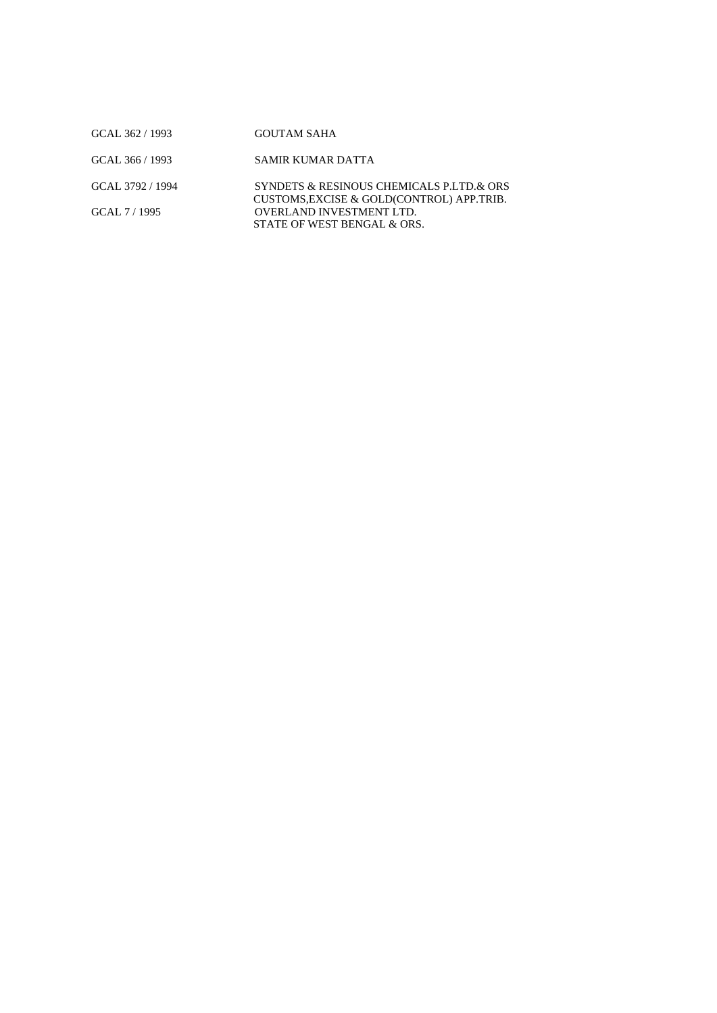| GCAL 362 / 1993  | <b>GOUTAM SAHA</b>                                                                     |
|------------------|----------------------------------------------------------------------------------------|
| GCAL 366 / 1993  | SAMIR KUMAR DATTA                                                                      |
| GCAL 3792 / 1994 | SYNDETS & RESINOUS CHEMICALS P.LTD.& ORS<br>CUSTOMS, EXCISE & GOLD(CONTROL) APP. TRIB. |
| GCAL 7/1995      | <b>OVERLAND INVESTMENT LTD.</b><br>STATE OF WEST BENGAL & ORS.                         |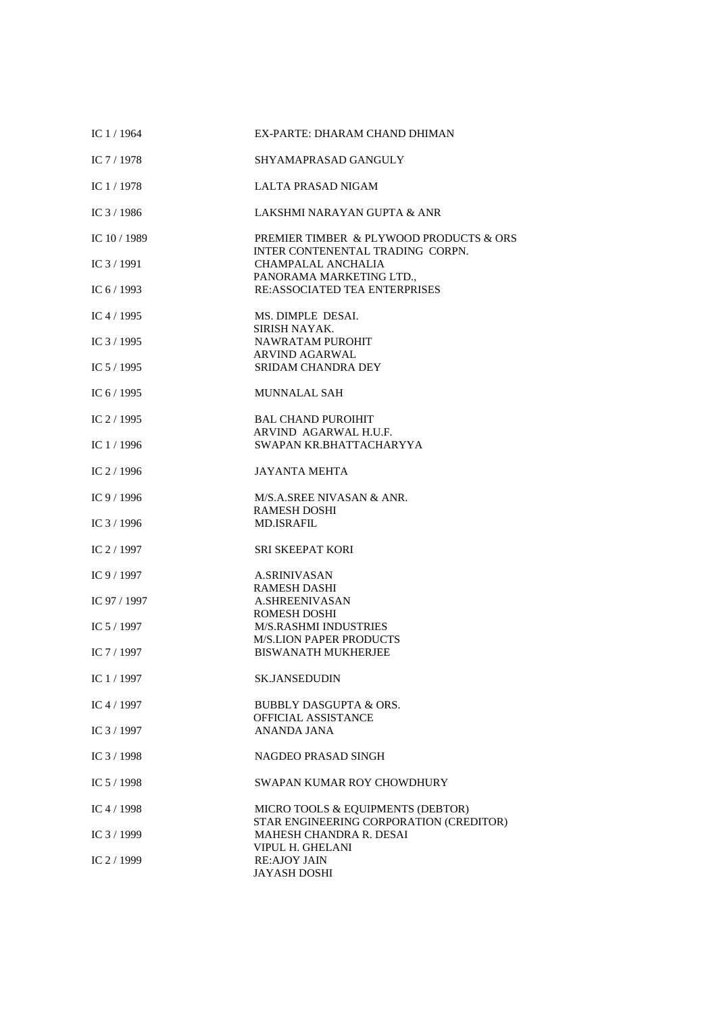| IC $1/1964$  | EX-PARTE: DHARAM CHAND DHIMAN                                                |
|--------------|------------------------------------------------------------------------------|
| IC $7/1978$  | SHYAMAPRASAD GANGULY                                                         |
| IC $1/1978$  | LALTA PRASAD NIGAM                                                           |
| IC $3/1986$  | LAKSHMI NARAYAN GUPTA & ANR                                                  |
| IC $10/1989$ | PREMIER TIMBER & PLYWOOD PRODUCTS & ORS<br>INTER CONTENENTAL TRADING CORPN.  |
| IC $3/1991$  | CHAMPALAL ANCHALIA<br>PANORAMA MARKETING LTD.,                               |
| IC $6/1993$  | <b>RE:ASSOCIATED TEA ENTERPRISES</b>                                         |
| IC $4/1995$  | MS. DIMPLE DESAI.<br>SIRISH NAYAK.                                           |
| IC $3/1995$  | NAWRATAM PUROHIT                                                             |
| IC 5 / 1995  | <b>ARVIND AGARWAL</b><br><b>SRIDAM CHANDRA DEY</b>                           |
| IC $6/1995$  | <b>MUNNALAL SAH</b>                                                          |
| IC $2/1995$  | <b>BAL CHAND PUROIHIT</b>                                                    |
| IC $1/1996$  | ARVIND AGARWAL H.U.F.<br>SWAPAN KR.BHATTACHARYYA                             |
| IC 2 / 1996  | <b>JAYANTA MEHTA</b>                                                         |
| IC 9 / 1996  | M/S.A.SREE NIVASAN & ANR.<br><b>RAMESH DOSHI</b>                             |
| IC 3 / 1996  | <b>MD.ISRAFIL</b>                                                            |
| IC 2 / 1997  | <b>SRI SKEEPAT KORI</b>                                                      |
| IC $9/1997$  | <b>A.SRINIVASAN</b><br><b>RAMESH DASHI</b>                                   |
| IC 97 / 1997 | A.SHREENIVASAN                                                               |
| IC 5 / 1997  | ROMESH DOSHI<br><b>M/S.RASHMI INDUSTRIES</b>                                 |
|              | <b>M/S.LION PAPER PRODUCTS</b>                                               |
| IC $7/1997$  | <b>BISWANATH MUKHERJEE</b>                                                   |
| IC 1 / 1997  | <b>SK.JANSEDUDIN</b>                                                         |
| IC $4/1997$  | BUBBLY DASGUPTA & ORS.<br>OFFICIAL ASSISTANCE                                |
| IC 3 / 1997  | ANANDA JANA                                                                  |
| IC 3 / 1998  | <b>NAGDEO PRASAD SINGH</b>                                                   |
| IC $5/1998$  | SWAPAN KUMAR ROY CHOWDHURY                                                   |
| IC $4/1998$  | MICRO TOOLS & EQUIPMENTS (DEBTOR)<br>STAR ENGINEERING CORPORATION (CREDITOR) |
| IC 3 / 1999  | MAHESH CHANDRA R. DESAI                                                      |
| IC 2 / 1999  | VIPUL H. GHELANI<br><b>RE:AJOY JAIN</b><br><b>JAYASH DOSHI</b>               |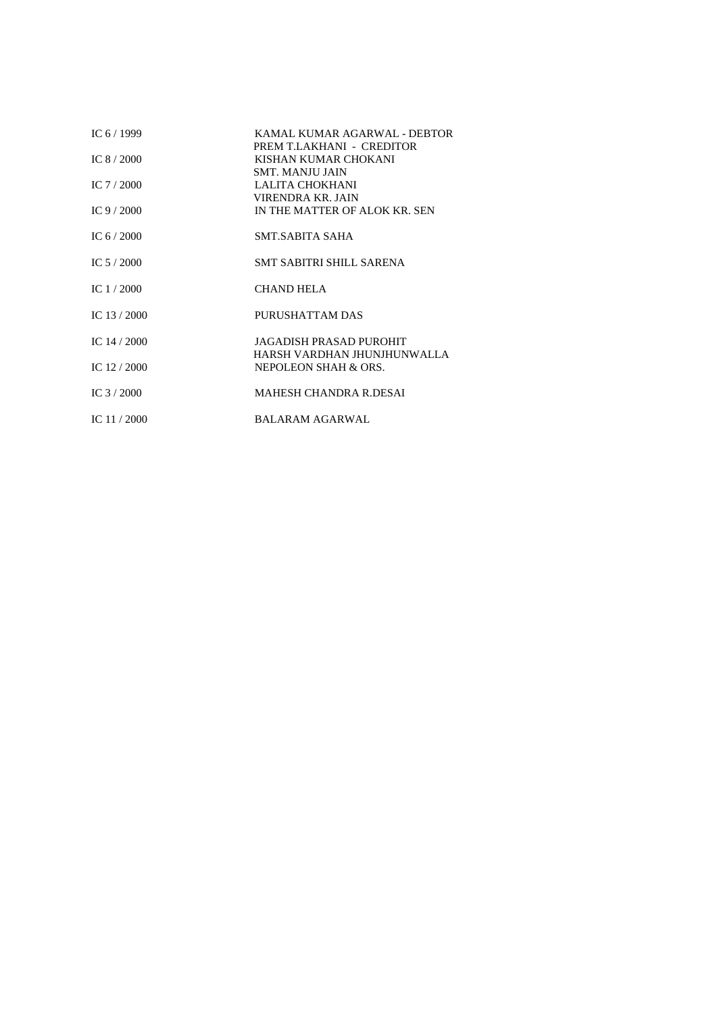| IC $6/1999$   | KAMAL KUMAR AGARWAL - DEBTOR                        |
|---------------|-----------------------------------------------------|
| IC $8/2000$   | PREM T.LAKHANI - CREDITOR<br>KISHAN KUMAR CHOKANI   |
| IC $7/2000$   | <b>SMT. MANJU JAIN</b><br>LALITA CHOKHANI           |
|               | VIRENDRA KR. JAIN                                   |
| IC 9 $/$ 2000 | IN THE MATTER OF ALOK KR. SEN                       |
| IC 6 $/$ 2000 | SMT.SABITA SAHA                                     |
| IC $5/2000$   | <b>SMT SABITRI SHILL SARENA</b>                     |
| IC $1/2000$   | <b>CHAND HELA</b>                                   |
| IC $13/2000$  | PURUSHATTAM DAS                                     |
| IC $14/2000$  | JAGADISH PRASAD PUROHIT                             |
| IC $12/2000$  | HARSH VARDHAN JHUNJHUNWALLA<br>NEPOLEON SHAH & ORS. |
| IC $3/2000$   | <b>MAHESH CHANDRA R.DESAI</b>                       |
| IC $11/2000$  | <b>BALARAM AGARWAL</b>                              |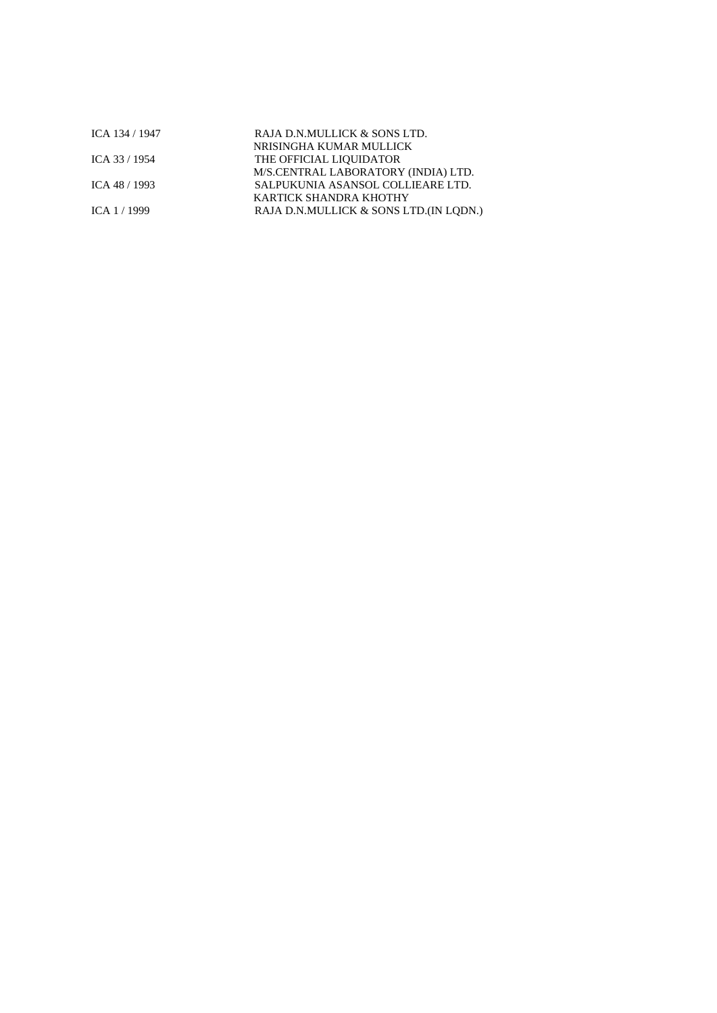| ICA 134 / 1947 | RAJA D.N.MULLICK & SONS LTD.           |  |
|----------------|----------------------------------------|--|
|                | NRISINGHA KUMAR MULLICK                |  |
| ICA 33 / 1954  | THE OFFICIAL LIQUIDATOR                |  |
|                | M/S.CENTRAL LABORATORY (INDIA) LTD.    |  |
| ICA 48 / 1993  | SALPUKUNIA ASANSOL COLLIEARE LTD.      |  |
|                | KARTICK SHANDRA KHOTHY                 |  |
| ICA 1 / 1999   | RAJA D.N.MULLICK & SONS LTD.(IN LODN.) |  |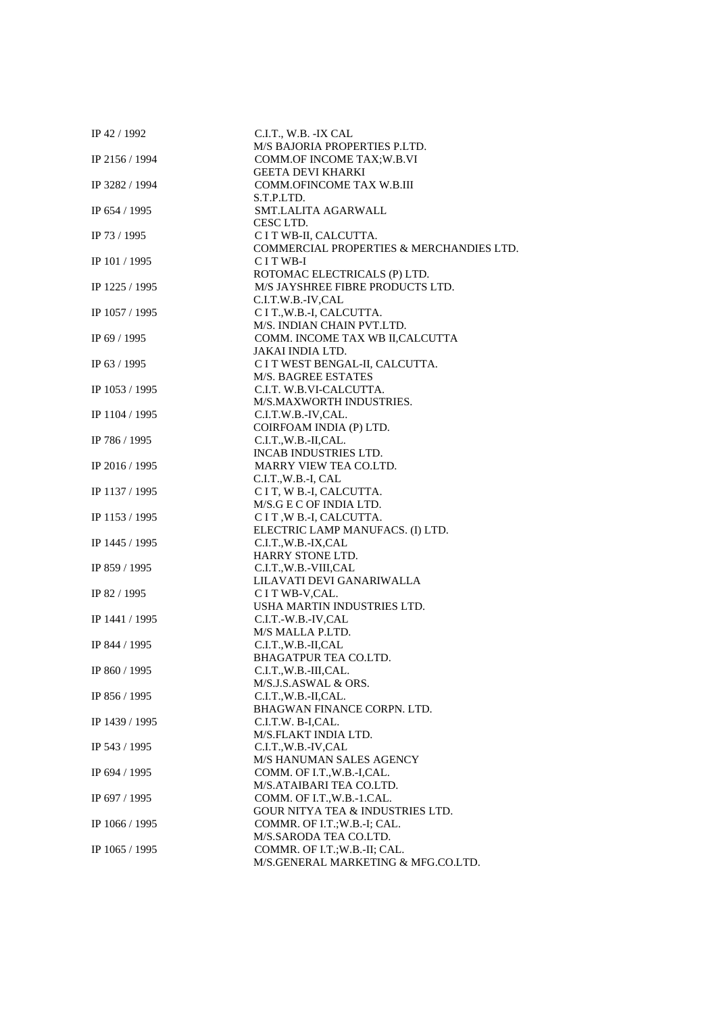| IP 42 / 1992   | C.I.T., W.B. -IX CAL                        |
|----------------|---------------------------------------------|
|                | M/S BAJORIA PROPERTIES P.LTD.               |
| IP 2156 / 1994 | COMM.OF INCOME TAX; W.B.VI                  |
|                | <b>GEETA DEVI KHARKI</b>                    |
| IP 3282 / 1994 | COMM.OFINCOME TAX W.B.III                   |
|                | S.T.P.LTD.                                  |
| IP 654 / 1995  | SMT.LALITA AGARWALL                         |
|                | CESC LTD.                                   |
| IP 73 / 1995   | C I T WB-II, CALCUTTA.                      |
|                | COMMERCIAL PROPERTIES & MERCHANDIES LTD.    |
| IP 101 / 1995  | CITWB-I                                     |
|                | ROTOMAC ELECTRICALS (P) LTD.                |
| IP 1225 / 1995 | M/S JAYSHREE FIBRE PRODUCTS LTD.            |
|                | C.I.T.W.B.-IV,CAL                           |
| IP 1057 / 1995 | C I T., W.B.-I, CALCUTTA.                   |
|                | M/S. INDIAN CHAIN PVT.LTD.                  |
| IP 69 / 1995   | COMM. INCOME TAX WB II, CALCUTTA            |
|                | JAKAI INDIA LTD.                            |
| IP 63 / 1995   | C I T WEST BENGAL-II, CALCUTTA.             |
|                | <b>M/S. BAGREE ESTATES</b>                  |
| IP 1053 / 1995 | C.I.T. W.B.VI-CALCUTTA.                     |
|                | M/S.MAXWORTH INDUSTRIES.                    |
| IP 1104 / 1995 | C.I.T.W.B.-IV,CAL.                          |
|                | COIRFOAM INDIA (P) LTD.                     |
| IP 786 / 1995  | C.I.T., W.B.-II, CAL.                       |
|                | INCAB INDUSTRIES LTD.                       |
| IP 2016 / 1995 | MARRY VIEW TEA CO.LTD.                      |
|                | C.I.T.,W.B.-I, CAL                          |
| IP 1137 / 1995 | C I T, W B.-I, CALCUTTA.                    |
|                | M/S.G E C OF INDIA LTD.                     |
| IP 1153 / 1995 | CIT, W B.-I, CALCUTTA.                      |
|                | ELECTRIC LAMP MANUFACS. (I) LTD.            |
| IP 1445 / 1995 | C.I.T.,W.B.-IX,CAL                          |
|                | HARRY STONE LTD.                            |
| IP 859 / 1995  | C.I.T.,W.B.-VIII,CAL                        |
|                | LILAVATI DEVI GANARIWALLA                   |
| IP 82 / 1995   | C I T WB-V, CAL.                            |
|                | USHA MARTIN INDUSTRIES LTD.                 |
| IP 1441 / 1995 | C.I.T.-W.B.-IV.CAL                          |
|                | M/S MALLA P.LTD.                            |
| IP 844 / 1995  | C.I.T., W.B.-II, CAL                        |
|                | <b>BHAGATPUR TEA CO.LTD.</b>                |
| IP 860 / 1995  | C.I.T.,W.B.-III,CAL.                        |
|                | M/S.J.S.ASWAL & ORS.                        |
| IP 856 / 1995  | C.I.T., W.B.-II, CAL.                       |
|                | BHAGWAN FINANCE CORPN. LTD.                 |
| IP 1439 / 1995 | C.I.T.W. B-I,CAL.                           |
|                | M/S.FLAKT INDIA LTD.                        |
| IP 543 / 1995  | C.I.T.,W.B.-IV,CAL                          |
|                | M/S HANUMAN SALES AGENCY                    |
| IP 694 / 1995  | COMM. OF I.T., W.B.-I, CAL.                 |
|                | M/S.ATAIBARI TEA CO.LTD.                    |
| IP 697 / 1995  | COMM. OF I.T., W.B.-1.CAL.                  |
|                | <b>GOUR NITYA TEA &amp; INDUSTRIES LTD.</b> |
| IP 1066 / 1995 | COMMR. OF I.T.; W.B.-I; CAL.                |
|                | M/S.SARODA TEA CO.LTD.                      |
| IP 1065 / 1995 | COMMR. OF I.T.; W.B.-II; CAL.               |
|                | M/S.GENERAL MARKETING & MFG.CO.LTD.         |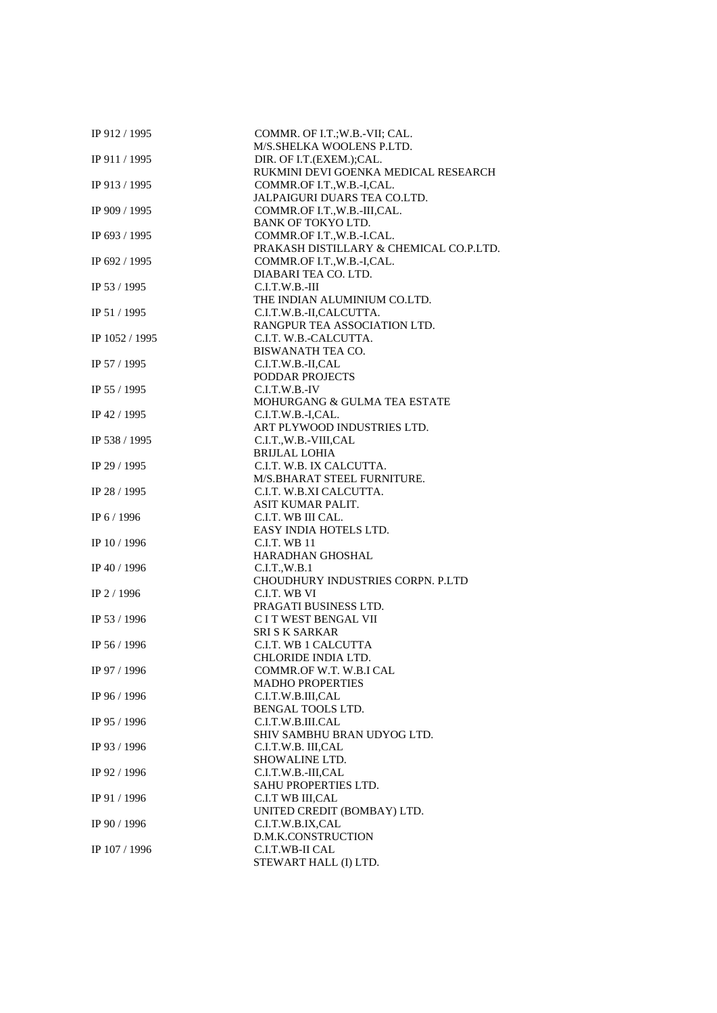| IP 912 / 1995  | COMMR. OF I.T.; W.B.-VII; CAL.          |
|----------------|-----------------------------------------|
|                | M/S.SHELKA WOOLENS P.LTD.               |
| IP 911 / 1995  | DIR. OF I.T.(EXEM.);CAL.                |
|                | RUKMINI DEVI GOENKA MEDICAL RESEARCH    |
| IP 913 / 1995  | COMMR.OF I.T., W.B.-I, CAL.             |
|                | JALPAIGURI DUARS TEA CO.LTD.            |
| IP 909 / 1995  | COMMR.OF I.T., W.B.-III, CAL.           |
|                | BANK OF TOKYO LTD.                      |
| IP 693 / 1995  | COMMR.OF I.T., W.B.-I.CAL.              |
|                | PRAKASH DISTILLARY & CHEMICAL CO.P.LTD. |
| IP 692 / 1995  | COMMR.OF I.T., W.B.-I, CAL.             |
|                | DIABARI TEA CO. LTD.                    |
| IP 53 / 1995   | $C.I.T.W.B.-III$                        |
|                | THE INDIAN ALUMINIUM CO.LTD.            |
| IP 51 / 1995   | C.I.T.W.B.-II,CALCUTTA.                 |
|                | RANGPUR TEA ASSOCIATION LTD.            |
| IP 1052 / 1995 | C.I.T. W.B.-CALCUTTA.                   |
|                | BISWANATH TEA CO.                       |
| IP 57 / 1995   |                                         |
|                | C.I.T.W.B.-II,CAL<br>PODDAR PROJECTS    |
|                |                                         |
| IP 55 / 1995   | C.I.T.W.B.-IV                           |
|                | MOHURGANG & GULMA TEA ESTATE            |
| IP 42 / 1995   | C.I.T.W.B.-I,CAL.                       |
|                | ART PLYWOOD INDUSTRIES LTD.             |
| IP 538 / 1995  | C.I.T.,W.B.-VIII,CAL                    |
|                | <b>BRIJLAL LOHIA</b>                    |
| IP 29 / 1995   | C.I.T. W.B. IX CALCUTTA.                |
|                | M/S.BHARAT STEEL FURNITURE.             |
| IP 28 / 1995   | C.I.T. W.B.XI CALCUTTA.                 |
|                | ASIT KUMAR PALIT.                       |
| IP 6 / 1996    | C.I.T. WB III CAL.                      |
|                | EASY INDIA HOTELS LTD.                  |
| IP 10 / 1996   | <b>C.I.T. WB 11</b>                     |
|                | <b>HARADHAN GHOSHAL</b>                 |
| IP 40 / 1996   | C.I.T., W.B.1                           |
|                | CHOUDHURY INDUSTRIES CORPN. P.LTD       |
| IP 2 / 1996    | C.I.T. WB VI                            |
|                | PRAGATI BUSINESS LTD.                   |
| IP 53 / 1996   | C I T WEST BENGAL VII                   |
|                | <b>SRI S K SARKAR</b>                   |
| IP 56 / 1996   | C.I.T. WB 1 CALCUTTA                    |
|                | CHLORIDE INDIA LTD.                     |
| IP 97 / 1996   | COMMR.OF W.T. W.B.I CAL                 |
|                | <b>MADHO PROPERTIES</b>                 |
| IP 96 / 1996   | C.I.T.W.B.III,CAL                       |
|                | BENGAL TOOLS LTD.                       |
| IP 95 / 1996   | C.I.T.W.B.III.CAL                       |
|                | SHIV SAMBHU BRAN UDYOG LTD.             |
| IP 93 / 1996   | C.I.T.W.B. III,CAL                      |
|                | SHOWALINE LTD.                          |
| IP 92 / 1996   | C.I.T.W.B.-III,CAL                      |
|                | <b>SAHU PROPERTIES LTD.</b>             |
| IP 91 / 1996   | C.I.T WB III, CAL                       |
|                | UNITED CREDIT (BOMBAY) LTD.             |
| IP 90 / 1996   | C.I.T.W.B.IX,CAL                        |
|                | D.M.K.CONSTRUCTION                      |
| IP 107 / 1996  | C.I.T.WB-II CAL                         |
|                | STEWART HALL (I) LTD.                   |
|                |                                         |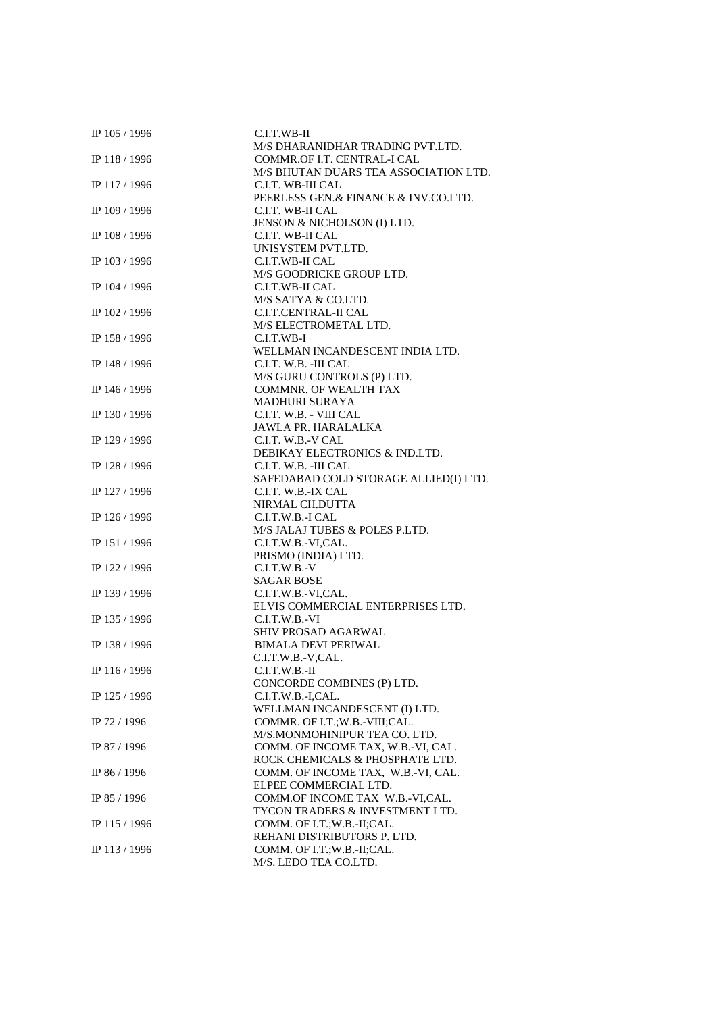| IP 105 / 1996 | C.I.T.WB-II                                |
|---------------|--------------------------------------------|
|               | M/S DHARANIDHAR TRADING PVT.LTD.           |
| IP 118 / 1996 | COMMR.OF I.T. CENTRAL-I CAL                |
|               | M/S BHUTAN DUARS TEA ASSOCIATION LTD.      |
| IP 117 / 1996 | C.I.T. WB-III CAL                          |
|               | PEERLESS GEN.& FINANCE & INV.CO.LTD.       |
| IP 109 / 1996 | C.I.T. WB-II CAL                           |
|               | JENSON & NICHOLSON (I) LTD.                |
| IP 108 / 1996 | C.I.T. WB-II CAL                           |
|               | UNISYSTEM PVT.LTD.                         |
| IP 103 / 1996 | C.I.T.WB-II CAL                            |
|               | M/S GOODRICKE GROUP LTD.                   |
| IP 104 / 1996 | C.I.T.WB-II CAL                            |
|               | M/S SATYA & CO.LTD.                        |
| IP 102 / 1996 | <b>C.I.T.CENTRAL-II CAL</b>                |
|               | M/S ELECTROMETAL LTD.                      |
| IP 158 / 1996 | C.I.T.WB-I                                 |
|               | WELLMAN INCANDESCENT INDIA LTD.            |
| IP 148 / 1996 | C.I.T. W.B. -III CAL                       |
|               | M/S GURU CONTROLS (P) LTD.                 |
| IP 146 / 1996 | <b>COMMNR. OF WEALTH TAX</b>               |
|               | <b>MADHURI SURAYA</b>                      |
| IP 130 / 1996 | C.I.T. W.B. - VIII CAL                     |
|               | JAWLA PR. HARALALKA                        |
| IP 129 / 1996 | C.I.T. W.B.-V CAL                          |
|               | DEBIKAY ELECTRONICS & IND.LTD.             |
| IP 128 / 1996 | C.I.T. W.B. -III CAL                       |
|               | SAFEDABAD COLD STORAGE ALLIED(I) LTD.      |
| IP 127 / 1996 | C.I.T. W.B.-IX CAL                         |
|               | NIRMAL CH.DUTTA                            |
| IP 126 / 1996 | C.I.T.W.B.-I CAL                           |
|               | M/S JALAJ TUBES & POLES P.LTD.             |
| IP 151 / 1996 | C.I.T.W.B.-VI,CAL.                         |
|               | PRISMO (INDIA) LTD.                        |
| IP 122 / 1996 | $C.I.T.W.B.-V$                             |
|               | <b>SAGAR BOSE</b>                          |
| IP 139 / 1996 | C.I.T.W.B.-VI,CAL.                         |
|               | ELVIS COMMERCIAL ENTERPRISES LTD.          |
| IP 135 / 1996 | C.I.T.W.B.-VI                              |
|               | <b>SHIV PROSAD AGARWAL</b>                 |
| IP 138 / 1996 | <b>BIMALA DEVI PERIWAL</b>                 |
|               | C.I.T.W.B.-V.CAL.                          |
| IP 116 / 1996 | C.I.T.W.B.-II                              |
|               | CONCORDE COMBINES (P) LTD.                 |
| IP 125 / 1996 | C.I.T.W.B.-I,CAL.                          |
|               | WELLMAN INCANDESCENT (I) LTD.              |
| IP 72 / 1996  | COMMR. OF I.T.;W.B.-VIII;CAL.              |
|               | M/S.MONMOHINIPUR TEA CO. LTD.              |
| IP 87 / 1996  | COMM. OF INCOME TAX, W.B.-VI, CAL.         |
|               | ROCK CHEMICALS & PHOSPHATE LTD.            |
| IP 86 / 1996  | COMM. OF INCOME TAX, W.B.-VI, CAL.         |
|               | ELPEE COMMERCIAL LTD.                      |
| IP 85 / 1996  | COMM.OF INCOME TAX W.B.-VI,CAL.            |
|               | <b>TYCON TRADERS &amp; INVESTMENT LTD.</b> |
| IP 115 / 1996 | COMM. OF I.T.;W.B.-II;CAL.                 |
|               | REHANI DISTRIBUTORS P. LTD.                |
| IP 113 / 1996 | COMM. OF I.T.;W.B.-II;CAL.                 |
|               | M/S. LEDO TEA CO.LTD.                      |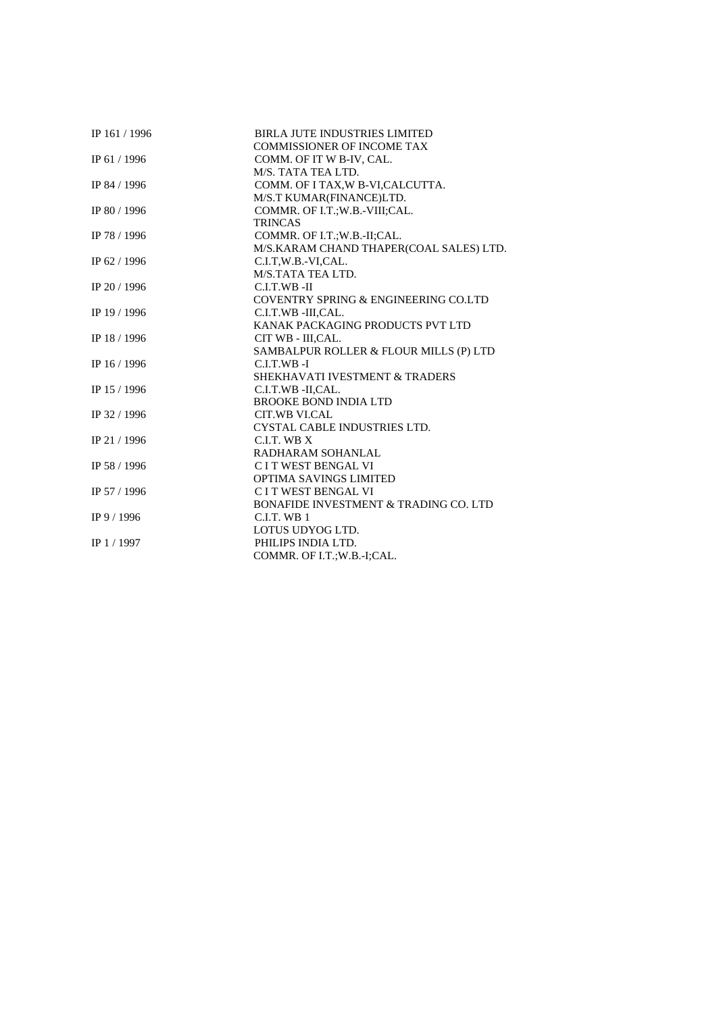| IP 161 / 1996 | <b>BIRLA JUTE INDUSTRIES LIMITED</b>    |
|---------------|-----------------------------------------|
|               | <b>COMMISSIONER OF INCOME TAX</b>       |
| IP 61 / 1996  | COMM. OF IT W B-IV, CAL.                |
|               | M/S. TATA TEA LTD.                      |
| IP 84 / 1996  | COMM. OF I TAX, W B-VI, CALCUTTA.       |
|               | M/S.T KUMAR(FINANCE)LTD.                |
| IP 80 / 1996  | COMMR. OF I.T.;W.B.-VIII;CAL.           |
|               | <b>TRINCAS</b>                          |
| IP 78 / 1996  | COMMR. OF I.T.; W.B.-II; CAL.           |
|               | M/S.KARAM CHAND THAPER(COAL SALES) LTD. |
| IP 62 / 1996  | C.I.T.W.B.-VI.CAL.                      |
|               | M/S.TATA TEA LTD.                       |
| IP 20 / 1996  | C.I.T.WB-II                             |
|               | COVENTRY SPRING & ENGINEERING CO.LTD    |
| IP 19 / 1996  | C.I.T.WB -III,CAL.                      |
|               | KANAK PACKAGING PRODUCTS PVT LTD        |
| IP 18 / 1996  | CIT WB - III, CAL.                      |
|               | SAMBALPUR ROLLER & FLOUR MILLS (P) LTD  |
| IP 16 / 1996  | C.I.T.WB-I                              |
|               | SHEKHAVATI IVESTMENT & TRADERS          |
| IP 15 / 1996  | C.I.T.WB -II,CAL.                       |
|               | <b>BROOKE BOND INDIA LTD</b>            |
| IP 32 / 1996  | CIT.WB VI.CAL                           |
|               | CYSTAL CABLE INDUSTRIES LTD.            |
| IP 21 / 1996  | C.I.T. WB X                             |
|               | RADHARAM SOHANLAL                       |
| IP 58 / 1996  | C I T WEST BENGAL VI                    |
|               | <b>OPTIMA SAVINGS LIMITED</b>           |
| IP 57 / 1996  | C I T WEST BENGAL VI                    |
|               | BONAFIDE INVESTMENT & TRADING CO. LTD   |
| IP 9 / 1996   | $C.I.T.$ WB $1$                         |
|               | LOTUS UDYOG LTD.                        |
| IP $1/1997$   | PHILIPS INDIA LTD.                      |
|               | COMMR. OF I.T.;W.B.-I;CAL.              |
|               |                                         |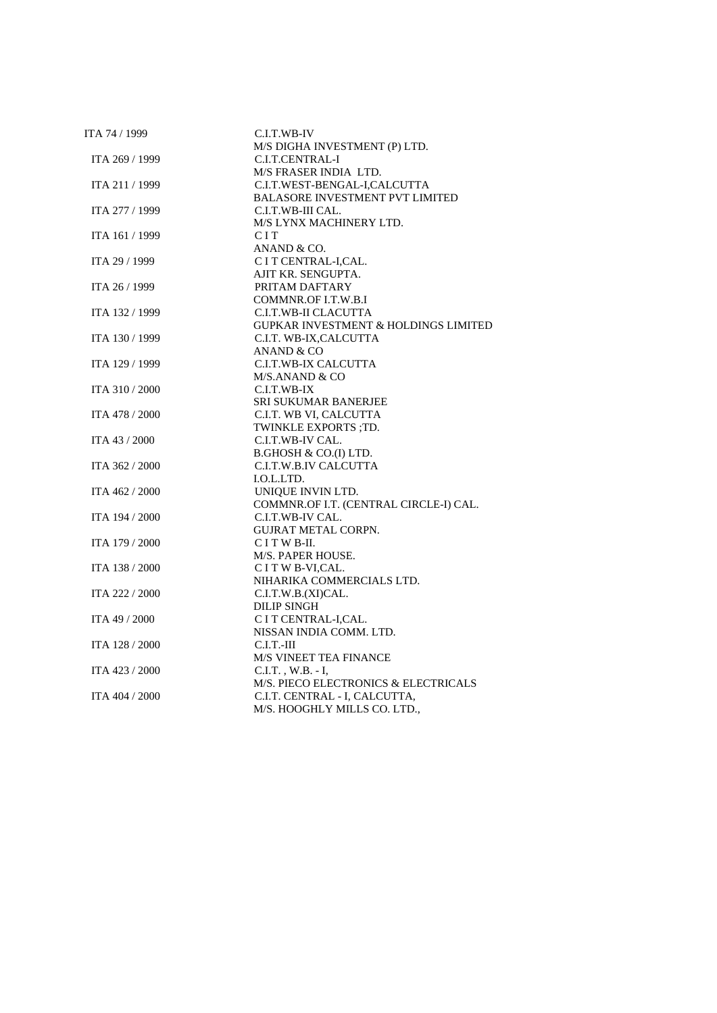| ITA 74 / 1999  | C.I.T.WB-IV                                     |
|----------------|-------------------------------------------------|
|                | M/S DIGHA INVESTMENT (P) LTD.                   |
| ITA 269 / 1999 | C.I.T.CENTRAL-I                                 |
|                | M/S FRASER INDIA LTD.                           |
| ITA 211 / 1999 | C.I.T.WEST-BENGAL-I,CALCUTTA                    |
|                | <b>BALASORE INVESTMENT PVT LIMITED</b>          |
| ITA 277 / 1999 | C.I.T.WB-III CAL.                               |
|                | M/S LYNX MACHINERY LTD.                         |
| ITA 161 / 1999 | <b>CIT</b>                                      |
|                | ANAND & CO.                                     |
| ITA 29 / 1999  | C I T CENTRAL-I,CAL.                            |
|                | AJIT KR. SENGUPTA.                              |
| ITA 26 / 1999  | PRITAM DAFTARY                                  |
|                | COMMNR.OF I.T.W.B.I                             |
| ITA 132 / 1999 | C.I.T.WB-II CLACUTTA                            |
|                | GUPKAR INVESTMENT & HOLDINGS LIMITED            |
| ITA 130 / 1999 | C.I.T. WB-IX, CALCUTTA                          |
|                | ANAND & CO                                      |
| ITA 129 / 1999 | C.I.T.WB-IX CALCUTTA                            |
|                | M/S.ANAND & CO                                  |
| ITA 310 / 2000 | C.I.T.WB-IX                                     |
|                | <b>SRI SUKUMAR BANERJEE</b>                     |
| ITA 478 / 2000 | C.I.T. WB VI, CALCUTTA                          |
|                | TWINKLE EXPORTS ;TD.                            |
| ITA 43 / 2000  | C.I.T.WB-IV CAL.                                |
|                | B.GHOSH & CO.(I) LTD.                           |
| ITA 362 / 2000 | C.I.T.W.B.IV CALCUTTA                           |
|                | I.O.L.LTD.                                      |
| ITA 462 / 2000 | UNIQUE INVIN LTD.                               |
|                | COMMNR.OF I.T. (CENTRAL CIRCLE-I) CAL.          |
| ITA 194 / 2000 | C.I.T.WB-IV CAL.                                |
|                | <b>GUJRAT METAL CORPN.</b>                      |
| ITA 179 / 2000 | CITWB-II.                                       |
| ITA 138 / 2000 | M/S. PAPER HOUSE.                               |
|                | C I T W B-VI, CAL.<br>NIHARIKA COMMERCIALS LTD. |
| ITA 222 / 2000 | C.I.T.W.B.(XI)CAL.                              |
|                | <b>DILIP SINGH</b>                              |
| ITA 49 / 2000  | C I T CENTRAL-I,CAL.                            |
|                | NISSAN INDIA COMM. LTD.                         |
| ITA 128 / 2000 | $C.I.T.-III$                                    |
|                | <b>M/S VINEET TEA FINANCE</b>                   |
| ITA 423 / 2000 | $C.I.T.$ , $W.B. - I$ ,                         |
|                | M/S. PIECO ELECTRONICS & ELECTRICALS            |
| ITA 404 / 2000 | C.I.T. CENTRAL - I, CALCUTTA,                   |
|                | M/S. HOOGHLY MILLS CO. LTD.,                    |
|                |                                                 |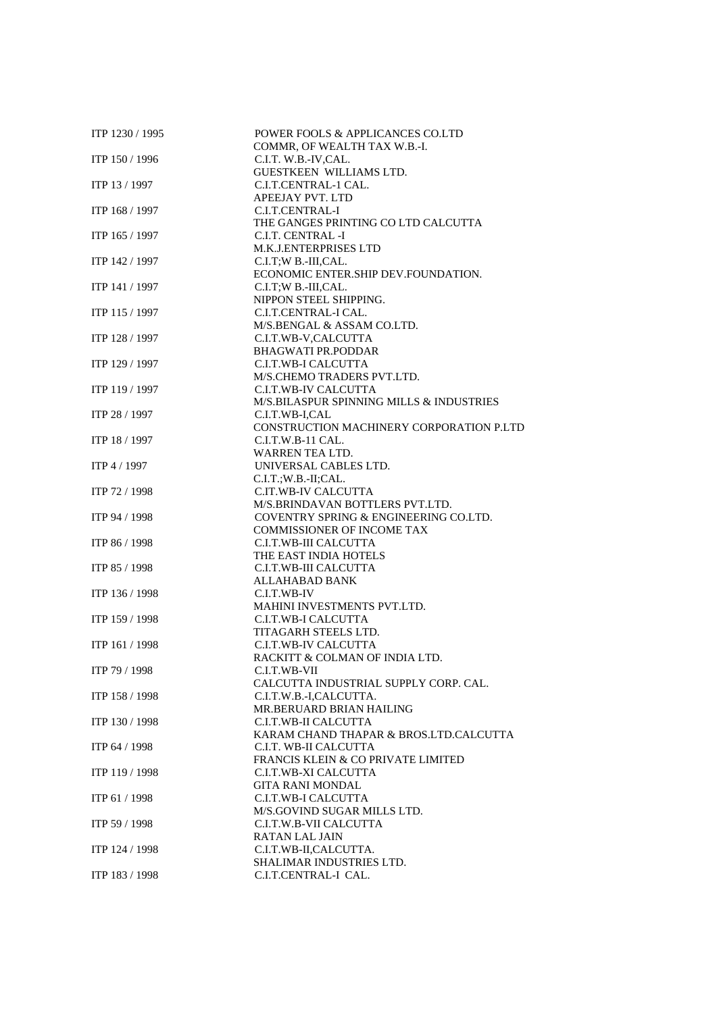| ITP 1230 / 1995 | POWER FOOLS & APPLICANCES CO.LTD<br>COMMR, OF WEALTH TAX W.B.-I. |
|-----------------|------------------------------------------------------------------|
| ITP 150 / 1996  | C.I.T. W.B.-IV,CAL.                                              |
|                 | GUESTKEEN WILLIAMS LTD.                                          |
| ITP 13 / 1997   | C.I.T.CENTRAL-1 CAL.                                             |
|                 | <b>APEEJAY PVT. LTD</b>                                          |
| ITP 168 / 1997  | C.I.T.CENTRAL-I                                                  |
|                 | THE GANGES PRINTING CO LTD CALCUTTA                              |
| ITP 165 / 1997  | C.I.T. CENTRAL -I                                                |
|                 | M.K.J.ENTERPRISES LTD                                            |
| ITP 142 / 1997  | C.I.T;W B.-III,CAL.                                              |
|                 | ECONOMIC ENTER.SHIP DEV.FOUNDATION.                              |
| ITP 141 / 1997  | C.I.T;W B.-III,CAL.                                              |
|                 | NIPPON STEEL SHIPPING.                                           |
| ITP 115 / 1997  | C.I.T.CENTRAL-I CAL.                                             |
|                 | M/S.BENGAL & ASSAM CO.LTD.                                       |
| ITP 128 / 1997  | C.I.T.WB-V,CALCUTTA<br><b>BHAGWATI PR.PODDAR</b>                 |
| ITP 129 / 1997  |                                                                  |
|                 | C.I.T.WB-I CALCUTTA<br>M/S.CHEMO TRADERS PVT.LTD.                |
| ITP 119 / 1997  | C.I.T.WB-IV CALCUTTA                                             |
|                 | M/S.BILASPUR SPINNING MILLS & INDUSTRIES                         |
| ITP 28 / 1997   | C.I.T.WB-I,CAL                                                   |
|                 | CONSTRUCTION MACHINERY CORPORATION P.LTD                         |
| ITP 18 / 1997   | $C.I.T.W.B-11 CAL.$                                              |
|                 | WARREN TEA LTD.                                                  |
| ITP 4 / 1997    | UNIVERSAL CABLES LTD.                                            |
|                 | C.I.T.;W.B.-II;CAL.                                              |
| ITP 72 / 1998   | C.IT.WB-IV CALCUTTA                                              |
|                 | M/S.BRINDAVAN BOTTLERS PVT.LTD.                                  |
| ITP 94 / 1998   | COVENTRY SPRING & ENGINEERING CO.LTD.                            |
|                 | <b>COMMISSIONER OF INCOME TAX</b>                                |
| ITP 86 / 1998   | C.I.T.WB-III CALCUTTA                                            |
|                 | THE EAST INDIA HOTELS                                            |
| ITP 85 / 1998   | C.I.T.WB-III CALCUTTA                                            |
|                 | <b>ALLAHABAD BANK</b>                                            |
| ITP 136 / 1998  | C.I.T.WB-IV                                                      |
|                 | MAHINI INVESTMENTS PVT.LTD.                                      |
| ITP 159 / 1998  | C.I.T.WB-I CALCUTTA                                              |
|                 | TITAGARH STEELS LTD.                                             |
| ITP 161 / 1998  | C.I.T.WB-IV CALCUTTA                                             |
|                 | RACKITT & COLMAN OF INDIA LTD.                                   |
| ITP 79 / 1998   | C.I.T.WB-VII                                                     |
|                 | CALCUTTA INDUSTRIAL SUPPLY CORP. CAL.                            |
| ITP 158 / 1998  | C.I.T.W.B.-I,CALCUTTA.                                           |
|                 | MR.BERUARD BRIAN HAILING                                         |
| ITP 130 / 1998  | C.I.T.WB-II CALCUTTA                                             |
|                 | KARAM CHAND THAPAR & BROS.LTD.CALCUTTA                           |
| ITP 64 / 1998   | C.I.T. WB-II CALCUTTA                                            |
|                 | FRANCIS KLEIN & CO PRIVATE LIMITED                               |
| ITP 119 / 1998  | C.I.T.WB-XI CALCUTTA                                             |
|                 | <b>GITA RANI MONDAL</b>                                          |
| ITP 61 / 1998   | C.I.T.WB-I CALCUTTA                                              |
|                 | M/S.GOVIND SUGAR MILLS LTD.                                      |
| ITP 59 / 1998   | C.I.T.W.B-VII CALCUTTA                                           |
|                 | <b>RATAN LAL JAIN</b>                                            |
| ITP 124 / 1998  | C.I.T.WB-II,CALCUTTA.                                            |
|                 | SHALIMAR INDUSTRIES LTD.                                         |
| ITP 183 / 1998  | C.I.T.CENTRAL-I CAL.                                             |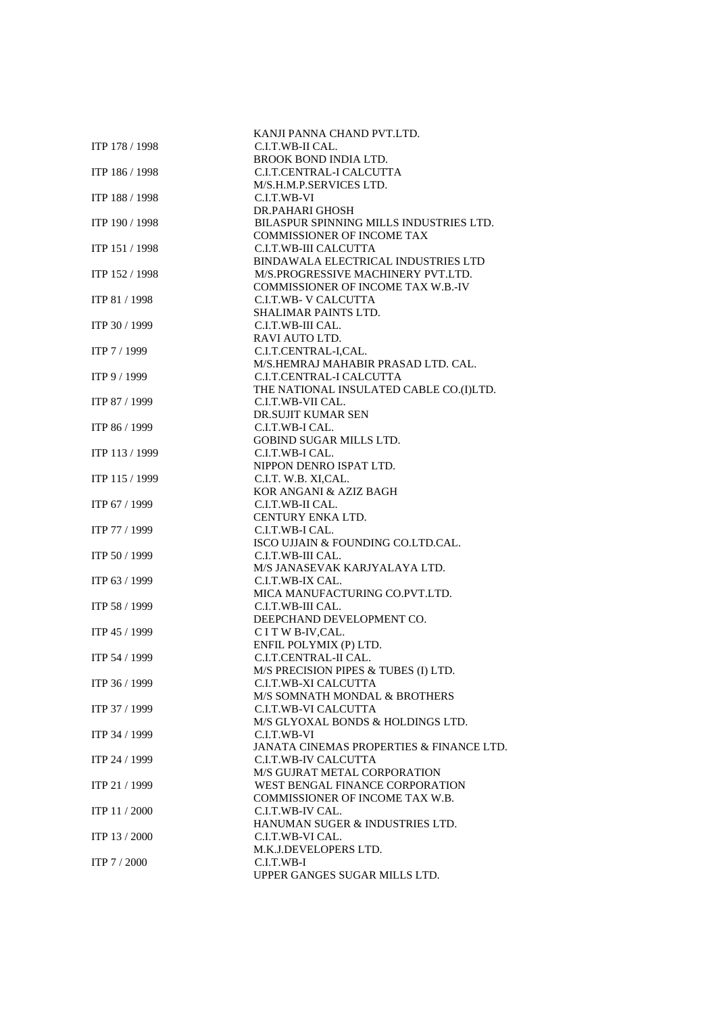|                | KANJI PANNA CHAND PVT.LTD.               |
|----------------|------------------------------------------|
| ITP 178 / 1998 | C.I.T.WB-II CAL.                         |
|                | BROOK BOND INDIA LTD.                    |
| ITP 186 / 1998 | C.I.T.CENTRAL-I CALCUTTA                 |
|                | M/S.H.M.P.SERVICES LTD.                  |
| ITP 188 / 1998 | C.I.T.WB-VI                              |
|                | DR.PAHARI GHOSH                          |
| ITP 190 / 1998 | BILASPUR SPINNING MILLS INDUSTRIES LTD.  |
|                | <b>COMMISSIONER OF INCOME TAX</b>        |
| ITP 151 / 1998 | C.I.T.WB-III CALCUTTA                    |
|                | BINDAWALA ELECTRICAL INDUSTRIES LTD      |
| ITP 152 / 1998 | M/S.PROGRESSIVE MACHINERY PVT.LTD.       |
|                | COMMISSIONER OF INCOME TAX W.B.-IV       |
| ITP 81 / 1998  | <b>C.I.T.WB- V CALCUTTA</b>              |
|                |                                          |
|                | SHALIMAR PAINTS LTD.                     |
| ITP 30 / 1999  | C.I.T.WB-III CAL.                        |
|                | RAVI AUTO LTD.                           |
| ITP 7 / 1999   | C.I.T.CENTRAL-I,CAL.                     |
|                | M/S.HEMRAJ MAHABIR PRASAD LTD. CAL.      |
| ITP 9 / 1999   | C.I.T.CENTRAL-I CALCUTTA                 |
|                | THE NATIONAL INSULATED CABLE CO.(I)LTD.  |
| ITP 87 / 1999  | C.I.T.WB-VII CAL.                        |
|                | <b>DR.SUJIT KUMAR SEN</b>                |
| ITP 86 / 1999  | C.I.T.WB-I CAL.                          |
|                | <b>GOBIND SUGAR MILLS LTD.</b>           |
| ITP 113 / 1999 | C.I.T.WB-I CAL.                          |
|                | NIPPON DENRO ISPAT LTD.                  |
| ITP 115 / 1999 | C.I.T. W.B. XI, CAL.                     |
|                | KOR ANGANI & AZIZ BAGH                   |
| ITP 67 / 1999  | C.I.T.WB-II CAL.                         |
|                | <b>CENTURY ENKALTD.</b>                  |
| ITP 77 / 1999  | C.I.T.WB-I CAL.                          |
|                | ISCO UJJAIN & FOUNDING CO.LTD.CAL.       |
| ITP 50 / 1999  | C.I.T.WB-III CAL.                        |
|                | M/S JANASEVAK KARJYALAYA LTD.            |
| ITP 63 / 1999  | C.I.T.WB-IX CAL.                         |
|                | MICA MANUFACTURING CO.PVT.LTD.           |
| ITP 58 / 1999  | C.I.T.WB-III CAL.                        |
|                | DEEPCHAND DEVELOPMENT CO.                |
| ITP 45 / 1999  | C I T W B-IV, CAL.                       |
|                | ENFIL POLYMIX (P) LTD.                   |
| ITP 54 / 1999  | C.I.T.CENTRAL-II CAL.                    |
|                | M/S PRECISION PIPES & TUBES (I) LTD.     |
| ITP 36 / 1999  | C.I.T.WB-XI CALCUTTA                     |
|                | M/S SOMNATH MONDAL & BROTHERS            |
| ITP 37 / 1999  | <b>C.I.T.WB-VI CALCUTTA</b>              |
|                | M/S GLYOXAL BONDS & HOLDINGS LTD.        |
|                |                                          |
| ITP 34 / 1999  | C.I.T.WB-VI                              |
|                | JANATA CINEMAS PROPERTIES & FINANCE LTD. |
| ITP 24 / 1999  | C.I.T.WB-IV CALCUTTA                     |
|                | M/S GUJRAT METAL CORPORATION             |
| ITP 21 / 1999  | WEST BENGAL FINANCE CORPORATION          |
|                | COMMISSIONER OF INCOME TAX W.B.          |
| ITP 11 / 2000  | C.I.T.WB-IV CAL.                         |
|                | HANUMAN SUGER & INDUSTRIES LTD.          |
| ITP 13 / 2000  | C.I.T.WB-VI CAL.                         |
|                | M.K.J.DEVELOPERS LTD.                    |
| ITP 7/2000     | C.I.T.WB-I                               |
|                | UPPER GANGES SUGAR MILLS LTD.            |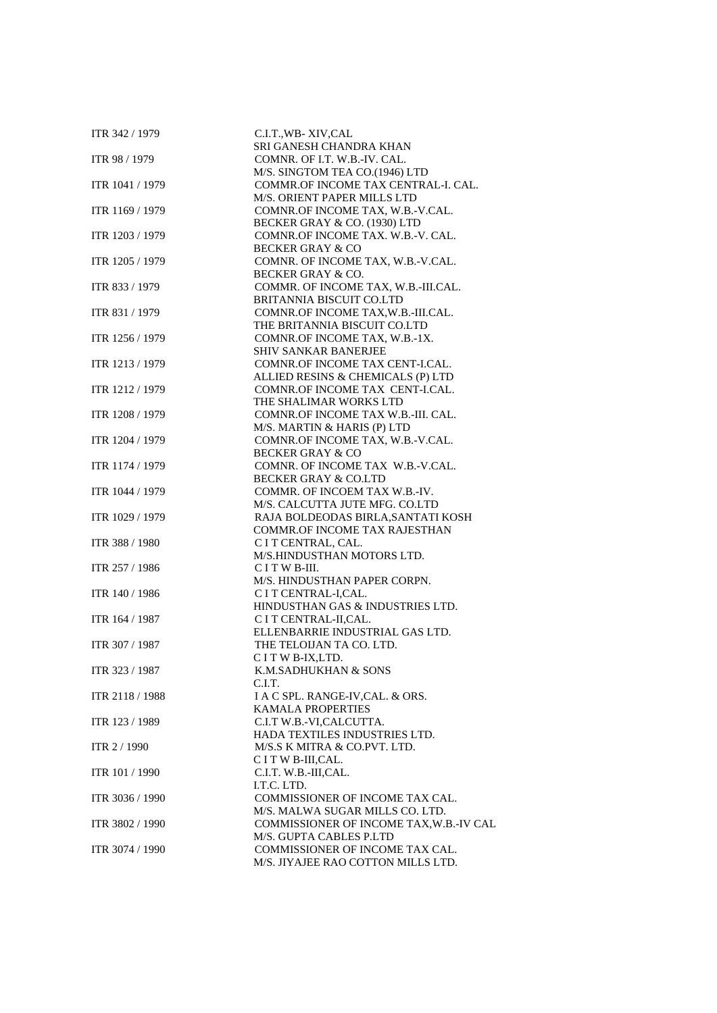| ITR 342 / 1979  | C.I.T., WB-XIV, CAL<br>SRI GANESH CHANDRA KHAN                  |
|-----------------|-----------------------------------------------------------------|
| ITR 98 / 1979   | COMNR. OF I.T. W.B.-IV. CAL.                                    |
|                 | M/S. SINGTOM TEA CO.(1946) LTD                                  |
| ITR 1041 / 1979 | COMMR.OF INCOME TAX CENTRAL-I. CAL.                             |
|                 | M/S. ORIENT PAPER MILLS LTD                                     |
| ITR 1169 / 1979 | COMNR.OF INCOME TAX, W.B.-V.CAL.                                |
|                 | BECKER GRAY & CO. (1930) LTD                                    |
| ITR 1203 / 1979 | COMNR.OF INCOME TAX. W.B.-V. CAL.                               |
|                 | <b>BECKER GRAY &amp; CO</b>                                     |
| ITR 1205 / 1979 | COMNR. OF INCOME TAX, W.B.-V.CAL.                               |
|                 | BECKER GRAY & CO.                                               |
| ITR 833 / 1979  | COMMR. OF INCOME TAX, W.B.-III.CAL.                             |
|                 | BRITANNIA BISCUIT CO.LTD                                        |
| ITR 831 / 1979  | COMNR.OF INCOME TAX, W.B.-III.CAL.                              |
|                 | THE BRITANNIA BISCUIT CO.LTD                                    |
| ITR 1256 / 1979 | COMNR.OF INCOME TAX, W.B.-1X.                                   |
|                 | SHIV SANKAR BANERJEE                                            |
| ITR 1213 / 1979 | COMNR.OF INCOME TAX CENT-I.CAL.                                 |
|                 | ALLIED RESINS & CHEMICALS (P) LTD                               |
| ITR 1212 / 1979 | COMNR.OF INCOME TAX CENT-I.CAL.                                 |
|                 | THE SHALIMAR WORKS LTD                                          |
| ITR 1208 / 1979 | COMNR.OF INCOME TAX W.B.-III. CAL.                              |
| ITR 1204 / 1979 | M/S. MARTIN & HARIS (P) LTD                                     |
|                 | COMNR.OF INCOME TAX, W.B.-V.CAL.                                |
| ITR 1174 / 1979 | <b>BECKER GRAY &amp; CO</b><br>COMNR. OF INCOME TAX W.B.-V.CAL. |
|                 | <b>BECKER GRAY &amp; CO.LTD</b>                                 |
| ITR 1044 / 1979 | COMMR. OF INCOEM TAX W.B.-IV.                                   |
|                 | M/S. CALCUTTA JUTE MFG. CO.LTD                                  |
| ITR 1029 / 1979 | RAJA BOLDEODAS BIRLA, SANTATI KOSH                              |
|                 | COMMR.OF INCOME TAX RAJESTHAN                                   |
| ITR 388 / 1980  | C I T CENTRAL, CAL.                                             |
|                 | M/S.HINDUSTHAN MOTORS LTD.                                      |
| ITR 257 / 1986  | CITWB-III.                                                      |
|                 | M/S. HINDUSTHAN PAPER CORPN.                                    |
| ITR 140 / 1986  | C I T CENTRAL-I,CAL.                                            |
|                 | HINDUSTHAN GAS & INDUSTRIES LTD.                                |
| ITR 164 / 1987  | C I T CENTRAL-II, CAL.                                          |
|                 | ELLENBARRIE INDUSTRIAL GAS LTD.                                 |
| ITR 307 / 1987  | THE TELOIJAN TA CO. LTD.                                        |
|                 | C I T W B-IX, LTD.                                              |
| ITR 323 / 1987  | K.M.SADHUKHAN & SONS                                            |
|                 | C.I.T.                                                          |
| ITR 2118 / 1988 | I A C SPL. RANGE-IV, CAL. & ORS.                                |
|                 | <b>KAMALA PROPERTIES</b>                                        |
| ITR 123 / 1989  | C.I.T W.B.-VI,CALCUTTA.                                         |
|                 | HADA TEXTILES INDUSTRIES LTD.                                   |
| ITR 2 / 1990    | M/S.S K MITRA & CO.PVT. LTD.                                    |
|                 | CITWB-III,CAL.                                                  |
| ITR 101 / 1990  | C.I.T. W.B.-III,CAL.                                            |
|                 | I.T.C. LTD.                                                     |
| ITR 3036 / 1990 | COMMISSIONER OF INCOME TAX CAL.                                 |
|                 | M/S. MALWA SUGAR MILLS CO. LTD.                                 |
| ITR 3802 / 1990 | COMMISSIONER OF INCOME TAX, W.B.-IV CAL                         |
|                 | M/S. GUPTA CABLES P.LTD                                         |
| ITR 3074 / 1990 | COMMISSIONER OF INCOME TAX CAL.                                 |
|                 | M/S. JIYAJEE RAO COTTON MILLS LTD.                              |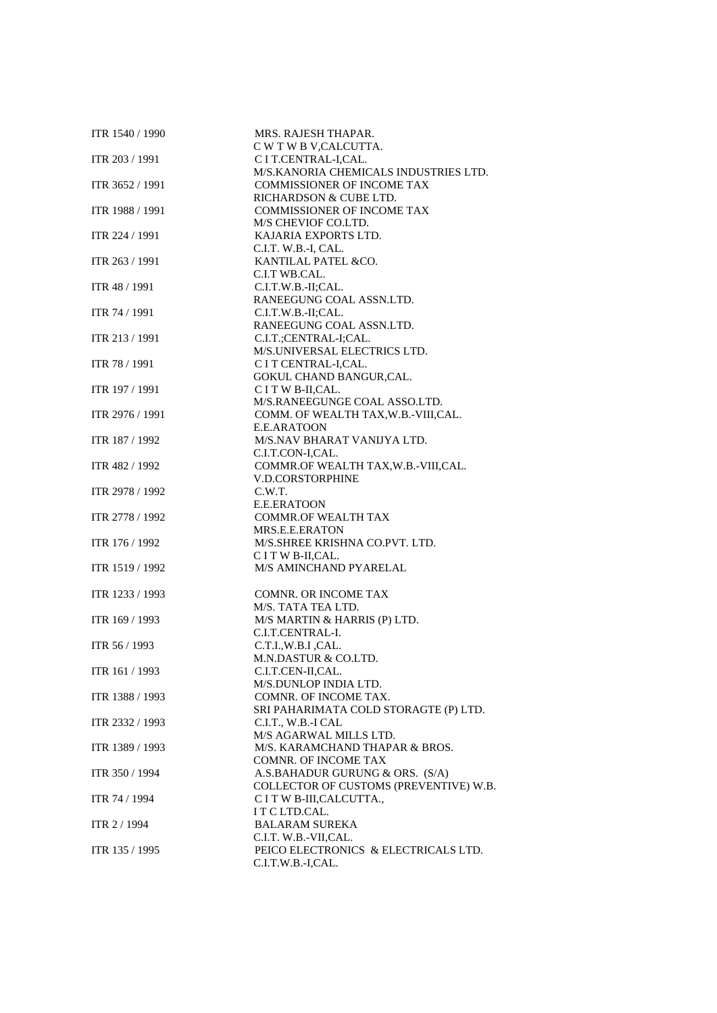| ITR 1540 / 1990 | MRS. RAJESH THAPAR.                    |
|-----------------|----------------------------------------|
|                 | C W T W B V, CALCUTTA.                 |
| ITR 203 / 1991  | C I T.CENTRAL-I,CAL.                   |
|                 | M/S.KANORIA CHEMICALS INDUSTRIES LTD.  |
| ITR 3652 / 1991 | <b>COMMISSIONER OF INCOME TAX</b>      |
|                 | RICHARDSON & CUBE LTD.                 |
| ITR 1988 / 1991 | <b>COMMISSIONER OF INCOME TAX</b>      |
|                 | M/S CHEVIOF CO.LTD.                    |
| ITR 224 / 1991  | KAJARIA EXPORTS LTD.                   |
|                 | C.I.T. W.B.-I, CAL.                    |
| ITR 263 / 1991  | KANTILAL PATEL &CO.                    |
|                 | C.I.T WB.CAL.                          |
| ITR 48 / 1991   | C.I.T.W.B.-II;CAL.                     |
|                 |                                        |
|                 | RANEEGUNG COAL ASSN.LTD.               |
| ITR 74 / 1991   | C.I.T.W.B.-II;CAL.                     |
|                 | RANEEGUNG COAL ASSN.LTD.               |
| ITR 213 / 1991  | C.I.T.;CENTRAL-I;CAL.                  |
|                 | M/S.UNIVERSAL ELECTRICS LTD.           |
| ITR 78 / 1991   | C I T CENTRAL-I,CAL.                   |
|                 | GOKUL CHAND BANGUR, CAL.               |
| ITR 197 / 1991  | CITWB-II,CAL.                          |
|                 | M/S.RANEEGUNGE COAL ASSO.LTD.          |
| ITR 2976 / 1991 | COMM. OF WEALTH TAX, W.B.-VIII, CAL.   |
|                 | E.E.ARATOON                            |
| ITR 187 / 1992  | M/S.NAV BHARAT VANIJYA LTD.            |
|                 | C.I.T.CON-I,CAL.                       |
|                 |                                        |
| ITR 482 / 1992  | COMMR.OF WEALTH TAX, W.B.-VIII, CAL.   |
|                 | V.D.CORSTORPHINE                       |
| ITR 2978 / 1992 | C.W.T.                                 |
|                 | E.E.ERATOON                            |
| ITR 2778 / 1992 | <b>COMMR.OF WEALTH TAX</b>             |
|                 | MRS.E.E.ERATON                         |
| ITR 176 / 1992  | M/S.SHREE KRISHNA CO.PVT. LTD.         |
|                 | C I T W B-II, CAL.                     |
| ITR 1519 / 1992 | M/S AMINCHAND PYARELAL                 |
|                 |                                        |
| ITR 1233 / 1993 | <b>COMNR. OR INCOME TAX</b>            |
|                 | M/S. TATA TEA LTD.                     |
| ITR 169 / 1993  | M/S MARTIN & HARRIS (P) LTD.           |
|                 | C.I.T.CENTRAL-I.                       |
|                 | C.T.I.,W.B.I.,CAL.                     |
| ITR 56 / 1993   |                                        |
|                 | M.N.DASTUR & CO.LTD.                   |
| ITR 161 / 1993  | C.I.T.CEN-II,CAL.                      |
|                 | M/S.DUNLOP INDIA LTD.                  |
| ITR 1388 / 1993 | COMNR. OF INCOME TAX.                  |
|                 | SRI PAHARIMATA COLD STORAGTE (P) LTD.  |
| ITR 2332 / 1993 | C.I.T., W.B.-I CAL                     |
|                 | M/S AGARWAL MILLS LTD.                 |
| ITR 1389 / 1993 | M/S. KARAMCHAND THAPAR & BROS.         |
|                 | <b>COMNR. OF INCOME TAX</b>            |
| ITR 350 / 1994  | A.S.BAHADUR GURUNG & ORS. (S/A)        |
|                 | COLLECTOR OF CUSTOMS (PREVENTIVE) W.B. |
| ITR 74 / 1994   | C I T W B-III, CALCUTTA.,              |
|                 | I T C LTD.CAL.                         |
| ITR 2 / 1994    | <b>BALARAM SUREKA</b>                  |
|                 |                                        |
|                 | C.I.T. W.B.-VII,CAL.                   |
| ITR 135 / 1995  | PEICO ELECTRONICS & ELECTRICALS LTD.   |
|                 | C.I.T.W.B.-I,CAL.                      |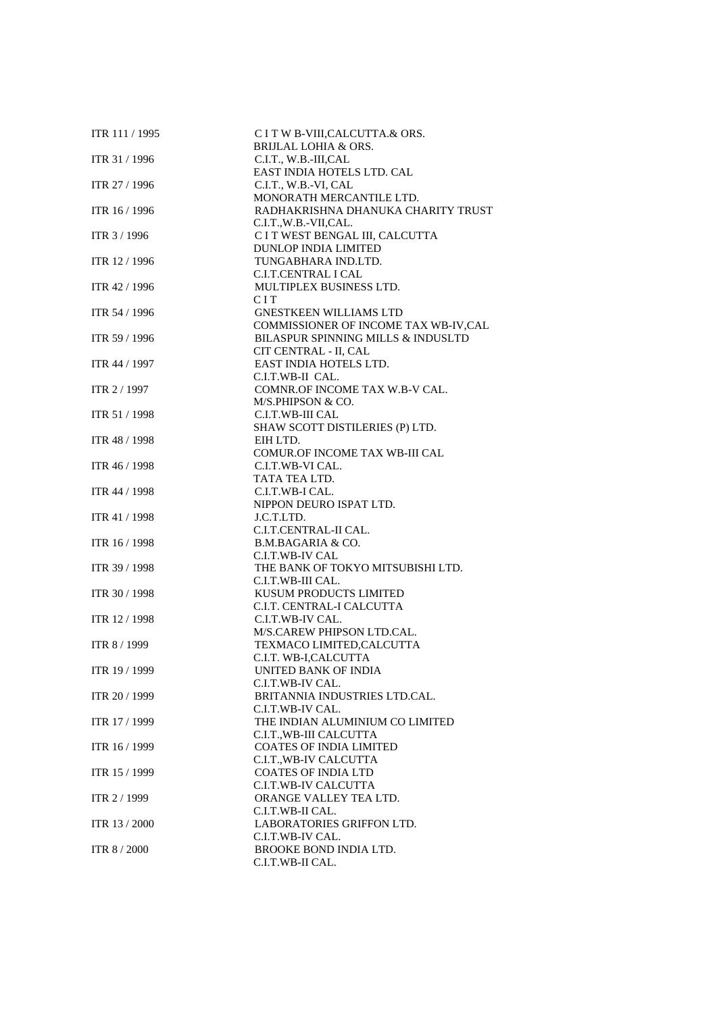| ITR 111 / 1995 | C I T W B-VIII, CALCUTTA.& ORS.<br><b>BRIJLAL LOHIA &amp; ORS.</b> |
|----------------|--------------------------------------------------------------------|
|                |                                                                    |
| ITR 31 / 1996  | C.I.T., W.B.-III,CAL                                               |
|                | EAST INDIA HOTELS LTD. CAL                                         |
| ITR 27 / 1996  | C.I.T., W.B.-VI, CAL                                               |
|                | MONORATH MERCANTILE LTD.                                           |
| ITR 16 / 1996  | RADHAKRISHNA DHANUKA CHARITY TRUST                                 |
|                | C.I.T.,W.B.-VII,CAL.                                               |
| ITR 3 / 1996   | C I T WEST BENGAL III, CALCUTTA                                    |
|                | <b>DUNLOP INDIA LIMITED</b>                                        |
| ITR 12 / 1996  | TUNGABHARA IND.LTD.                                                |
|                | <b>C.I.T.CENTRAL I CAL</b>                                         |
| ITR 42 / 1996  | MULTIPLEX BUSINESS LTD.                                            |
|                | <b>CIT</b>                                                         |
| ITR 54 / 1996  | <b>GNESTKEEN WILLIAMS LTD</b>                                      |
|                | COMMISSIONER OF INCOME TAX WB-IV, CAL                              |
| ITR 59 / 1996  | BILASPUR SPINNING MILLS & INDUSLTD                                 |
|                | CIT CENTRAL - II, CAL                                              |
| ITR 44 / 1997  | EAST INDIA HOTELS LTD.                                             |
|                | C.I.T.WB-II CAL.                                                   |
| ITR 2 / 1997   | COMNR.OF INCOME TAX W.B-V CAL.                                     |
|                | M/S.PHIPSON & CO.                                                  |
| ITR 51 / 1998  | C.I.T.WB-III CAL                                                   |
|                | SHAW SCOTT DISTILERIES (P) LTD.                                    |
| ITR 48 / 1998  | EIH LTD.                                                           |
|                | COMUR.OF INCOME TAX WB-III CAL                                     |
| ITR 46 / 1998  | C.I.T.WB-VI CAL.                                                   |
|                | TATA TEA LTD.                                                      |
| ITR 44 / 1998  | C.I.T.WB-I CAL.                                                    |
|                | NIPPON DEURO ISPAT LTD.                                            |
| ITR 41 / 1998  | J.C.T.LTD.                                                         |
|                | C.I.T.CENTRAL-II CAL.                                              |
| ITR 16 / 1998  | <b>B.M.BAGARIA &amp; CO.</b>                                       |
|                | C.I.T.WB-IV CAL                                                    |
| ITR 39 / 1998  | THE BANK OF TOKYO MITSUBISHI LTD.                                  |
|                | C.I.T.WB-III CAL.                                                  |
| ITR 30 / 1998  | KUSUM PRODUCTS LIMITED                                             |
|                | C.I.T. CENTRAL-I CALCUTTA                                          |
| ITR 12 / 1998  | C.I.T.WB-IV CAL.                                                   |
|                | M/S.CAREW PHIPSON LTD.CAL.                                         |
| ITR 8 / 1999   | TEXMACO LIMITED, CALCUTTA                                          |
|                | C.I.T. WB-I,CALCUTTA                                               |
| ITR 19 / 1999  | UNITED BANK OF INDIA                                               |
|                | C.I.T.WB-IV CAL.                                                   |
| ITR 20 / 1999  | BRITANNIA INDUSTRIES LTD.CAL.                                      |
|                | C.I.T.WB-IV CAL.                                                   |
| ITR 17 / 1999  | THE INDIAN ALUMINIUM CO LIMITED                                    |
|                | C.I.T., WB-III CALCUTTA                                            |
| ITR 16 / 1999  | <b>COATES OF INDIA LIMITED</b>                                     |
|                | C.I.T., WB-IV CALCUTTA                                             |
| ITR 15 / 1999  | <b>COATES OF INDIA LTD</b>                                         |
|                | C.I.T.WB-IV CALCUTTA                                               |
| ITR 2 / 1999   | ORANGE VALLEY TEA LTD.                                             |
|                | C.I.T.WB-II CAL.                                                   |
| ITR 13 / 2000  | LABORATORIES GRIFFON LTD.                                          |
|                | C.I.T.WB-IV CAL.                                                   |
| ITR 8 / 2000   | BROOKE BOND INDIA LTD.                                             |
|                | C.I.T.WB-II CAL.                                                   |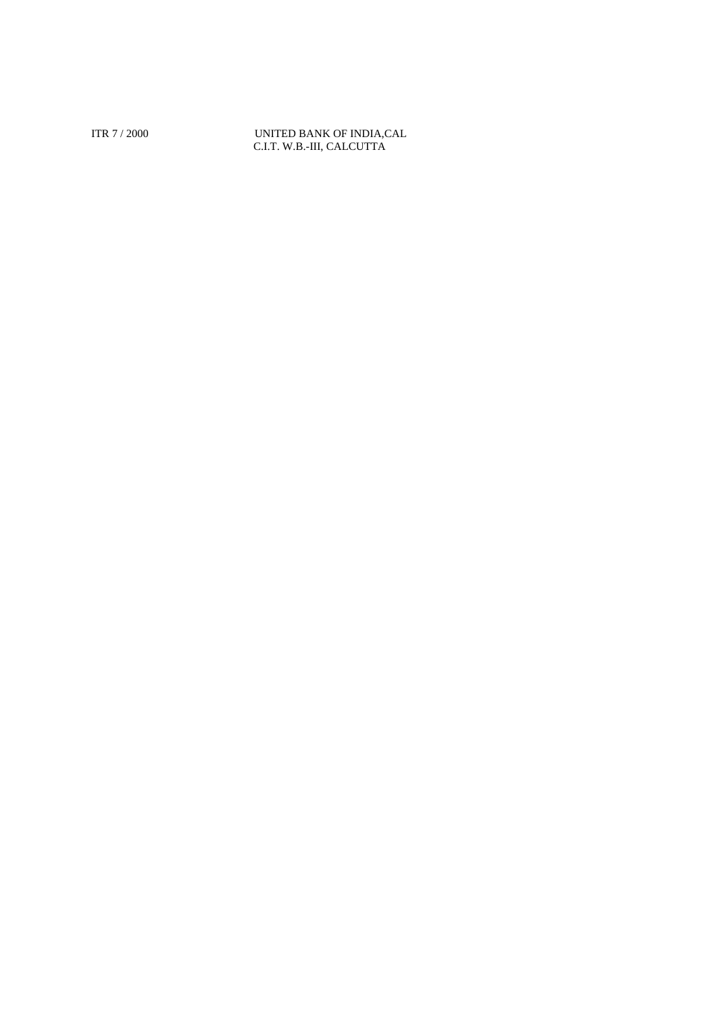ITR 7 / 2000 UNITED BANK OF INDIA,CAL C.I.T. W.B.-III, CALCUTTA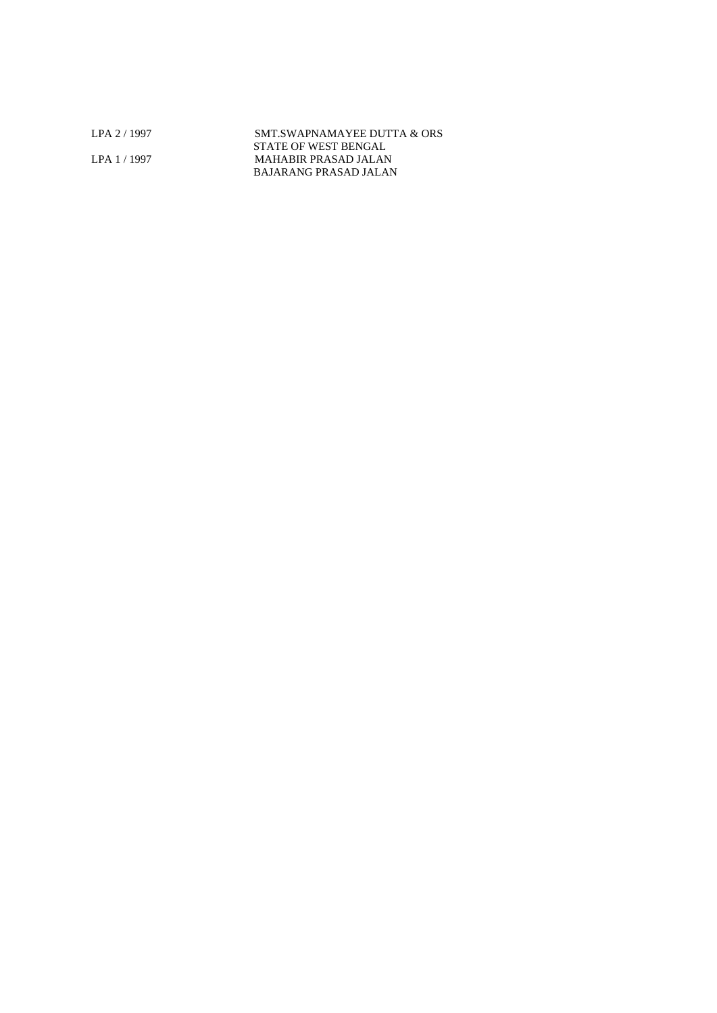LPA 2 / 1997 SMT.SWAPNAMAYEE DUTTA & ORS STATE OF WEST BENGAL LPA 1 / 1997 MAHABIR PRASAD JALAN BAJARANG PRASAD JALAN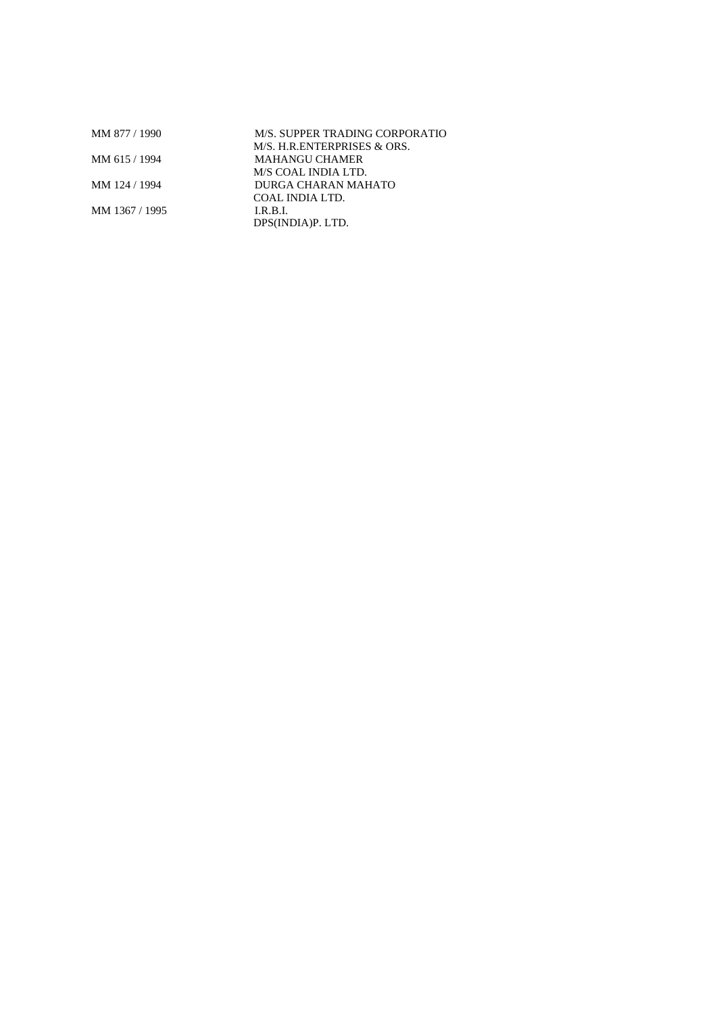| MM 877 / 1990  | M/S. SUPPER TRADING CORPORATIO |  |
|----------------|--------------------------------|--|
|                | M/S. H.R.ENTERPRISES & ORS.    |  |
| MM 615 / 1994  | MAHANGU CHAMER                 |  |
|                | M/S COAL INDIA LTD.            |  |
| MM 124 / 1994  | DURGA CHARAN MAHATO            |  |
|                | COAL INDIA LTD.                |  |
| MM 1367 / 1995 | I.R.B.I.                       |  |
|                | DPS(INDIA)P. LTD.              |  |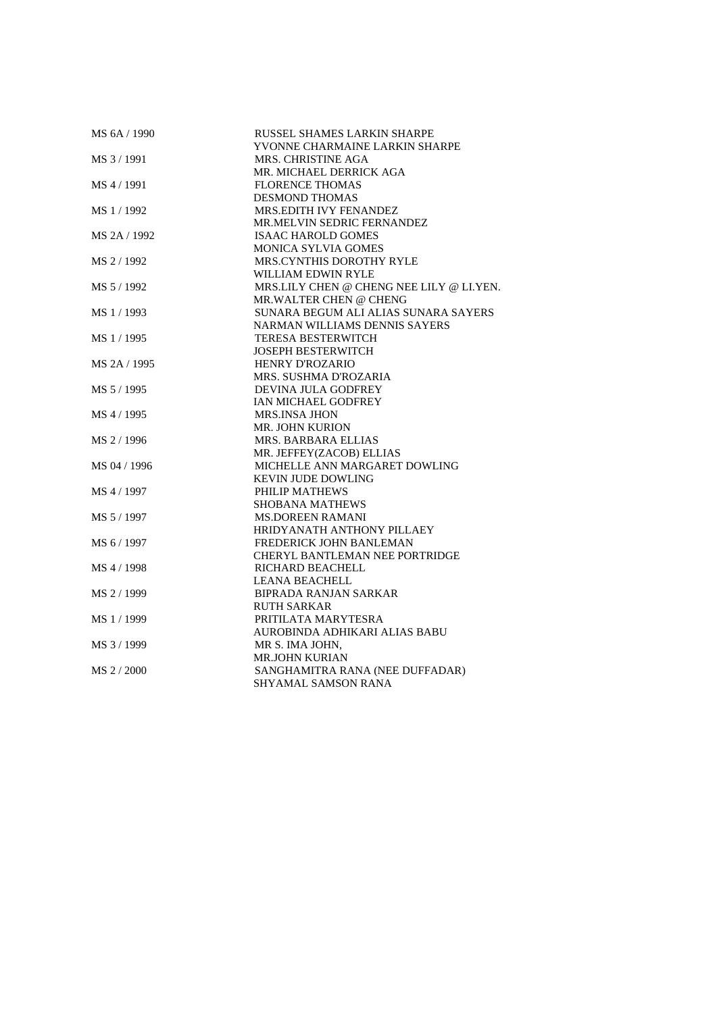| MS 6A / 1990 | RUSSEL SHAMES LARKIN SHARPE              |
|--------------|------------------------------------------|
|              | YVONNE CHARMAINE LARKIN SHARPE           |
| MS 3/1991    | MRS. CHRISTINE AGA                       |
|              | MR. MICHAEL DERRICK AGA                  |
| MS 4 / 1991  | <b>FLORENCE THOMAS</b>                   |
|              | <b>DESMOND THOMAS</b>                    |
| MS 1/1992    | MRS.EDITH IVY FENANDEZ                   |
|              | MR.MELVIN SEDRIC FERNANDEZ               |
| MS 2A / 1992 | <b>ISAAC HAROLD GOMES</b>                |
|              | <b>MONICA SYLVIA GOMES</b>               |
| MS 2/1992    | <b>MRS.CYNTHIS DOROTHY RYLE</b>          |
|              | WILLIAM EDWIN RYLE                       |
| MS 5 / 1992  | MRS.LILY CHEN @ CHENG NEE LILY @ LI.YEN. |
|              | MR.WALTER CHEN @ CHENG                   |
| MS 1/1993    | SUNARA BEGUM ALI ALIAS SUNARA SAYERS     |
|              | NARMAN WILLIAMS DENNIS SAYERS            |
| MS 1/1995    | <b>TERESA BESTERWITCH</b>                |
|              | <b>JOSEPH BESTERWITCH</b>                |
| MS 2A / 1995 | <b>HENRY D'ROZARIO</b>                   |
|              | MRS. SUSHMA D'ROZARIA                    |
| MS 5 / 1995  | DEVINA JULA GODFREY                      |
|              | IAN MICHAEL GODFREY                      |
| MS 4 / 1995  | <b>MRS.INSA JHON</b>                     |
|              | <b>MR. JOHN KURION</b>                   |
| MS 2/1996    | MRS. BARBARA ELLIAS                      |
|              | MR. JEFFEY(ZACOB) ELLIAS                 |
| MS 04 / 1996 | MICHELLE ANN MARGARET DOWLING            |
|              | <b>KEVIN JUDE DOWLING</b>                |
| MS 4 / 1997  | PHILIP MATHEWS                           |
|              | <b>SHOBANA MATHEWS</b>                   |
| MS 5 / 1997  | <b>MS.DOREEN RAMANI</b>                  |
|              | HRIDYANATH ANTHONY PILLAEY               |
| MS 6 / 1997  | FREDERICK JOHN BANLEMAN                  |
|              | <b>CHERYL BANTLEMAN NEE PORTRIDGE</b>    |
| MS 4 / 1998  | <b>RICHARD BEACHELL</b>                  |
|              | <b>LEANA BEACHELL</b>                    |
| MS 2 / 1999  | <b>BIPRADA RANJAN SARKAR</b>             |
|              | <b>RUTH SARKAR</b>                       |
| MS 1/1999    | PRITILATA MARYTESRA                      |
|              | AUROBINDA ADHIKARI ALIAS BABU            |
| MS 3 / 1999  | MR S. IMA JOHN,                          |
|              | <b>MR.JOHN KURIAN</b>                    |
| MS 2 / 2000  | SANGHAMITRA RANA (NEE DUFFADAR)          |
|              | SHYAMAL SAMSON RANA                      |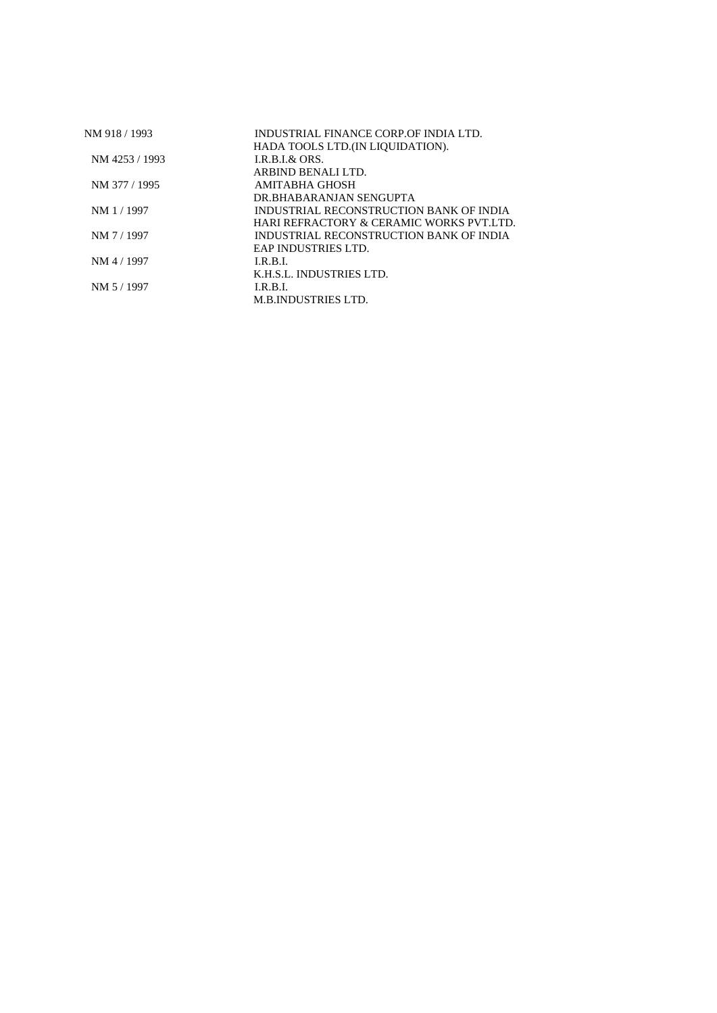| NM 918 / 1993  | INDUSTRIAL FINANCE CORP.OF INDIA LTD.              |
|----------------|----------------------------------------------------|
| NM 4253 / 1993 | HADA TOOLS LTD. (IN LIQUIDATION).<br>LR B.L & ORS. |
|                | ARBIND BENALLLTD.                                  |
| NM 377 / 1995  | AMITABHA GHOSH                                     |
|                | DR.BHABARANJAN SENGUPTA                            |
| NM 1 / 1997    | INDUSTRIAL RECONSTRUCTION BANK OF INDIA            |
|                | HARI REFRACTORY & CERAMIC WORKS PVT.LTD.           |
| NM 7 / 1997    | INDUSTRIAL RECONSTRUCTION BANK OF INDIA            |
|                | EAP INDUSTRIES LTD.                                |
| NM 4 / 1997    | LR B.L                                             |
|                | K.H.S.L. INDUSTRIES LTD.                           |
| NM 5/1997      | LR B.L                                             |
|                | <b>M.B.INDUSTRIES LTD.</b>                         |
|                |                                                    |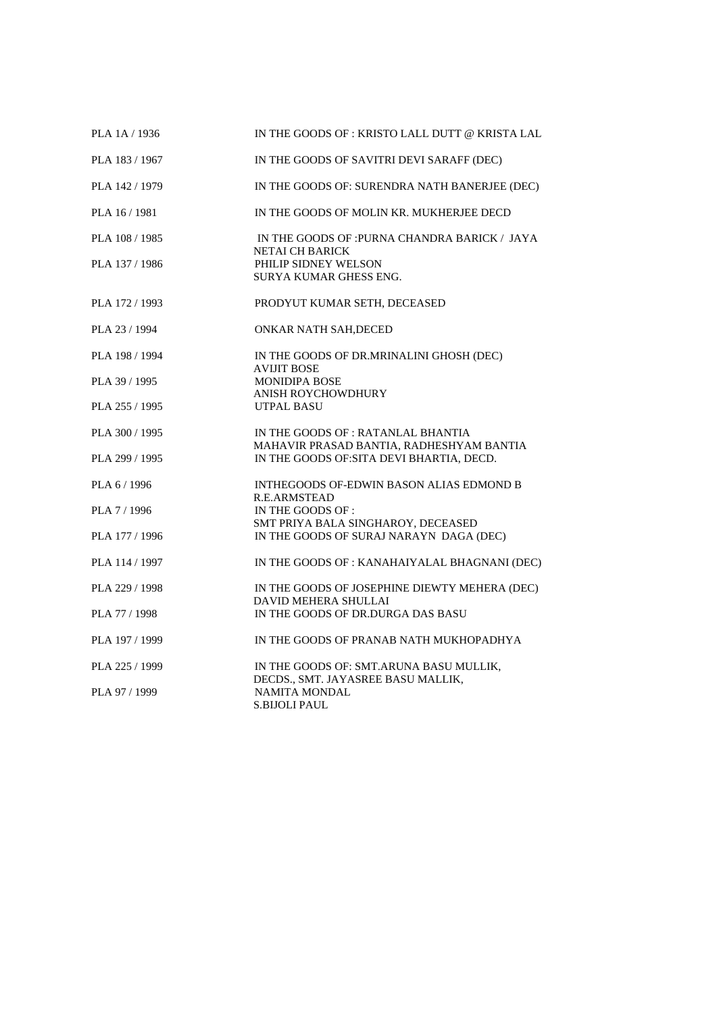| PLA 1A / 1936  | IN THE GOODS OF: KRISTO LALL DUTT @ KRISTA LAL                                        |
|----------------|---------------------------------------------------------------------------------------|
| PLA 183 / 1967 | IN THE GOODS OF SAVITRI DEVI SARAFF (DEC)                                             |
| PLA 142 / 1979 | IN THE GOODS OF: SURENDRA NATH BANERJEE (DEC)                                         |
| PLA 16 / 1981  | IN THE GOODS OF MOLIN KR. MUKHERJEE DECD                                              |
| PLA 108 / 1985 | IN THE GOODS OF : PURNA CHANDRA BARICK / JAYA                                         |
| PLA 137 / 1986 | <b>NETAI CH BARICK</b><br>PHILIP SIDNEY WELSON<br><b>SURYA KUMAR GHESS ENG.</b>       |
| PLA 172 / 1993 | PRODYUT KUMAR SETH, DECEASED                                                          |
| PLA 23 / 1994  | ONKAR NATH SAH, DECED                                                                 |
| PLA 198 / 1994 | IN THE GOODS OF DR.MRINALINI GHOSH (DEC)<br><b>AVIJIT BOSE</b>                        |
| PLA 39 / 1995  | <b>MONIDIPA BOSE</b><br><b>ANISH ROYCHOWDHURY</b>                                     |
| PLA 255 / 1995 | <b>UTPAL BASU</b>                                                                     |
| PLA 300 / 1995 | IN THE GOODS OF : RATANLAL BHANTIA                                                    |
| PLA 299 / 1995 | MAHAVIR PRASAD BANTIA, RADHESHYAM BANTIA<br>IN THE GOODS OF: SITA DEVI BHARTIA, DECD. |
| PLA 6 / 1996   | INTHEGOODS OF-EDWIN BASON ALIAS EDMOND B                                              |
| PLA 7 / 1996   | R.E.ARMSTEAD<br>IN THE GOODS OF :                                                     |
| PLA 177 / 1996 | SMT PRIYA BALA SINGHAROY, DECEASED<br>IN THE GOODS OF SURAJ NARAYN DAGA (DEC)         |
| PLA 114 / 1997 | IN THE GOODS OF : KANAHAIYALAL BHAGNANI (DEC)                                         |
| PLA 229 / 1998 | IN THE GOODS OF JOSEPHINE DIEWTY MEHERA (DEC)                                         |
| PLA 77 / 1998  | <b>DAVID MEHERA SHULLAI</b><br>IN THE GOODS OF DR.DURGA DAS BASU                      |
| PLA 197 / 1999 | IN THE GOODS OF PRANAB NATH MUKHOPADHYA                                               |
| PLA 225 / 1999 | IN THE GOODS OF: SMT.ARUNA BASU MULLIK,                                               |
| PLA 97 / 1999  | DECDS., SMT. JAYASREE BASU MALLIK,<br><b>NAMITA MONDAL</b><br><b>S.BIJOLI PAUL</b>    |